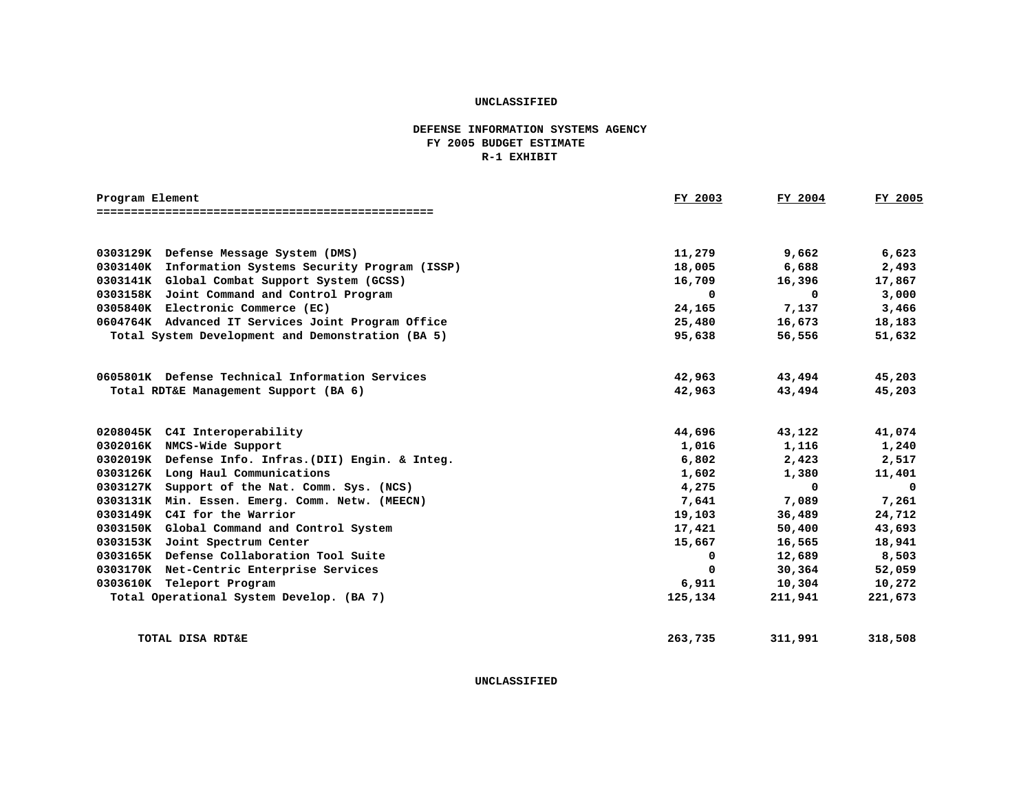## **DEFENSE INFORMATION SYSTEMS AGENCY FY 2005 BUDGET ESTIMATE R-1 EXHIBIT**

| Program Element |                                                      | FY 2003 | FY 2004     | FY 2005    |
|-----------------|------------------------------------------------------|---------|-------------|------------|
|                 |                                                      |         |             |            |
|                 |                                                      |         |             |            |
|                 | 0303129K Defense Message System (DMS)                | 11,279  | 9,662       | 6,623      |
|                 | 0303140K Information Systems Security Program (ISSP) | 18,005  | 6,688       | 2,493      |
|                 | 0303141K Global Combat Support System (GCSS)         | 16,709  | 16,396      | 17,867     |
|                 | 0303158K Joint Command and Control Program           | 0       | $\Omega$    | 3,000      |
|                 | 0305840K Electronic Commerce (EC)                    | 24,165  | 7,137       | 3,466      |
|                 | 0604764K Advanced IT Services Joint Program Office   | 25,480  | 16,673      | 18,183     |
|                 | Total System Development and Demonstration (BA 5)    | 95,638  | 56,556      | 51,632     |
|                 |                                                      |         |             |            |
|                 | 0605801K Defense Technical Information Services      | 42,963  | 43,494      | 45,203     |
|                 | Total RDT&E Management Support (BA 6)                | 42,963  | 43,494      | 45,203     |
|                 |                                                      |         |             |            |
|                 | 0208045K C4I Interoperability                        | 44,696  | 43,122      | 41,074     |
|                 | 0302016K NMCS-Wide Support                           | 1,016   | 1,116       | 1,240      |
|                 | 0302019K Defense Info. Infras. (DII) Engin. & Integ. | 6,802   | 2,423       | 2,517      |
|                 | 0303126K Long Haul Communications                    | 1,602   | 1,380       | 11,401     |
|                 | 0303127K Support of the Nat. Comm. Sys. (NCS)        | 4,275   | $\mathbf 0$ | $^{\circ}$ |
|                 | 0303131K Min. Essen. Emerg. Comm. Netw. (MEECN)      | 7,641   | 7,089       | 7,261      |
|                 | 0303149K C4I for the Warrior                         | 19,103  | 36,489      | 24,712     |
|                 | 0303150K Global Command and Control System           | 17,421  | 50,400      | 43,693     |
|                 | 0303153K Joint Spectrum Center                       | 15,667  | 16,565      | 18,941     |
|                 | 0303165K Defense Collaboration Tool Suite            | 0       | 12,689      | 8,503      |
|                 | 0303170K Net-Centric Enterprise Services             | 0       | 30,364      | 52,059     |
|                 | 0303610K Teleport Program                            | 6,911   | 10,304      | 10,272     |
|                 | Total Operational System Develop. (BA 7)             | 125,134 | 211,941     | 221,673    |
|                 |                                                      |         |             |            |
|                 | TOTAL DISA RDT&E                                     | 263,735 | 311,991     | 318,508    |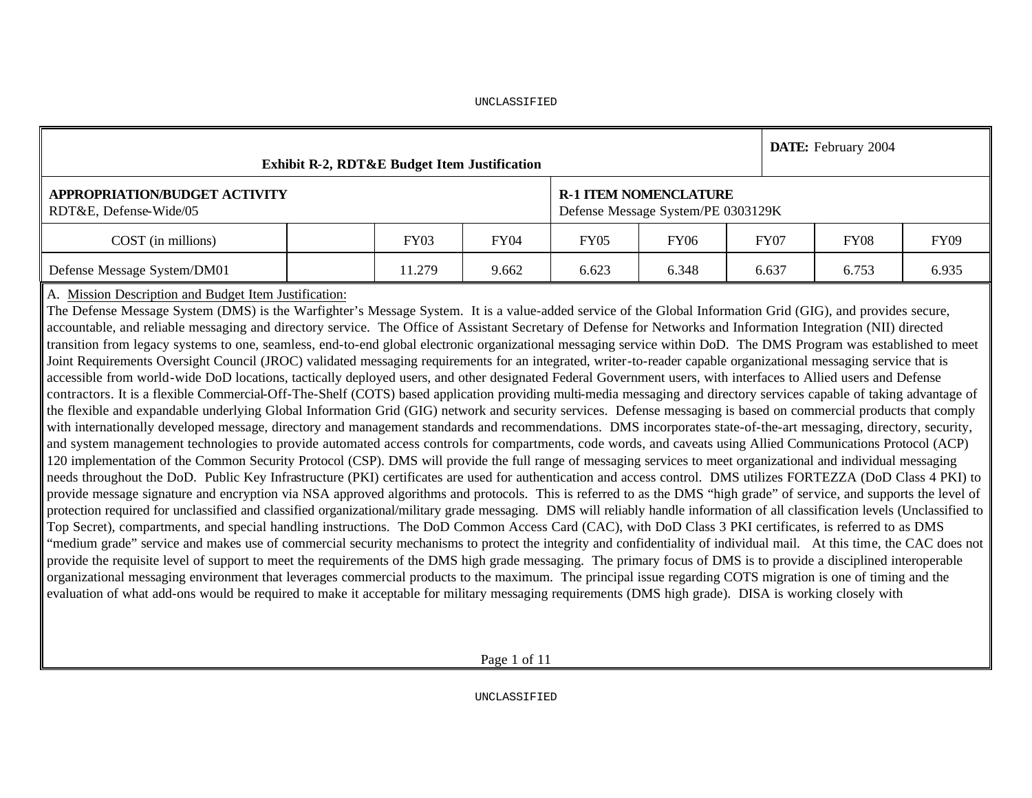|                                                                                                                                                                                                                                                                                                                                                                                                                                                                                                                                                                                                                                                                                                                                                                                                                                                                                                                                                                                                                                                                                                                                                                                                                                                                                                                                                                                                                          | <b>Exhibit R-2, RDT&amp;E Budget Item Justification</b> |  |  |  |                                                                    |  | DATE: February 2004 |  |  |  |  |  |  |  |
|--------------------------------------------------------------------------------------------------------------------------------------------------------------------------------------------------------------------------------------------------------------------------------------------------------------------------------------------------------------------------------------------------------------------------------------------------------------------------------------------------------------------------------------------------------------------------------------------------------------------------------------------------------------------------------------------------------------------------------------------------------------------------------------------------------------------------------------------------------------------------------------------------------------------------------------------------------------------------------------------------------------------------------------------------------------------------------------------------------------------------------------------------------------------------------------------------------------------------------------------------------------------------------------------------------------------------------------------------------------------------------------------------------------------------|---------------------------------------------------------|--|--|--|--------------------------------------------------------------------|--|---------------------|--|--|--|--|--|--|--|
| <b>APPROPRIATION/BUDGET ACTIVITY</b><br>RDT&E, Defense-Wide/05                                                                                                                                                                                                                                                                                                                                                                                                                                                                                                                                                                                                                                                                                                                                                                                                                                                                                                                                                                                                                                                                                                                                                                                                                                                                                                                                                           |                                                         |  |  |  | <b>R-1 ITEM NOMENCLATURE</b><br>Defense Message System/PE 0303129K |  |                     |  |  |  |  |  |  |  |
| FY03<br>FY <sub>04</sub><br>FY <sub>05</sub><br>FY07<br>FY09<br>COST (in millions)<br>FY <sub>06</sub><br>FY08                                                                                                                                                                                                                                                                                                                                                                                                                                                                                                                                                                                                                                                                                                                                                                                                                                                                                                                                                                                                                                                                                                                                                                                                                                                                                                           |                                                         |  |  |  |                                                                    |  |                     |  |  |  |  |  |  |  |
| Defense Message System/DM01<br>11.279<br>6.935<br>6.623<br>6.348<br>6.637<br>9.662<br>6.753                                                                                                                                                                                                                                                                                                                                                                                                                                                                                                                                                                                                                                                                                                                                                                                                                                                                                                                                                                                                                                                                                                                                                                                                                                                                                                                              |                                                         |  |  |  |                                                                    |  |                     |  |  |  |  |  |  |  |
| A. Mission Description and Budget Item Justification:<br>The Defense Message System (DMS) is the Warfighter's Message System. It is a value-added service of the Global Information Grid (GIG), and provides secure,<br>accountable, and reliable messaging and directory service. The Office of Assistant Secretary of Defense for Networks and Information Integration (NII) directed<br>transition from legacy systems to one, seamless, end-to-end global electronic organizational messaging service within DoD. The DMS Program was established to meet<br>Joint Requirements Oversight Council (JROC) validated messaging requirements for an integrated, writer-to-reader capable organizational messaging service that is<br>accessible from world-wide DoD locations, tactically deployed users, and other designated Federal Government users, with interfaces to Allied users and Defense<br>contractors. It is a flexible Commercial-Off-The-Shelf (COTS) based application providing multi-media messaging and directory services capable of taking advantage of<br>the flexible and expandable underlying Global Information Grid (GIG) network and security services. Defense messaging is based on commercial products that comply<br>with internationally developed message, directory and management standards and recommendations. DMS incorporates state-of-the-art messaging, directory, security, |                                                         |  |  |  |                                                                    |  |                     |  |  |  |  |  |  |  |

and system management technologies to provide automated access controls for compartments, code words, and caveats using Allied Communications Protocol (ACP) 120 implementation of the Common Security Protocol (CSP). DMS will provide the full range of messaging services to meet organizational and individual messaging needs throughout the DoD. Public Key Infrastructure (PKI) certificates are used for authentication and access control. DMS utilizes FORTEZZA (DoD Class 4 PKI) to provide message signature and encryption via NSA approved algorithms and protocols. This is referred to as the DMS "high grade" of service, and supports the level of protection required for unclassified and classified organizational/military grade messaging. DMS will reliably handle information of all classification levels (Unclassified to Top Secret), compartments, and special handling instructions. The DoD Common Access Card (CAC), with DoD Class 3 PKI certificates, is referred to as DMS "medium grade" service and makes use of commercial security mechanisms to protect the integrity and confidentiality of individual mail. At this time, the CAC does not provide the requisite level of support to meet the requirements of the DMS high grade messaging. The primary focus of DMS is to provide a disciplined interoperable organizational messaging environment that leverages commercial products to the maximum. The principal issue regarding COTS migration is one of timing and the evaluation of what add-ons would be required to make it acceptable for military messaging requirements (DMS high grade). DISA is working closely with

Page 1 of 11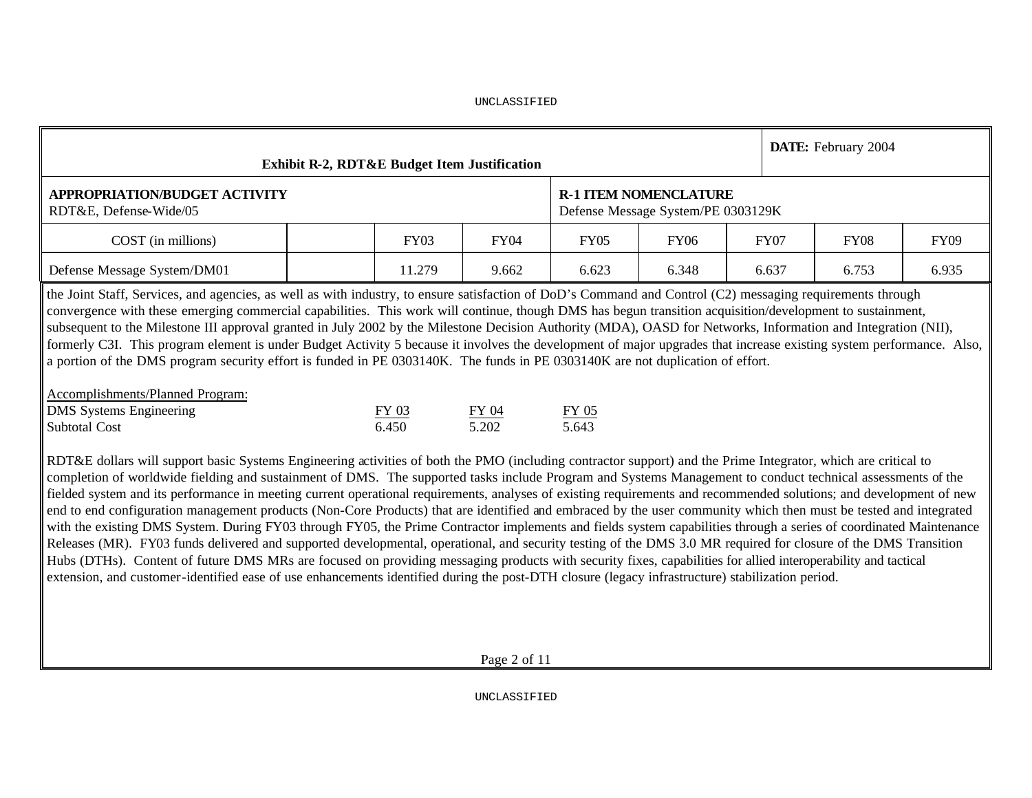|                                                                                                                                                                                                                                                                                                                                                                                                                                                                                                                                                                                                                                                                                                                                                                                                                                                                                                                                                                                                                                                                                                                                                                                                                                                                                                                                                                                                                                                                                                                                                                                                                                                                                                                                                                                                                                                                                                                                                                                                                                                                                                                                                                                                                                             |                                                            | <b>Exhibit R-2, RDT&amp;E Budget Item Justification</b> |                |                |                                                                    |       |       | DATE: February 2004 |  |  |  |  |  |  |
|---------------------------------------------------------------------------------------------------------------------------------------------------------------------------------------------------------------------------------------------------------------------------------------------------------------------------------------------------------------------------------------------------------------------------------------------------------------------------------------------------------------------------------------------------------------------------------------------------------------------------------------------------------------------------------------------------------------------------------------------------------------------------------------------------------------------------------------------------------------------------------------------------------------------------------------------------------------------------------------------------------------------------------------------------------------------------------------------------------------------------------------------------------------------------------------------------------------------------------------------------------------------------------------------------------------------------------------------------------------------------------------------------------------------------------------------------------------------------------------------------------------------------------------------------------------------------------------------------------------------------------------------------------------------------------------------------------------------------------------------------------------------------------------------------------------------------------------------------------------------------------------------------------------------------------------------------------------------------------------------------------------------------------------------------------------------------------------------------------------------------------------------------------------------------------------------------------------------------------------------|------------------------------------------------------------|---------------------------------------------------------|----------------|----------------|--------------------------------------------------------------------|-------|-------|---------------------|--|--|--|--|--|--|
| <b>APPROPRIATION/BUDGET ACTIVITY</b><br>RDT&E, Defense-Wide/05                                                                                                                                                                                                                                                                                                                                                                                                                                                                                                                                                                                                                                                                                                                                                                                                                                                                                                                                                                                                                                                                                                                                                                                                                                                                                                                                                                                                                                                                                                                                                                                                                                                                                                                                                                                                                                                                                                                                                                                                                                                                                                                                                                              |                                                            |                                                         |                |                | <b>R-1 ITEM NOMENCLATURE</b><br>Defense Message System/PE 0303129K |       |       |                     |  |  |  |  |  |  |
| COST (in millions)                                                                                                                                                                                                                                                                                                                                                                                                                                                                                                                                                                                                                                                                                                                                                                                                                                                                                                                                                                                                                                                                                                                                                                                                                                                                                                                                                                                                                                                                                                                                                                                                                                                                                                                                                                                                                                                                                                                                                                                                                                                                                                                                                                                                                          | <b>FY04</b><br><b>FY05</b><br><b>FY06</b><br>FY03<br>9.662 |                                                         |                |                |                                                                    |       |       |                     |  |  |  |  |  |  |
| Defense Message System/DM01                                                                                                                                                                                                                                                                                                                                                                                                                                                                                                                                                                                                                                                                                                                                                                                                                                                                                                                                                                                                                                                                                                                                                                                                                                                                                                                                                                                                                                                                                                                                                                                                                                                                                                                                                                                                                                                                                                                                                                                                                                                                                                                                                                                                                 |                                                            | 11.279                                                  | 6.623          | 6.348          |                                                                    | 6.637 | 6.753 | 6.935               |  |  |  |  |  |  |
| the Joint Staff, Services, and agencies, as well as with industry, to ensure satisfaction of DoD's Command and Control (C2) messaging requirements through<br>convergence with these emerging commercial capabilities. This work will continue, though DMS has begun transition acquisition/development to sustainment,<br>subsequent to the Milestone III approval granted in July 2002 by the Milestone Decision Authority (MDA), OASD for Networks, Information and Integration (NII),<br>formerly C3I. This program element is under Budget Activity 5 because it involves the development of major upgrades that increase existing system performance. Also,<br>a portion of the DMS program security effort is funded in PE 0303140K. The funds in PE 0303140K are not duplication of effort.<br>Accomplishments/Planned Program:<br><b>DMS</b> Systems Engineering<br><b>Subtotal Cost</b><br>RDT&E dollars will support basic Systems Engineering activities of both the PMO (including contractor support) and the Prime Integrator, which are critical to<br>completion of worldwide fielding and sustainment of DMS. The supported tasks include Program and Systems Management to conduct technical assessments of the<br>fielded system and its performance in meeting current operational requirements, analyses of existing requirements and recommended solutions; and development of new<br>end to end configuration management products (Non-Core Products) that are identified and embraced by the user community which then must be tested and integrated<br>with the existing DMS System. During FY03 through FY05, the Prime Contractor implements and fields system capabilities through a series of coordinated Maintenance<br>Releases (MR). FY03 funds delivered and supported developmental, operational, and security testing of the DMS 3.0 MR required for closure of the DMS Transition<br>Hubs (DTHs). Content of future DMS MRs are focused on providing messaging products with security fixes, capabilities for allied interoperability and tactical<br>extension, and customer-identified ease of use enhancements identified during the post-DTH closure (legacy infrastructure) stabilization period. |                                                            | FY 03<br>6.450                                          | FY 04<br>5.202 | FY 05<br>5.643 |                                                                    |       |       |                     |  |  |  |  |  |  |
|                                                                                                                                                                                                                                                                                                                                                                                                                                                                                                                                                                                                                                                                                                                                                                                                                                                                                                                                                                                                                                                                                                                                                                                                                                                                                                                                                                                                                                                                                                                                                                                                                                                                                                                                                                                                                                                                                                                                                                                                                                                                                                                                                                                                                                             |                                                            |                                                         |                |                |                                                                    |       |       |                     |  |  |  |  |  |  |

Page 2 of 11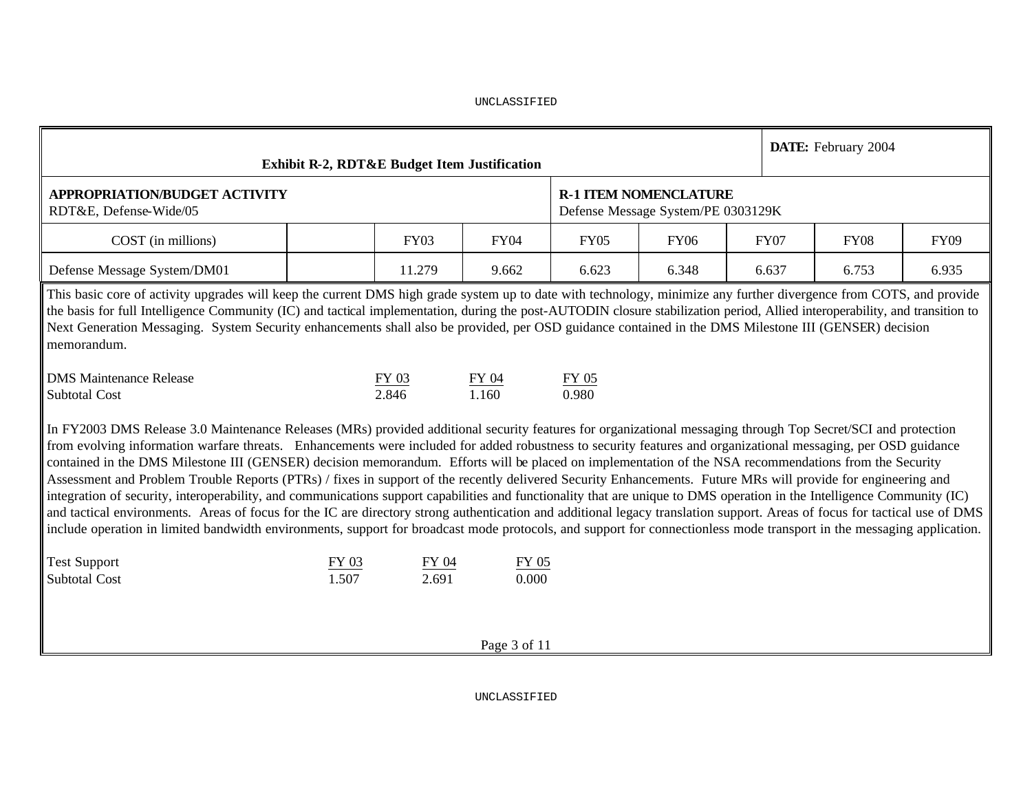|                                                                                                                                                                                                                                                                                                                                                                                                                                                                                                                                                                                                                                                                                                                                                                                                                                                                                                                                                                                                                                                                                                                                                                                                | <b>Exhibit R-2, RDT&amp;E Budget Item Justification</b> |                |                |             |                                                                    |       |       | DATE: February 2004 |  |  |  |  |  |  |
|------------------------------------------------------------------------------------------------------------------------------------------------------------------------------------------------------------------------------------------------------------------------------------------------------------------------------------------------------------------------------------------------------------------------------------------------------------------------------------------------------------------------------------------------------------------------------------------------------------------------------------------------------------------------------------------------------------------------------------------------------------------------------------------------------------------------------------------------------------------------------------------------------------------------------------------------------------------------------------------------------------------------------------------------------------------------------------------------------------------------------------------------------------------------------------------------|---------------------------------------------------------|----------------|----------------|-------------|--------------------------------------------------------------------|-------|-------|---------------------|--|--|--|--|--|--|
| <b>APPROPRIATION/BUDGET ACTIVITY</b><br>RDT&E, Defense-Wide/05                                                                                                                                                                                                                                                                                                                                                                                                                                                                                                                                                                                                                                                                                                                                                                                                                                                                                                                                                                                                                                                                                                                                 |                                                         |                |                |             | <b>R-1 ITEM NOMENCLATURE</b><br>Defense Message System/PE 0303129K |       |       |                     |  |  |  |  |  |  |
| COST (in millions)                                                                                                                                                                                                                                                                                                                                                                                                                                                                                                                                                                                                                                                                                                                                                                                                                                                                                                                                                                                                                                                                                                                                                                             | <b>FY06</b>                                             |                | <b>FY07</b>    | <b>FY08</b> | <b>FY09</b>                                                        |       |       |                     |  |  |  |  |  |  |
| Defense Message System/DM01                                                                                                                                                                                                                                                                                                                                                                                                                                                                                                                                                                                                                                                                                                                                                                                                                                                                                                                                                                                                                                                                                                                                                                    |                                                         | 11.279         | 6.623          | 6.348       |                                                                    | 6.637 | 6.753 | 6.935               |  |  |  |  |  |  |
| 9.662<br>This basic core of activity upgrades will keep the current DMS high grade system up to date with technology, minimize any further divergence from COTS, and provide<br>the basis for full Intelligence Community (IC) and tactical implementation, during the post-AUTODIN closure stabilization period, Allied interoperability, and transition to<br>Next Generation Messaging. System Security enhancements shall also be provided, per OSD guidance contained in the DMS Milestone III (GENSER) decision<br>memorandum.                                                                                                                                                                                                                                                                                                                                                                                                                                                                                                                                                                                                                                                           |                                                         |                |                |             |                                                                    |       |       |                     |  |  |  |  |  |  |
| <b>DMS</b> Maintenance Release<br>FY 05<br>FY 03<br>FY 04<br>2.846<br>1.160<br>0.980<br><b>Subtotal Cost</b>                                                                                                                                                                                                                                                                                                                                                                                                                                                                                                                                                                                                                                                                                                                                                                                                                                                                                                                                                                                                                                                                                   |                                                         |                |                |             |                                                                    |       |       |                     |  |  |  |  |  |  |
| In FY2003 DMS Release 3.0 Maintenance Releases (MRs) provided additional security features for organizational messaging through Top Secret/SCI and protection<br>from evolving information warfare threats. Enhancements were included for added robustness to security features and organizational messaging, per OSD guidance<br>contained in the DMS Milestone III (GENSER) decision memorandum. Efforts will be placed on implementation of the NSA recommendations from the Security<br>Assessment and Problem Trouble Reports (PTRs) / fixes in support of the recently delivered Security Enhancements. Future MRs will provide for engineering and<br>integration of security, interoperability, and communications support capabilities and functionality that are unique to DMS operation in the Intelligence Community (IC)<br>and tactical environments. Areas of focus for the IC are directory strong authentication and additional legacy translation support. Areas of focus for tactical use of DMS<br>include operation in limited bandwidth environments, support for broadcast mode protocols, and support for connectionless mode transport in the messaging application. |                                                         |                |                |             |                                                                    |       |       |                     |  |  |  |  |  |  |
| <b>Test Support</b><br><b>Subtotal Cost</b>                                                                                                                                                                                                                                                                                                                                                                                                                                                                                                                                                                                                                                                                                                                                                                                                                                                                                                                                                                                                                                                                                                                                                    | $FY$ 03<br>1.507                                        | FY 04<br>2.691 | FY 05<br>0.000 |             |                                                                    |       |       |                     |  |  |  |  |  |  |
|                                                                                                                                                                                                                                                                                                                                                                                                                                                                                                                                                                                                                                                                                                                                                                                                                                                                                                                                                                                                                                                                                                                                                                                                |                                                         |                | Page 3 of 11   |             |                                                                    |       |       |                     |  |  |  |  |  |  |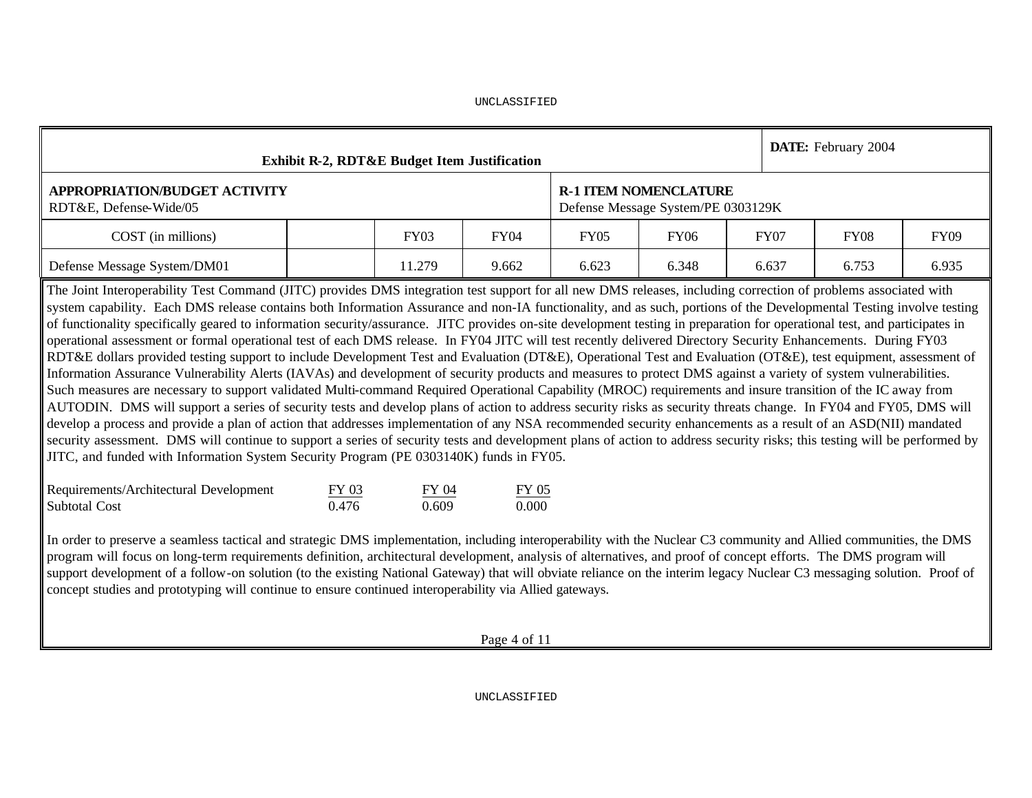| <b>Exhibit R-2, RDT&amp;E Budget Item Justification</b> |        |             |       |                                                                    |             | <b>DATE:</b> February 2004 |             |
|---------------------------------------------------------|--------|-------------|-------|--------------------------------------------------------------------|-------------|----------------------------|-------------|
| APPROPRIATION/BUDGET ACTIVITY<br>RDT&E, Defense-Wide/05 |        |             |       | <b>R-1 ITEM NOMENCLATURE</b><br>Defense Message System/PE 0303129K |             |                            |             |
| COST (in millions)                                      | FY03   | <b>FY04</b> | FY05  | <b>FY06</b>                                                        | <b>FY07</b> | <b>FY08</b>                | <b>FY09</b> |
| Defense Message System/DM01                             | 11.279 | 9.662       | 6.623 | 6.348                                                              | 6.637       | 6.753                      | 6.935       |

The Joint Interoperability Test Command (JITC) provides DMS integration test support for all new DMS releases, including correction of problems associated with system capability. Each DMS release contains both Information Assurance and non-IA functionality, and as such, portions of the Developmental Testing involve testing of functionality specifically geared to information security/assurance. JITC provides on-site development testing in preparation for operational test, and participates in operational assessment or formal operational test of each DMS release. In FY04 JITC will test recently delivered Directory Security Enhancements. During FY03 RDT&E dollars provided testing support to include Development Test and Evaluation (DT&E), Operational Test and Evaluation (OT&E), test equipment, assessment of Information Assurance Vulnerability Alerts (IAVAs) and development of security products and measures to protect DMS against a variety of system vulnerabilities. Such measures are necessary to support validated Multi-command Required Operational Capability (MROC) requirements and insure transition of the IC away from AUTODIN. DMS will support a series of security tests and develop plans of action to address security risks as security threats change. In FY04 and FY05, DMS will develop a process and provide a plan of action that addresses implementation of any NSA recommended security enhancements as a result of an ASD(NII) mandated security assessment. DMS will continue to support a series of security tests and development plans of action to address security risks; this testing will be performed by JITC, and funded with Information System Security Program (PE 0303140K) funds in FY05.

| Requirements/Architectural Development | FY 03 | FY 04 | FY 05 |
|----------------------------------------|-------|-------|-------|
| Subtotal Cost                          | 0.476 | 0.609 | 0.000 |

In order to preserve a seamless tactical and strategic DMS implementation, including interoperability with the Nuclear C3 community and Allied communities, the DMS program will focus on long-term requirements definition, architectural development, analysis of alternatives, and proof of concept efforts. The DMS program will support development of a follow-on solution (to the existing National Gateway) that will obviate reliance on the interim legacy Nuclear C3 messaging solution. Proof of concept studies and prototyping will continue to ensure continued interoperability via Allied gateways.

Page 4 of 11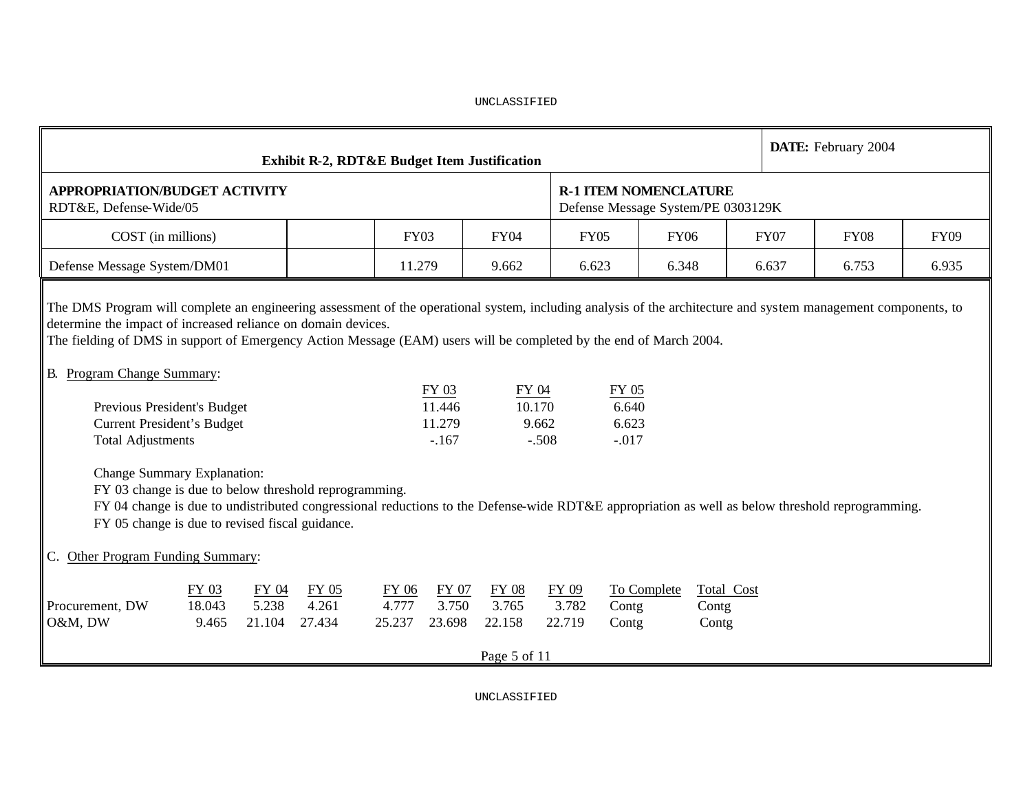|                                                                                                                                                                                                                                                                                                                                                                                                                                                                                                                                                                                                                                                                                                                                                                                                                                                                                                               |                                                                                  | <b>Exhibit R-2, RDT&amp;E Budget Item Justification</b> |                          |                          |                                                 |                          |                                                                    |       |                              |       | DATE: February 2004 |  |  |  |  |
|---------------------------------------------------------------------------------------------------------------------------------------------------------------------------------------------------------------------------------------------------------------------------------------------------------------------------------------------------------------------------------------------------------------------------------------------------------------------------------------------------------------------------------------------------------------------------------------------------------------------------------------------------------------------------------------------------------------------------------------------------------------------------------------------------------------------------------------------------------------------------------------------------------------|----------------------------------------------------------------------------------|---------------------------------------------------------|--------------------------|--------------------------|-------------------------------------------------|--------------------------|--------------------------------------------------------------------|-------|------------------------------|-------|---------------------|--|--|--|--|
| <b>APPROPRIATION/BUDGET ACTIVITY</b><br>RDT&E, Defense-Wide/05                                                                                                                                                                                                                                                                                                                                                                                                                                                                                                                                                                                                                                                                                                                                                                                                                                                |                                                                                  |                                                         |                          |                          |                                                 |                          | <b>R-1 ITEM NOMENCLATURE</b><br>Defense Message System/PE 0303129K |       |                              |       |                     |  |  |  |  |
| COST (in millions)                                                                                                                                                                                                                                                                                                                                                                                                                                                                                                                                                                                                                                                                                                                                                                                                                                                                                            | <b>FY03</b><br><b>FY04</b><br><b>FY05</b><br><b>FY06</b><br><b>FY07</b><br>9.662 |                                                         |                          |                          |                                                 |                          |                                                                    |       |                              |       |                     |  |  |  |  |
| Defense Message System/DM01                                                                                                                                                                                                                                                                                                                                                                                                                                                                                                                                                                                                                                                                                                                                                                                                                                                                                   |                                                                                  |                                                         | 11.279                   |                          | 6.623                                           | 6.348                    |                                                                    | 6.637 | 6.753                        | 6.935 |                     |  |  |  |  |
| The DMS Program will complete an engineering assessment of the operational system, including analysis of the architecture and system management components, to<br>determine the impact of increased reliance on domain devices.<br>The fielding of DMS in support of Emergency Action Message (EAM) users will be completed by the end of March 2004.<br>B. Program Change Summary:<br>FY 03<br>FY 04<br>FY 05<br>11.446<br>Previous President's Budget<br>10.170<br>6.640<br><b>Current President's Budget</b><br>11.279<br>9.662<br>6.623<br><b>Total Adjustments</b><br>$-.167$<br>$-.508$<br>$-.017$<br><b>Change Summary Explanation:</b><br>FY 03 change is due to below threshold reprogramming.<br>FY 04 change is due to undistributed congressional reductions to the Defense-wide RDT&E appropriation as well as below threshold reprogramming.<br>FY 05 change is due to revised fiscal guidance. |                                                                                  |                                                         |                          |                          |                                                 |                          |                                                                    |       |                              |       |                     |  |  |  |  |
| <b>Other Program Funding Summary:</b><br>C.                                                                                                                                                                                                                                                                                                                                                                                                                                                                                                                                                                                                                                                                                                                                                                                                                                                                   |                                                                                  |                                                         |                          |                          |                                                 |                          |                                                                    |       |                              |       |                     |  |  |  |  |
| FY 03<br>18.043<br>Procurement, DW<br>O&M, DW<br>9.465                                                                                                                                                                                                                                                                                                                                                                                                                                                                                                                                                                                                                                                                                                                                                                                                                                                        | FY 04<br>5.238<br>21.104                                                         | <b>FY 05</b><br>4.261<br>27.434                         | FY 06<br>4.777<br>25.237 | FY 07<br>3.750<br>23.698 | <b>FY 08</b><br>3.765<br>22.158<br>Page 5 of 11 | FY 09<br>3.782<br>22.719 | To Complete<br>Contg<br>Contg                                      |       | Total Cost<br>Contg<br>Contg |       |                     |  |  |  |  |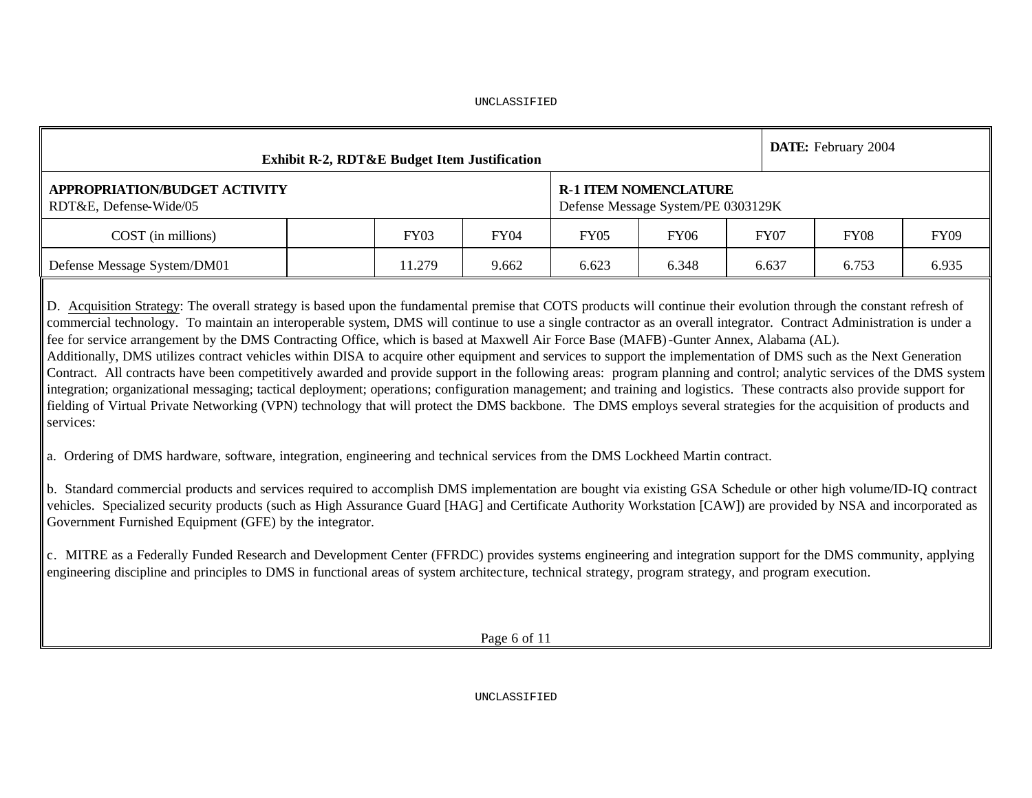|                                                                                                                | <b>Exhibit R-2, RDT&amp;E Budget Item Justification</b><br><b>R-1 ITEM NOMENCLATURE</b> |        |             |       |                                    |             |             |             |  |  |  |  |  |  |  |
|----------------------------------------------------------------------------------------------------------------|-----------------------------------------------------------------------------------------|--------|-------------|-------|------------------------------------|-------------|-------------|-------------|--|--|--|--|--|--|--|
| APPROPRIATION/BUDGET ACTIVITY<br>RDT&E, Defense-Wide/05                                                        |                                                                                         |        |             |       | Defense Message System/PE 0303129K |             |             |             |  |  |  |  |  |  |  |
| COST (in millions)                                                                                             |                                                                                         | FY03   | <b>FY04</b> | FY05  | <b>FY06</b>                        | <b>FY07</b> | <b>FY08</b> | <b>FY09</b> |  |  |  |  |  |  |  |
| Defense Message System/DM01                                                                                    |                                                                                         | 11.279 | 9.662       | 6.623 | 6.348                              | 6.637       | 6.753       | 6.935       |  |  |  |  |  |  |  |
| las est de mondiales totales de la servició de la componencia de la del de la de la servició de la de la de la |                                                                                         |        |             |       |                                    |             |             |             |  |  |  |  |  |  |  |

D. Acquisition Strategy: The overall strategy is based upon the fundamental premise that COTS products will continue their evolution through the constant refresh of commercial technology. To maintain an interoperable system, DMS will continue to use a single contractor as an overall integrator. Contract Administration is under a fee for service arrangement by the DMS Contracting Office, which is based at Maxwell Air Force Base (MAFB)-Gunter Annex, Alabama (AL).

Additionally, DMS utilizes contract vehicles within DISA to acquire other equipment and services to support the implementation of DMS such as the Next Generation Contract. All contracts have been competitively awarded and provide support in the following areas: program planning and control; analytic services of the DMS system integration; organizational messaging; tactical deployment; operations; configuration management; and training and logistics. These contracts also provide support for fielding of Virtual Private Networking (VPN) technology that will protect the DMS backbone. The DMS employs several strategies for the acquisition of products and services:

a. Ordering of DMS hardware, software, integration, engineering and technical services from the DMS Lockheed Martin contract.

b. Standard commercial products and services required to accomplish DMS implementation are bought via existing GSA Schedule or other high volume/ID-IQ contract vehicles. Specialized security products (such as High Assurance Guard [HAG] and Certificate Authority Workstation [CAW]) are provided by NSA and incorporated as Government Furnished Equipment (GFE) by the integrator.

c. MITRE as a Federally Funded Research and Development Center (FFRDC) provides systems engineering and integration support for the DMS community, applying engineering discipline and principles to DMS in functional areas of system architecture, technical strategy, program strategy, and program execution.

Page 6 of 11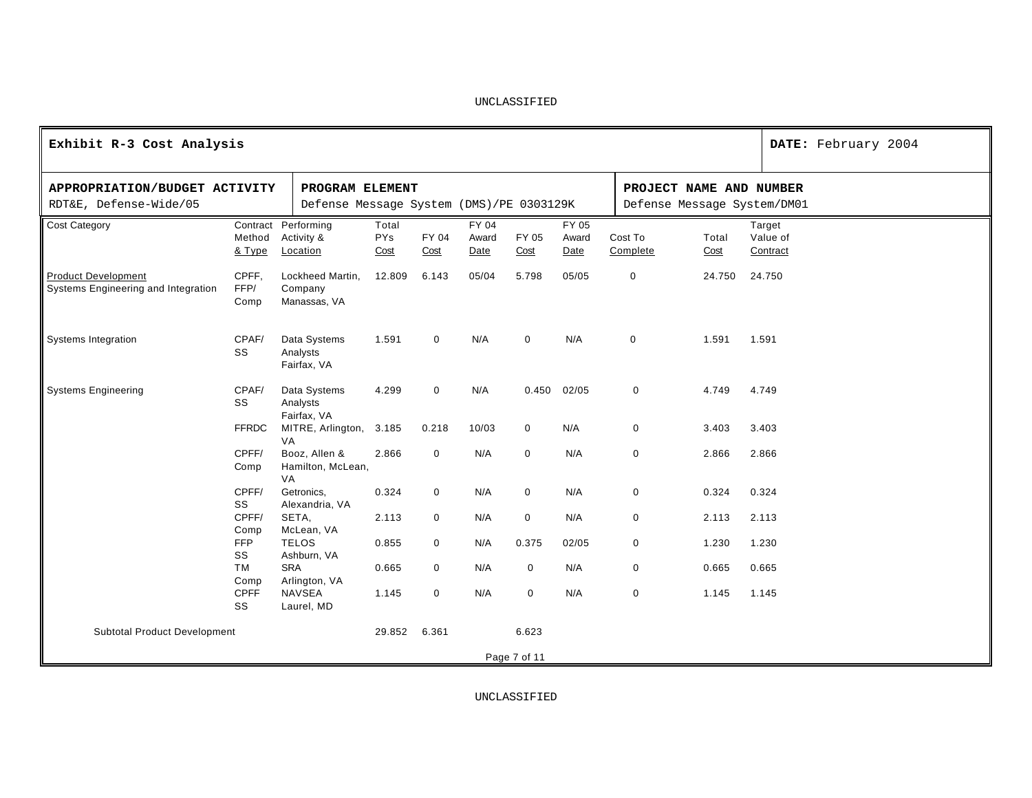| Exhibit R-3 Cost Analysis                                         |                       |                                                             |                             |               |                        |               |                        |                     |                                                        | DATE: February 2004            |
|-------------------------------------------------------------------|-----------------------|-------------------------------------------------------------|-----------------------------|---------------|------------------------|---------------|------------------------|---------------------|--------------------------------------------------------|--------------------------------|
| APPROPRIATION/BUDGET ACTIVITY<br>RDT&E, Defense-Wide/05           |                       | PROGRAM ELEMENT<br>Defense Message System (DMS)/PE 0303129K |                             |               |                        |               |                        |                     | PROJECT NAME AND NUMBER<br>Defense Message System/DM01 |                                |
| <b>Cost Category</b>                                              | Method<br>& Type      | Contract Performing<br>Activity &<br>Location               | Total<br><b>PYs</b><br>Cost | FY 04<br>Cost | FY 04<br>Award<br>Date | FY 05<br>Cost | FY 05<br>Award<br>Date | Cost To<br>Complete | Total<br>Cost                                          | Target<br>Value of<br>Contract |
| <b>Product Development</b><br>Systems Engineering and Integration | CPFF,<br>FFP/<br>Comp | Lockheed Martin,<br>Company<br>Manassas, VA                 | 12.809                      | 6.143         | 05/04                  | 5.798         | 05/05                  | 0                   | 24.750                                                 | 24.750                         |
| <b>Systems Integration</b>                                        | CPAF/<br>SS           | Data Systems<br>Analysts<br>Fairfax, VA                     | 1.591                       | $\mathbf 0$   | N/A                    | $\mathbf 0$   | N/A                    | $\mathbf 0$         | 1.591                                                  | 1.591                          |
| <b>Systems Engineering</b>                                        | CPAF/<br>SS           | Data Systems<br>Analysts<br>Fairfax, VA                     | 4.299                       | $\mathbf 0$   | N/A                    | 0.450         | 02/05                  | $\mathbf 0$         | 4.749                                                  | 4.749                          |
|                                                                   | <b>FFRDC</b>          | MITRE, Arlington, 3.185<br>VA                               |                             | 0.218         | 10/03                  | 0             | N/A                    | $\mathbf 0$         | 3.403                                                  | 3.403                          |
|                                                                   | CPFF/<br>Comp         | Booz, Allen &<br>Hamilton, McLean,<br>VA                    | 2.866                       | $\mathbf 0$   | N/A                    | 0             | N/A                    | 0                   | 2.866                                                  | 2.866                          |
|                                                                   | CPFF/<br>SS           | Getronics,<br>Alexandria, VA                                | 0.324                       | $\mathbf 0$   | N/A                    | $\mathbf 0$   | N/A                    | 0                   | 0.324                                                  | 0.324                          |
|                                                                   | CPFF/<br>Comp         | SETA,<br>McLean, VA                                         | 2.113                       | $\mathbf 0$   | N/A                    | $\mathbf 0$   | N/A                    | $\mathbf 0$         | 2.113                                                  | 2.113                          |
|                                                                   | FFP<br>SS             | <b>TELOS</b><br>Ashburn, VA                                 | 0.855                       | $\mathbf 0$   | N/A                    | 0.375         | 02/05                  | $\mathbf 0$         | 1.230                                                  | 1.230                          |
|                                                                   | <b>TM</b><br>Comp     | <b>SRA</b><br>Arlington, VA                                 | 0.665                       | $\mathbf 0$   | N/A                    | $\mathbf 0$   | N/A                    | $\mathbf 0$         | 0.665                                                  | 0.665                          |
|                                                                   | <b>CPFF</b><br>SS     | <b>NAVSEA</b><br>Laurel, MD                                 | 1.145                       | $\mathbf 0$   | N/A                    | $\mathbf 0$   | N/A                    | 0                   | 1.145                                                  | 1.145                          |
| <b>Subtotal Product Development</b>                               |                       |                                                             | 29.852                      | 6.361         |                        | 6.623         |                        |                     |                                                        |                                |
|                                                                   |                       |                                                             |                             |               |                        | Page 7 of 11  |                        |                     |                                                        |                                |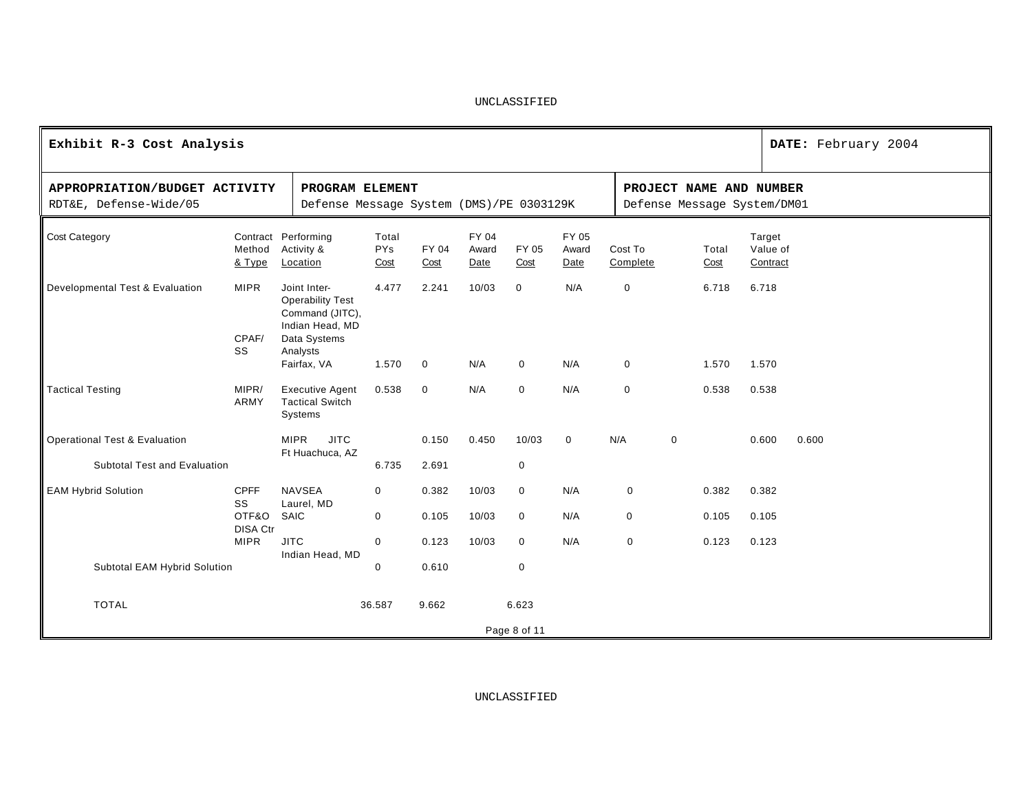| Exhibit R-3 Cost Analysis                                                |                                                                                                                          |                                                             |                             |               |                         |               |                        |                            |                     |                |                                                        |                                | DATE: February 2004 |
|--------------------------------------------------------------------------|--------------------------------------------------------------------------------------------------------------------------|-------------------------------------------------------------|-----------------------------|---------------|-------------------------|---------------|------------------------|----------------------------|---------------------|----------------|--------------------------------------------------------|--------------------------------|---------------------|
| APPROPRIATION/BUDGET ACTIVITY<br>RDT&E, Defense-Wide/05                  |                                                                                                                          | PROGRAM ELEMENT<br>Defense Message System (DMS)/PE 0303129K |                             |               |                         |               |                        |                            |                     |                | PROJECT NAME AND NUMBER<br>Defense Message System/DM01 |                                |                     |
| <b>Cost Category</b>                                                     | Method<br>& Type                                                                                                         | Contract Performing<br>Activity &<br>Location               | Total<br><b>PYs</b><br>Cost | FY 04<br>Cost | FY 04<br>Award<br>Date  | FY 05<br>Cost | FY 05<br>Award<br>Date |                            | Cost To<br>Complete |                | Total<br>Cost                                          | Target<br>Value of<br>Contract |                     |
| Developmental Test & Evaluation                                          | Joint Inter-<br><b>Operability Test</b><br>Command (JITC),<br>Indian Head, MD<br>Data Systems<br>Analysts<br>Fairfax, VA | 4.477<br>1.570                                              | 2.241<br>$\mathbf 0$        | 10/03<br>N/A  | $\Omega$<br>$\mathbf 0$ | N/A<br>N/A    |                        | $\mathbf 0$<br>$\mathbf 0$ |                     | 6.718<br>1.570 | 6.718<br>1.570                                         |                                |                     |
| <b>Tactical Testing</b>                                                  | <b>Executive Agent</b><br><b>Tactical Switch</b><br>Systems                                                              | 0.538                                                       | $\mathbf 0$                 | N/A           | $\mathbf 0$             | N/A           |                        | $\mathbf 0$                |                     | 0.538          | 0.538                                                  |                                |                     |
| <b>Operational Test &amp; Evaluation</b><br>Subtotal Test and Evaluation |                                                                                                                          | <b>JITC</b><br><b>MIPR</b><br>Ft Huachuca, AZ               | 6.735                       | 0.150         | 0.450                   | 10/03         | $\mathbf 0$            | N/A                        |                     | $\mathbf 0$    |                                                        | 0.600                          | 0.600               |
|                                                                          |                                                                                                                          |                                                             |                             | 2.691         |                         | 0             |                        |                            |                     |                |                                                        |                                |                     |
| <b>EAM Hybrid Solution</b>                                               | <b>CPFF</b><br>SS                                                                                                        | <b>NAVSEA</b><br>Laurel, MD                                 | $\mathbf 0$                 | 0.382         | 10/03                   | $\mathbf 0$   | N/A                    |                            | $\mathbf 0$         |                | 0.382                                                  | 0.382                          |                     |
|                                                                          | OTF&O                                                                                                                    | SAIC                                                        | $\mathbf 0$                 | 0.105         | 10/03                   | $\mathbf 0$   | N/A                    |                            | $\mathbf 0$         |                | 0.105                                                  | 0.105                          |                     |
|                                                                          | <b>DISA Ctr</b><br><b>MIPR</b>                                                                                           | <b>JITC</b><br>Indian Head, MD                              | $\mathsf{O}\xspace$         | 0.123         | 10/03                   | $\mathbf 0$   | N/A                    |                            | $\mathsf{O}\xspace$ |                | 0.123                                                  | 0.123                          |                     |
| Subtotal EAM Hybrid Solution                                             |                                                                                                                          |                                                             | $\mathbf 0$                 | 0.610         |                         | $\mathbf 0$   |                        |                            |                     |                |                                                        |                                |                     |
| <b>TOTAL</b>                                                             |                                                                                                                          |                                                             | 36.587                      | 9.662         |                         | 6.623         |                        |                            |                     |                |                                                        |                                |                     |
|                                                                          |                                                                                                                          |                                                             |                             |               |                         | Page 8 of 11  |                        |                            |                     |                |                                                        |                                |                     |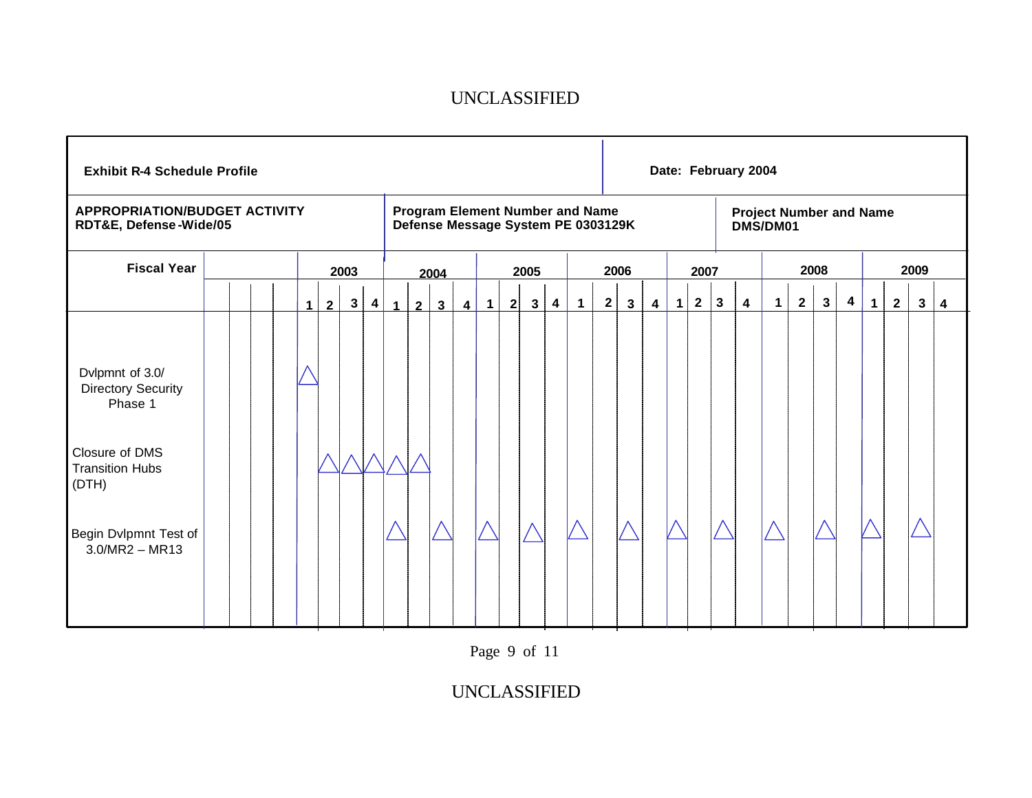| <b>Exhibit R-4 Schedule Profile</b>                                                                                                                       |  |                |                |              |                         |                |                |                 |                         |                   |              |              |                         |                                                                              |              |              |                         |   |                |               | Date: February 2004     |                                            |              |          |                |             |              |              |   |
|-----------------------------------------------------------------------------------------------------------------------------------------------------------|--|----------------|----------------|--------------|-------------------------|----------------|----------------|-----------------|-------------------------|-------------------|--------------|--------------|-------------------------|------------------------------------------------------------------------------|--------------|--------------|-------------------------|---|----------------|---------------|-------------------------|--------------------------------------------|--------------|----------|----------------|-------------|--------------|--------------|---|
| <b>APPROPRIATION/BUDGET ACTIVITY</b><br>RDT&E, Defense-Wide/05                                                                                            |  |                |                |              |                         |                |                |                 |                         |                   |              |              |                         | <b>Program Element Number and Name</b><br>Defense Message System PE 0303129K |              |              |                         |   |                |               |                         | <b>Project Number and Name</b><br>DMS/DM01 |              |          |                |             |              |              |   |
| <b>Fiscal Year</b>                                                                                                                                        |  |                |                | 2003         |                         |                |                | 2004            |                         |                   |              | 2005         |                         |                                                                              |              | 2006         |                         |   | 2007           |               |                         |                                            |              | 2008     |                |             |              | 2009         |   |
|                                                                                                                                                           |  | 1 <sup>1</sup> | $\overline{2}$ | $\mathbf{3}$ | $\overline{\mathbf{4}}$ | 1 <sup>1</sup> | $\overline{2}$ | $3\overline{3}$ | $\overline{\mathbf{4}}$ | $\vert$ 1 $\vert$ | $\mathbf{2}$ | $\mathbf{3}$ | $\overline{\mathbf{4}}$ | $\mathbf{1}$                                                                 | $\mathbf{2}$ | $\mathbf{3}$ | $\overline{\mathbf{4}}$ | 1 | $\overline{2}$ | $\frac{3}{2}$ | $\overline{\mathbf{4}}$ | $\mathbf 1$                                | $\mathbf{2}$ | $3 \mid$ | $\overline{4}$ | $\mathbf 1$ | $\mathbf{2}$ | $\mathbf{3}$ | 4 |
| Dvlpmnt of 3.0/<br><b>Directory Security</b><br>Phase 1<br>Closure of DMS<br><b>Transition Hubs</b><br>(DTH)<br>Begin Dvlpmnt Test of<br>$3.0/MR2 - MR13$ |  |                |                |              |                         |                |                |                 |                         |                   |              |              |                         |                                                                              |              |              |                         |   |                |               |                         |                                            |              |          |                |             |              |              |   |

Page 9 of 11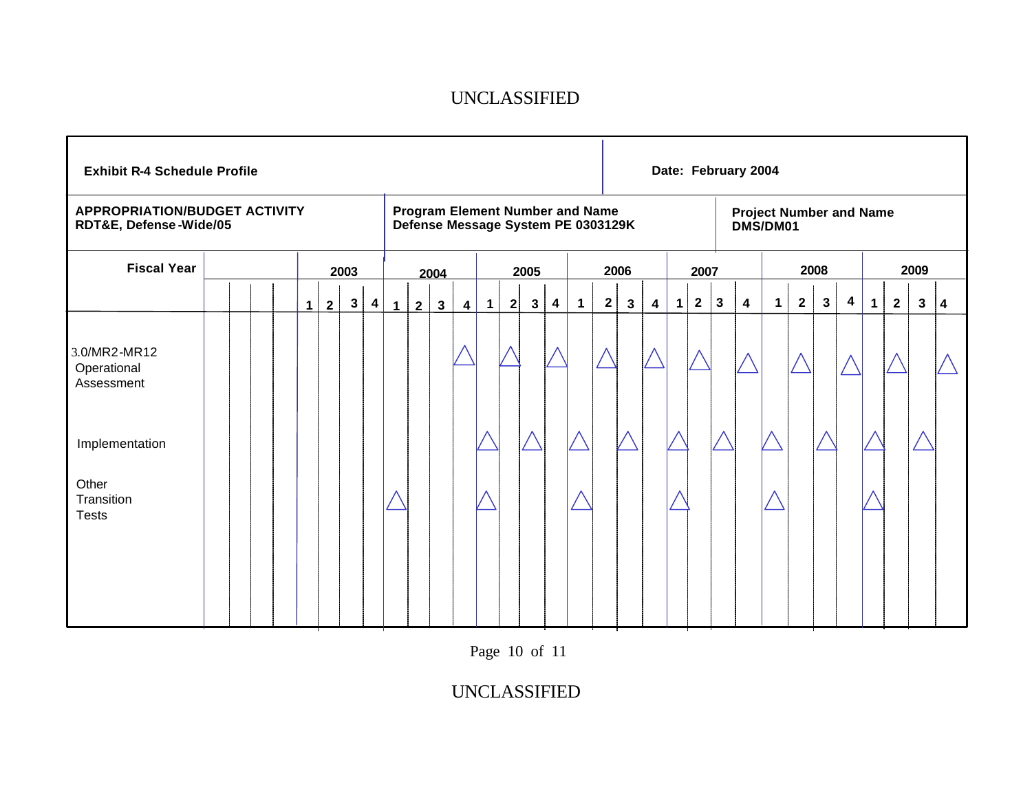| <b>Exhibit R-4 Schedule Profile</b>                                                                |  |  |              |   |              |                         |             |                |              |                         |             |              |              |                         |                                                                              |              |              |                         |              |              |             | Date: February 2004     |                                            |              |              |                         |             |                |                |                         |
|----------------------------------------------------------------------------------------------------|--|--|--------------|---|--------------|-------------------------|-------------|----------------|--------------|-------------------------|-------------|--------------|--------------|-------------------------|------------------------------------------------------------------------------|--------------|--------------|-------------------------|--------------|--------------|-------------|-------------------------|--------------------------------------------|--------------|--------------|-------------------------|-------------|----------------|----------------|-------------------------|
| <b>APPROPRIATION/BUDGET ACTIVITY</b><br>RDT&E, Defense-Wide/05                                     |  |  |              |   |              |                         |             |                |              |                         |             |              |              |                         | <b>Program Element Number and Name</b><br>Defense Message System PE 0303129K |              |              |                         |              |              |             |                         | <b>Project Number and Name</b><br>DMS/DM01 |              |              |                         |             |                |                |                         |
| <b>Fiscal Year</b>                                                                                 |  |  |              |   | 2003         |                         |             |                | 2004         |                         |             |              | 2005         |                         |                                                                              |              | 2006         |                         |              | 2007         |             |                         |                                            |              | 2008         |                         |             |                | 2009           |                         |
|                                                                                                    |  |  | $\mathbf{1}$ | 2 | $\mathbf{3}$ | $\overline{\mathbf{4}}$ | $\mathbf 1$ | $\overline{2}$ | $\mathbf{3}$ | $\overline{\mathbf{4}}$ | $\mathbf 1$ | $\mathbf{2}$ | $\mathbf{3}$ | $\overline{\mathbf{4}}$ | $\mathbf 1$                                                                  | $\mathbf{2}$ | $\mathbf{3}$ | $\overline{\mathbf{4}}$ | $\mathbf{1}$ | $\mathbf{2}$ | $\mathbf 3$ | $\overline{\mathbf{4}}$ | $\mathbf{1}$                               | $\mathbf{2}$ | $\mathbf{3}$ | $\overline{\mathbf{4}}$ | $\mathbf 1$ | $\overline{2}$ | 3 <sup>7</sup> | $\overline{\mathbf{4}}$ |
| 3.0/MR2-MR12<br>Operational<br>Assessment<br>Implementation<br>Other<br>Transition<br><b>Tests</b> |  |  |              |   |              |                         |             |                |              |                         |             |              |              |                         |                                                                              |              |              |                         |              |              |             |                         |                                            |              |              |                         |             |                |                |                         |

Page 10 of 11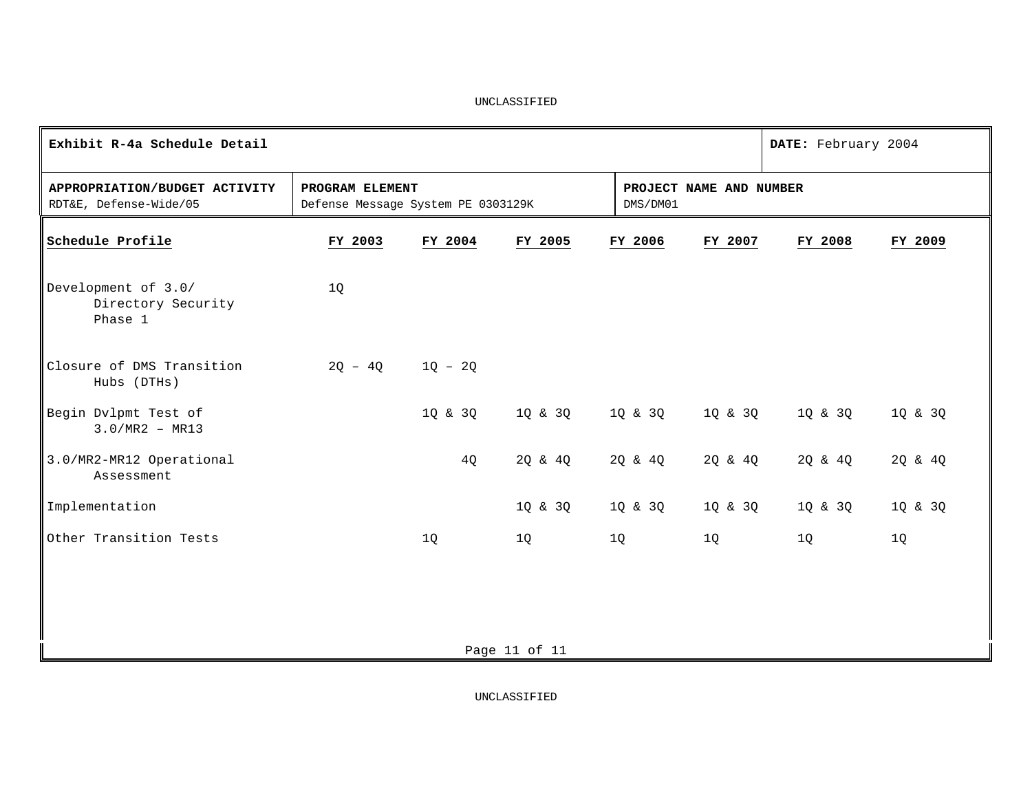| Exhibit R-4a Schedule Detail                            |                                                       |           |               |          |                         | DATE: February 2004                                   |         |  |  |  |  |  |
|---------------------------------------------------------|-------------------------------------------------------|-----------|---------------|----------|-------------------------|-------------------------------------------------------|---------|--|--|--|--|--|
| APPROPRIATION/BUDGET ACTIVITY<br>RDT&E, Defense-Wide/05 | PROGRAM ELEMENT<br>Defense Message System PE 0303129K |           |               | DMS/DM01 | PROJECT NAME AND NUMBER |                                                       |         |  |  |  |  |  |
| Schedule Profile                                        | FY 2003                                               | FY 2004   | FY 2005       | FY 2006  | FY 2007                 | FY 2008                                               | FY 2009 |  |  |  |  |  |
| Development of 3.0/<br>Directory Security<br>Phase 1    | 1Q                                                    |           |               |          |                         |                                                       |         |  |  |  |  |  |
| Closure of DMS Transition<br>Hubs (DTHs)                | $2Q - 4Q$                                             | $1Q - 2Q$ |               |          |                         |                                                       |         |  |  |  |  |  |
| Begin Dvlpmt Test of<br>$3.0/MR2 - MR13$                |                                                       | 1Q & 3Q   |               |          |                         | 1 Q & 3 Q $1$ Q & 3 Q $2$ $1$ Q & 3 Q $2$ $1$ Q & 3 Q | 1Q & 3Q |  |  |  |  |  |
| 3.0/MR2-MR12 Operational<br>Assessment                  |                                                       | 4Q        | 2Q & 4Q       | 2Q & 4Q  | 2Q & 4Q                 | 2Q & 4Q                                               | 2Q & 4Q |  |  |  |  |  |
| Implementation                                          |                                                       |           | 1Q & 3Q       | 1Q & 3Q  | 1Q & 3Q                 | 1Q & 3Q                                               | 1Q & 3Q |  |  |  |  |  |
| Other Transition Tests                                  |                                                       | 1Q        | 1Q            | 1Q       | 1Q                      | 1Q                                                    | 1Q      |  |  |  |  |  |
|                                                         |                                                       |           |               |          |                         |                                                       |         |  |  |  |  |  |
|                                                         |                                                       |           |               |          |                         |                                                       |         |  |  |  |  |  |
|                                                         |                                                       |           | Page 11 of 11 |          |                         |                                                       |         |  |  |  |  |  |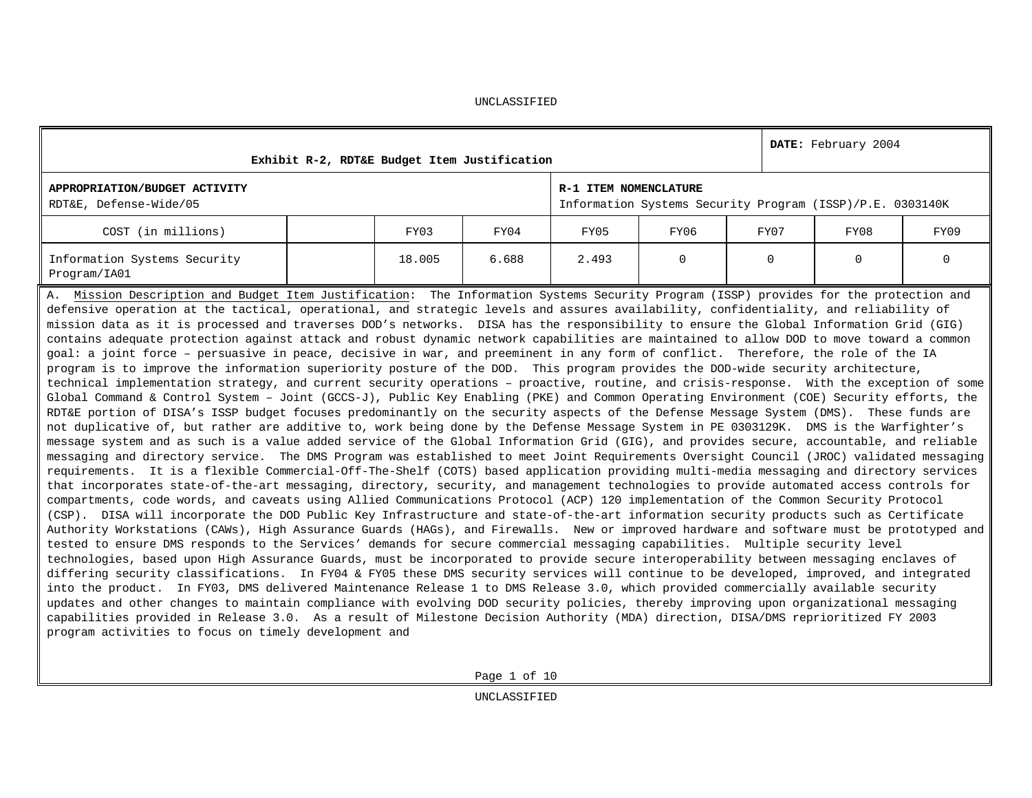|                                                                                                                                                                                                                                                                                                                                                                                                                                                                                                                                                                                                                                                                                                                                                                                                                                                                                                                                                                                                                                                                                                                                                                                                                                                                                                                                                                                                                                                                                                                                                                                                                                                                                                                                                                                                                                                                                                                                                                                                                                                                                                                                                                                                                                                                                                                                                                                                                                                                                                                                                                                                                                                                                                                                                                                                                                                                                                                                                                                                                                                                                                                                                                                                                                                                                                                               |        | Exhibit R-2, RDT&E Budget Item Justification |                       |                                                           |          | DATE: February 2004 |             |
|-------------------------------------------------------------------------------------------------------------------------------------------------------------------------------------------------------------------------------------------------------------------------------------------------------------------------------------------------------------------------------------------------------------------------------------------------------------------------------------------------------------------------------------------------------------------------------------------------------------------------------------------------------------------------------------------------------------------------------------------------------------------------------------------------------------------------------------------------------------------------------------------------------------------------------------------------------------------------------------------------------------------------------------------------------------------------------------------------------------------------------------------------------------------------------------------------------------------------------------------------------------------------------------------------------------------------------------------------------------------------------------------------------------------------------------------------------------------------------------------------------------------------------------------------------------------------------------------------------------------------------------------------------------------------------------------------------------------------------------------------------------------------------------------------------------------------------------------------------------------------------------------------------------------------------------------------------------------------------------------------------------------------------------------------------------------------------------------------------------------------------------------------------------------------------------------------------------------------------------------------------------------------------------------------------------------------------------------------------------------------------------------------------------------------------------------------------------------------------------------------------------------------------------------------------------------------------------------------------------------------------------------------------------------------------------------------------------------------------------------------------------------------------------------------------------------------------------------------------------------------------------------------------------------------------------------------------------------------------------------------------------------------------------------------------------------------------------------------------------------------------------------------------------------------------------------------------------------------------------------------------------------------------------------------------------------------------|--------|----------------------------------------------|-----------------------|-----------------------------------------------------------|----------|---------------------|-------------|
| APPROPRIATION/BUDGET ACTIVITY<br>RDT&E, Defense-Wide/05                                                                                                                                                                                                                                                                                                                                                                                                                                                                                                                                                                                                                                                                                                                                                                                                                                                                                                                                                                                                                                                                                                                                                                                                                                                                                                                                                                                                                                                                                                                                                                                                                                                                                                                                                                                                                                                                                                                                                                                                                                                                                                                                                                                                                                                                                                                                                                                                                                                                                                                                                                                                                                                                                                                                                                                                                                                                                                                                                                                                                                                                                                                                                                                                                                                                       |        |                                              | R-1 ITEM NOMENCLATURE | Information Systems Security Program (ISSP)/P.E. 0303140K |          |                     |             |
| COST (in millions)                                                                                                                                                                                                                                                                                                                                                                                                                                                                                                                                                                                                                                                                                                                                                                                                                                                                                                                                                                                                                                                                                                                                                                                                                                                                                                                                                                                                                                                                                                                                                                                                                                                                                                                                                                                                                                                                                                                                                                                                                                                                                                                                                                                                                                                                                                                                                                                                                                                                                                                                                                                                                                                                                                                                                                                                                                                                                                                                                                                                                                                                                                                                                                                                                                                                                                            | FY03   | FY04                                         | FY05                  | FY06                                                      | FY07     | FY08                | FY09        |
| Information Systems Security<br>Program/IA01                                                                                                                                                                                                                                                                                                                                                                                                                                                                                                                                                                                                                                                                                                                                                                                                                                                                                                                                                                                                                                                                                                                                                                                                                                                                                                                                                                                                                                                                                                                                                                                                                                                                                                                                                                                                                                                                                                                                                                                                                                                                                                                                                                                                                                                                                                                                                                                                                                                                                                                                                                                                                                                                                                                                                                                                                                                                                                                                                                                                                                                                                                                                                                                                                                                                                  | 18.005 | 6.688                                        | 2.493                 | $\Omega$                                                  | $\Omega$ | $\mathbf 0$         | $\mathbf 0$ |
| A. Mission Description and Budget Item Justification: The Information Systems Security Program (ISSP) provides for the protection and<br>defensive operation at the tactical, operational, and strategic levels and assures availability, confidentiality, and reliability of<br>mission data as it is processed and traverses DOD's networks. DISA has the responsibility to ensure the Global Information Grid (GIG)<br>contains adequate protection against attack and robust dynamic network capabilities are maintained to allow DOD to move toward a common<br>goal: a joint force - persuasive in peace, decisive in war, and preeminent in any form of conflict. Therefore, the role of the IA<br>program is to improve the information superiority posture of the DOD. This program provides the DOD-wide security architecture,<br>technical implementation strategy, and current security operations - proactive, routine, and crisis-response. With the exception of some<br>Global Command & Control System - Joint (GCCS-J), Public Key Enabling (PKE) and Common Operating Environment (COE) Security efforts, the<br>RDT&E portion of DISA's ISSP budget focuses predominantly on the security aspects of the Defense Message System (DMS). These funds are<br>not duplicative of, but rather are additive to, work being done by the Defense Message System in PE 0303129K. DMS is the Warfighter's<br>message system and as such is a value added service of the Global Information Grid (GIG), and provides secure, accountable, and reliable<br>messaging and directory service. The DMS Program was established to meet Joint Requirements Oversight Council (JROC) validated messaging<br>requirements. It is a flexible Commercial-Off-The-Shelf (COTS) based application providing multi-media messaging and directory services<br>that incorporates state-of-the-art messaging, directory, security, and management technologies to provide automated access controls for<br>compartments, code words, and caveats using Allied Communications Protocol (ACP) 120 implementation of the Common Security Protocol<br>(CSP). DISA will incorporate the DOD Public Key Infrastructure and state-of-the-art information security products such as Certificate<br>Authority Workstations (CAWs), High Assurance Guards (HAGs), and Firewalls. New or improved hardware and software must be prototyped and<br>tested to ensure DMS responds to the Services' demands for secure commercial messaging capabilities. Multiple security level<br>technologies, based upon High Assurance Guards, must be incorporated to provide secure interoperability between messaging enclaves of<br>differing security classifications. In FY04 & FY05 these DMS security services will continue to be developed, improved, and integrated<br>into the product. In FY03, DMS delivered Maintenance Release 1 to DMS Release 3.0, which provided commercially available security<br>updates and other changes to maintain compliance with evolving DOD security policies, thereby improving upon organizational messaging<br>capabilities provided in Release 3.0. As a result of Milestone Decision Authority (MDA) direction, DISA/DMS reprioritized FY 2003<br>program activities to focus on timely development and |        |                                              |                       |                                                           |          |                     |             |

Page 1 of 10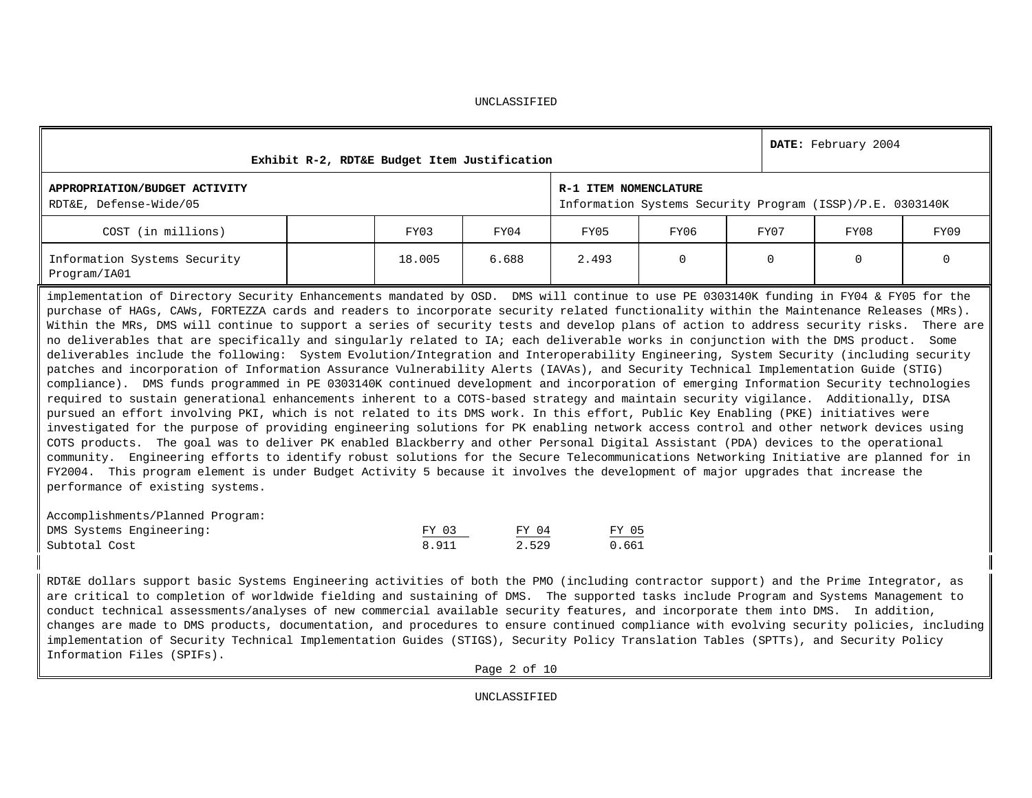| FY03   | FY04  | FY05  | FY06                                                  |                                | FY08 | FY09                                                                                                                                                                                                                                                                                                                                                                                                                                                                                                                                                                                                                                                                                                                                                                                                                                                                                                                                                                                                                                                                                                                                                                                                                                                                                                                                                                                                                                                                                                                                                                                                                                                                                                                                                                                                                                                                                                                          |
|--------|-------|-------|-------------------------------------------------------|--------------------------------|------|-------------------------------------------------------------------------------------------------------------------------------------------------------------------------------------------------------------------------------------------------------------------------------------------------------------------------------------------------------------------------------------------------------------------------------------------------------------------------------------------------------------------------------------------------------------------------------------------------------------------------------------------------------------------------------------------------------------------------------------------------------------------------------------------------------------------------------------------------------------------------------------------------------------------------------------------------------------------------------------------------------------------------------------------------------------------------------------------------------------------------------------------------------------------------------------------------------------------------------------------------------------------------------------------------------------------------------------------------------------------------------------------------------------------------------------------------------------------------------------------------------------------------------------------------------------------------------------------------------------------------------------------------------------------------------------------------------------------------------------------------------------------------------------------------------------------------------------------------------------------------------------------------------------------------------|
| 18.005 | 6.688 | 2.493 | 0                                                     | $\Omega$                       | 0    | $\mathbf 0$                                                                                                                                                                                                                                                                                                                                                                                                                                                                                                                                                                                                                                                                                                                                                                                                                                                                                                                                                                                                                                                                                                                                                                                                                                                                                                                                                                                                                                                                                                                                                                                                                                                                                                                                                                                                                                                                                                                   |
|        |       |       |                                                       |                                |      |                                                                                                                                                                                                                                                                                                                                                                                                                                                                                                                                                                                                                                                                                                                                                                                                                                                                                                                                                                                                                                                                                                                                                                                                                                                                                                                                                                                                                                                                                                                                                                                                                                                                                                                                                                                                                                                                                                                               |
| FY 03  |       |       |                                                       |                                |      |                                                                                                                                                                                                                                                                                                                                                                                                                                                                                                                                                                                                                                                                                                                                                                                                                                                                                                                                                                                                                                                                                                                                                                                                                                                                                                                                                                                                                                                                                                                                                                                                                                                                                                                                                                                                                                                                                                                               |
|        |       |       | Exhibit R-2, RDT&E Budget Item Justification<br>FY 04 | R-1 ITEM NOMENCLATURE<br>FY 05 | FY07 | DATE: February 2004<br>Information Systems Security Program (ISSP)/P.E. 0303140K<br>implementation of Directory Security Enhancements mandated by OSD. DMS will continue to use PE 0303140K funding in FY04 & FY05 for the<br>purchase of HAGs, CAWs, FORTEZZA cards and readers to incorporate security related functionality within the Maintenance Releases (MRs).<br>Within the MRs, DMS will continue to support a series of security tests and develop plans of action to address security risks. There are<br>no deliverables that are specifically and singularly related to IA; each deliverable works in conjunction with the DMS product. Some<br>deliverables include the following: System Evolution/Integration and Interoperability Engineering, System Security (including security<br>patches and incorporation of Information Assurance Vulnerability Alerts (IAVAs), and Security Technical Implementation Guide (STIG)<br>compliance). DMS funds programmed in PE 0303140K continued development and incorporation of emerging Information Security technologies<br>required to sustain generational enhancements inherent to a COTS-based strategy and maintain security vigilance. Additionally, DISA<br>pursued an effort involving PKI, which is not related to its DMS work. In this effort, Public Key Enabling (PKE) initiatives were<br>investigated for the purpose of providing engineering solutions for PK enabling network access control and other network devices using<br>COTS products. The goal was to deliver PK enabled Blackberry and other Personal Digital Assistant (PDA) devices to the operational<br>community. Engineering efforts to identify robust solutions for the Secure Telecommunications Networking Initiative are planned for in<br>FY2004. This program element is under Budget Activity 5 because it involves the development of major upgrades that increase the |

RDT&E dollars support basic Systems Engineering activities of both the PMO (including contractor support) and the Prime Integrator, as are critical to completion of worldwide fielding and sustaining of DMS. The supported tasks include Program and Systems Management to conduct technical assessments/analyses of new commercial available security features, and incorporate them into DMS. In addition, changes are made to DMS products, documentation, and procedures to ensure continued compliance with evolving security policies, including implementation of Security Technical Implementation Guides (STIGS), Security Policy Translation Tables (SPTTs), and Security Policy Information Files (SPIFs).

Subtotal Cost 8.911 2.529 0.661

Page 2 of 10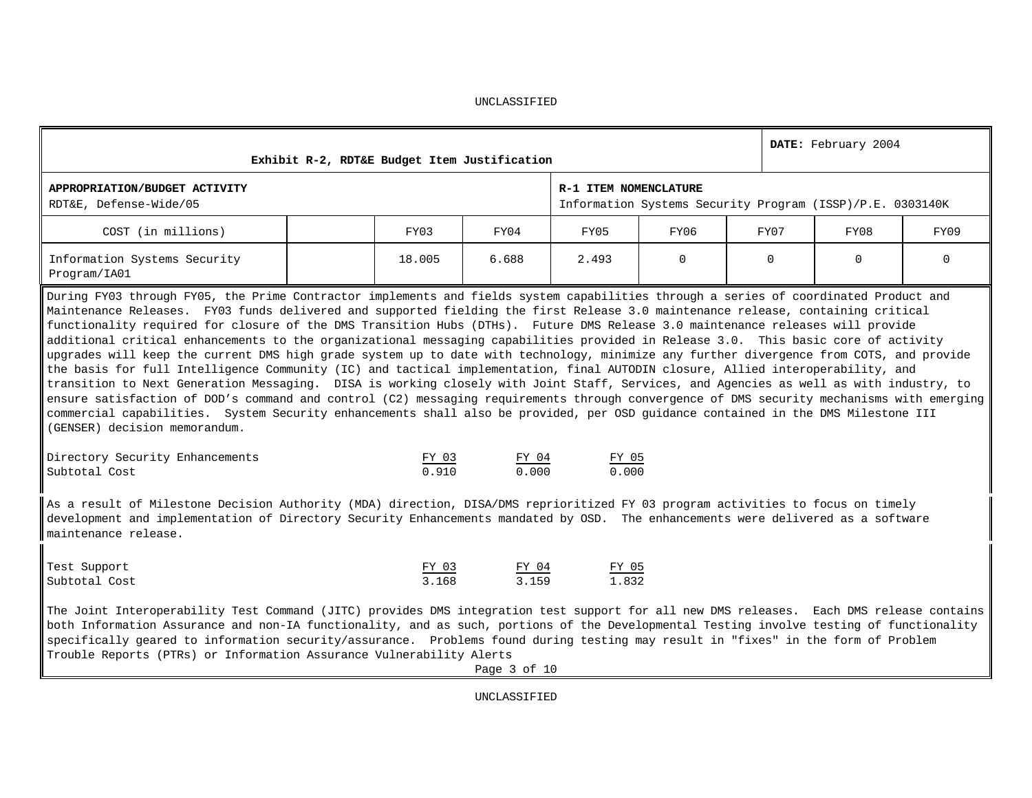|                                                                                                                                                                                                                                                                                                                                                                                                                                                                                                                                                                                                                                                                                                                                                                                                                                                                                                                                                                                                                                                                                                                                                                                                                                                                                                                                                 | Exhibit R-2, RDT&E Budget Item Justification |                |                | DATE: February 2004   |          |          |                                                           |          |  |  |  |
|-------------------------------------------------------------------------------------------------------------------------------------------------------------------------------------------------------------------------------------------------------------------------------------------------------------------------------------------------------------------------------------------------------------------------------------------------------------------------------------------------------------------------------------------------------------------------------------------------------------------------------------------------------------------------------------------------------------------------------------------------------------------------------------------------------------------------------------------------------------------------------------------------------------------------------------------------------------------------------------------------------------------------------------------------------------------------------------------------------------------------------------------------------------------------------------------------------------------------------------------------------------------------------------------------------------------------------------------------|----------------------------------------------|----------------|----------------|-----------------------|----------|----------|-----------------------------------------------------------|----------|--|--|--|
| APPROPRIATION/BUDGET ACTIVITY<br>RDT&E, Defense-Wide/05                                                                                                                                                                                                                                                                                                                                                                                                                                                                                                                                                                                                                                                                                                                                                                                                                                                                                                                                                                                                                                                                                                                                                                                                                                                                                         |                                              |                |                | R-1 ITEM NOMENCLATURE |          |          | Information Systems Security Program (ISSP)/P.E. 0303140K |          |  |  |  |
| COST (in millions)                                                                                                                                                                                                                                                                                                                                                                                                                                                                                                                                                                                                                                                                                                                                                                                                                                                                                                                                                                                                                                                                                                                                                                                                                                                                                                                              |                                              | FY03           | FY04           | FY05                  | FY06     | FY07     | FY08                                                      | FY09     |  |  |  |
| Information Systems Security<br>Program/IA01                                                                                                                                                                                                                                                                                                                                                                                                                                                                                                                                                                                                                                                                                                                                                                                                                                                                                                                                                                                                                                                                                                                                                                                                                                                                                                    |                                              | 18.005         | 6.688          | 2.493                 | $\Omega$ | $\Omega$ | $\Omega$                                                  | $\Omega$ |  |  |  |
| During FY03 through FY05, the Prime Contractor implements and fields system capabilities through a series of coordinated Product and<br>Maintenance Releases. FY03 funds delivered and supported fielding the first Release 3.0 maintenance release, containing critical<br>functionality required for closure of the DMS Transition Hubs (DTHs). Future DMS Release 3.0 maintenance releases will provide<br>additional critical enhancements to the organizational messaging capabilities provided in Release 3.0. This basic core of activity<br>upgrades will keep the current DMS high grade system up to date with technology, minimize any further divergence from COTS, and provide<br>the basis for full Intelligence Community (IC) and tactical implementation, final AUTODIN closure, Allied interoperability, and<br>transition to Next Generation Messaging. DISA is working closely with Joint Staff, Services, and Agencies as well as with industry, to<br>ensure satisfaction of DOD's command and control (C2) messaging requirements through convergence of DMS security mechanisms with emerging<br>commercial capabilities. System Security enhancements shall also be provided, per OSD guidance contained in the DMS Milestone III<br>(GENSER) decision memorandum.<br>Directory Security Enhancements<br>Subtotal Cost |                                              | FY 03<br>0.910 | FY 04<br>0.000 | FY 05<br>0.000        |          |          |                                                           |          |  |  |  |
| As a result of Milestone Decision Authority (MDA) direction, DISA/DMS reprioritized FY 03 program activities to focus on timely<br>development and implementation of Directory Security Enhancements mandated by OSD. The enhancements were delivered as a software<br>maintenance release.                                                                                                                                                                                                                                                                                                                                                                                                                                                                                                                                                                                                                                                                                                                                                                                                                                                                                                                                                                                                                                                     |                                              |                |                |                       |          |          |                                                           |          |  |  |  |
| Test Support<br>Subtotal Cost<br>The Joint Interoperability Test Command (JITC) provides DMS integration test support for all new DMS releases. Each DMS release contains                                                                                                                                                                                                                                                                                                                                                                                                                                                                                                                                                                                                                                                                                                                                                                                                                                                                                                                                                                                                                                                                                                                                                                       |                                              | FY 03<br>3.168 | FY 04<br>3.159 | FY 05<br>1.832        |          |          |                                                           |          |  |  |  |
| both Information Assurance and non-IA functionality, and as such, portions of the Developmental Testing involve testing of functionality<br>specifically geared to information security/assurance. Problems found during testing may result in "fixes" in the form of Problem<br>Trouble Reports (PTRs) or Information Assurance Vulnerability Alerts                                                                                                                                                                                                                                                                                                                                                                                                                                                                                                                                                                                                                                                                                                                                                                                                                                                                                                                                                                                           |                                              |                |                |                       |          |          |                                                           |          |  |  |  |
|                                                                                                                                                                                                                                                                                                                                                                                                                                                                                                                                                                                                                                                                                                                                                                                                                                                                                                                                                                                                                                                                                                                                                                                                                                                                                                                                                 |                                              |                | Page 3 of 10   |                       |          |          |                                                           |          |  |  |  |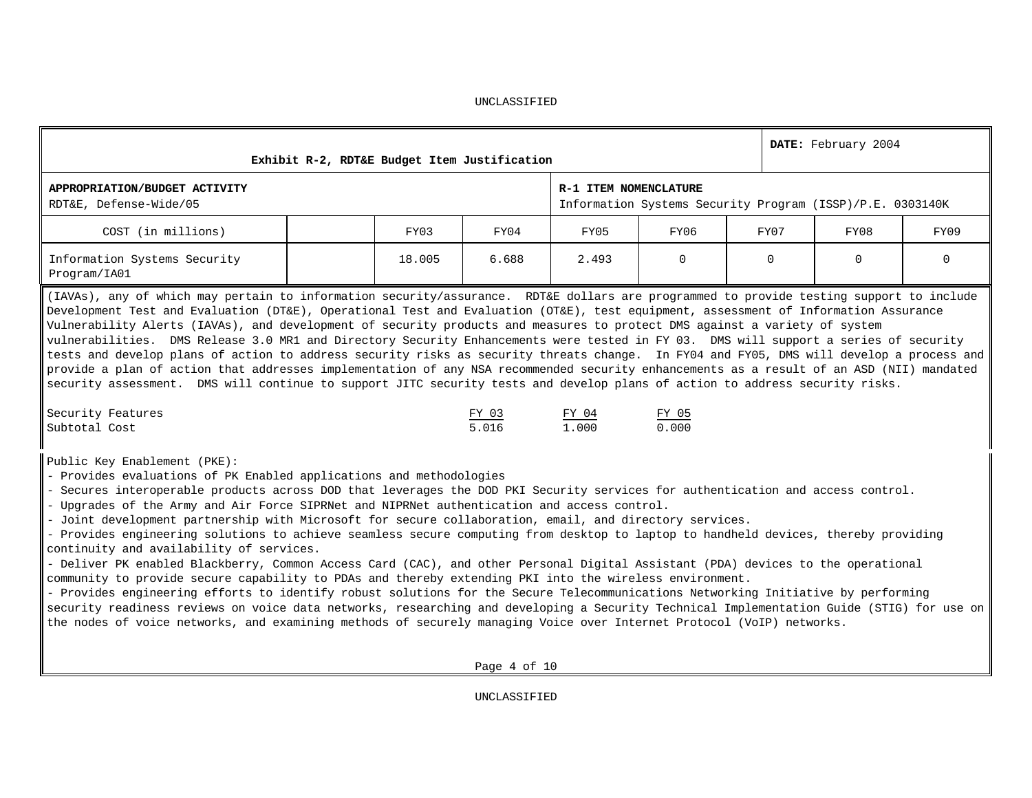| UNCLASSIFIED |  |  |
|--------------|--|--|
|              |  |  |

| Exhibit R-2, RDT&E Budget Item Justification                                                                                                                                                                                                                                                                                                                                                                                                                                                                                                                                                                                                                                                                                                                                                                                                                                                                                                                                                                                                                                                                                                                                                                                                                                                  |        |                | DATE: February 2004   |                                                           |          |          |          |  |  |  |
|-----------------------------------------------------------------------------------------------------------------------------------------------------------------------------------------------------------------------------------------------------------------------------------------------------------------------------------------------------------------------------------------------------------------------------------------------------------------------------------------------------------------------------------------------------------------------------------------------------------------------------------------------------------------------------------------------------------------------------------------------------------------------------------------------------------------------------------------------------------------------------------------------------------------------------------------------------------------------------------------------------------------------------------------------------------------------------------------------------------------------------------------------------------------------------------------------------------------------------------------------------------------------------------------------|--------|----------------|-----------------------|-----------------------------------------------------------|----------|----------|----------|--|--|--|
| APPROPRIATION/BUDGET ACTIVITY<br>RDT&E, Defense-Wide/05                                                                                                                                                                                                                                                                                                                                                                                                                                                                                                                                                                                                                                                                                                                                                                                                                                                                                                                                                                                                                                                                                                                                                                                                                                       |        |                | R-1 ITEM NOMENCLATURE | Information Systems Security Program (ISSP)/P.E. 0303140K |          |          |          |  |  |  |
| COST (in millions)                                                                                                                                                                                                                                                                                                                                                                                                                                                                                                                                                                                                                                                                                                                                                                                                                                                                                                                                                                                                                                                                                                                                                                                                                                                                            | FY03   | FY04           | FY05                  | FY06                                                      | FY07     | FY08     | FY09     |  |  |  |
| Information Systems Security<br>Program/IA01                                                                                                                                                                                                                                                                                                                                                                                                                                                                                                                                                                                                                                                                                                                                                                                                                                                                                                                                                                                                                                                                                                                                                                                                                                                  | 18.005 | 6.688          | 2.493                 | $\Omega$                                                  | $\Omega$ | $\Omega$ | $\Omega$ |  |  |  |
| (IAVAs), any of which may pertain to information security/assurance. RDT&E dollars are programmed to provide testing support to include<br>Development Test and Evaluation (DT&E), Operational Test and Evaluation (OT&E), test equipment, assessment of Information Assurance<br>Vulnerability Alerts (IAVAs), and development of security products and measures to protect DMS against a variety of system<br>vulnerabilities. DMS Release 3.0 MR1 and Directory Security Enhancements were tested in FY 03. DMS will support a series of security<br>tests and develop plans of action to address security risks as security threats change. In FY04 and FY05, DMS will develop a process and<br>provide a plan of action that addresses implementation of any NSA recommended security enhancements as a result of an ASD (NII) mandated<br>security assessment. DMS will continue to support JITC security tests and develop plans of action to address security risks.<br>Security Features<br>Subtotal Cost                                                                                                                                                                                                                                                                            |        | FY 03<br>5.016 | FY 04<br>1.000        | FY 05<br>0.000                                            |          |          |          |  |  |  |
| Public Key Enablement (PKE):<br>- Provides evaluations of PK Enabled applications and methodologies<br>- Secures interoperable products across DOD that leverages the DOD PKI Security services for authentication and access control.<br>- Upgrades of the Army and Air Force SIPRNet and NIPRNet authentication and access control.<br>- Joint development partnership with Microsoft for secure collaboration, email, and directory services.<br>- Provides engineering solutions to achieve seamless secure computing from desktop to laptop to handheld devices, thereby providing<br>continuity and availability of services.<br>- Deliver PK enabled Blackberry, Common Access Card (CAC), and other Personal Digital Assistant (PDA) devices to the operational<br>community to provide secure capability to PDAs and thereby extending PKI into the wireless environment.<br>- Provides engineering efforts to identify robust solutions for the Secure Telecommunications Networking Initiative by performing<br>security readiness reviews on voice data networks, researching and developing a Security Technical Implementation Guide (STIG) for use on<br>the nodes of voice networks, and examining methods of securely managing Voice over Internet Protocol (VoIP) networks. |        | Page 4 of 10   |                       |                                                           |          |          |          |  |  |  |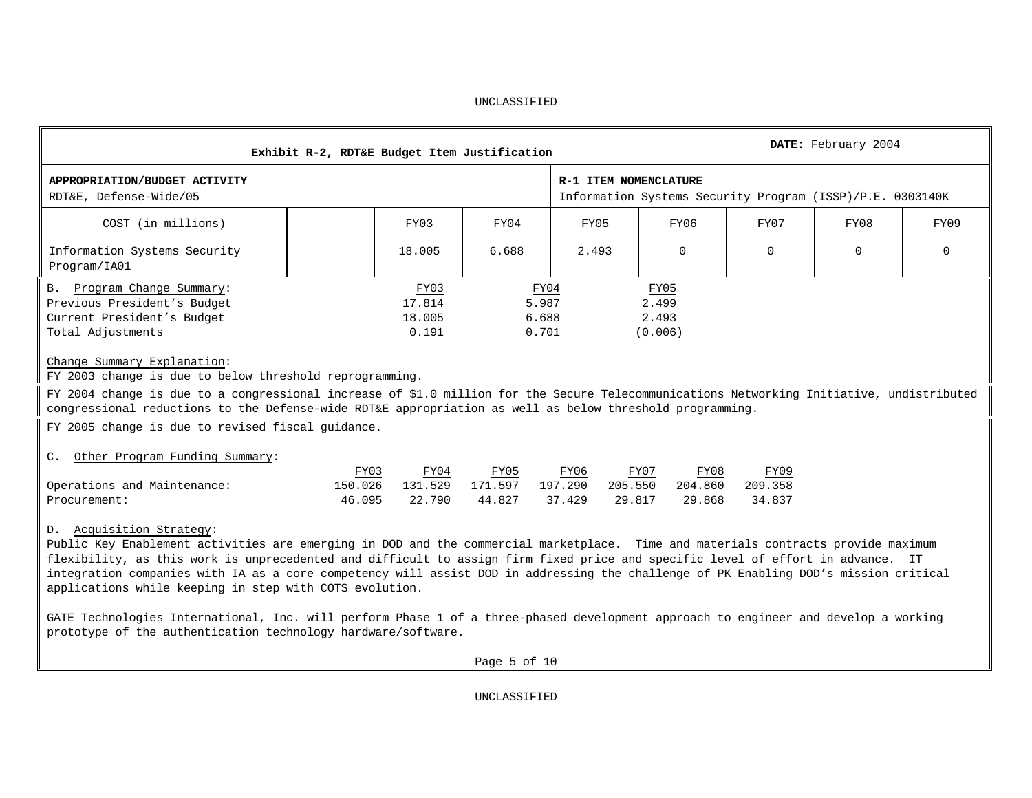|                                                                                                                                                                                                                                                                                                                                                                                                                                                                                                     | Exhibit R-2, RDT&E Budget Item Justification           |                                 | DATE: February 2004                                       |                                   |                           |          |          |  |  |  |  |  |
|-----------------------------------------------------------------------------------------------------------------------------------------------------------------------------------------------------------------------------------------------------------------------------------------------------------------------------------------------------------------------------------------------------------------------------------------------------------------------------------------------------|--------------------------------------------------------|---------------------------------|-----------------------------------------------------------|-----------------------------------|---------------------------|----------|----------|--|--|--|--|--|
| APPROPRIATION/BUDGET ACTIVITY<br>RDT&E, Defense-Wide/05                                                                                                                                                                                                                                                                                                                                                                                                                                             |                                                        | R-1 ITEM NOMENCLATURE           | Information Systems Security Program (ISSP)/P.E. 0303140K |                                   |                           |          |          |  |  |  |  |  |
| COST (in millions)                                                                                                                                                                                                                                                                                                                                                                                                                                                                                  | FY03                                                   | FY04                            | FY05                                                      | FY06                              | FY07                      | FY08     | FY09     |  |  |  |  |  |
| Information Systems Security<br>Program/IA01                                                                                                                                                                                                                                                                                                                                                                                                                                                        | 18.005                                                 | 6.688                           | 2.493                                                     | $\Omega$                          | $\Omega$                  | $\Omega$ | $\Omega$ |  |  |  |  |  |
| B. Program Change Summary:<br>Previous President's Budget<br>Current President's Budget<br>Total Adjustments                                                                                                                                                                                                                                                                                                                                                                                        | FY03<br>17.814<br>18.005<br>0.191                      | FY04<br>5.987<br>6.688<br>0.701 |                                                           | FY05<br>2.499<br>2.493<br>(0.006) |                           |          |          |  |  |  |  |  |
| Change Summary Explanation:<br>FY 2003 change is due to below threshold reprogramming.<br>FY 2004 change is due to a congressional increase of \$1.0 million for the Secure Telecommunications Networking Initiative, undistributed<br>congressional reductions to the Defense-wide RDT&E appropriation as well as below threshold programming.<br>FY 2005 change is due to revised fiscal guidance.                                                                                                |                                                        |                                 |                                                           |                                   |                           |          |          |  |  |  |  |  |
| C. Other Program Funding Summary:<br>Operations and Maintenance:<br>Procurement:                                                                                                                                                                                                                                                                                                                                                                                                                    | FY04<br>FY03<br>150.026<br>131.529<br>46.095<br>22.790 | FY05<br>171.597<br>44.827       | FY06<br>197.290<br>205.550<br>37.429<br>29.817            | FY07<br>FY08<br>204.860<br>29.868 | FY09<br>209.358<br>34.837 |          |          |  |  |  |  |  |
| D. Acquisition Strategy:<br>Public Key Enablement activities are emerging in DOD and the commercial marketplace. Time and materials contracts provide maximum<br>flexibility, as this work is unprecedented and difficult to assign firm fixed price and specific level of effort in advance. IT<br>integration companies with IA as a core competency will assist DOD in addressing the challenge of PK Enabling DOD's mission critical<br>applications while keeping in step with COTS evolution. |                                                        |                                 |                                                           |                                   |                           |          |          |  |  |  |  |  |

GATE Technologies International, Inc. will perform Phase 1 of a three-phased development approach to engineer and develop a working prototype of the authentication technology hardware/software.

Page 5 of 10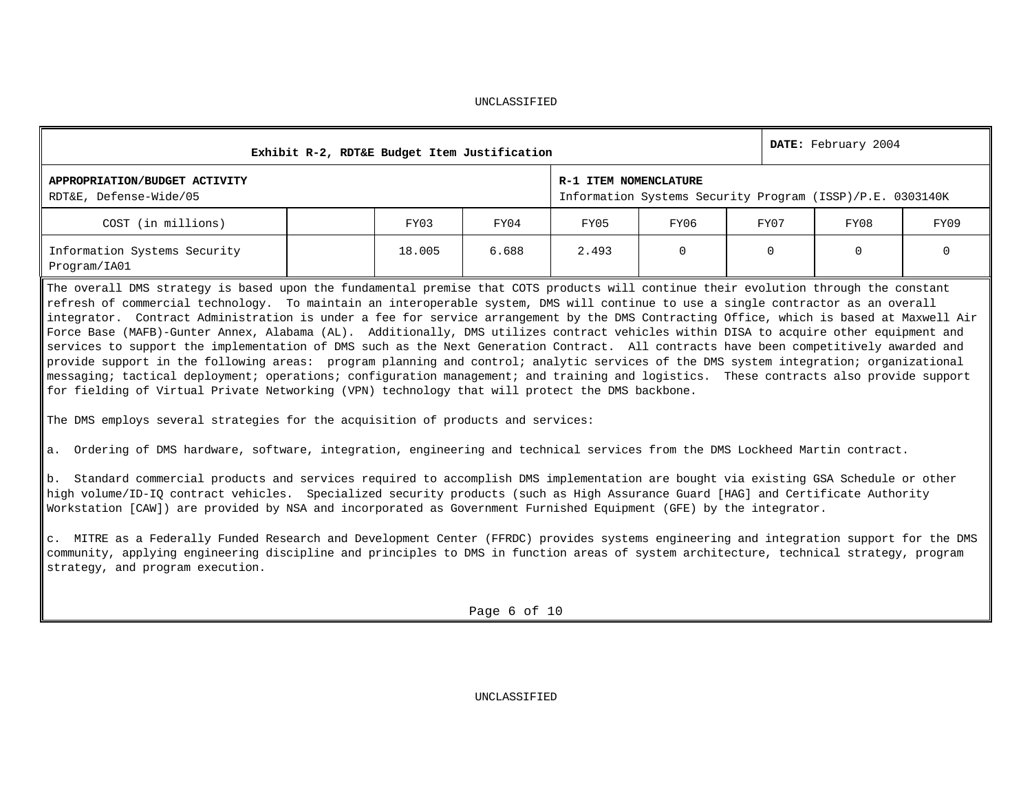|                                                                                                                                                                                                                                                                                                                                                                                                                      | Exhibit R-2, RDT&E Budget Item Justification |        |                       |       |      |                                                           | DATE: February 2004 |      |  |  |  |  |  |
|----------------------------------------------------------------------------------------------------------------------------------------------------------------------------------------------------------------------------------------------------------------------------------------------------------------------------------------------------------------------------------------------------------------------|----------------------------------------------|--------|-----------------------|-------|------|-----------------------------------------------------------|---------------------|------|--|--|--|--|--|
| APPROPRIATION/BUDGET ACTIVITY<br>RDT&E, Defense-Wide/05                                                                                                                                                                                                                                                                                                                                                              |                                              |        | R-1 ITEM NOMENCLATURE |       |      | Information Systems Security Program (ISSP)/P.E. 0303140K |                     |      |  |  |  |  |  |
| COST (in millions)                                                                                                                                                                                                                                                                                                                                                                                                   |                                              | FY03   | FY04                  | FY05  | FY06 | FY07                                                      | FY08                | FY09 |  |  |  |  |  |
| Information Systems Security<br>Program/IA01                                                                                                                                                                                                                                                                                                                                                                         |                                              | 18.005 | 6.688                 | 2.493 | 0    | $\Omega$                                                  | 0                   |      |  |  |  |  |  |
| The overall DMS strategy is based upon the fundamental premise that COTS products will continue their evolution through the constant<br>refresh of commercial technology. To maintain an interoperable system, DMS will continue to use a single contractor as an overall<br>integrator. Contract Administration is under a fee for service arrangement by the DMS Contracting Office, which is based at Maxwell Air |                                              |        |                       |       |      |                                                           |                     |      |  |  |  |  |  |

Force Base (MAFB)-Gunter Annex, Alabama (AL). Additionally, DMS utilizes contract vehicles within DISA to acquire other equipment and services to support the implementation of DMS such as the Next Generation Contract. All contracts have been competitively awarded and provide support in the following areas: program planning and control; analytic services of the DMS system integration; organizational messaging; tactical deployment; operations; configuration management; and training and logistics. These contracts also provide support for fielding of Virtual Private Networking (VPN) technology that will protect the DMS backbone.

The DMS employs several strategies for the acquisition of products and services:

a. Ordering of DMS hardware, software, integration, engineering and technical services from the DMS Lockheed Martin contract.

b. Standard commercial products and services required to accomplish DMS implementation are bought via existing GSA Schedule or other high volume/ID-IQ contract vehicles. Specialized security products (such as High Assurance Guard [HAG] and Certificate Authority Workstation [CAW]) are provided by NSA and incorporated as Government Furnished Equipment (GFE) by the integrator.

c. MITRE as a Federally Funded Research and Development Center (FFRDC) provides systems engineering and integration support for the DMS community, applying engineering discipline and principles to DMS in function areas of system architecture, technical strategy, program strategy, and program execution.

Page 6 of 10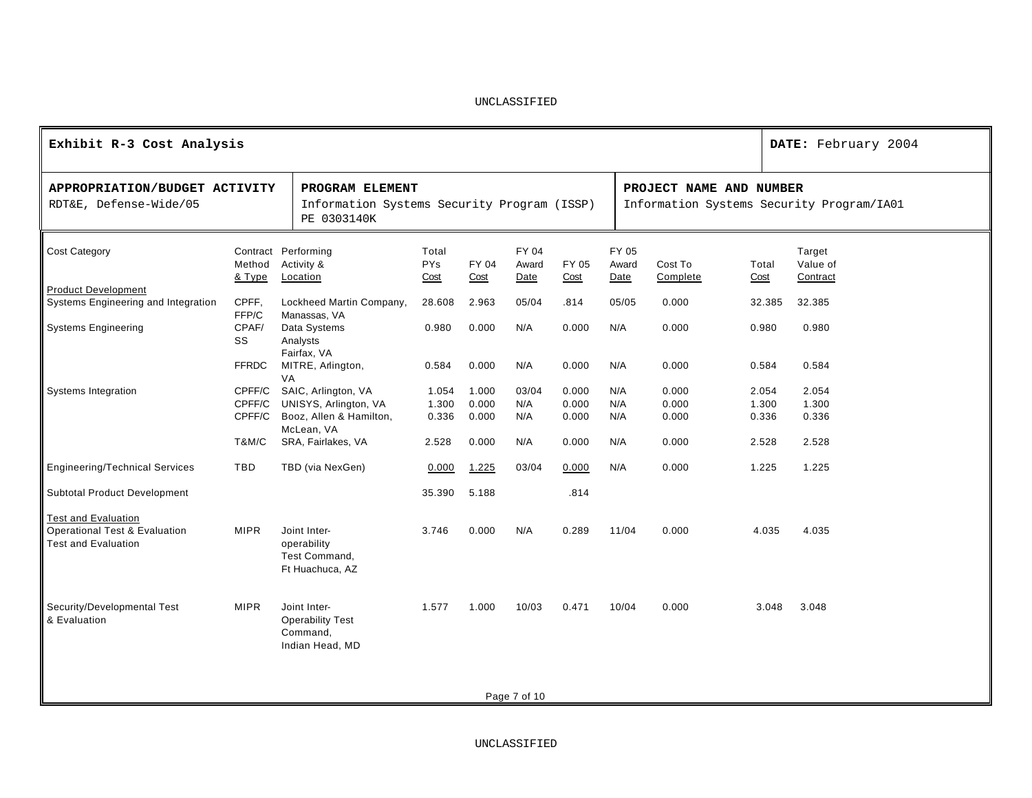| Exhibit R-3 Cost Analysis                               |                  | DATE: February 2004                                                           |                             |               |                                |       |       |                         |                                           |        |  |  |  |  |  |
|---------------------------------------------------------|------------------|-------------------------------------------------------------------------------|-----------------------------|---------------|--------------------------------|-------|-------|-------------------------|-------------------------------------------|--------|--|--|--|--|--|
| APPROPRIATION/BUDGET ACTIVITY<br>RDT&E, Defense-Wide/05 |                  | PROGRAM ELEMENT<br>Information Systems Security Program (ISSP)<br>PE 0303140K |                             |               |                                |       |       | PROJECT NAME AND NUMBER | Information Systems Security Program/IA01 |        |  |  |  |  |  |
| <b>Cost Category</b>                                    | Method<br>& Type | Contract Performing<br>Activity &<br>Location                                 | Total<br><b>PYs</b><br>Cost | Total<br>Cost | Target<br>Value of<br>Contract |       |       |                         |                                           |        |  |  |  |  |  |
| <b>Product Development</b>                              |                  |                                                                               |                             |               |                                |       |       |                         |                                           |        |  |  |  |  |  |
| Systems Engineering and Integration                     | CPFF,<br>FFP/C   | Lockheed Martin Company,<br>Manassas, VA                                      | 28.608                      | 2.963         | 05/04                          | .814  | 05/05 | 0.000                   | 32.385                                    | 32.385 |  |  |  |  |  |
| <b>Systems Engineering</b>                              | CPAF/<br>SS      | Data Systems<br>Analysts<br>Fairfax, VA                                       | 0.980                       | 0.000         | N/A                            | 0.000 | N/A   | 0.000                   | 0.980                                     | 0.980  |  |  |  |  |  |
|                                                         | <b>FFRDC</b>     | MITRE, Arlington,<br>VA                                                       | 0.584                       | 0.000         | N/A                            | 0.000 | N/A   | 0.000                   | 0.584                                     | 0.584  |  |  |  |  |  |
| Systems Integration                                     | CPFF/C           | SAIC, Arlington, VA                                                           | 1.054                       | 1.000         | 03/04                          | 0.000 | N/A   | 0.000                   | 2.054                                     | 2.054  |  |  |  |  |  |
|                                                         | CPFF/C           | UNISYS, Arlington, VA                                                         | 1.300                       | 0.000         | N/A                            | 0.000 | N/A   | 0.000                   | 1.300                                     | 1.300  |  |  |  |  |  |
|                                                         | CPFF/C           | Booz, Allen & Hamilton,<br>McLean, VA                                         | 0.336                       | 0.000         | N/A                            | 0.000 | N/A   | 0.000                   | 0.336                                     | 0.336  |  |  |  |  |  |
|                                                         | T&M/C            | SRA, Fairlakes, VA                                                            | 2.528                       | 0.000         | N/A                            | 0.000 | N/A   | 0.000                   | 2.528                                     | 2.528  |  |  |  |  |  |
| <b>Engineering/Technical Services</b>                   | TBD              | TBD (via NexGen)                                                              | 0.000                       | 1.225         | 03/04                          | 0.000 | N/A   | 0.000                   | 1.225                                     | 1.225  |  |  |  |  |  |
| <b>Subtotal Product Development</b>                     |                  |                                                                               | 35.390                      | 5.188         |                                | .814  |       |                         |                                           |        |  |  |  |  |  |
| <b>Test and Evaluation</b>                              |                  |                                                                               |                             |               |                                |       |       |                         |                                           |        |  |  |  |  |  |
| Operational Test & Evaluation<br>Test and Evaluation    | <b>MIPR</b>      | Joint Inter-<br>operability<br>Test Command,<br>Ft Huachuca, AZ               | 3.746                       | 0.000         | N/A                            | 0.289 | 11/04 | 0.000                   | 4.035                                     | 4.035  |  |  |  |  |  |
| Security/Developmental Test<br>& Evaluation             | <b>MIPR</b>      | Joint Inter-<br><b>Operability Test</b><br>Command,<br>Indian Head, MD        | 1.577                       | 1.000         | 10/03                          | 0.471 | 10/04 | 0.000                   | 3.048                                     | 3.048  |  |  |  |  |  |
|                                                         |                  |                                                                               |                             |               | Page 7 of 10                   |       |       |                         |                                           |        |  |  |  |  |  |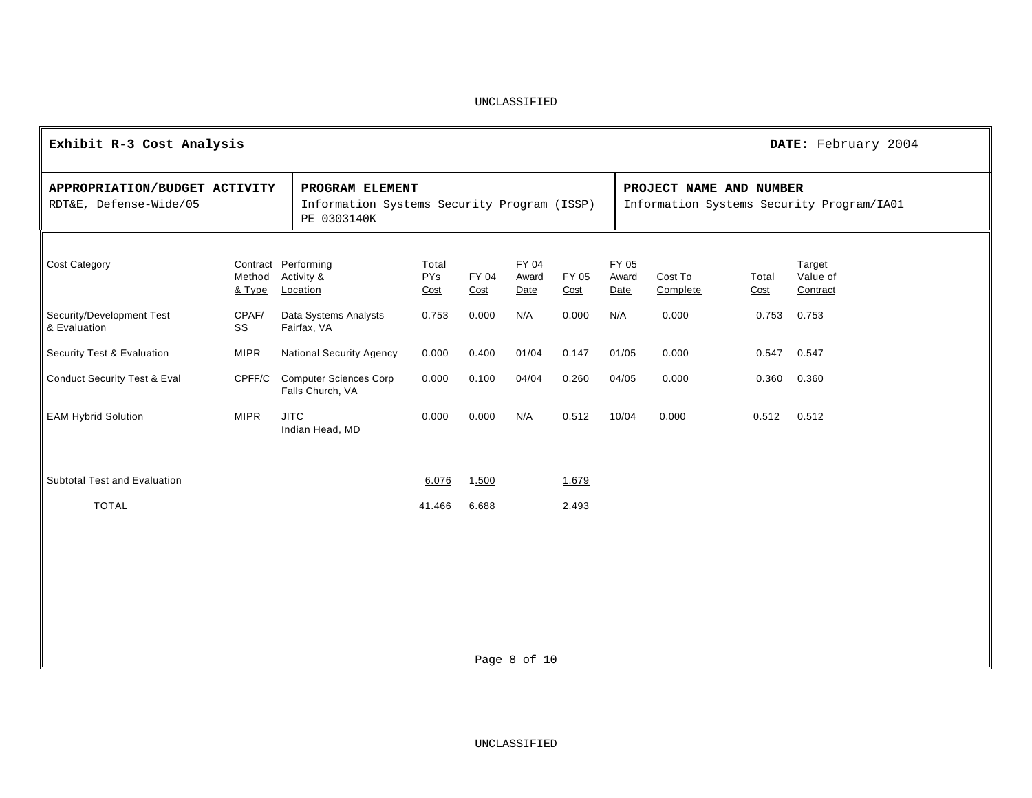| Exhibit R-3 Cost Analysis                               |                  |                                                                               |                             |               |                        |               |     |                        |                         | DATE: February 2004 |                                           |
|---------------------------------------------------------|------------------|-------------------------------------------------------------------------------|-----------------------------|---------------|------------------------|---------------|-----|------------------------|-------------------------|---------------------|-------------------------------------------|
| APPROPRIATION/BUDGET ACTIVITY<br>RDT&E, Defense-Wide/05 |                  | PROGRAM ELEMENT<br>Information Systems Security Program (ISSP)<br>PE 0303140K |                             |               |                        |               |     |                        | PROJECT NAME AND NUMBER |                     | Information Systems Security Program/IA01 |
| Cost Category                                           | Method<br>& Type | Contract Performing<br>Activity &<br>Location                                 | Total<br><b>PYs</b><br>Cost | FY 04<br>Cost | FY 04<br>Award<br>Date | FY 05<br>Cost |     | FY 05<br>Award<br>Date | Cost To<br>Complete     | Total<br>Cost       | Target<br>Value of<br>Contract            |
| Security/Development Test<br>& Evaluation               | CPAF/<br>SS      | Data Systems Analysts<br>Fairfax, VA                                          | 0.753                       | 0.000         | N/A                    | 0.000         | N/A |                        | 0.000                   | 0.753               | 0.753                                     |
| Security Test & Evaluation                              | <b>MIPR</b>      | <b>National Security Agency</b>                                               | 0.000                       | 0.400         | 01/04                  | 0.147         |     | 01/05                  | 0.000                   | 0.547               | 0.547                                     |
| <b>Conduct Security Test &amp; Eval</b>                 | CPFF/C           | <b>Computer Sciences Corp</b><br>Falls Church, VA                             | 0.000                       | 0.100         | 04/04                  | 0.260         |     | 04/05                  | 0.000                   | 0.360               | 0.360                                     |
| <b>EAM Hybrid Solution</b>                              | <b>MIPR</b>      | <b>JITC</b><br>Indian Head, MD                                                | 0.000                       | 0.000         | N/A                    | 0.512         |     | 10/04                  | 0.000                   | 0.512               | 0.512                                     |
| Subtotal Test and Evaluation                            |                  |                                                                               | 6.076                       | 1.500         |                        | 1.679         |     |                        |                         |                     |                                           |
| <b>TOTAL</b>                                            |                  |                                                                               | 41.466                      | 6.688         |                        | 2.493         |     |                        |                         |                     |                                           |
|                                                         |                  |                                                                               |                             |               |                        |               |     |                        |                         |                     |                                           |
|                                                         |                  |                                                                               |                             |               |                        |               |     |                        |                         |                     |                                           |
|                                                         |                  |                                                                               |                             |               |                        |               |     |                        |                         |                     |                                           |
|                                                         |                  |                                                                               |                             |               |                        |               |     |                        |                         |                     |                                           |
|                                                         |                  |                                                                               |                             |               | Page 8 of 10           |               |     |                        |                         |                     |                                           |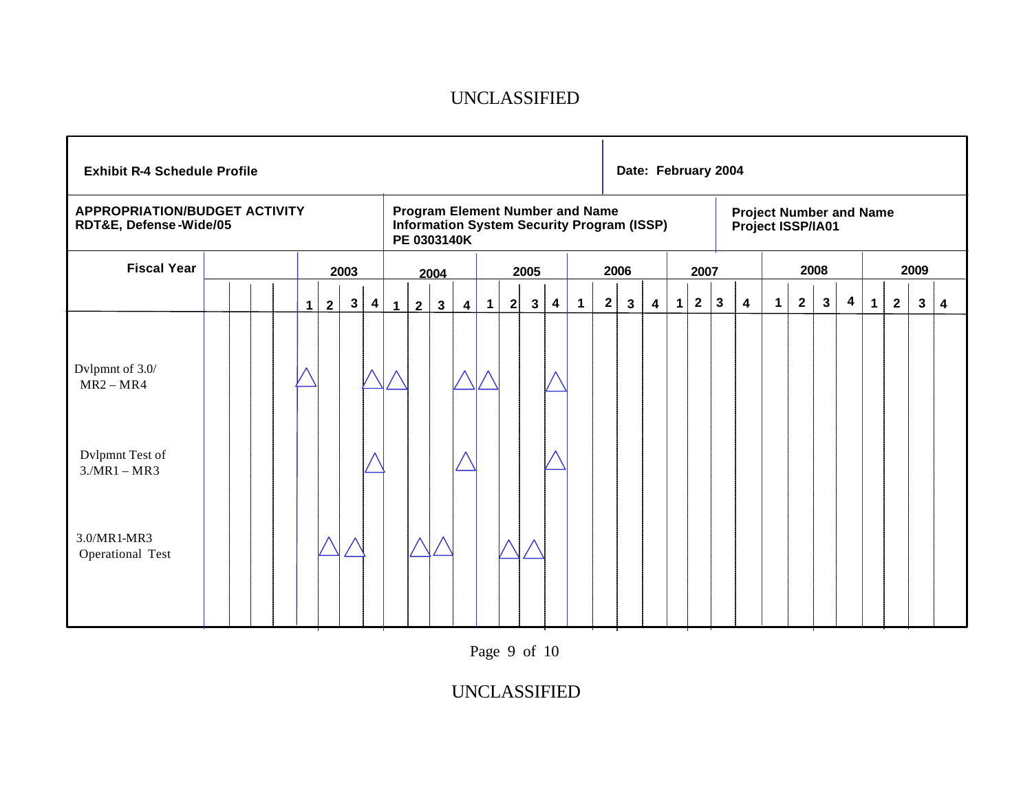| <b>Exhibit R-4 Schedule Profile</b>                                                                   |  |   |                |                                                                                                            |                         |             |             |                |                         |                   |              |              |                         |                      |              | Date: February 2004 |   |              |                                                     |              |                         |             |                |                |                         |             |                |                |   |
|-------------------------------------------------------------------------------------------------------|--|---|----------------|------------------------------------------------------------------------------------------------------------|-------------------------|-------------|-------------|----------------|-------------------------|-------------------|--------------|--------------|-------------------------|----------------------|--------------|---------------------|---|--------------|-----------------------------------------------------|--------------|-------------------------|-------------|----------------|----------------|-------------------------|-------------|----------------|----------------|---|
| <b>APPROPRIATION/BUDGET ACTIVITY</b><br>RDT&E, Defense-Wide/05                                        |  |   |                | <b>Program Element Number and Name</b><br><b>Information System Security Program (ISSP)</b><br>PE 0303140K |                         |             |             |                |                         |                   |              |              |                         |                      |              |                     |   |              | <b>Project Number and Name</b><br>Project ISSP/IA01 |              |                         |             |                |                |                         |             |                |                |   |
| <b>Fiscal Year</b>                                                                                    |  |   |                | 2003<br>2005<br>2004                                                                                       |                         |             |             |                |                         |                   | 2006<br>2007 |              |                         |                      |              | 2008                |   |              |                                                     |              | 2009                    |             |                |                |                         |             |                |                |   |
|                                                                                                       |  | 1 | 2 <sup>1</sup> | $3\phantom{.0}$                                                                                            | $\overline{\mathbf{4}}$ | $\mathbf 1$ | $2^{\circ}$ | 3 <sup>1</sup> | $\overline{\mathbf{4}}$ | $\vert$ 1 $\vert$ | 2            | $\mathbf{3}$ | $\overline{\mathbf{4}}$ | $\blacktriangleleft$ | $\mathbf{2}$ | $\mathbf{3}$        | 4 | $\mathbf{1}$ | $\mathbf{2}$                                        | $\mathbf{3}$ | $\overline{\mathbf{4}}$ | $\mathbf 1$ | $\overline{2}$ | 3 <sup>1</sup> | $\overline{\mathbf{4}}$ | $\mathbf 1$ | $\overline{2}$ | 3 <sup>1</sup> | 4 |
| Dvlpmnt of 3.0/<br>$MR2 - MR4$<br>Dvlpmnt Test of<br>$3/MR1 - MR3$<br>3.0/MR1-MR3<br>Operational Test |  |   |                |                                                                                                            |                         |             |             |                |                         |                   |              |              |                         |                      |              |                     |   |              |                                                     |              |                         |             |                |                |                         |             |                |                |   |

Page 9 of 10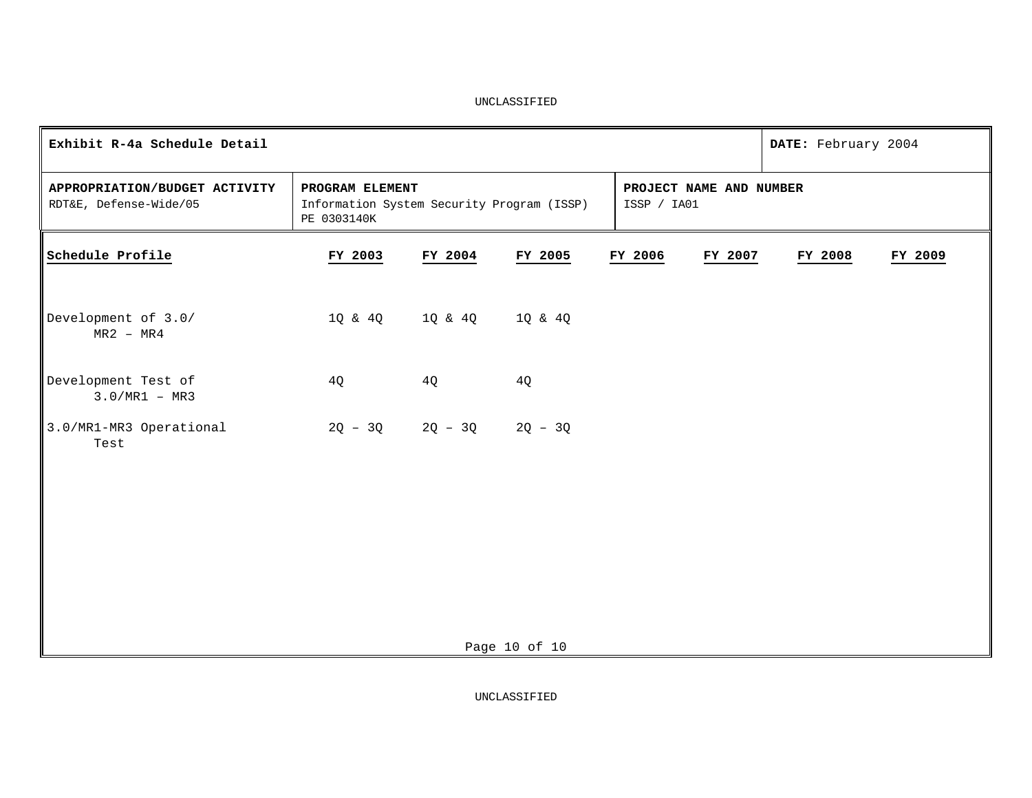| Exhibit R-4a Schedule Detail                            |                                                                              |                               |               |  |                                        |         |  | DATE: February 2004 |         |
|---------------------------------------------------------|------------------------------------------------------------------------------|-------------------------------|---------------|--|----------------------------------------|---------|--|---------------------|---------|
| APPROPRIATION/BUDGET ACTIVITY<br>RDT&E, Defense-Wide/05 | PROGRAM ELEMENT<br>Information System Security Program (ISSP)<br>PE 0303140K |                               |               |  | PROJECT NAME AND NUMBER<br>ISSP / IA01 |         |  |                     |         |
| Schedule Profile                                        | FY 2003                                                                      | FY 2004                       | FY 2005       |  | FY 2006                                | FY 2007 |  | FY 2008             | FY 2009 |
| Development of 3.0/<br>$MR2 - MR4$                      |                                                                              | 10 & 40 10 & 40 10 & 40       |               |  |                                        |         |  |                     |         |
| Development Test of<br>$3.0/MR1 - MR3$                  | 4Q                                                                           | 4Q                            | 4Q            |  |                                        |         |  |                     |         |
| 3.0/MR1-MR3 Operational<br>Test                         |                                                                              | $2Q - 3Q$ $2Q - 3Q$ $2Q - 3Q$ |               |  |                                        |         |  |                     |         |
|                                                         |                                                                              |                               | Page 10 of 10 |  |                                        |         |  |                     |         |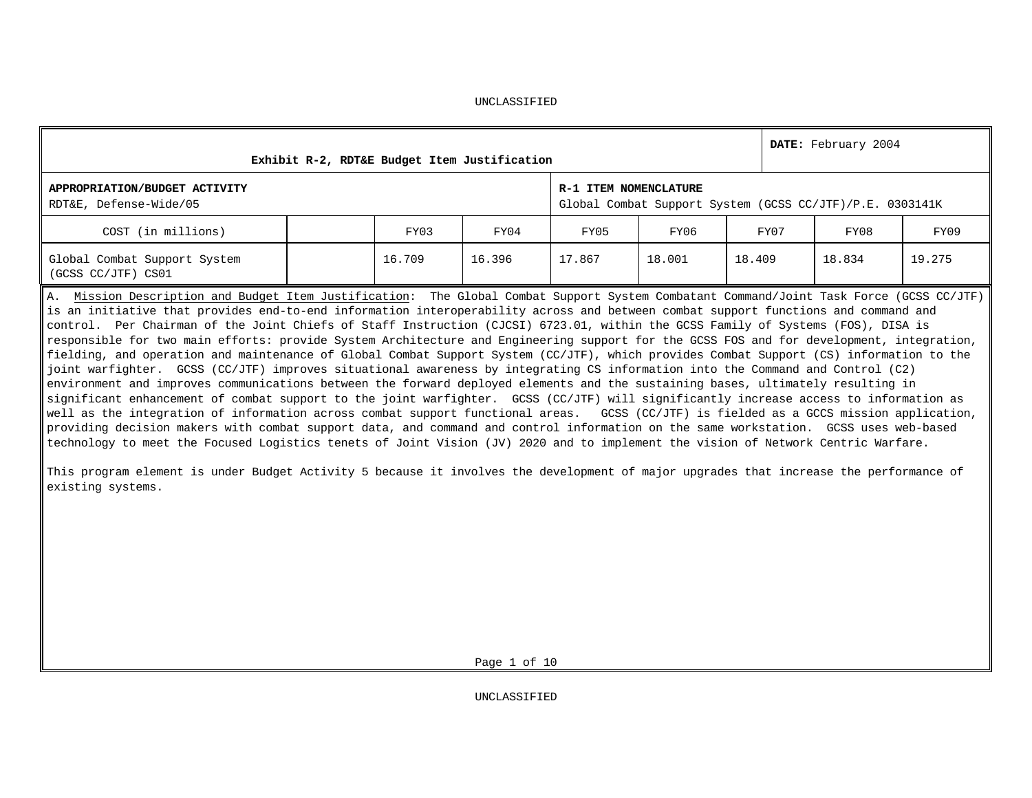| UNCLASSIFIED |
|--------------|
|--------------|

| Exhibit R-2, RDT&E Budget Item Justification                                                                                                                                                                                                                                                                                                                                                                                                                                                                                                                                                                                                                                                                                                                                                                                                                                                                                                                                                                                                                                                                                                                                                                                                                                                                                                                                                                                                                                                                                                  |  |        |        |        | DATE: February 2004                                                               |        |      |        |        |
|-----------------------------------------------------------------------------------------------------------------------------------------------------------------------------------------------------------------------------------------------------------------------------------------------------------------------------------------------------------------------------------------------------------------------------------------------------------------------------------------------------------------------------------------------------------------------------------------------------------------------------------------------------------------------------------------------------------------------------------------------------------------------------------------------------------------------------------------------------------------------------------------------------------------------------------------------------------------------------------------------------------------------------------------------------------------------------------------------------------------------------------------------------------------------------------------------------------------------------------------------------------------------------------------------------------------------------------------------------------------------------------------------------------------------------------------------------------------------------------------------------------------------------------------------|--|--------|--------|--------|-----------------------------------------------------------------------------------|--------|------|--------|--------|
| APPROPRIATION/BUDGET ACTIVITY<br>RDT&E, Defense-Wide/05                                                                                                                                                                                                                                                                                                                                                                                                                                                                                                                                                                                                                                                                                                                                                                                                                                                                                                                                                                                                                                                                                                                                                                                                                                                                                                                                                                                                                                                                                       |  |        |        |        | R-1 ITEM NOMENCLATURE<br>Global Combat Support System (GCSS CC/JTF)/P.E. 0303141K |        |      |        |        |
| COST (in millions)                                                                                                                                                                                                                                                                                                                                                                                                                                                                                                                                                                                                                                                                                                                                                                                                                                                                                                                                                                                                                                                                                                                                                                                                                                                                                                                                                                                                                                                                                                                            |  | FY03   | FY04   | FY05   | FY06                                                                              |        | FY07 | FY08   | FY09   |
| Global Combat Support System<br>(GCSS CC/JTF) CS01                                                                                                                                                                                                                                                                                                                                                                                                                                                                                                                                                                                                                                                                                                                                                                                                                                                                                                                                                                                                                                                                                                                                                                                                                                                                                                                                                                                                                                                                                            |  | 16.709 | 16.396 | 17.867 | 18.001                                                                            | 18.409 |      | 18.834 | 19.275 |
| A. Mission Description and Budget Item Justification: The Global Combat Support System Combatant Command/Joint Task Force (GCSS CC/JTF)<br>is an initiative that provides end-to-end information interoperability across and between combat support functions and command and<br>control. Per Chairman of the Joint Chiefs of Staff Instruction (CJCSI) 6723.01, within the GCSS Family of Systems (FOS), DISA is<br>responsible for two main efforts: provide System Architecture and Engineering support for the GCSS FOS and for development, integration,<br>fielding, and operation and maintenance of Global Combat Support System (CC/JTF), which provides Combat Support (CS) information to the<br>joint warfighter. GCSS (CC/JTF) improves situational awareness by integrating CS information into the Command and Control (C2)<br>environment and improves communications between the forward deployed elements and the sustaining bases, ultimately resulting in<br>significant enhancement of combat support to the joint warfighter. GCSS (CC/JTF) will significantly increase access to information as<br>well as the integration of information across combat support functional areas. GCSS (CC/JTF) is fielded as a GCCS mission application,<br>providing decision makers with combat support data, and command and control information on the same workstation. GCSS uses web-based<br>technology to meet the Focused Logistics tenets of Joint Vision (JV) 2020 and to implement the vision of Network Centric Warfare. |  |        |        |        |                                                                                   |        |      |        |        |

This program element is under Budget Activity 5 because it involves the development of major upgrades that increase the performance of existing systems.

Page 1 of 10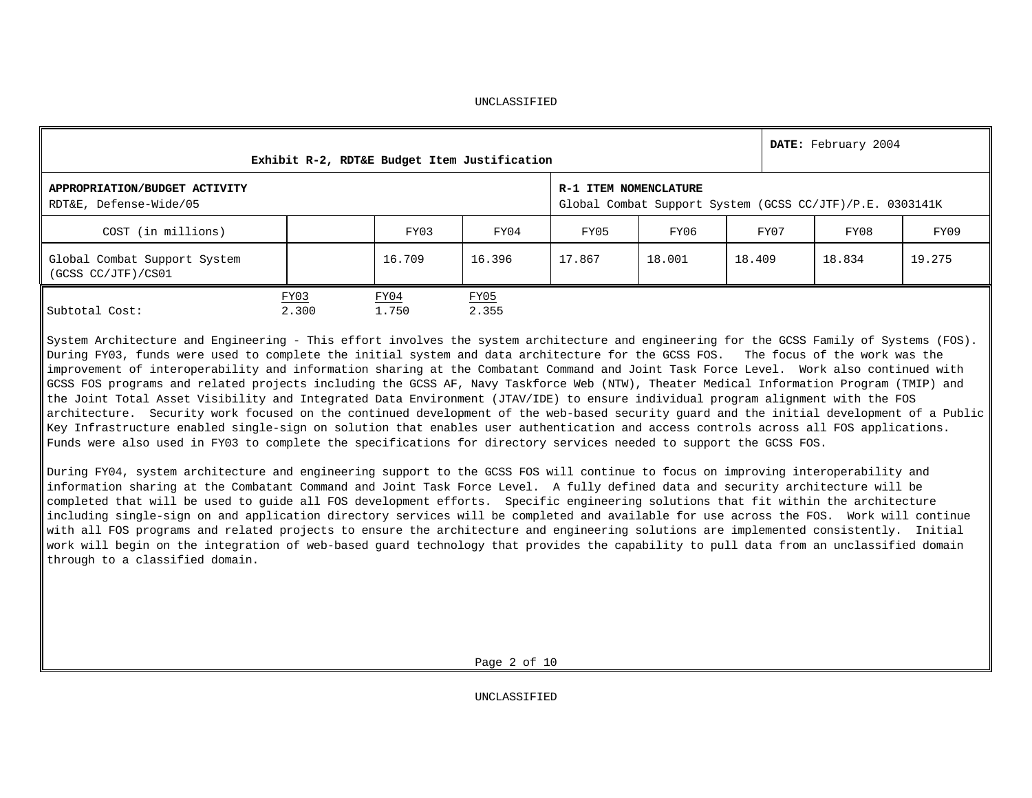| UNCLASSIFIED |
|--------------|
|--------------|

| Exhibit R-2, RDT&E Budget Item Justification            |               |               |               |                       |                                                          |        | DATE: February 2004 |        |  |  |
|---------------------------------------------------------|---------------|---------------|---------------|-----------------------|----------------------------------------------------------|--------|---------------------|--------|--|--|
| APPROPRIATION/BUDGET ACTIVITY<br>RDT&E, Defense-Wide/05 |               |               |               | R-1 ITEM NOMENCLATURE | Global Combat Support System (GCSS CC/JTF)/P.E. 0303141K |        |                     |        |  |  |
| COST (in millions)                                      |               | FY03          | FY04          | FY05                  | FY06                                                     | FY07   | FY08                | FY09   |  |  |
| Global Combat Support System<br>(GCSS CC/JTF)/CS01      |               | 16.709        | 16.396        | 17.867                | 18.001                                                   | 18.409 | 18.834              | 19.275 |  |  |
| Subtotal Cost:                                          | FY03<br>2.300 | FY04<br>1.750 | FY05<br>2.355 |                       |                                                          |        |                     |        |  |  |

System Architecture and Engineering - This effort involves the system architecture and engineering for the GCSS Family of Systems (FOS). During FY03, funds were used to complete the initial system and data architecture for the GCSS FOS. The focus of the work was the improvement of interoperability and information sharing at the Combatant Command and Joint Task Force Level. Work also continued with GCSS FOS programs and related projects including the GCSS AF, Navy Taskforce Web (NTW), Theater Medical Information Program (TMIP) and the Joint Total Asset Visibility and Integrated Data Environment (JTAV/IDE) to ensure individual program alignment with the FOS architecture. Security work focused on the continued development of the web-based security guard and the initial development of a Public Key Infrastructure enabled single-sign on solution that enables user authentication and access controls across all FOS applications. Funds were also used in FY03 to complete the specifications for directory services needed to support the GCSS FOS.

During FY04, system architecture and engineering support to the GCSS FOS will continue to focus on improving interoperability and information sharing at the Combatant Command and Joint Task Force Level. A fully defined data and security architecture will be completed that will be used to guide all FOS development efforts. Specific engineering solutions that fit within the architecture including single-sign on and application directory services will be completed and available for use across the FOS. Work will continue with all FOS programs and related projects to ensure the architecture and engineering solutions are implemented consistently. Initial work will begin on the integration of web-based guard technology that provides the capability to pull data from an unclassified domain through to a classified domain.

Page 2 of 10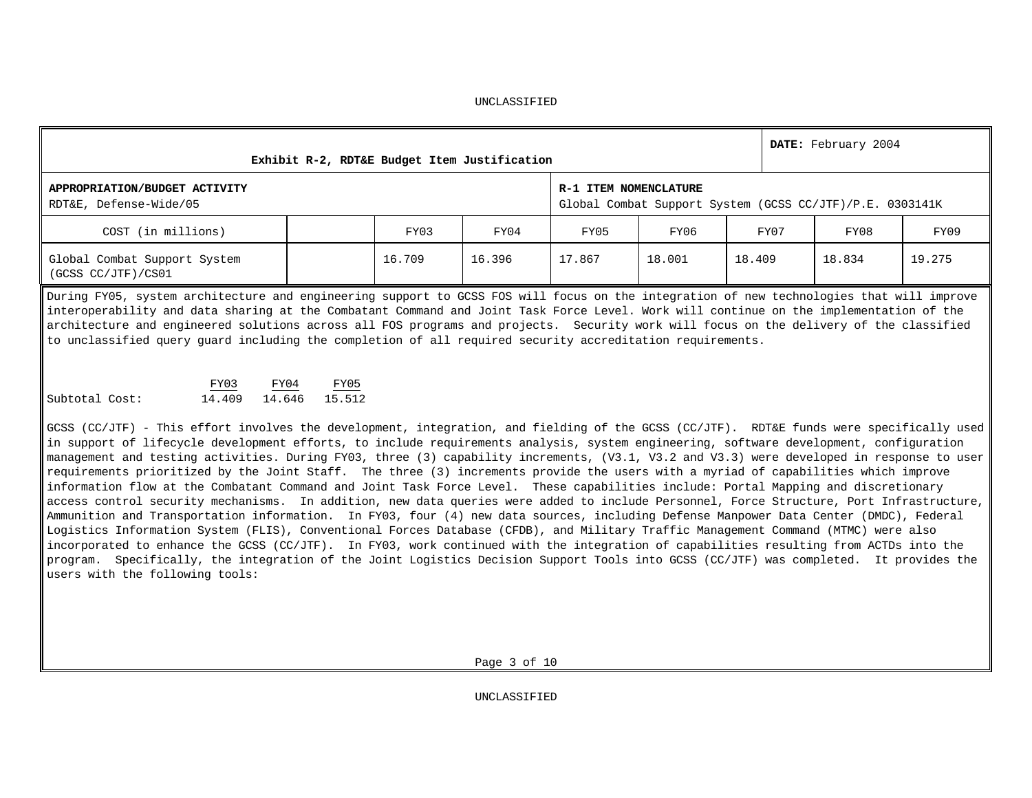| Exhibit R-2, RDT&E Budget Item Justification            |        | DATE: February 2004 |        |        |                                                                                   |        |        |  |
|---------------------------------------------------------|--------|---------------------|--------|--------|-----------------------------------------------------------------------------------|--------|--------|--|
| APPROPRIATION/BUDGET ACTIVITY<br>RDT&E, Defense-Wide/05 |        |                     |        |        | R-1 ITEM NOMENCLATURE<br>Global Combat Support System (GCSS CC/JTF)/P.E. 0303141K |        |        |  |
| COST (in millions)                                      | FY03   | FY04                | FY05   | FY06   | FY07                                                                              | FY08   | FY09   |  |
| Global Combat Support System<br>(GCSS CC/JTF)/CS01      | 16.709 | 16.396              | 17.867 | 18.001 | 18.409                                                                            | 18.834 | 19.275 |  |

During FY05, system architecture and engineering support to GCSS FOS will focus on the integration of new technologies that will improve interoperability and data sharing at the Combatant Command and Joint Task Force Level. Work will continue on the implementation of the architecture and engineered solutions across all FOS programs and projects. Security work will focus on the delivery of the classified to unclassified query guard including the completion of all required security accreditation requirements.

|                | FY03   | FY04   | FY05   |
|----------------|--------|--------|--------|
| Subtotal Cost: | 14.409 | 14.646 | 15.512 |

GCSS (CC/JTF) - This effort involves the development, integration, and fielding of the GCSS (CC/JTF). RDT&E funds were specifically used in support of lifecycle development efforts, to include requirements analysis, system engineering, software development, configuration management and testing activities. During FY03, three (3) capability increments, (V3.1, V3.2 and V3.3) were developed in response to user requirements prioritized by the Joint Staff. The three (3) increments provide the users with a myriad of capabilities which improve information flow at the Combatant Command and Joint Task Force Level. These capabilities include: Portal Mapping and discretionary access control security mechanisms. In addition, new data queries were added to include Personnel, Force Structure, Port Infrastructure, Ammunition and Transportation information. In FY03, four (4) new data sources, including Defense Manpower Data Center (DMDC), Federal Logistics Information System (FLIS), Conventional Forces Database (CFDB), and Military Traffic Management Command (MTMC) were also incorporated to enhance the GCSS (CC/JTF). In FY03, work continued with the integration of capabilities resulting from ACTDs into the program. Specifically, the integration of the Joint Logistics Decision Support Tools into GCSS (CC/JTF) was completed. It provides the users with the following tools: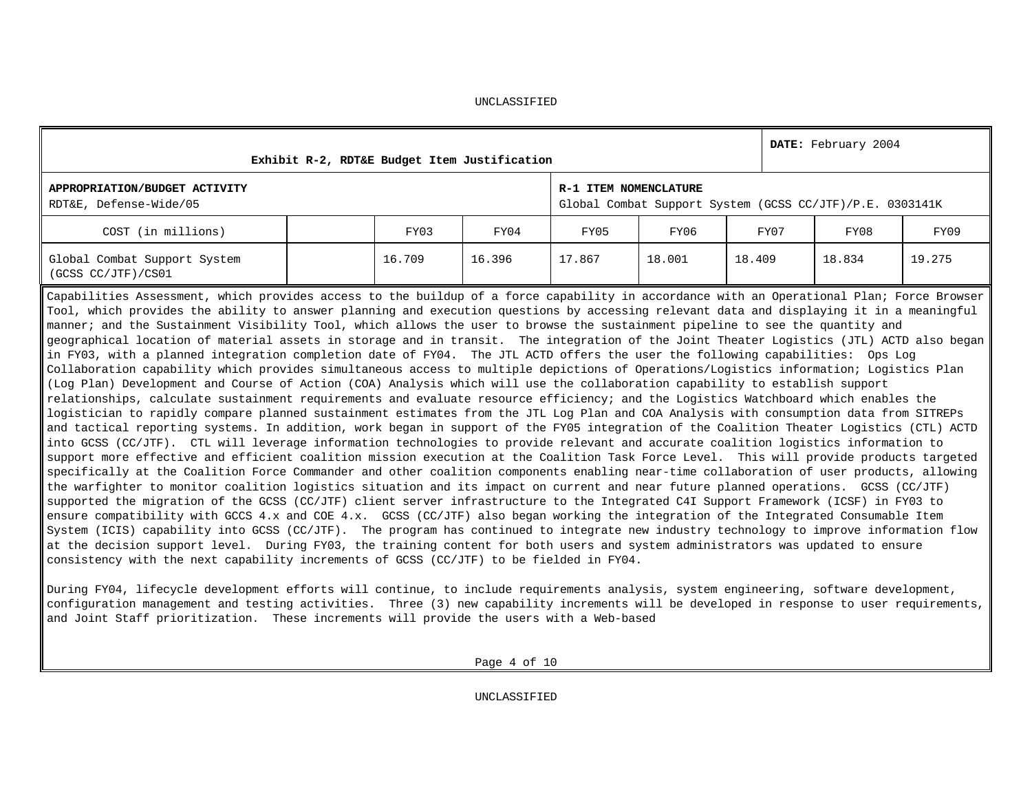| Exhibit R-2, RDT&E Budget Item Justification                                                                                                                                                                                                                                                                                                                                                                                                                                                                                                                                                                                                                                                                                                                                                                                                                                                                                                                                                                                                                                                                                                                                                                                                                                                                                                                                                                                                                                                                                                                                                                                                                                                                                                                                                                                                                                                                                                                                                                                                                                                                                                                                                                                                                                                                                                                                                                                                                                                                                                                                                                                       |  |        |        |                       |                                                          |        |      | DATE: February 2004 |        |  |
|------------------------------------------------------------------------------------------------------------------------------------------------------------------------------------------------------------------------------------------------------------------------------------------------------------------------------------------------------------------------------------------------------------------------------------------------------------------------------------------------------------------------------------------------------------------------------------------------------------------------------------------------------------------------------------------------------------------------------------------------------------------------------------------------------------------------------------------------------------------------------------------------------------------------------------------------------------------------------------------------------------------------------------------------------------------------------------------------------------------------------------------------------------------------------------------------------------------------------------------------------------------------------------------------------------------------------------------------------------------------------------------------------------------------------------------------------------------------------------------------------------------------------------------------------------------------------------------------------------------------------------------------------------------------------------------------------------------------------------------------------------------------------------------------------------------------------------------------------------------------------------------------------------------------------------------------------------------------------------------------------------------------------------------------------------------------------------------------------------------------------------------------------------------------------------------------------------------------------------------------------------------------------------------------------------------------------------------------------------------------------------------------------------------------------------------------------------------------------------------------------------------------------------------------------------------------------------------------------------------------------------|--|--------|--------|-----------------------|----------------------------------------------------------|--------|------|---------------------|--------|--|
| APPROPRIATION/BUDGET ACTIVITY<br>RDT&E, Defense-Wide/05                                                                                                                                                                                                                                                                                                                                                                                                                                                                                                                                                                                                                                                                                                                                                                                                                                                                                                                                                                                                                                                                                                                                                                                                                                                                                                                                                                                                                                                                                                                                                                                                                                                                                                                                                                                                                                                                                                                                                                                                                                                                                                                                                                                                                                                                                                                                                                                                                                                                                                                                                                            |  |        |        | R-1 ITEM NOMENCLATURE | Global Combat Support System (GCSS CC/JTF)/P.E. 0303141K |        |      |                     |        |  |
| COST (in millions)                                                                                                                                                                                                                                                                                                                                                                                                                                                                                                                                                                                                                                                                                                                                                                                                                                                                                                                                                                                                                                                                                                                                                                                                                                                                                                                                                                                                                                                                                                                                                                                                                                                                                                                                                                                                                                                                                                                                                                                                                                                                                                                                                                                                                                                                                                                                                                                                                                                                                                                                                                                                                 |  | FY03   | FY04   | FY05                  | FY06                                                     |        | FY07 | FY08                | FY09   |  |
| Global Combat Support System<br>(GCSS CC/JTF)/CS01                                                                                                                                                                                                                                                                                                                                                                                                                                                                                                                                                                                                                                                                                                                                                                                                                                                                                                                                                                                                                                                                                                                                                                                                                                                                                                                                                                                                                                                                                                                                                                                                                                                                                                                                                                                                                                                                                                                                                                                                                                                                                                                                                                                                                                                                                                                                                                                                                                                                                                                                                                                 |  | 16.709 | 16.396 | 17.867                | 18.001                                                   | 18.409 |      | 18.834              | 19.275 |  |
| Capabilities Assessment, which provides access to the buildup of a force capability in accordance with an Operational Plan; Force Browser<br>Tool, which provides the ability to answer planning and execution questions by accessing relevant data and displaying it in a meaningful<br>manner; and the Sustainment Visibility Tool, which allows the user to browse the sustainment pipeline to see the quantity and<br>geographical location of material assets in storage and in transit. The integration of the Joint Theater Logistics (JTL) ACTD also began<br>in FY03, with a planned integration completion date of FY04. The JTL ACTD offers the user the following capabilities: Ops Log<br>Collaboration capability which provides simultaneous access to multiple depictions of Operations/Logistics information; Logistics Plan<br>(Log Plan) Development and Course of Action (COA) Analysis which will use the collaboration capability to establish support<br>relationships, calculate sustainment requirements and evaluate resource efficiency; and the Logistics Watchboard which enables the<br>logistician to rapidly compare planned sustainment estimates from the JTL Log Plan and COA Analysis with consumption data from SITREPs<br>and tactical reporting systems. In addition, work began in support of the FY05 integration of the Coalition Theater Logistics (CTL) ACTD<br>into GCSS (CC/JTF). CTL will leverage information technologies to provide relevant and accurate coalition logistics information to<br>support more effective and efficient coalition mission execution at the Coalition Task Force Level. This will provide products targeted<br>specifically at the Coalition Force Commander and other coalition components enabling near-time collaboration of user products, allowing<br>the warfighter to monitor coalition logistics situation and its impact on current and near future planned operations. GCSS (CC/JTF)<br>supported the migration of the GCSS (CC/JTF) client server infrastructure to the Integrated C4I Support Framework (ICSF) in FY03 to<br>ensure compatibility with GCCS 4.x and COE 4.x. GCSS (CC/JTF) also began working the integration of the Integrated Consumable Item<br>System (ICIS) capability into GCSS (CC/JTF). The program has continued to integrate new industry technology to improve information flow<br>at the decision support level. During FY03, the training content for both users and system administrators was updated to ensure<br>consistency with the next capability increments of GCSS (CC/JTF) to be fielded in FY04. |  |        |        |                       |                                                          |        |      |                     |        |  |

During FY04, lifecycle development efforts will continue, to include requirements analysis, system engineering, software development, configuration management and testing activities. Three (3) new capability increments will be developed in response to user requirements, and Joint Staff prioritization. These increments will provide the users with a Web-based

Page 4 of 10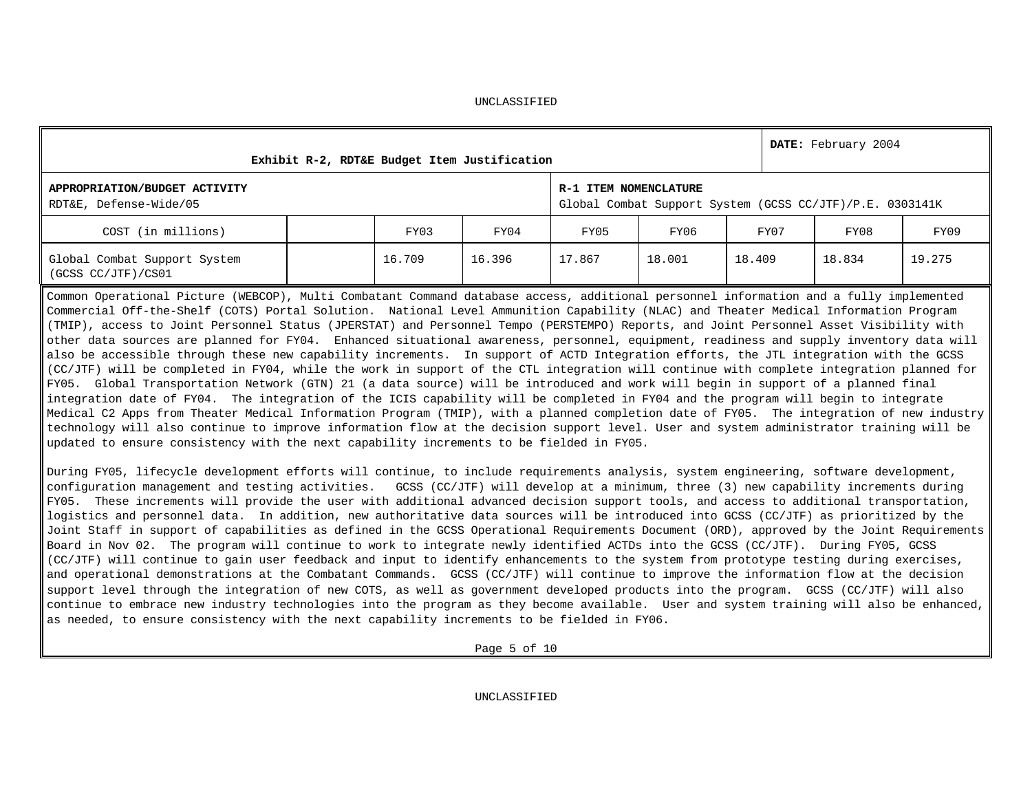|                                                                                                                                                                                                                                                                                                                                                                                                                                                                                                                                                                                                                                                                                                                                                                                                                                                                                                                                                                                                                                                                                                                                                                                                                                                                                                                                                                                                                                                                                                                        | Exhibit R-2, RDT&E Budget Item Justification |        |                                                                                   |        |        |        | DATE: February 2004 |        |  |
|------------------------------------------------------------------------------------------------------------------------------------------------------------------------------------------------------------------------------------------------------------------------------------------------------------------------------------------------------------------------------------------------------------------------------------------------------------------------------------------------------------------------------------------------------------------------------------------------------------------------------------------------------------------------------------------------------------------------------------------------------------------------------------------------------------------------------------------------------------------------------------------------------------------------------------------------------------------------------------------------------------------------------------------------------------------------------------------------------------------------------------------------------------------------------------------------------------------------------------------------------------------------------------------------------------------------------------------------------------------------------------------------------------------------------------------------------------------------------------------------------------------------|----------------------------------------------|--------|-----------------------------------------------------------------------------------|--------|--------|--------|---------------------|--------|--|
| APPROPRIATION/BUDGET ACTIVITY<br>RDT&E, Defense-Wide/05                                                                                                                                                                                                                                                                                                                                                                                                                                                                                                                                                                                                                                                                                                                                                                                                                                                                                                                                                                                                                                                                                                                                                                                                                                                                                                                                                                                                                                                                |                                              |        | R-1 ITEM NOMENCLATURE<br>Global Combat Support System (GCSS CC/JTF)/P.E. 0303141K |        |        |        |                     |        |  |
| COST (in millions)                                                                                                                                                                                                                                                                                                                                                                                                                                                                                                                                                                                                                                                                                                                                                                                                                                                                                                                                                                                                                                                                                                                                                                                                                                                                                                                                                                                                                                                                                                     |                                              | FY03   | FY04                                                                              | FY05   | FY06   | FY07   | FY08                | FY09   |  |
| Global Combat Support System<br>(GCSS CC/JTF)/CS01                                                                                                                                                                                                                                                                                                                                                                                                                                                                                                                                                                                                                                                                                                                                                                                                                                                                                                                                                                                                                                                                                                                                                                                                                                                                                                                                                                                                                                                                     |                                              | 16.709 | 16.396                                                                            | 17.867 | 18.001 | 18.409 | 18.834              | 19.275 |  |
| Common Operational Picture (WEBCOP), Multi Combatant Command database access, additional personnel information and a fully implemented<br>Commercial Off-the-Shelf (COTS) Portal Solution. National Level Ammunition Capability (NLAC) and Theater Medical Information Program<br>(TMIP), access to Joint Personnel Status (JPERSTAT) and Personnel Tempo (PERSTEMPO) Reports, and Joint Personnel Asset Visibility with<br>other data sources are planned for FY04. Enhanced situational awareness, personnel, equipment, readiness and supply inventory data will<br>also be accessible through these new capability increments. In support of ACTD Integration efforts, the JTL integration with the GCSS<br>(CC/JTF) will be completed in FY04, while the work in support of the CTL integration will continue with complete integration planned for<br>FY05. Global Transportation Network (GTN) 21 (a data source) will be introduced and work will begin in support of a planned final<br>integration date of FY04. The integration of the ICIS capability will be completed in FY04 and the program will begin to integrate<br>Medical C2 Apps from Theater Medical Information Program (TMIP), with a planned completion date of FY05. The integration of new industry<br>technology will also continue to improve information flow at the decision support level. User and system administrator training will be<br>updated to ensure consistency with the next capability increments to be fielded in FY05. |                                              |        |                                                                                   |        |        |        |                     |        |  |
| During FY05, lifecycle development efforts will continue, to include requirements analysis, system engineering, software development,<br>configuration management and testing activities.   GCSS (CC/JTF) will develop at a minimum, three (3) new capability increments during                                                                                                                                                                                                                                                                                                                                                                                                                                                                                                                                                                                                                                                                                                                                                                                                                                                                                                                                                                                                                                                                                                                                                                                                                                        |                                              |        |                                                                                   |        |        |        |                     |        |  |

configuration management and testing activities. GCSS (CC/JTF) will develop at a minimum, three (3) new capability increments during FY05. These increments will provide the user with additional advanced decision support tools, and access to additional transportation, logistics and personnel data. In addition, new authoritative data sources will be introduced into GCSS (CC/JTF) as prioritized by the Joint Staff in support of capabilities as defined in the GCSS Operational Requirements Document (ORD), approved by the Joint Requirements Board in Nov 02. The program will continue to work to integrate newly identified ACTDs into the GCSS (CC/JTF). During FY05, GCSS (CC/JTF) will continue to gain user feedback and input to identify enhancements to the system from prototype testing during exercises, and operational demonstrations at the Combatant Commands**.** GCSS (CC/JTF) will continue to improve the information flow at the decision support level through the integration of new COTS, as well as government developed products into the program. GCSS (CC/JTF) will also continue to embrace new industry technologies into the program as they become available. User and system training will also be enhanced, as needed, to ensure consistency with the next capability increments to be fielded in FY06.

Page 5 of 10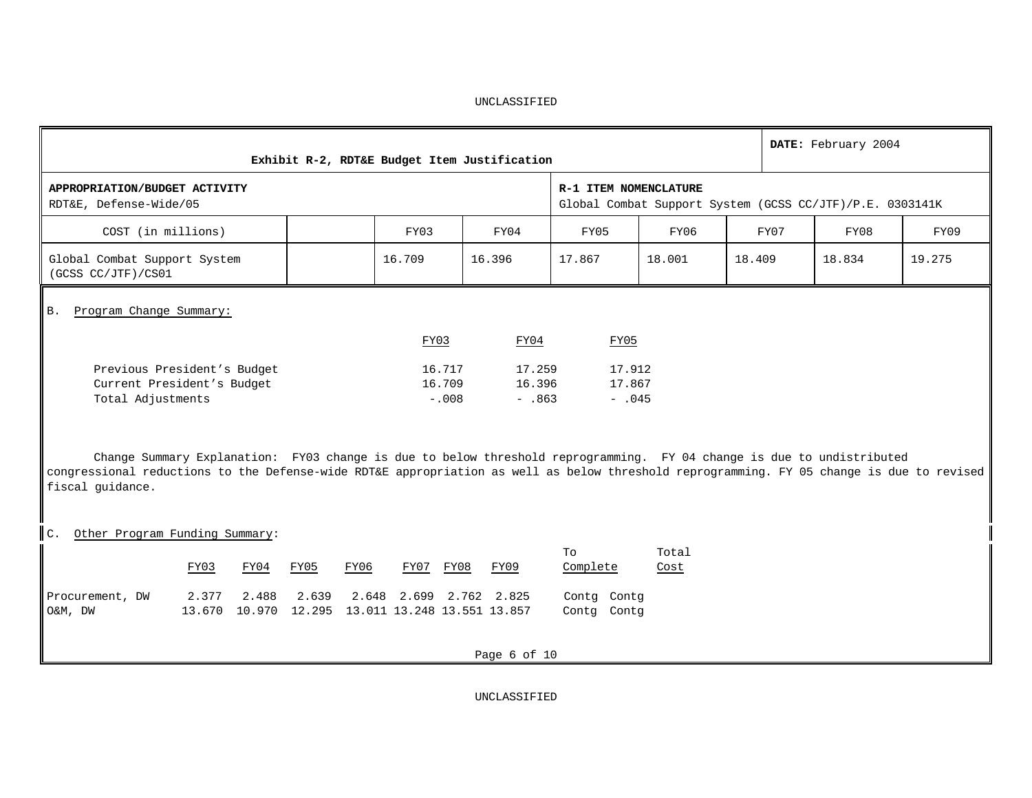|                                                                                                                                                                                                                                                                                        | Exhibit R-2, RDT&E Budget Item Justification |                             |                              |                              |               | DATE: February 2004 |                                                          |        |  |  |  |
|----------------------------------------------------------------------------------------------------------------------------------------------------------------------------------------------------------------------------------------------------------------------------------------|----------------------------------------------|-----------------------------|------------------------------|------------------------------|---------------|---------------------|----------------------------------------------------------|--------|--|--|--|
| APPROPRIATION/BUDGET ACTIVITY<br>RDT&E, Defense-Wide/05                                                                                                                                                                                                                                |                                              |                             |                              | R-1 ITEM NOMENCLATURE        |               |                     | Global Combat Support System (GCSS CC/JTF)/P.E. 0303141K |        |  |  |  |
| COST (in millions)                                                                                                                                                                                                                                                                     |                                              | FY03                        | FY04                         | FY05<br>FY06<br>FY07<br>FY08 |               |                     |                                                          |        |  |  |  |
| Global Combat Support System<br>(GCSS CC/JTF)/CS01                                                                                                                                                                                                                                     |                                              | 16.709                      | 16.396                       | 17.867                       | 18.001        | 18.409              | 18.834                                                   | 19.275 |  |  |  |
| Program Change Summary:<br><b>B.</b>                                                                                                                                                                                                                                                   |                                              |                             |                              |                              |               |                     |                                                          |        |  |  |  |
|                                                                                                                                                                                                                                                                                        |                                              | FY03                        | FY04                         | FY05                         |               |                     |                                                          |        |  |  |  |
| Previous President's Budget<br>Current President's Budget<br>Total Adjustments                                                                                                                                                                                                         |                                              | 16.717<br>16.709<br>$-.008$ | 17.259<br>16.396<br>$- .863$ | 17.912<br>17.867<br>$-045$   |               |                     |                                                          |        |  |  |  |
| Change Summary Explanation: FY03 change is due to below threshold reprogramming. FY 04 change is due to undistributed<br>congressional reductions to the Defense-wide RDT&E appropriation as well as below threshold reprogramming. FY 05 change is due to revised<br>fiscal guidance. |                                              |                             |                              |                              |               |                     |                                                          |        |  |  |  |
| C.<br>Other Program Funding Summary:                                                                                                                                                                                                                                                   |                                              |                             |                              |                              |               |                     |                                                          |        |  |  |  |
| FY03<br>FY04                                                                                                                                                                                                                                                                           | FY05<br>FY06                                 | FY07 FY08                   | FY09                         | To<br>Complete               | Total<br>Cost |                     |                                                          |        |  |  |  |
| Procurement, DW<br>2.377<br>2.488<br>13.670 10.970 12.295 13.011 13.248 13.551 13.857<br>O&M, DW                                                                                                                                                                                       | 2.639                                        | 2.648 2.699 2.762 2.825     |                              | Contq Contq<br>Contg Contg   |               |                     |                                                          |        |  |  |  |
|                                                                                                                                                                                                                                                                                        |                                              |                             | Page 6 of 10                 |                              |               |                     |                                                          |        |  |  |  |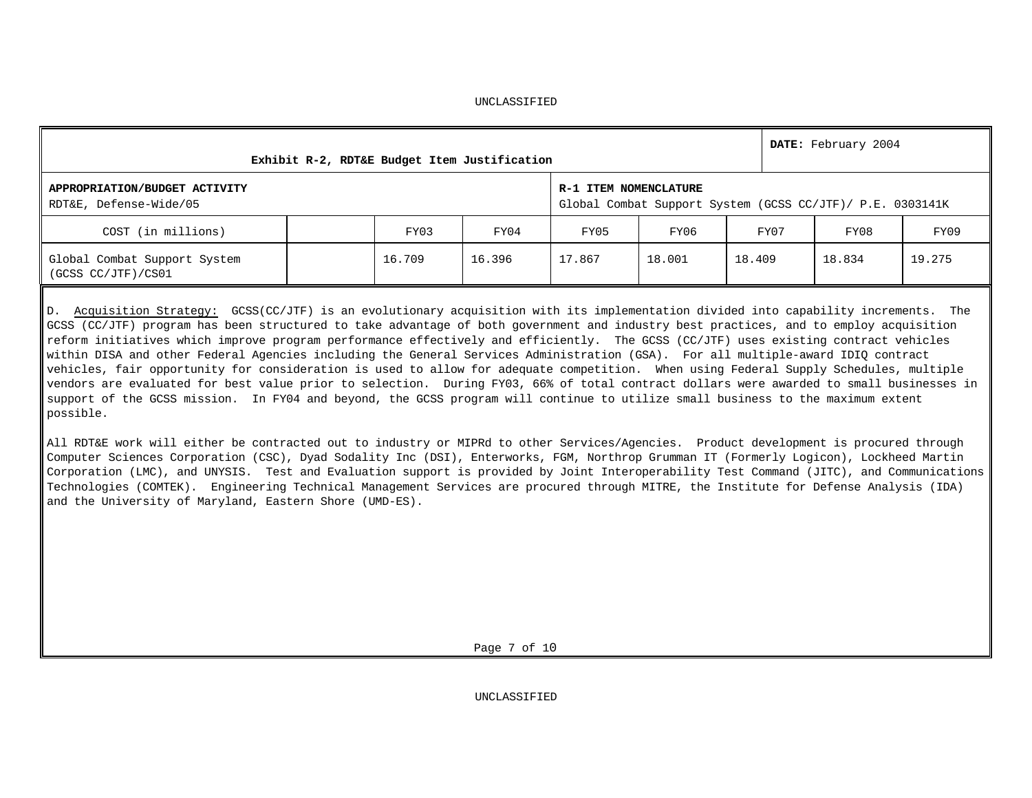| Exhibit R-2, RDT&E Budget Item Justification            |        | DATE: February 2004 |        |                                                                                    |        |        |        |  |  |  |
|---------------------------------------------------------|--------|---------------------|--------|------------------------------------------------------------------------------------|--------|--------|--------|--|--|--|
| APPROPRIATION/BUDGET ACTIVITY<br>RDT&E, Defense-Wide/05 |        |                     |        | R-1 ITEM NOMENCLATURE<br>Global Combat Support System (GCSS CC/JTF)/ P.E. 0303141K |        |        |        |  |  |  |
| COST (in millions)                                      | FY03   | FY04                | FY05   | FY06                                                                               | FY07   | FY08   | FY09   |  |  |  |
| Global Combat Support System<br>(GCSS CC/JTF)/CS01      | 16.709 | 16.396              | 17.867 | 18.001                                                                             | 18.409 | 18.834 | 19.275 |  |  |  |

D. Acquisition Strategy: GCSS(CC/JTF) is an evolutionary acquisition with its implementation divided into capability increments. The GCSS (CC/JTF) program has been structured to take advantage of both government and industry best practices, and to employ acquisition reform initiatives which improve program performance effectively and efficiently. The GCSS (CC/JTF) uses existing contract vehicles within DISA and other Federal Agencies including the General Services Administration (GSA). For all multiple-award IDIQ contract vehicles, fair opportunity for consideration is used to allow for adequate competition. When using Federal Supply Schedules, multiple vendors are evaluated for best value prior to selection. During FY03, 66% of total contract dollars were awarded to small businesses in support of the GCSS mission. In FY04 and beyond, the GCSS program will continue to utilize small business to the maximum extent possible.

All RDT&E work will either be contracted out to industry or MIPRd to other Services/Agencies. Product development is procured through Computer Sciences Corporation (CSC), Dyad Sodality Inc (DSI), Enterworks, FGM, Northrop Grumman IT (Formerly Logicon), Lockheed Martin Corporation (LMC), and UNYSIS. Test and Evaluation support is provided by Joint Interoperability Test Command (JITC), and Communications Technologies (COMTEK). Engineering Technical Management Services are procured through MITRE, the Institute for Defense Analysis (IDA) and the University of Maryland, Eastern Shore (UMD-ES).

Page 7 of 10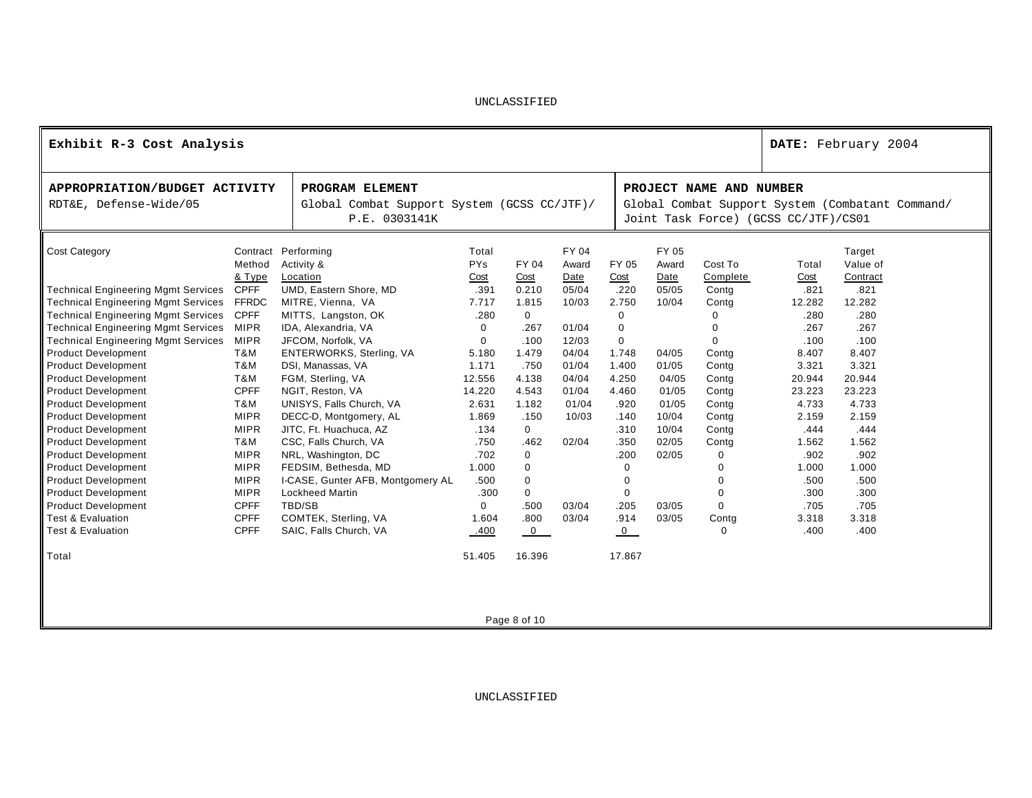| Exhibit R-3 Cost Analysis                                                                                                                                                                                                                                                                                                                                                                              |                                                                                                                                                                         |                                                                                                                                                                                                                                                                                                                          |                                                                                                                  |                                                                                                                                                      |                                                                              |                                                                                                         |                                                                                                                     |                                                                                                                          |                                                                                                               | DATE: February 2004                                                                                           |  |  |
|--------------------------------------------------------------------------------------------------------------------------------------------------------------------------------------------------------------------------------------------------------------------------------------------------------------------------------------------------------------------------------------------------------|-------------------------------------------------------------------------------------------------------------------------------------------------------------------------|--------------------------------------------------------------------------------------------------------------------------------------------------------------------------------------------------------------------------------------------------------------------------------------------------------------------------|------------------------------------------------------------------------------------------------------------------|------------------------------------------------------------------------------------------------------------------------------------------------------|------------------------------------------------------------------------------|---------------------------------------------------------------------------------------------------------|---------------------------------------------------------------------------------------------------------------------|--------------------------------------------------------------------------------------------------------------------------|---------------------------------------------------------------------------------------------------------------|---------------------------------------------------------------------------------------------------------------|--|--|
| APPROPRIATION/BUDGET ACTIVITY<br>RDT&E, Defense-Wide/05                                                                                                                                                                                                                                                                                                                                                | PROGRAM ELEMENT<br>P.E. 0303141K                                                                                                                                        | Global Combat Support System (GCSS CC/JTF)/                                                                                                                                                                                                                                                                              |                                                                                                                  |                                                                                                                                                      |                                                                              |                                                                                                         | PROJECT NAME AND NUMBER<br>Global Combat Support System (Combatant Command/<br>Joint Task Force) (GCSS CC/JTF)/CS01 |                                                                                                                          |                                                                                                               |                                                                                                               |  |  |
| <b>Cost Category</b><br><b>Technical Engineering Mgmt Services</b><br><b>Technical Engineering Mgmt Services</b><br><b>Technical Engineering Mgmt Services</b><br><b>Technical Engineering Mgmt Services</b><br><b>Technical Engineering Mgmt Services</b><br><b>Product Development</b><br><b>Product Development</b>                                                                                 | Method<br>& Type<br><b>CPFF</b><br><b>FFRDC</b><br><b>CPFF</b><br><b>MIPR</b><br><b>MIPR</b><br>T&M<br>T&M                                                              | Contract Performing<br>Activity &<br>Location<br>UMD, Eastern Shore, MD<br>MITRE, Vienna, VA<br>MITTS, Langston, OK<br>IDA, Alexandria, VA<br>JFCOM, Norfolk, VA<br>ENTERWORKS, Sterling, VA<br>DSI, Manassas, VA                                                                                                        | Total<br><b>PYs</b><br>Cost<br>.391<br>7.717<br>.280<br>$\Omega$<br>0<br>5.180<br>1.171                          | FY 04<br>Cost<br>0.210<br>1.815<br>$\Omega$<br>.267<br>.100<br>1.479<br>.750                                                                         | FY 04<br>Award<br>Date<br>05/04<br>10/03<br>01/04<br>12/03<br>04/04<br>01/04 | FY 05<br>Cost<br>.220<br>2.750<br>$\Omega$<br>$\mathbf 0$<br>$\mathbf 0$<br>1.748<br>1.400              | FY 05<br>Award<br>Date<br>05/05<br>10/04<br>04/05<br>01/05                                                          | Cost To<br>Complete<br>Contg<br>Contg<br>$\Omega$<br>$\Omega$<br>Contg<br>Contg                                          | Total<br>Cost<br>.821<br>12.282<br>.280<br>.267<br>.100<br>8.407<br>3.321                                     | Target<br>Value of<br>Contract<br>.821<br>12.282<br>.280<br>.267<br>.100<br>8.407<br>3.321                    |  |  |
| <b>Product Development</b><br><b>Product Development</b><br><b>Product Development</b><br><b>Product Development</b><br><b>Product Development</b><br><b>Product Development</b><br><b>Product Development</b><br><b>Product Development</b><br><b>Product Development</b><br><b>Product Development</b><br><b>Product Development</b><br><b>Test &amp; Evaluation</b><br><b>Test &amp; Evaluation</b> | T&M<br><b>CPFF</b><br>T&M<br><b>MIPR</b><br><b>MIPR</b><br>T&M<br><b>MIPR</b><br><b>MIPR</b><br><b>MIPR</b><br><b>MIPR</b><br><b>CPFF</b><br><b>CPFF</b><br><b>CPFF</b> | FGM, Sterling, VA<br>NGIT, Reston, VA<br>UNISYS, Falls Church, VA<br>DECC-D, Montgomery, AL<br>JITC, Ft. Huachuca, AZ<br>CSC, Falls Church, VA<br>NRL, Washington, DC<br>FEDSIM, Bethesda, MD<br>I-CASE, Gunter AFB, Montgomery AL<br><b>Lockheed Martin</b><br>TBD/SB<br>COMTEK, Sterling, VA<br>SAIC, Falls Church, VA | 12.556<br>14.220<br>2.631<br>1.869<br>.134<br>.750<br>.702<br>1.000<br>.500<br>.300<br>$\Omega$<br>1.604<br>.400 | 4.138<br>4.543<br>1.182<br>.150<br>$\mathbf 0$<br>.462<br>$\mathbf 0$<br>$\mathbf 0$<br>$\mathbf 0$<br>$\mathbf 0$<br>.500<br>.800<br>$\overline{0}$ | 04/04<br>01/04<br>01/04<br>10/03<br>02/04<br>03/04<br>03/04                  | 4.250<br>4.460<br>.920<br>.140<br>.310<br>.350<br>.200<br>0<br>0<br>0<br>.205<br>.914<br>$\overline{0}$ | 04/05<br>01/05<br>01/05<br>10/04<br>10/04<br>02/05<br>02/05<br>03/05<br>03/05                                       | Contg<br>Contg<br>Contg<br>Contg<br>Contg<br>Contg<br>$\mathbf 0$<br>0<br>$\Omega$<br>0<br>$\Omega$<br>Contg<br>$\Omega$ | 20.944<br>23.223<br>4.733<br>2.159<br>.444<br>1.562<br>.902<br>1.000<br>.500<br>.300<br>.705<br>3.318<br>.400 | 20.944<br>23.223<br>4.733<br>2.159<br>.444<br>1.562<br>.902<br>1.000<br>.500<br>.300<br>.705<br>3.318<br>.400 |  |  |
| Total                                                                                                                                                                                                                                                                                                                                                                                                  |                                                                                                                                                                         |                                                                                                                                                                                                                                                                                                                          | 51.405                                                                                                           | 16.396                                                                                                                                               |                                                                              | 17.867                                                                                                  |                                                                                                                     |                                                                                                                          |                                                                                                               |                                                                                                               |  |  |

Page 8 of 10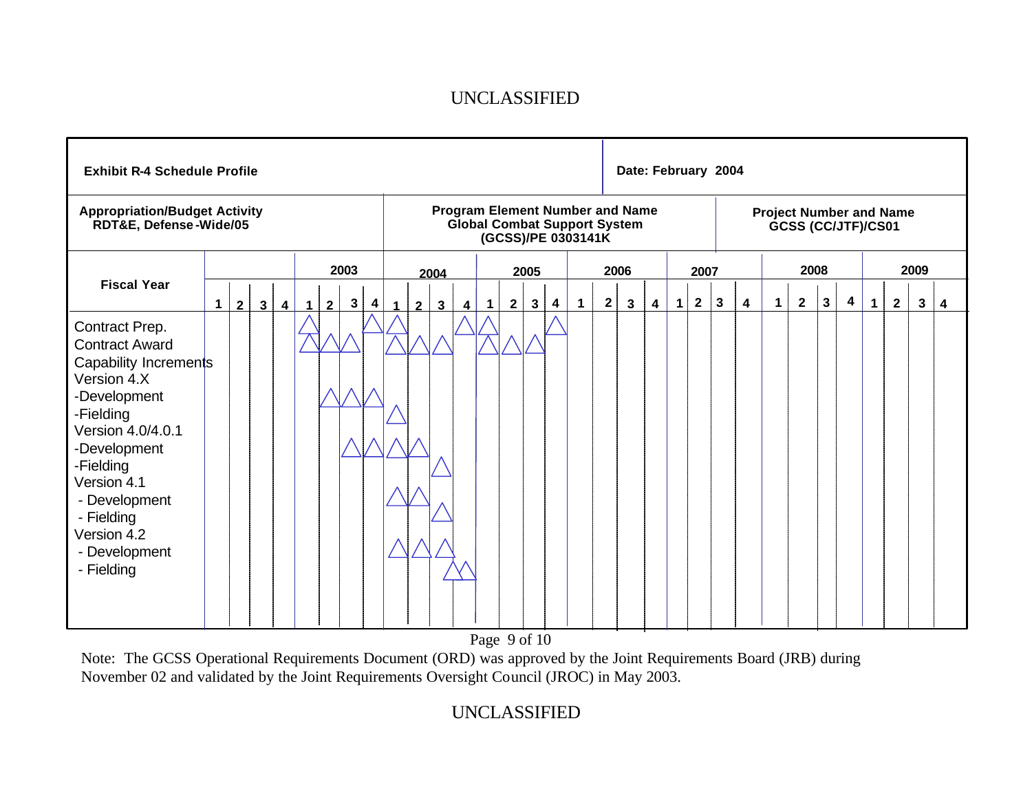| <b>Exhibit R-4 Schedule Profile</b>                                                                                                                                                                                                                        |                                                    |                                        |                                                                                                     | Date: February 2004                                                                              |                                                                                            |                                       |  |
|------------------------------------------------------------------------------------------------------------------------------------------------------------------------------------------------------------------------------------------------------------|----------------------------------------------------|----------------------------------------|-----------------------------------------------------------------------------------------------------|--------------------------------------------------------------------------------------------------|--------------------------------------------------------------------------------------------|---------------------------------------|--|
| <b>Appropriation/Budget Activity</b><br>RDT&E, Defense-Wide/05                                                                                                                                                                                             |                                                    |                                        | <b>Program Element Number and Name</b><br><b>Global Combat Support System</b><br>(GCSS)/PE 0303141K | <b>Project Number and Name</b><br>GCSS (CC/JTF)/CS01                                             |                                                                                            |                                       |  |
|                                                                                                                                                                                                                                                            | 2003                                               | 2004                                   | 2005                                                                                                | 2006<br>2007                                                                                     | 2008                                                                                       | 2009                                  |  |
| <b>Fiscal Year</b><br>2 <sup>1</sup><br>$\mathbf 1$<br>$\mathbf{3}$<br>$\overline{\mathbf{4}}$                                                                                                                                                             | $\mathbf{3}$<br>4<br>$\overline{2}$<br>$\mathbf 1$ | $\mathbf{3}$<br>$\mathbf{z}$<br>4<br>1 | $\mathbf{1}$<br>$\mathbf{3}$<br>$\overline{\mathbf{4}}$<br>2 <sup>2</sup><br>$\mathbf 1$            | 2 <sub>1</sub><br>$\overline{2}$<br>$\overline{\mathbf{3}}$<br>$\mathbf{1}$<br>$\mathbf{3}$<br>4 | $\mathbf{2}$<br>$\mathbf{3}$<br>$\overline{\mathbf{4}}$<br>$\boldsymbol{4}$<br>$\mathbf 1$ | $\mathbf{2}$<br>$\mathbf 1$<br>3<br>4 |  |
| Contract Prep.<br><b>Contract Award</b><br>Capability Increments<br>Version 4.X<br>-Development<br>-Fielding<br>Version 4.0/4.0.1<br>-Development<br>-Fielding<br>Version 4.1<br>- Development<br>- Fielding<br>Version 4.2<br>- Development<br>- Fielding |                                                    |                                        |                                                                                                     |                                                                                                  |                                                                                            |                                       |  |

Page 9 of 10

Note: The GCSS Operational Requirements Document (ORD) was approved by the Joint Requirements Board (JRB) during November 02 and validated by the Joint Requirements Oversight Council (JROC) in May 2003.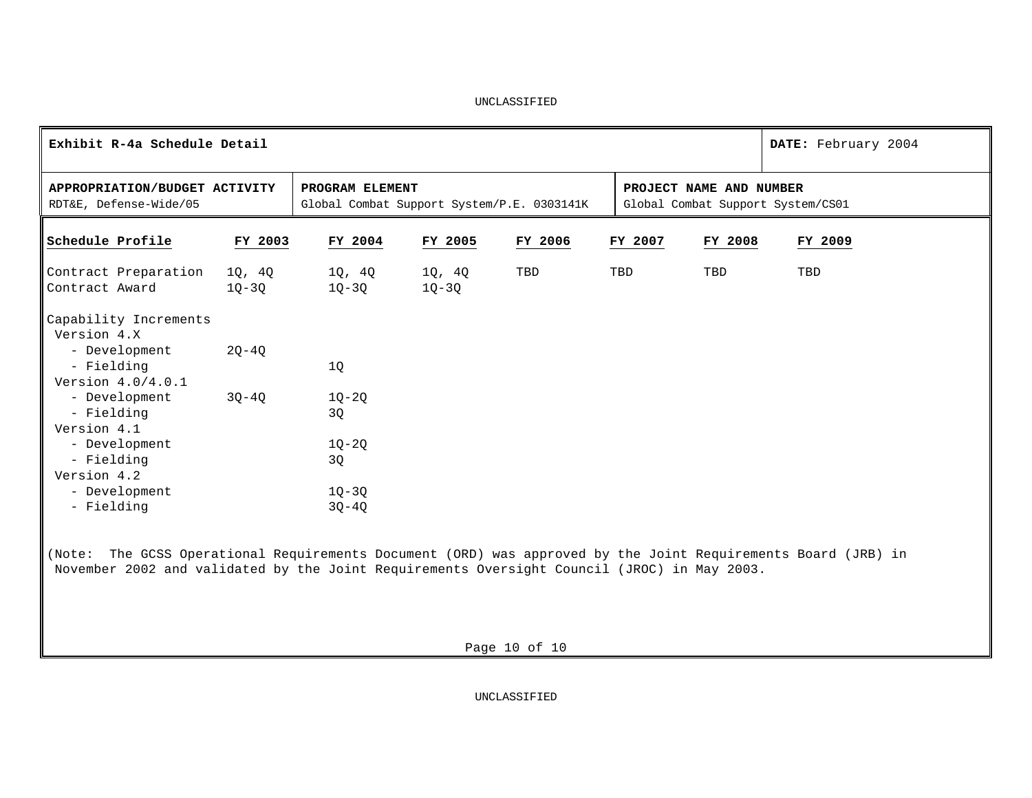| Exhibit R-4a Schedule Detail                                                                                                                                                                                 | DATE: February 2004 |                                                               |                 |         |                         |                                   |         |         |  |
|--------------------------------------------------------------------------------------------------------------------------------------------------------------------------------------------------------------|---------------------|---------------------------------------------------------------|-----------------|---------|-------------------------|-----------------------------------|---------|---------|--|
| APPROPRIATION/BUDGET ACTIVITY<br>RDT&E, Defense-Wide/05                                                                                                                                                      |                     | PROGRAM ELEMENT<br>Global Combat Support System/P.E. 0303141K |                 |         | PROJECT NAME AND NUMBER | Global Combat Support System/CS01 |         |         |  |
| Schedule Profile                                                                                                                                                                                             | FY 2003             | FY 2004                                                       | FY 2005         | FY 2006 |                         | FY 2007                           | FY 2008 | FY 2009 |  |
| Contract Preparation<br>Contract Award                                                                                                                                                                       | 1Q, 4Q<br>10-30     | 1Q, 4Q<br>1Q-3Q                                               | 10, 40<br>1Q-3Q | TBD     |                         | TBD                               | TBD     | TBD     |  |
| Capability Increments<br>Version 4.X                                                                                                                                                                         |                     |                                                               |                 |         |                         |                                   |         |         |  |
| - Development<br>- Fielding<br>Version 4.0/4.0.1                                                                                                                                                             | $2Q - 4Q$           | 1Q                                                            |                 |         |                         |                                   |         |         |  |
| - Development<br>- Fielding<br>Version 4.1                                                                                                                                                                   | $30 - 40$           | $1Q-2Q$<br>3Q                                                 |                 |         |                         |                                   |         |         |  |
| - Development<br>- Fielding<br>Version 4.2                                                                                                                                                                   |                     | $1Q - 2Q$<br>3Q                                               |                 |         |                         |                                   |         |         |  |
| - Development<br>- Fielding                                                                                                                                                                                  |                     | $1Q-3Q$<br>$3Q - 4Q$                                          |                 |         |                         |                                   |         |         |  |
| (Note: The GCSS Operational Requirements Document (ORD) was approved by the Joint Requirements Board (JRB) in<br>November 2002 and validated by the Joint Requirements Oversight Council (JROC) in May 2003. |                     |                                                               |                 |         |                         |                                   |         |         |  |

Page 10 of 10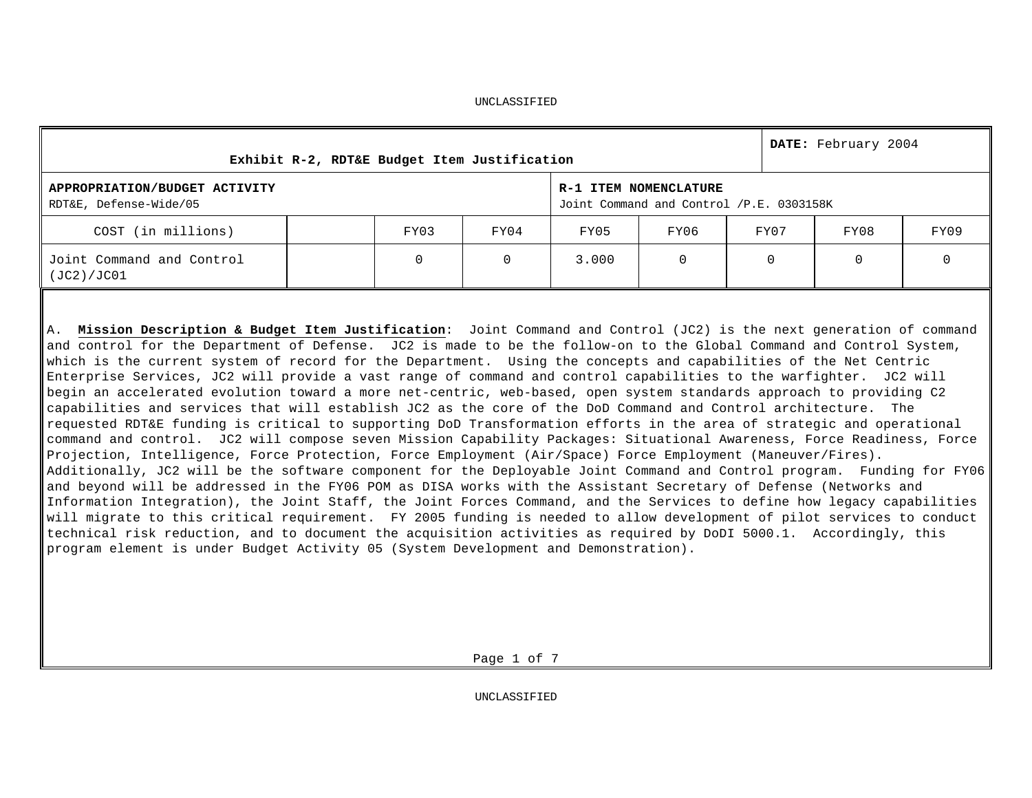**Exhibit R-2, RDT&E Budget Item Justification DATE:** February 2004 **APPROPRIATION/BUDGET ACTIVITY** RDT&E, Defense-Wide/05 **R-1 ITEM NOMENCLATURE** Joint Command and Control /P.E. 0303158K COST (in millions) FY03 FY04 FY05 FY06 FY07 FY08 FY09 Joint Command and Control (JC2)/JC01 0 0 3.000 0 0 0 0 0

UNCLASSIFIED

A. **Mission Description & Budget Item Justification**: Joint Command and Control (JC2) is the next generation of command and control for the Department of Defense. JC2 is made to be the follow-on to the Global Command and Control System, which is the current system of record for the Department. Using the concepts and capabilities of the Net Centric Enterprise Services, JC2 will provide a vast range of command and control capabilities to the warfighter. JC2 will begin an accelerated evolution toward a more net-centric, web-based, open system standards approach to providing C2 capabilities and services that will establish JC2 as the core of the DoD Command and Control architecture. The requested RDT&E funding is critical to supporting DoD Transformation efforts in the area of strategic and operational command and control. JC2 will compose seven Mission Capability Packages: Situational Awareness, Force Readiness, Force Projection, Intelligence, Force Protection, Force Employment (Air/Space) Force Employment (Maneuver/Fires). Additionally, JC2 will be the software component for the Deployable Joint Command and Control program. Funding for FY06 and beyond will be addressed in the FY06 POM as DISA works with the Assistant Secretary of Defense (Networks and Information Integration), the Joint Staff, the Joint Forces Command, and the Services to define how legacy capabilities will migrate to this critical requirement. FY 2005 funding is needed to allow development of pilot services to conduct technical risk reduction, and to document the acquisition activities as required by DoDI 5000.1. Accordingly, this program element is under Budget Activity 05 (System Development and Demonstration).

Page 1 of 7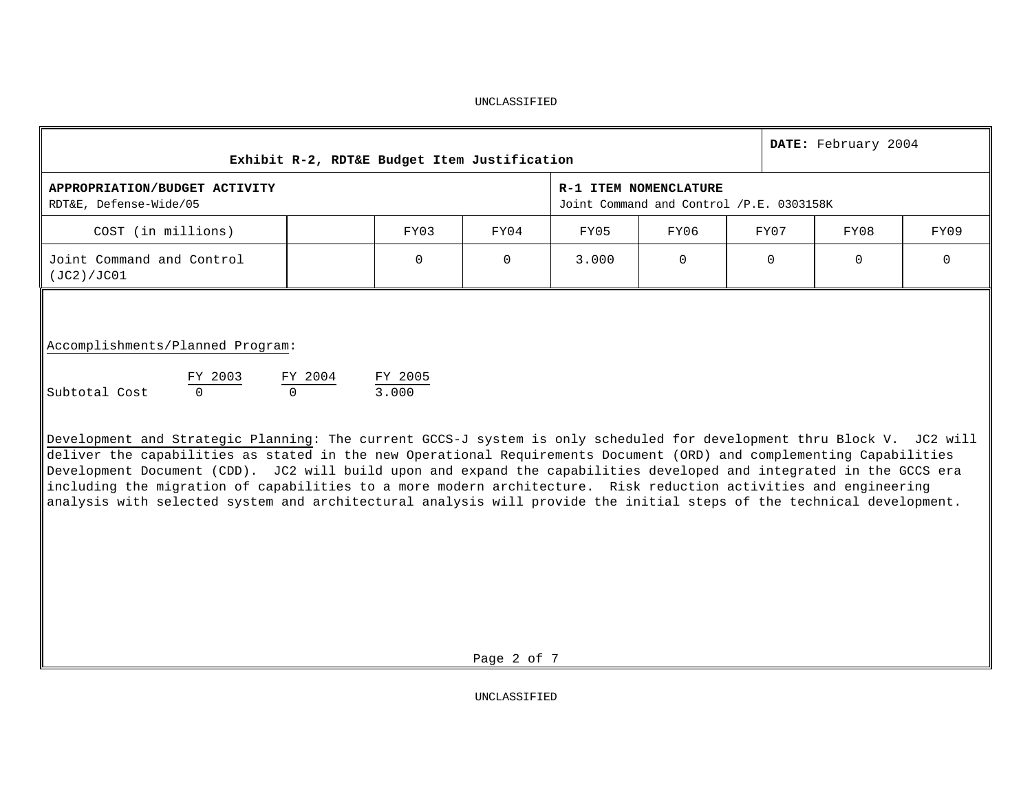| Exhibit R-2, RDT&E Budget Item Justification                                                                                                                                                                                                                                                                                                                                                                                                                                                                                                                                                                                                                                                                                                      |  | DATE: February 2004 |          |       |                                                                   |  |          |          |          |  |  |  |
|---------------------------------------------------------------------------------------------------------------------------------------------------------------------------------------------------------------------------------------------------------------------------------------------------------------------------------------------------------------------------------------------------------------------------------------------------------------------------------------------------------------------------------------------------------------------------------------------------------------------------------------------------------------------------------------------------------------------------------------------------|--|---------------------|----------|-------|-------------------------------------------------------------------|--|----------|----------|----------|--|--|--|
| APPROPRIATION/BUDGET ACTIVITY<br>RDT&E, Defense-Wide/05                                                                                                                                                                                                                                                                                                                                                                                                                                                                                                                                                                                                                                                                                           |  |                     |          |       | R-1 ITEM NOMENCLATURE<br>Joint Command and Control /P.E. 0303158K |  |          |          |          |  |  |  |
| COST (in millions)                                                                                                                                                                                                                                                                                                                                                                                                                                                                                                                                                                                                                                                                                                                                |  | FY03                | FY04     | FY05  | FY06                                                              |  | FY07     | FY08     | FY09     |  |  |  |
| Joint Command and Control<br>(JC2)/JC01                                                                                                                                                                                                                                                                                                                                                                                                                                                                                                                                                                                                                                                                                                           |  | $\Omega$            | $\Omega$ | 3.000 | $\Omega$                                                          |  | $\Omega$ | $\Omega$ | $\Omega$ |  |  |  |
| Accomplishments/Planned Program:<br>$\frac{FY - 2003}{0}$ $\frac{FY - 2004}{0}$ $\frac{FY - 2005}{3,000}$<br>Subtotal Cost<br>Development and Strategic Planning: The current GCCS-J system is only scheduled for development thru Block V. JC2 will<br>deliver the capabilities as stated in the new Operational Requirements Document (ORD) and complementing Capabilities<br>Development Document (CDD). JC2 will build upon and expand the capabilities developed and integrated in the GCCS era<br>including the migration of capabilities to a more modern architecture. Risk reduction activities and engineering<br>analysis with selected system and architectural analysis will provide the initial steps of the technical development. |  |                     |          |       |                                                                   |  |          |          |          |  |  |  |

UNCLASSIFIED

Page 2 of 7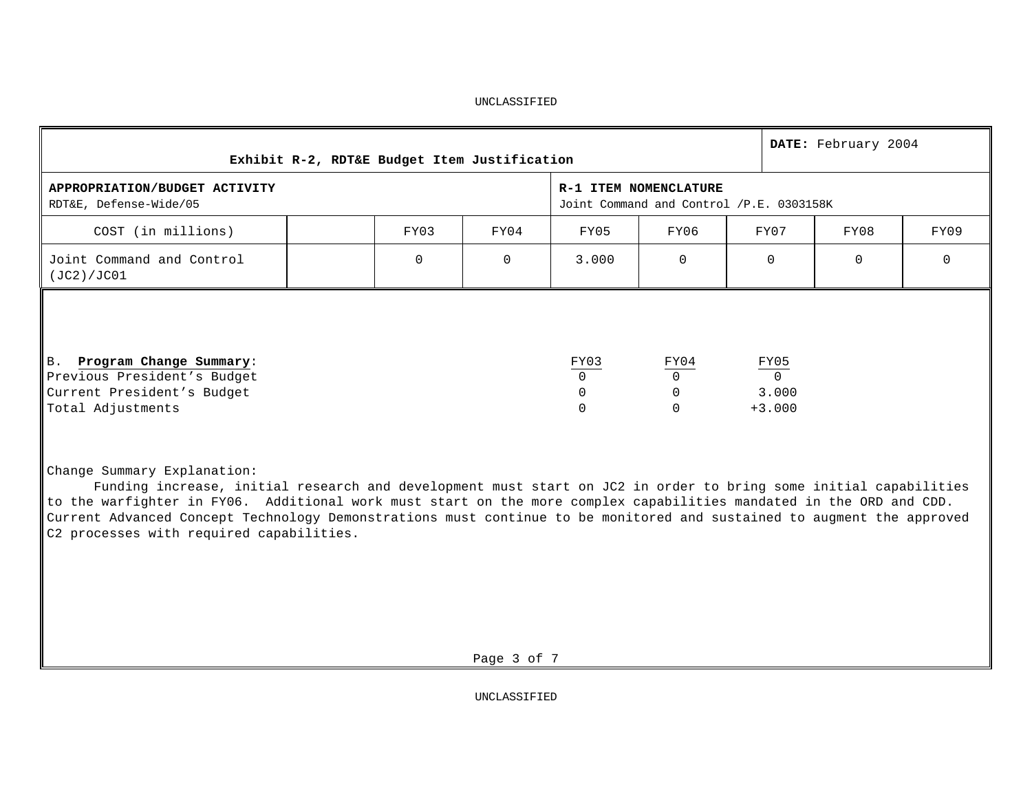| Exhibit R-2, RDT&E Budget Item Justification                                                                 |                                                                   |          |          |                                                |                              |  |                                       | DATE: February 2004 |      |
|--------------------------------------------------------------------------------------------------------------|-------------------------------------------------------------------|----------|----------|------------------------------------------------|------------------------------|--|---------------------------------------|---------------------|------|
| APPROPRIATION/BUDGET ACTIVITY<br>RDT&E, Defense-Wide/05                                                      | R-1 ITEM NOMENCLATURE<br>Joint Command and Control /P.E. 0303158K |          |          |                                                |                              |  |                                       |                     |      |
| COST (in millions)                                                                                           |                                                                   | FY03     | FY04     | FY05                                           | FY06                         |  | FY07                                  | FY08                | FY09 |
| Joint Command and Control<br>(JC2)/JC01                                                                      |                                                                   | $\Omega$ | $\Omega$ | 3.000                                          | $\Omega$                     |  | $\Omega$                              | $\Omega$            | 0    |
| B. Program Change Summary:<br>Previous President's Budget<br>Current President's Budget<br>Total Adjustments |                                                                   |          |          | FY03<br>$\Omega$<br>$\mathbf 0$<br>$\mathbf 0$ | FY04<br>$\Omega$<br>$\Omega$ |  | $\frac{FY05}{0}$<br>3.000<br>$+3.000$ |                     |      |

Change Summary Explanation:

Funding increase, initial research and development must start on JC2 in order to bring some initial capabilities to the warfighter in FY06. Additional work must start on the more complex capabilities mandated in the ORD and CDD. Current Advanced Concept Technology Demonstrations must continue to be monitored and sustained to augment the approved C2 processes with required capabilities.

Page 3 of 7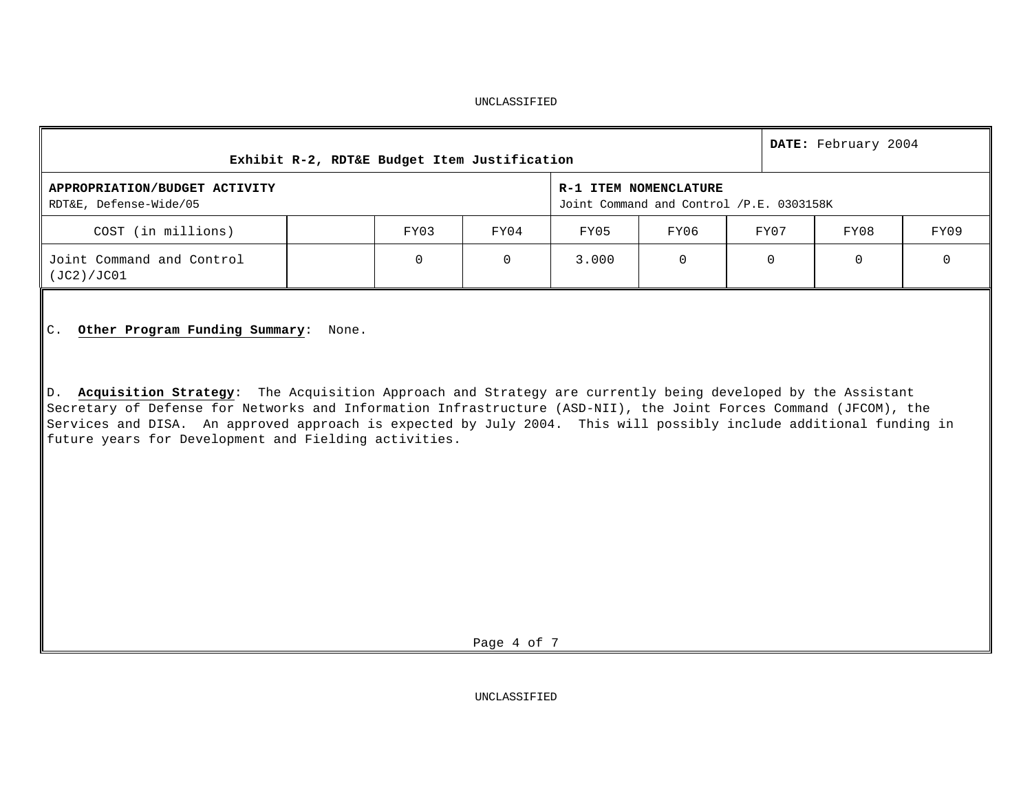|                                                         |  | DATE: February 2004<br>Exhibit R-2, RDT&E Budget Item Justification<br>R-1 ITEM NOMENCLATURE<br>Joint Command and Control /P.E. 0303158K |          |       |      |          |      |      |  |  |
|---------------------------------------------------------|--|------------------------------------------------------------------------------------------------------------------------------------------|----------|-------|------|----------|------|------|--|--|
| APPROPRIATION/BUDGET ACTIVITY<br>RDT&E, Defense-Wide/05 |  |                                                                                                                                          |          |       |      |          |      |      |  |  |
| COST (in millions)                                      |  | FY03                                                                                                                                     | FY04     | FY05  | FY06 | FY07     | FY08 | FY09 |  |  |
| Joint Command and Control<br>(JC2)/JC01                 |  | $\Omega$                                                                                                                                 | $\Omega$ | 3.000 |      | $\Omega$ |      |      |  |  |
|                                                         |  |                                                                                                                                          |          |       |      |          |      |      |  |  |

C. **Other Program Funding Summary**: None.

D. **Acquisition Strategy**: The Acquisition Approach and Strategy are currently being developed by the Assistant Secretary of Defense for Networks and Information Infrastructure (ASD-NII), the Joint Forces Command (JFCOM), the Services and DISA. An approved approach is expected by July 2004. This will possibly include additional funding in future years for Development and Fielding activities.

Page 4 of 7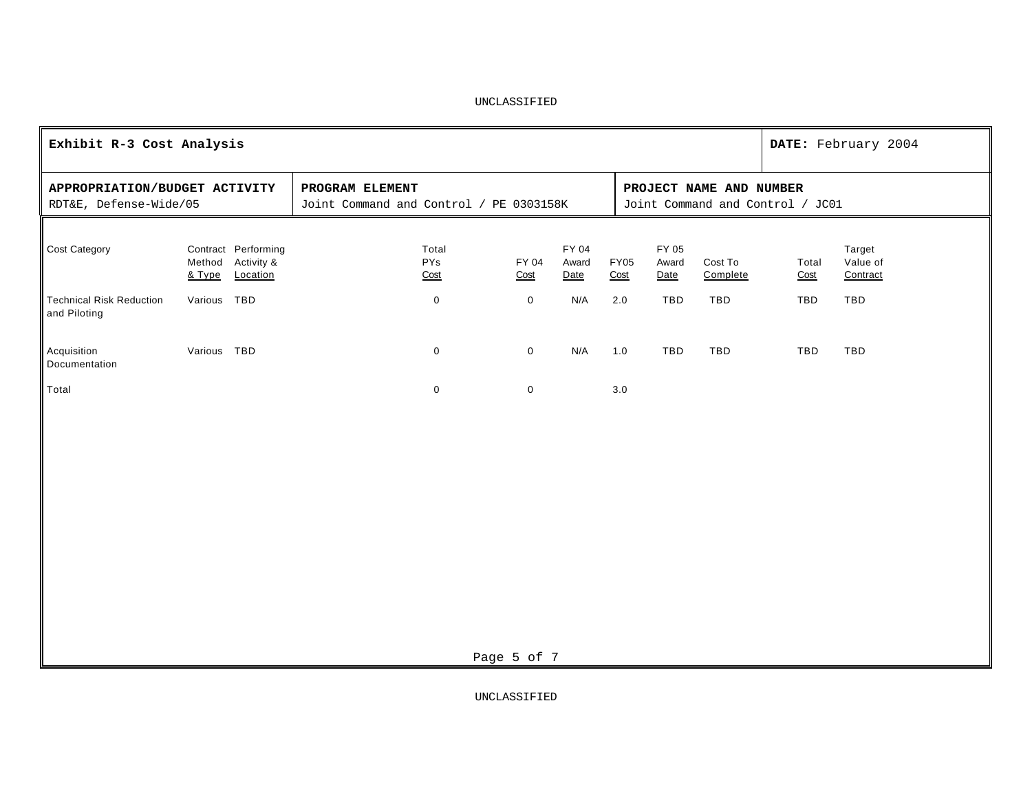|                                                         | Exhibit R-3 Cost Analysis |                                                      |                                                            |               |                        |      |             |                                                             |                     |               | DATE: February 2004            |  |  |
|---------------------------------------------------------|---------------------------|------------------------------------------------------|------------------------------------------------------------|---------------|------------------------|------|-------------|-------------------------------------------------------------|---------------------|---------------|--------------------------------|--|--|
| APPROPRIATION/BUDGET ACTIVITY<br>RDT&E, Defense-Wide/05 |                           |                                                      | PROGRAM ELEMENT<br>Joint Command and Control / PE 0303158K |               |                        |      |             | PROJECT NAME AND NUMBER<br>Joint Command and Control / JC01 |                     |               |                                |  |  |
| Cost Category                                           | & Type                    | Contract Performing<br>Method Activity &<br>Location | Total<br>PYs<br>Cost                                       | FY 04<br>Cost | FY 04<br>Award<br>Date | Cost | <b>FY05</b> | FY 05<br>Award<br>Date                                      | Cost To<br>Complete | Total<br>Cost | Target<br>Value of<br>Contract |  |  |
| <b>Technical Risk Reduction</b><br>and Piloting         | Various TBD               |                                                      | $\pmb{0}$                                                  | $\mathbf 0$   | N/A                    | 2.0  |             | TBD                                                         | TBD                 | TBD           | TBD                            |  |  |
| Acquisition<br>Documentation                            | Various TBD               |                                                      | $\mathbf 0$                                                | $\mathbf 0$   | N/A                    | 1.0  |             | TBD                                                         | TBD                 | TBD           | TBD                            |  |  |
| Total                                                   |                           |                                                      | $\mathbf 0$                                                | $\mathbf 0$   |                        | 3.0  |             |                                                             |                     |               |                                |  |  |
|                                                         |                           |                                                      |                                                            |               |                        |      |             |                                                             |                     |               |                                |  |  |
|                                                         | Page 5 of 7               |                                                      |                                                            |               |                        |      |             |                                                             |                     |               |                                |  |  |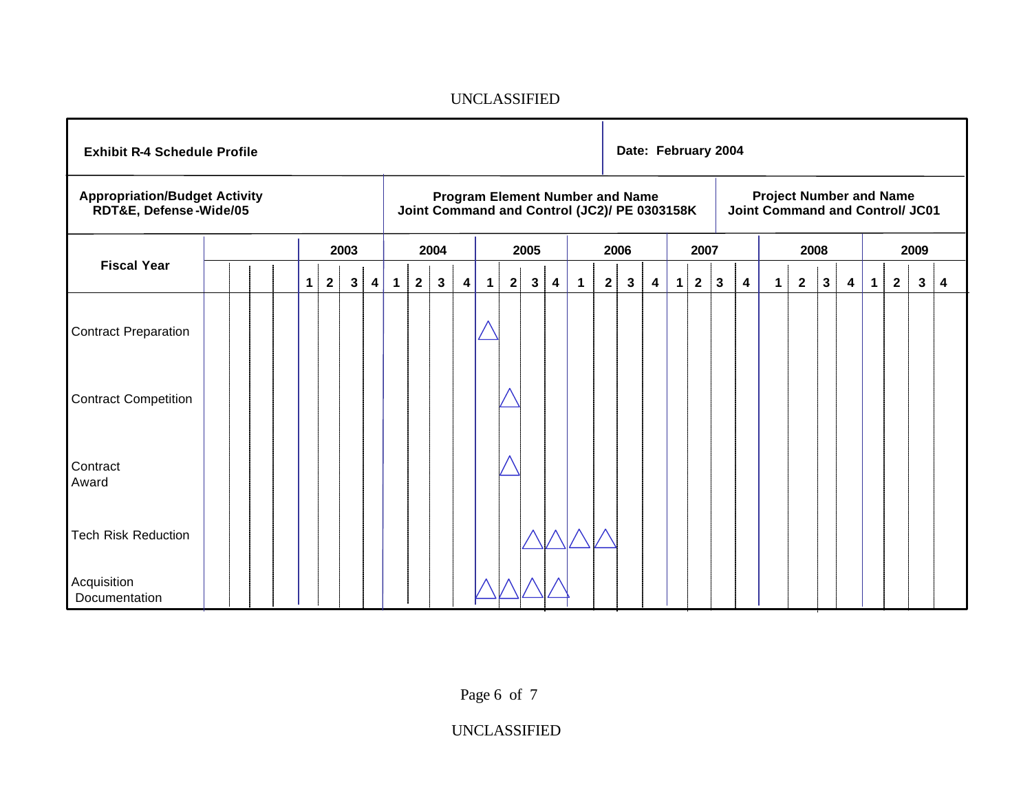|                                                                | <b>Exhibit R-4 Schedule Profile</b> |  |  |              |                         |              |                         | Date: February 2004 |              |              |                         |             |   |              |                         |                                                                                        |                |              |                         |             |              |   |   |                                                                          |                |              |                         |             |              |              |   |
|----------------------------------------------------------------|-------------------------------------|--|--|--------------|-------------------------|--------------|-------------------------|---------------------|--------------|--------------|-------------------------|-------------|---|--------------|-------------------------|----------------------------------------------------------------------------------------|----------------|--------------|-------------------------|-------------|--------------|---|---|--------------------------------------------------------------------------|----------------|--------------|-------------------------|-------------|--------------|--------------|---|
| <b>Appropriation/Budget Activity</b><br>RDT&E, Defense-Wide/05 |                                     |  |  |              |                         |              |                         |                     |              |              |                         |             |   |              |                         | <b>Program Element Number and Name</b><br>Joint Command and Control (JC2)/ PE 0303158K |                |              |                         |             |              |   |   | <b>Project Number and Name</b><br><b>Joint Command and Control/ JC01</b> |                |              |                         |             |              |              |   |
|                                                                |                                     |  |  |              |                         | 2003         |                         |                     |              | 2004         |                         |             |   | 2005         |                         |                                                                                        |                | 2006         |                         |             | 2007         |   |   |                                                                          | 2008           |              |                         |             |              | 2009         |   |
| <b>Fiscal Year</b>                                             |                                     |  |  | $\mathbf{1}$ | $\overline{\mathbf{2}}$ | $\mathbf{3}$ | $\overline{\mathbf{4}}$ | $\mathbf 1$         | $\mathbf{2}$ | $\mathbf{3}$ | $\overline{\mathbf{4}}$ | $\mathbf 1$ | 2 | $\mathbf{3}$ | $\overline{\mathbf{4}}$ | $\mathbf{1}$                                                                           | 2 <sup>1</sup> | $\mathbf{3}$ | $\overline{\mathbf{4}}$ | $\mathbf 1$ | $\mathbf{2}$ | 3 | 4 | $1 \mid$                                                                 | $\overline{2}$ | $\mathbf{3}$ | $\overline{\mathbf{4}}$ | $\mathbf 1$ | $\mathbf{2}$ | $\mathbf{3}$ | 4 |
| Contract Preparation                                           |                                     |  |  |              |                         |              |                         |                     |              |              |                         |             |   |              |                         |                                                                                        |                |              |                         |             |              |   |   |                                                                          |                |              |                         |             |              |              |   |
| <b>Contract Competition</b>                                    |                                     |  |  |              |                         |              |                         |                     |              |              |                         |             |   |              |                         |                                                                                        |                |              |                         |             |              |   |   |                                                                          |                |              |                         |             |              |              |   |
| Contract<br>Award                                              |                                     |  |  |              |                         |              |                         |                     |              |              |                         |             |   |              |                         |                                                                                        |                |              |                         |             |              |   |   |                                                                          |                |              |                         |             |              |              |   |
| <b>Tech Risk Reduction</b>                                     |                                     |  |  |              |                         |              |                         |                     |              |              |                         |             |   |              |                         |                                                                                        |                |              |                         |             |              |   |   |                                                                          |                |              |                         |             |              |              |   |
| Acquisition<br>Documentation                                   |                                     |  |  |              |                         |              |                         |                     |              |              |                         |             |   |              |                         |                                                                                        |                |              |                         |             |              |   |   |                                                                          |                |              |                         |             |              |              |   |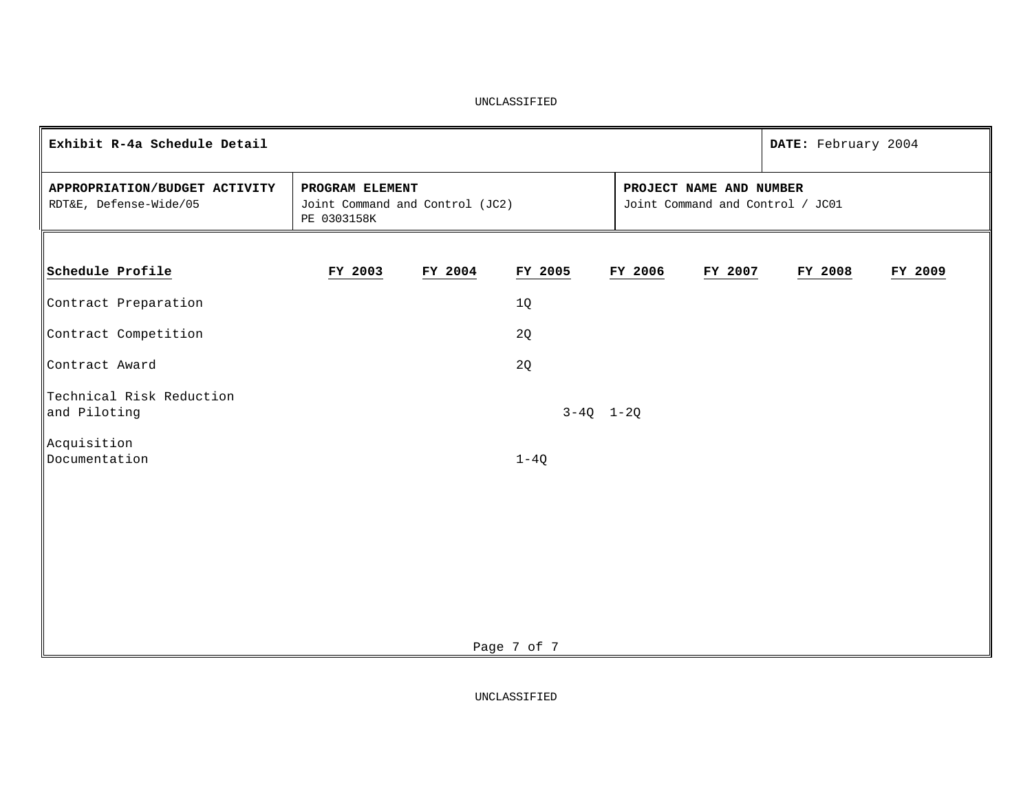| Exhibit R-4a Schedule Detail                            |                                                                   |         |               |  |                                                             |         |  |         |         |
|---------------------------------------------------------|-------------------------------------------------------------------|---------|---------------|--|-------------------------------------------------------------|---------|--|---------|---------|
| APPROPRIATION/BUDGET ACTIVITY<br>RDT&E, Defense-Wide/05 | PROGRAM ELEMENT<br>Joint Command and Control (JC2)<br>PE 0303158K |         |               |  | PROJECT NAME AND NUMBER<br>Joint Command and Control / JC01 |         |  |         |         |
|                                                         |                                                                   |         |               |  |                                                             |         |  |         |         |
| Schedule Profile                                        | FY 2003                                                           | FY 2004 | FY 2005       |  | FY 2006                                                     | FY 2007 |  | FY 2008 | FY 2009 |
| Contract Preparation                                    |                                                                   |         | 1Q            |  |                                                             |         |  |         |         |
| Contract Competition                                    |                                                                   |         | 2Q            |  |                                                             |         |  |         |         |
| Contract Award                                          |                                                                   |         | 2Q            |  |                                                             |         |  |         |         |
| Technical Risk Reduction<br>and Piloting                |                                                                   |         | $3-4Q$ $1-2Q$ |  |                                                             |         |  |         |         |
| Acquisition<br>Documentation                            |                                                                   |         | $1-4Q$        |  |                                                             |         |  |         |         |
|                                                         |                                                                   |         |               |  |                                                             |         |  |         |         |
|                                                         |                                                                   |         |               |  |                                                             |         |  |         |         |
|                                                         |                                                                   |         |               |  |                                                             |         |  |         |         |
|                                                         |                                                                   |         |               |  |                                                             |         |  |         |         |
|                                                         |                                                                   |         | Page 7 of 7   |  |                                                             |         |  |         |         |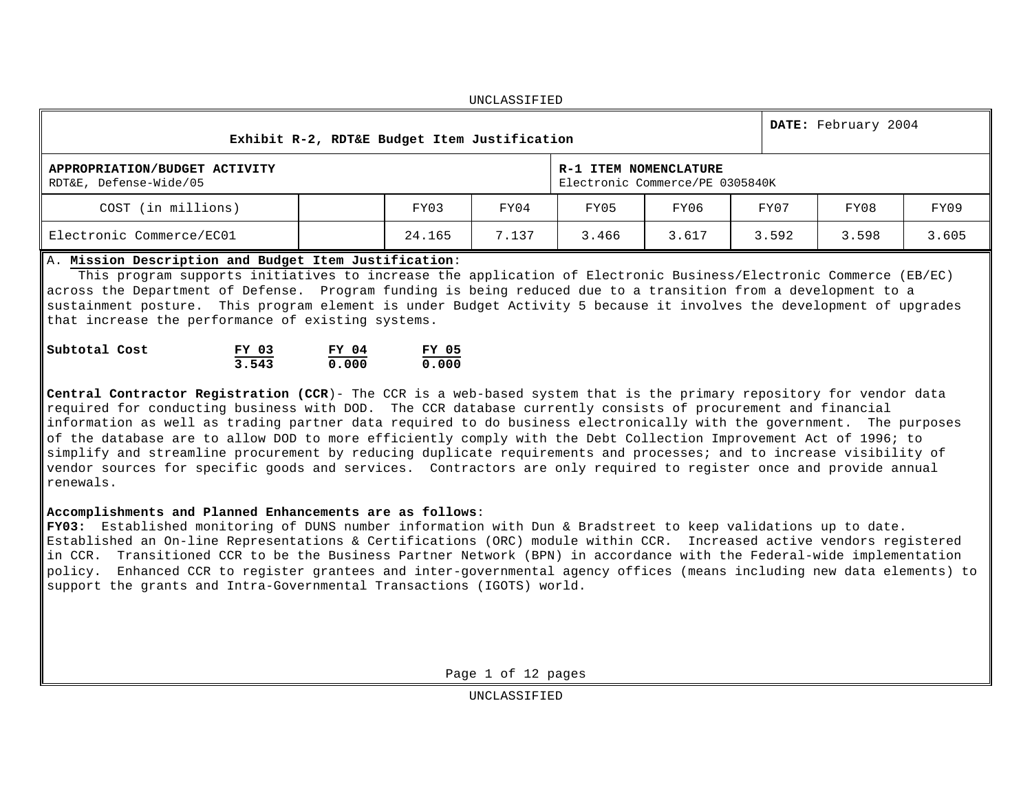UNCLASSIFIED **Exhibit R-2, RDT&E Budget Item Justification DATE:** February 2004 **APPROPRIATION/BUDGET ACTIVITY** RDT&E, Defense-Wide/05 **R-1 ITEM NOMENCLATURE** Electronic Commerce/PE 0305840K COST (in millions) FY03 FY04 FY05 FY06 FY07 FY08 FY09 Electronic Commerce/EC01 24.165 7.137 3.466 3.617 3.592 3.598 3.605

# A. **Mission Description and Budget Item Justification**:

 This program supports initiatives to increase the application of Electronic Business/Electronic Commerce (EB/EC) across the Department of Defense. Program funding is being reduced due to a transition from a development to a sustainment posture. This program element is under Budget Activity 5 because it involves the development of upgrades that increase the performance of existing systems.

| Subtotal Cost | FY 03 | FY 04 | FY 05 |  |
|---------------|-------|-------|-------|--|
|               | 3.543 | 0.000 | 0.000 |  |

**Central Contractor Registration (CCR**)- The CCR is a web-based system that is the primary repository for vendor data required for conducting business with DOD. The CCR database currently consists of procurement and financial information as well as trading partner data required to do business electronically with the government. The purposes of the database are to allow DOD to more efficiently comply with the Debt Collection Improvement Act of 1996; to simplify and streamline procurement by reducing duplicate requirements and processes; and to increase visibility of vendor sources for specific goods and services. Contractors are only required to register once and provide annual renewals.

# **Accomplishments and Planned Enhancements are as follows**:

**FY03:** Established monitoring of DUNS number information with Dun & Bradstreet to keep validations up to date. Established an On-line Representations & Certifications (ORC) module within CCR. Increased active vendors registered in CCR. Transitioned CCR to be the Business Partner Network (BPN) in accordance with the Federal-wide implementation policy. Enhanced CCR to register grantees and inter-governmental agency offices (means including new data elements) to support the grants and Intra-Governmental Transactions (IGOTS) world.

Page 1 of 12 pages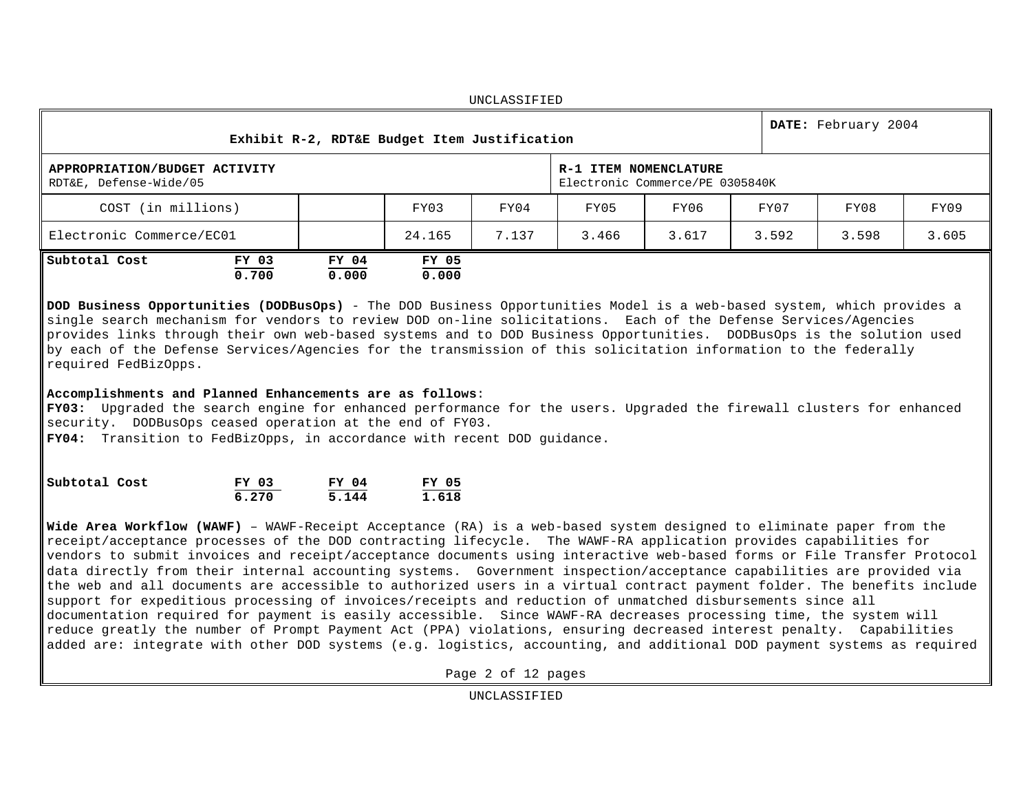| UNCLASSIFIED                                                                                                        |                |                |                |       |       |       |       |       |       |  |
|---------------------------------------------------------------------------------------------------------------------|----------------|----------------|----------------|-------|-------|-------|-------|-------|-------|--|
| DATE: February 2004<br>Exhibit R-2, RDT&E Budget Item Justification                                                 |                |                |                |       |       |       |       |       |       |  |
| R-1 ITEM NOMENCLATURE<br>APPROPRIATION/BUDGET ACTIVITY<br>RDT&E, Defense-Wide/05<br>Electronic Commerce/PE 0305840K |                |                |                |       |       |       |       |       |       |  |
| COST (in millions)                                                                                                  |                |                | FY03           | FY04  | FY05  | FY06  | FY07  | FY08  | FY09  |  |
| Electronic Commerce/EC01                                                                                            |                |                | 24.165         | 7.137 | 3.466 | 3.617 | 3.592 | 3.598 | 3.605 |  |
| Subtotal Cost                                                                                                       | FY 03<br>0.700 | FY 04<br>0.000 | FY 05<br>0.000 |       |       |       |       |       |       |  |

 $maxar a a \tau n \tau n$ 

**DOD Business Opportunities (DODBusOps)** - The DOD Business Opportunities Model is a web-based system, which provides a single search mechanism for vendors to review DOD on-line solicitations. Each of the Defense Services/Agencies provides links through their own web-based systems and to DOD Business Opportunities. DODBusOps is the solution used by each of the Defense Services/Agencies for the transmission of this solicitation information to the federally required FedBizOpps.

### **Accomplishments and Planned Enhancements are as follows**:

**FY03:** Upgraded the search engine for enhanced performance for the users. Upgraded the firewall clusters for enhanced security. DODBusOps ceased operation at the end of FY03.

**FY04:** Transition to FedBizOpps, in accordance with recent DOD guidance.

| Subtotal Cost | FY 03 | FY 04 | FY 05 |
|---------------|-------|-------|-------|
|               | 6.270 | 5.144 | 1.618 |

**Wide Area Workflow (WAWF)** – WAWF-Receipt Acceptance (RA) is a web-based system designed to eliminate paper from the receipt/acceptance processes of the DOD contracting lifecycle. The WAWF-RA application provides capabilities for vendors to submit invoices and receipt/acceptance documents using interactive web-based forms or File Transfer Protocol data directly from their internal accounting systems. Government inspection/acceptance capabilities are provided via the web and all documents are accessible to authorized users in a virtual contract payment folder. The benefits include support for expeditious processing of invoices/receipts and reduction of unmatched disbursements since all documentation required for payment is easily accessible. Since WAWF-RA decreases processing time, the system will reduce greatly the number of Prompt Payment Act (PPA) violations, ensuring decreased interest penalty. Capabilities added are: integrate with other DOD systems (e.g. logistics, accounting, and additional DOD payment systems as required

Page 2 of 12 pages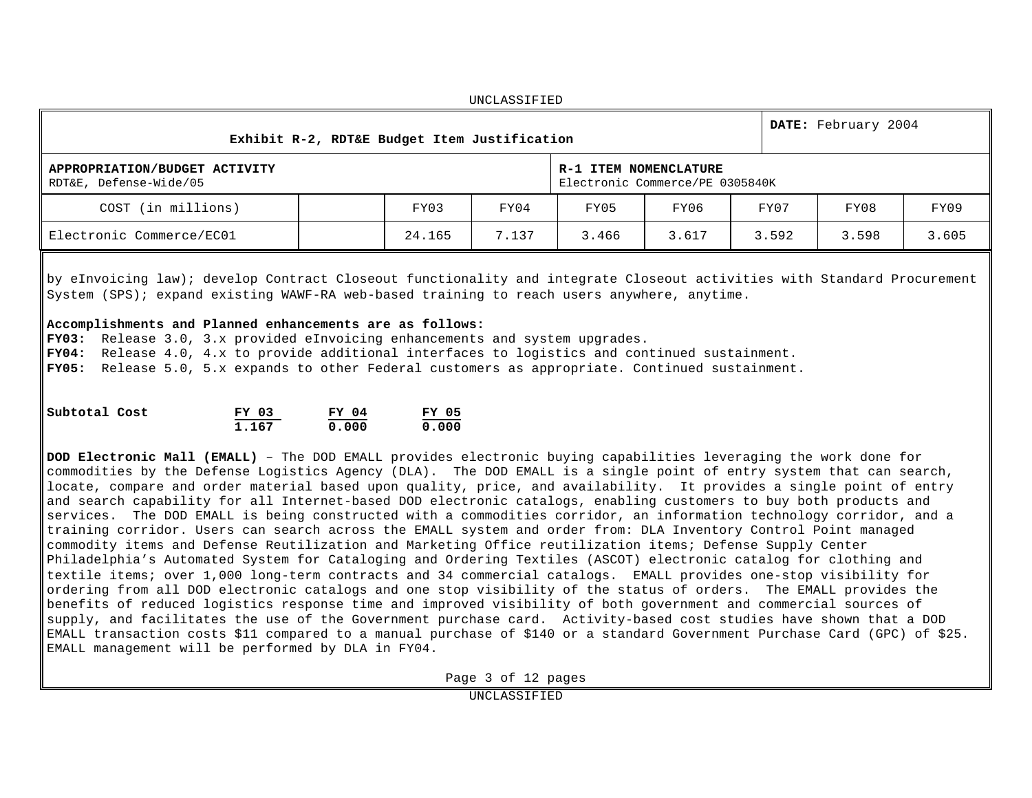UNCLASSIFIED **Exhibit R-2, RDT&E Budget Item Justification DATE:** February 2004 **APPROPRIATION/BUDGET ACTIVITY** RDT&E, Defense-Wide/05 **R-1 ITEM NOMENCLATURE** Electronic Commerce/PE 0305840K COST (in millions) FY03 FY04 FY05 FY06 FY07 FY08 FY09 Electronic Commerce/EC01 24.165 7.137 3.466 3.617 3.592 3.598 3.605

by eInvoicing law); develop Contract Closeout functionality and integrate Closeout activities with Standard Procurement System (SPS); expand existing WAWF-RA web-based training to reach users anywhere, anytime.

#### **Accomplishments and Planned enhancements are as follows:**

**FY03:** Release 3.0, 3.x provided eInvoicing enhancements and system upgrades. **FY04:** Release 4.0, 4.x to provide additional interfaces to logistics and continued sustainment. **FY05:** Release 5.0, 5.x expands to other Federal customers as appropriate. Continued sustainment.

| Subtotal Cost | FY 03 | FY 04 | FY 05 |
|---------------|-------|-------|-------|
|               | 1.167 | 0.000 | 0.000 |

**DOD Electronic Mall (EMALL)** – The DOD EMALL provides electronic buying capabilities leveraging the work done for commodities by the Defense Logistics Agency (DLA). The DOD EMALL is a single point of entry system that can search, locate, compare and order material based upon quality, price, and availability. It provides a single point of entry and search capability for all Internet-based DOD electronic catalogs, enabling customers to buy both products and services. The DOD EMALL is being constructed with a commodities corridor, an information technology corridor, and a training corridor. Users can search across the EMALL system and order from: DLA Inventory Control Point managed commodity items and Defense Reutilization and Marketing Office reutilization items; Defense Supply Center Philadelphia's Automated System for Cataloging and Ordering Textiles (ASCOT) electronic catalog for clothing and textile items; over 1,000 long-term contracts and 34 commercial catalogs. EMALL provides one-stop visibility for ordering from all DOD electronic catalogs and one stop visibility of the status of orders. The EMALL provides the benefits of reduced logistics response time and improved visibility of both government and commercial sources of supply, and facilitates the use of the Government purchase card. Activity-based cost studies have shown that a DOD EMALL transaction costs \$11 compared to a manual purchase of \$140 or a standard Government Purchase Card (GPC) of \$25. EMALL management will be performed by DLA in FY04.

Page 3 of 12 pages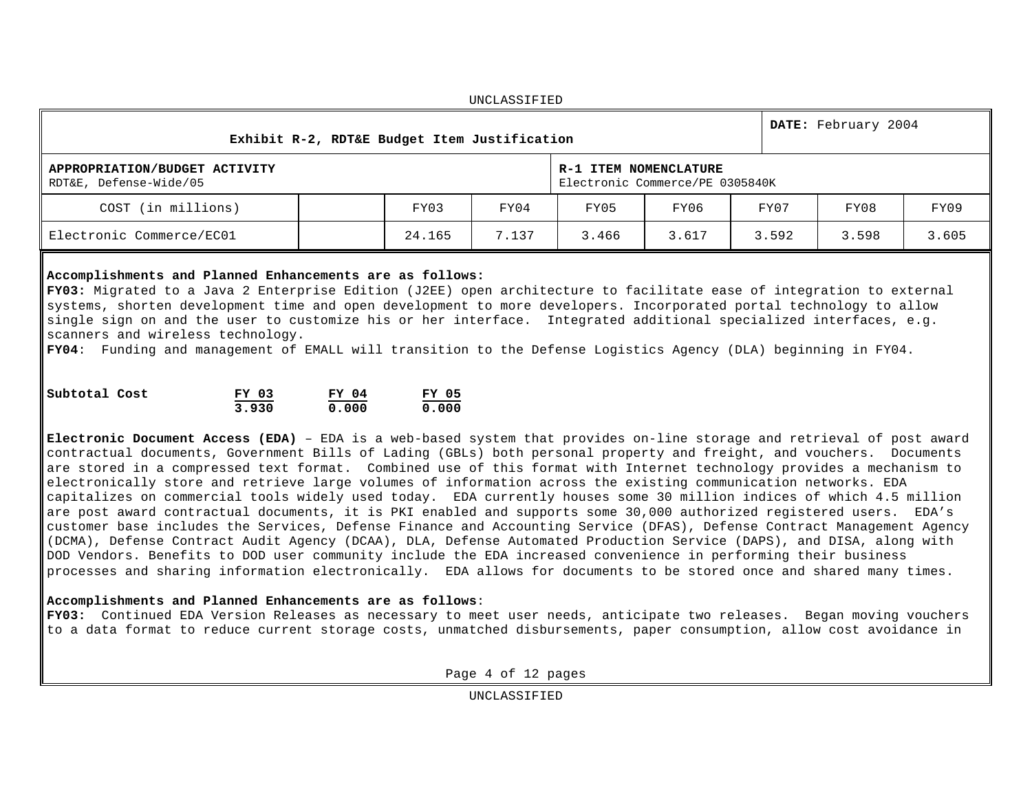| UNCLASSIFIED                                                        |  |                                                          |       |       |       |       |       |       |  |  |
|---------------------------------------------------------------------|--|----------------------------------------------------------|-------|-------|-------|-------|-------|-------|--|--|
| DATE: February 2004<br>Exhibit R-2, RDT&E Budget Item Justification |  |                                                          |       |       |       |       |       |       |  |  |
| APPROPRIATION/BUDGET ACTIVITY<br>RDT&E, Defense-Wide/05             |  | R-1 ITEM NOMENCLATURE<br>Electronic Commerce/PE 0305840K |       |       |       |       |       |       |  |  |
| COST (in millions)                                                  |  | FY03                                                     | FY04  | FY05  | FY06  | FY07  | FY08  | FY09  |  |  |
| Electronic Commerce/EC01                                            |  | 24.165                                                   | 7.137 | 3.466 | 3.617 | 3.592 | 3.598 | 3.605 |  |  |

 $maxar a a \tau = \tau$ 

#### **Accomplishments and Planned Enhancements are as follows:**

**FY03:** Migrated to a Java 2 Enterprise Edition (J2EE) open architecture to facilitate ease of integration to external systems, shorten development time and open development to more developers. Incorporated portal technology to allow single sign on and the user to customize his or her interface. Integrated additional specialized interfaces, e.g. scanners and wireless technology.

**FY04**: Funding and management of EMALL will transition to the Defense Logistics Agency (DLA) beginning in FY04.

| Subtotal Cost | FY 03 | FY 04 | FY 05 |
|---------------|-------|-------|-------|
|               | 3.930 | 0.000 | 0.000 |

**Electronic Document Access (EDA)** – EDA is a web-based system that provides on-line storage and retrieval of post award contractual documents, Government Bills of Lading (GBLs) both personal property and freight, and vouchers. Documents are stored in a compressed text format. Combined use of this format with Internet technology provides a mechanism to electronically store and retrieve large volumes of information across the existing communication networks. EDA capitalizes on commercial tools widely used today. EDA currently houses some 30 million indices of which 4.5 million are post award contractual documents, it is PKI enabled and supports some 30,000 authorized registered users. EDA's customer base includes the Services, Defense Finance and Accounting Service (DFAS), Defense Contract Management Agency (DCMA), Defense Contract Audit Agency (DCAA), DLA, Defense Automated Production Service (DAPS), and DISA, along with DOD Vendors. Benefits to DOD user community include the EDA increased convenience in performing their business processes and sharing information electronically. EDA allows for documents to be stored once and shared many times.

# **Accomplishments and Planned Enhancements are as follows**:

**FY03:** Continued EDA Version Releases as necessary to meet user needs, anticipate two releases. Began moving vouchers to a data format to reduce current storage costs, unmatched disbursements, paper consumption, allow cost avoidance in

Page 4 of 12 pages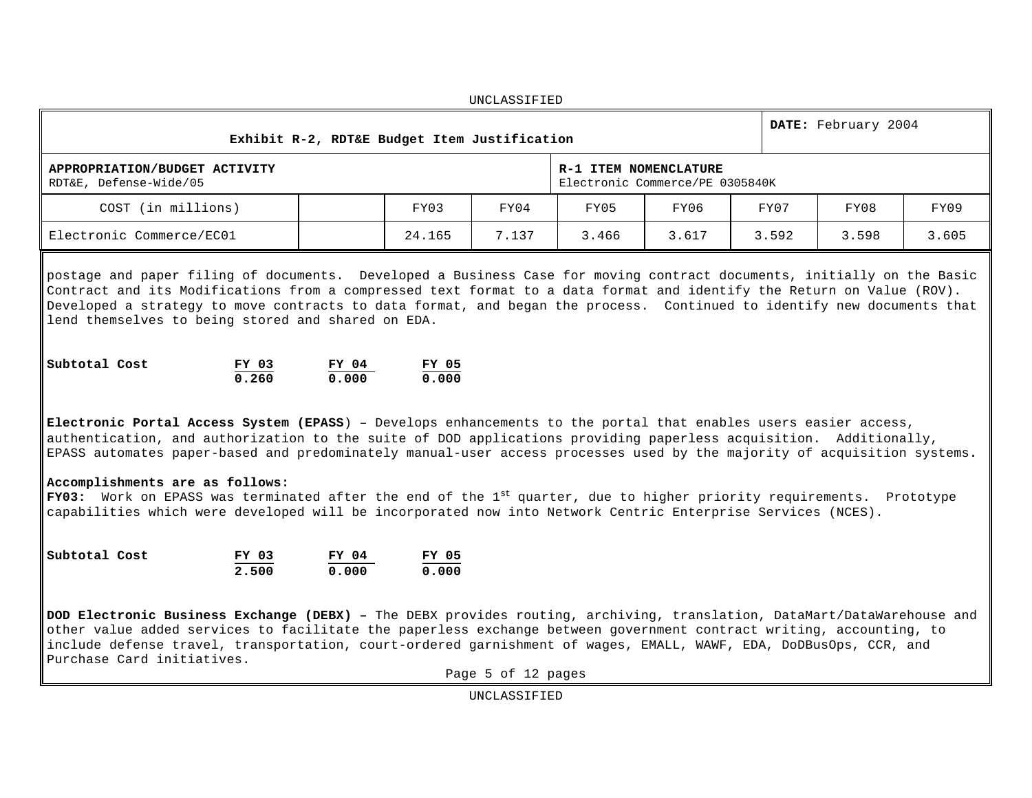UNCLASSIFIED **Exhibit R-2, RDT&E Budget Item Justification DATE:** February 2004 **APPROPRIATION/BUDGET ACTIVITY** RDT&E, Defense-Wide/05 **R-1 ITEM NOMENCLATURE** Electronic Commerce/PE 0305840K COST (in millions) FY03 FY04 FY05 FY06 FY07 FY08 FY09 Electronic Commerce/EC01 24.165 7.137 3.466 3.617 3.592 3.598 3.605

postage and paper filing of documents. Developed a Business Case for moving contract documents, initially on the Basic Contract and its Modifications from a compressed text format to a data format and identify the Return on Value (ROV). Developed a strategy to move contracts to data format, and began the process. Continued to identify new documents that lend themselves to being stored and shared on EDA.

| Subtotal Cost | FY 03 | FY 04 | FY 05 |
|---------------|-------|-------|-------|
|               | 0.260 | 0.000 | 0.000 |

**Electronic Portal Access System (EPASS**) – Develops enhancements to the portal that enables users easier access, authentication, and authorization to the suite of DOD applications providing paperless acquisition. Additionally, EPASS automates paper-based and predominately manual-user access processes used by the majority of acquisition systems**.**

# **Accomplishments are as follows:**

**FY03:** Work on EPASS was terminated after the end of the 1st quarter, due to higher priority requirements. Prototype capabilities which were developed will be incorporated now into Network Centric Enterprise Services (NCES).

| Subtotal Cost | FY 03 | FY 04 | FY 05 |
|---------------|-------|-------|-------|
|               | 2.500 | 0.000 | 0.000 |

**DOD Electronic Business Exchange (DEBX) –** The DEBX provides routing, archiving, translation, DataMart/DataWarehouse and other value added services to facilitate the paperless exchange between government contract writing, accounting, to include defense travel, transportation, court-ordered garnishment of wages, EMALL, WAWF, EDA, DoDBusOps, CCR, and Purchase Card initiatives.

Page 5 of 12 pages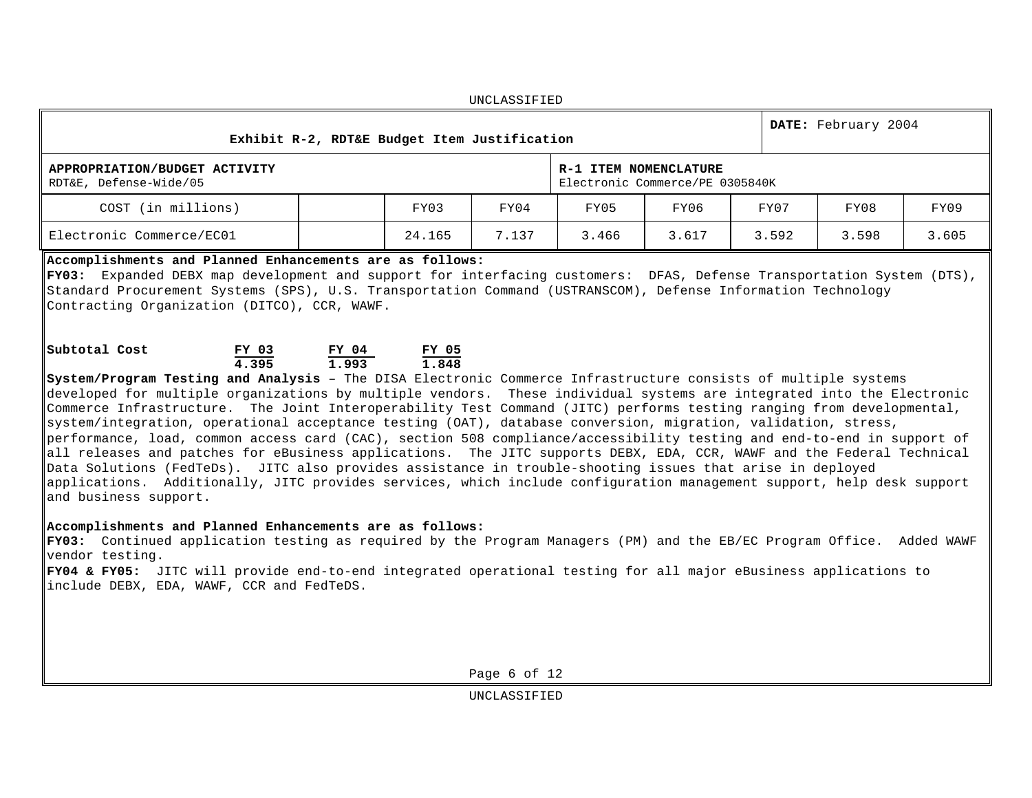UNCLASSIFIED **Exhibit R-2, RDT&E Budget Item Justification DATE:** February 2004 **APPROPRIATION/BUDGET ACTIVITY** RDT&E, Defense-Wide/05 **R-1 ITEM NOMENCLATURE** Electronic Commerce/PE 0305840K COST (in millions) FY03 FY04 FY05 FY06 FY07 FY08 FY09 Electronic Commerce/EC01 24.165 7.137 3.466 3.617 3.592 3.598 3.605 **Accomplishments and Planned Enhancements are as follows: FY03:** Expanded DEBX map development and support for interfacing customers: DFAS, Defense Transportation System (DTS), Standard Procurement Systems (SPS), U.S. Transportation Command (USTRANSCOM), Defense Information Technology Contracting Organization (DITCO), CCR, WAWF.

| Subtotal Cost | FY 03 | FY 04 | FY 05 |
|---------------|-------|-------|-------|
|               | 4.395 | 1.993 | 1.848 |

**System/Program Testing and Analysis** – The DISA Electronic Commerce Infrastructure consists of multiple systems developed for multiple organizations by multiple vendors. These individual systems are integrated into the Electronic Commerce Infrastructure. The Joint Interoperability Test Command (JITC) performs testing ranging from developmental, system/integration, operational acceptance testing (OAT), database conversion, migration, validation, stress, performance, load, common access card (CAC), section 508 compliance/accessibility testing and end-to-end in support of all releases and patches for eBusiness applications. The JITC supports DEBX, EDA, CCR, WAWF and the Federal Technical Data Solutions (FedTeDs). JITC also provides assistance in trouble-shooting issues that arise in deployed applications. Additionally, JITC provides services, which include configuration management support, help desk support and business support.

### **Accomplishments and Planned Enhancements are as follows:**

**FY03:** Continued application testing as required by the Program Managers (PM) and the EB/EC Program Office. Added WAWF vendor testing.

**FY04 & FY05:** JITC will provide end-to-end integrated operational testing for all major eBusiness applications to include DEBX, EDA, WAWF, CCR and FedTeDS.

Page 6 of 12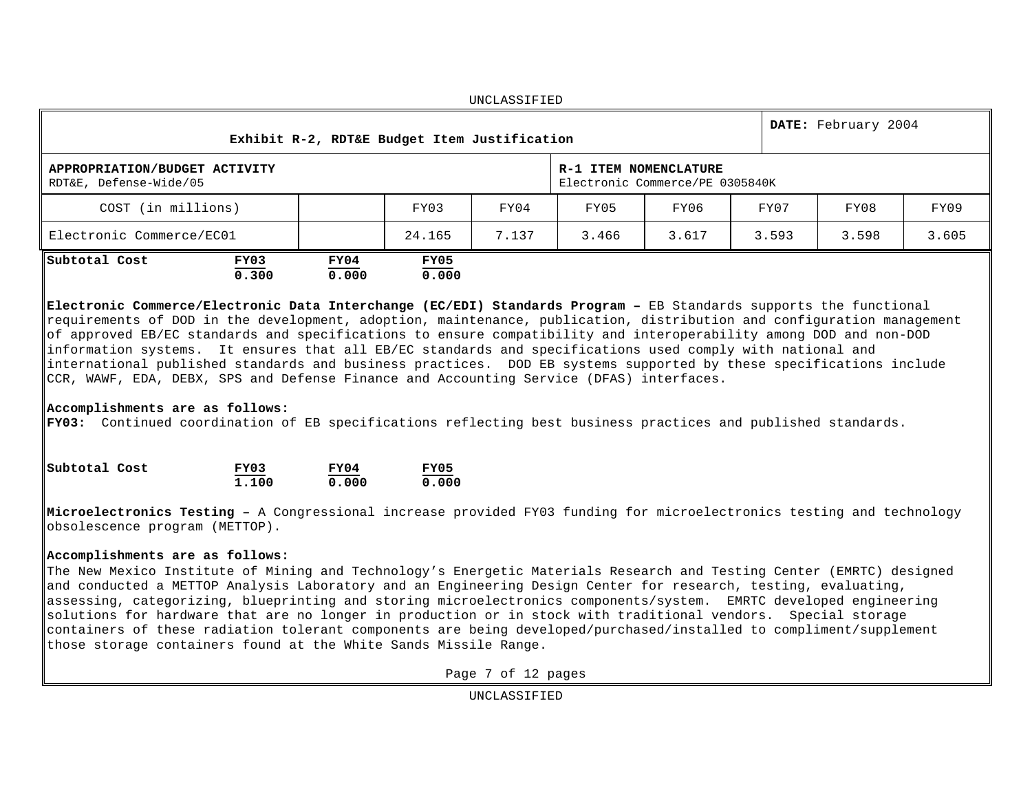|                                                                                                                                                                                                                                                                                                                                                                                                                                                                                                                                                                                                                                                                                                                              |               |               |                                              | <b>UNCLASSIFIED</b> |                       |                                 |       |                     |      |  |  |  |
|------------------------------------------------------------------------------------------------------------------------------------------------------------------------------------------------------------------------------------------------------------------------------------------------------------------------------------------------------------------------------------------------------------------------------------------------------------------------------------------------------------------------------------------------------------------------------------------------------------------------------------------------------------------------------------------------------------------------------|---------------|---------------|----------------------------------------------|---------------------|-----------------------|---------------------------------|-------|---------------------|------|--|--|--|
|                                                                                                                                                                                                                                                                                                                                                                                                                                                                                                                                                                                                                                                                                                                              |               |               | Exhibit R-2, RDT&E Budget Item Justification |                     |                       |                                 |       | DATE: February 2004 |      |  |  |  |
| APPROPRIATION/BUDGET ACTIVITY<br>RDT&E, Defense-Wide/05                                                                                                                                                                                                                                                                                                                                                                                                                                                                                                                                                                                                                                                                      |               |               |                                              |                     | R-1 ITEM NOMENCLATURE | Electronic Commerce/PE 0305840K |       |                     |      |  |  |  |
| COST (in millions)                                                                                                                                                                                                                                                                                                                                                                                                                                                                                                                                                                                                                                                                                                           |               |               | FY03                                         | FY04                | FY05                  | FY06                            | FY07  | FY08                | FY09 |  |  |  |
| Electronic Commerce/EC01                                                                                                                                                                                                                                                                                                                                                                                                                                                                                                                                                                                                                                                                                                     |               |               | 24.165                                       | 7.137               | 3.466                 | 3.617                           | 3.593 | 3.598<br>3.605      |      |  |  |  |
| Subtotal Cost                                                                                                                                                                                                                                                                                                                                                                                                                                                                                                                                                                                                                                                                                                                | FY03<br>0.300 | FY04<br>0.000 | FY05<br>0.000                                |                     |                       |                                 |       |                     |      |  |  |  |
| requirements of DOD in the development, adoption, maintenance, publication, distribution and configuration management<br>of approved EB/EC standards and specifications to ensure compatibility and interoperability among DOD and non-DOD<br>information systems. It ensures that all EB/EC standards and specifications used comply with national and<br>international published standards and business practices. DOD EB systems supported by these specifications include<br>CCR, WAWF, EDA, DEBX, SPS and Defense Finance and Accounting Service (DFAS) interfaces.<br>Accomplishments are as follows:<br>FY03: Continued coordination of EB specifications reflecting best business practices and published standards. |               |               |                                              |                     |                       |                                 |       |                     |      |  |  |  |
| Subtotal Cost                                                                                                                                                                                                                                                                                                                                                                                                                                                                                                                                                                                                                                                                                                                | FY03<br>1,100 | FY04<br>0.000 | FY05<br>0.000                                |                     |                       |                                 |       |                     |      |  |  |  |
| Microelectronics Testing - A Congressional increase provided FY03 funding for microelectronics testing and technology<br>obsolescence program (METTOP).                                                                                                                                                                                                                                                                                                                                                                                                                                                                                                                                                                      |               |               |                                              |                     |                       |                                 |       |                     |      |  |  |  |
| Accomplishments are as follows:<br>The New Mexico Institute of Mining and Technology's Energetic Materials Research and Testing Center (EMRTC) designed<br>and conducted a METTOP Analysis Laboratory and an Engineering Design Center for research, testing, evaluating,<br>assessing, categorizing, blueprinting and storing microelectronics components/system. EMRTC developed engineering<br>solutions for hardware that are no longer in production or in stock with traditional vendors. Special storage<br>containers of these radiation tolerant components are being developed/purchased/installed to compliment/supplement<br>those storage containers found at the White Sands Missile Range.                    |               |               |                                              |                     |                       |                                 |       |                     |      |  |  |  |
|                                                                                                                                                                                                                                                                                                                                                                                                                                                                                                                                                                                                                                                                                                                              |               |               |                                              | Page 7 of 12 pages  |                       |                                 |       |                     |      |  |  |  |
|                                                                                                                                                                                                                                                                                                                                                                                                                                                                                                                                                                                                                                                                                                                              |               |               |                                              | UNCLASSIFIED        |                       |                                 |       |                     |      |  |  |  |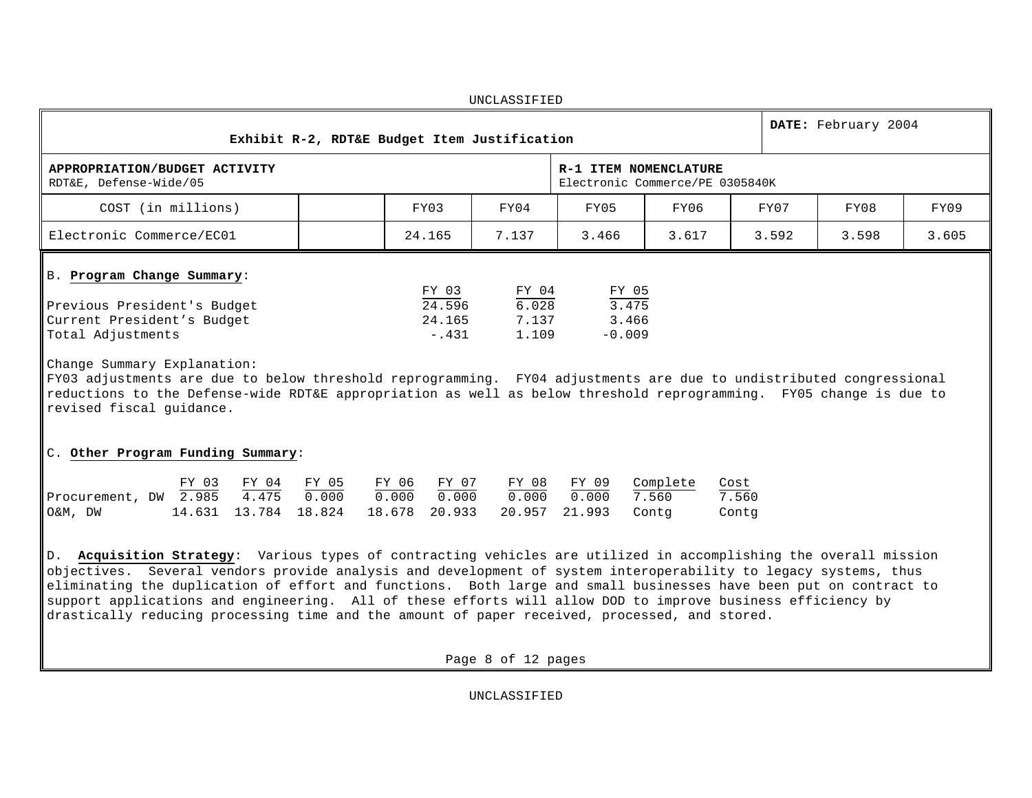|                                                                                                                     |  |                                      | UNCLASSIFIED                     |                                     |       |  |       |       |       |  |  |  |
|---------------------------------------------------------------------------------------------------------------------|--|--------------------------------------|----------------------------------|-------------------------------------|-------|--|-------|-------|-------|--|--|--|
| DATE: February 2004<br>Exhibit R-2, RDT&E Budget Item Justification                                                 |  |                                      |                                  |                                     |       |  |       |       |       |  |  |  |
| R-1 ITEM NOMENCLATURE<br>APPROPRIATION/BUDGET ACTIVITY<br>RDT&E, Defense-Wide/05<br>Electronic Commerce/PE 0305840K |  |                                      |                                  |                                     |       |  |       |       |       |  |  |  |
| COST (in millions)                                                                                                  |  | FY03                                 | FY04                             | FY05                                | FY06  |  | FY07  | FY08  | FY09  |  |  |  |
| Electronic Commerce/EC01                                                                                            |  | 24.165                               | 7.137                            | 3.466                               | 3.617 |  | 3.592 | 3.598 | 3.605 |  |  |  |
| B. Program Change Summary:<br>Previous President's Budget<br>Current President's Budget<br>Total Adjustments        |  | FY 03<br>24.596<br>24.165<br>$-.431$ | FY 04<br>6.028<br>7.137<br>1.109 | FY 05<br>3.475<br>3.466<br>$-0.009$ |       |  |       |       |       |  |  |  |
| Change Summary Explanation:                                                                                         |  |                                      |                                  |                                     |       |  |       |       |       |  |  |  |

FY03 adjustments are due to below threshold reprogramming. FY04 adjustments are due to undistributed congressional reductions to the Defense-wide RDT&E appropriation as well as below threshold reprogramming. FY05 change is due to revised fiscal guidance.

# C. **Other Program Funding Summary**:

|                                       |  | FY 03 FY 04 FY 05 | FY 06 FY 07     |                                                               | FY 08 FY 09 Complete Cost |       |
|---------------------------------------|--|-------------------|-----------------|---------------------------------------------------------------|---------------------------|-------|
| Procurement, DW $2.985$ $4.475$ 0.000 |  |                   | $0.000$ $0.000$ |                                                               |                           | 7.560 |
| O&M, DW                               |  |                   |                 | 14.631  13.784  18.824  18.678  20.933  20.957  21.993  Contg |                           | Contq |

D. **Acquisition Strategy**: Various types of contracting vehicles are utilized in accomplishing the overall mission objectives. Several vendors provide analysis and development of system interoperability to legacy systems, thus eliminating the duplication of effort and functions. Both large and small businesses have been put on contract to support applications and engineering. All of these efforts will allow DOD to improve business efficiency by drastically reducing processing time and the amount of paper received, processed, and stored.

Page 8 of 12 pages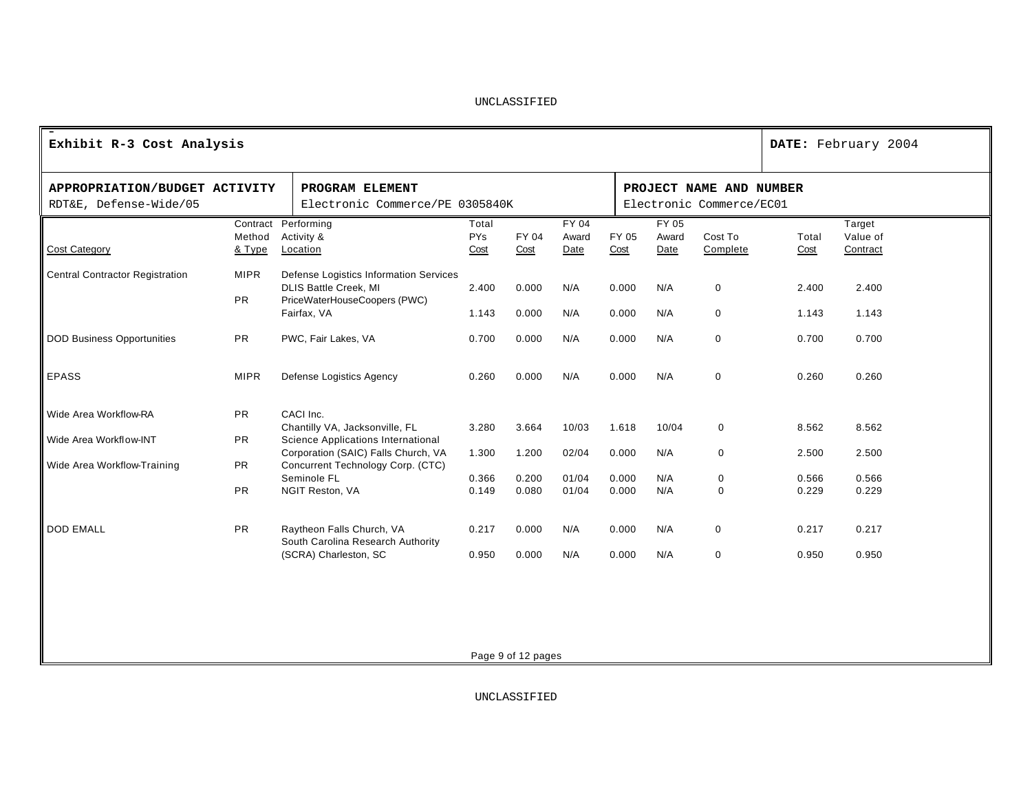| Exhibit R-3 Cost Analysis              |             |                                                                          |            |                    |       |       |                          |             | DATE: February 2004 |          |  |
|----------------------------------------|-------------|--------------------------------------------------------------------------|------------|--------------------|-------|-------|--------------------------|-------------|---------------------|----------|--|
| APPROPRIATION/BUDGET ACTIVITY          |             | PROGRAM ELEMENT                                                          |            |                    |       |       | PROJECT NAME AND NUMBER  |             |                     |          |  |
| RDT&E, Defense-Wide/05                 |             | Electronic Commerce/PE 0305840K                                          |            |                    |       |       | Electronic Commerce/EC01 |             |                     |          |  |
|                                        |             | Contract Performing                                                      | Total      |                    | FY 04 |       | FY 05                    |             |                     | Target   |  |
|                                        | Method      | Activity &                                                               | <b>PYs</b> | FY 04              | Award | FY 05 | Award                    | Cost To     | Total               | Value of |  |
| <b>Cost Category</b>                   | & Type      | Location                                                                 | Cost       | Cost               | Date  | Cost  | Date                     | Complete    | Cost                | Contract |  |
| <b>Central Contractor Registration</b> | <b>MIPR</b> | Defense Logistics Information Services<br><b>DLIS Battle Creek, MI</b>   | 2.400      | 0.000              | N/A   | 0.000 | N/A                      | $\mathbf 0$ | 2.400               | 2.400    |  |
|                                        | <b>PR</b>   | PriceWaterHouseCoopers (PWC)                                             |            |                    |       |       |                          |             |                     |          |  |
|                                        |             | Fairfax, VA                                                              | 1.143      | 0.000              | N/A   | 0.000 | N/A                      | $\mathbf 0$ | 1.143               | 1.143    |  |
| <b>DOD Business Opportunities</b>      | <b>PR</b>   | PWC, Fair Lakes, VA                                                      | 0.700      | 0.000              | N/A   | 0.000 | N/A                      | $\mathbf 0$ | 0.700               | 0.700    |  |
| EPASS                                  | <b>MIPR</b> | Defense Logistics Agency                                                 | 0.260      | 0.000              | N/A   | 0.000 | N/A                      | $\mathbf 0$ | 0.260               | 0.260    |  |
| Wide Area Workflow-RA                  | <b>PR</b>   | CACI Inc.                                                                |            |                    |       |       |                          |             |                     |          |  |
| Wide Area Workflow-INT                 | <b>PR</b>   | Chantilly VA, Jacksonville, FL<br>Science Applications International     | 3.280      | 3.664              | 10/03 | 1.618 | 10/04                    | $\mathbf 0$ | 8.562               | 8.562    |  |
| Wide Area Workflow-Training            | <b>PR</b>   | Corporation (SAIC) Falls Church, VA<br>Concurrent Technology Corp. (CTC) | 1.300      | 1.200              | 02/04 | 0.000 | N/A                      | $\mathbf 0$ | 2.500               | 2.500    |  |
|                                        |             | Seminole FL                                                              | 0.366      | 0.200              | 01/04 | 0.000 | N/A                      | $\mathbf 0$ | 0.566               | 0.566    |  |
|                                        | <b>PR</b>   | NGIT Reston, VA                                                          | 0.149      | 0.080              | 01/04 | 0.000 | N/A                      | $\mathbf 0$ | 0.229               | 0.229    |  |
| <b>DOD EMALL</b>                       | <b>PR</b>   | Raytheon Falls Church, VA<br>South Carolina Research Authority           | 0.217      | 0.000              | N/A   | 0.000 | N/A                      | $\mathbf 0$ | 0.217               | 0.217    |  |
|                                        |             | (SCRA) Charleston, SC                                                    | 0.950      | 0.000              | N/A   | 0.000 | N/A                      | $\mathbf 0$ | 0.950               | 0.950    |  |
|                                        |             |                                                                          |            |                    |       |       |                          |             |                     |          |  |
|                                        |             |                                                                          |            | Page 9 of 12 pages |       |       |                          |             |                     |          |  |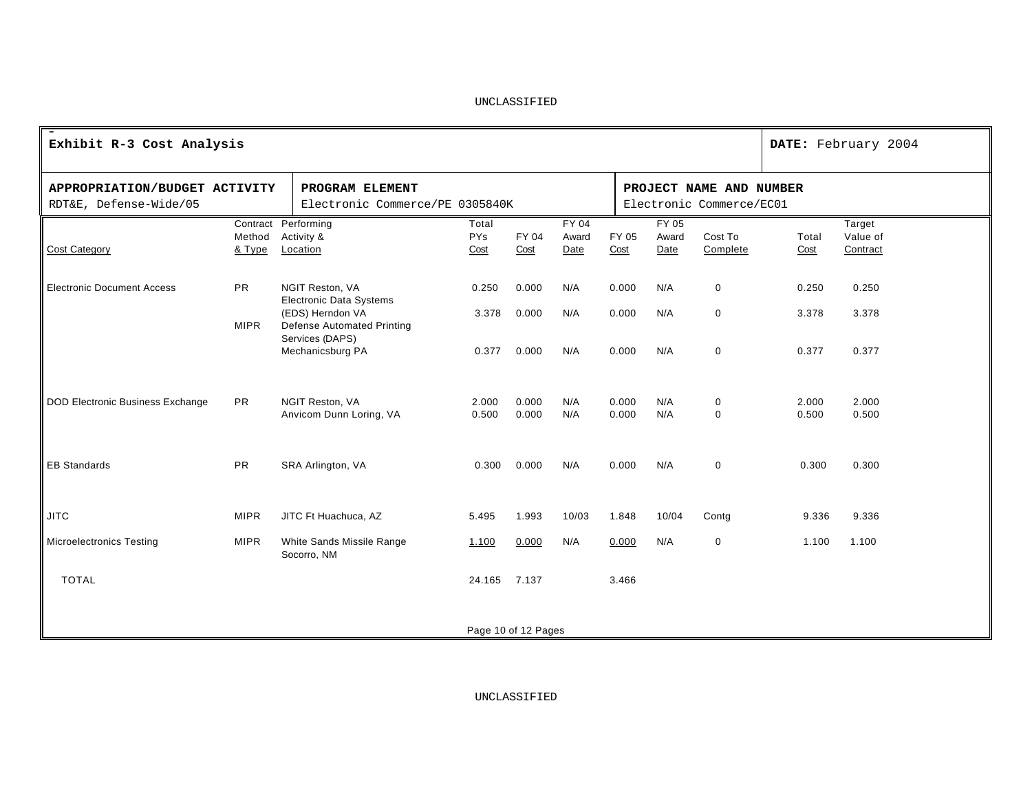| Exhibit R-3 Cost Analysis                               |                  |                                                                          |                             |                     |                        |                |                                                     |                     | DATE: February 2004 |                                |  |
|---------------------------------------------------------|------------------|--------------------------------------------------------------------------|-----------------------------|---------------------|------------------------|----------------|-----------------------------------------------------|---------------------|---------------------|--------------------------------|--|
| APPROPRIATION/BUDGET ACTIVITY<br>RDT&E, Defense-Wide/05 |                  | PROGRAM ELEMENT<br>Electronic Commerce/PE 0305840K                       |                             |                     |                        |                | PROJECT NAME AND NUMBER<br>Electronic Commerce/EC01 |                     |                     |                                |  |
| <b>Cost Category</b>                                    | Method<br>& Type | Contract Performing<br>Activity &<br>Location                            | Total<br><b>PYs</b><br>Cost | FY 04<br>Cost       | FY 04<br>Award<br>Date | FY 05<br>Cost  | FY 05<br>Award<br>Date                              | Cost To<br>Complete | Total<br>Cost       | Target<br>Value of<br>Contract |  |
| <b>Electronic Document Access</b>                       | <b>PR</b>        | NGIT Reston, VA<br><b>Electronic Data Systems</b>                        | 0.250                       | 0.000               | N/A                    | 0.000          | N/A                                                 | $\mathbf 0$         | 0.250               | 0.250                          |  |
|                                                         | <b>MIPR</b>      | (EDS) Herndon VA<br><b>Defense Automated Printing</b><br>Services (DAPS) | 3.378                       | 0.000               | N/A                    | 0.000          | N/A                                                 | $\mathbf 0$         | 3.378               | 3.378                          |  |
|                                                         |                  | Mechanicsburg PA                                                         | 0.377                       | 0.000               | N/A                    | 0.000          | N/A                                                 | $\mathbf 0$         | 0.377               | 0.377                          |  |
| <b>DOD Electronic Business Exchange</b>                 | <b>PR</b>        | NGIT Reston, VA<br>Anvicom Dunn Loring, VA                               | 2.000<br>0.500              | 0.000<br>0.000      | N/A<br>N/A             | 0.000<br>0.000 | N/A<br>N/A                                          | 0<br>$\mathbf 0$    | 2.000<br>0.500      | 2.000<br>0.500                 |  |
|                                                         |                  |                                                                          |                             |                     |                        |                |                                                     |                     |                     |                                |  |
| <b>EB Standards</b>                                     | <b>PR</b>        | SRA Arlington, VA                                                        | 0.300                       | 0.000               | N/A                    | 0.000          | N/A                                                 | $\mathbf 0$         | 0.300               | 0.300                          |  |
| <b>JITC</b>                                             | <b>MIPR</b>      | JITC Ft Huachuca, AZ                                                     | 5.495                       | 1.993               | 10/03                  | 1.848          | 10/04                                               | Contg               | 9.336               | 9.336                          |  |
| <b>Microelectronics Testing</b>                         | <b>MIPR</b>      | White Sands Missile Range<br>Socorro, NM                                 | 1.100                       | 0.000               | N/A                    | 0.000          | N/A                                                 | $\mathbf 0$         | 1.100               | 1.100                          |  |
| <b>TOTAL</b>                                            |                  |                                                                          | 24.165 7.137                |                     |                        | 3.466          |                                                     |                     |                     |                                |  |
|                                                         |                  |                                                                          |                             | Page 10 of 12 Pages |                        |                |                                                     |                     |                     |                                |  |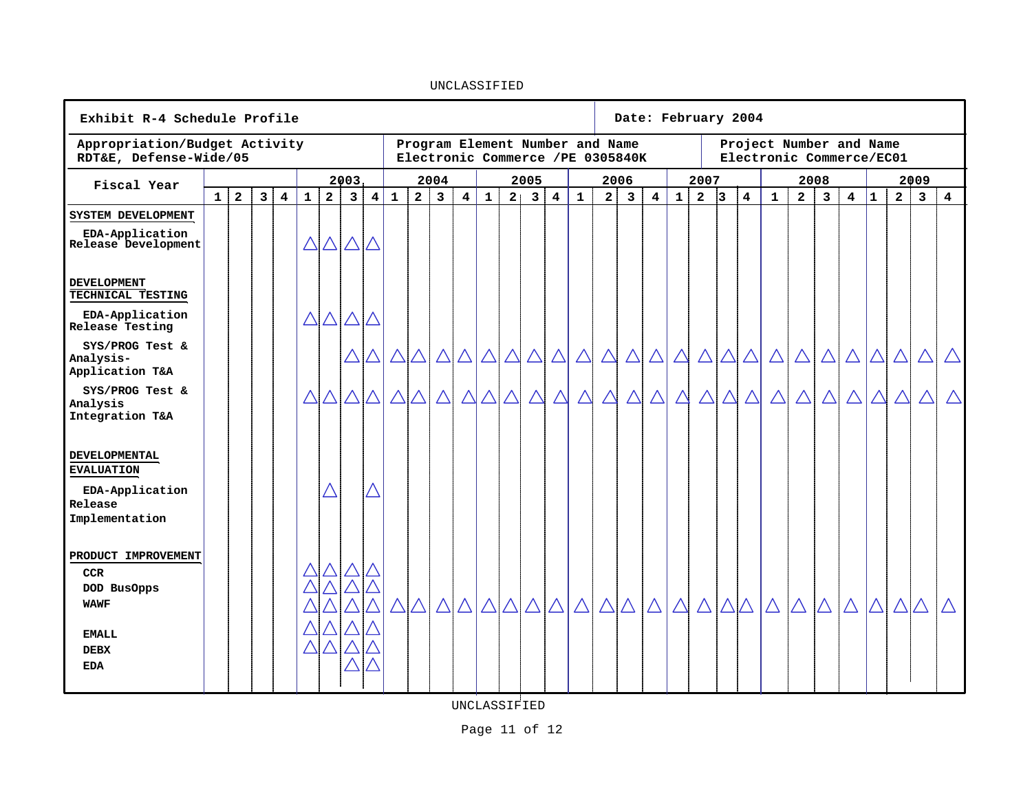**Date: February 2004 Exhibit R-4 Schedule Profile Appropriation/Budget Activity Program Element Number and Name Project Number and Name RDT&E, Defense-Wide/05 Electronic Commerce/EC01 Electronic Commerce /PE 0305840K Fiscal Year 2003 2004 2005 2006 2007 2008 2009** 1 | 2 | 3 | 4 | 1 | 2 | 3 | 4 | 1 | 2 | 3 | 4 | 1 | 2 | 3 | 4 | 1 | 2 | 3 | 4 | 1 | 2 |3 | 4 | 1 | 2 | 3 | 4 | 1 | 2 | 3 | 4 **SYSTEM DEVELOPMENT EDA-Application**   $\triangle$  $\triangle$   $\triangle$   $\triangle$ **Release Development DEVELOPMENT TECHNICAL TESTING EDA-Application**   $\triangle \triangle \triangle \triangle$ **Release Testing SYS/PROG Test &**   $\triangle$  $\triangle$  $\triangle$  $\triangle$  $\triangle$  $\triangle$  $\Delta$ **Analysis-Application T&A**  $\Delta$ **SYS/PROG Test &**   $\triangle$  $\triangle$  $\triangle$  $\triangle$  $\triangle$  $\triangle \triangle \triangle$  $\triangle$  $\Delta$  $\triangle$  $\triangle$ **Analysis Integration T&A DEVELOPMENTAL EVALUATION EDA-Application Release Implementation PRODUCT IMPROVEMENT CCR DOD BusOpps**  $\triangle \triangle$ **WAWF**  $\Delta$ **EMALL DEBX EDA**UNCLASSIFIED

UNCLASSIFIED

Page 11 of 12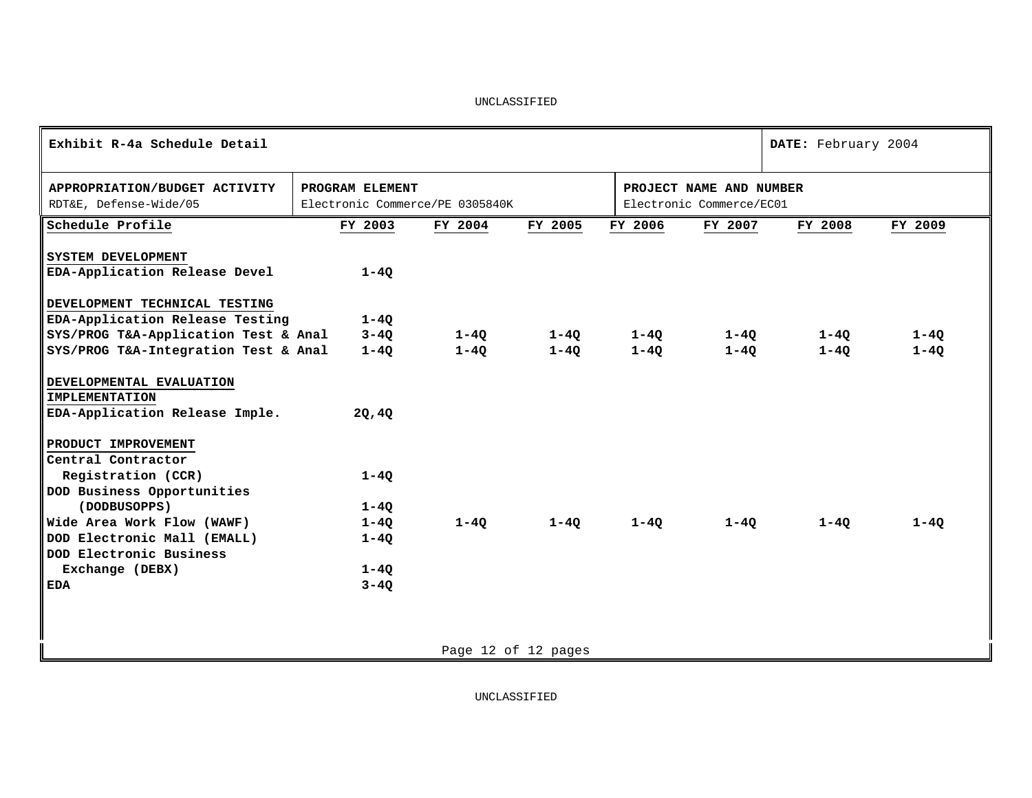| Exhibit R-4a Schedule Detail              |                                 |          |                     |          |                          | DATE: February 2004 |          |
|-------------------------------------------|---------------------------------|----------|---------------------|----------|--------------------------|---------------------|----------|
| APPROPRIATION/BUDGET ACTIVITY             | PROGRAM ELEMENT                 |          |                     |          | PROJECT NAME AND NUMBER  |                     |          |
| RDT&E, Defense-Wide/05                    | Electronic Commerce/PE 0305840K |          |                     |          | Electronic Commerce/EC01 |                     |          |
| Schedule Profile                          | FY 2003                         | FY 2004  | FY 2005             | FY 2006  | FY 2007                  | FY 2008             | FY 2009  |
| SYSTEM DEVELOPMENT                        |                                 |          |                     |          |                          |                     |          |
| EDA-Application Release Devel             | $1 - 40$                        |          |                     |          |                          |                     |          |
| DEVELOPMENT TECHNICAL TESTING             |                                 |          |                     |          |                          |                     |          |
| EDA-Application Release Testing           | $1 - 4Q$                        |          |                     |          |                          |                     |          |
| SYS/PROG T&A-Application Test & Anal 3-4Q |                                 | $1-4Q$   | $1 - 40$            | $1 - 4Q$ | 1-40                     | $1 - 4Q$            | $1 - 4Q$ |
| SYS/PROG T&A-Integration Test & Anal      | $1 - 40$                        | $1 - 40$ | $1-4Q$              | $1 - 40$ | $1 - 40$                 | $1 - 40$            | $1 - 4Q$ |
| DEVELOPMENTAL EVALUATION                  |                                 |          |                     |          |                          |                     |          |
| <b>IMPLEMENTATION</b>                     |                                 |          |                     |          |                          |                     |          |
| EDA-Application Release Imple.            | 20,40                           |          |                     |          |                          |                     |          |
| PRODUCT IMPROVEMENT                       |                                 |          |                     |          |                          |                     |          |
| Central Contractor                        |                                 |          |                     |          |                          |                     |          |
| Registration (CCR)                        | $1 - 40$                        |          |                     |          |                          |                     |          |
| DOD Business Opportunities                |                                 |          |                     |          |                          |                     |          |
| (DODBUSOPPS)                              | $1 - 40$                        |          |                     |          |                          |                     |          |
| Wide Area Work Flow (WAWF)                | $1 - 40$                        | $1 - 40$ | $1-40$              | $1-4Q$   | $1 - 40$                 | 1-40                | $1 - 40$ |
| DOD Electronic Mall (EMALL)               | $1 - 40$                        |          |                     |          |                          |                     |          |
| DOD Electronic Business                   |                                 |          |                     |          |                          |                     |          |
| Exchange (DEBX)                           | $1 - 4Q$                        |          |                     |          |                          |                     |          |
| <b>EDA</b>                                | $3 - 40$                        |          |                     |          |                          |                     |          |
|                                           |                                 |          |                     |          |                          |                     |          |
|                                           |                                 |          |                     |          |                          |                     |          |
|                                           |                                 |          | Page 12 of 12 pages |          |                          |                     |          |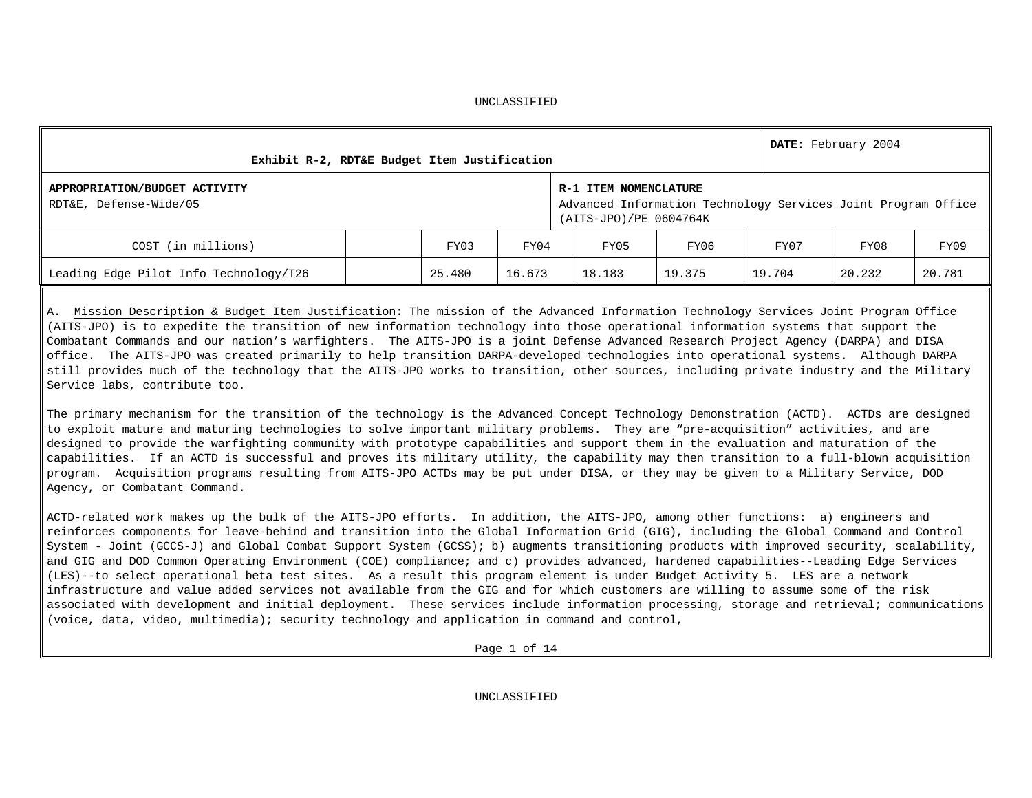| APPROPRIATION/BUDGET ACTIVITY          |                                                               |
|----------------------------------------|---------------------------------------------------------------|
| RDT&E, Defense-Wide/05                 | Advanced Information Technology Services Joint Program Office |
| COST (in millions)                     | FY09<br>FY07<br>FY08                                          |
| Leading Edge Pilot Info Technology/T26 | 20.781<br>19.704<br>20.232                                    |
|                                        |                                                               |

A. Mission Description & Budget Item Justification: The mission of the Advanced Information Technology Services Joint Program Office (AITS-JPO) is to expedite the transition of new information technology into those operational information systems that support the Combatant Commands and our nation's warfighters. The AITS-JPO is a joint Defense Advanced Research Project Agency (DARPA) and DISA office. The AITS-JPO was created primarily to help transition DARPA-developed technologies into operational systems. Although DARPA still provides much of the technology that the AITS-JPO works to transition, other sources, including private industry and the Military Service labs, contribute too.

The primary mechanism for the transition of the technology is the Advanced Concept Technology Demonstration (ACTD). ACTDs are designed to exploit mature and maturing technologies to solve important military problems. They are "pre-acquisition" activities, and are designed to provide the warfighting community with prototype capabilities and support them in the evaluation and maturation of the capabilities. If an ACTD is successful and proves its military utility, the capability may then transition to a full-blown acquisition program. Acquisition programs resulting from AITS-JPO ACTDs may be put under DISA, or they may be given to a Military Service, DOD Agency, or Combatant Command.

ACTD-related work makes up the bulk of the AITS-JPO efforts. In addition, the AITS-JPO, among other functions: a) engineers and reinforces components for leave-behind and transition into the Global Information Grid (GIG), including the Global Command and Control System - Joint (GCCS-J) and Global Combat Support System (GCSS); b) augments transitioning products with improved security, scalability, and GIG and DOD Common Operating Environment (COE) compliance; and c) provides advanced, hardened capabilities--Leading Edge Services (LES)--to select operational beta test sites. As a result this program element is under Budget Activity 5. LES are a network infrastructure and value added services not available from the GIG and for which customers are willing to assume some of the risk associated with development and initial deployment. These services include information processing, storage and retrieval; communications (voice, data, video, multimedia); security technology and application in command and control,

Page 1 of 14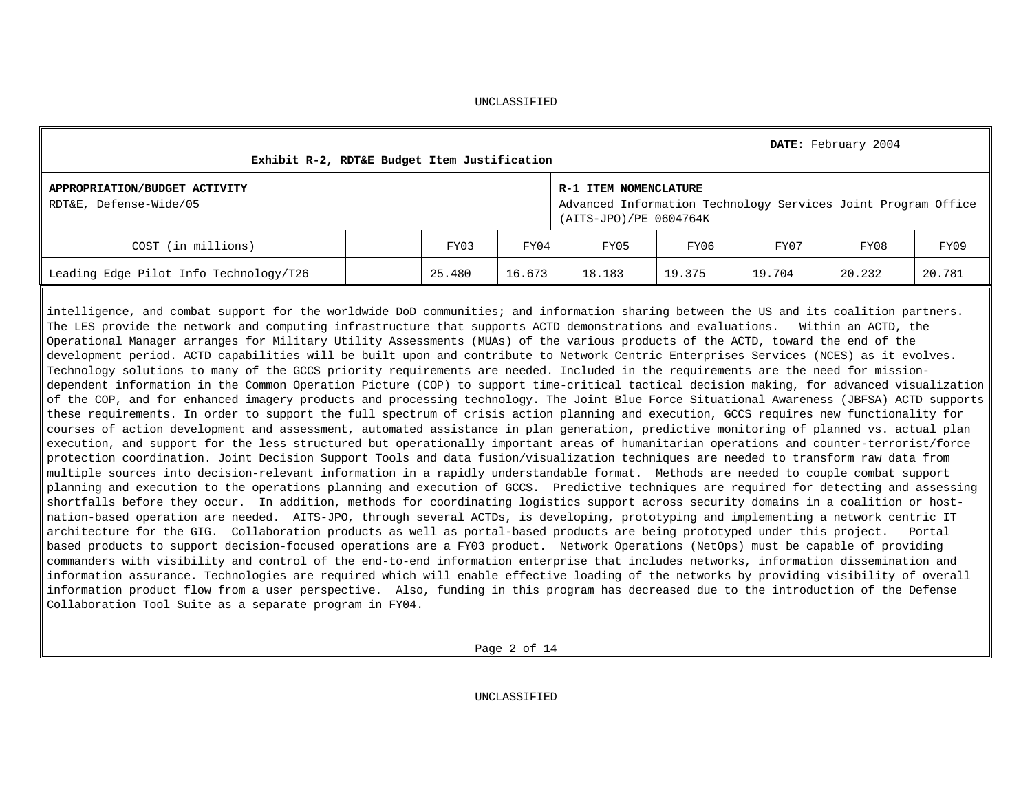| DATE: February 2004<br>Exhibit R-2, RDT&E Budget Item Justification                                                                                                                                                                                                                                                                                                                                                                                                                                                                                                                                                                                                                                                                                                                                                                                                                                                                                                                                                                                                                                                                                                                                                                                                                                                                                                                                                                                                                                                                                                                                                                                                                                                                                                                                                                                                                                                                                                                                                                                                                                                                                                                                                                                                                                                                                                                                                                                                                                                                                                                                                                                                                                                                                                                                                                                                                        |  |        |        |                                                                                                                  |                              |        |  |        |        |        |  |
|--------------------------------------------------------------------------------------------------------------------------------------------------------------------------------------------------------------------------------------------------------------------------------------------------------------------------------------------------------------------------------------------------------------------------------------------------------------------------------------------------------------------------------------------------------------------------------------------------------------------------------------------------------------------------------------------------------------------------------------------------------------------------------------------------------------------------------------------------------------------------------------------------------------------------------------------------------------------------------------------------------------------------------------------------------------------------------------------------------------------------------------------------------------------------------------------------------------------------------------------------------------------------------------------------------------------------------------------------------------------------------------------------------------------------------------------------------------------------------------------------------------------------------------------------------------------------------------------------------------------------------------------------------------------------------------------------------------------------------------------------------------------------------------------------------------------------------------------------------------------------------------------------------------------------------------------------------------------------------------------------------------------------------------------------------------------------------------------------------------------------------------------------------------------------------------------------------------------------------------------------------------------------------------------------------------------------------------------------------------------------------------------------------------------------------------------------------------------------------------------------------------------------------------------------------------------------------------------------------------------------------------------------------------------------------------------------------------------------------------------------------------------------------------------------------------------------------------------------------------------------------------------|--|--------|--------|------------------------------------------------------------------------------------------------------------------|------------------------------|--------|--|--------|--------|--------|--|
| APPROPRIATION/BUDGET ACTIVITY<br>RDT&E, Defense-Wide/05                                                                                                                                                                                                                                                                                                                                                                                                                                                                                                                                                                                                                                                                                                                                                                                                                                                                                                                                                                                                                                                                                                                                                                                                                                                                                                                                                                                                                                                                                                                                                                                                                                                                                                                                                                                                                                                                                                                                                                                                                                                                                                                                                                                                                                                                                                                                                                                                                                                                                                                                                                                                                                                                                                                                                                                                                                    |  |        |        | R-1 ITEM NOMENCLATURE<br>Advanced Information Technology Services Joint Program Office<br>(AITS-JPO)/PE 0604764K |                              |        |  |        |        |        |  |
| COST (in millions)                                                                                                                                                                                                                                                                                                                                                                                                                                                                                                                                                                                                                                                                                                                                                                                                                                                                                                                                                                                                                                                                                                                                                                                                                                                                                                                                                                                                                                                                                                                                                                                                                                                                                                                                                                                                                                                                                                                                                                                                                                                                                                                                                                                                                                                                                                                                                                                                                                                                                                                                                                                                                                                                                                                                                                                                                                                                         |  | FY03   | FY04   |                                                                                                                  | FY05<br>FY08<br>FY06<br>FY07 |        |  |        |        | FY09   |  |
| Leading Edge Pilot Info Technology/T26                                                                                                                                                                                                                                                                                                                                                                                                                                                                                                                                                                                                                                                                                                                                                                                                                                                                                                                                                                                                                                                                                                                                                                                                                                                                                                                                                                                                                                                                                                                                                                                                                                                                                                                                                                                                                                                                                                                                                                                                                                                                                                                                                                                                                                                                                                                                                                                                                                                                                                                                                                                                                                                                                                                                                                                                                                                     |  | 25.480 | 16.673 |                                                                                                                  | 18.183                       | 19.375 |  | 19.704 | 20.232 | 20.781 |  |
| intelligence, and combat support for the worldwide DoD communities; and information sharing between the US and its coalition partners.<br>The LES provide the network and computing infrastructure that supports ACTD demonstrations and evaluations. Within an ACTD, the<br>Operational Manager arranges for Military Utility Assessments (MUAs) of the various products of the ACTD, toward the end of the<br>development period. ACTD capabilities will be built upon and contribute to Network Centric Enterprises Services (NCES) as it evolves.<br>Technology solutions to many of the GCCS priority requirements are needed. Included in the requirements are the need for mission-<br>dependent information in the Common Operation Picture (COP) to support time-critical tactical decision making, for advanced visualization<br>of the COP, and for enhanced imagery products and processing technology. The Joint Blue Force Situational Awareness (JBFSA) ACTD supports<br>these requirements. In order to support the full spectrum of crisis action planning and execution, GCCS requires new functionality for<br>courses of action development and assessment, automated assistance in plan generation, predictive monitoring of planned vs. actual plan<br>execution, and support for the less structured but operationally important areas of humanitarian operations and counter-terrorist/force<br>protection coordination. Joint Decision Support Tools and data fusion/visualization techniques are needed to transform raw data from<br>multiple sources into decision-relevant information in a rapidly understandable format. Methods are needed to couple combat support<br>planning and execution to the operations planning and execution of GCCS. Predictive techniques are required for detecting and assessing<br>shortfalls before they occur. In addition, methods for coordinating logistics support across security domains in a coalition or host-<br>nation-based operation are needed. AITS-JPO, through several ACTDs, is developing, prototyping and implementing a network centric IT<br>architecture for the GIG. Collaboration products as well as portal-based products are being prototyped under this project.<br>based products to support decision-focused operations are a FY03 product. Network Operations (NetOps) must be capable of providing<br>commanders with visibility and control of the end-to-end information enterprise that includes networks, information dissemination and<br>information assurance. Technologies are required which will enable effective loading of the networks by providing visibility of overall<br>information product flow from a user perspective. Also, funding in this program has decreased due to the introduction of the Defense<br>Collaboration Tool Suite as a separate program in FY04. |  |        |        |                                                                                                                  |                              |        |  |        |        | Portal |  |

Page 2 of 14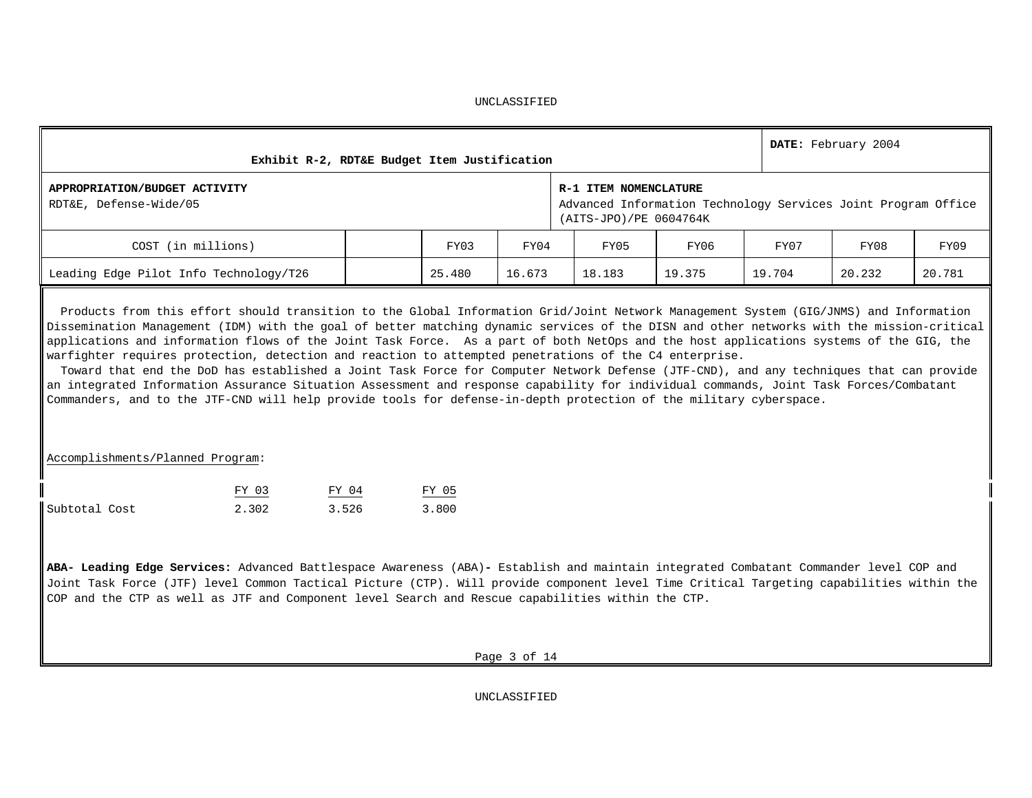|                                                                                                                                                                                                                                                                                                                                                                                                                                                                                                                                                                                                                                                                                                                                                                                                                                                                                                                                                 |                                                                                          |                                              |       |      |                                                                                                                  |      |      | DATE: February 2004 |        |  |  |  |  |
|-------------------------------------------------------------------------------------------------------------------------------------------------------------------------------------------------------------------------------------------------------------------------------------------------------------------------------------------------------------------------------------------------------------------------------------------------------------------------------------------------------------------------------------------------------------------------------------------------------------------------------------------------------------------------------------------------------------------------------------------------------------------------------------------------------------------------------------------------------------------------------------------------------------------------------------------------|------------------------------------------------------------------------------------------|----------------------------------------------|-------|------|------------------------------------------------------------------------------------------------------------------|------|------|---------------------|--------|--|--|--|--|
| APPROPRIATION/BUDGET ACTIVITY<br>RDT&E, Defense-Wide/05                                                                                                                                                                                                                                                                                                                                                                                                                                                                                                                                                                                                                                                                                                                                                                                                                                                                                         |                                                                                          | Exhibit R-2, RDT&E Budget Item Justification |       |      | R-1 ITEM NOMENCLATURE<br>Advanced Information Technology Services Joint Program Office<br>(AITS-JPO)/PE 0604764K |      |      |                     |        |  |  |  |  |
| COST (in millions)                                                                                                                                                                                                                                                                                                                                                                                                                                                                                                                                                                                                                                                                                                                                                                                                                                                                                                                              |                                                                                          |                                              | FY03  | FY04 | FY05                                                                                                             | FY06 | FY08 | FY09                |        |  |  |  |  |
|                                                                                                                                                                                                                                                                                                                                                                                                                                                                                                                                                                                                                                                                                                                                                                                                                                                                                                                                                 | Leading Edge Pilot Info Technology/T26<br>25.480<br>16.673<br>18.183<br>19.375<br>19.704 |                                              |       |      |                                                                                                                  |      |      | 20.232              | 20.781 |  |  |  |  |
| Products from this effort should transition to the Global Information Grid/Joint Network Management System (GIG/JNMS) and Information<br>Dissemination Management (IDM) with the goal of better matching dynamic services of the DISN and other networks with the mission-critical<br>applications and information flows of the Joint Task Force. As a part of both NetOps and the host applications systems of the GIG, the<br>warfighter requires protection, detection and reaction to attempted penetrations of the C4 enterprise.<br>Toward that end the DoD has established a Joint Task Force for Computer Network Defense (JTF-CND), and any techniques that can provide<br>an integrated Information Assurance Situation Assessment and response capability for individual commands, Joint Task Forces/Combatant<br>Commanders, and to the JTF-CND will help provide tools for defense-in-depth protection of the military cyberspace. |                                                                                          |                                              |       |      |                                                                                                                  |      |      |                     |        |  |  |  |  |
| Accomplishments/Planned Program:                                                                                                                                                                                                                                                                                                                                                                                                                                                                                                                                                                                                                                                                                                                                                                                                                                                                                                                |                                                                                          |                                              |       |      |                                                                                                                  |      |      |                     |        |  |  |  |  |
|                                                                                                                                                                                                                                                                                                                                                                                                                                                                                                                                                                                                                                                                                                                                                                                                                                                                                                                                                 | FY 03                                                                                    | FY 04                                        | FY 05 |      |                                                                                                                  |      |      |                     |        |  |  |  |  |
| Subtotal Cost                                                                                                                                                                                                                                                                                                                                                                                                                                                                                                                                                                                                                                                                                                                                                                                                                                                                                                                                   | 2.302                                                                                    | 3.526                                        | 3.800 |      |                                                                                                                  |      |      |                     |        |  |  |  |  |
| ABA- Leading Edge Services: Advanced Battlespace Awareness (ABA)- Establish and maintain integrated Combatant Commander level COP and<br>Joint Task Force (JTF) level Common Tactical Picture (CTP). Will provide component level Time Critical Targeting capabilities within the<br>COP and the CTP as well as JTF and Component level Search and Rescue capabilities within the CTP.                                                                                                                                                                                                                                                                                                                                                                                                                                                                                                                                                          |                                                                                          |                                              |       |      |                                                                                                                  |      |      |                     |        |  |  |  |  |

Page 3 of 14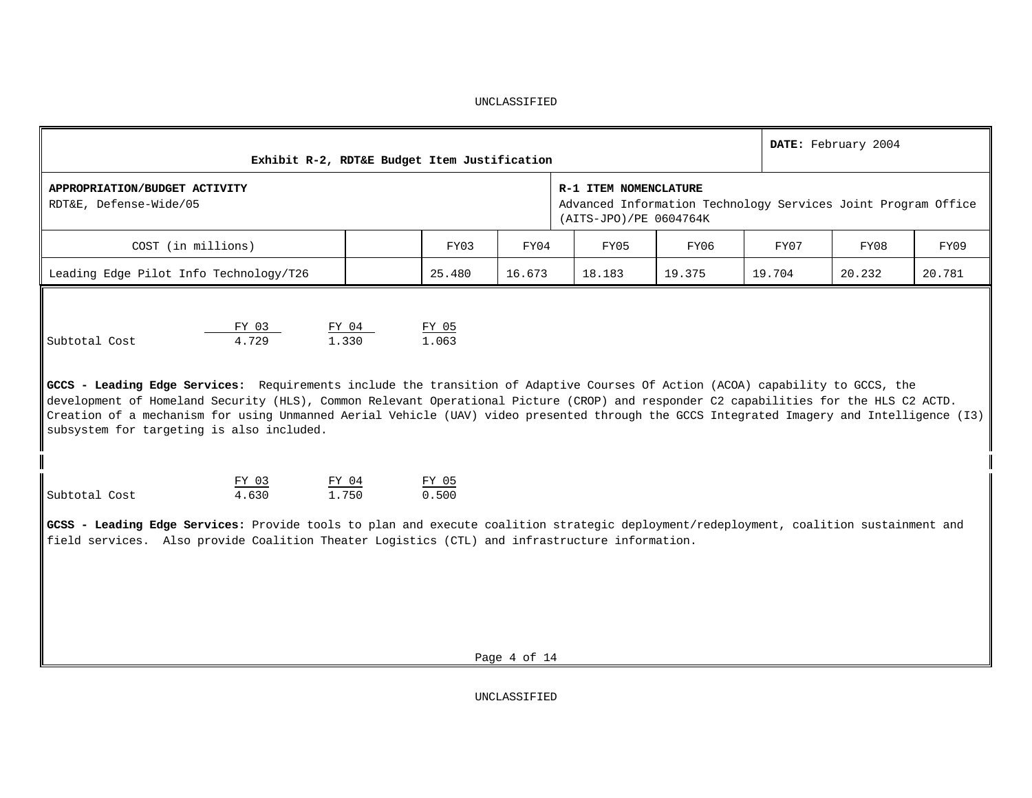| Exhibit R-2, RDT&E Budget Item Justification                                                                                                                                                                                                                                                                                                                                                                                                                                                                  |       |                |              |                                                                                                                  |        |        | DATE: February 2004 |        |
|---------------------------------------------------------------------------------------------------------------------------------------------------------------------------------------------------------------------------------------------------------------------------------------------------------------------------------------------------------------------------------------------------------------------------------------------------------------------------------------------------------------|-------|----------------|--------------|------------------------------------------------------------------------------------------------------------------|--------|--------|---------------------|--------|
| APPROPRIATION/BUDGET ACTIVITY<br>RDT&E, Defense-Wide/05                                                                                                                                                                                                                                                                                                                                                                                                                                                       |       |                |              | R-1 ITEM NOMENCLATURE<br>Advanced Information Technology Services Joint Program Office<br>(AITS-JPO)/PE 0604764K |        |        |                     |        |
| COST (in millions)                                                                                                                                                                                                                                                                                                                                                                                                                                                                                            |       | FY03           | FY04         | FY05                                                                                                             | FY06   | FY07   | FY08                | FY09   |
| Leading Edge Pilot Info Technology/T26                                                                                                                                                                                                                                                                                                                                                                                                                                                                        |       | 25.480         | 16.673       | 18.183                                                                                                           | 19.375 | 19.704 | 20.232              | 20.781 |
| FY 03<br>4.729<br>1.330<br>Subtotal Cost<br>GCCS - Leading Edge Services: Requirements include the transition of Adaptive Courses Of Action (ACOA) capability to GCCS, the<br>development of Homeland Security (HLS), Common Relevant Operational Picture (CROP) and responder C2 capabilities for the HLS C2 ACTD.<br>Creation of a mechanism for using Unmanned Aerial Vehicle (UAV) video presented through the GCCS Integrated Imagery and Intelligence (I3)<br>subsystem for targeting is also included. | FY 04 | FY 05<br>1.063 |              |                                                                                                                  |        |        |                     |        |
| FY 03<br>FY 04<br>1.750<br>4.630<br>Subtotal Cost                                                                                                                                                                                                                                                                                                                                                                                                                                                             |       | FY 05<br>0.500 |              |                                                                                                                  |        |        |                     |        |
| GCSS - Leading Edge Services: Provide tools to plan and execute coalition strategic deployment/redeployment, coalition sustainment and<br>field services. Also provide Coalition Theater Logistics (CTL) and infrastructure information.                                                                                                                                                                                                                                                                      |       |                | Page 4 of 14 |                                                                                                                  |        |        |                     |        |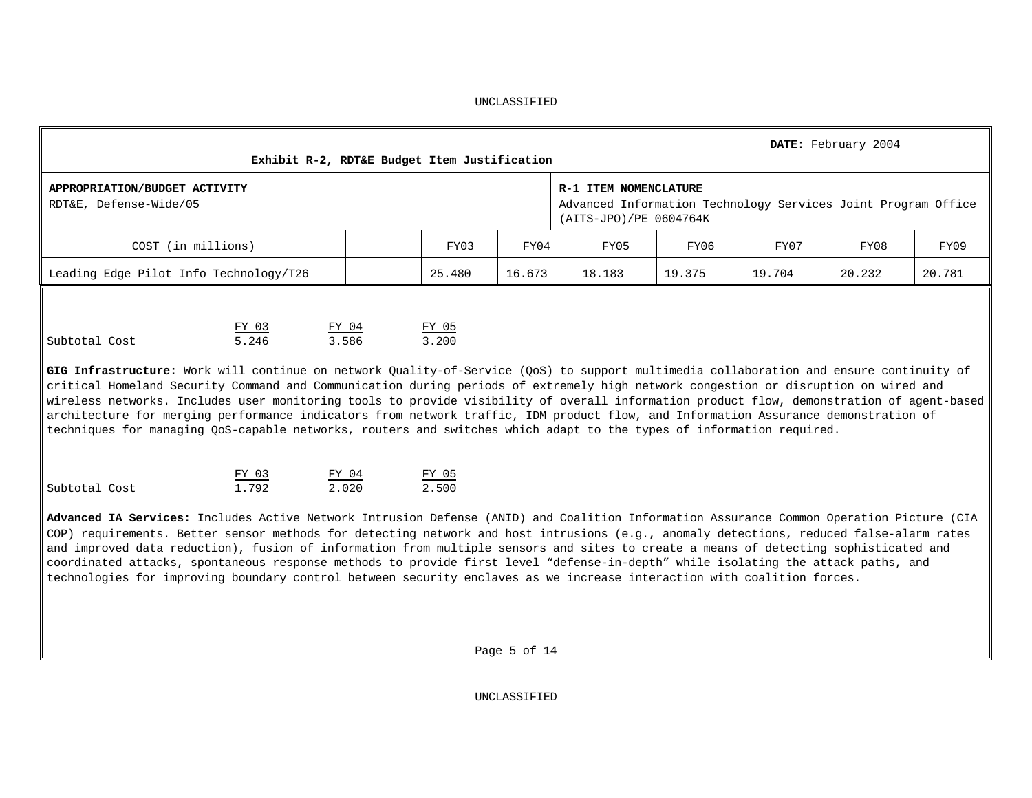|                                                                                                                                                                                                                                                                                                                                                                                                                             | DATE: February 2004<br>Exhibit R-2, RDT&E Budget Item Justification                                                                                                                                                                                                                                                                                                                                                                                                                                                                                                                                                                                                                                                                             |                |                |      |                       |                                                                                         |      |      |        |  |  |  |  |
|-----------------------------------------------------------------------------------------------------------------------------------------------------------------------------------------------------------------------------------------------------------------------------------------------------------------------------------------------------------------------------------------------------------------------------|-------------------------------------------------------------------------------------------------------------------------------------------------------------------------------------------------------------------------------------------------------------------------------------------------------------------------------------------------------------------------------------------------------------------------------------------------------------------------------------------------------------------------------------------------------------------------------------------------------------------------------------------------------------------------------------------------------------------------------------------------|----------------|----------------|------|-----------------------|-----------------------------------------------------------------------------------------|------|------|--------|--|--|--|--|
| APPROPRIATION/BUDGET ACTIVITY<br>RDT&E, Defense-Wide/05                                                                                                                                                                                                                                                                                                                                                                     |                                                                                                                                                                                                                                                                                                                                                                                                                                                                                                                                                                                                                                                                                                                                                 |                |                |      | R-1 ITEM NOMENCLATURE | Advanced Information Technology Services Joint Program Office<br>(AITS-JPO)/PE 0604764K |      |      |        |  |  |  |  |
| COST (in millions)                                                                                                                                                                                                                                                                                                                                                                                                          |                                                                                                                                                                                                                                                                                                                                                                                                                                                                                                                                                                                                                                                                                                                                                 |                | FY03           | FY04 | FY05                  | FY06                                                                                    | FY07 | FY08 | FY09   |  |  |  |  |
| Leading Edge Pilot Info Technology/T26<br>25.480<br>16.673<br>18.183<br>19.375<br>19.704<br>20.232                                                                                                                                                                                                                                                                                                                          |                                                                                                                                                                                                                                                                                                                                                                                                                                                                                                                                                                                                                                                                                                                                                 |                |                |      |                       |                                                                                         |      |      | 20.781 |  |  |  |  |
| Subtotal Cost                                                                                                                                                                                                                                                                                                                                                                                                               | FY 05<br>FY 03<br>FY 04<br>3.586<br>3.200<br>5.246<br>GIG Infrastructure: Work will continue on network Quality-of-Service (QoS) to support multimedia collaboration and ensure continuity of<br>critical Homeland Security Command and Communication during periods of extremely high network congestion or disruption on wired and<br>wireless networks. Includes user monitoring tools to provide visibility of overall information product flow, demonstration of agent-based<br>architecture for merging performance indicators from network traffic, IDM product flow, and Information Assurance demonstration of<br>techniques for managing QoS-capable networks, routers and switches which adapt to the types of information required. |                |                |      |                       |                                                                                         |      |      |        |  |  |  |  |
| Subtotal Cost                                                                                                                                                                                                                                                                                                                                                                                                               | FY 03<br>1.792                                                                                                                                                                                                                                                                                                                                                                                                                                                                                                                                                                                                                                                                                                                                  | FY 04<br>2.020 | FY 05<br>2.500 |      |                       |                                                                                         |      |      |        |  |  |  |  |
| Advanced IA Services: Includes Active Network Intrusion Defense (ANID) and Coalition Information Assurance Common Operation Picture (CIA<br>COP) requirements. Better sensor methods for detecting network and host intrusions (e.g., anomaly detections, reduced false-alarm rates<br>and improved data reduction), fusion of information from multiple sensors and sites to create a means of detecting sophisticated and |                                                                                                                                                                                                                                                                                                                                                                                                                                                                                                                                                                                                                                                                                                                                                 |                |                |      |                       |                                                                                         |      |      |        |  |  |  |  |

coordinated attacks, spontaneous response methods to provide first level "defense-in-depth" while isolating the attack paths, and technologies for improving boundary control between security enclaves as we increase interaction with coalition forces.

Page 5 of 14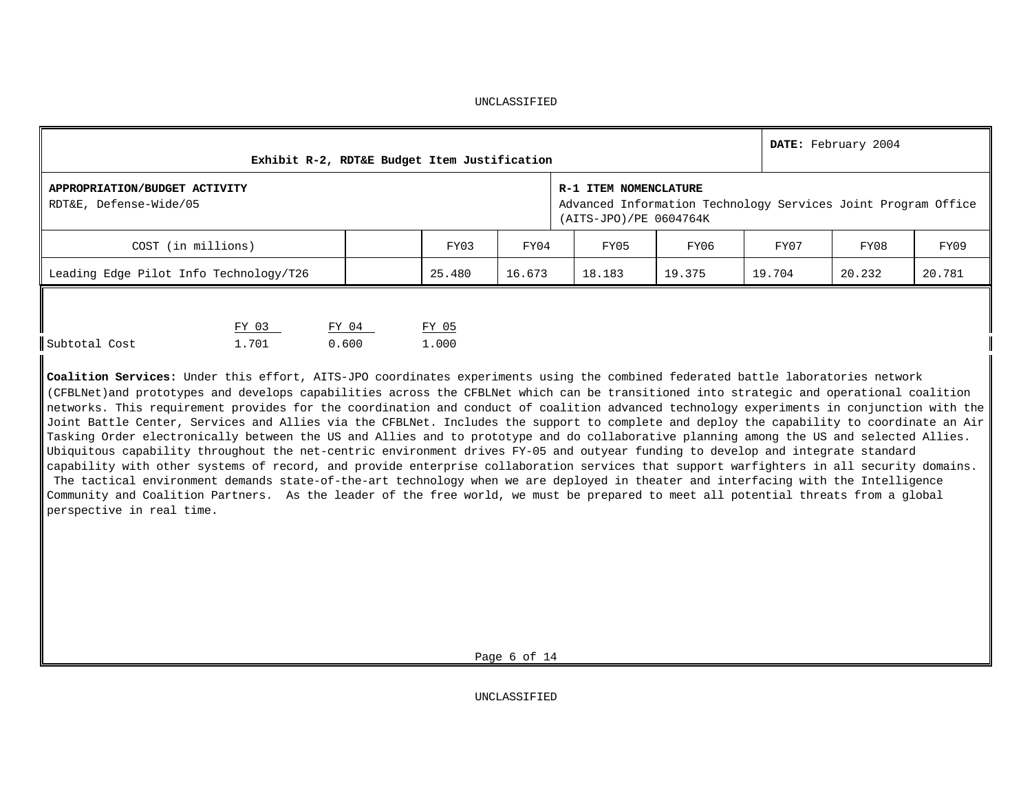|                                                         |                |       | Exhibit R-2, RDT&E Budget Item Justification |                |        |      |                                                                                                                  |        | DATE: February 2004 |        |        |
|---------------------------------------------------------|----------------|-------|----------------------------------------------|----------------|--------|------|------------------------------------------------------------------------------------------------------------------|--------|---------------------|--------|--------|
| APPROPRIATION/BUDGET ACTIVITY<br>RDT&E, Defense-Wide/05 |                |       |                                              |                |        |      | R-1 ITEM NOMENCLATURE<br>Advanced Information Technology Services Joint Program Office<br>(AITS-JPO)/PE 0604764K |        |                     |        |        |
| COST (in millions)<br>FY03                              |                |       |                                              |                |        | FY04 | FY05                                                                                                             | FY06   | FY07                | FY08   | FY09   |
| Leading Edge Pilot Info Technology/T26                  |                |       |                                              | 25.480         | 16.673 |      | 18.183                                                                                                           | 19.375 | 19.704              | 20.232 | 20.781 |
| Subtotal Cost                                           | FY 03<br>1.701 | 0.600 | FY 04                                        | FY 05<br>1,000 |        |      |                                                                                                                  |        |                     |        |        |

**Coalition Services:** Under this effort, AITS-JPO coordinates experiments using the combined federated battle laboratories network (CFBLNet)and prototypes and develops capabilities across the CFBLNet which can be transitioned into strategic and operational coalition networks. This requirement provides for the coordination and conduct of coalition advanced technology experiments in conjunction with the Joint Battle Center, Services and Allies via the CFBLNet. Includes the support to complete and deploy the capability to coordinate an Air Tasking Order electronically between the US and Allies and to prototype and do collaborative planning among the US and selected Allies. Ubiquitous capability throughout the net-centric environment drives FY-05 and outyear funding to develop and integrate standard capability with other systems of record, and provide enterprise collaboration services that support warfighters in all security domains. The tactical environment demands state-of-the-art technology when we are deployed in theater and interfacing with the Intelligence Community and Coalition Partners. As the leader of the free world, we must be prepared to meet all potential threats from a global perspective in real time.

Page 6 of 14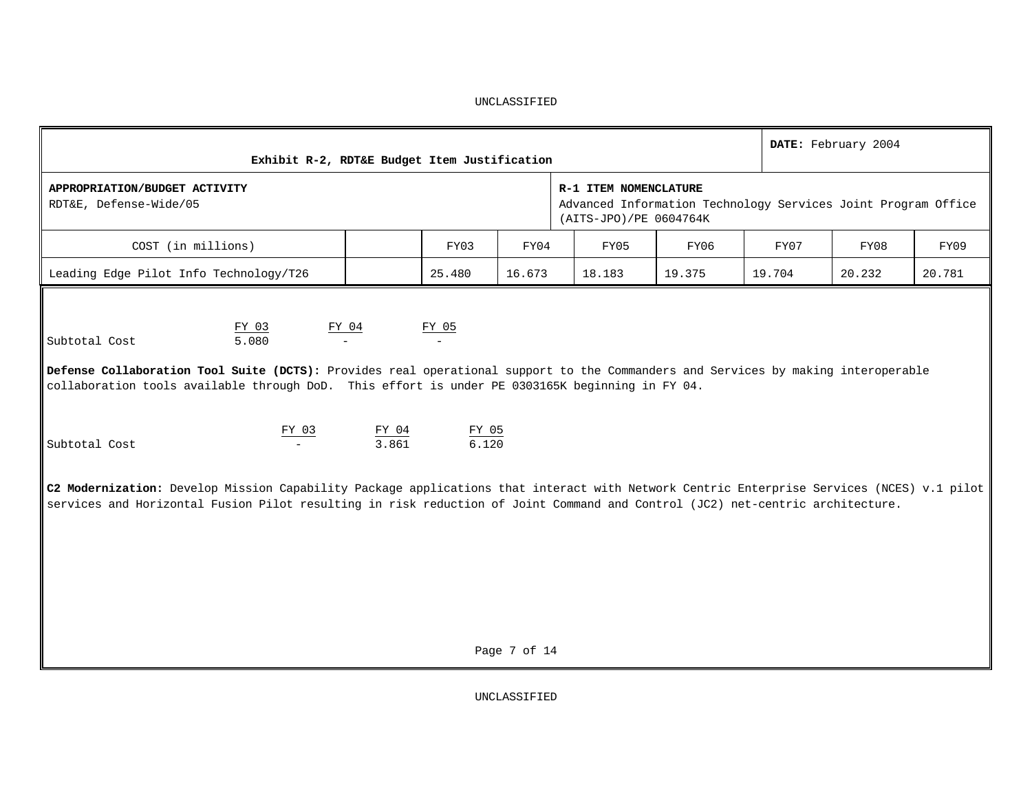| Exhibit R-2, RDT&E Budget Item Justification                                                                                                                                                                                                                               |                |                   |              |                                                 |                                                               |        | DATE: February 2004 |        |
|----------------------------------------------------------------------------------------------------------------------------------------------------------------------------------------------------------------------------------------------------------------------------|----------------|-------------------|--------------|-------------------------------------------------|---------------------------------------------------------------|--------|---------------------|--------|
| APPROPRIATION/BUDGET ACTIVITY<br>RDT&E, Defense-Wide/05                                                                                                                                                                                                                    |                |                   |              | R-1 ITEM NOMENCLATURE<br>(AITS-JPO)/PE 0604764K | Advanced Information Technology Services Joint Program Office |        |                     |        |
| COST (in millions)                                                                                                                                                                                                                                                         |                | FY03              | FY04         | FY05                                            | FY06                                                          | FY07   | FY08                | FY09   |
| Leading Edge Pilot Info Technology/T26                                                                                                                                                                                                                                     |                | 25.480            | 16.673       | 18.183                                          | 19.375                                                        | 19.704 | 20.232              | 20.781 |
| FY 03<br>5.080<br>Subtotal Cost<br>Defense Collaboration Tool Suite (DCTS): Provides real operational support to the Commanders and Services by making interoperable<br>collaboration tools available through DoD. This effort is under PE 0303165K beginning in FY 04.    | FY 04          | FY 05<br>$\equiv$ |              |                                                 |                                                               |        |                     |        |
| FY 03<br>Subtotal Cost                                                                                                                                                                                                                                                     | FY 04<br>3.861 | FY 05<br>6.120    |              |                                                 |                                                               |        |                     |        |
| C2 Modernization: Develop Mission Capability Package applications that interact with Network Centric Enterprise Services (NCES) v.1 pilot<br>services and Horizontal Fusion Pilot resulting in risk reduction of Joint Command and Control (JC2) net-centric architecture. |                |                   |              |                                                 |                                                               |        |                     |        |
|                                                                                                                                                                                                                                                                            |                |                   | Page 7 of 14 |                                                 |                                                               |        |                     |        |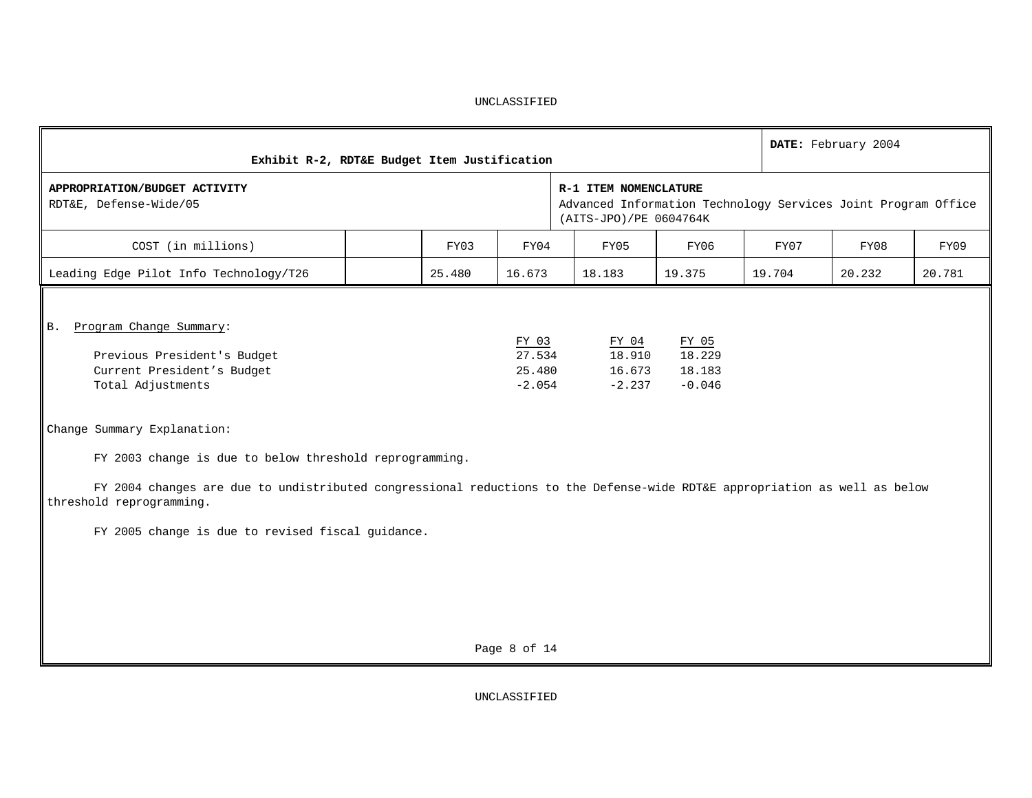| Exhibit R-2, RDT&E Budget Item Justification                                                                                                                                                                                                                                                          |        | DATE: February 2004                   |                                                 |                                                               |        |        |        |
|-------------------------------------------------------------------------------------------------------------------------------------------------------------------------------------------------------------------------------------------------------------------------------------------------------|--------|---------------------------------------|-------------------------------------------------|---------------------------------------------------------------|--------|--------|--------|
| APPROPRIATION/BUDGET ACTIVITY<br>RDT&E, Defense-Wide/05                                                                                                                                                                                                                                               |        |                                       | R-1 ITEM NOMENCLATURE<br>(AITS-JPO)/PE 0604764K | Advanced Information Technology Services Joint Program Office |        |        |        |
| COST (in millions)                                                                                                                                                                                                                                                                                    | FY03   | FY04                                  | FY05                                            | FY06                                                          | FY07   | FY08   | FY09   |
| Leading Edge Pilot Info Technology/T26                                                                                                                                                                                                                                                                | 25.480 | 16.673                                | 18.183                                          | 19.375                                                        | 19.704 | 20.232 | 20.781 |
| Program Change Summary:<br><b>B.</b><br>Previous President's Budget<br>Current President's Budget<br>Total Adjustments                                                                                                                                                                                |        | FY 03<br>27.534<br>25.480<br>$-2.054$ | FY 04<br>18.910<br>16.673<br>$-2.237$           | FY 05<br>18.229<br>18.183<br>$-0.046$                         |        |        |        |
| Change Summary Explanation:<br>FY 2003 change is due to below threshold reprogramming.<br>FY 2004 changes are due to undistributed congressional reductions to the Defense-wide RDT&E appropriation as well as below<br>threshold reprogramming.<br>FY 2005 change is due to revised fiscal guidance. |        |                                       |                                                 |                                                               |        |        |        |

Page 8 of 14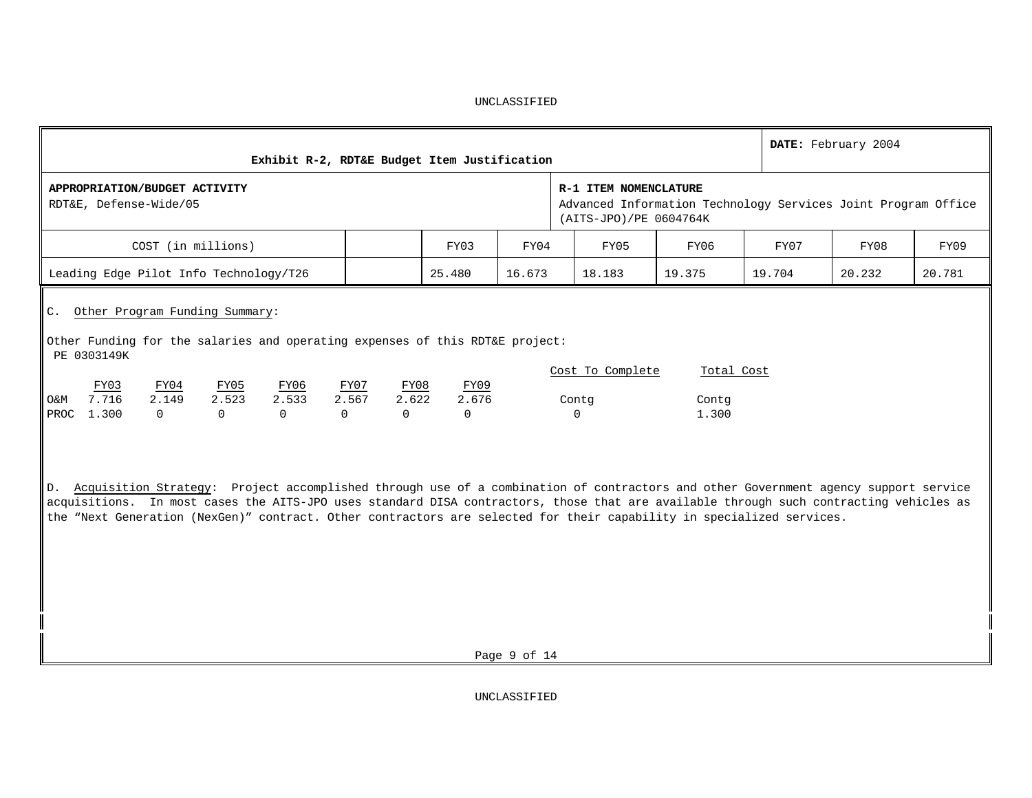|                                                                                                                                                                                                                                                                                                                                                                                                                  | Exhibit R-2, RDT&E Budget Item Justification                                                                     |        |                                |                              |        | DATE: February 2004 |        |
|------------------------------------------------------------------------------------------------------------------------------------------------------------------------------------------------------------------------------------------------------------------------------------------------------------------------------------------------------------------------------------------------------------------|------------------------------------------------------------------------------------------------------------------|--------|--------------------------------|------------------------------|--------|---------------------|--------|
| APPROPRIATION/BUDGET ACTIVITY<br>RDT&E, Defense-Wide/05                                                                                                                                                                                                                                                                                                                                                          | R-1 ITEM NOMENCLATURE<br>Advanced Information Technology Services Joint Program Office<br>(AITS-JPO)/PE 0604764K |        |                                |                              |        |                     |        |
| COST (in millions)                                                                                                                                                                                                                                                                                                                                                                                               | FY03                                                                                                             | FY04   | FY05                           | FY06                         | FY07   | FY08                | FY09   |
| Leading Edge Pilot Info Technology/T26                                                                                                                                                                                                                                                                                                                                                                           | 25.480                                                                                                           | 16.673 | 18.183                         | 19.375                       | 19.704 | 20.232              | 20.781 |
| C. Other Program Funding Summary:<br>Other Funding for the salaries and operating expenses of this RDT&E project:<br>PE 0303149K<br>FY03<br>FY04<br><u>FY05</u><br><u>FY06</u><br>7.716<br>2.149<br>2.523<br>2.533<br>O&M<br>PROC<br>1.300<br>$\Omega$<br>0<br>$\Omega$<br>D. Acquisition Strategy: Project accomplished through use of a combination of contractors and other Government agency support service | FY08<br>FY09<br><u>FY07</u><br>2.567<br>2.622<br>2.676<br>$\Omega$<br>$\Omega$<br>$\Omega$                       |        | Cost To Complete<br>Contg<br>0 | Total Cost<br>Contq<br>1.300 |        |                     |        |
| acquisitions. In most cases the AITS-JPO uses standard DISA contractors, those that are available through such contracting vehicles as                                                                                                                                                                                                                                                                           |                                                                                                                  |        |                                |                              |        |                     |        |

the "Next Generation (NexGen)" contract. Other contractors are selected for their capability in specialized services.

Page 9 of 14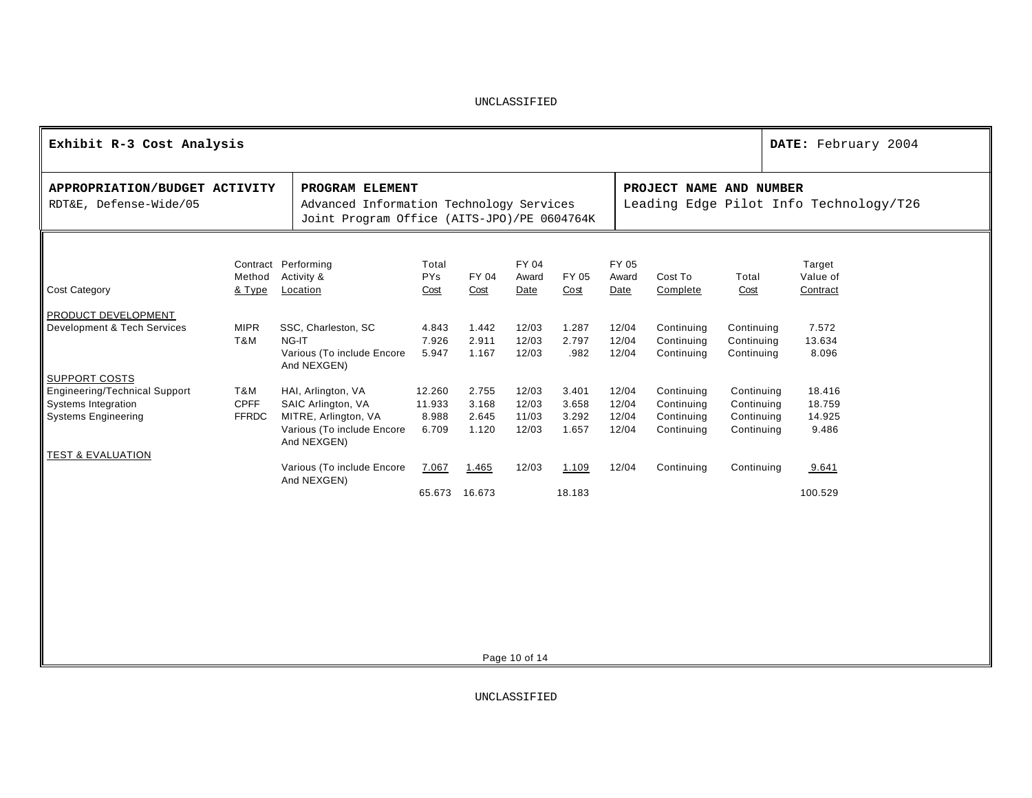| Exhibit R-3 Cost Analysis                                                                                         |                                    |                                                                                                               |                                    |                                  |                                  |                                  |                                  |                                                      |                                                      | DATE: February 2004                    |
|-------------------------------------------------------------------------------------------------------------------|------------------------------------|---------------------------------------------------------------------------------------------------------------|------------------------------------|----------------------------------|----------------------------------|----------------------------------|----------------------------------|------------------------------------------------------|------------------------------------------------------|----------------------------------------|
| APPROPRIATION/BUDGET ACTIVITY<br>RDT&E, Defense-Wide/05                                                           |                                    | PROGRAM ELEMENT<br>Advanced Information Technology Services<br>Joint Program Office (AITS-JPO)/PE 0604764K    |                                    |                                  |                                  |                                  |                                  | PROJECT NAME AND NUMBER                              |                                                      | Leading Edge Pilot Info Technology/T26 |
| <b>Cost Category</b>                                                                                              | Method<br>& Type                   | Contract Performing<br>Activity &<br>Location                                                                 | Total<br><b>PYs</b><br>Cost        | FY 04<br>Cost                    | FY 04<br>Award<br>Date           | FY 05<br>Cost                    | FY 05<br>Award<br>Date           | Cost To<br>Complete                                  | Total<br>Cost                                        | Target<br>Value of<br>Contract         |
| PRODUCT DEVELOPMENT<br>Development & Tech Services                                                                | <b>MIPR</b><br>T&M                 | SSC, Charleston, SC<br>NG-IT<br>Various (To include Encore<br>And NEXGEN)                                     | 4.843<br>7.926<br>5.947            | 1.442<br>2.911<br>1.167          | 12/03<br>12/03<br>12/03          | 1.287<br>2.797<br>.982           | 12/04<br>12/04<br>12/04          | Continuing<br>Continuing<br>Continuing               | Continuing<br>Continuing<br>Continuing               | 7.572<br>13.634<br>8.096               |
| <b>SUPPORT COSTS</b><br><b>Engineering/Technical Support</b><br>Systems Integration<br><b>Systems Engineering</b> | T&M<br><b>CPFF</b><br><b>FFRDC</b> | HAI, Arlington, VA<br>SAIC Arlington, VA<br>MITRE, Arlington, VA<br>Various (To include Encore<br>And NEXGEN) | 12.260<br>11.933<br>8.988<br>6.709 | 2.755<br>3.168<br>2.645<br>1.120 | 12/03<br>12/03<br>11/03<br>12/03 | 3.401<br>3.658<br>3.292<br>1.657 | 12/04<br>12/04<br>12/04<br>12/04 | Continuing<br>Continuing<br>Continuing<br>Continuing | Continuing<br>Continuing<br>Continuing<br>Continuing | 18.416<br>18.759<br>14.925<br>9.486    |
| <b>TEST &amp; EVALUATION</b>                                                                                      |                                    | Various (To include Encore<br>And NEXGEN)                                                                     | 7.067<br>65.673                    | 1.465<br>16.673                  | 12/03                            | 1.109<br>18.183                  | 12/04                            | Continuing                                           | Continuing                                           | 9.641<br>100.529                       |
|                                                                                                                   |                                    |                                                                                                               |                                    |                                  |                                  |                                  |                                  |                                                      |                                                      |                                        |
|                                                                                                                   |                                    |                                                                                                               |                                    |                                  |                                  |                                  |                                  |                                                      |                                                      |                                        |

Page 10 of 14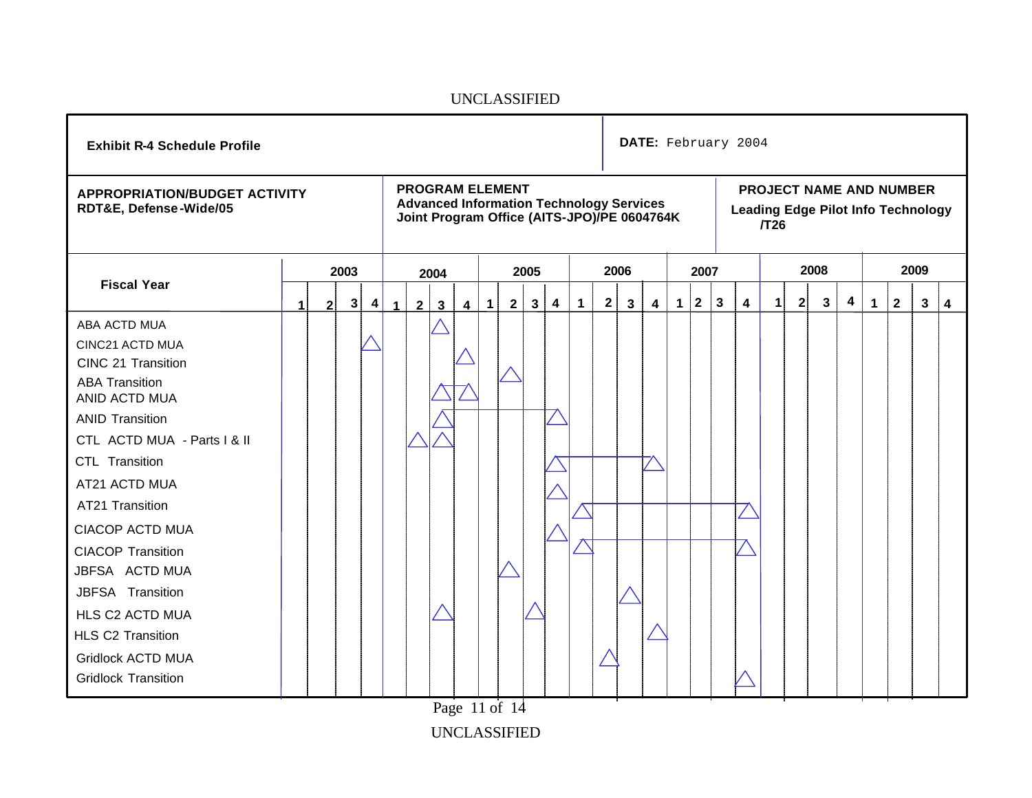| <b>Exhibit R-4 Schedule Profile</b>                                                                                                                                                                                                                                                                                                                                                                                 | <b>PROGRAM ELEMENT</b> |              |      |   |                      |                |              |                         |               |   |              |   |             | DATE: February 2004 |                                                                                                |   |              |              |              |   |              |   |                                                                             |                         |              |              |      |   |
|---------------------------------------------------------------------------------------------------------------------------------------------------------------------------------------------------------------------------------------------------------------------------------------------------------------------------------------------------------------------------------------------------------------------|------------------------|--------------|------|---|----------------------|----------------|--------------|-------------------------|---------------|---|--------------|---|-------------|---------------------|------------------------------------------------------------------------------------------------|---|--------------|--------------|--------------|---|--------------|---|-----------------------------------------------------------------------------|-------------------------|--------------|--------------|------|---|
| <b>APPROPRIATION/BUDGET ACTIVITY</b><br>RDT&E, Defense-Wide/05                                                                                                                                                                                                                                                                                                                                                      |                        |              |      |   |                      |                |              |                         |               |   |              |   |             |                     | <b>Advanced Information Technology Services</b><br>Joint Program Office (AITS-JPO)/PE 0604764K |   |              |              |              |   | $\sqrt{T}26$ |   | <b>PROJECT NAME AND NUMBER</b><br><b>Leading Edge Pilot Info Technology</b> |                         |              |              |      |   |
|                                                                                                                                                                                                                                                                                                                                                                                                                     |                        |              | 2003 |   |                      |                | 2004         |                         |               |   | 2005         |   |             |                     | 2006                                                                                           |   |              | 2007         |              |   |              |   | 2008                                                                        |                         |              |              | 2009 |   |
| <b>Fiscal Year</b>                                                                                                                                                                                                                                                                                                                                                                                                  | 1                      | $\mathbf{2}$ | 3    | 4 | $\blacktriangleleft$ | $\overline{2}$ | $\mathbf{3}$ | $\overline{\mathbf{4}}$ | $\mathbf{1}$  | 2 | $\mathbf{3}$ | 4 | $\mathbf 1$ | $\mathbf{2}$        | $\mathbf{3}$                                                                                   | 4 | $\mathbf{1}$ | $\mathbf{2}$ | $\mathbf{3}$ | 4 | 1            | 2 | 3                                                                           | $\overline{\mathbf{4}}$ | $\mathbf{1}$ | $\mathbf{2}$ | 3    | 4 |
| ABA ACTD MUA<br>CINC21 ACTD MUA<br>CINC 21 Transition<br><b>ABA Transition</b><br>ANID ACTD MUA<br><b>ANID Transition</b><br>CTL ACTD MUA - Parts I & II<br>CTL Transition<br>AT21 ACTD MUA<br>AT21 Transition<br><b>CIACOP ACTD MUA</b><br><b>CIACOP Transition</b><br>JBFSA ACTD MUA<br>JBFSA Transition<br>HLS C2 ACTD MUA<br><b>HLS C2 Transition</b><br><b>Gridlock ACTD MUA</b><br><b>Gridlock Transition</b> |                        |              |      |   |                      |                |              |                         |               |   |              |   |             |                     |                                                                                                |   |              |              |              |   |              |   |                                                                             |                         |              |              |      |   |
|                                                                                                                                                                                                                                                                                                                                                                                                                     |                        |              |      |   |                      |                |              |                         | Page 11 of 14 |   |              |   |             |                     |                                                                                                |   |              |              |              |   |              |   |                                                                             |                         |              |              |      |   |
|                                                                                                                                                                                                                                                                                                                                                                                                                     |                        |              |      |   |                      |                |              |                         |               |   |              |   |             |                     |                                                                                                |   |              |              |              |   |              |   |                                                                             |                         |              |              |      |   |

UNCLASSIFIED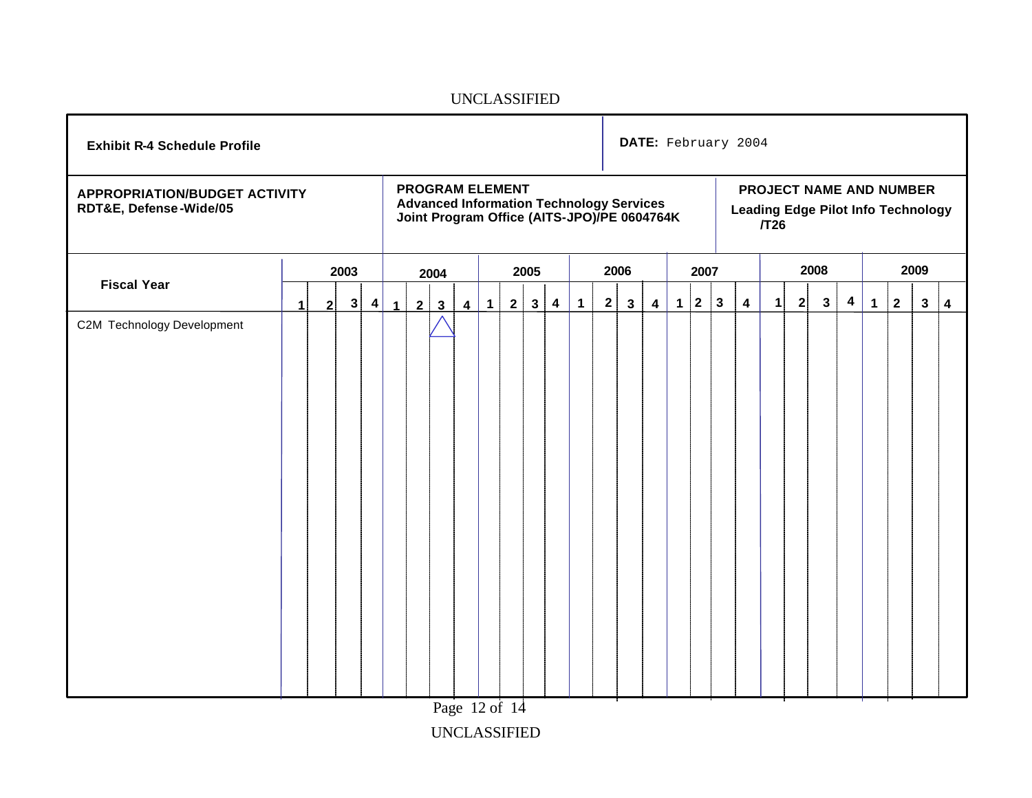| <b>Exhibit R-4 Schedule Profile</b>                            | <b>PROGRAM ELEMENT</b> |                |      |           |                      |                |                         |                         |           |   |              |                         | DATE: February 2004 |              |              |                                                                                                |             |                   |                         |                         |              |                                                                      |              |                         |             |              |              |                         |
|----------------------------------------------------------------|------------------------|----------------|------|-----------|----------------------|----------------|-------------------------|-------------------------|-----------|---|--------------|-------------------------|---------------------|--------------|--------------|------------------------------------------------------------------------------------------------|-------------|-------------------|-------------------------|-------------------------|--------------|----------------------------------------------------------------------|--------------|-------------------------|-------------|--------------|--------------|-------------------------|
| <b>APPROPRIATION/BUDGET ACTIVITY</b><br>RDT&E, Defense-Wide/05 |                        |                |      |           |                      |                |                         |                         |           |   |              |                         |                     |              |              | <b>Advanced Information Technology Services</b><br>Joint Program Office (AITS-JPO)/PE 0604764K |             |                   |                         |                         | $\sqrt{T}26$ | PROJECT NAME AND NUMBER<br><b>Leading Edge Pilot Info Technology</b> |              |                         |             |              |              |                         |
|                                                                |                        |                | 2003 |           |                      |                | 2004                    |                         |           |   | 2005         |                         |                     |              | 2006         |                                                                                                |             | 2007              |                         |                         | 2008         |                                                                      |              |                         | 2009        |              |              |                         |
| <b>Fiscal Year</b>                                             | $\mathbf{1}$           | 2 <sup>1</sup> | 3    | $\vert$ 4 | $\blacktriangleleft$ | $\overline{2}$ | $\overline{\mathbf{3}}$ | $\overline{\mathbf{4}}$ | $\vert$ 1 | 2 | $\mathbf{3}$ | $\overline{\mathbf{4}}$ | $\mathbf{1}$        | $\mathbf{2}$ | $\mathbf{3}$ | $\overline{\mathbf{4}}$                                                                        | $\mathbf 1$ | $\vert$ 2 $\vert$ | $\overline{\mathbf{3}}$ | $\overline{\mathbf{4}}$ | $\mathbf{1}$ | 2                                                                    | $\mathbf{3}$ | $\overline{\mathbf{4}}$ | $\mathbf 1$ | $\mathbf{2}$ | $\mathbf{3}$ | $\overline{\mathbf{4}}$ |
| C2M Technology Development                                     |                        |                |      |           |                      |                |                         |                         |           |   |              |                         |                     |              |              |                                                                                                |             |                   |                         |                         |              |                                                                      |              |                         |             |              |              |                         |
|                                                                |                        |                |      |           |                      |                |                         | Page 12 of 14           |           |   |              |                         |                     |              |              |                                                                                                |             |                   |                         |                         |              |                                                                      |              |                         |             |              |              |                         |

UNCLASSIFIED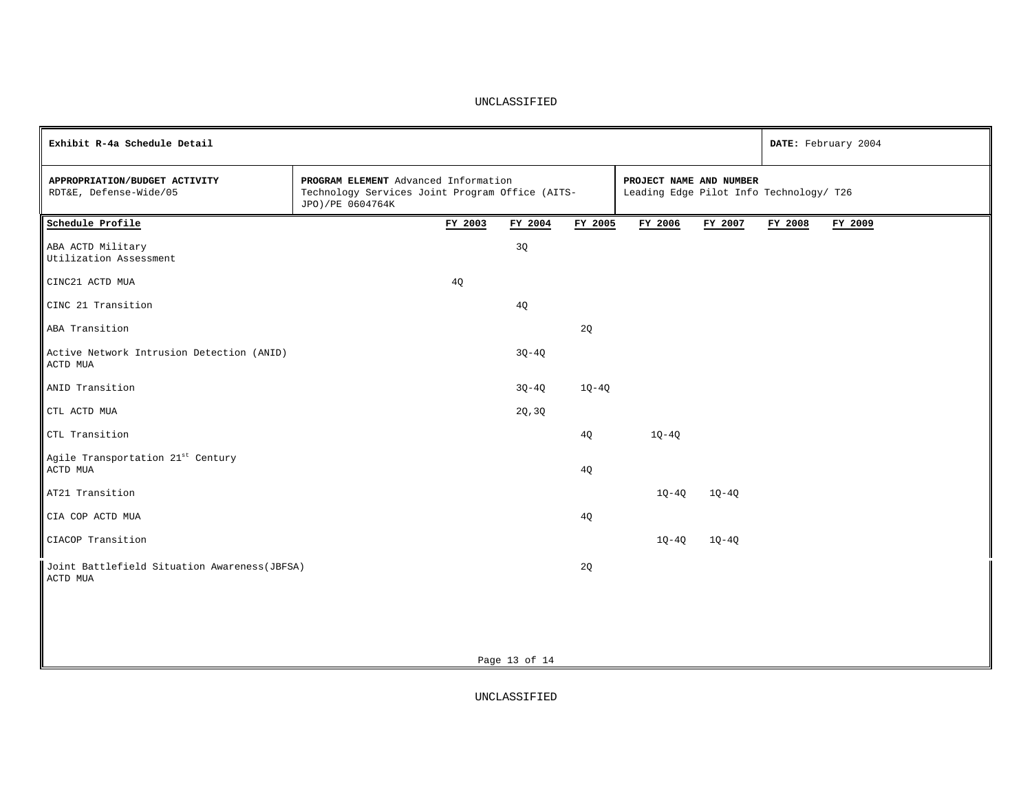| Exhibit R-4a Schedule Detail                              |                                                                                                             |         |               |         |                                                                    |         |         | DATE: February 2004 |
|-----------------------------------------------------------|-------------------------------------------------------------------------------------------------------------|---------|---------------|---------|--------------------------------------------------------------------|---------|---------|---------------------|
| APPROPRIATION/BUDGET ACTIVITY<br>RDT&E, Defense-Wide/05   | PROGRAM ELEMENT Advanced Information<br>Technology Services Joint Program Office (AITS-<br>JPO)/PE 0604764K |         |               |         | PROJECT NAME AND NUMBER<br>Leading Edge Pilot Info Technology/ T26 |         |         |                     |
| Schedule Profile                                          |                                                                                                             | FY 2003 | FY 2004       | FY 2005 | FY 2006                                                            | FY 2007 | FY 2008 | FY 2009             |
| ABA ACTD Military<br>Utilization Assessment               |                                                                                                             |         | 3Q            |         |                                                                    |         |         |                     |
| CINC21 ACTD MUA                                           |                                                                                                             | 4Q      |               |         |                                                                    |         |         |                     |
| CINC 21 Transition                                        |                                                                                                             |         | 4Q            |         |                                                                    |         |         |                     |
| ABA Transition                                            |                                                                                                             |         |               | 2Q      |                                                                    |         |         |                     |
| Active Network Intrusion Detection (ANID)<br>ACTD MUA     |                                                                                                             |         | $3Q - 4Q$     |         |                                                                    |         |         |                     |
| ANID Transition                                           |                                                                                                             |         | $3Q - 4Q$     | $1Q-4Q$ |                                                                    |         |         |                     |
| CTL ACTD MUA                                              |                                                                                                             |         | 2Q, 3Q        |         |                                                                    |         |         |                     |
| CTL Transition                                            |                                                                                                             |         |               | 4Q      | $1Q-4Q$                                                            |         |         |                     |
| Agile Transportation 21st Century<br>ACTD MUA             |                                                                                                             |         |               | 4Q      |                                                                    |         |         |                     |
| AT21 Transition                                           |                                                                                                             |         |               |         | $1Q-4Q$                                                            | $1Q-4Q$ |         |                     |
| CIA COP ACTD MUA                                          |                                                                                                             |         |               | 4Q      |                                                                    |         |         |                     |
| CIACOP Transition                                         |                                                                                                             |         |               |         | $1Q-4Q$                                                            | $1Q-4Q$ |         |                     |
| Joint Battlefield Situation Awareness (JBFSA)<br>ACTD MUA |                                                                                                             |         |               | 2Q      |                                                                    |         |         |                     |
|                                                           |                                                                                                             |         |               |         |                                                                    |         |         |                     |
|                                                           |                                                                                                             |         |               |         |                                                                    |         |         |                     |
|                                                           |                                                                                                             |         | Page 13 of 14 |         |                                                                    |         |         |                     |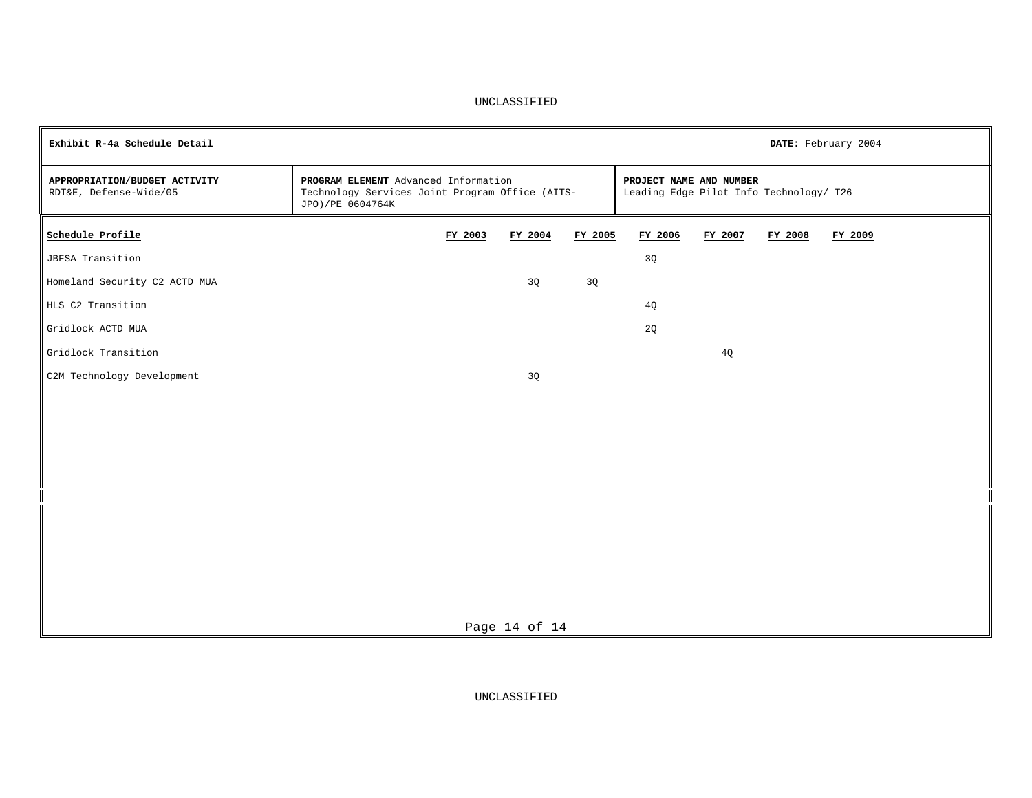| Exhibit R-4a Schedule Detail                            |                                                                                                             |         |                                                                    |         |                |         |         | DATE: February 2004 |
|---------------------------------------------------------|-------------------------------------------------------------------------------------------------------------|---------|--------------------------------------------------------------------|---------|----------------|---------|---------|---------------------|
| APPROPRIATION/BUDGET ACTIVITY<br>RDT&E, Defense-Wide/05 | PROGRAM ELEMENT Advanced Information<br>Technology Services Joint Program Office (AITS-<br>JPO)/PE 0604764K |         | PROJECT NAME AND NUMBER<br>Leading Edge Pilot Info Technology/ T26 |         |                |         |         |                     |
| Schedule Profile                                        |                                                                                                             | FY 2003 | FY 2004                                                            | FY 2005 | FY 2006        | FY 2007 | FY 2008 | FY 2009             |
| JBFSA Transition                                        |                                                                                                             |         |                                                                    |         | 3Q             |         |         |                     |
| Homeland Security C2 ACTD MUA                           |                                                                                                             |         | 3Q                                                                 | 3Q      |                |         |         |                     |
| HLS C2 Transition                                       |                                                                                                             |         |                                                                    |         | 4Q             |         |         |                     |
| Gridlock ACTD MUA                                       |                                                                                                             |         |                                                                    |         | $2{\mathbb Q}$ |         |         |                     |
| Gridlock Transition                                     |                                                                                                             |         |                                                                    |         |                | 4Q      |         |                     |
| C2M Technology Development                              |                                                                                                             |         | 3Q                                                                 |         |                |         |         |                     |
|                                                         |                                                                                                             |         |                                                                    |         |                |         |         |                     |
|                                                         |                                                                                                             |         |                                                                    |         |                |         |         |                     |
|                                                         |                                                                                                             |         |                                                                    |         |                |         |         |                     |
|                                                         |                                                                                                             |         |                                                                    |         |                |         |         |                     |
|                                                         |                                                                                                             |         |                                                                    |         |                |         |         |                     |
|                                                         |                                                                                                             |         |                                                                    |         |                |         |         |                     |
|                                                         |                                                                                                             |         |                                                                    |         |                |         |         |                     |
|                                                         |                                                                                                             |         |                                                                    |         |                |         |         |                     |
|                                                         |                                                                                                             |         |                                                                    |         |                |         |         |                     |
|                                                         |                                                                                                             |         |                                                                    |         |                |         |         |                     |
|                                                         |                                                                                                             |         | Page 14 of 14                                                      |         |                |         |         |                     |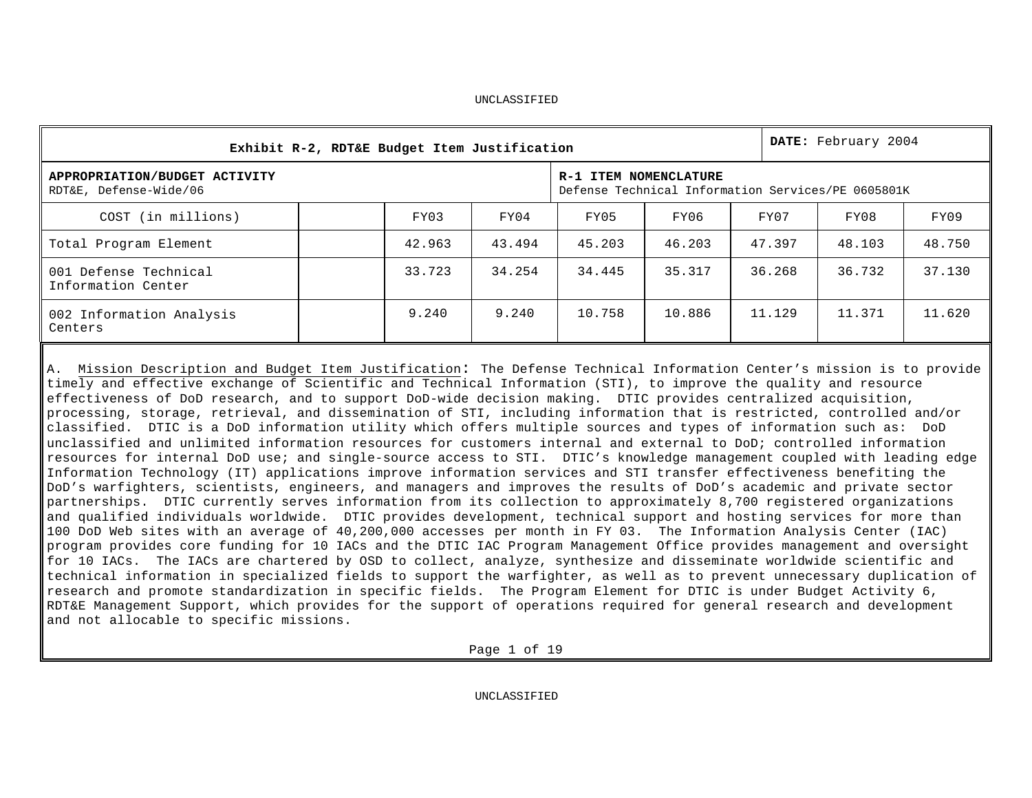|                                                         | Exhibit R-2, RDT&E Budget Item Justification |        | DATE: February 2004                                |        |        |        |        |  |  |  |
|---------------------------------------------------------|----------------------------------------------|--------|----------------------------------------------------|--------|--------|--------|--------|--|--|--|
| APPROPRIATION/BUDGET ACTIVITY<br>RDT&E, Defense-Wide/06 | R-1 ITEM NOMENCLATURE                        |        | Defense Technical Information Services/PE 0605801K |        |        |        |        |  |  |  |
| COST (in millions)                                      | FY03                                         | FY04   | FY05                                               | FY06   | FY07   | FY08   | FY09   |  |  |  |
| Total Program Element                                   | 42.963                                       | 43.494 | 45.203                                             | 46.203 | 47.397 | 48.103 | 48.750 |  |  |  |
| 001 Defense Technical<br>Information Center             | 33.723                                       | 34.254 | 34.445                                             | 35.317 | 36.268 | 36.732 | 37.130 |  |  |  |
| 002 Information Analysis<br>Centers                     | 9.240                                        | 9.240  | 10.758                                             | 10.886 | 11.129 | 11.371 | 11.620 |  |  |  |

A. Mission Description and Budget Item Justification: The Defense Technical Information Center's mission is to provide timely and effective exchange of Scientific and Technical Information (STI), to improve the quality and resource effectiveness of DoD research, and to support DoD-wide decision making. DTIC provides centralized acquisition, processing, storage, retrieval, and dissemination of STI, including information that is restricted, controlled and/or classified. DTIC is a DoD information utility which offers multiple sources and types of information such as: DoD unclassified and unlimited information resources for customers internal and external to DoD; controlled information resources for internal DoD use; and single-source access to STI. DTIC's knowledge management coupled with leading edge Information Technology (IT) applications improve information services and STI transfer effectiveness benefiting the DoD's warfighters, scientists, engineers, and managers and improves the results of DoD's academic and private sector partnerships. DTIC currently serves information from its collection to approximately 8,700 registered organizations and qualified individuals worldwide. DTIC provides development, technical support and hosting services for more than 100 DoD Web sites with an average of 40,200,000 accesses per month in FY 03. The Information Analysis Center (IAC) program provides core funding for 10 IACs and the DTIC IAC Program Management Office provides management and oversight for 10 IACs. The IACs are chartered by OSD to collect, analyze, synthesize and disseminate worldwide scientific and technical information in specialized fields to support the warfighter, as well as to prevent unnecessary duplication of research and promote standardization in specific fields. The Program Element for DTIC is under Budget Activity 6, RDT&E Management Support, which provides for the support of operations required for general research and development and not allocable to specific missions.

Page 1 of 19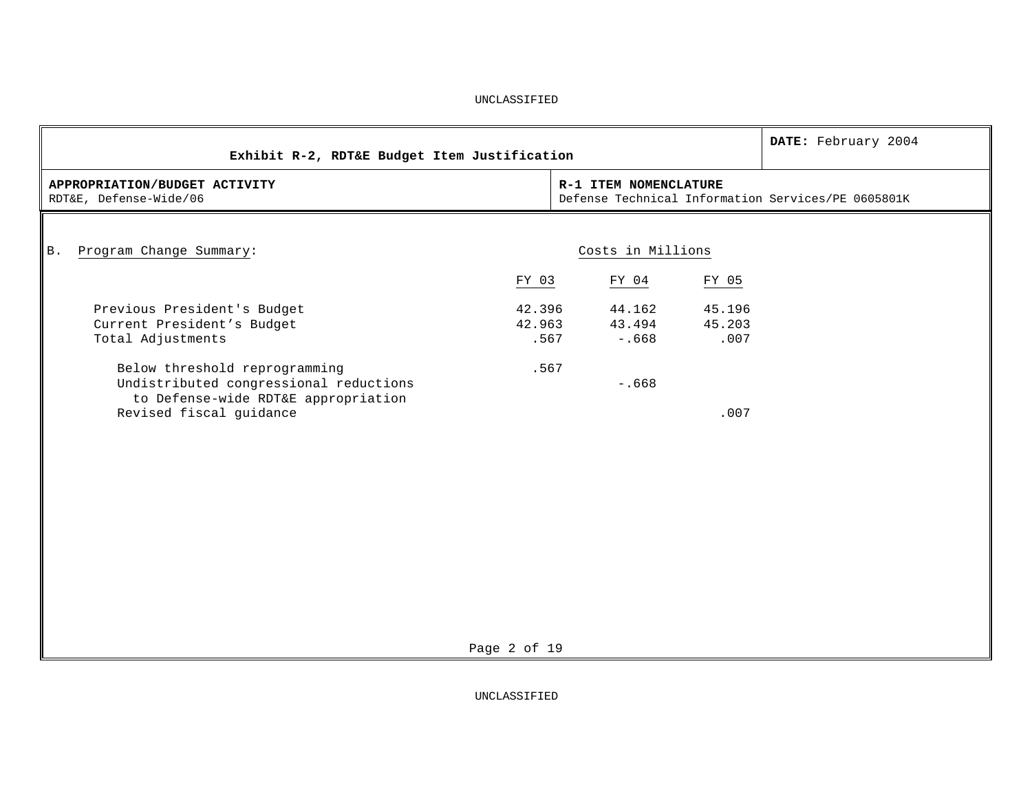| Exhibit R-2, RDT&E Budget Item Justification                                                                                              |                          |                             |                          | DATE: February 2004                                |
|-------------------------------------------------------------------------------------------------------------------------------------------|--------------------------|-----------------------------|--------------------------|----------------------------------------------------|
| APPROPRIATION/BUDGET ACTIVITY<br>RDT&E, Defense-Wide/06                                                                                   |                          | R-1 ITEM NOMENCLATURE       |                          | Defense Technical Information Services/PE 0605801K |
| Program Change Summary:<br><b>B</b> .                                                                                                     |                          | Costs in Millions           |                          |                                                    |
|                                                                                                                                           | FY 03                    | FY 04                       | FY 05                    |                                                    |
| Previous President's Budget<br>Current President's Budget<br>Total Adjustments                                                            | 42.396<br>42.963<br>.567 | 44.162<br>43.494<br>$-.668$ | 45.196<br>45.203<br>.007 |                                                    |
| Below threshold reprogramming<br>Undistributed congressional reductions<br>to Defense-wide RDT&E appropriation<br>Revised fiscal guidance | .567                     | $-0.668$                    | .007                     |                                                    |
|                                                                                                                                           |                          |                             |                          |                                                    |
|                                                                                                                                           |                          |                             |                          |                                                    |
|                                                                                                                                           |                          |                             |                          |                                                    |

Page 2 of 19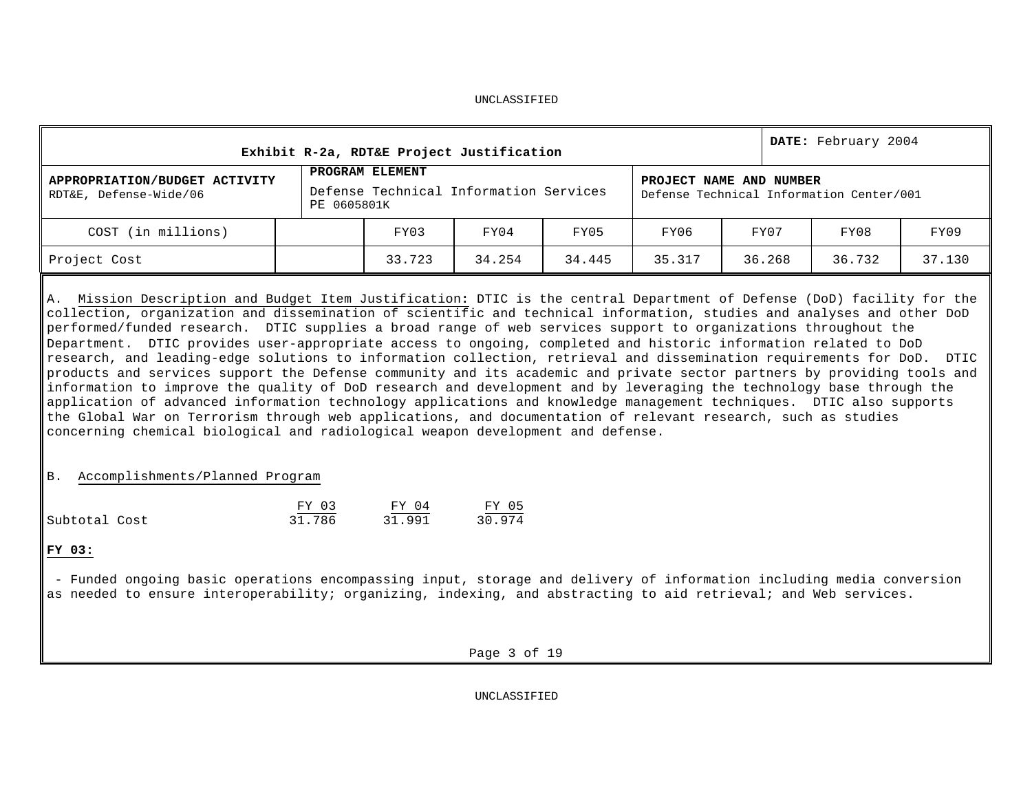|                                                         |                         | Exhibit R-2a, RDT&E Project Justification |        |        |        |        | DATE: February 2004 |        |  |  |  |
|---------------------------------------------------------|-------------------------|-------------------------------------------|--------|--------|--------|--------|---------------------|--------|--|--|--|
| APPROPRIATION/BUDGET ACTIVITY<br>RDT&E, Defense-Wide/06 | PROJECT NAME AND NUMBER | Defense Technical Information Center/001  |        |        |        |        |                     |        |  |  |  |
| COST (in millions)                                      |                         | FY07                                      | FY08   | FY09   |        |        |                     |        |  |  |  |
| Project Cost                                            |                         | 33.723                                    | 34.254 | 34.445 | 35.317 | 36.268 | 36.732              | 37.130 |  |  |  |

A. Mission Description and Budget Item Justification**:** DTIC is the central Department of Defense (DoD) facility for the collection, organization and dissemination of scientific and technical information, studies and analyses and other DoD performed/funded research. DTIC supplies a broad range of web services support to organizations throughout the Department. DTIC provides user-appropriate access to ongoing, completed and historic information related to DoD research, and leading-edge solutions to information collection, retrieval and dissemination requirements for DoD. DTIC products and services support the Defense community and its academic and private sector partners by providing tools and information to improve the quality of DoD research and development and by leveraging the technology base through the application of advanced information technology applications and knowledge management techniques. DTIC also supports the Global War on Terrorism through web applications, and documentation of relevant research, such as studies concerning chemical biological and radiological weapon development and defense.

# B. Accomplishments/Planned Program

|               | FY 03  | FY 04  | FY 05  |
|---------------|--------|--------|--------|
| Subtotal Cost | 31.786 | 31.991 | 30.974 |

# **FY 03:**

- Funded ongoing basic operations encompassing input, storage and delivery of information including media conversion as needed to ensure interoperability; organizing, indexing, and abstracting to aid retrieval; and Web services.

Page 3 of 19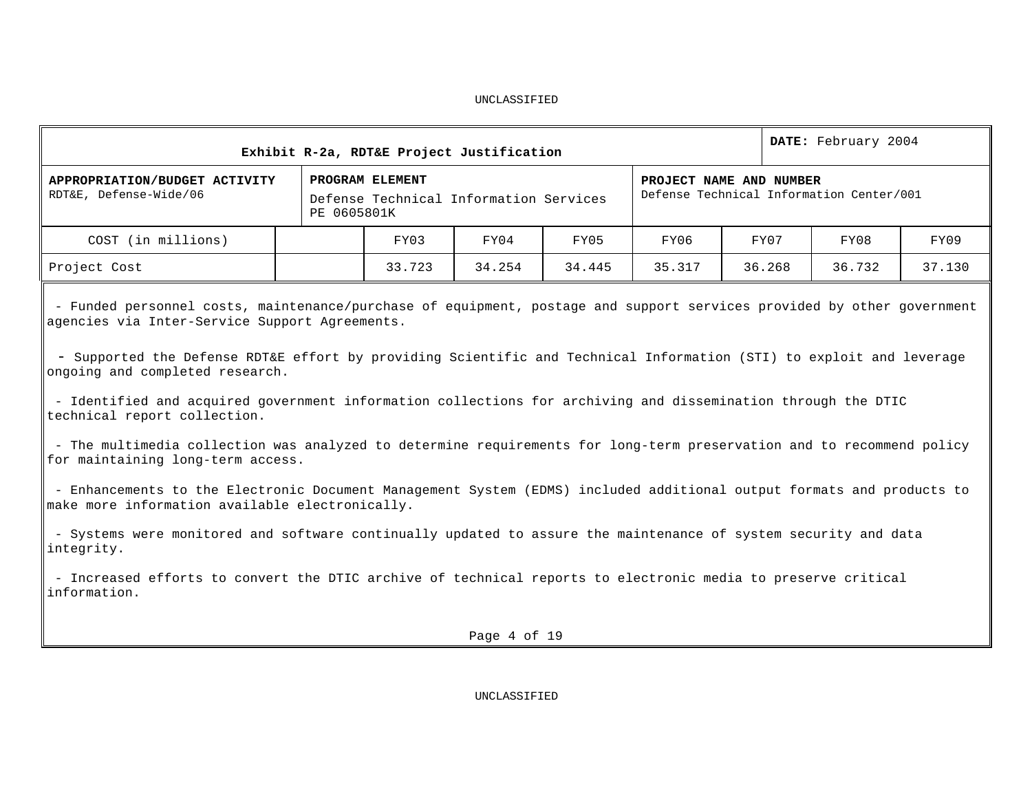| Exhibit R-2a, RDT&E Project Justification                                                                                                                                                                                                                                                                                                                                                                                                                                                                                                                                                                                                                                                                                                                                                                                                                                                                                                                                                                                                                                                                  |  |                                                                                                                                                 |              |        |        |  | DATE: February 2004 |        |        |
|------------------------------------------------------------------------------------------------------------------------------------------------------------------------------------------------------------------------------------------------------------------------------------------------------------------------------------------------------------------------------------------------------------------------------------------------------------------------------------------------------------------------------------------------------------------------------------------------------------------------------------------------------------------------------------------------------------------------------------------------------------------------------------------------------------------------------------------------------------------------------------------------------------------------------------------------------------------------------------------------------------------------------------------------------------------------------------------------------------|--|-------------------------------------------------------------------------------------------------------------------------------------------------|--------------|--------|--------|--|---------------------|--------|--------|
| APPROPRIATION/BUDGET ACTIVITY<br>RDT&E, Defense-Wide/06                                                                                                                                                                                                                                                                                                                                                                                                                                                                                                                                                                                                                                                                                                                                                                                                                                                                                                                                                                                                                                                    |  | PROGRAM ELEMENT<br>PROJECT NAME AND NUMBER<br>Defense Technical Information Center/001<br>Defense Technical Information Services<br>PE 0605801K |              |        |        |  |                     |        |        |
| COST (in millions)                                                                                                                                                                                                                                                                                                                                                                                                                                                                                                                                                                                                                                                                                                                                                                                                                                                                                                                                                                                                                                                                                         |  | FY03                                                                                                                                            | FY04         | FY05   | FY06   |  | FY07                | FY08   | FY09   |
| Project Cost                                                                                                                                                                                                                                                                                                                                                                                                                                                                                                                                                                                                                                                                                                                                                                                                                                                                                                                                                                                                                                                                                               |  | 33.723                                                                                                                                          | 34.254       | 34.445 | 35.317 |  |                     | 36.732 | 37.130 |
| 36.268<br>- Funded personnel costs, maintenance/purchase of equipment, postage and support services provided by other government<br>agencies via Inter-Service Support Agreements.<br>- Supported the Defense RDT&E effort by providing Scientific and Technical Information (STI) to exploit and leverage<br>ongoing and completed research.<br>- Identified and acquired government information collections for archiving and dissemination through the DTIC<br>technical report collection.<br>- The multimedia collection was analyzed to determine requirements for long-term preservation and to recommend policy<br>for maintaining long-term access.<br>- Enhancements to the Electronic Document Management System (EDMS) included additional output formats and products to<br>make more information available electronically.<br>- Systems were monitored and software continually updated to assure the maintenance of system security and data<br>integrity.<br>- Increased efforts to convert the DTIC archive of technical reports to electronic media to preserve critical<br>information. |  |                                                                                                                                                 |              |        |        |  |                     |        |        |
|                                                                                                                                                                                                                                                                                                                                                                                                                                                                                                                                                                                                                                                                                                                                                                                                                                                                                                                                                                                                                                                                                                            |  |                                                                                                                                                 | Page 4 of 19 |        |        |  |                     |        |        |
|                                                                                                                                                                                                                                                                                                                                                                                                                                                                                                                                                                                                                                                                                                                                                                                                                                                                                                                                                                                                                                                                                                            |  |                                                                                                                                                 |              |        |        |  |                     |        |        |
| UNCLASSIFIED                                                                                                                                                                                                                                                                                                                                                                                                                                                                                                                                                                                                                                                                                                                                                                                                                                                                                                                                                                                                                                                                                               |  |                                                                                                                                                 |              |        |        |  |                     |        |        |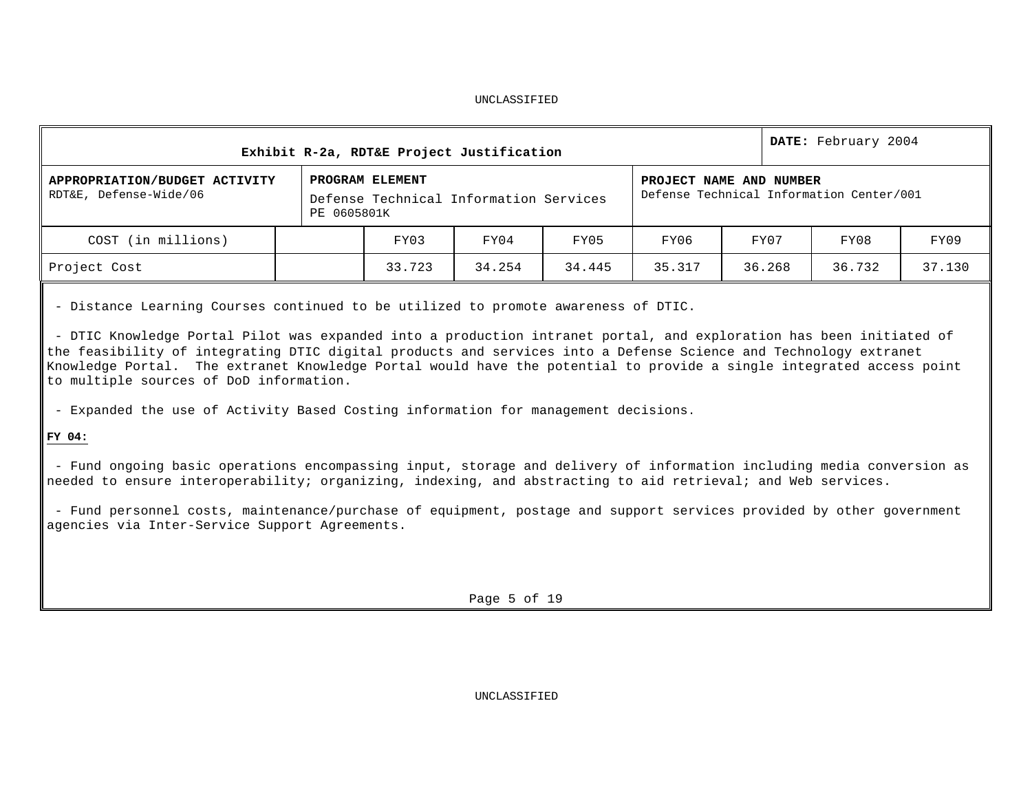| Exhibit R-2a, RDT&E Project Justification               |  |                                                                          |        |        |                                                                     |        | DATE: February 2004 |        |  |
|---------------------------------------------------------|--|--------------------------------------------------------------------------|--------|--------|---------------------------------------------------------------------|--------|---------------------|--------|--|
| APPROPRIATION/BUDGET ACTIVITY<br>RDT&E, Defense-Wide/06 |  | PROGRAM ELEMENT<br>Defense Technical Information Services<br>PE 0605801K |        |        | PROJECT NAME AND NUMBER<br>Defense Technical Information Center/001 |        |                     |        |  |
| COST (in millions)                                      |  | FY03                                                                     | FY04   | FY05   | FY06                                                                | FY07   | FY08                | FY09   |  |
| Project Cost                                            |  | 33.723                                                                   | 34.254 | 34.445 | 35.317                                                              | 36.268 | 36.732              | 37.130 |  |

- Distance Learning Courses continued to be utilized to promote awareness of DTIC.

- DTIC Knowledge Portal Pilot was expanded into a production intranet portal, and exploration has been initiated of the feasibility of integrating DTIC digital products and services into a Defense Science and Technology extranet Knowledge Portal. The extranet Knowledge Portal would have the potential to provide a single integrated access point to multiple sources of DoD information.

- Expanded the use of Activity Based Costing information for management decisions.

**FY 04:**

- Fund ongoing basic operations encompassing input, storage and delivery of information including media conversion as needed to ensure interoperability; organizing, indexing, and abstracting to aid retrieval; and Web services.

- Fund personnel costs, maintenance/purchase of equipment, postage and support services provided by other government agencies via Inter-Service Support Agreements.

Page 5 of 19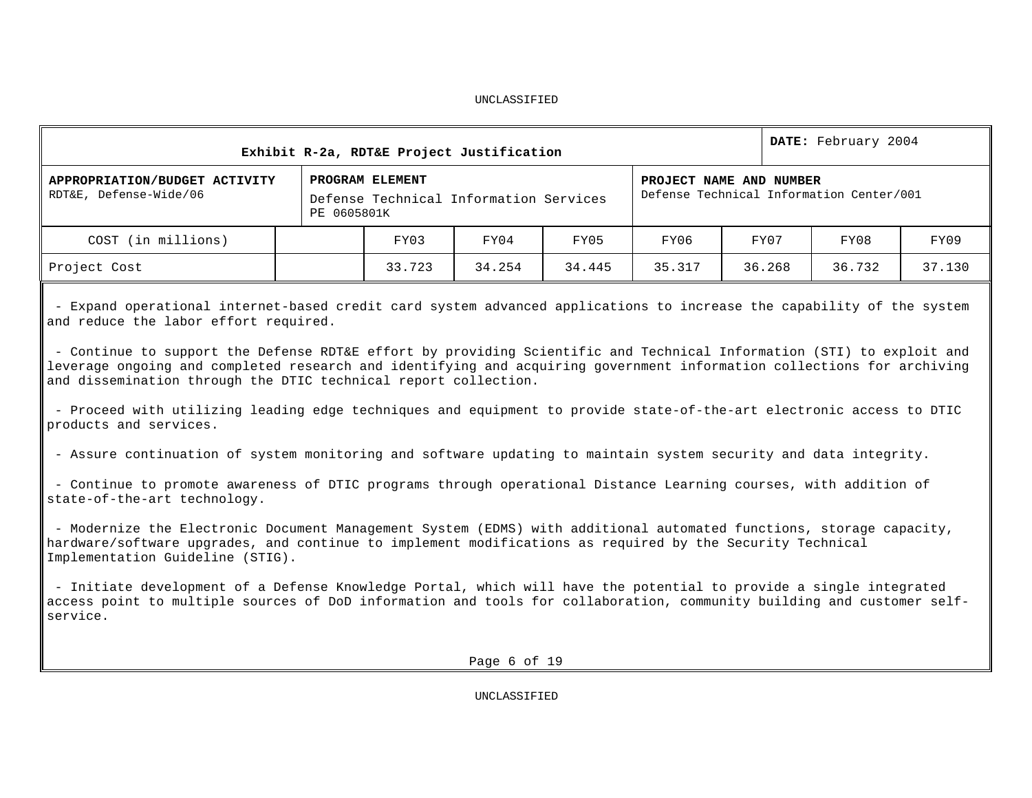| Exhibit R-2a, RDT&E Project Justification               |  |                                                                          |        |        |                                                                     |        | DATE: February 2004 |        |  |
|---------------------------------------------------------|--|--------------------------------------------------------------------------|--------|--------|---------------------------------------------------------------------|--------|---------------------|--------|--|
| APPROPRIATION/BUDGET ACTIVITY<br>RDT&E, Defense-Wide/06 |  | PROGRAM ELEMENT<br>Defense Technical Information Services<br>PE 0605801K |        |        | PROJECT NAME AND NUMBER<br>Defense Technical Information Center/001 |        |                     |        |  |
| COST (in millions)                                      |  | FY03                                                                     | FY04   | FY05   | FY06                                                                | FY07   | FY08                | FY09   |  |
| Project Cost                                            |  | 33.723                                                                   | 34.254 | 34.445 | 35.317                                                              | 36.268 | 36.732              | 37.130 |  |

- Expand operational internet-based credit card system advanced applications to increase the capability of the system and reduce the labor effort required.

- Continue to support the Defense RDT&E effort by providing Scientific and Technical Information (STI) to exploit and leverage ongoing and completed research and identifying and acquiring government information collections for archiving and dissemination through the DTIC technical report collection.

- Proceed with utilizing leading edge techniques and equipment to provide state-of-the-art electronic access to DTIC products and services.

- Assure continuation of system monitoring and software updating to maintain system security and data integrity.

- Continue to promote awareness of DTIC programs through operational Distance Learning courses, with addition of state-of-the-art technology.

- Modernize the Electronic Document Management System (EDMS) with additional automated functions, storage capacity, hardware/software upgrades, and continue to implement modifications as required by the Security Technical Implementation Guideline (STIG).

- Initiate development of a Defense Knowledge Portal, which will have the potential to provide a single integrated access point to multiple sources of DoD information and tools for collaboration, community building and customer selfservice.

Page 6 of 19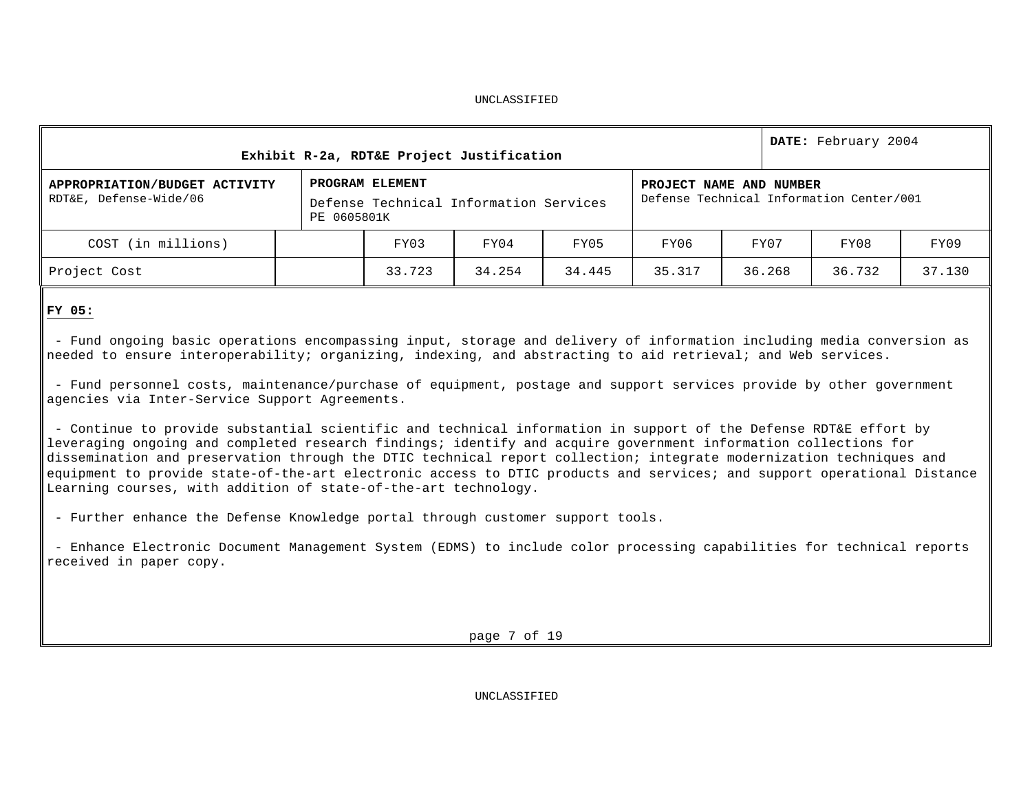| Exhibit R-2a, RDT&E Project Justification               |  |                                                                          |        |        |                                                                     |        | DATE: February 2004 |        |  |
|---------------------------------------------------------|--|--------------------------------------------------------------------------|--------|--------|---------------------------------------------------------------------|--------|---------------------|--------|--|
| APPROPRIATION/BUDGET ACTIVITY<br>RDT&E, Defense-Wide/06 |  | PROGRAM ELEMENT<br>Defense Technical Information Services<br>PE 0605801K |        |        | PROJECT NAME AND NUMBER<br>Defense Technical Information Center/001 |        |                     |        |  |
| COST (in millions)                                      |  | FY03                                                                     | FY04   | FY05   | FY06                                                                | FY07   | FY08                | FY09   |  |
| Project Cost                                            |  | 33.723                                                                   | 34.254 | 34.445 | 35.317                                                              | 36.268 | 36.732              | 37.130 |  |

# **FY 05:**

- Fund ongoing basic operations encompassing input, storage and delivery of information including media conversion as needed to ensure interoperability; organizing, indexing, and abstracting to aid retrieval; and Web services.

- Fund personnel costs, maintenance/purchase of equipment, postage and support services provide by other government agencies via Inter-Service Support Agreements.

- Continue to provide substantial scientific and technical information in support of the Defense RDT&E effort by leveraging ongoing and completed research findings; identify and acquire government information collections for dissemination and preservation through the DTIC technical report collection; integrate modernization techniques and equipment to provide state-of-the-art electronic access to DTIC products and services; and support operational Distance Learning courses, with addition of state-of-the-art technology.

- Further enhance the Defense Knowledge portal through customer support tools.

- Enhance Electronic Document Management System (EDMS) to include color processing capabilities for technical reports received in paper copy.

page 7 of 19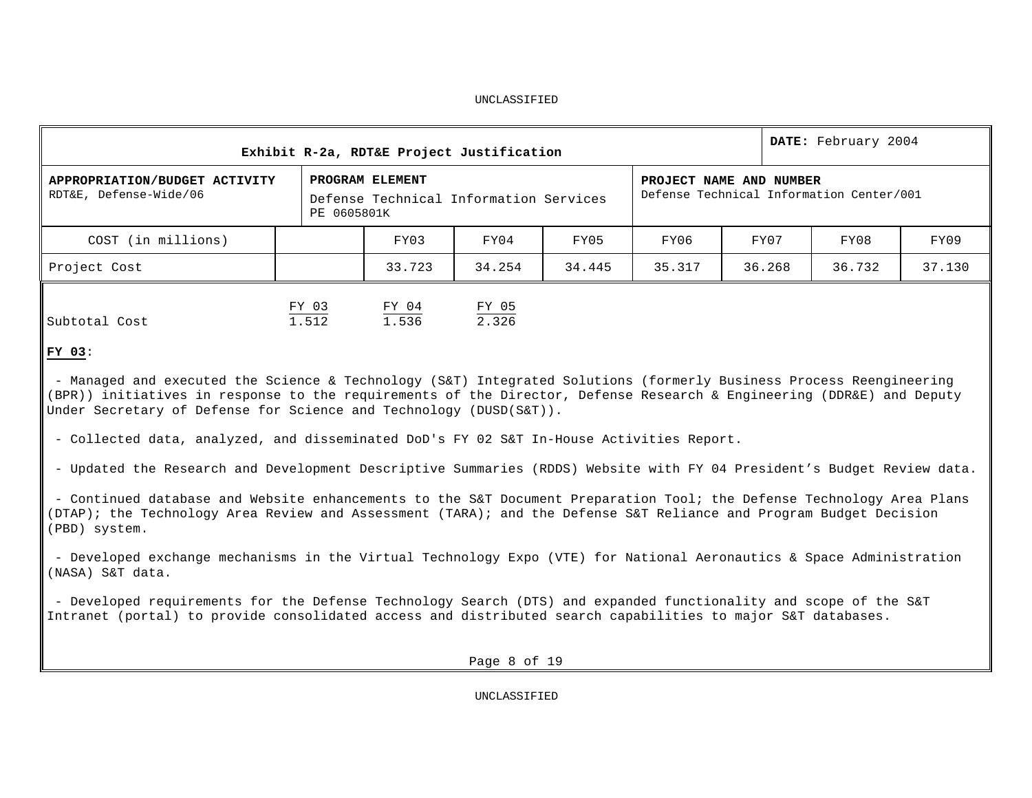|                                                                                                                                                                                                                                                                                                                    |             | Exhibit R-2a, RDT&E Project Justification                 |        |        |                         |  |        | DATE: February 2004                      |        |
|--------------------------------------------------------------------------------------------------------------------------------------------------------------------------------------------------------------------------------------------------------------------------------------------------------------------|-------------|-----------------------------------------------------------|--------|--------|-------------------------|--|--------|------------------------------------------|--------|
| APPROPRIATION/BUDGET ACTIVITY<br>RDT&E, Defense-Wide/06                                                                                                                                                                                                                                                            | PE 0605801K | PROGRAM ELEMENT<br>Defense Technical Information Services |        |        | PROJECT NAME AND NUMBER |  |        | Defense Technical Information Center/001 |        |
| COST (in millions)                                                                                                                                                                                                                                                                                                 |             | FY03                                                      | FY04   | FY05   | FY06                    |  | FY07   | FY08                                     | FY09   |
| Project Cost                                                                                                                                                                                                                                                                                                       |             | 33.723                                                    | 34.254 | 34.445 | 35.317                  |  | 36.268 | 36.732                                   | 37.130 |
| FY 03<br>$\frac{\text{FY} \quad 04}{1.536}$<br>FY 05<br>2.326<br>1.512<br>Subtotal Cost<br><b>FY 03:</b>                                                                                                                                                                                                           |             |                                                           |        |        |                         |  |        |                                          |        |
| - Managed and executed the Science & Technology (S&T) Integrated Solutions (formerly Business Process Reengineering<br>(BPR)) initiatives in response to the requirements of the Director, Defense Research & Engineering (DDR&E) and Deputy<br>Under Secretary of Defense for Science and Technology (DUSD(S&T)). |             |                                                           |        |        |                         |  |        |                                          |        |
| - Collected data, analyzed, and disseminated DoD's FY 02 S&T In-House Activities Report.<br>- Updated the Research and Development Descriptive Summaries (RDDS) Website with FY 04 President's Budget Review data.                                                                                                 |             |                                                           |        |        |                         |  |        |                                          |        |
| - Continued database and Website enhancements to the S&T Document Preparation Tool; the Defense Technology Area Plans<br>(DTAP); the Technology Area Review and Assessment (TARA); and the Defense S&T Reliance and Program Budget Decision<br>(PBD) system.                                                       |             |                                                           |        |        |                         |  |        |                                          |        |

- Developed exchange mechanisms in the Virtual Technology Expo (VTE) for National Aeronautics & Space Administration (NASA) S&T data.

- Developed requirements for the Defense Technology Search (DTS) and expanded functionality and scope of the S&T Intranet (portal) to provide consolidated access and distributed search capabilities to major S&T databases.

Page 8 of 19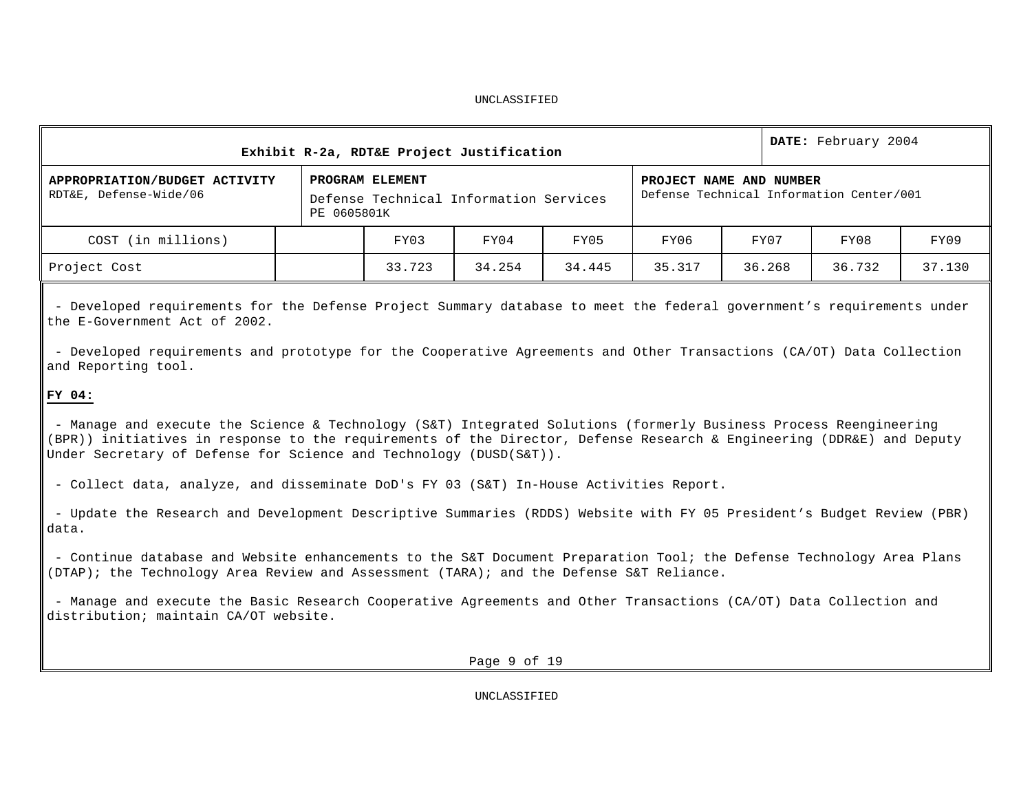| Exhibit R-2a, RDT&E Project Justification               |                                                                                                                                                 |                                      |        |        |        |        | DATE: February 2004 |        |  |
|---------------------------------------------------------|-------------------------------------------------------------------------------------------------------------------------------------------------|--------------------------------------|--------|--------|--------|--------|---------------------|--------|--|
| APPROPRIATION/BUDGET ACTIVITY<br>RDT&E, Defense-Wide/06 | PROGRAM ELEMENT<br>PROJECT NAME AND NUMBER<br>Defense Technical Information Center/001<br>Defense Technical Information Services<br>PE 0605801K |                                      |        |        |        |        |                     |        |  |
| COST (in millions)                                      |                                                                                                                                                 | FY07<br>FY05<br>FY03<br>FY04<br>FY06 |        |        |        | FY08   | FY09                |        |  |
| Project Cost                                            |                                                                                                                                                 | 33.723                               | 34.254 | 34.445 | 35.317 | 36.268 | 36.732              | 37.130 |  |

- Developed requirements for the Defense Project Summary database to meet the federal government's requirements under the E-Government Act of 2002.

- Developed requirements and prototype for the Cooperative Agreements and Other Transactions (CA/OT) Data Collection and Reporting tool.

# **FY 04:**

- Manage and execute the Science & Technology (S&T) Integrated Solutions (formerly Business Process Reengineering (BPR)) initiatives in response to the requirements of the Director, Defense Research & Engineering (DDR&E) and Deputy Under Secretary of Defense for Science and Technology (DUSD(S&T)).

- Collect data, analyze, and disseminate DoD's FY 03 (S&T) In-House Activities Report.

- Update the Research and Development Descriptive Summaries (RDDS) Website with FY 05 President's Budget Review (PBR) data.

- Continue database and Website enhancements to the S&T Document Preparation Tool; the Defense Technology Area Plans (DTAP); the Technology Area Review and Assessment (TARA); and the Defense S&T Reliance.

- Manage and execute the Basic Research Cooperative Agreements and Other Transactions (CA/OT) Data Collection and distribution; maintain CA/OT website.

Page 9 of 19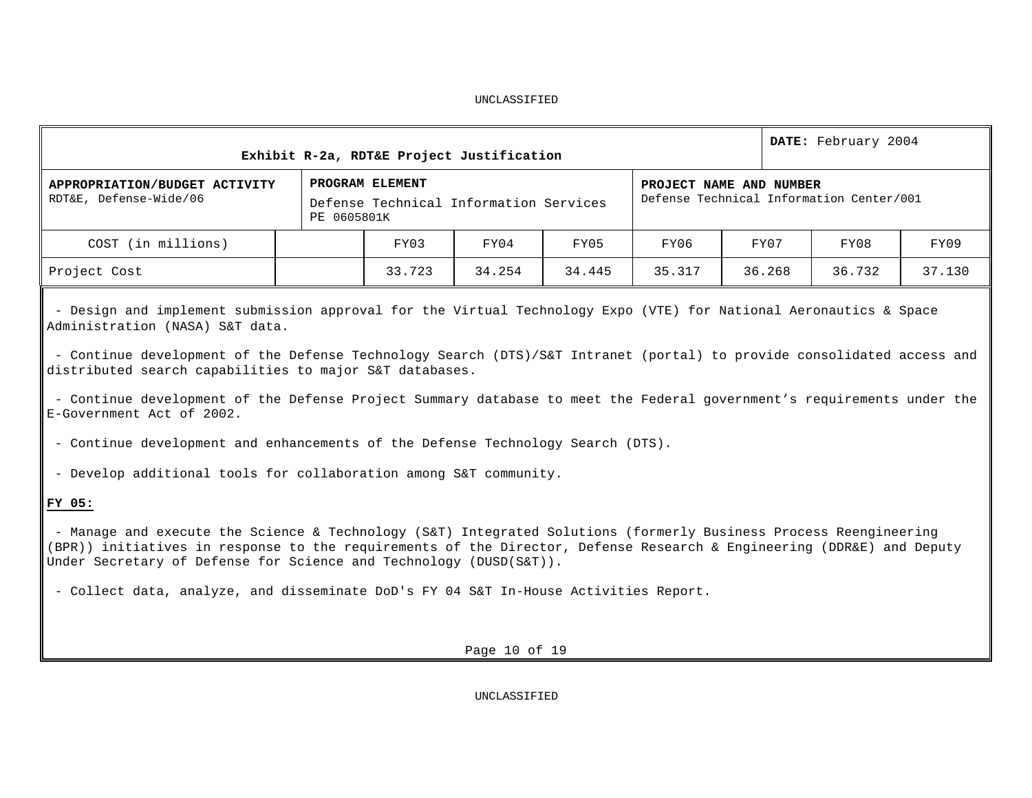| DATE: February 2004<br>Exhibit R-2a, RDT&E Project Justification                                                                                                                                                                                                                                                                                                                                                                                                                                                                                                                                                                                                                                                                                                                                                                                                                                                                                                                                                                                                               |  |             |                 |                                        |        |        |                                                                     |        |        |        |  |  |
|--------------------------------------------------------------------------------------------------------------------------------------------------------------------------------------------------------------------------------------------------------------------------------------------------------------------------------------------------------------------------------------------------------------------------------------------------------------------------------------------------------------------------------------------------------------------------------------------------------------------------------------------------------------------------------------------------------------------------------------------------------------------------------------------------------------------------------------------------------------------------------------------------------------------------------------------------------------------------------------------------------------------------------------------------------------------------------|--|-------------|-----------------|----------------------------------------|--------|--------|---------------------------------------------------------------------|--------|--------|--------|--|--|
| APPROPRIATION/BUDGET ACTIVITY<br>RDT&E, Defense-Wide/06                                                                                                                                                                                                                                                                                                                                                                                                                                                                                                                                                                                                                                                                                                                                                                                                                                                                                                                                                                                                                        |  | PE 0605801K | PROGRAM ELEMENT | Defense Technical Information Services |        |        | PROJECT NAME AND NUMBER<br>Defense Technical Information Center/001 |        |        |        |  |  |
| COST (in millions)                                                                                                                                                                                                                                                                                                                                                                                                                                                                                                                                                                                                                                                                                                                                                                                                                                                                                                                                                                                                                                                             |  |             | FY03            | FY04                                   | FY05   | FY06   | FY07<br>FY08<br>FY09                                                |        |        |        |  |  |
| Project Cost                                                                                                                                                                                                                                                                                                                                                                                                                                                                                                                                                                                                                                                                                                                                                                                                                                                                                                                                                                                                                                                                   |  |             | 33.723          | 34.254                                 | 34.445 | 35.317 |                                                                     | 36.268 | 36.732 | 37.130 |  |  |
| - Design and implement submission approval for the Virtual Technology Expo (VTE) for National Aeronautics & Space<br>Administration (NASA) S&T data.<br>- Continue development of the Defense Technology Search (DTS)/S&T Intranet (portal) to provide consolidated access and<br>distributed search capabilities to major S&T databases.<br>- Continue development of the Defense Project Summary database to meet the Federal government's requirements under the<br>E-Government Act of 2002.<br>- Continue development and enhancements of the Defense Technology Search (DTS).<br>- Develop additional tools for collaboration among S&T community.<br>FY 05:<br>- Manage and execute the Science & Technology (S&T) Integrated Solutions (formerly Business Process Reengineering<br>(BPR)) initiatives in response to the requirements of the Director, Defense Research & Engineering (DDR&E) and Deputy<br>Under Secretary of Defense for Science and Technology (DUSD(S&T)).<br>- Collect data, analyze, and disseminate DoD's FY 04 S&T In-House Activities Report. |  |             |                 |                                        |        |        |                                                                     |        |        |        |  |  |
|                                                                                                                                                                                                                                                                                                                                                                                                                                                                                                                                                                                                                                                                                                                                                                                                                                                                                                                                                                                                                                                                                |  |             |                 | Page 10 of 19                          |        |        |                                                                     |        |        |        |  |  |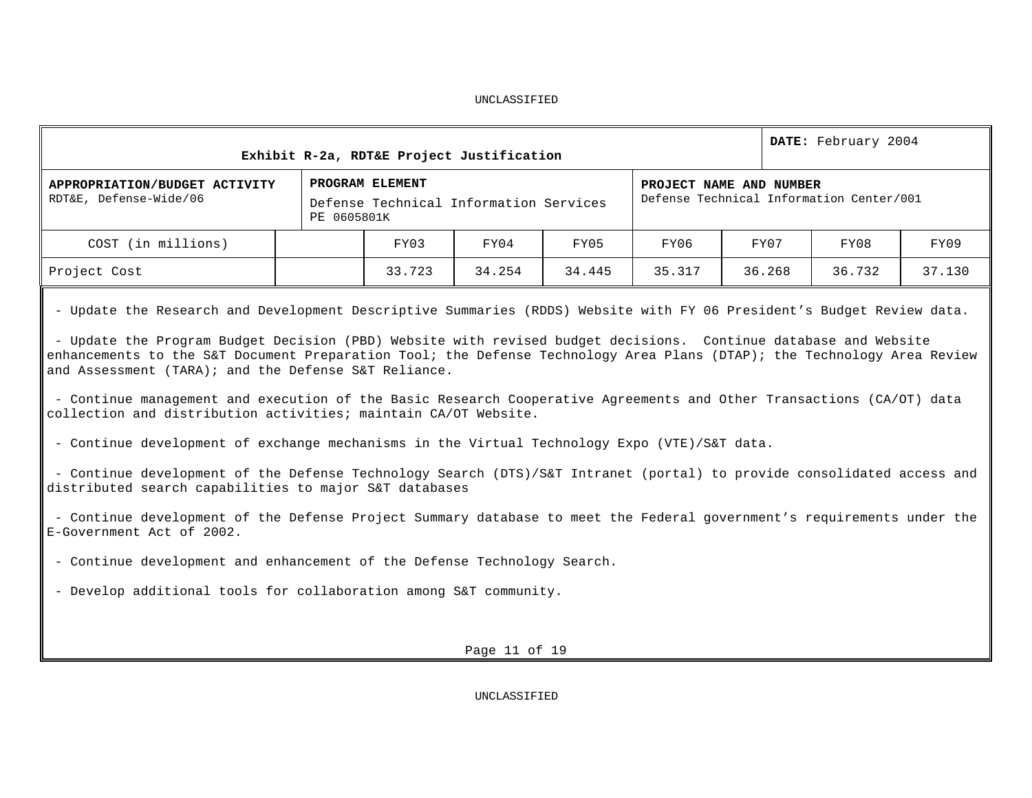|                                                                                                                                                                                                                                                                                                                                                                                                                                                                                                                                                                                                                                                                                                                                                                                                                                                                                                                                                                                                                                                                                                                                                                                                                    |                                                                                                                                                 | Exhibit R-2a, RDT&E Project Justification |               |        |        |        | DATE: February 2004 |        |
|--------------------------------------------------------------------------------------------------------------------------------------------------------------------------------------------------------------------------------------------------------------------------------------------------------------------------------------------------------------------------------------------------------------------------------------------------------------------------------------------------------------------------------------------------------------------------------------------------------------------------------------------------------------------------------------------------------------------------------------------------------------------------------------------------------------------------------------------------------------------------------------------------------------------------------------------------------------------------------------------------------------------------------------------------------------------------------------------------------------------------------------------------------------------------------------------------------------------|-------------------------------------------------------------------------------------------------------------------------------------------------|-------------------------------------------|---------------|--------|--------|--------|---------------------|--------|
| APPROPRIATION/BUDGET ACTIVITY<br>RDT&E, Defense-Wide/06                                                                                                                                                                                                                                                                                                                                                                                                                                                                                                                                                                                                                                                                                                                                                                                                                                                                                                                                                                                                                                                                                                                                                            | PROGRAM ELEMENT<br>PROJECT NAME AND NUMBER<br>Defense Technical Information Center/001<br>Defense Technical Information Services<br>PE 0605801K |                                           |               |        |        |        |                     |        |
| COST (in millions)                                                                                                                                                                                                                                                                                                                                                                                                                                                                                                                                                                                                                                                                                                                                                                                                                                                                                                                                                                                                                                                                                                                                                                                                 |                                                                                                                                                 | FY03                                      | FY04          | FY05   | FY06   | FY07   | FY08                | FY09   |
| Project Cost                                                                                                                                                                                                                                                                                                                                                                                                                                                                                                                                                                                                                                                                                                                                                                                                                                                                                                                                                                                                                                                                                                                                                                                                       |                                                                                                                                                 | 33.723                                    | 34.254        | 34.445 | 35.317 | 36.268 | 36.732              | 37.130 |
| - Update the Research and Development Descriptive Summaries (RDDS) Website with FY 06 President's Budget Review data.<br>- Update the Program Budget Decision (PBD) Website with revised budget decisions. Continue database and Website<br>enhancements to the S&T Document Preparation Tool; the Defense Technology Area Plans (DTAP); the Technology Area Review<br>and Assessment (TARA); and the Defense S&T Reliance.<br>- Continue management and execution of the Basic Research Cooperative Agreements and Other Transactions (CA/OT) data<br>collection and distribution activities; maintain CA/OT Website.<br>- Continue development of exchange mechanisms in the Virtual Technology Expo (VTE)/S&T data.<br>- Continue development of the Defense Technology Search (DTS)/S&T Intranet (portal) to provide consolidated access and<br>distributed search capabilities to major S&T databases<br>- Continue development of the Defense Project Summary database to meet the Federal government's requirements under the<br>E-Government Act of 2002.<br>- Continue development and enhancement of the Defense Technology Search.<br>- Develop additional tools for collaboration among S&T community. |                                                                                                                                                 |                                           |               |        |        |        |                     |        |
|                                                                                                                                                                                                                                                                                                                                                                                                                                                                                                                                                                                                                                                                                                                                                                                                                                                                                                                                                                                                                                                                                                                                                                                                                    |                                                                                                                                                 |                                           | Page 11 of 19 |        |        |        |                     |        |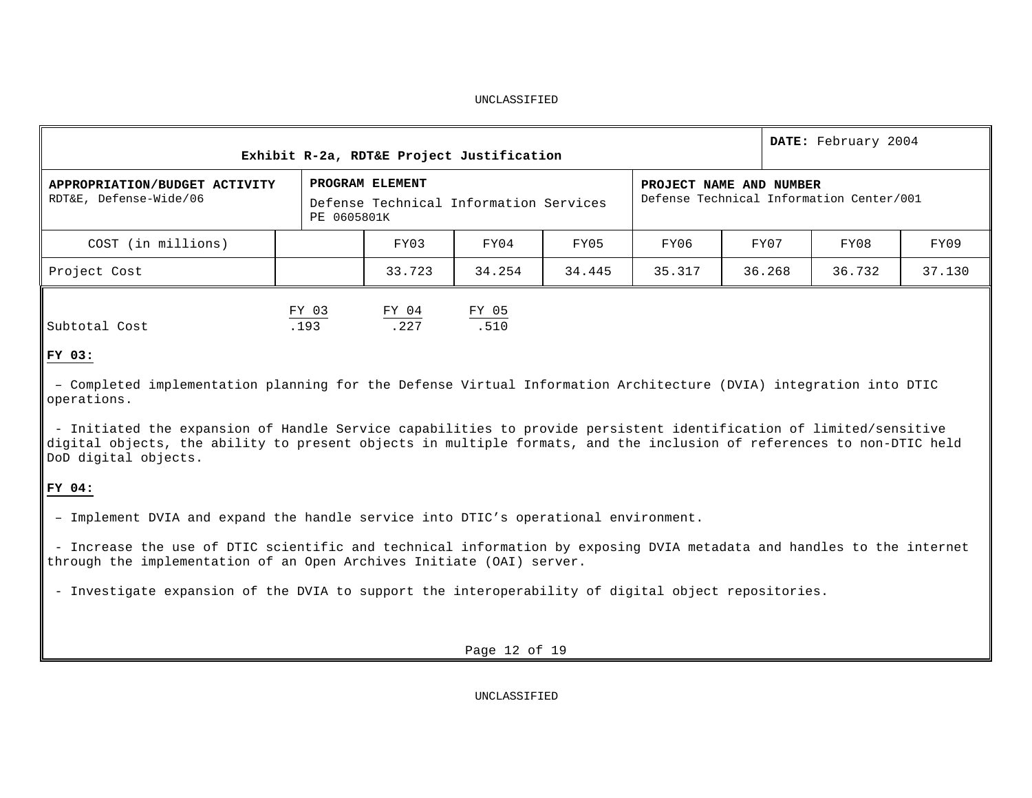| Exhibit R-2a, RDT&E Project Justification               |                                                                                                                                                 | DATE: February 2004 |               |        |        |        |        |        |
|---------------------------------------------------------|-------------------------------------------------------------------------------------------------------------------------------------------------|---------------------|---------------|--------|--------|--------|--------|--------|
| APPROPRIATION/BUDGET ACTIVITY<br>RDT&E, Defense-Wide/06 | PROGRAM ELEMENT<br>PROJECT NAME AND NUMBER<br>Defense Technical Information Center/001<br>Defense Technical Information Services<br>PE 0605801K |                     |               |        |        |        |        |        |
| COST (in millions)                                      |                                                                                                                                                 | FY03                | FY04          | FY05   | FY06   | FY07   | FY08   | FY09   |
| Project Cost                                            |                                                                                                                                                 | 33.723              | 34.254        | 34.445 | 35.317 | 36.268 | 36.732 | 37.130 |
| Subtotal Cost                                           | FY 03<br>.193                                                                                                                                   | FY 04<br>.227       | FY 05<br>.510 |        |        |        |        |        |

# **FY 03:**

– Completed implementation planning for the Defense Virtual Information Architecture (DVIA) integration into DTIC operations.

- Initiated the expansion of Handle Service capabilities to provide persistent identification of limited/sensitive digital objects, the ability to present objects in multiple formats, and the inclusion of references to non-DTIC held DoD digital objects.

# **FY 04:**

– Implement DVIA and expand the handle service into DTIC's operational environment.

- Increase the use of DTIC scientific and technical information by exposing DVIA metadata and handles to the internet through the implementation of an Open Archives Initiate (OAI) server.

- Investigate expansion of the DVIA to support the interoperability of digital object repositories.

Page 12 of 19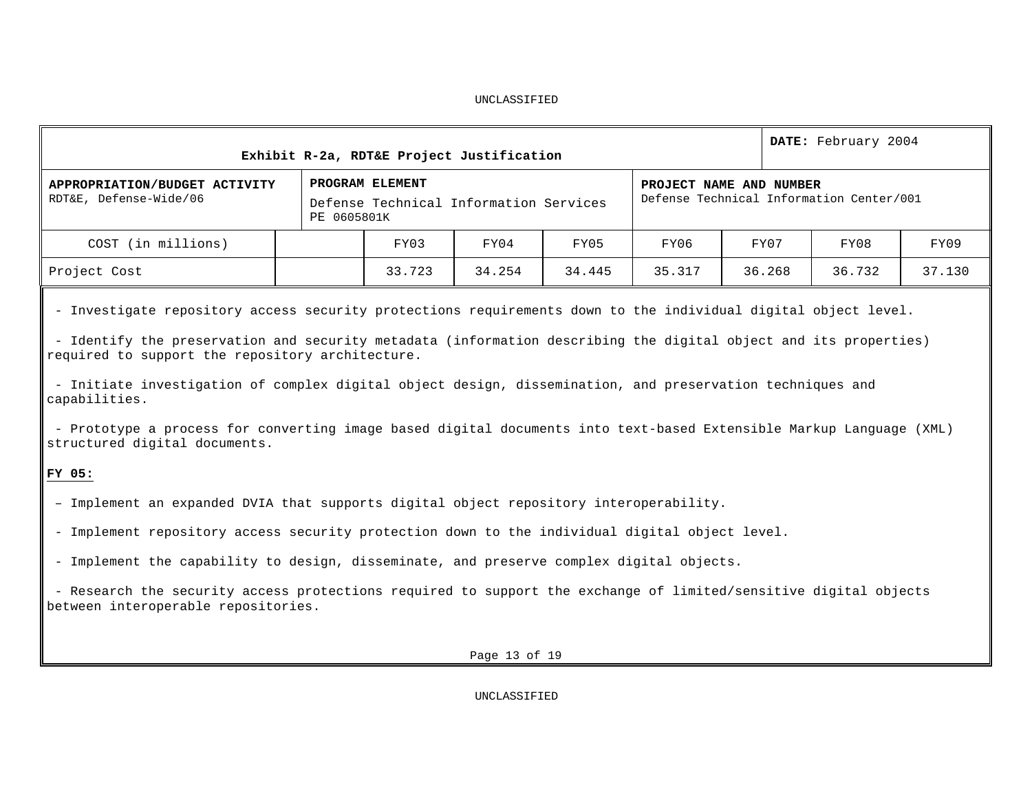| PROGRAM ELEMENT<br>APPROPRIATION/BUDGET ACTIVITY<br>PROJECT NAME AND NUMBER<br>Defense Technical Information Center/001<br>RDT&E, Defense-Wide/06<br>Defense Technical Information Services<br>PE 0605801K |        |
|------------------------------------------------------------------------------------------------------------------------------------------------------------------------------------------------------------|--------|
| FY03<br>FY05<br>FY07<br>COST (in millions)<br>FY04<br>FY06<br>FY08                                                                                                                                         | FY09   |
| 33.723<br>Project Cost<br>34.254<br>34.445<br>35.317<br>36.268<br>36.732                                                                                                                                   | 37.130 |

- Investigate repository access security protections requirements down to the individual digital object level.

- Identify the preservation and security metadata (information describing the digital object and its properties) required to support the repository architecture.

- Initiate investigation of complex digital object design, dissemination, and preservation techniques and capabilities.

- Prototype a process for converting image based digital documents into text-based Extensible Markup Language (XML) structured digital documents.

# **FY 05:**

- Implement an expanded DVIA that supports digital object repository interoperability.
- Implement repository access security protection down to the individual digital object level.
- Implement the capability to design, disseminate, and preserve complex digital objects.

- Research the security access protections required to support the exchange of limited/sensitive digital objects between interoperable repositories.

Page 13 of 19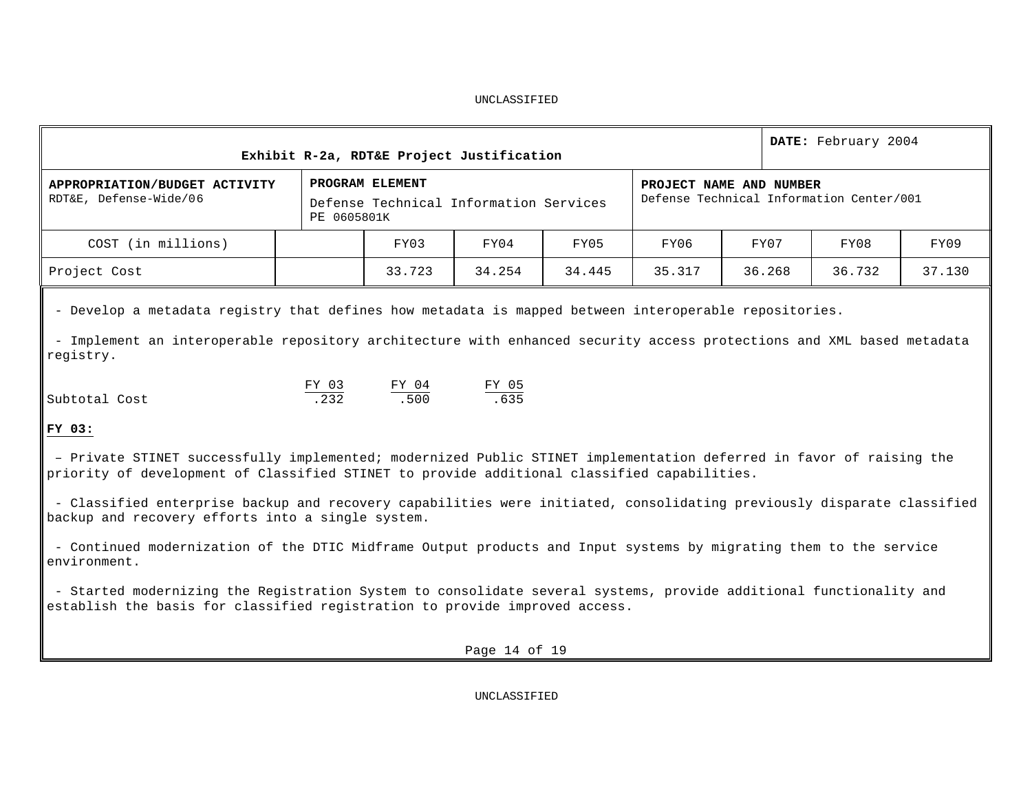|                                                                                                                                                                                                                                             |             | Exhibit R-2a, RDT&E Project Justification                 |        |        |        |                                                                     |        | DATE: February 2004 |        |  |
|---------------------------------------------------------------------------------------------------------------------------------------------------------------------------------------------------------------------------------------------|-------------|-----------------------------------------------------------|--------|--------|--------|---------------------------------------------------------------------|--------|---------------------|--------|--|
| APPROPRIATION/BUDGET ACTIVITY<br>RDT&E, Defense-Wide/06                                                                                                                                                                                     | PE 0605801K | PROGRAM ELEMENT<br>Defense Technical Information Services |        |        |        | PROJECT NAME AND NUMBER<br>Defense Technical Information Center/001 |        |                     |        |  |
| COST (in millions)                                                                                                                                                                                                                          |             | FY03                                                      | FY04   | FY05   | FY06   |                                                                     | FY07   | FY08                | FY09   |  |
| Project Cost                                                                                                                                                                                                                                |             | 33.723                                                    | 34.254 | 34.445 | 35.317 |                                                                     | 36.268 | 36.732              | 37.130 |  |
| - Develop a metadata registry that defines how metadata is mapped between interoperable repositories.<br>- Implement an interoperable repository architecture with enhanced security access protections and XML based metadata<br>registry. |             |                                                           |        |        |        |                                                                     |        |                     |        |  |
| FY 03<br>$FY$ 04<br>$\frac{FY$ 05<br>.635<br>.232<br>.500<br>Subtotal Cost<br>FY 03:                                                                                                                                                        |             |                                                           |        |        |        |                                                                     |        |                     |        |  |
| - Private STINET successfully implemented; modernized Public STINET implementation deferred in favor of raising the<br>priority of development of Classified STINET to provide additional classified capabilities.                          |             |                                                           |        |        |        |                                                                     |        |                     |        |  |
| - Classified enterprise backup and recovery capabilities were initiated, consolidating previously disparate classified<br>backup and recovery efforts into a single system.                                                                 |             |                                                           |        |        |        |                                                                     |        |                     |        |  |
| - Continued modernization of the DTIC Midframe Output products and Input systems by migrating them to the service<br>environment.                                                                                                           |             |                                                           |        |        |        |                                                                     |        |                     |        |  |
| - Started modernizing the Registration System to consolidate several systems, provide additional functionality and<br>establish the basis for classified registration to provide improved access.                                           |             |                                                           |        |        |        |                                                                     |        |                     |        |  |
| Page 14 of 19                                                                                                                                                                                                                               |             |                                                           |        |        |        |                                                                     |        |                     |        |  |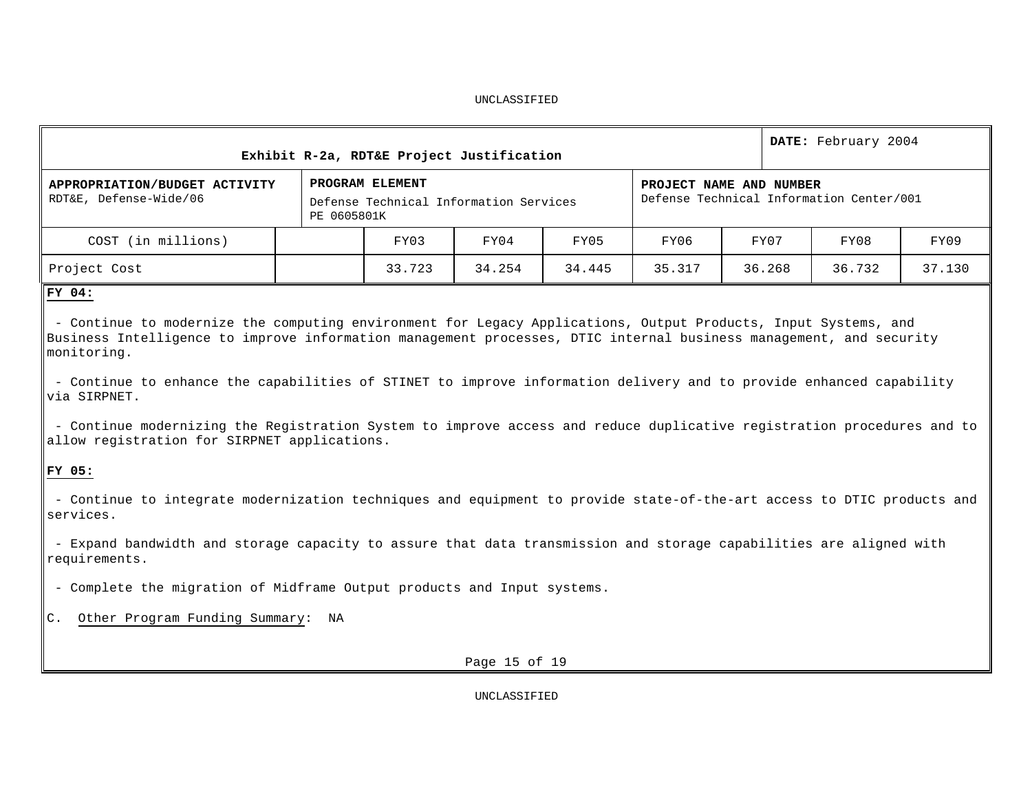| DATE: February 2004<br>Exhibit R-2a, RDT&E Project Justification                                                                                                                                                                                                                                                                                                                                                                                                                                                                                                                                                                                                                                                                                                                                                                                                                                                                                                                                      |             |                                                           |              |        |        |                                                                     |              |        |  |  |  |
|-------------------------------------------------------------------------------------------------------------------------------------------------------------------------------------------------------------------------------------------------------------------------------------------------------------------------------------------------------------------------------------------------------------------------------------------------------------------------------------------------------------------------------------------------------------------------------------------------------------------------------------------------------------------------------------------------------------------------------------------------------------------------------------------------------------------------------------------------------------------------------------------------------------------------------------------------------------------------------------------------------|-------------|-----------------------------------------------------------|--------------|--------|--------|---------------------------------------------------------------------|--------------|--------|--|--|--|
| APPROPRIATION/BUDGET ACTIVITY<br>RDT&E, Defense-Wide/06                                                                                                                                                                                                                                                                                                                                                                                                                                                                                                                                                                                                                                                                                                                                                                                                                                                                                                                                               | PE 0605801K | PROGRAM ELEMENT<br>Defense Technical Information Services |              |        |        | PROJECT NAME AND NUMBER<br>Defense Technical Information Center/001 |              |        |  |  |  |
| COST (in millions)                                                                                                                                                                                                                                                                                                                                                                                                                                                                                                                                                                                                                                                                                                                                                                                                                                                                                                                                                                                    |             | FY03                                                      | FY04         | FY05   | FY06   | FY07                                                                | FY08<br>FY09 |        |  |  |  |
| Project Cost                                                                                                                                                                                                                                                                                                                                                                                                                                                                                                                                                                                                                                                                                                                                                                                                                                                                                                                                                                                          |             | 33.723                                                    | 34.254       | 34.445 | 35.317 | 36.268                                                              | 36.732       | 37.130 |  |  |  |
| FY 04:<br>- Continue to modernize the computing environment for Legacy Applications, Output Products, Input Systems, and<br>Business Intelligence to improve information management processes, DTIC internal business management, and security<br>monitoring.<br>- Continue to enhance the capabilities of STINET to improve information delivery and to provide enhanced capability<br>via SIRPNET.<br>- Continue modernizing the Registration System to improve access and reduce duplicative registration procedures and to<br>allow registration for SIRPNET applications.<br>FY 05:<br>- Continue to integrate modernization techniques and equipment to provide state-of-the-art access to DTIC products and<br>services.<br>- Expand bandwidth and storage capacity to assure that data transmission and storage capabilities are aligned with<br>requirements.<br>- Complete the migration of Midframe Output products and Input systems.<br>Other Program Funding Summary:<br>$\mathsf{C}$ . | NA          |                                                           |              |        |        |                                                                     |              |        |  |  |  |
| Page 15 of 19                                                                                                                                                                                                                                                                                                                                                                                                                                                                                                                                                                                                                                                                                                                                                                                                                                                                                                                                                                                         |             |                                                           |              |        |        |                                                                     |              |        |  |  |  |
|                                                                                                                                                                                                                                                                                                                                                                                                                                                                                                                                                                                                                                                                                                                                                                                                                                                                                                                                                                                                       |             |                                                           | UNCLASSIFIED |        |        |                                                                     |              |        |  |  |  |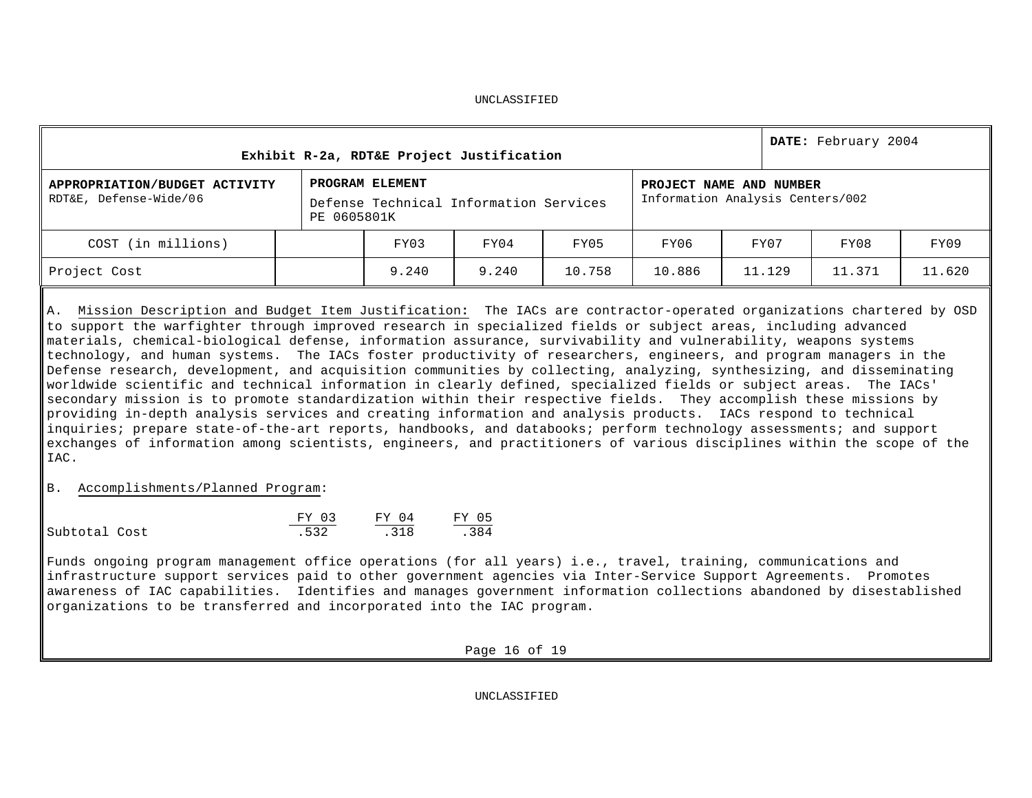| Exhibit R-2a, RDT&E Project Justification               |  |                                                                                                                                         |       |        |        |        | DATE: February 2004 |        |  |
|---------------------------------------------------------|--|-----------------------------------------------------------------------------------------------------------------------------------------|-------|--------|--------|--------|---------------------|--------|--|
| APPROPRIATION/BUDGET ACTIVITY<br>RDT&E, Defense-Wide/06 |  | PROGRAM ELEMENT<br>PROJECT NAME AND NUMBER<br>Information Analysis Centers/002<br>Defense Technical Information Services<br>PE 0605801K |       |        |        |        |                     |        |  |
| COST (in millions)                                      |  | FY03                                                                                                                                    | FY04  | FY05   | FY06   | FY07   | FY08                | FY09   |  |
| Project Cost                                            |  | 9.240                                                                                                                                   | 9.240 | 10.758 | 10.886 | 11.129 | 11.371              | 11.620 |  |

A. Mission Description and Budget Item Justification**:** The IACs are contractor-operated organizations chartered by OSD to support the warfighter through improved research in specialized fields or subject areas, including advanced materials, chemical-biological defense, information assurance, survivability and vulnerability, weapons systems technology, and human systems. The IACs foster productivity of researchers, engineers, and program managers in the Defense research, development, and acquisition communities by collecting, analyzing, synthesizing, and disseminating worldwide scientific and technical information in clearly defined, specialized fields or subject areas. The IACs' secondary mission is to promote standardization within their respective fields. They accomplish these missions by providing in-depth analysis services and creating information and analysis products. IACs respond to technical inquiries; prepare state-of-the-art reports, handbooks, and databooks; perform technology assessments; and support exchanges of information among scientists, engineers, and practitioners of various disciplines within the scope of the IAC.

B. Accomplishments/Planned Program:

|               | FY 03 | FY 04 | FY 05 |
|---------------|-------|-------|-------|
| Subtotal Cost | .532  | .318  | .384  |

Funds ongoing program management office operations (for all years) i.e., travel, training, communications and infrastructure support services paid to other government agencies via Inter-Service Support Agreements. Promotes awareness of IAC capabilities. Identifies and manages government information collections abandoned by disestablished organizations to be transferred and incorporated into the IAC program.

Page 16 of 19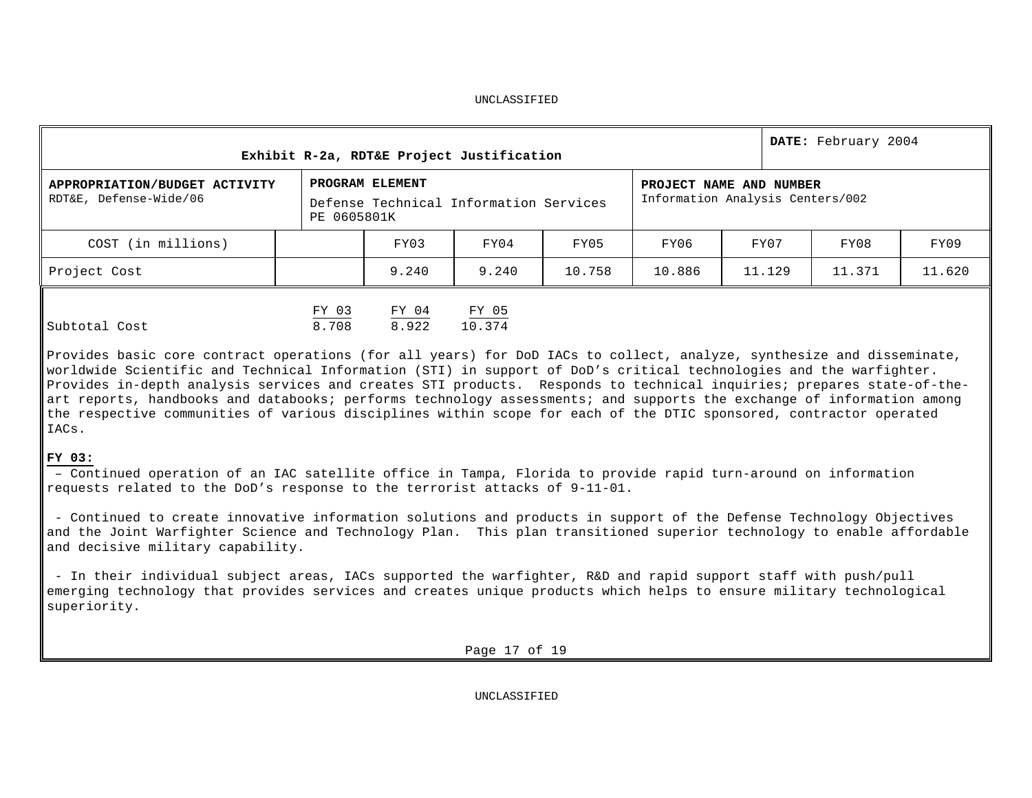| Exhibit R-2a, RDT&E Project Justification               |                | DATE: February 2004 |                                        |        |                                                             |        |        |        |  |
|---------------------------------------------------------|----------------|---------------------|----------------------------------------|--------|-------------------------------------------------------------|--------|--------|--------|--|
| APPROPRIATION/BUDGET ACTIVITY<br>RDT&E, Defense-Wide/06 | PE 0605801K    | PROGRAM ELEMENT     | Defense Technical Information Services |        | PROJECT NAME AND NUMBER<br>Information Analysis Centers/002 |        |        |        |  |
| COST (in millions)                                      |                | FY03                | FY04                                   | FY05   | FY06                                                        | FY07   | FY08   | FY09   |  |
| Project Cost                                            |                | 9.240               | 9.240                                  | 10.758 | 10.886                                                      | 11.129 | 11.371 | 11.620 |  |
| Subtotal Cost                                           | FY 03<br>8.708 | FY 04<br>8.922      | FY 05<br>10.374                        |        |                                                             |        |        |        |  |

Provides basic core contract operations (for all years) for DoD IACs to collect, analyze, synthesize and disseminate, worldwide Scientific and Technical Information (STI) in support of DoD's critical technologies and the warfighter. Provides in-depth analysis services and creates STI products. Responds to technical inquiries; prepares state-of-theart reports, handbooks and databooks; performs technology assessments; and supports the exchange of information among the respective communities of various disciplines within scope for each of the DTIC sponsored, contractor operated IACs.

# **FY 03:**

– Continued operation of an IAC satellite office in Tampa, Florida to provide rapid turn-around on information requests related to the DoD's response to the terrorist attacks of 9-11-01.

- Continued to create innovative information solutions and products in support of the Defense Technology Objectives and the Joint Warfighter Science and Technology Plan. This plan transitioned superior technology to enable affordable and decisive military capability.

- In their individual subject areas, IACs supported the warfighter, R&D and rapid support staff with push/pull emerging technology that provides services and creates unique products which helps to ensure military technological superiority.

Page 17 of 19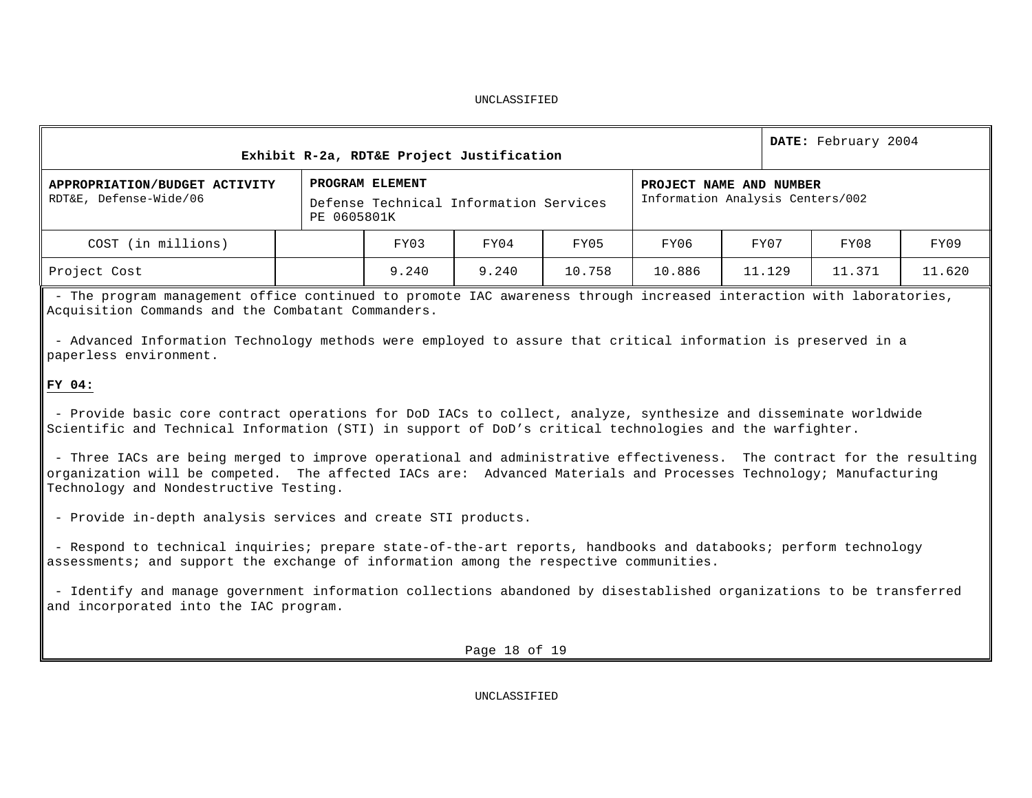| Exhibit R-2a, RDT&E Project Justification               |             |                                                           |       |        |                                                             |        | DATE: February 2004 |        |  |
|---------------------------------------------------------|-------------|-----------------------------------------------------------|-------|--------|-------------------------------------------------------------|--------|---------------------|--------|--|
| APPROPRIATION/BUDGET ACTIVITY<br>RDT&E, Defense-Wide/06 | PE 0605801K | PROGRAM ELEMENT<br>Defense Technical Information Services |       |        | PROJECT NAME AND NUMBER<br>Information Analysis Centers/002 |        |                     |        |  |
| COST (in millions)                                      |             | FY03                                                      | FY04  | FY05   | FY06                                                        | FY07   | FY08                | FY09   |  |
| Project Cost                                            |             | 9.240                                                     | 9.240 | 10.758 | 10.886                                                      | 11.129 | 11.371              | 11.620 |  |

- The program management office continued to promote IAC awareness through increased interaction with laboratories, Acquisition Commands and the Combatant Commanders.

- Advanced Information Technology methods were employed to assure that critical information is preserved in a paperless environment.

# **FY 04:**

- Provide basic core contract operations for DoD IACs to collect, analyze, synthesize and disseminate worldwide Scientific and Technical Information (STI) in support of DoD's critical technologies and the warfighter.

- Three IACs are being merged to improve operational and administrative effectiveness. The contract for the resulting organization will be competed. The affected IACs are: Advanced Materials and Processes Technology; Manufacturing Technology and Nondestructive Testing.

- Provide in-depth analysis services and create STI products.

- Respond to technical inquiries; prepare state-of-the-art reports, handbooks and databooks; perform technology assessments; and support the exchange of information among the respective communities.

- Identify and manage government information collections abandoned by disestablished organizations to be transferred and incorporated into the IAC program.

Page 18 of 19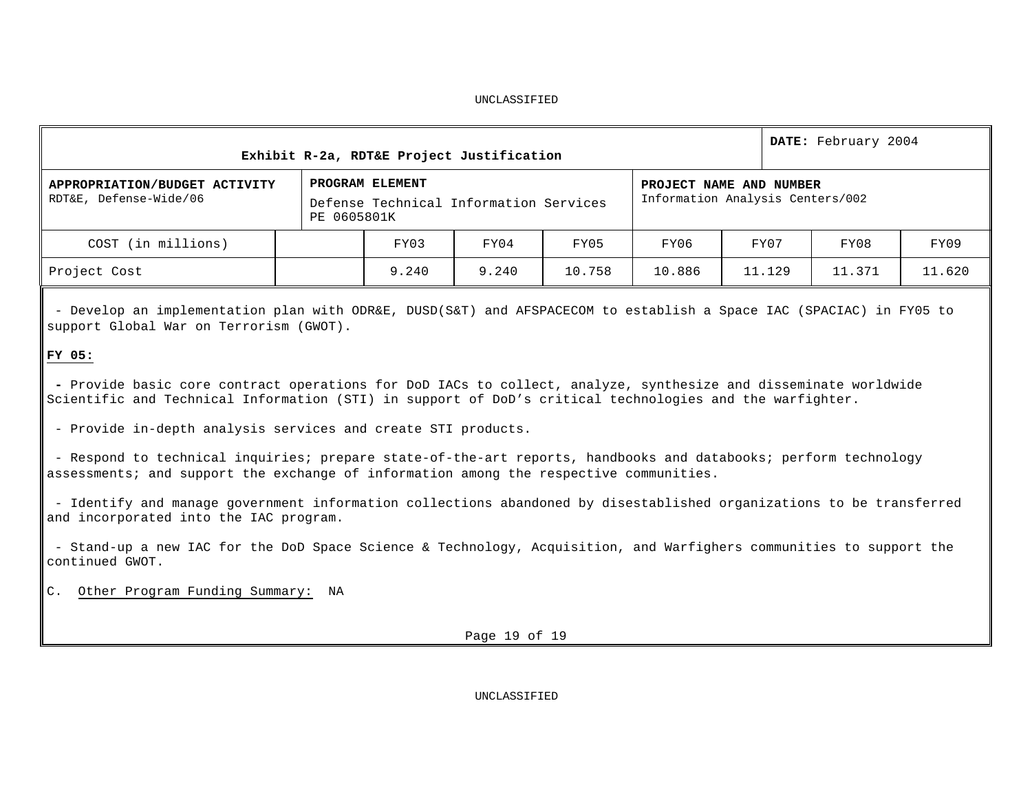|                                                         |                                                                          | Exhibit R-2a, RDT&E Project Justification                   |       |        |        |        | DATE: February 2004 |        |  |  |  |  |  |
|---------------------------------------------------------|--------------------------------------------------------------------------|-------------------------------------------------------------|-------|--------|--------|--------|---------------------|--------|--|--|--|--|--|
| APPROPRIATION/BUDGET ACTIVITY<br>RDT&E, Defense-Wide/06 | PROGRAM ELEMENT<br>Defense Technical Information Services<br>PE 0605801K | PROJECT NAME AND NUMBER<br>Information Analysis Centers/002 |       |        |        |        |                     |        |  |  |  |  |  |
| COST (in millions)                                      |                                                                          | FY03                                                        | FY04  | FY05   | FY06   | FY07   | FY08                | FY09   |  |  |  |  |  |
| Project Cost                                            |                                                                          | 9.240                                                       | 9.240 | 10.758 | 10.886 | 11.129 | 11.371              | 11.620 |  |  |  |  |  |

- Develop an implementation plan with ODR&E, DUSD(S&T) and AFSPACECOM to establish a Space IAC (SPACIAC) in FY05 to support Global War on Terrorism (GWOT).

# **FY 05:**

**-** Provide basic core contract operations for DoD IACs to collect, analyze, synthesize and disseminate worldwide Scientific and Technical Information (STI) in support of DoD's critical technologies and the warfighter.

- Provide in-depth analysis services and create STI products.

- Respond to technical inquiries; prepare state-of-the-art reports, handbooks and databooks; perform technology assessments; and support the exchange of information among the respective communities.

- Identify and manage government information collections abandoned by disestablished organizations to be transferred and incorporated into the IAC program.

- Stand-up a new IAC for the DoD Space Science & Technology, Acquisition, and Warfighers communities to support the continued GWOT.

C. Other Program Funding Summary: NA

Page 19 of 19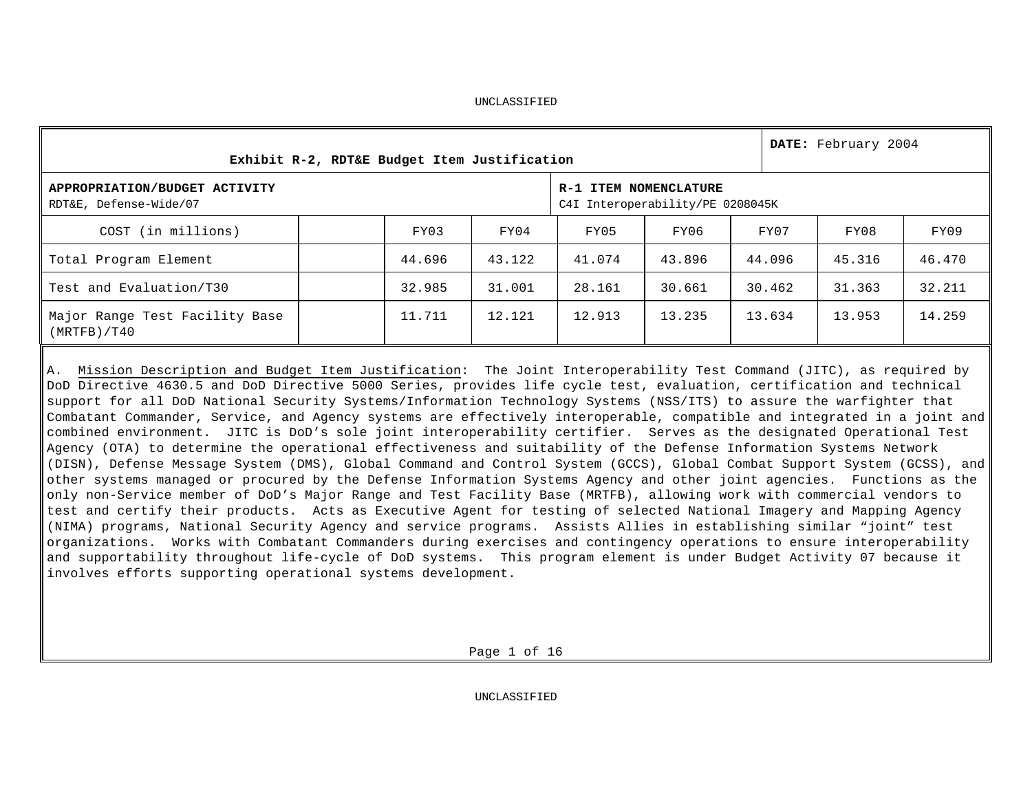|                                                         | Exhibit R-2, RDT&E Budget Item Justification |        |                                                           |        |        |        |        |        |  |  |  |  |
|---------------------------------------------------------|----------------------------------------------|--------|-----------------------------------------------------------|--------|--------|--------|--------|--------|--|--|--|--|
| APPROPRIATION/BUDGET ACTIVITY<br>RDT&E, Defense-Wide/07 |                                              |        | R-1 ITEM NOMENCLATURE<br>C4I Interoperability/PE 0208045K |        |        |        |        |        |  |  |  |  |
| COST (in millions)                                      |                                              | FY03   | FY04                                                      | FY05   | FY06   | FY07   | FY08   | FY09   |  |  |  |  |
| Total Program Element                                   |                                              | 44.696 | 43.122                                                    | 41.074 | 43.896 | 44.096 | 45.316 | 46.470 |  |  |  |  |
| Test and Evaluation/T30                                 |                                              | 32.985 | 31.001                                                    | 28.161 | 30.661 | 30.462 | 31.363 | 32.211 |  |  |  |  |
| Major Range Test Facility Base<br>(MRTFB)/T40           |                                              | 11.711 | 12.121                                                    | 12.913 | 13.235 | 13.634 | 13.953 | 14.259 |  |  |  |  |

A. Mission Description and Budget Item Justification: The Joint Interoperability Test Command (JITC), as required by DoD Directive 4630.5 and DoD Directive 5000 Series, provides life cycle test, evaluation, certification and technical support for all DoD National Security Systems/Information Technology Systems (NSS/ITS) to assure the warfighter that Combatant Commander, Service, and Agency systems are effectively interoperable, compatible and integrated in a joint and combined environment. JITC is DoD's sole joint interoperability certifier. Serves as the designated Operational Test Agency (OTA) to determine the operational effectiveness and suitability of the Defense Information Systems Network (DISN), Defense Message System (DMS), Global Command and Control System (GCCS), Global Combat Support System (GCSS), and other systems managed or procured by the Defense Information Systems Agency and other joint agencies. Functions as the only non-Service member of DoD's Major Range and Test Facility Base (MRTFB), allowing work with commercial vendors to test and certify their products. Acts as Executive Agent for testing of selected National Imagery and Mapping Agency (NIMA) programs, National Security Agency and service programs. Assists Allies in establishing similar "joint" test organizations. Works with Combatant Commanders during exercises and contingency operations to ensure interoperability and supportability throughout life-cycle of DoD systems. This program element is under Budget Activity 07 because it involves efforts supporting operational systems development.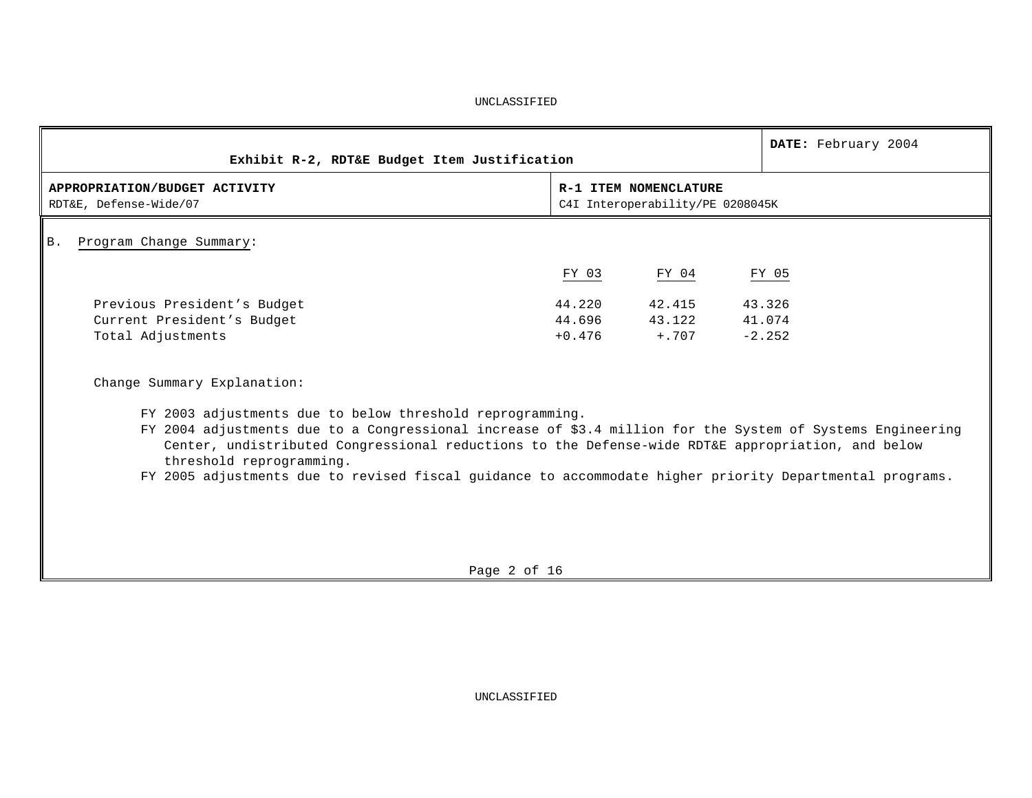| Exhibit R-2, RDT&E Budget Item Justification                                                                                                                                                                                                                                                                                                                                                                         |                  |                                                           | DATE: February 2004          |
|----------------------------------------------------------------------------------------------------------------------------------------------------------------------------------------------------------------------------------------------------------------------------------------------------------------------------------------------------------------------------------------------------------------------|------------------|-----------------------------------------------------------|------------------------------|
| APPROPRIATION/BUDGET ACTIVITY<br>RDT&E, Defense-Wide/07                                                                                                                                                                                                                                                                                                                                                              |                  | R-1 ITEM NOMENCLATURE<br>C4I Interoperability/PE 0208045K |                              |
| Program Change Summary:<br>Β.                                                                                                                                                                                                                                                                                                                                                                                        |                  |                                                           |                              |
|                                                                                                                                                                                                                                                                                                                                                                                                                      | FY 03            | FY 04                                                     | FY 05                        |
| Previous President's Budget<br>Current President's Budget<br>Total Adjustments                                                                                                                                                                                                                                                                                                                                       | 44.220<br>44.696 | 42.415<br>43.122<br>$+0.476 + 707$                        | 43.326<br>41.074<br>$-2.252$ |
| Change Summary Explanation:                                                                                                                                                                                                                                                                                                                                                                                          |                  |                                                           |                              |
| FY 2003 adjustments due to below threshold reprogramming.<br>FY 2004 adjustments due to a Congressional increase of \$3.4 million for the System of Systems Engineering<br>Center, undistributed Congressional reductions to the Defense-wide RDT&E appropriation, and below<br>threshold reprogramming.<br>FY 2005 adjustments due to revised fiscal guidance to accommodate higher priority Departmental programs. |                  |                                                           |                              |

Page 2 of 16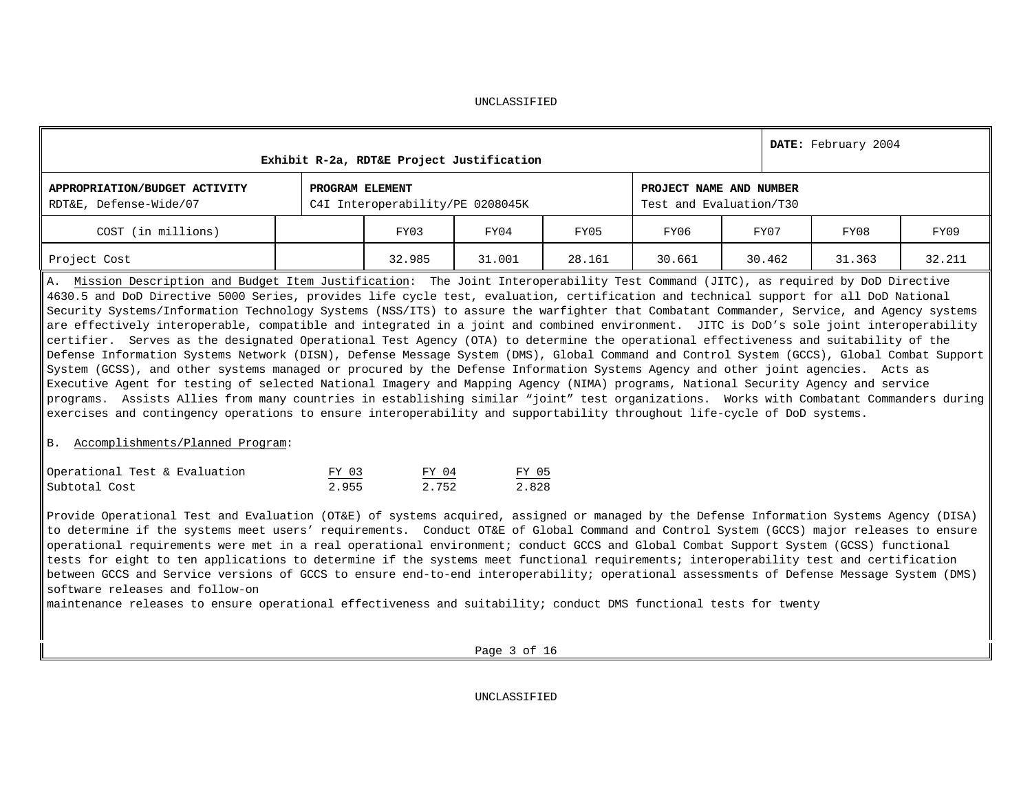|                                                         |                 | Exhibit R-2a, RDT&E Project Justification |        |                                                    |        |        | DATE: February 2004 |        |  |
|---------------------------------------------------------|-----------------|-------------------------------------------|--------|----------------------------------------------------|--------|--------|---------------------|--------|--|
| APPROPRIATION/BUDGET ACTIVITY<br>RDT&E, Defense-Wide/07 | PROGRAM ELEMENT | C4I Interoperability/PE 0208045K          |        | PROJECT NAME AND NUMBER<br>Test and Evaluation/T30 |        |        |                     |        |  |
| COST (in millions)                                      |                 | FY03                                      | FY04   | FY05                                               | FY06   | FY07   | FY08                | FY09   |  |
| Project Cost                                            |                 | 32.985                                    | 31.001 | 28.161                                             | 30.661 | 30.462 | 31.363              | 32.211 |  |

A. Mission Description and Budget Item Justification: The Joint Interoperability Test Command (JITC), as required by DoD Directive 4630.5 and DoD Directive 5000 Series, provides life cycle test, evaluation, certification and technical support for all DoD National Security Systems/Information Technology Systems (NSS/ITS) to assure the warfighter that Combatant Commander, Service, and Agency systems are effectively interoperable, compatible and integrated in a joint and combined environment. JITC is DoD's sole joint interoperability certifier. Serves as the designated Operational Test Agency (OTA) to determine the operational effectiveness and suitability of the Defense Information Systems Network (DISN), Defense Message System (DMS), Global Command and Control System (GCCS), Global Combat Support System (GCSS), and other systems managed or procured by the Defense Information Systems Agency and other joint agencies. Acts as Executive Agent for testing of selected National Imagery and Mapping Agency (NIMA) programs, National Security Agency and service programs. Assists Allies from many countries in establishing similar "joint" test organizations. Works with Combatant Commanders during exercises and contingency operations to ensure interoperability and supportability throughout life-cycle of DoD systems.

#### B. Accomplishments/Planned Program:

| Operational Test & Evaluation | FY 03 | FY 04 | FY 05 |
|-------------------------------|-------|-------|-------|
| Subtotal Cost                 | 2.955 | 2.752 | 2.828 |

Provide Operational Test and Evaluation (OT&E) of systems acquired, assigned or managed by the Defense Information Systems Agency (DISA) to determine if the systems meet users' requirements. Conduct OT&E of Global Command and Control System (GCCS) major releases to ensure operational requirements were met in a real operational environment; conduct GCCS and Global Combat Support System (GCSS) functional tests for eight to ten applications to determine if the systems meet functional requirements; interoperability test and certification between GCCS and Service versions of GCCS to ensure end-to-end interoperability; operational assessments of Defense Message System (DMS) software releases and follow-on

maintenance releases to ensure operational effectiveness and suitability; conduct DMS functional tests for twenty

Page 3 of 16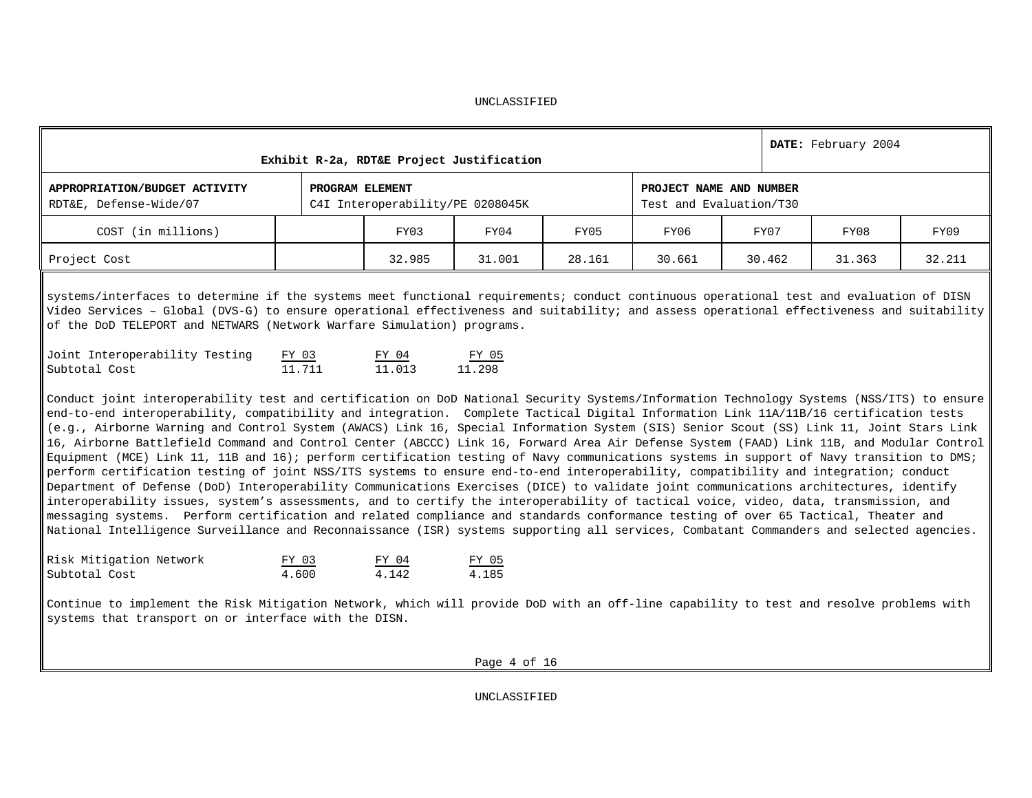|                                                         | Exhibit R-2a, RDT&E Project Justification          |        |        |        |        | DATE: February 2004 |        |
|---------------------------------------------------------|----------------------------------------------------|--------|--------|--------|--------|---------------------|--------|
| APPROPRIATION/BUDGET ACTIVITY<br>RDT&E, Defense-Wide/07 | PROJECT NAME AND NUMBER<br>Test and Evaluation/T30 |        |        |        |        |                     |        |
| COST (in millions)                                      | FY03                                               | FY04   | FY05   | FY06   | FY07   | FY08                | FY09   |
| Project Cost                                            | 32.985                                             | 31.001 | 28.161 | 30.661 | 30.462 | 31.363              | 32.211 |

systems/interfaces to determine if the systems meet functional requirements; conduct continuous operational test and evaluation of DISN Video Services – Global (DVS-G) to ensure operational effectiveness and suitability; and assess operational effectiveness and suitability of the DoD TELEPORT and NETWARS (Network Warfare Simulation) programs.

| Joint Interoperability Testing | FY 03  | FY 04  | FY 05  |
|--------------------------------|--------|--------|--------|
| Subtotal Cost                  | 11.711 | 11.013 | 11.298 |

Conduct joint interoperability test and certification on DoD National Security Systems/Information Technology Systems (NSS/ITS) to ensure end-to-end interoperability, compatibility and integration. Complete Tactical Digital Information Link 11A/11B/16 certification tests (e.g., Airborne Warning and Control System (AWACS) Link 16, Special Information System (SIS) Senior Scout (SS) Link 11, Joint Stars Link 16, Airborne Battlefield Command and Control Center (ABCCC) Link 16, Forward Area Air Defense System (FAAD) Link 11B, and Modular Control Equipment (MCE) Link 11, 11B and 16); perform certification testing of Navy communications systems in support of Navy transition to DMS; perform certification testing of joint NSS/ITS systems to ensure end-to-end interoperability, compatibility and integration; conduct Department of Defense (DoD) Interoperability Communications Exercises (DICE) to validate joint communications architectures, identify interoperability issues, system's assessments, and to certify the interoperability of tactical voice, video, data, transmission, and messaging systems. Perform certification and related compliance and standards conformance testing of over 65 Tactical, Theater and National Intelligence Surveillance and Reconnaissance (ISR) systems supporting all services, Combatant Commanders and selected agencies.

| Risk Mitigation Network | FY 03 | FY 04 | FY 05 |
|-------------------------|-------|-------|-------|
| Subtotal Cost           | 4.600 | 4.142 | 4.185 |

Continue to implement the Risk Mitigation Network, which will provide DoD with an off-line capability to test and resolve problems with systems that transport on or interface with the DISN.

Page 4 of 16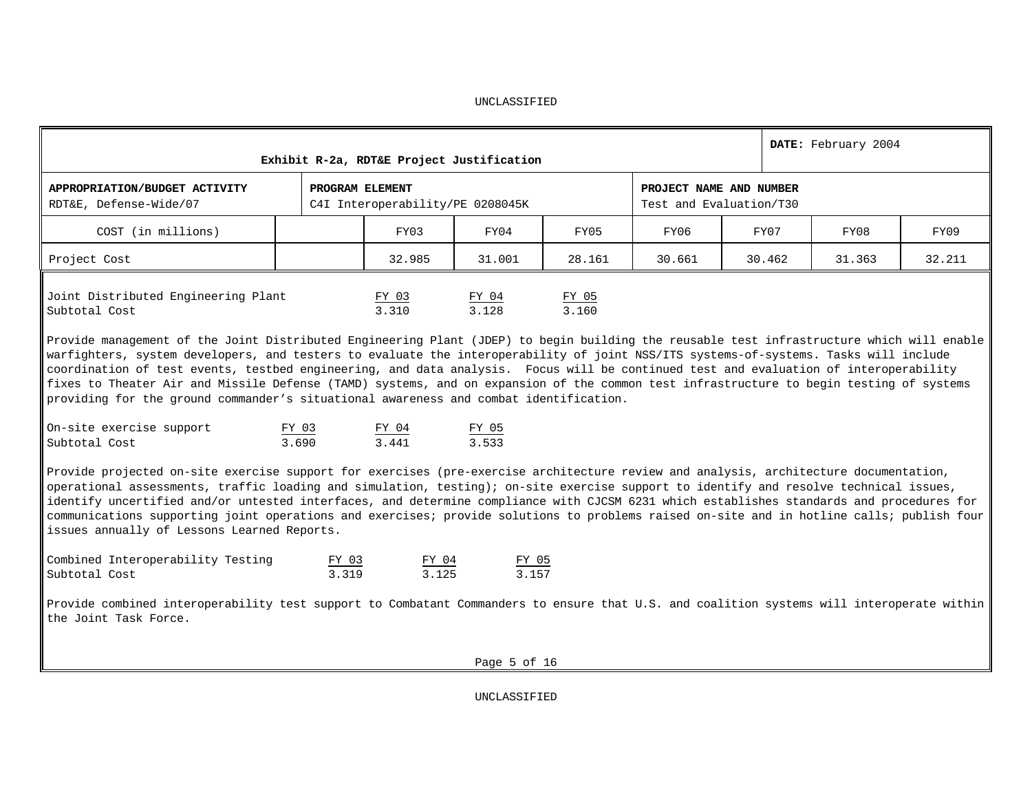|                                                                                                                                                                                                                                                                                                                                                                                                                                                                                                                                                                                                                                                                                                                       |                | Exhibit R-2a, RDT&E Project Justification           |                  |                |        |                                                    | DATE: February 2004 |        |  |  |  |  |  |  |
|-----------------------------------------------------------------------------------------------------------------------------------------------------------------------------------------------------------------------------------------------------------------------------------------------------------------------------------------------------------------------------------------------------------------------------------------------------------------------------------------------------------------------------------------------------------------------------------------------------------------------------------------------------------------------------------------------------------------------|----------------|-----------------------------------------------------|------------------|----------------|--------|----------------------------------------------------|---------------------|--------|--|--|--|--|--|--|
| APPROPRIATION/BUDGET ACTIVITY<br>RDT&E, Defense-Wide/07                                                                                                                                                                                                                                                                                                                                                                                                                                                                                                                                                                                                                                                               |                | PROGRAM ELEMENT<br>C4I Interoperability/PE 0208045K |                  |                |        | PROJECT NAME AND NUMBER<br>Test and Evaluation/T30 |                     |        |  |  |  |  |  |  |
| COST (in millions)                                                                                                                                                                                                                                                                                                                                                                                                                                                                                                                                                                                                                                                                                                    |                | FY03                                                | FY04             | FY05           | FY06   | FY07                                               | FY08                | FY09   |  |  |  |  |  |  |
| Project Cost                                                                                                                                                                                                                                                                                                                                                                                                                                                                                                                                                                                                                                                                                                          |                | 32.985                                              | 31.001           | 28.161         | 30.661 | 30.462                                             | 31.363              | 32.211 |  |  |  |  |  |  |
| Joint Distributed Engineering Plant<br>Subtotal Cost<br>Provide management of the Joint Distributed Engineering Plant (JDEP) to begin building the reusable test infrastructure which will enable<br>warfighters, system developers, and testers to evaluate the interoperability of joint NSS/ITS systems-of-systems. Tasks will include<br>coordination of test events, testbed engineering, and data analysis. Focus will be continued test and evaluation of interoperability<br>fixes to Theater Air and Missile Defense (TAMD) systems, and on expansion of the common test infrastructure to begin testing of systems<br>providing for the ground commander's situational awareness and combat identification. |                | FY 03<br>3.310                                      | FY 04<br>3.128   | FY 05<br>3.160 |        |                                                    |                     |        |  |  |  |  |  |  |
| On-site exercise support<br>Subtotal Cost                                                                                                                                                                                                                                                                                                                                                                                                                                                                                                                                                                                                                                                                             | FY 03<br>3.690 | FY 04<br>3.441                                      | FY 05<br>3.533   |                |        |                                                    |                     |        |  |  |  |  |  |  |
| Provide projected on-site exercise support for exercises (pre-exercise architecture review and analysis, architecture documentation,<br>operational assessments, traffic loading and simulation, testing); on-site exercise support to identify and resolve technical issues,<br>identify uncertified and/or untested interfaces, and determine compliance with CJCSM 6231 which establishes standards and procedures for<br>communications supporting joint operations and exercises; provide solutions to problems raised on-site and in hotline calls; publish four<br>issues annually of Lessons Learned Reports.                                                                                                 |                |                                                     |                  |                |        |                                                    |                     |        |  |  |  |  |  |  |
| Combined Interoperability Testing<br>Subtotal Cost                                                                                                                                                                                                                                                                                                                                                                                                                                                                                                                                                                                                                                                                    | FY 03<br>3.319 | FY 04<br>3.125                                      | FY 05<br>3.157   |                |        |                                                    |                     |        |  |  |  |  |  |  |
| Provide combined interoperability test support to Combatant Commanders to ensure that U.S. and coalition systems will interoperate within<br>the Joint Task Force.                                                                                                                                                                                                                                                                                                                                                                                                                                                                                                                                                    |                |                                                     |                  |                |        |                                                    |                     |        |  |  |  |  |  |  |
|                                                                                                                                                                                                                                                                                                                                                                                                                                                                                                                                                                                                                                                                                                                       |                |                                                     | Page $5$ of $16$ |                |        |                                                    |                     |        |  |  |  |  |  |  |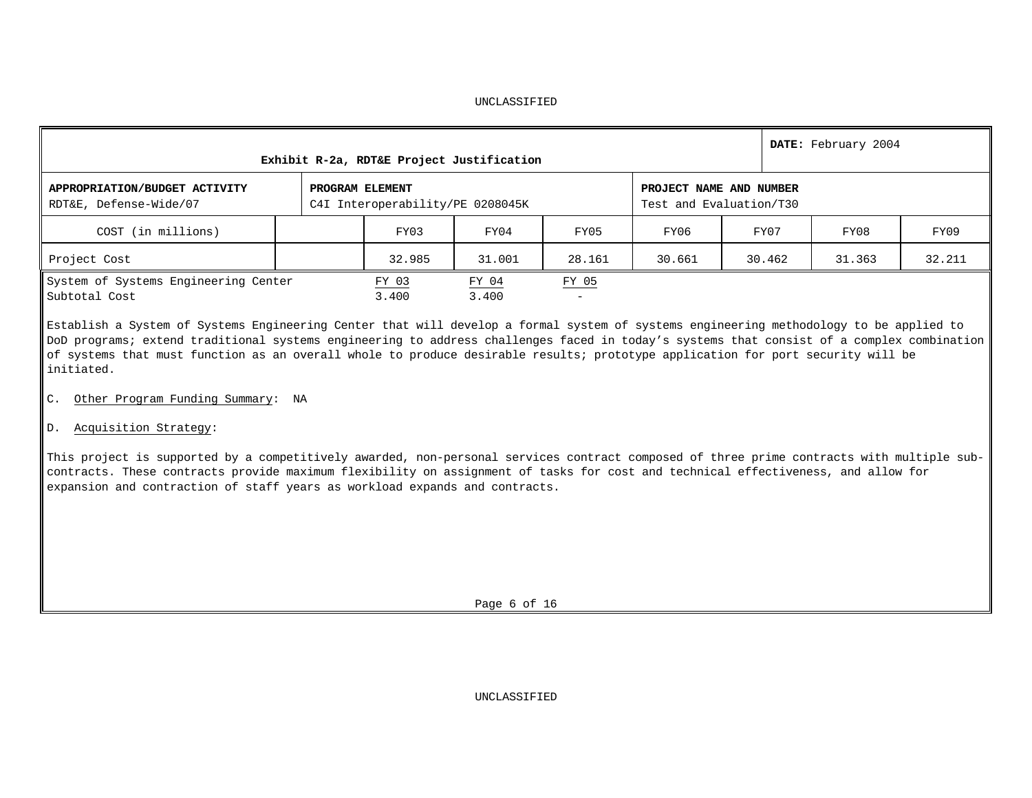| Exhibit R-2a, RDT&E Project Justification               |                 | DATE: February 2004              |                          |                                                    |        |        |        |        |  |
|---------------------------------------------------------|-----------------|----------------------------------|--------------------------|----------------------------------------------------|--------|--------|--------|--------|--|
| APPROPRIATION/BUDGET ACTIVITY<br>RDT&E, Defense-Wide/07 | PROGRAM ELEMENT | C4I Interoperability/PE 0208045K |                          | PROJECT NAME AND NUMBER<br>Test and Evaluation/T30 |        |        |        |        |  |
| COST (in millions)                                      |                 | FY03                             | FY04                     | FY05                                               | FY06   | FY07   | FY08   | FY09   |  |
| Project Cost                                            |                 | 32.985                           | 31.001                   | 28.161                                             | 30.661 | 30.462 | 31.363 | 32.211 |  |
| System of Systems Engineering Center<br>Subtotal Cost   | FY 03<br>3.400  | FY 04<br>3.400                   | FY 05<br>$\qquad \qquad$ |                                                    |        |        |        |        |  |

Establish a System of Systems Engineering Center that will develop a formal system of systems engineering methodology to be applied to DoD programs; extend traditional systems engineering to address challenges faced in today's systems that consist of a complex combination of systems that must function as an overall whole to produce desirable results; prototype application for port security will be initiated.

- C. Other Program Funding Summary: NA
- D. Acquisition Strategy:

This project is supported by a competitively awarded, non-personal services contract composed of three prime contracts with multiple subcontracts. These contracts provide maximum flexibility on assignment of tasks for cost and technical effectiveness, and allow for expansion and contraction of staff years as workload expands and contracts.

Page 6 of 16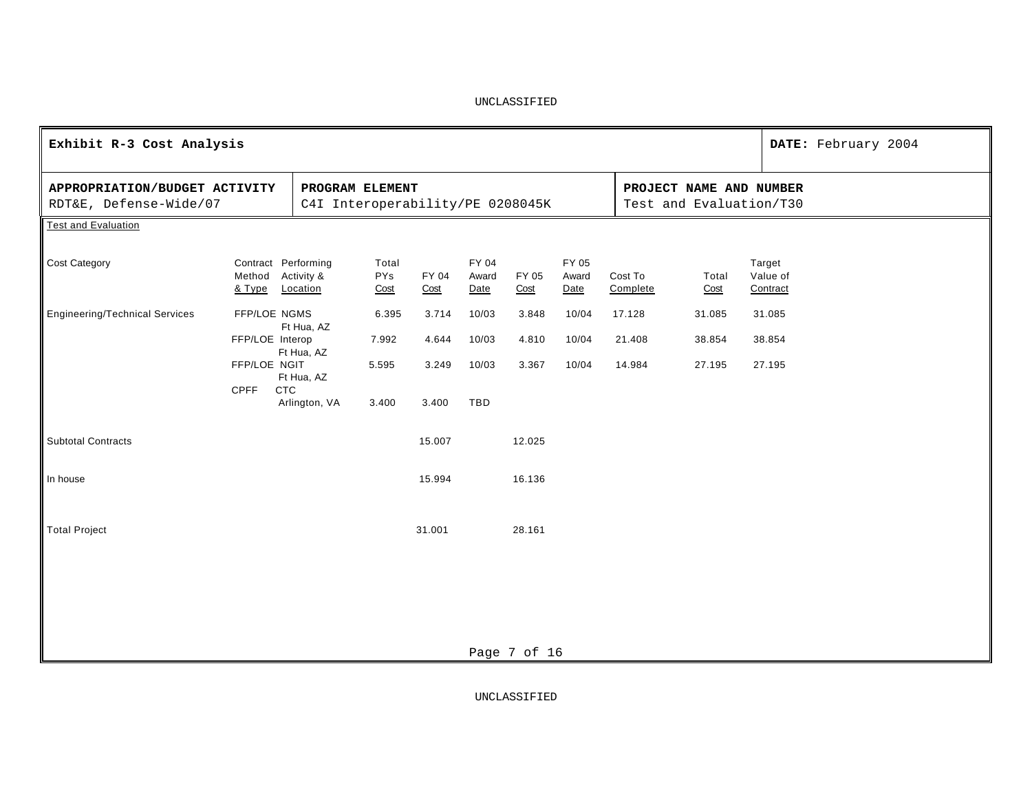| Exhibit R-3 Cost Analysis                               |                                                     |                        |                             |               |                        |                                                    |                        |                     |               |                                | DATE: February 2004 |
|---------------------------------------------------------|-----------------------------------------------------|------------------------|-----------------------------|---------------|------------------------|----------------------------------------------------|------------------------|---------------------|---------------|--------------------------------|---------------------|
| APPROPRIATION/BUDGET ACTIVITY<br>RDT&E, Defense-Wide/07 | PROGRAM ELEMENT<br>C4I Interoperability/PE 0208045K |                        |                             |               |                        | PROJECT NAME AND NUMBER<br>Test and Evaluation/T30 |                        |                     |               |                                |                     |
| <b>Test and Evaluation</b>                              |                                                     |                        |                             |               |                        |                                                    |                        |                     |               |                                |                     |
| Cost Category                                           | Contract Performing<br>Method<br>& Type             | Activity &<br>Location | Total<br><b>PYs</b><br>Cost | FY 04<br>Cost | FY 04<br>Award<br>Date | FY 05<br>Cost                                      | FY 05<br>Award<br>Date | Cost To<br>Complete | Total<br>Cost | Target<br>Value of<br>Contract |                     |
| <b>Engineering/Technical Services</b>                   | FFP/LOE NGMS                                        | Ft Hua, AZ             | 6.395                       | 3.714         | 10/03                  | 3.848                                              | 10/04                  | 17.128              | 31.085        | 31.085                         |                     |
|                                                         | FFP/LOE Interop                                     | Ft Hua, AZ             | 7.992                       | 4.644         | 10/03                  | 4.810                                              | 10/04                  | 21.408              | 38.854        | 38.854                         |                     |
|                                                         | FFP/LOE NGIT                                        | Ft Hua, AZ             | 5.595                       | 3.249         | 10/03                  | 3.367                                              | 10/04                  | 14.984              | 27.195        | 27.195                         |                     |
|                                                         | <b>CPFF</b><br>CTC                                  | Arlington, VA          | 3.400                       | 3.400         | TBD                    |                                                    |                        |                     |               |                                |                     |
| <b>Subtotal Contracts</b>                               |                                                     |                        |                             | 15.007        |                        | 12.025                                             |                        |                     |               |                                |                     |
| In house                                                |                                                     |                        |                             | 15.994        |                        | 16.136                                             |                        |                     |               |                                |                     |
| <b>Total Project</b>                                    |                                                     |                        |                             | 31.001        |                        | 28.161                                             |                        |                     |               |                                |                     |
|                                                         |                                                     |                        |                             |               |                        |                                                    |                        |                     |               |                                |                     |
|                                                         |                                                     |                        |                             |               |                        |                                                    |                        |                     |               |                                |                     |
|                                                         |                                                     |                        |                             |               |                        | Page 7 of 16                                       |                        |                     |               |                                |                     |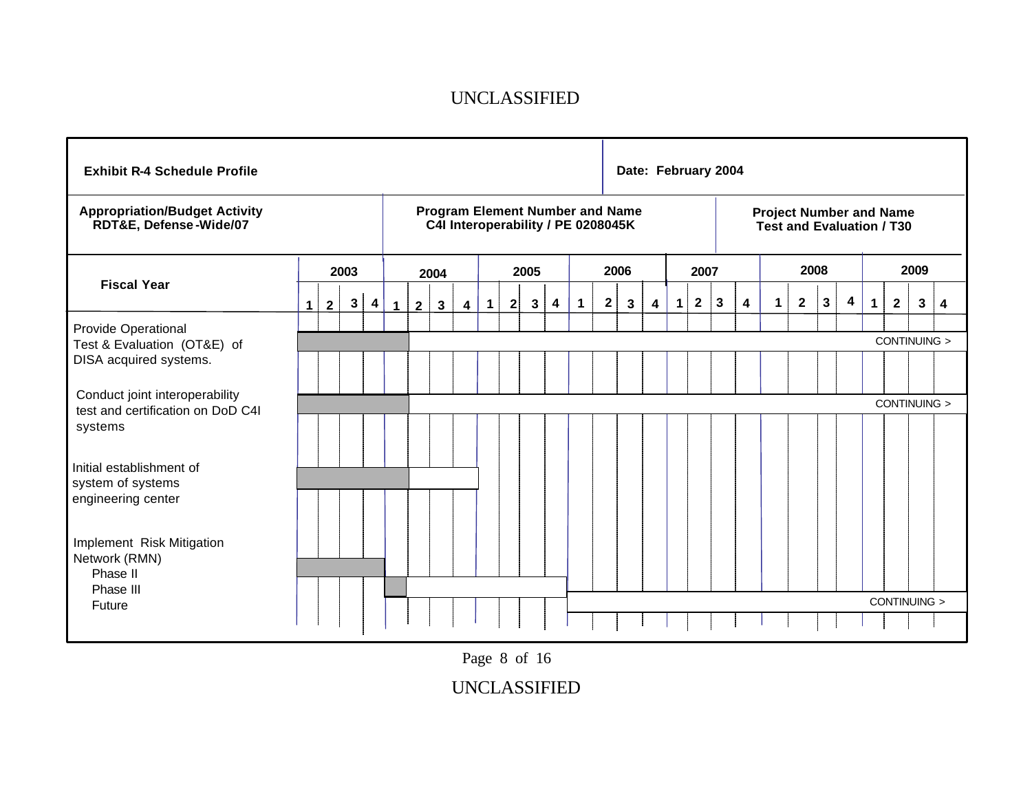|  | $\mathbf{3}$ | 4                      | 1 | $\mathbf{2}$ | $\mathbf{3}$ | $\overline{\mathbf{4}}$ | $\mathbf{1}$ | 2 | $\mathbf{3}$ | 4    | 1 | 2 | 3 | 4                                          | 1                                      | $\mathbf{2}$ | 3 | 4    | 1                   | $\mathbf{2}$ | $\mathbf{3}$ | 4    | $\mathbf 1$ | $\mathbf{2}$ | 3 | 4                                                                                                                          |
|--|--------------|------------------------|---|--------------|--------------|-------------------------|--------------|---|--------------|------|---|---|---|--------------------------------------------|----------------------------------------|--------------|---|------|---------------------|--------------|--------------|------|-------------|--------------|---|----------------------------------------------------------------------------------------------------------------------------|
|  |              |                        |   |              |              |                         |              |   |              |      |   |   |   |                                            |                                        |              |   |      |                     |              |              |      |             |              |   |                                                                                                                            |
|  |              |                        |   |              |              |                         |              |   |              |      |   |   |   |                                            |                                        |              |   |      |                     |              |              |      |             |              |   |                                                                                                                            |
|  |              |                        |   |              |              |                         |              |   |              |      |   |   |   |                                            |                                        |              |   |      |                     |              |              |      |             |              |   |                                                                                                                            |
|  |              |                        |   |              |              |                         |              |   |              |      |   |   |   |                                            |                                        |              |   |      |                     |              |              |      |             |              |   |                                                                                                                            |
|  |              |                        |   |              |              |                         |              |   |              |      |   |   |   |                                            |                                        |              |   |      |                     |              |              |      |             |              |   |                                                                                                                            |
|  | $\mathbf 1$  | 2003<br>$\overline{2}$ |   |              |              | 2004                    |              |   |              | 2005 |   |   |   | C4I Interoperability / PE 0208045K<br>2006 | <b>Program Element Number and Name</b> |              |   | 2007 | Date: February 2004 |              |              | 2008 |             |              |   | <b>Project Number and Name</b><br><b>Test and Evaluation / T30</b><br>2009<br>CONTINUING ><br>CONTINUING ><br>CONTINUING > |

Page 8 of 16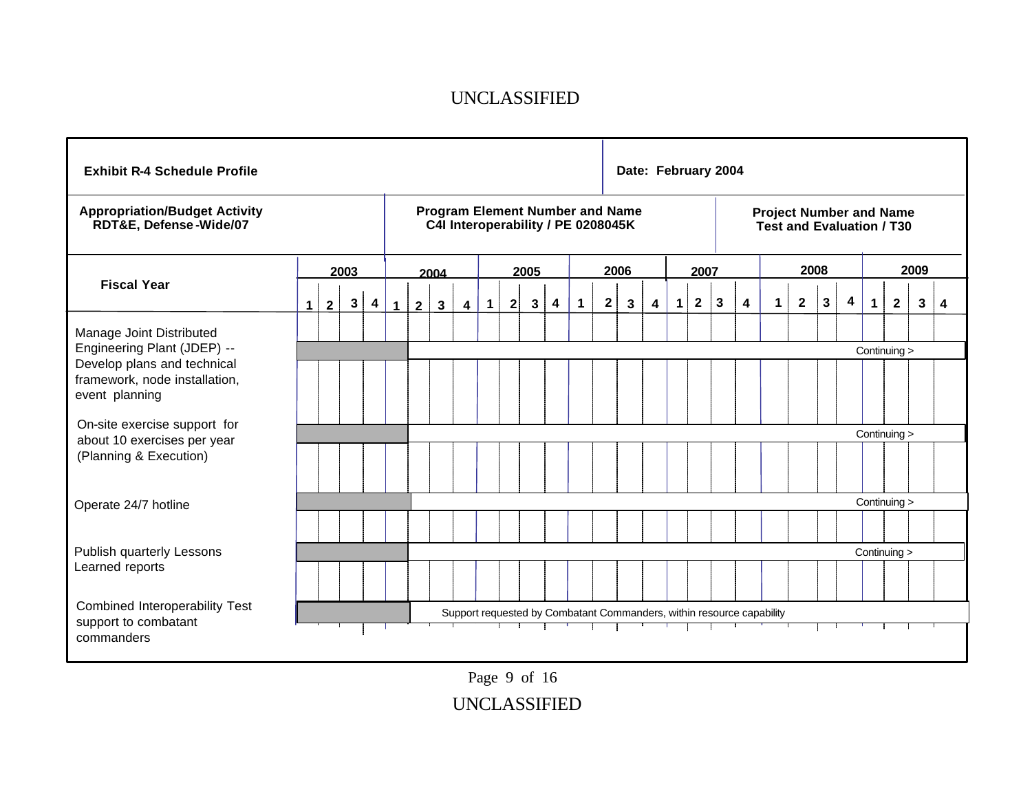| <b>Exhibit R-4 Schedule Profile</b>                                                    |             |              |              |                         |             |              |              |                         |                                                                              |              |              |   |             |              |              | Date: February 2004                                                   |             |              |              |   |             |                                                                    |              |   |              |              |      |   |   |
|----------------------------------------------------------------------------------------|-------------|--------------|--------------|-------------------------|-------------|--------------|--------------|-------------------------|------------------------------------------------------------------------------|--------------|--------------|---|-------------|--------------|--------------|-----------------------------------------------------------------------|-------------|--------------|--------------|---|-------------|--------------------------------------------------------------------|--------------|---|--------------|--------------|------|---|---|
| <b>Appropriation/Budget Activity</b><br>RDT&E, Defense-Wide/07                         |             |              |              |                         |             |              |              |                         | <b>Program Element Number and Name</b><br>C4I Interoperability / PE 0208045K |              |              |   |             |              |              |                                                                       |             |              |              |   |             | <b>Project Number and Name</b><br><b>Test and Evaluation / T30</b> |              |   |              |              |      |   |   |
|                                                                                        |             |              | 2003         |                         |             |              | 2004         |                         |                                                                              |              | 2005         |   |             |              | 2006         |                                                                       |             | 2007         |              |   |             |                                                                    | 2008         |   |              |              | 2009 |   |   |
| <b>Fiscal Year</b>                                                                     | $\mathbf 1$ | $\mathbf{2}$ | $\mathbf{3}$ | $\overline{\mathbf{4}}$ | $\mathbf 1$ | $\mathbf{2}$ | $\mathbf{3}$ | $\overline{\mathbf{4}}$ | $\overline{1}$                                                               | $\mathbf{2}$ | $\mathbf{3}$ | 4 | $\mathbf 1$ | $\mathbf{2}$ | $\mathbf{3}$ | 4                                                                     | $\mathbf 1$ | $\mathbf{2}$ | $\mathbf{3}$ | 4 | $\mathbf 1$ | $\mathbf{2}$                                                       | $\mathbf{3}$ | 4 | $\mathbf{1}$ | $\mathbf{2}$ |      | 3 | 4 |
| Manage Joint Distributed<br>Engineering Plant (JDEP) --<br>Develop plans and technical |             |              |              |                         |             |              |              |                         |                                                                              |              |              |   |             |              |              |                                                                       |             |              |              |   |             |                                                                    |              |   | Continuing > |              |      |   |   |
| framework, node installation,<br>event planning                                        |             |              |              |                         |             |              |              |                         |                                                                              |              |              |   |             |              |              |                                                                       |             |              |              |   |             |                                                                    |              |   |              |              |      |   |   |
| On-site exercise support for                                                           |             |              |              |                         |             |              |              |                         |                                                                              |              |              |   |             |              |              |                                                                       |             |              |              |   |             |                                                                    |              |   | Continuing > |              |      |   |   |
| about 10 exercises per year<br>(Planning & Execution)                                  |             |              |              |                         |             |              |              |                         |                                                                              |              |              |   |             |              |              |                                                                       |             |              |              |   |             |                                                                    |              |   |              |              |      |   |   |
| Operate 24/7 hotline                                                                   |             |              |              |                         |             |              |              |                         |                                                                              |              |              |   |             |              |              |                                                                       |             |              |              |   |             |                                                                    |              |   | Continuing > |              |      |   |   |
|                                                                                        |             |              |              |                         |             |              |              |                         |                                                                              |              |              |   |             |              |              |                                                                       |             |              |              |   |             |                                                                    |              |   |              |              |      |   |   |
| Publish quarterly Lessons                                                              |             |              |              |                         |             |              |              |                         |                                                                              |              |              |   |             |              |              |                                                                       |             |              |              |   |             |                                                                    |              |   | Continuing > |              |      |   |   |
| Learned reports                                                                        |             |              |              |                         |             |              |              |                         |                                                                              |              |              |   |             |              |              |                                                                       |             |              |              |   |             |                                                                    |              |   |              |              |      |   |   |
| Combined Interoperability Test<br>support to combatant                                 |             |              |              |                         |             |              |              |                         |                                                                              |              |              |   |             |              |              | Support requested by Combatant Commanders, within resource capability |             |              |              |   |             |                                                                    |              |   |              |              |      |   |   |
| commanders                                                                             |             |              |              |                         |             |              |              |                         |                                                                              |              |              |   |             |              |              |                                                                       |             |              |              |   |             |                                                                    |              |   |              |              |      |   |   |

UNCLASSIFIED Page 9 of 16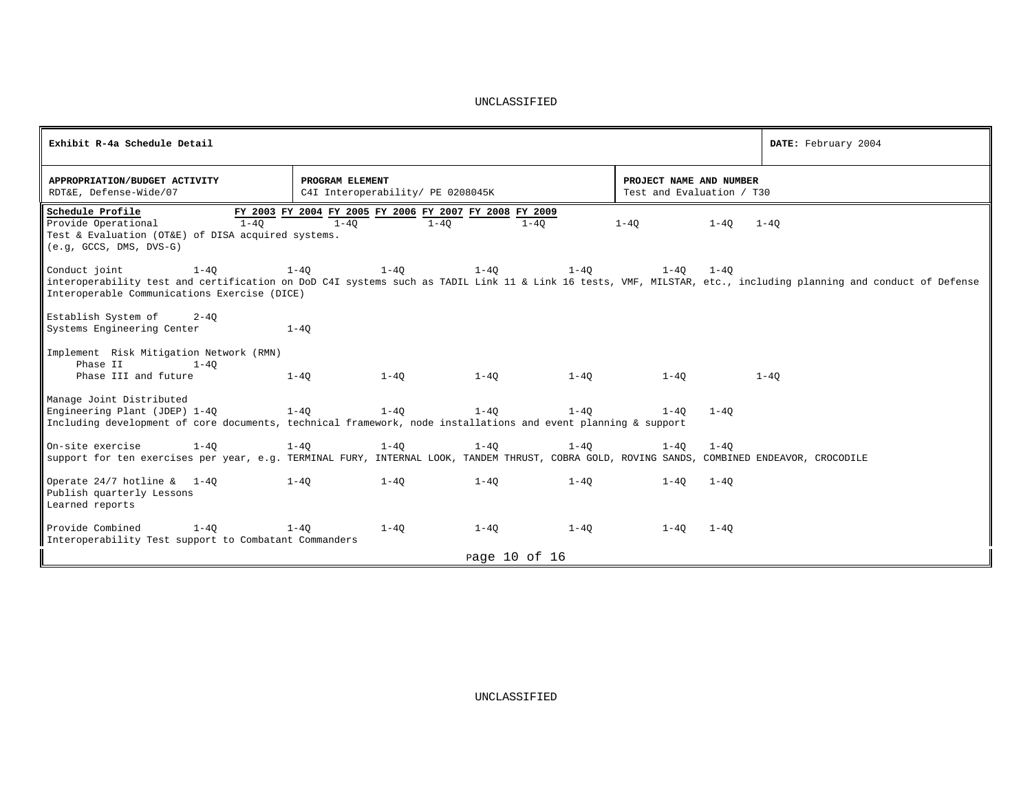| Exhibit R-4a Schedule Detail                                                                                                                                                                                                                 |                                                                                 |                      |                                                      | DATE: February 2004 |
|----------------------------------------------------------------------------------------------------------------------------------------------------------------------------------------------------------------------------------------------|---------------------------------------------------------------------------------|----------------------|------------------------------------------------------|---------------------|
| APPROPRIATION/BUDGET ACTIVITY<br>RDT&E, Defense-Wide/07                                                                                                                                                                                      | PROGRAM ELEMENT<br>C4I Interoperability/ PE 0208045K                            |                      | PROJECT NAME AND NUMBER<br>Test and Evaluation / T30 |                     |
| Schedule Profile<br>$1 - 40$<br>Provide Operational<br>Test & Evaluation (OT&E) of DISA acquired systems.<br>$(e,q, GCCS, DMS, DVS-G)$                                                                                                       | FY 2003 FY 2004 FY 2005 FY 2006 FY 2007 FY 2008 FY 2009<br>$1 - 40$<br>$1 - 40$ | $1-40$               | $1 - 40$<br>$1 - 40$                                 | $1 - 40$            |
| Conduct joint<br>$1 - 40$<br>interoperability test and certification on DoD C4I systems such as TADIL Link 11 & Link 16 tests, VMF, MILSTAR, etc., including planning and conduct of Defense<br>Interoperable Communications Exercise (DICE) | $1 - 40$<br>$1 - 40$                                                            | $1 - 40$<br>$1 - 40$ | $1 - 40$<br>$1 - 40$                                 |                     |
| Establish System of<br>$2 - 40$<br>Systems Engineering Center                                                                                                                                                                                | $1 - 40$                                                                        |                      |                                                      |                     |
| Implement Risk Mitigation Network (RMN)<br>Phase II<br>$1 - 40$<br>Phase III and future                                                                                                                                                      | $1 - 40$<br>$1 - 40$                                                            | $1-40$<br>$1 - 40$   | $1 - 40$                                             | $1 - 40$            |
| Manage Joint Distributed<br>Engineering Plant (JDEP) 1-40<br>Including development of core documents, technical framework, node installations and event planning & support                                                                   | $1 - 40$<br>$1 - 40$                                                            | $1 - 40$<br>$1-40$   | $1 - 40$<br>$1 - 40$                                 |                     |
| On-site exercise<br>$1 - 40$<br>support for ten exercises per year, e.g. TERMINAL FURY, INTERNAL LOOK, TANDEM THRUST, COBRA GOLD, ROVING SANDS, COMBINED ENDEAVOR, CROCODILE                                                                 | $1 - 40$<br>$1 - 40$                                                            | $1 - 40$<br>$1 - 40$ | $1 - 40$<br>$1 - 40$                                 |                     |
| Operate $24/7$ hotline & 1-40<br>Publish quarterly Lessons<br>Learned reports                                                                                                                                                                | $1 - 40$<br>$1 - 40$                                                            | $1 - 40$<br>$1 - 40$ | $1 - 40$<br>$1 - 40$                                 |                     |
| Provide Combined<br>$1 - 40$<br>Interoperability Test support to Combatant Commanders                                                                                                                                                        | $1 - 40$<br>$1 - 40$                                                            | $1 - 40$<br>$1 - 40$ | $1 - 40$<br>$1 - 40$                                 |                     |
|                                                                                                                                                                                                                                              |                                                                                 | page 10 of 16        |                                                      |                     |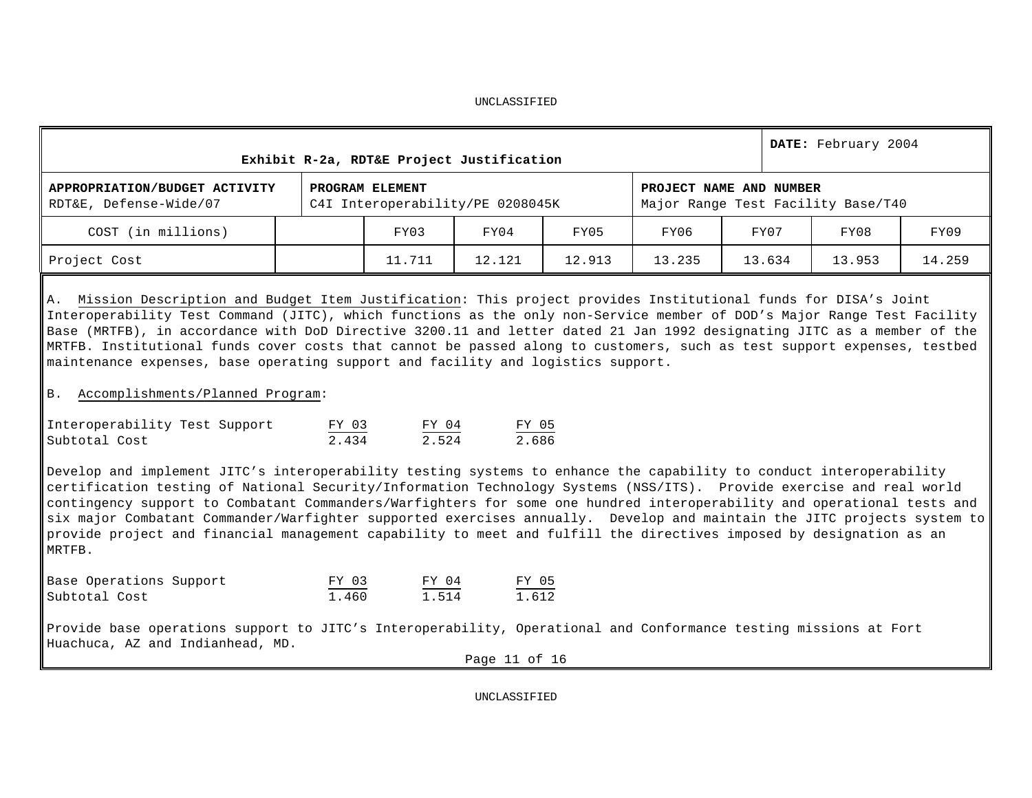|                                                                                                                                                                                                                                                                                                                                                                                                                                                                                                                                                                                                                                                                                                                                                                                                                                                                                                                                                                                                                                                                                                                                                                                                                                                                                                                      | Exhibit R-2a, RDT&E Project Justification           |                                                               |        |                         |        | DATE: February 2004                |        |
|----------------------------------------------------------------------------------------------------------------------------------------------------------------------------------------------------------------------------------------------------------------------------------------------------------------------------------------------------------------------------------------------------------------------------------------------------------------------------------------------------------------------------------------------------------------------------------------------------------------------------------------------------------------------------------------------------------------------------------------------------------------------------------------------------------------------------------------------------------------------------------------------------------------------------------------------------------------------------------------------------------------------------------------------------------------------------------------------------------------------------------------------------------------------------------------------------------------------------------------------------------------------------------------------------------------------|-----------------------------------------------------|---------------------------------------------------------------|--------|-------------------------|--------|------------------------------------|--------|
| APPROPRIATION/BUDGET ACTIVITY<br>RDT&E, Defense-Wide/07                                                                                                                                                                                                                                                                                                                                                                                                                                                                                                                                                                                                                                                                                                                                                                                                                                                                                                                                                                                                                                                                                                                                                                                                                                                              | PROGRAM ELEMENT<br>C4I Interoperability/PE 0208045K |                                                               |        | PROJECT NAME AND NUMBER |        | Major Range Test Facility Base/T40 |        |
| COST (in millions)                                                                                                                                                                                                                                                                                                                                                                                                                                                                                                                                                                                                                                                                                                                                                                                                                                                                                                                                                                                                                                                                                                                                                                                                                                                                                                   | FY03                                                | FY04                                                          | FY05   | FY06                    | FY07   | FY08                               | FY09   |
| Project Cost                                                                                                                                                                                                                                                                                                                                                                                                                                                                                                                                                                                                                                                                                                                                                                                                                                                                                                                                                                                                                                                                                                                                                                                                                                                                                                         | 11.711                                              | 12.121                                                        | 12.913 | 13.235                  | 13.634 | 13.953                             | 14.259 |
| A. Mission Description and Budget Item Justification: This project provides Institutional funds for DISA's Joint<br>Interoperability Test Command (JITC), which functions as the only non-Service member of DOD's Major Range Test Facility<br>Base (MRTFB), in accordance with DoD Directive 3200.11 and letter dated 21 Jan 1992 designating JITC as a member of the<br>MRTFB. Institutional funds cover costs that cannot be passed along to customers, such as test support expenses, testbed<br>maintenance expenses, base operating support and facility and logistics support.<br>B. Accomplishments/Planned Program:<br>Interoperability Test Support<br>Subtotal Cost<br>Develop and implement JITC's interoperability testing systems to enhance the capability to conduct interoperability<br>certification testing of National Security/Information Technology Systems (NSS/ITS). Provide exercise and real world<br>contingency support to Combatant Commanders/Warfighters for some one hundred interoperability and operational tests and<br>six major Combatant Commander/Warfighter supported exercises annually. Develop and maintain the JITC projects system to<br>provide project and financial management capability to meet and fulfill the directives imposed by designation as an<br>MRTFB. | $\frac{FY \ 03}{2.434}$ $\frac{FY \ 04}{2.524}$     | $\frac{\text{FY}}{2.686}$                                     |        |                         |        |                                    |        |
| Base Operations Support<br>Subtotal Cost                                                                                                                                                                                                                                                                                                                                                                                                                                                                                                                                                                                                                                                                                                                                                                                                                                                                                                                                                                                                                                                                                                                                                                                                                                                                             | $\frac{FY$ 03<br>1.460                              | $\frac{\text{FY} \quad 04}{1.514}$<br>$\frac{FY & 05}{1.612}$ |        |                         |        |                                    |        |
| Provide base operations support to JITC's Interoperability, Operational and Conformance testing missions at Fort<br>Huachuca, AZ and Indianhead, MD.                                                                                                                                                                                                                                                                                                                                                                                                                                                                                                                                                                                                                                                                                                                                                                                                                                                                                                                                                                                                                                                                                                                                                                 |                                                     | Page 11 of 16                                                 |        |                         |        |                                    |        |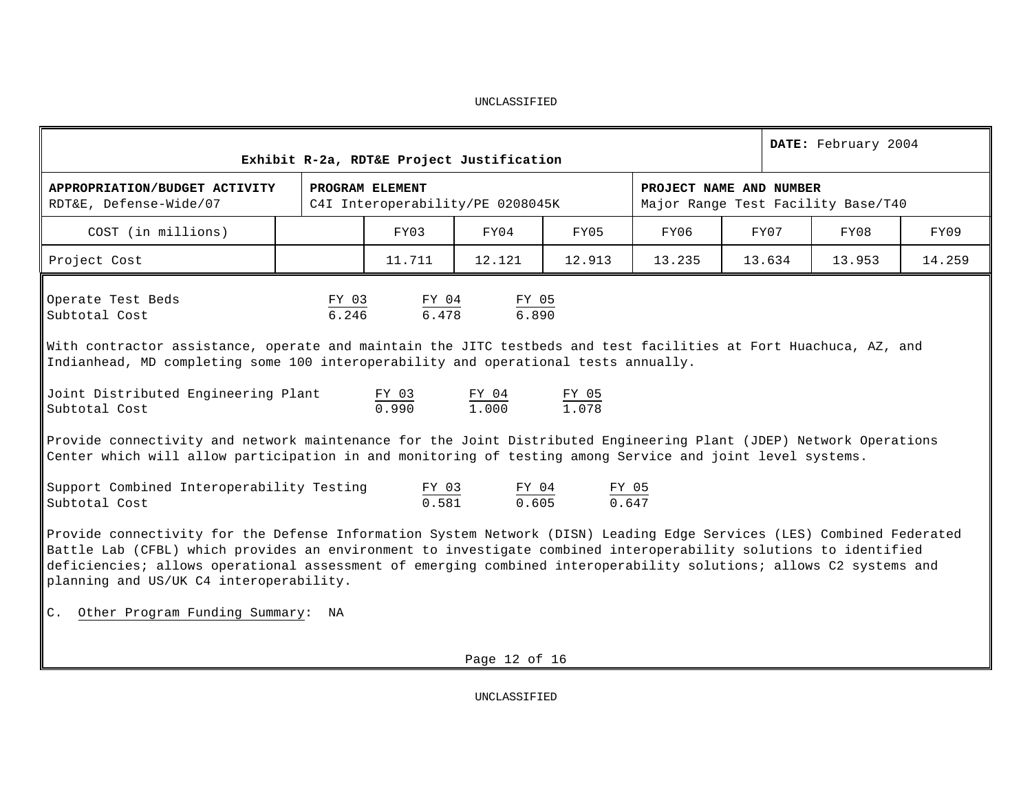| DATE: February 2004<br>Exhibit R-2a, RDT&E Project Justification                                                                                                                                                                                                                                                                                                                                                                                                                                                                                                                                                                                                                                                                |                                                                                                                                                                                                                                                                                   |                                                             |                                                                   |                                                                                      |        |                         |                                    |        |  |  |  |  |  |
|---------------------------------------------------------------------------------------------------------------------------------------------------------------------------------------------------------------------------------------------------------------------------------------------------------------------------------------------------------------------------------------------------------------------------------------------------------------------------------------------------------------------------------------------------------------------------------------------------------------------------------------------------------------------------------------------------------------------------------|-----------------------------------------------------------------------------------------------------------------------------------------------------------------------------------------------------------------------------------------------------------------------------------|-------------------------------------------------------------|-------------------------------------------------------------------|--------------------------------------------------------------------------------------|--------|-------------------------|------------------------------------|--------|--|--|--|--|--|
| APPROPRIATION/BUDGET ACTIVITY<br>RDT&E, Defense-Wide/07                                                                                                                                                                                                                                                                                                                                                                                                                                                                                                                                                                                                                                                                         |                                                                                                                                                                                                                                                                                   | PROGRAM ELEMENT<br>C4I Interoperability/PE 0208045K         |                                                                   |                                                                                      |        | PROJECT NAME AND NUMBER | Major Range Test Facility Base/T40 |        |  |  |  |  |  |
| COST (in millions)                                                                                                                                                                                                                                                                                                                                                                                                                                                                                                                                                                                                                                                                                                              |                                                                                                                                                                                                                                                                                   | FY03                                                        | FY04                                                              | FY05                                                                                 | FY06   | FY07                    | FY08                               | FY09   |  |  |  |  |  |
| Project Cost                                                                                                                                                                                                                                                                                                                                                                                                                                                                                                                                                                                                                                                                                                                    |                                                                                                                                                                                                                                                                                   | 11.711                                                      | 12.121                                                            | 12.913                                                                               | 13.235 | 13.634                  | 13.953                             | 14.259 |  |  |  |  |  |
| Operate Test Beds<br>Subtotal Cost<br>With contractor assistance, operate and maintain the JITC testbeds and test facilities at Fort Huachuca, AZ, and<br>Indianhead, MD completing some 100 interoperability and operational tests annually.<br>Joint Distributed Engineering Plant<br>Subtotal Cost<br>Provide connectivity and network maintenance for the Joint Distributed Engineering Plant (JDEP) Network Operations<br>Center which will allow participation in and monitoring of testing among Service and joint level systems.<br>Support Combined Interoperability Testing<br>Subtotal Cost<br>Provide connectivity for the Defense Information System Network (DISN) Leading Edge Services (LES) Combined Federated |                                                                                                                                                                                                                                                                                   | $\frac{FY \t03}{6.246}$<br>FY 03<br>0.990<br>FY 03<br>0.581 | $\frac{FY \t04}{6.478}$ $\frac{FY \t05}{6.890}$<br>FY 04<br>1,000 | $rac{FY & 05}{1.078}$<br>$\frac{\text{FY} \quad 04}{0.605}$<br>$rac{FY & 05}{0.647}$ |        |                         |                                    |        |  |  |  |  |  |
|                                                                                                                                                                                                                                                                                                                                                                                                                                                                                                                                                                                                                                                                                                                                 | Battle Lab (CFBL) which provides an environment to investigate combined interoperability solutions to identified<br>deficiencies; allows operational assessment of emerging combined interoperability solutions; allows C2 systems and<br>planning and US/UK C4 interoperability. |                                                             |                                                                   |                                                                                      |        |                         |                                    |        |  |  |  |  |  |
| C. Other Program Funding Summary:<br>NA                                                                                                                                                                                                                                                                                                                                                                                                                                                                                                                                                                                                                                                                                         |                                                                                                                                                                                                                                                                                   |                                                             |                                                                   |                                                                                      |        |                         |                                    |        |  |  |  |  |  |

Page 12 of 16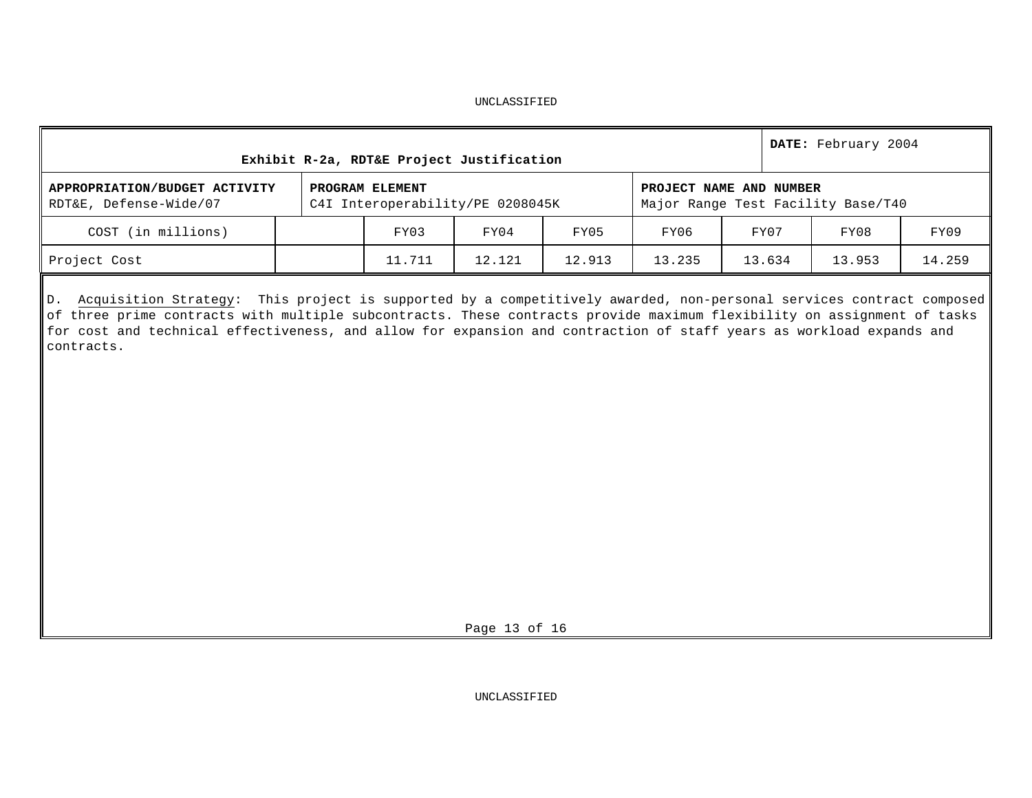| Exhibit R-2a, RDT&E Project Justification               |                                                     | DATE: February 2004 |        |        |                         |                                    |        |  |
|---------------------------------------------------------|-----------------------------------------------------|---------------------|--------|--------|-------------------------|------------------------------------|--------|--|
| APPROPRIATION/BUDGET ACTIVITY<br>RDT&E, Defense-Wide/07 | PROGRAM ELEMENT<br>C4I Interoperability/PE 0208045K |                     |        |        | PROJECT NAME AND NUMBER | Major Range Test Facility Base/T40 |        |  |
| COST (in millions)                                      | FY03                                                | FY04                | FY05   | FY06   | FY07                    | FY08                               | FY09   |  |
| Project Cost                                            | 11.711                                              | 12.121              | 12.913 | 13.235 | 13.634                  | 13.953                             | 14.259 |  |

D. Acquisition Strategy: This project is supported by a competitively awarded, non-personal services contract composed of three prime contracts with multiple subcontracts. These contracts provide maximum flexibility on assignment of tasks for cost and technical effectiveness, and allow for expansion and contraction of staff years as workload expands and contracts.

Page 13 of 16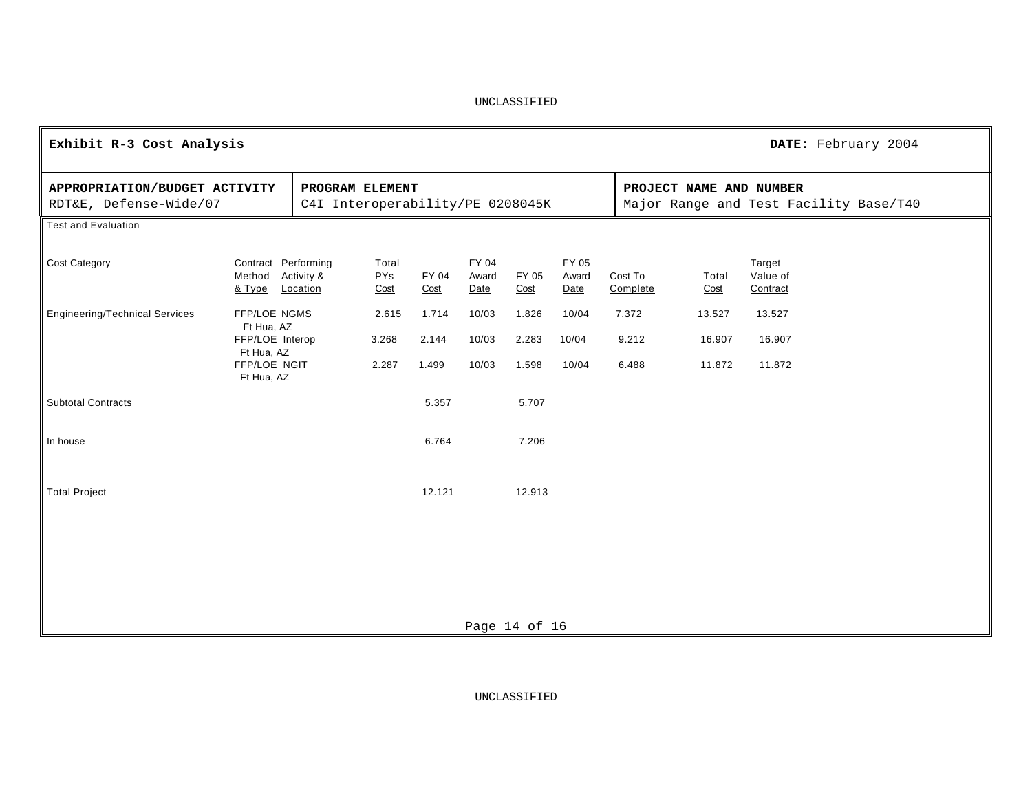| Exhibit R-3 Cost Analysis                               |                                                             |                                                     | DATE: February 2004         |                |                        |                |                        |                     |                         |                                        |  |
|---------------------------------------------------------|-------------------------------------------------------------|-----------------------------------------------------|-----------------------------|----------------|------------------------|----------------|------------------------|---------------------|-------------------------|----------------------------------------|--|
| APPROPRIATION/BUDGET ACTIVITY<br>RDT&E, Defense-Wide/07 |                                                             | PROGRAM ELEMENT<br>C4I Interoperability/PE 0208045K |                             |                |                        |                |                        |                     | PROJECT NAME AND NUMBER | Major Range and Test Facility Base/T40 |  |
| <b>Test and Evaluation</b>                              |                                                             |                                                     |                             |                |                        |                |                        |                     |                         |                                        |  |
| <b>Cost Category</b>                                    | Contract Performing<br>Method Activity &<br>& Type          | Location                                            | Total<br><b>PYs</b><br>Cost | FY 04<br>Cost  | FY 04<br>Award<br>Date | FY 05<br>Cost  | FY 05<br>Award<br>Date | Cost To<br>Complete | Total<br>Cost           | Target<br>Value of<br>Contract         |  |
| <b>Engineering/Technical Services</b>                   | FFP/LOE NGMS<br>Ft Hua, AZ<br>FFP/LOE Interop<br>Ft Hua, AZ |                                                     | 2.615<br>3.268              | 1.714<br>2.144 | 10/03<br>10/03         | 1.826<br>2.283 | 10/04<br>10/04         | 7.372<br>9.212      | 13.527<br>16.907        | 13.527<br>16.907                       |  |
|                                                         | FFP/LOE NGIT<br>Ft Hua, AZ                                  |                                                     | 2.287                       | 1.499          | 10/03                  | 1.598          | 10/04                  | 6.488               | 11.872                  | 11.872                                 |  |
| <b>Subtotal Contracts</b>                               |                                                             |                                                     |                             | 5.357          |                        | 5.707          |                        |                     |                         |                                        |  |
| In house                                                |                                                             |                                                     |                             | 6.764          |                        | 7.206          |                        |                     |                         |                                        |  |
| <b>Total Project</b>                                    |                                                             |                                                     |                             | 12.121         |                        | 12.913         |                        |                     |                         |                                        |  |
|                                                         |                                                             |                                                     |                             |                |                        |                |                        |                     |                         |                                        |  |
|                                                         |                                                             |                                                     |                             |                |                        |                |                        |                     |                         |                                        |  |
|                                                         |                                                             |                                                     |                             |                |                        |                |                        |                     |                         |                                        |  |
|                                                         |                                                             |                                                     |                             |                |                        | Page 14 of 16  |                        |                     |                         |                                        |  |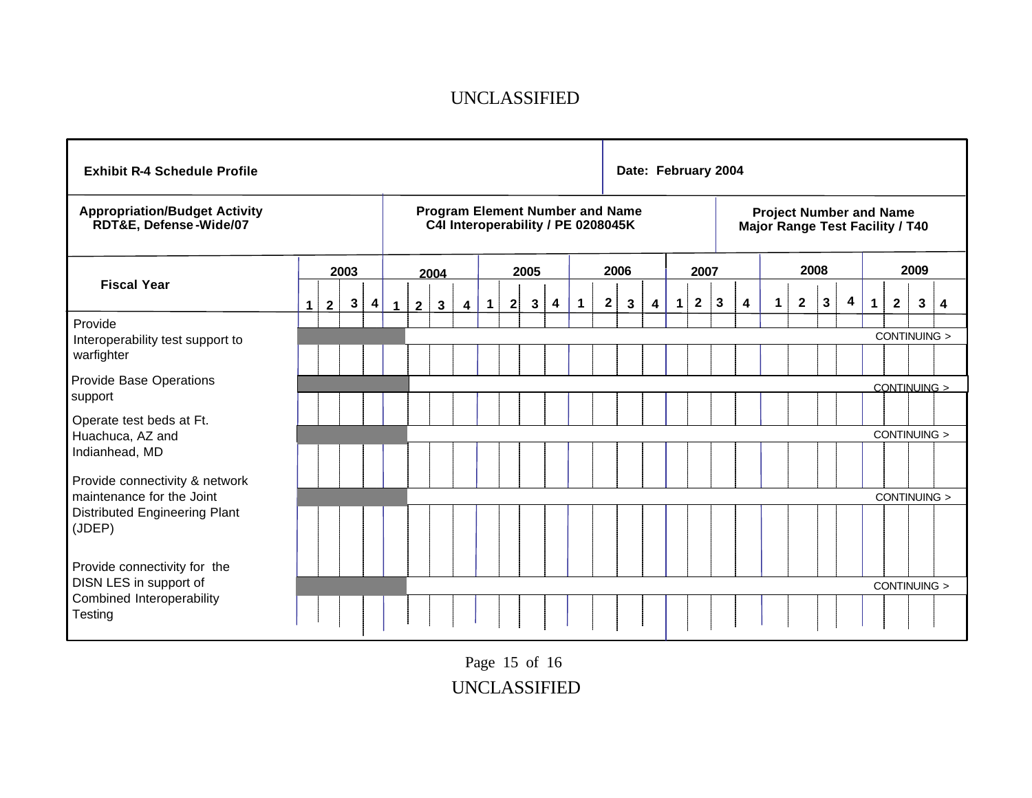| <b>Exhibit R-4 Schedule Profile</b>                                  |             |              |              |   |                      |             |                                                                              |   |              |              |      |   |             |   | Date: February 2004 |   |              |              |                         |   |                                                                          |              |   |   |              |              |   |
|----------------------------------------------------------------------|-------------|--------------|--------------|---|----------------------|-------------|------------------------------------------------------------------------------|---|--------------|--------------|------|---|-------------|---|---------------------|---|--------------|--------------|-------------------------|---|--------------------------------------------------------------------------|--------------|---|---|--------------|--------------|---|
| <b>Appropriation/Budget Activity</b><br>RDT&E, Defense-Wide/07       |             |              |              |   |                      |             | <b>Program Element Number and Name</b><br>C4I Interoperability / PE 0208045K |   |              |              |      |   |             |   |                     |   |              |              |                         |   | <b>Project Number and Name</b><br><b>Major Range Test Facility / T40</b> |              |   |   |              |              |   |
|                                                                      |             |              | 2003         |   |                      |             | 2004                                                                         |   |              |              | 2005 |   |             |   | 2006                |   | 2007         |              |                         |   |                                                                          | 2008         |   |   |              | 2009         |   |
| <b>Fiscal Year</b>                                                   | $\mathbf 1$ | $\mathbf{2}$ | $\mathbf{3}$ | 4 | $\blacktriangleleft$ | $2^{\circ}$ | $\mathbf{3}$                                                                 | 4 | $\mathbf{1}$ | $\mathbf{2}$ | 3    | 4 | $\mathbf 1$ | 2 | 3                   | 4 | $\mathbf{2}$ | $\mathbf{3}$ | $\overline{\mathbf{4}}$ | 1 | $\mathbf{2}$                                                             | $\mathbf{3}$ | 4 | 1 | $\mathbf{2}$ | $\mathbf{3}$ | 4 |
| Provide<br>Interoperability test support to<br>warfighter            |             |              |              |   |                      |             |                                                                              |   |              |              |      |   |             |   |                     |   |              |              |                         |   |                                                                          |              |   |   |              | CONTINUING > |   |
| <b>Provide Base Operations</b><br>support                            |             |              |              |   |                      |             |                                                                              |   |              |              |      |   |             |   |                     |   |              |              |                         |   |                                                                          |              |   |   |              | CONTINUING > |   |
| Operate test beds at Ft.<br>Huachuca, AZ and<br>Indianhead, MD       |             |              |              |   |                      |             |                                                                              |   |              |              |      |   |             |   |                     |   |              |              |                         |   |                                                                          |              |   |   |              | CONTINUING > |   |
| Provide connectivity & network                                       |             |              |              |   |                      |             |                                                                              |   |              |              |      |   |             |   |                     |   |              |              |                         |   |                                                                          |              |   |   |              |              |   |
| maintenance for the Joint<br>Distributed Engineering Plant<br>(JDEP) |             |              |              |   |                      |             |                                                                              |   |              |              |      |   |             |   |                     |   |              |              |                         |   |                                                                          |              |   |   |              | CONTINUING > |   |
| Provide connectivity for the<br>DISN LES in support of               |             |              |              |   |                      |             |                                                                              |   |              |              |      |   |             |   |                     |   |              |              |                         |   |                                                                          |              |   |   |              | CONTINUING > |   |
| Combined Interoperability<br>Testing                                 |             |              |              |   |                      |             |                                                                              |   |              |              |      |   |             |   |                     |   |              |              |                         |   |                                                                          |              |   |   |              |              |   |

UNCLASSIFIED Page 15 of 16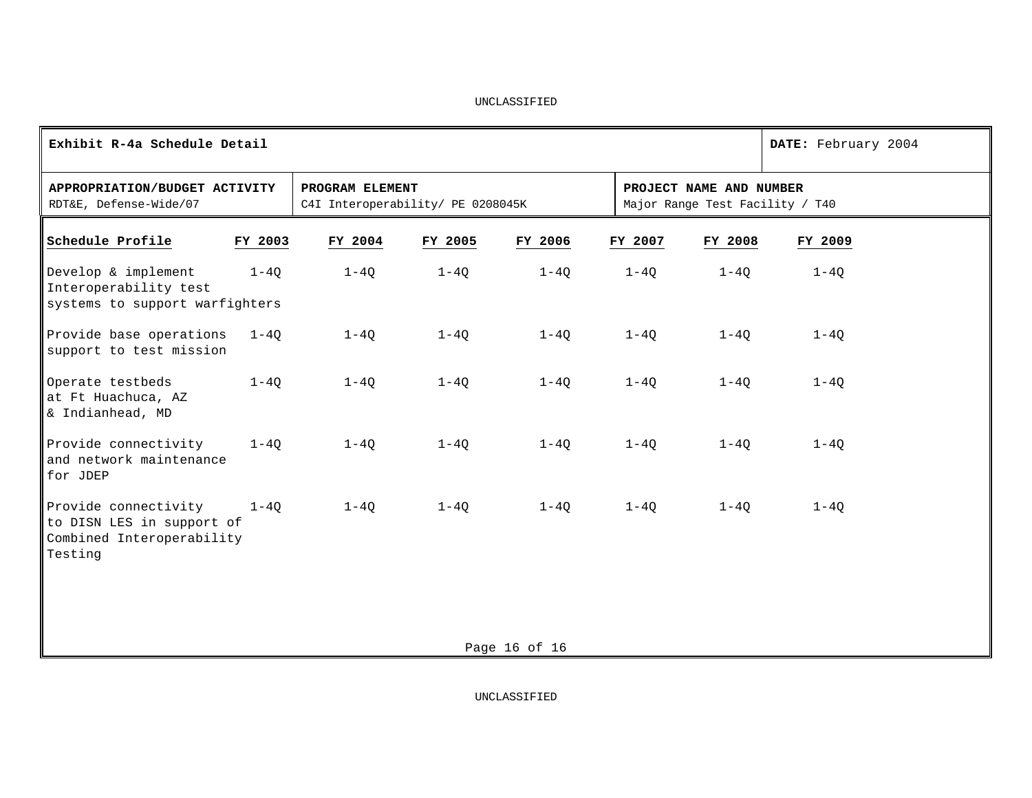| Exhibit R-4a Schedule Detail                                                              |          |                                                      |          |               |          |                                                            | DATE: February 2004 |
|-------------------------------------------------------------------------------------------|----------|------------------------------------------------------|----------|---------------|----------|------------------------------------------------------------|---------------------|
| APPROPRIATION/BUDGET ACTIVITY<br>RDT&E, Defense-Wide/07                                   |          | PROGRAM ELEMENT<br>C4I Interoperability/ PE 0208045K |          |               |          | PROJECT NAME AND NUMBER<br>Major Range Test Facility / T40 |                     |
| Schedule Profile                                                                          | FY 2003  | FY 2004                                              | FY 2005  | FY 2006       | FY 2007  | FY 2008                                                    | FY 2009             |
| Develop & implement<br>Interoperability test<br>systems to support warfighters            | $1 - 40$ | $1 - 40$                                             | $1-4Q$   | $1-4Q$        | $1 - 4Q$ | $1 - 40$                                                   | $1 - 4Q$            |
| Provide base operations<br>support to test mission                                        | $1 - 40$ | $1 - 40$                                             | $1 - 40$ | $1-4Q$        | $1 - 40$ | $1 - 40$                                                   | $1 - 40$            |
| Operate testbeds<br>at Ft Huachuca, AZ<br>& Indianhead, MD                                | $1 - 40$ | $1 - 40$                                             | $1-4Q$   | $1 - 4Q$      | $1-4Q$   | $1-4Q$                                                     | $1-4Q$              |
| Provide connectivity<br>and network maintenance<br>for JDEP                               | $1-4Q$   | $1-4Q$                                               | $1-4Q$   | $1-4Q$        | $1-4Q$   | $1-4Q$                                                     | $1-4Q$              |
| Provide connectivity<br>to DISN LES in support of<br>Combined Interoperability<br>Testing | $1 - 40$ | $1 - 40$                                             | $1 - 40$ | $1-40$        | $1-4Q$   | $1 - 40$                                                   | $1 - 40$            |
|                                                                                           |          |                                                      |          | Page 16 of 16 |          |                                                            |                     |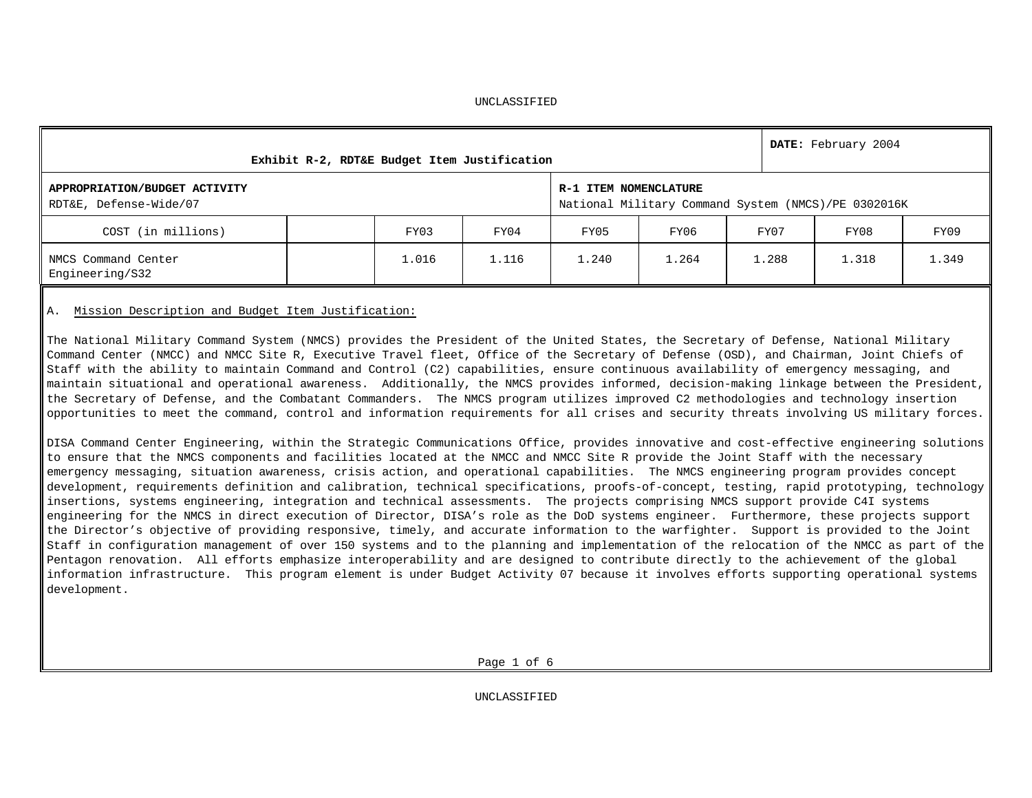|                                                         |       | Exhibit R-2, RDT&E Budget Item Justification |                       |       |       | DATE: February 2004                                 |       |
|---------------------------------------------------------|-------|----------------------------------------------|-----------------------|-------|-------|-----------------------------------------------------|-------|
| APPROPRIATION/BUDGET ACTIVITY<br>RDT&E, Defense-Wide/07 |       |                                              | R-1 ITEM NOMENCLATURE |       |       | National Military Command System (NMCS)/PE 0302016K |       |
| COST (in millions)                                      | FY03  | FY04                                         | FY05                  | FY06  | FY07  | FY08                                                | FY09  |
| NMCS Command Center<br>Engineering/S32                  | 1.016 | 1.116                                        | 1.240                 | 1.264 | 1.288 | 1.318                                               | 1.349 |

# A. Mission Description and Budget Item Justification:

The National Military Command System (NMCS) provides the President of the United States, the Secretary of Defense, National Military Command Center (NMCC) and NMCC Site R, Executive Travel fleet, Office of the Secretary of Defense (OSD), and Chairman, Joint Chiefs of Staff with the ability to maintain Command and Control (C2) capabilities, ensure continuous availability of emergency messaging, and maintain situational and operational awareness. Additionally, the NMCS provides informed, decision-making linkage between the President, the Secretary of Defense, and the Combatant Commanders. The NMCS program utilizes improved C2 methodologies and technology insertion opportunities to meet the command, control and information requirements for all crises and security threats involving US military forces.

DISA Command Center Engineering, within the Strategic Communications Office, provides innovative and cost-effective engineering solutions to ensure that the NMCS components and facilities located at the NMCC and NMCC Site R provide the Joint Staff with the necessary emergency messaging, situation awareness, crisis action, and operational capabilities. The NMCS engineering program provides concept development, requirements definition and calibration, technical specifications, proofs-of-concept, testing, rapid prototyping, technology insertions, systems engineering, integration and technical assessments. The projects comprising NMCS support provide C4I systems engineering for the NMCS in direct execution of Director, DISA's role as the DoD systems engineer. Furthermore, these projects support the Director's objective of providing responsive, timely, and accurate information to the warfighter. Support is provided to the Joint Staff in configuration management of over 150 systems and to the planning and implementation of the relocation of the NMCC as part of the Pentagon renovation. All efforts emphasize interoperability and are designed to contribute directly to the achievement of the global information infrastructure. This program element is under Budget Activity 07 because it involves efforts supporting operational systems development.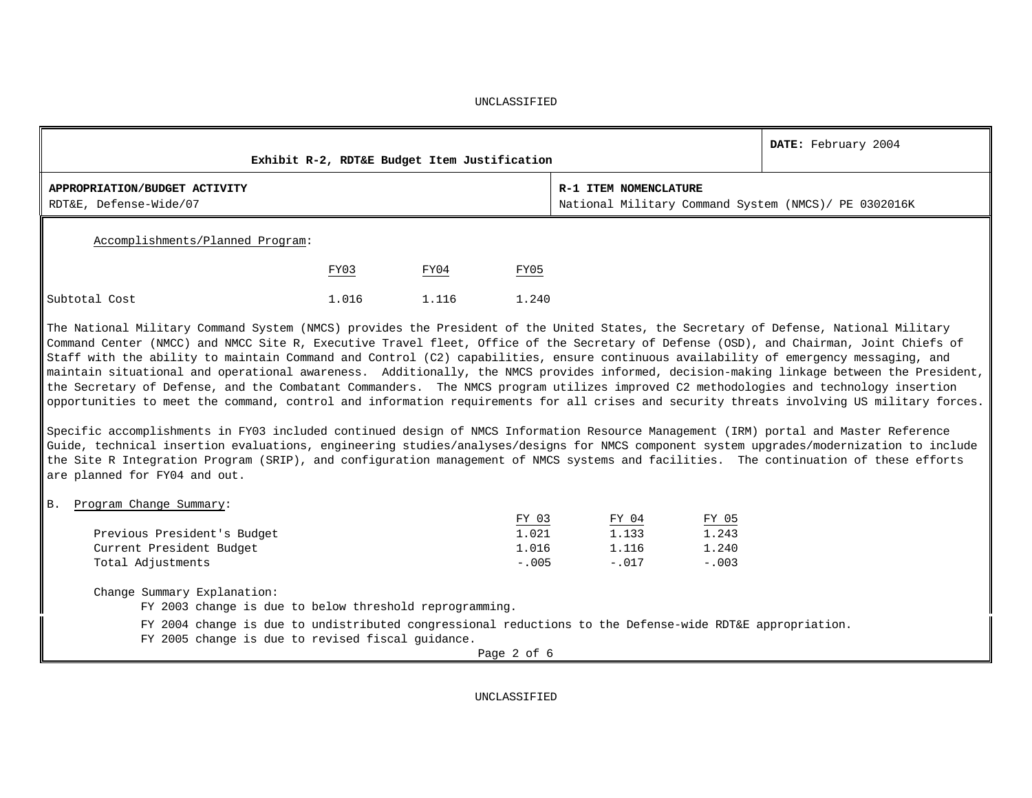|                                                         |       | Exhibit R-2, RDT&E Budget Item Justification |       |                                                                               | DATE: February 2004 |
|---------------------------------------------------------|-------|----------------------------------------------|-------|-------------------------------------------------------------------------------|---------------------|
| APPROPRIATION/BUDGET ACTIVITY<br>RDT&E, Defense-Wide/07 |       |                                              |       | R-1 ITEM NOMENCLATURE<br>National Military Command System (NMCS)/ PE 0302016K |                     |
| Accomplishments/Planned Program:                        |       |                                              |       |                                                                               |                     |
|                                                         | FY03  | FY04                                         | FY05  |                                                                               |                     |
| Subtotal Cost                                           | 1.016 | 1.116                                        | 1.240 |                                                                               |                     |

The National Military Command System (NMCS) provides the President of the United States, the Secretary of Defense, National Military Command Center (NMCC) and NMCC Site R, Executive Travel fleet, Office of the Secretary of Defense (OSD), and Chairman, Joint Chiefs of Staff with the ability to maintain Command and Control (C2) capabilities, ensure continuous availability of emergency messaging, and maintain situational and operational awareness. Additionally, the NMCS provides informed, decision-making linkage between the President, the Secretary of Defense, and the Combatant Commanders. The NMCS program utilizes improved C2 methodologies and technology insertion opportunities to meet the command, control and information requirements for all crises and security threats involving US military forces.

Specific accomplishments in FY03 included continued design of NMCS Information Resource Management (IRM) portal and Master Reference Guide, technical insertion evaluations, engineering studies/analyses/designs for NMCS component system upgrades/modernization to include the Site R Integration Program (SRIP), and configuration management of NMCS systems and facilities. The continuation of these efforts are planned for FY04 and out.

B. Program Change Summary:

|                             | FY 03   | FY 04   | FY 05    |
|-----------------------------|---------|---------|----------|
| Previous President's Budget | 1.021   | 1.133   | 1.243    |
| Current President Budget    | 1.016   | 1.116   | 1.240    |
| Total Adjustments           | $-.005$ | $-.017$ | $-0.003$ |

Change Summary Explanation:

FY 2003 change is due to below threshold reprogramming.

FY 2004 change is due to undistributed congressional reductions to the Defense-wide RDT&E appropriation.

FY 2005 change is due to revised fiscal guidance.

Page 2 of 6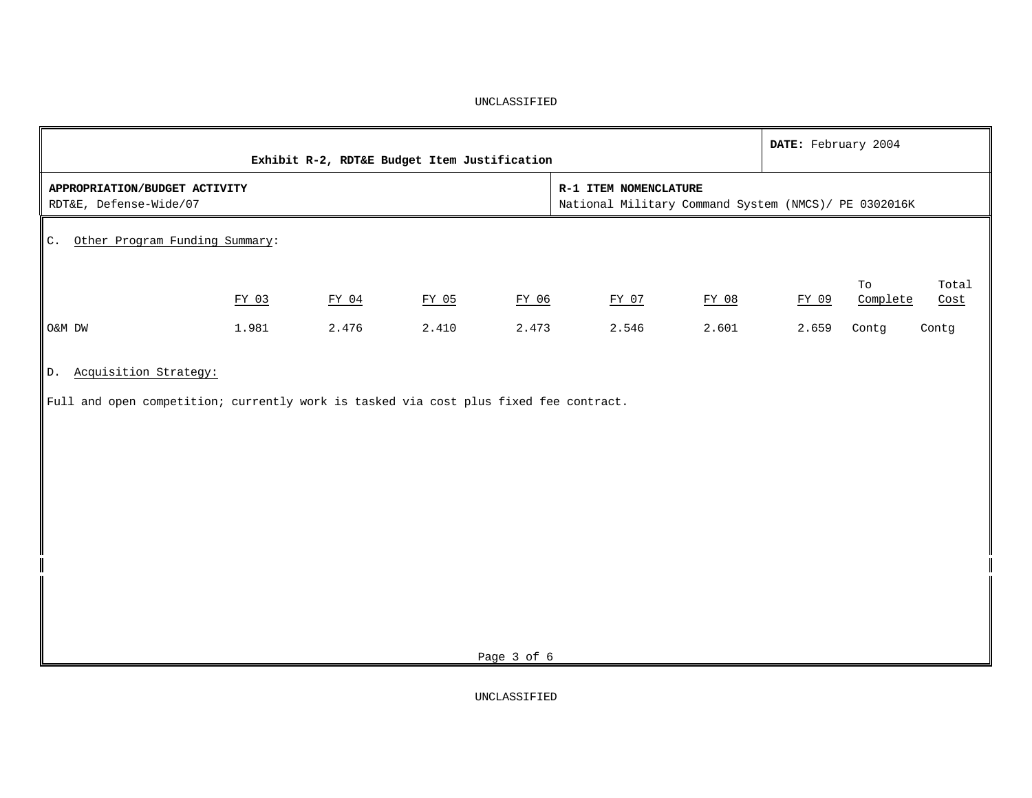|                                                                                                                      |       | Exhibit R-2, RDT&E Budget Item Justification |                                                                                |             |                | DATE: February 2004 |                         |               |
|----------------------------------------------------------------------------------------------------------------------|-------|----------------------------------------------|--------------------------------------------------------------------------------|-------------|----------------|---------------------|-------------------------|---------------|
| APPROPRIATION/BUDGET ACTIVITY<br>RDT&E, Defense-Wide/07                                                              |       |                                              | R-1 ITEM NOMENCLATURE<br>National Military Command System (NMCS) / PE 0302016K |             |                |                     |                         |               |
| Other Program Funding Summary:<br>$\mathbb{C}$ .                                                                     |       |                                              |                                                                                |             |                |                     |                         |               |
|                                                                                                                      | FY 03 | FY 04                                        | FY 05                                                                          | FY 06       | FY 07<br>FY 08 | FY 09               | $_{\rm TO}$<br>Complete | Total<br>Cost |
| O&M DW                                                                                                               | 1.981 | 2.476                                        | 2.410                                                                          | 2.473       | 2.546<br>2.601 | 2.659               | Contg<br>Contg          |               |
| Acquisition Strategy:<br>D.<br>Full and open competition; currently work is tasked via cost plus fixed fee contract. |       |                                              |                                                                                |             |                |                     |                         |               |
|                                                                                                                      |       |                                              |                                                                                | Page 3 of 6 |                |                     |                         |               |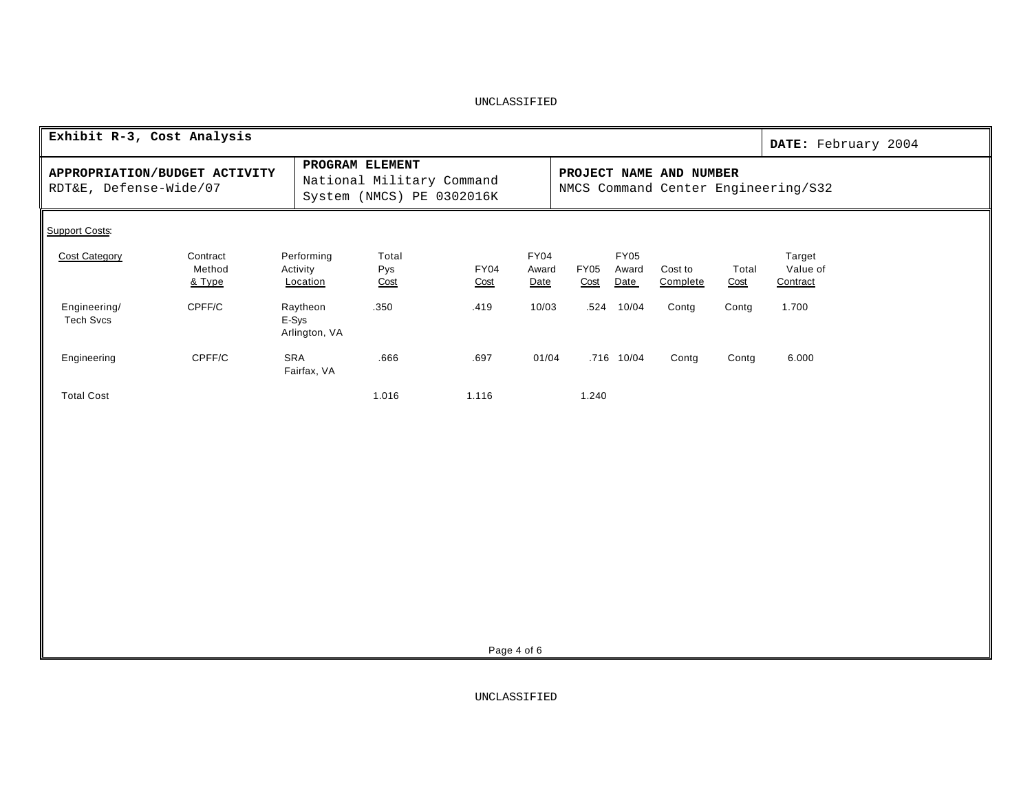| Exhibit R-3, Cost Analysis                                                                                                                                                                             |                              |                                    |                      |                     |                              |                     |                              |                     |               | DATE: February 2004            |
|--------------------------------------------------------------------------------------------------------------------------------------------------------------------------------------------------------|------------------------------|------------------------------------|----------------------|---------------------|------------------------------|---------------------|------------------------------|---------------------|---------------|--------------------------------|
| PROGRAM ELEMENT<br>APPROPRIATION/BUDGET ACTIVITY<br>PROJECT NAME AND NUMBER<br>National Military Command<br>RDT&E, Defense-Wide/07<br>NMCS Command Center Engineering/S32<br>System (NMCS) PE 0302016K |                              |                                    |                      |                     |                              |                     |                              |                     |               |                                |
| <b>Support Costs:</b>                                                                                                                                                                                  |                              |                                    |                      |                     |                              |                     |                              |                     |               |                                |
| <b>Cost Category</b>                                                                                                                                                                                   | Contract<br>Method<br>& Type | Performing<br>Activity<br>Location | Total<br>Pys<br>Cost | <b>FY04</b><br>Cost | <b>FY04</b><br>Award<br>Date | <b>FY05</b><br>Cost | <b>FY05</b><br>Award<br>Date | Cost to<br>Complete | Total<br>Cost | Target<br>Value of<br>Contract |
| Engineering/<br><b>Tech Svcs</b>                                                                                                                                                                       | $C$ PFF/ $C$                 | Raytheon<br>E-Sys<br>Arlington, VA | .350                 | .419                | 10/03                        |                     | .524 10/04                   | Contg               | Contg         | 1.700                          |
| Engineering                                                                                                                                                                                            | CPFF/C                       | SRA<br>Fairfax, VA                 | .666                 | .697                | 01/04                        |                     | .716 10/04                   | Contg               | Contg         | 6.000                          |
| <b>Total Cost</b>                                                                                                                                                                                      |                              |                                    | 1.016                | 1.116               |                              | 1.240               |                              |                     |               |                                |
|                                                                                                                                                                                                        |                              |                                    |                      |                     |                              |                     |                              |                     |               |                                |
|                                                                                                                                                                                                        |                              |                                    |                      |                     |                              |                     |                              |                     |               |                                |
|                                                                                                                                                                                                        |                              |                                    |                      |                     |                              |                     |                              |                     |               |                                |
|                                                                                                                                                                                                        |                              |                                    |                      |                     |                              |                     |                              |                     |               |                                |
|                                                                                                                                                                                                        |                              |                                    |                      |                     |                              |                     |                              |                     |               |                                |
|                                                                                                                                                                                                        |                              |                                    |                      |                     |                              |                     |                              |                     |               |                                |
|                                                                                                                                                                                                        |                              |                                    |                      |                     |                              |                     |                              |                     |               |                                |

Page 4 of 6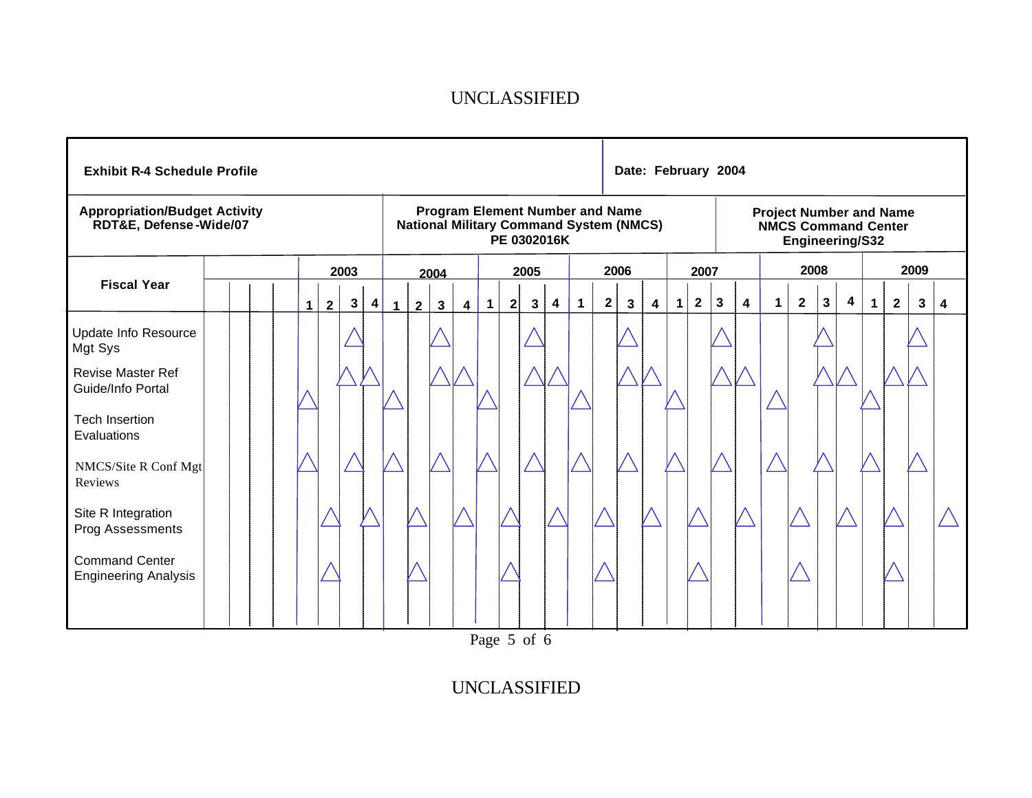| <b>Exhibit R-4 Schedule Profile</b>                            |  |             |                |      |   |             |                                                                                                         |              |                         |              |              |              |   |              |             | Date: February 2004 |                                                                                 |             |              |              |                         |             |              |              |   |             |                |   |                         |
|----------------------------------------------------------------|--|-------------|----------------|------|---|-------------|---------------------------------------------------------------------------------------------------------|--------------|-------------------------|--------------|--------------|--------------|---|--------------|-------------|---------------------|---------------------------------------------------------------------------------|-------------|--------------|--------------|-------------------------|-------------|--------------|--------------|---|-------------|----------------|---|-------------------------|
| <b>Appropriation/Budget Activity</b><br>RDT&E, Defense-Wide/07 |  |             |                |      |   |             | <b>Program Element Number and Name</b><br><b>National Military Command System (NMCS)</b><br>PE 0302016K |              |                         |              |              |              |   |              |             |                     | <b>Project Number and Name</b><br><b>NMCS Command Center</b><br>Engineering/S32 |             |              |              |                         |             |              |              |   |             |                |   |                         |
|                                                                |  |             |                | 2003 |   |             |                                                                                                         | 2004         |                         |              |              | 2005         |   |              |             | 2006                |                                                                                 |             | 2007         |              |                         | 2008        |              |              |   | 2009        |                |   |                         |
| <b>Fiscal Year</b>                                             |  | $\mathbf 1$ | $\overline{2}$ | 3    | 4 | $\mathbf 1$ | $\mathbf{2}$                                                                                            | $\mathbf{3}$ | $\overline{\mathbf{4}}$ | $\mathbf{1}$ | $\mathbf{2}$ | $\mathbf{3}$ | 4 | $\mathbf{1}$ | $\mathbf 2$ | 3                   | $\overline{\mathbf{4}}$                                                         | $\mathbf 1$ | $\mathbf{2}$ | $\mathbf{3}$ | $\overline{\mathbf{4}}$ | $\mathbf 1$ | $\mathbf{2}$ | $\mathbf{3}$ | 4 | $\mathbf 1$ | $\overline{2}$ | 3 | $\overline{\mathbf{4}}$ |
| Update Info Resource<br>Mgt Sys                                |  |             |                |      |   |             |                                                                                                         |              |                         |              |              |              |   |              |             |                     |                                                                                 |             |              |              |                         |             |              |              |   |             |                |   |                         |
| <b>Revise Master Ref</b><br>Guide/Info Portal                  |  |             |                |      |   |             |                                                                                                         |              |                         |              |              |              |   |              |             |                     |                                                                                 |             |              |              |                         |             |              |              |   |             |                |   |                         |
| <b>Tech Insertion</b><br>Evaluations                           |  |             |                |      |   |             |                                                                                                         |              |                         |              |              |              |   |              |             |                     |                                                                                 |             |              |              |                         |             |              |              |   |             |                |   |                         |
| NMCS/Site R Conf Mgt<br>Reviews                                |  |             |                |      |   |             |                                                                                                         |              |                         |              |              |              |   |              |             |                     |                                                                                 |             |              |              |                         |             |              |              |   |             |                |   |                         |
| Site R Integration<br>Prog Assessments                         |  |             |                |      |   |             |                                                                                                         |              |                         |              |              |              |   |              |             |                     |                                                                                 |             |              |              |                         |             |              |              |   |             |                |   |                         |
| <b>Command Center</b><br><b>Engineering Analysis</b>           |  |             |                |      |   |             |                                                                                                         |              |                         |              |              |              |   |              |             |                     |                                                                                 |             |              |              |                         |             |              |              |   |             |                |   |                         |
|                                                                |  |             |                |      |   |             |                                                                                                         |              |                         |              |              |              |   |              |             |                     |                                                                                 |             |              |              |                         |             |              |              |   |             |                |   |                         |

Page 5 of 6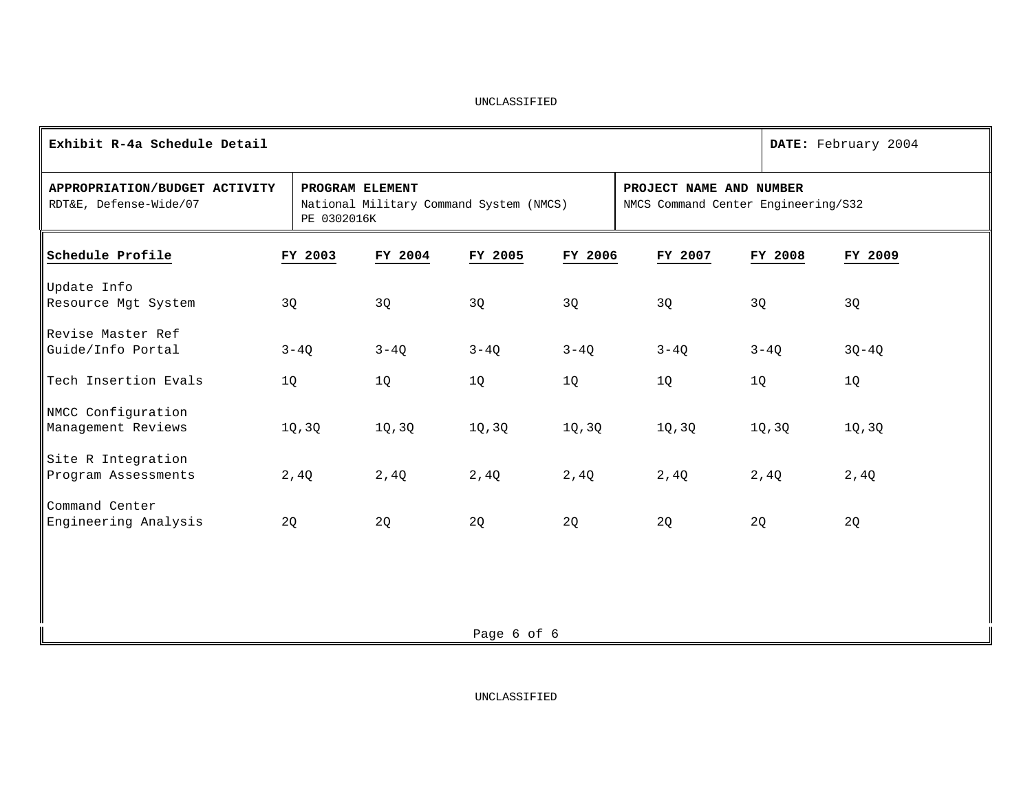| Exhibit R-4a Schedule Detail                            | DATE: February 2004            |                                         |             |         |                                                                |          |         |
|---------------------------------------------------------|--------------------------------|-----------------------------------------|-------------|---------|----------------------------------------------------------------|----------|---------|
| APPROPRIATION/BUDGET ACTIVITY<br>RDT&E, Defense-Wide/07 | PROGRAM ELEMENT<br>PE 0302016K | National Military Command System (NMCS) |             |         | PROJECT NAME AND NUMBER<br>NMCS Command Center Engineering/S32 |          |         |
| Schedule Profile                                        | FY 2003                        | FY 2004                                 | FY 2005     | FY 2006 | FY 2007                                                        | FY 2008  | FY 2009 |
| Update Info<br>Resource Mgt System                      | 3Q                             | 3Q                                      | 3Q          | 3Q      | 3Q                                                             | 3Q       | 3Q      |
| Revise Master Ref<br>Guide/Info Portal                  | $3 - 4Q$                       | $3-4Q$                                  | $3 - 4Q$    | $3-4Q$  | $3 - 4Q$                                                       | $3 - 4Q$ | $3Q-4Q$ |
| Tech Insertion Evals                                    | 1Q                             | 1Q                                      | 1Q          | 1Q      | 1Q                                                             | 1Q       | 1Q      |
| NMCC Configuration<br>Management Reviews                | 1Q, 3Q                         | 1Q, 3Q                                  | 1Q, 3Q      | 1Q, 3Q  | 1Q, 3Q                                                         | 1Q, 3Q   | 1Q, 3Q  |
| Site R Integration<br>Program Assessments               | 2,4Q                           | 2,4Q                                    | 2,4Q        | 2,4Q    | 2,4Q                                                           | 2,4Q     | 2,4Q    |
| Command Center<br>Engineering Analysis                  | 2Q                             | 2Q                                      | 2Q          | 2Q      | 2Q                                                             | 2Q       | 2Q      |
|                                                         |                                |                                         |             |         |                                                                |          |         |
|                                                         |                                |                                         |             |         |                                                                |          |         |
|                                                         |                                |                                         | Page 6 of 6 |         |                                                                |          |         |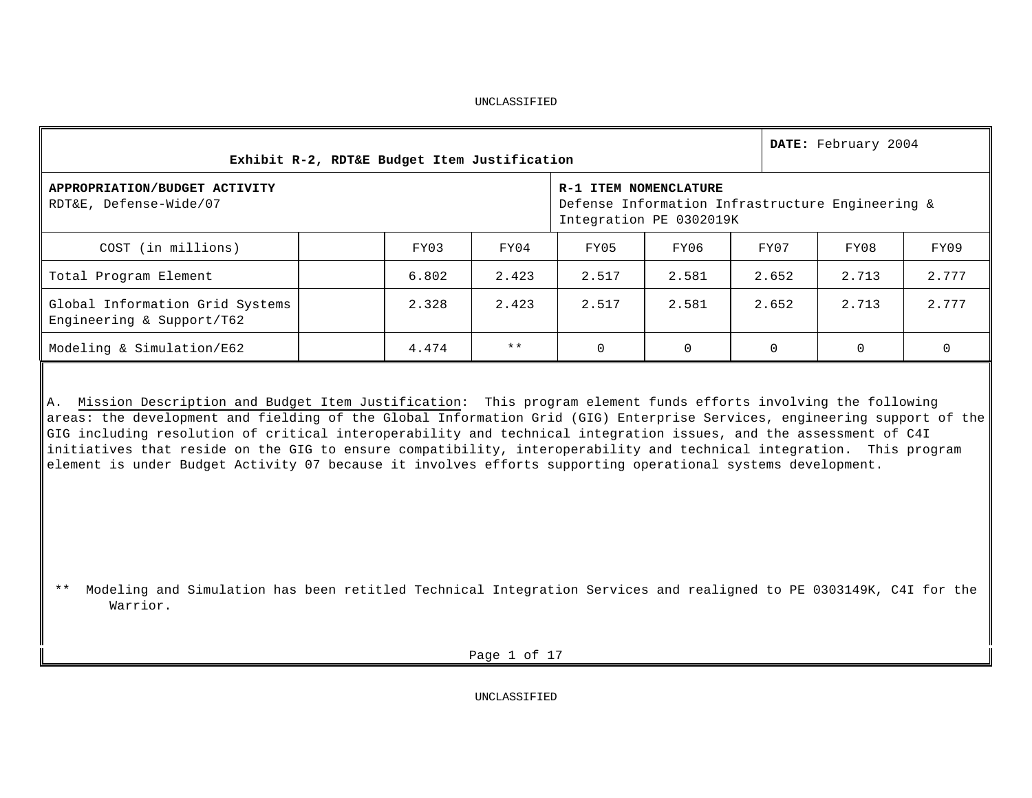| Exhibit R-2, RDT&E Budget Item Justification                 |  | DATE: February 2004                                                                                  |       |       |       |          |       |       |  |  |
|--------------------------------------------------------------|--|------------------------------------------------------------------------------------------------------|-------|-------|-------|----------|-------|-------|--|--|
| APPROPRIATION/BUDGET ACTIVITY<br>RDT&E, Defense-Wide/07      |  | R-1 ITEM NOMENCLATURE<br>Defense Information Infrastructure Engineering &<br>Integration PE 0302019K |       |       |       |          |       |       |  |  |
| COST (in millions)                                           |  | FY03                                                                                                 | FY04  | FY05  | FY06  | FY07     | FY08  | FY09  |  |  |
| Total Program Element                                        |  | 6.802                                                                                                | 2.423 | 2.517 | 2.581 | 2.652    | 2.713 | 2.777 |  |  |
| Global Information Grid Systems<br>Engineering & Support/T62 |  | 2.328                                                                                                | 2.423 | 2.517 | 2.581 | 2.652    | 2.713 | 2.777 |  |  |
| Modeling & Simulation/E62                                    |  | 4.474                                                                                                | $***$ |       |       | $\Omega$ | 0     | 0     |  |  |

A. Mission Description and Budget Item Justification: This program element funds efforts involving the following areas: the development and fielding of the Global Information Grid (GIG) Enterprise Services, engineering support of the GIG including resolution of critical interoperability and technical integration issues, and the assessment of C4I initiatives that reside on the GIG to ensure compatibility, interoperability and technical integration. This program element is under Budget Activity 07 because it involves efforts supporting operational systems development.

 \*\* Modeling and Simulation has been retitled Technical Integration Services and realigned to PE 0303149K, C4I for the Warrior.

Page 1 of 17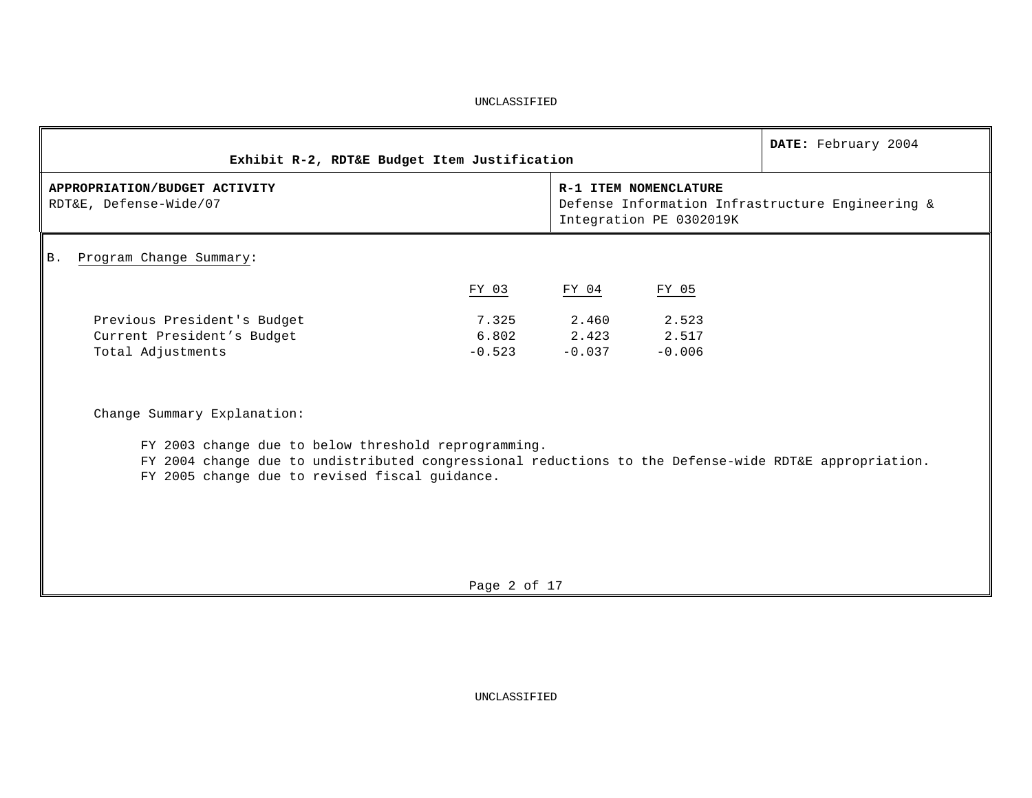|                                                                                                       |                                                                                                      |          |          | DATE: February 2004 |  |  |  |
|-------------------------------------------------------------------------------------------------------|------------------------------------------------------------------------------------------------------|----------|----------|---------------------|--|--|--|
| Exhibit R-2, RDT&E Budget Item Justification                                                          |                                                                                                      |          |          |                     |  |  |  |
| APPROPRIATION/BUDGET ACTIVITY<br>RDT&E, Defense-Wide/07                                               | R-1 ITEM NOMENCLATURE<br>Defense Information Infrastructure Engineering &<br>Integration PE 0302019K |          |          |                     |  |  |  |
| Program Change Summary:<br>B.                                                                         |                                                                                                      |          |          |                     |  |  |  |
|                                                                                                       | FY 03                                                                                                | FY 04    | FY 05    |                     |  |  |  |
| Previous President's Budget                                                                           | 7.325                                                                                                | 2.460    | 2.523    |                     |  |  |  |
| Current President's Budget                                                                            | 6.802                                                                                                | 2.423    | 2.517    |                     |  |  |  |
| Total Adjustments                                                                                     | $-0.523$                                                                                             | $-0.037$ | $-0.006$ |                     |  |  |  |
| Change Summary Explanation:                                                                           |                                                                                                      |          |          |                     |  |  |  |
| FY 2003 change due to below threshold reprogramming.                                                  |                                                                                                      |          |          |                     |  |  |  |
| FY 2004 change due to undistributed congressional reductions to the Defense-wide RDT&E appropriation. |                                                                                                      |          |          |                     |  |  |  |
| FY 2005 change due to revised fiscal guidance.                                                        |                                                                                                      |          |          |                     |  |  |  |
|                                                                                                       |                                                                                                      |          |          |                     |  |  |  |
|                                                                                                       |                                                                                                      |          |          |                     |  |  |  |
|                                                                                                       |                                                                                                      |          |          |                     |  |  |  |
|                                                                                                       |                                                                                                      |          |          |                     |  |  |  |

Page 2 of 17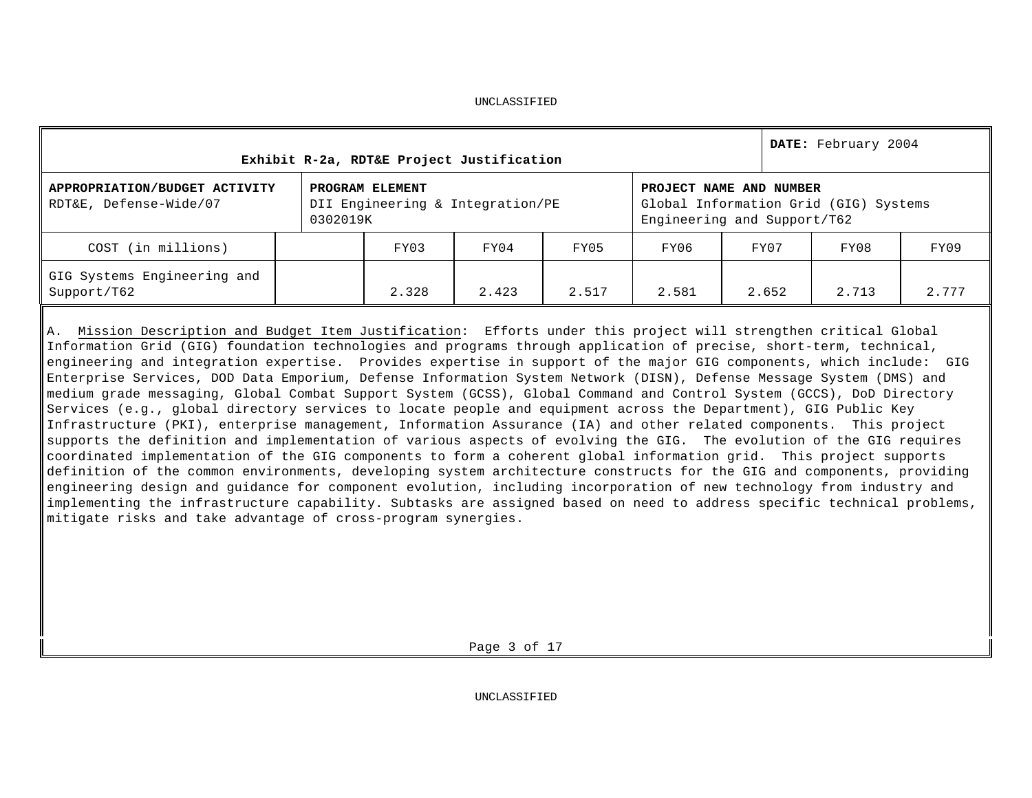| Exhibit R-2a, RDT&E Project Justification               |          | DATE: February 2004                                 |       |       |       |                                                        |                                       |       |
|---------------------------------------------------------|----------|-----------------------------------------------------|-------|-------|-------|--------------------------------------------------------|---------------------------------------|-------|
| APPROPRIATION/BUDGET ACTIVITY<br>RDT&E, Defense-Wide/07 | 0302019K | PROGRAM ELEMENT<br>DII Engineering & Integration/PE |       |       |       | PROJECT NAME AND NUMBER<br>Engineering and Support/T62 | Global Information Grid (GIG) Systems |       |
| COST (in millions)                                      |          | FY03                                                | FY04  | FY05  | FY06  | FY07                                                   | FY08                                  | FY09  |
| GIG Systems Engineering and<br>Support/T62              |          | 2.328                                               | 2.423 | 2.517 | 2.581 | 2.652                                                  | 2.713                                 | 2.777 |

A. Mission Description and Budget Item Justification: Efforts under this project will strengthen critical Global Information Grid (GIG) foundation technologies and programs through application of precise, short-term, technical, engineering and integration expertise. Provides expertise in support of the major GIG components, which include: GIG Enterprise Services, DOD Data Emporium, Defense Information System Network (DISN), Defense Message System (DMS) and medium grade messaging, Global Combat Support System (GCSS), Global Command and Control System (GCCS), DoD Directory Services (e.g., global directory services to locate people and equipment across the Department), GIG Public Key Infrastructure (PKI), enterprise management, Information Assurance (IA) and other related components. This project supports the definition and implementation of various aspects of evolving the GIG. The evolution of the GIG requires coordinated implementation of the GIG components to form a coherent global information grid. This project supports definition of the common environments, developing system architecture constructs for the GIG and components, providing engineering design and guidance for component evolution, including incorporation of new technology from industry and implementing the infrastructure capability. Subtasks are assigned based on need to address specific technical problems, mitigate risks and take advantage of cross-program synergies.

Page 3 of 17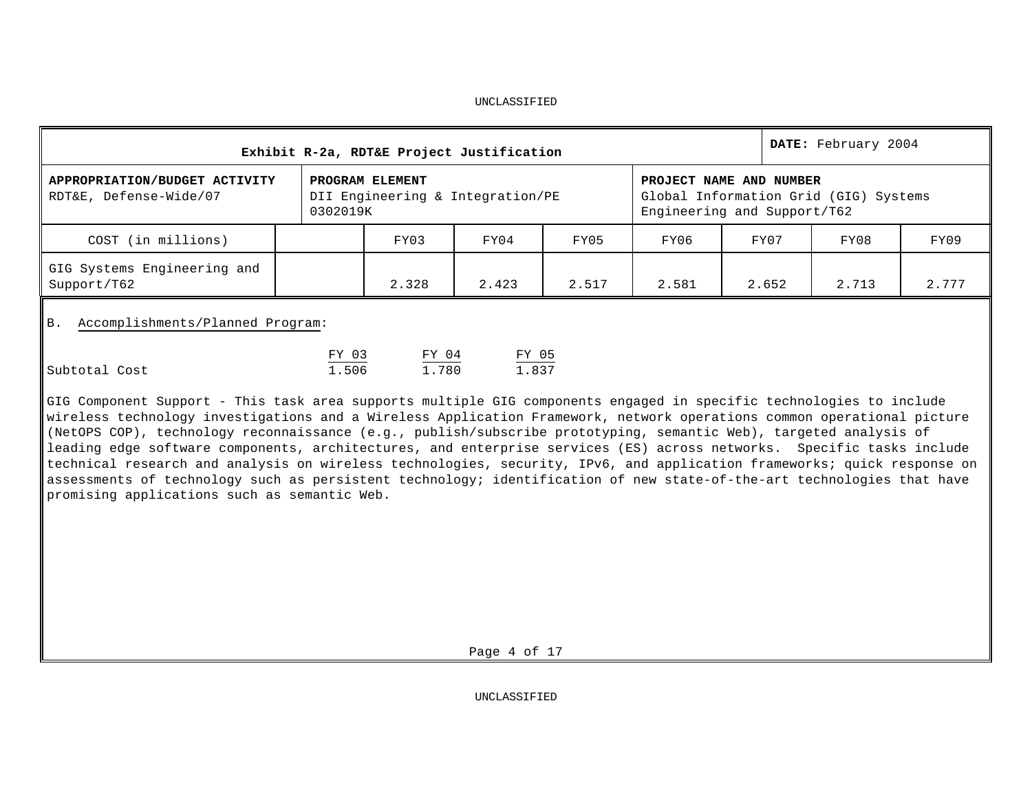| DATE: February 2004<br>Exhibit R-2a, RDT&E Project Justification |                |                                                                                                 |                |       |       |       |       |       |  |  |
|------------------------------------------------------------------|----------------|-------------------------------------------------------------------------------------------------|----------------|-------|-------|-------|-------|-------|--|--|
| APPROPRIATION/BUDGET ACTIVITY<br>RDT&E, Defense-Wide/07          |                | PROJECT NAME AND NUMBER<br>Global Information Grid (GIG) Systems<br>Engineering and Support/T62 |                |       |       |       |       |       |  |  |
| COST (in millions)                                               |                | FY03                                                                                            | FY04           | FY05  | FY06  | FY07  | FY08  | FY09  |  |  |
| GIG Systems Engineering and<br>Support/T62                       |                | 2.328                                                                                           | 2.423          | 2.517 | 2.581 | 2.652 | 2.713 | 2.777 |  |  |
| Accomplishments/Planned Program:<br><b>B.</b>                    |                |                                                                                                 |                |       |       |       |       |       |  |  |
| Subtotal Cost                                                    | FY 03<br>1.506 | FY 04<br>1.780                                                                                  | FY 05<br>1.837 |       |       |       |       |       |  |  |

GIG Component Support - This task area supports multiple GIG components engaged in specific technologies to include wireless technology investigations and a Wireless Application Framework, network operations common operational picture (NetOPS COP), technology reconnaissance (e.g., publish/subscribe prototyping, semantic Web), targeted analysis of leading edge software components, architectures, and enterprise services (ES) across networks. Specific tasks include technical research and analysis on wireless technologies, security, IPv6, and application frameworks; quick response on assessments of technology such as persistent technology; identification of new state-of-the-art technologies that have promising applications such as semantic Web.

Page 4 of 17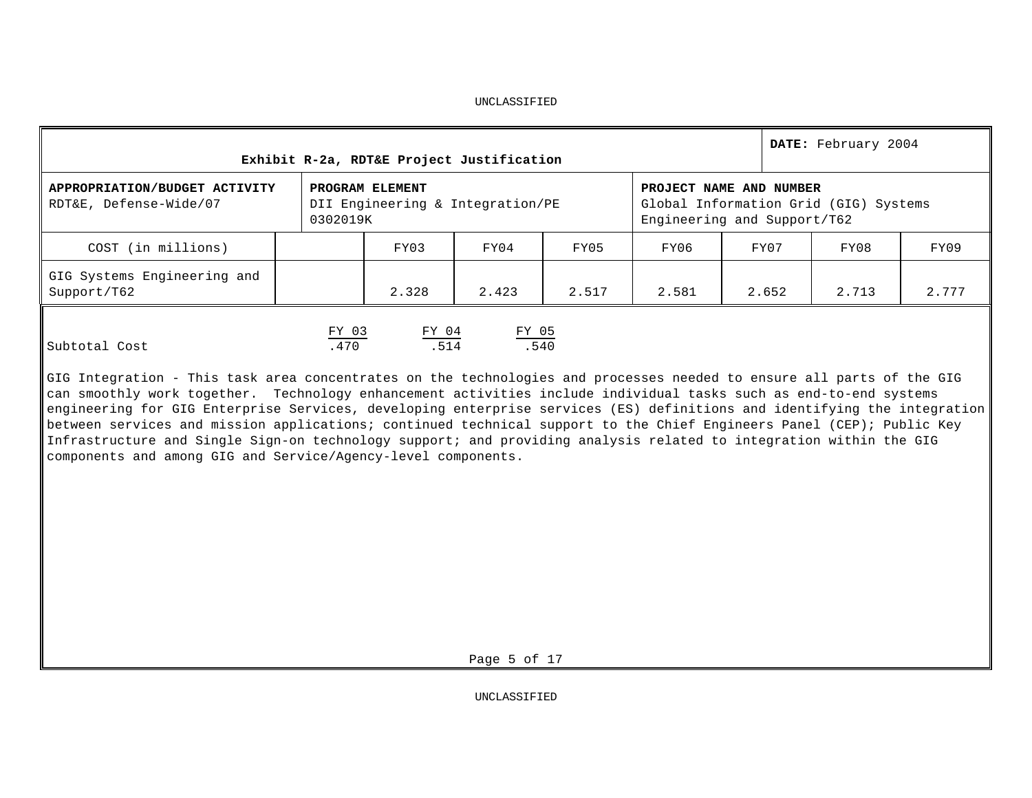| Exhibit R-2a, RDT&E Project Justification               |                                                                                                                                                                    | DATE: February 2004 |               |       |       |       |       |       |  |
|---------------------------------------------------------|--------------------------------------------------------------------------------------------------------------------------------------------------------------------|---------------------|---------------|-------|-------|-------|-------|-------|--|
| APPROPRIATION/BUDGET ACTIVITY<br>RDT&E, Defense-Wide/07 | PROGRAM ELEMENT<br>PROJECT NAME AND NUMBER<br>DII Engineering & Integration/PE<br>Global Information Grid (GIG) Systems<br>0302019K<br>Engineering and Support/T62 |                     |               |       |       |       |       |       |  |
| COST (in millions)                                      |                                                                                                                                                                    | FY03                | FY04          | FY05  | FY06  | FY07  | FY08  | FY09  |  |
| GIG Systems Engineering and<br>Support/T62              |                                                                                                                                                                    | 2.328               | 2.423         | 2.517 | 2.581 | 2.652 | 2.713 | 2.777 |  |
| Subtotal Cost                                           | FY 03<br>.470                                                                                                                                                      | FY 04<br>.514       | FY 05<br>.540 |       |       |       |       |       |  |

GIG Integration - This task area concentrates on the technologies and processes needed to ensure all parts of the GIG can smoothly work together. Technology enhancement activities include individual tasks such as end-to-end systems engineering for GIG Enterprise Services, developing enterprise services (ES) definitions and identifying the integration between services and mission applications; continued technical support to the Chief Engineers Panel (CEP); Public Key Infrastructure and Single Sign-on technology support; and providing analysis related to integration within the GIG components and among GIG and Service/Agency-level components.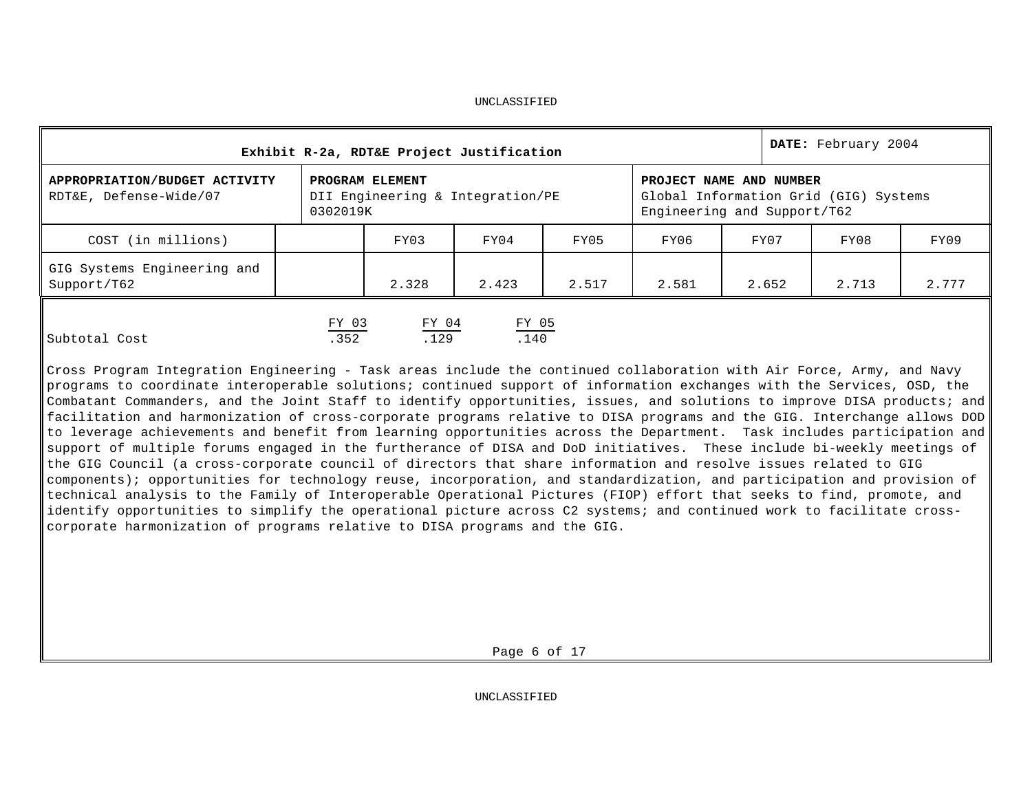| Exhibit R-2a, RDT&E Project Justification               |               | DATE: February 2004                                 |                                                                                                 |       |       |       |       |       |
|---------------------------------------------------------|---------------|-----------------------------------------------------|-------------------------------------------------------------------------------------------------|-------|-------|-------|-------|-------|
| APPROPRIATION/BUDGET ACTIVITY<br>RDT&E, Defense-Wide/07 | 0302019K      | PROGRAM ELEMENT<br>DII Engineering & Integration/PE | PROJECT NAME AND NUMBER<br>Global Information Grid (GIG) Systems<br>Engineering and Support/T62 |       |       |       |       |       |
| COST (in millions)                                      |               | FY03                                                | FY04                                                                                            | FY05  | FY06  | FY07  | FY08  | FY09  |
| GIG Systems Engineering and<br>Support/T62              |               | 2.328                                               | 2.423                                                                                           | 2.517 | 2.581 | 2.652 | 2.713 | 2.777 |
| Subtotal Cost                                           | FY 03<br>.352 | FY 04<br>.129                                       | FY 05<br>.140                                                                                   |       |       |       |       |       |

Cross Program Integration Engineering - Task areas include the continued collaboration with Air Force, Army, and Navy programs to coordinate interoperable solutions; continued support of information exchanges with the Services, OSD, the Combatant Commanders, and the Joint Staff to identify opportunities, issues, and solutions to improve DISA products; and facilitation and harmonization of cross-corporate programs relative to DISA programs and the GIG. Interchange allows DOD to leverage achievements and benefit from learning opportunities across the Department. Task includes participation and support of multiple forums engaged in the furtherance of DISA and DoD initiatives. These include bi-weekly meetings of the GIG Council (a cross-corporate council of directors that share information and resolve issues related to GIG components); opportunities for technology reuse, incorporation, and standardization, and participation and provision of technical analysis to the Family of Interoperable Operational Pictures (FIOP) effort that seeks to find, promote, and identify opportunities to simplify the operational picture across C2 systems; and continued work to facilitate crosscorporate harmonization of programs relative to DISA programs and the GIG.

Page 6 of 17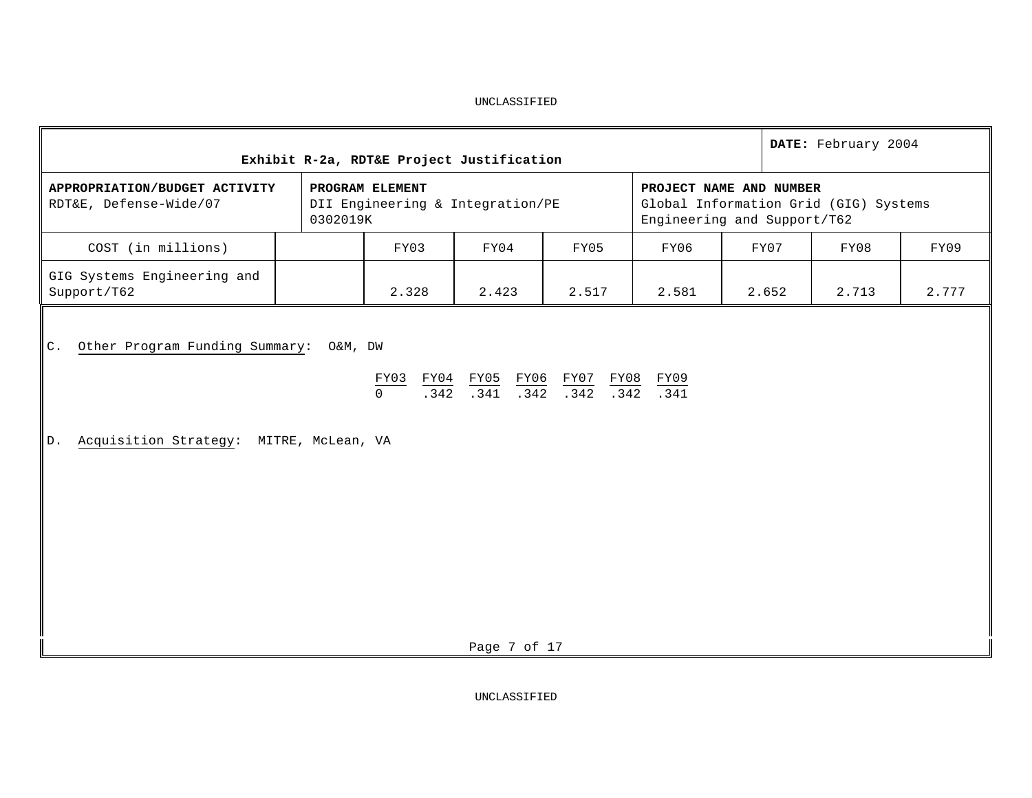| DATE: February 2004<br>Exhibit R-2a, RDT&E Project Justification                               |                                                                                                 |       |                                                                                                                                                                                                                                                 |       |       |       |  |  |  |  |
|------------------------------------------------------------------------------------------------|-------------------------------------------------------------------------------------------------|-------|-------------------------------------------------------------------------------------------------------------------------------------------------------------------------------------------------------------------------------------------------|-------|-------|-------|--|--|--|--|
| APPROPRIATION/BUDGET ACTIVITY<br>RDT&E, Defense-Wide/07                                        | PROJECT NAME AND NUMBER<br>Global Information Grid (GIG) Systems<br>Engineering and Support/T62 |       |                                                                                                                                                                                                                                                 |       |       |       |  |  |  |  |
| COST (in millions)                                                                             |                                                                                                 | FY03  | FY04                                                                                                                                                                                                                                            | FY07  | FY08  | FY09  |  |  |  |  |
| GIG Systems Engineering and<br>Support/T62                                                     |                                                                                                 | 2.328 | 2.423                                                                                                                                                                                                                                           | 2.652 | 2.713 | 2.777 |  |  |  |  |
| Other Program Funding Summary: O&M, DW<br>C.<br>Acquisition Strategy: MITRE, McLean, VA<br> D. |                                                                                                 |       | $\begin{tabular}{lllllllll} \hline \texttt{FY03} & \texttt{FY04} & \texttt{FY05} & \texttt{FY06} & \texttt{FY07} & \texttt{FY08} & \texttt{FY09} \\ \hline 0 & .342 & .341 & .342 & .342 & .342 & .341 \\ \hline \end{tabular}$<br>Page 7 of 17 |       |       |       |  |  |  |  |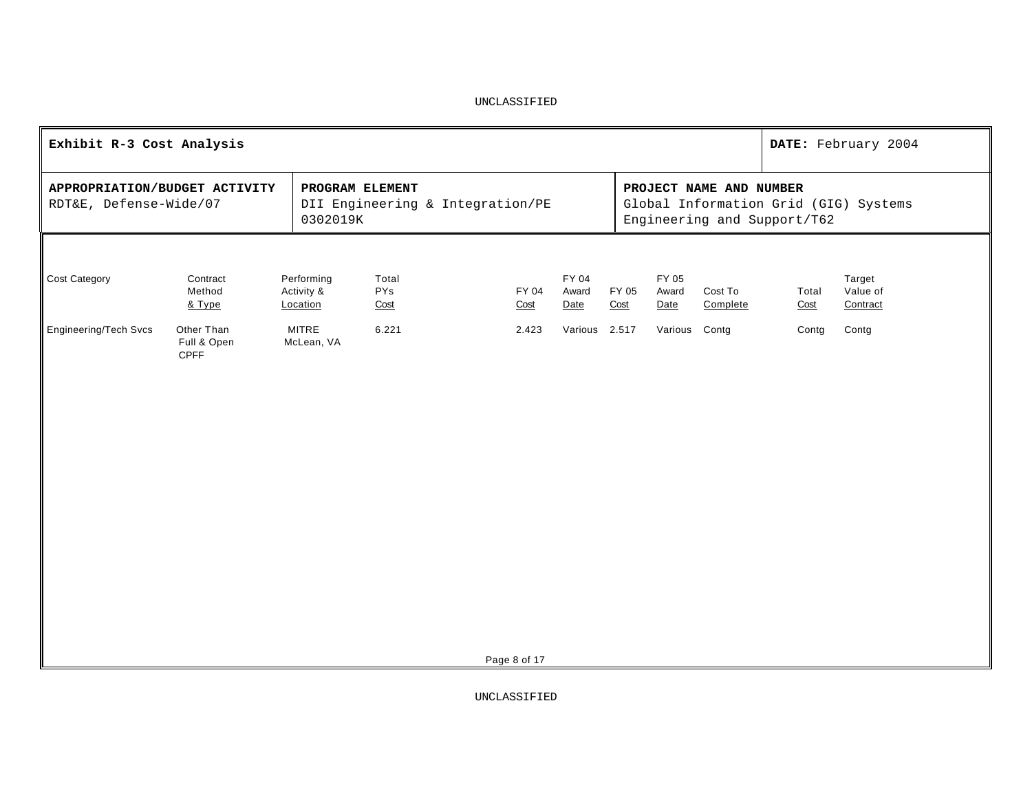| Exhibit R-3 Cost Analysis                                                                                                                                                                                                     |                                   |                                      |                      | DATE: February 2004 |                        |               |                        |                     |               |                                |
|-------------------------------------------------------------------------------------------------------------------------------------------------------------------------------------------------------------------------------|-----------------------------------|--------------------------------------|----------------------|---------------------|------------------------|---------------|------------------------|---------------------|---------------|--------------------------------|
| PROJECT NAME AND NUMBER<br>APPROPRIATION/BUDGET ACTIVITY<br>PROGRAM ELEMENT<br>RDT&E, Defense-Wide/07<br>DII Engineering & Integration/PE<br>Global Information Grid (GIG) Systems<br>Engineering and Support/T62<br>0302019K |                                   |                                      |                      |                     |                        |               |                        |                     |               |                                |
| <b>Cost Category</b>                                                                                                                                                                                                          | Contract<br>Method<br>& Type      | Performing<br>Activity &<br>Location | Total<br>PYs<br>Cost | FY 04<br>Cost       | FY 04<br>Award<br>Date | FY 05<br>Cost | FY 05<br>Award<br>Date | Cost To<br>Complete | Total<br>Cost | Target<br>Value of<br>Contract |
| <b>Engineering/Tech Svcs</b>                                                                                                                                                                                                  | Other Than<br>Full & Open<br>CPFF | <b>MITRE</b><br>McLean, VA           | 6.221                | 2.423               | Various 2.517          |               | Various Contg          |                     | Contg         | Contg                          |
|                                                                                                                                                                                                                               |                                   |                                      |                      | Page 8 of 17        |                        |               |                        |                     |               |                                |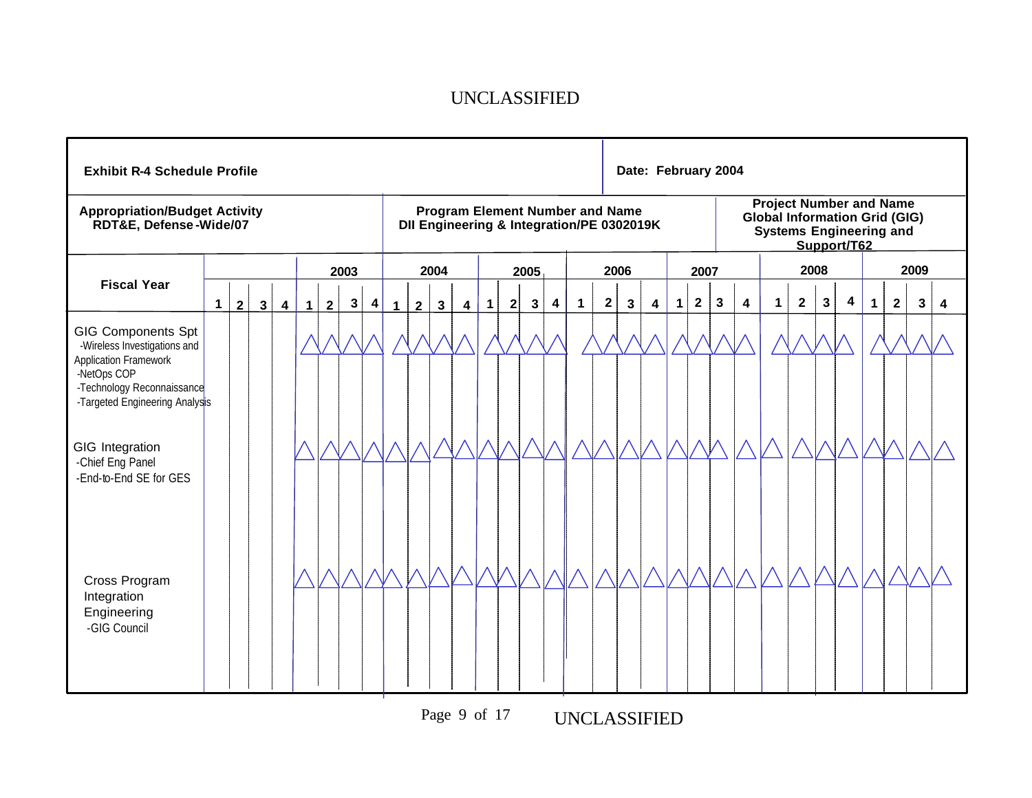| <b>Exhibit R-4 Schedule Profile</b>                                                                  |             |                |              |                         |   |                |              |   |              |             |              |                         |              |   |              |   |             |              |                                                                                     | Date: February 2004 |             |                |                                                                                                                         |                         |             |                |              |   |              |             |      |   |
|------------------------------------------------------------------------------------------------------|-------------|----------------|--------------|-------------------------|---|----------------|--------------|---|--------------|-------------|--------------|-------------------------|--------------|---|--------------|---|-------------|--------------|-------------------------------------------------------------------------------------|---------------------|-------------|----------------|-------------------------------------------------------------------------------------------------------------------------|-------------------------|-------------|----------------|--------------|---|--------------|-------------|------|---|
| <b>Appropriation/Budget Activity</b><br>RDT&E, Defense-Wide/07                                       |             |                |              |                         |   |                |              |   |              |             |              |                         |              |   |              |   |             |              | <b>Program Element Number and Name</b><br>DII Engineering & Integration/PE 0302019K |                     |             |                | <b>Project Number and Name</b><br><b>Global Information Grid (GIG)</b><br><b>Systems Engineering and</b><br>Support/T62 |                         |             |                |              |   |              |             |      |   |
|                                                                                                      |             |                |              |                         |   |                | 2003         |   |              |             | 2004         |                         |              |   | 2005         |   |             |              | 2006                                                                                |                     |             | 2007           |                                                                                                                         |                         |             | 2008           |              |   |              |             | 2009 |   |
| <b>Fiscal Year</b>                                                                                   | $\mathbf 1$ | $\overline{2}$ | $\mathbf{3}$ | $\overline{\mathbf{4}}$ | 1 | $\overline{2}$ | $\mathbf{3}$ | 4 | $\mathbf{1}$ | $2^{\circ}$ | $\mathbf{3}$ | $\overline{\mathbf{4}}$ | $\mathbf{1}$ | 2 | $\mathbf{3}$ | 4 | $\mathbf 1$ | $\mathbf{2}$ | $\mathbf{3}$                                                                        | 4                   | $\mathbf 1$ | $\overline{2}$ | $\mathbf{3}$                                                                                                            | $\overline{\mathbf{4}}$ | $\mathbf 1$ | $\overline{2}$ | $\mathbf{3}$ | 4 | $\mathbf{1}$ | $\mathbf 2$ | 3    | 4 |
| <b>GIG Components Spt</b><br>-Wireless Investigations and                                            |             |                |              |                         |   |                |              |   |              |             |              |                         |              |   |              |   |             |              |                                                                                     |                     |             |                |                                                                                                                         |                         |             |                |              |   |              |             |      |   |
| Application Framework<br>-NetOps COP<br>-Technology Reconnaissance<br>-Targeted Engineering Analysis |             |                |              |                         |   |                |              |   |              |             |              |                         |              |   |              |   |             |              |                                                                                     |                     |             |                |                                                                                                                         |                         |             |                |              |   |              |             |      |   |
| GIG Integration                                                                                      |             |                |              |                         |   |                |              |   |              |             |              |                         |              |   |              |   |             |              |                                                                                     |                     |             |                |                                                                                                                         |                         |             |                |              |   |              |             |      |   |
| -Chief Eng Panel<br>-End-to-End SE for GES                                                           |             |                |              |                         |   |                |              |   |              |             |              |                         |              |   |              |   |             |              |                                                                                     |                     |             |                |                                                                                                                         |                         |             |                |              |   |              |             |      |   |
| Cross Program                                                                                        |             |                |              |                         |   |                |              |   |              |             |              |                         |              |   |              |   |             |              |                                                                                     |                     |             |                |                                                                                                                         |                         |             |                |              |   |              |             |      |   |
| Integration<br>Engineering<br>-GIG Council                                                           |             |                |              |                         |   |                |              |   |              |             |              |                         |              |   |              |   |             |              |                                                                                     |                     |             |                |                                                                                                                         |                         |             |                |              |   |              |             |      |   |

Page 9 of 17 UNCLASSIFIED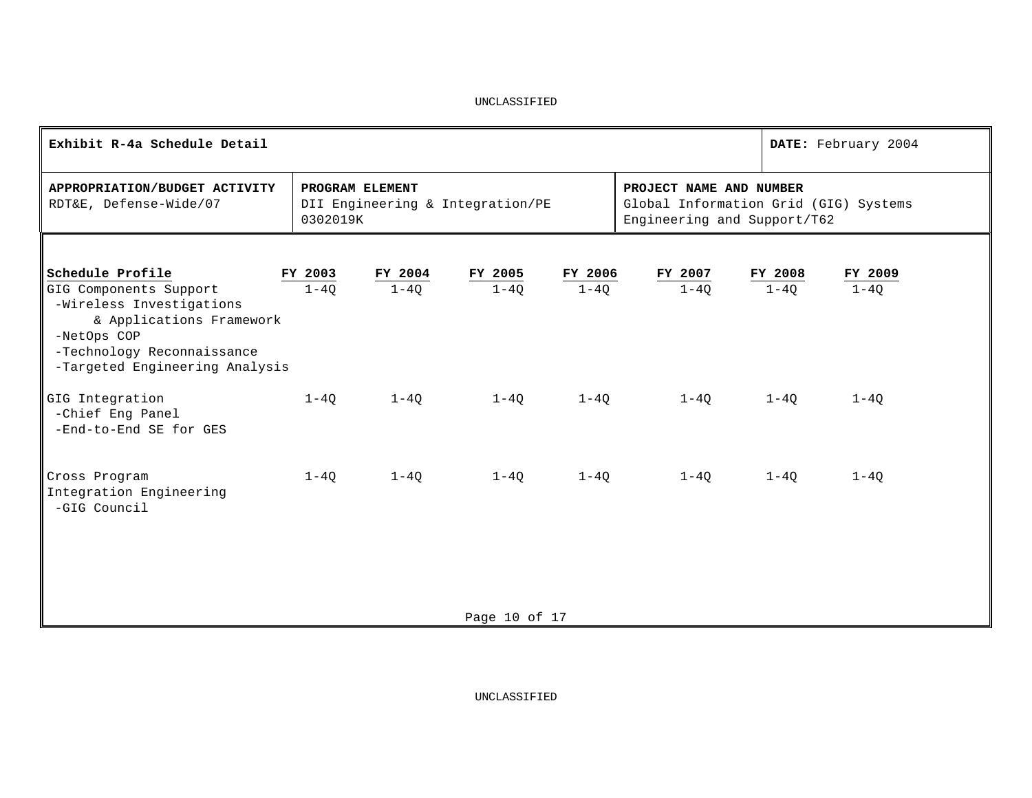| Exhibit R-4a Schedule Detail                                                                                                                                  |                             |          |                                  |                                                        |                                       |          | DATE: February 2004 |  |
|---------------------------------------------------------------------------------------------------------------------------------------------------------------|-----------------------------|----------|----------------------------------|--------------------------------------------------------|---------------------------------------|----------|---------------------|--|
| APPROPRIATION/BUDGET ACTIVITY<br>RDT&E, Defense-Wide/07                                                                                                       | PROGRAM ELEMENT<br>0302019K |          | DII Engineering & Integration/PE | PROJECT NAME AND NUMBER<br>Engineering and Support/T62 | Global Information Grid (GIG) Systems |          |                     |  |
| Schedule Profile                                                                                                                                              | FY 2003                     | FY 2004  | FY 2005                          | FY 2006                                                | FY 2007                               | FY 2008  | FY 2009             |  |
| GIG Components Support<br>-Wireless Investigations<br>& Applications Framework<br>-NetOps COP<br>-Technology Reconnaissance<br>-Targeted Engineering Analysis | $1-4Q$                      | $1-4Q$   | $1 - 4Q$                         | $1-4Q$                                                 | $1 - 40$                              | $1-4Q$   | $1 - 4Q$            |  |
| GIG Integration<br>-Chief Eng Panel<br>-End-to-End SE for GES                                                                                                 | $1 - 40$                    | $1 - 40$ | 1-40                             | $1-40$                                                 | $1 - 40$                              | $1 - 40$ | $1 - 40$            |  |
| Cross Program<br>Integration Engineering<br>-GIG Council                                                                                                      | $1 - 40$                    | $1 - 40$ | $1 - 40$                         | $1 - 40$                                               | $1 - 40$                              | $1 - 40$ | $1 - 40$            |  |
|                                                                                                                                                               |                             |          | Page 10 of 17                    |                                                        |                                       |          |                     |  |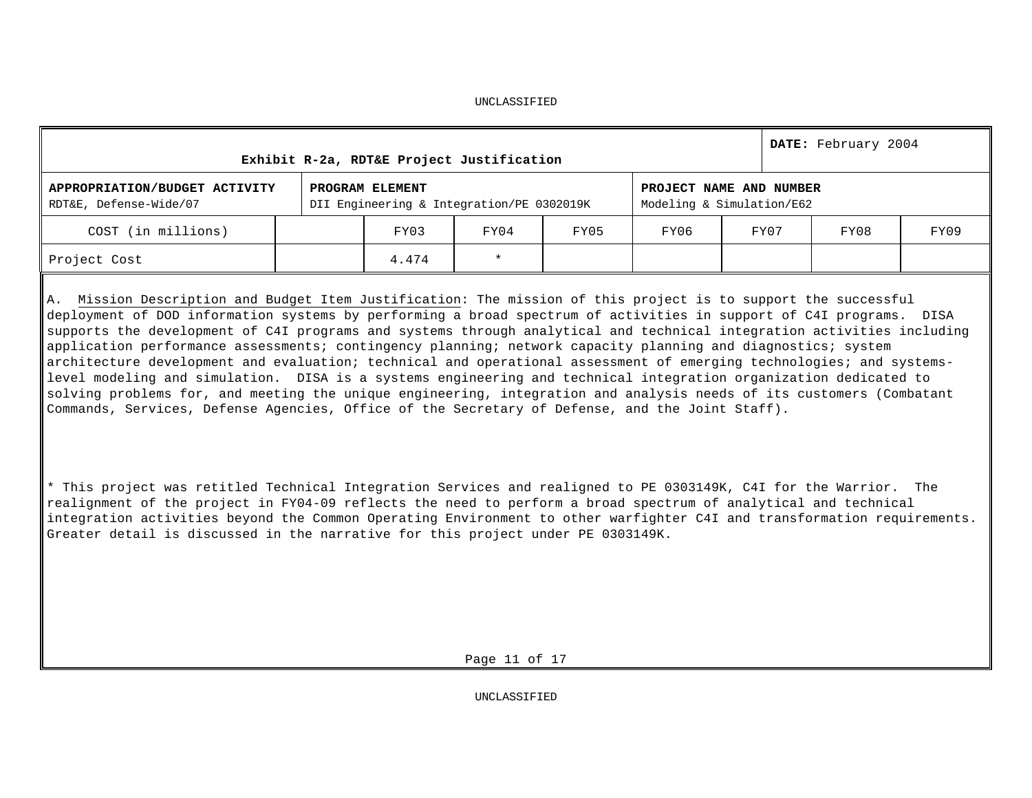| Exhibit R-2a, RDT&E Project Justification               |                                                              | DATE: February 2004 |      |                                                      |      |  |
|---------------------------------------------------------|--------------------------------------------------------------|---------------------|------|------------------------------------------------------|------|--|
| APPROPRIATION/BUDGET ACTIVITY<br>RDT&E, Defense-Wide/07 | PROGRAM ELEMENT<br>DII Engineering & Integration/PE 0302019K |                     |      | PROJECT NAME AND NUMBER<br>Modeling & Simulation/E62 |      |  |
| COST (in millions)                                      | FY03                                                         | FY04                | FY07 | FY08                                                 | FY09 |  |
| Project Cost                                            | 4.474                                                        | $\star$             |      |                                                      |      |  |

A. Mission Description and Budget Item Justification: The mission of this project is to support the successful deployment of DOD information systems by performing a broad spectrum of activities in support of C4I programs. DISA supports the development of C4I programs and systems through analytical and technical integration activities including application performance assessments; contingency planning; network capacity planning and diagnostics; system architecture development and evaluation; technical and operational assessment of emerging technologies; and systemslevel modeling and simulation. DISA is a systems engineering and technical integration organization dedicated to solving problems for, and meeting the unique engineering, integration and analysis needs of its customers (Combatant Commands, Services, Defense Agencies, Office of the Secretary of Defense, and the Joint Staff).

\* This project was retitled Technical Integration Services and realigned to PE 0303149K, C4I for the Warrior. The realignment of the project in FY04-09 reflects the need to perform a broad spectrum of analytical and technical integration activities beyond the Common Operating Environment to other warfighter C4I and transformation requirements. Greater detail is discussed in the narrative for this project under PE 0303149K.

Page 11 of 17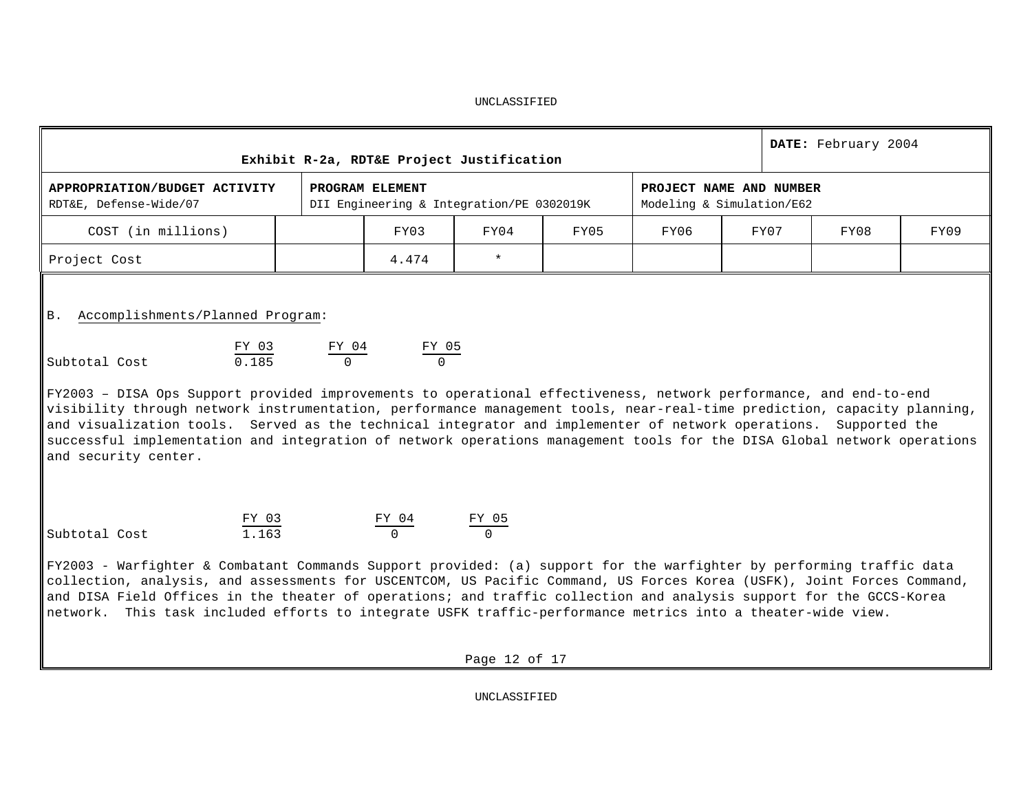| Exhibit R-2a, RDT&E Project Justification                                                                                                                                                                                                                                                                                                                                                                                                                                                                                                                                                                                                               |  |                                         | DATE: February 2004                       |      |                                                      |  |      |      |      |  |  |  |
|---------------------------------------------------------------------------------------------------------------------------------------------------------------------------------------------------------------------------------------------------------------------------------------------------------------------------------------------------------------------------------------------------------------------------------------------------------------------------------------------------------------------------------------------------------------------------------------------------------------------------------------------------------|--|-----------------------------------------|-------------------------------------------|------|------------------------------------------------------|--|------|------|------|--|--|--|
| APPROPRIATION/BUDGET ACTIVITY<br>RDT&E, Defense-Wide/07                                                                                                                                                                                                                                                                                                                                                                                                                                                                                                                                                                                                 |  | PROGRAM ELEMENT                         | DII Engineering & Integration/PE 0302019K |      | PROJECT NAME AND NUMBER<br>Modeling & Simulation/E62 |  |      |      |      |  |  |  |
| COST (in millions)                                                                                                                                                                                                                                                                                                                                                                                                                                                                                                                                                                                                                                      |  | FY03                                    | FY04                                      | FY05 | FY06                                                 |  | FY07 | FY08 | FY09 |  |  |  |
| Project Cost                                                                                                                                                                                                                                                                                                                                                                                                                                                                                                                                                                                                                                            |  | 4.474                                   | $\star$                                   |      |                                                      |  |      |      |      |  |  |  |
| Accomplishments/Planned Program:<br><b>B.</b><br>FY 03<br>$\frac{FY \ 04}{0}$<br>$\frac{FY \ 05}{0}$<br>0.185<br>Subtotal Cost<br>FY2003 - DISA Ops Support provided improvements to operational effectiveness, network performance, and end-to-end #<br>visibility through network instrumentation, performance management tools, near-real-time prediction, capacity planning,<br>and visualization tools. Served as the technical integrator and implementer of network operations. Supported the<br>successful implementation and integration of network operations management tools for the DISA Global network operations<br>and security center. |  |                                         |                                           |      |                                                      |  |      |      |      |  |  |  |
| $\frac{FY \ 03}{1.163}$<br>Subtotal Cost                                                                                                                                                                                                                                                                                                                                                                                                                                                                                                                                                                                                                |  | $\frac{FY \t04}{0}$ $\frac{FY \t05}{0}$ |                                           |      |                                                      |  |      |      |      |  |  |  |
| FY2003 - Warfighter & Combatant Commands Support provided: (a) support for the warfighter by performing traffic data   <br>$ $ collection, analysis, and assessments for USCENTCOM, US Pacific Command, US Forces Korea (USFK), Joint Forces Command,<br>and DISA Field Offices in the theater of operations; and traffic collection and analysis support for the GCCS-Korea<br>$\parallel$ network. This task included efforts to integrate USFK traffic-performance metrics into a theater-wide view.                                                                                                                                                 |  |                                         |                                           |      |                                                      |  |      |      |      |  |  |  |
|                                                                                                                                                                                                                                                                                                                                                                                                                                                                                                                                                                                                                                                         |  |                                         | Page 12 of 17                             |      |                                                      |  |      |      |      |  |  |  |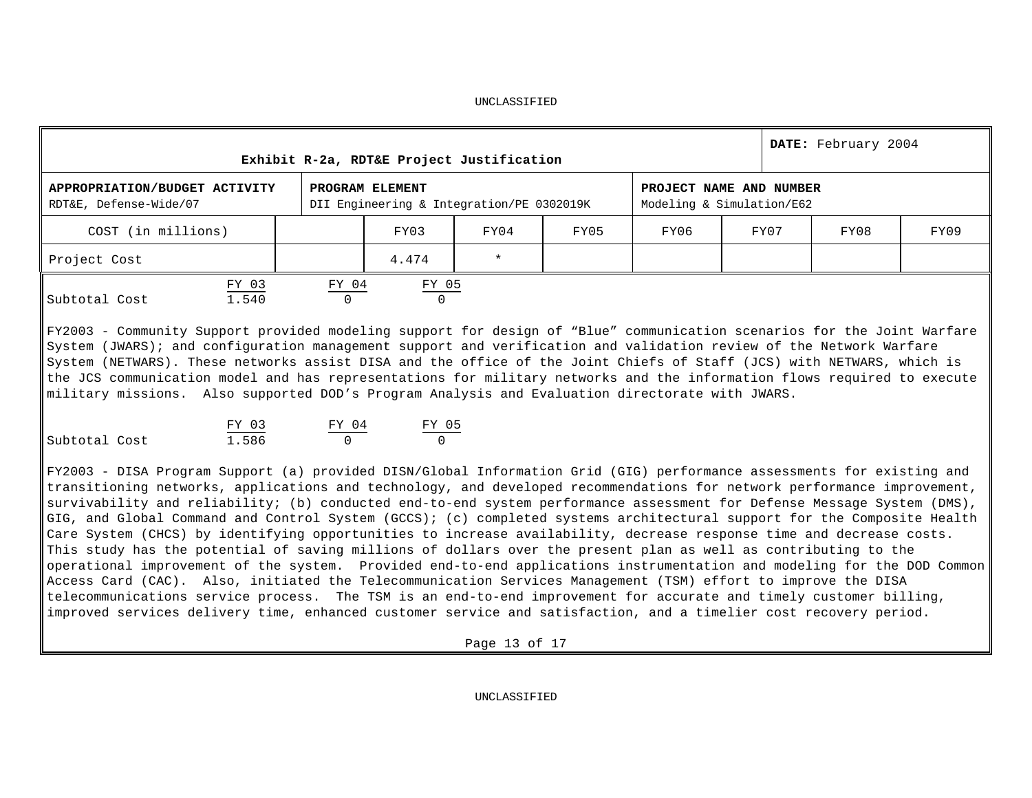| Exhibit R-2a, RDT&E Project Justification |          |                          |              |                                           |      |      |                                                                                                                                                                                                        |  |  |  |  |
|-------------------------------------------|----------|--------------------------|--------------|-------------------------------------------|------|------|--------------------------------------------------------------------------------------------------------------------------------------------------------------------------------------------------------|--|--|--|--|
|                                           |          |                          |              |                                           |      |      |                                                                                                                                                                                                        |  |  |  |  |
|                                           | FY03     | FY04                     | FY05         | FY06                                      | FY07 | FY08 | FY09                                                                                                                                                                                                   |  |  |  |  |
|                                           | 4.474    | $\star$                  |              |                                           |      |      |                                                                                                                                                                                                        |  |  |  |  |
|                                           | $\Omega$ |                          |              |                                           |      |      |                                                                                                                                                                                                        |  |  |  |  |
|                                           |          | PROGRAM ELEMENT<br>FY 04 | <u>FY 05</u> | DII Engineering & Integration/PE 0302019K |      |      | DATE: February 2004<br>PROJECT NAME AND NUMBER<br>Modeling & Simulation/E62<br>FY2003 - Community Support provided modeling support for design of "Blue" communication scenarios for the Joint Warfare |  |  |  |  |

System (JWARS); and configuration management support and verification and validation review of the Network Warfare System (NETWARS). These networks assist DISA and the office of the Joint Chiefs of Staff (JCS) with NETWARS, which is the JCS communication model and has representations for military networks and the information flows required to execute military missions. Also supported DOD's Program Analysis and Evaluation directorate with JWARS.

|               | FY 03 | FY 04 | FY 05 |
|---------------|-------|-------|-------|
| Subtotal Cost | 1.586 |       |       |

FY2003 - DISA Program Support (a) provided DISN/Global Information Grid (GIG) performance assessments for existing and transitioning networks, applications and technology, and developed recommendations for network performance improvement, survivability and reliability; (b) conducted end-to-end system performance assessment for Defense Message System (DMS), GIG, and Global Command and Control System (GCCS); (c) completed systems architectural support for the Composite Health Care System (CHCS) by identifying opportunities to increase availability, decrease response time and decrease costs. This study has the potential of saving millions of dollars over the present plan as well as contributing to the operational improvement of the system. Provided end-to-end applications instrumentation and modeling for the DOD Common Access Card (CAC). Also, initiated the Telecommunication Services Management (TSM) effort to improve the DISA telecommunications service process. The TSM is an end-to-end improvement for accurate and timely customer billing, improved services delivery time, enhanced customer service and satisfaction, and a timelier cost recovery period.

Page 13 of 17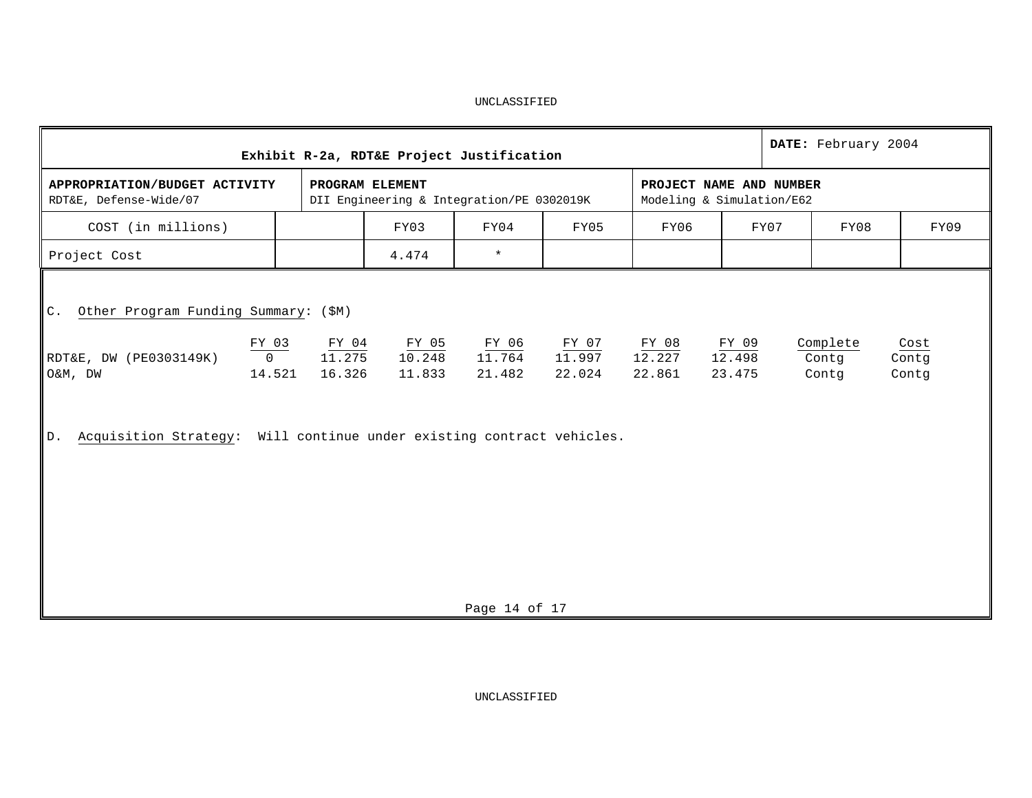|                                                                                                                    | DATE: February 2004<br>Exhibit R-2a, RDT&E Project Justification |                          |                                                              |                 |                 |                                                      |                 |      |                   |               |  |  |  |  |
|--------------------------------------------------------------------------------------------------------------------|------------------------------------------------------------------|--------------------------|--------------------------------------------------------------|-----------------|-----------------|------------------------------------------------------|-----------------|------|-------------------|---------------|--|--|--|--|
| APPROPRIATION/BUDGET ACTIVITY<br>RDT&E, Defense-Wide/07                                                            |                                                                  |                          | PROGRAM ELEMENT<br>DII Engineering & Integration/PE 0302019K |                 |                 | PROJECT NAME AND NUMBER<br>Modeling & Simulation/E62 |                 |      |                   |               |  |  |  |  |
| COST (in millions)                                                                                                 |                                                                  |                          | FY03                                                         | FY04            | FY05            | FY06                                                 |                 | FY07 | FY09              |               |  |  |  |  |
| Project Cost                                                                                                       |                                                                  |                          | 4.474                                                        | $\star$         |                 |                                                      |                 |      |                   |               |  |  |  |  |
| Other Program Funding Summary: (\$M)<br>$\mathsf{C}$ .<br>RDT&E, DW (PE0303149K)                                   | $\frac{FY$ 03<br>0                                               | $\frac{FY \ 04}{11.275}$ | $\frac{\text{FY } 05}{10.248}$                               | FY 06<br>11.764 | FY 07<br>11.997 | $\frac{\text{FY}~~08}{12.227}$                       | FY 09<br>12.498 |      | Complete<br>Contg | Cost<br>Contg |  |  |  |  |
| O&M, DW                                                                                                            | 14.521                                                           |                          | 11.833                                                       | 21.482          | 22.024          | 22.861                                               | 23.475          |      |                   | Contq         |  |  |  |  |
| 16.326<br>Contq<br>Acquisition Strategy: Will continue under existing contract vehicles.<br>$D$ .<br>Page 14 of 17 |                                                                  |                          |                                                              |                 |                 |                                                      |                 |      |                   |               |  |  |  |  |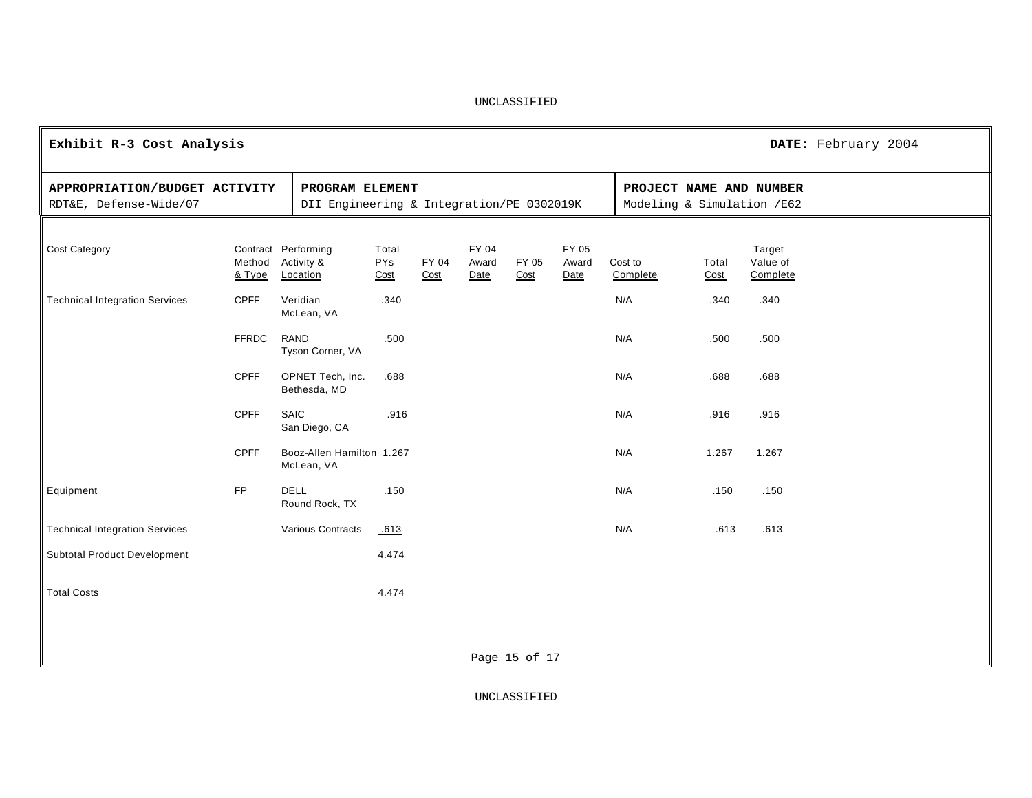| Exhibit R-3 Cost Analysis                               |                  |                                                              |                             |               |                        |               |                        |                                                       |               |                                | DATE: February 2004 |
|---------------------------------------------------------|------------------|--------------------------------------------------------------|-----------------------------|---------------|------------------------|---------------|------------------------|-------------------------------------------------------|---------------|--------------------------------|---------------------|
| APPROPRIATION/BUDGET ACTIVITY<br>RDT&E, Defense-Wide/07 |                  | PROGRAM ELEMENT<br>DII Engineering & Integration/PE 0302019K |                             |               |                        |               |                        | PROJECT NAME AND NUMBER<br>Modeling & Simulation /E62 |               |                                |                     |
| <b>Cost Category</b>                                    | Method<br>& Type | Contract Performing<br>Activity &<br>Location                | Total<br><b>PYs</b><br>Cost | FY 04<br>Cost | FY 04<br>Award<br>Date | FY 05<br>Cost | FY 05<br>Award<br>Date | Cost to<br>Complete                                   | Total<br>Cost | Target<br>Value of<br>Complete |                     |
| <b>Technical Integration Services</b>                   | <b>CPFF</b>      | Veridian<br>McLean, VA                                       | .340                        |               |                        |               |                        | N/A                                                   | .340          | .340                           |                     |
|                                                         | <b>FFRDC</b>     | <b>RAND</b><br>Tyson Corner, VA                              | .500                        |               |                        |               |                        | N/A                                                   | .500          | .500                           |                     |
|                                                         | <b>CPFF</b>      | OPNET Tech, Inc.<br>Bethesda, MD                             | .688                        |               |                        |               |                        | N/A                                                   | .688          | .688                           |                     |
|                                                         | <b>CPFF</b>      | SAIC<br>San Diego, CA                                        | .916                        |               |                        |               |                        | N/A                                                   | .916          | .916                           |                     |
|                                                         | CPFF             | Booz-Allen Hamilton 1.267<br>McLean, VA                      |                             |               |                        |               |                        | N/A                                                   | 1.267         | 1.267                          |                     |
| Equipment                                               | <b>FP</b>        | <b>DELL</b><br>Round Rock, TX                                | .150                        |               |                        |               |                        | N/A                                                   | .150          | .150                           |                     |
| <b>Technical Integration Services</b>                   |                  | Various Contracts                                            | .613                        |               |                        |               |                        | N/A                                                   | .613          | .613                           |                     |
| <b>Subtotal Product Development</b>                     |                  |                                                              | 4.474                       |               |                        |               |                        |                                                       |               |                                |                     |
| <b>Total Costs</b>                                      |                  |                                                              | 4.474                       |               |                        |               |                        |                                                       |               |                                |                     |
|                                                         |                  |                                                              |                             |               |                        |               |                        |                                                       |               |                                |                     |
|                                                         |                  |                                                              |                             |               |                        | Page 15 of 17 |                        |                                                       |               |                                |                     |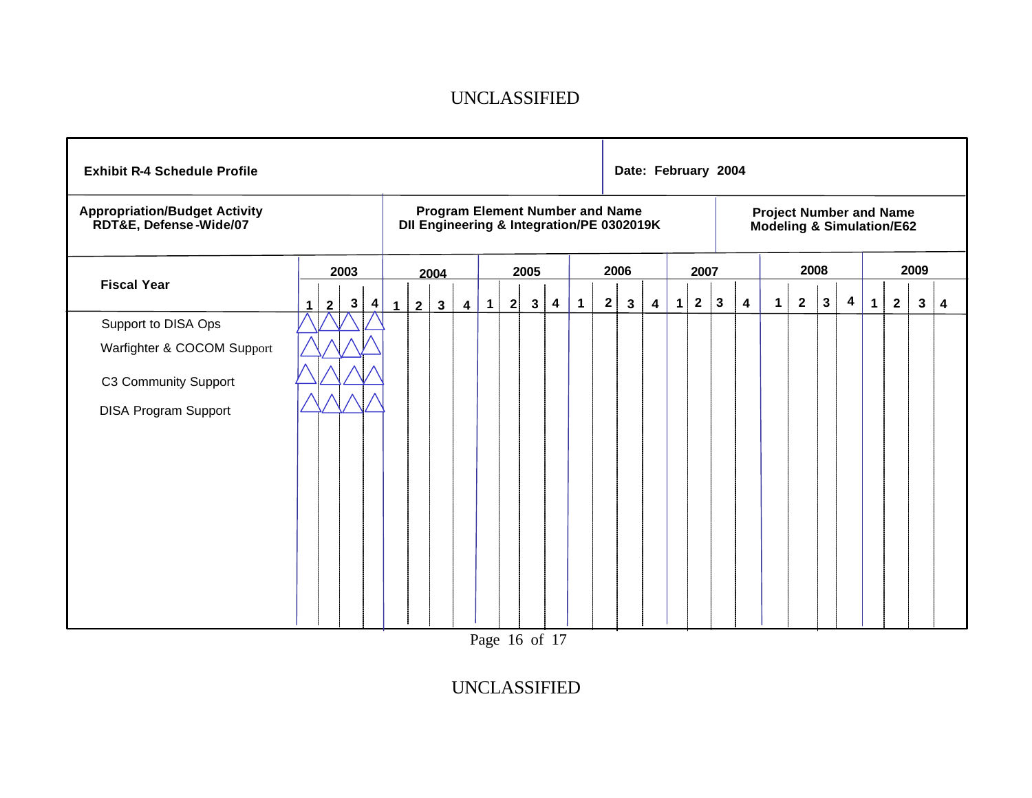| <b>Exhibit R-4 Schedule Profile</b>                                                                      |                                        |              |                                                                                     |                |             |   |                |                         |              |                                                                        | Date: February 2004 |   |                |              |              |                         |             |                |              |                         |             |              |      |   |
|----------------------------------------------------------------------------------------------------------|----------------------------------------|--------------|-------------------------------------------------------------------------------------|----------------|-------------|---|----------------|-------------------------|--------------|------------------------------------------------------------------------|---------------------|---|----------------|--------------|--------------|-------------------------|-------------|----------------|--------------|-------------------------|-------------|--------------|------|---|
| <b>Appropriation/Budget Activity</b><br>RDT&E, Defense-Wide/07                                           |                                        |              | <b>Program Element Number and Name</b><br>DII Engineering & Integration/PE 0302019K |                |             |   |                |                         |              | <b>Project Number and Name</b><br><b>Modeling &amp; Simulation/E62</b> |                     |   |                |              |              |                         |             |                |              |                         |             |              |      |   |
|                                                                                                          | 2003                                   |              | 2004                                                                                |                |             |   | 2005           |                         |              |                                                                        | 2006                |   |                | 2007         |              |                         |             | 2008           |              |                         |             |              | 2009 |   |
| <b>Fiscal Year</b>                                                                                       | $\mathbf{3}$<br>4<br>$\mathbf{2}$<br>1 | $\mathbf{1}$ | 3 <sup>1</sup><br>$\overline{2}$                                                    | $\overline{4}$ | $\mathbf 1$ | 2 | 3 <sup>1</sup> | $\overline{\mathbf{4}}$ | $\mathbf{1}$ | $\overline{2}$                                                         | $\mathbf{3}$        | 4 | $\blacksquare$ | $\mathbf{2}$ | $\mathbf{3}$ | $\overline{\mathbf{4}}$ | $\mathbf 1$ | $\overline{2}$ | $\mathbf{3}$ | $\overline{\mathbf{4}}$ | $\mathbf 1$ | $\mathbf{2}$ | 3    | 4 |
| Support to DISA Ops<br>Warfighter & COCOM Support<br>C3 Community Support<br><b>DISA Program Support</b> |                                        |              |                                                                                     |                |             |   |                |                         |              |                                                                        |                     |   |                |              |              |                         |             |                |              |                         |             |              |      |   |

Page 16 of 17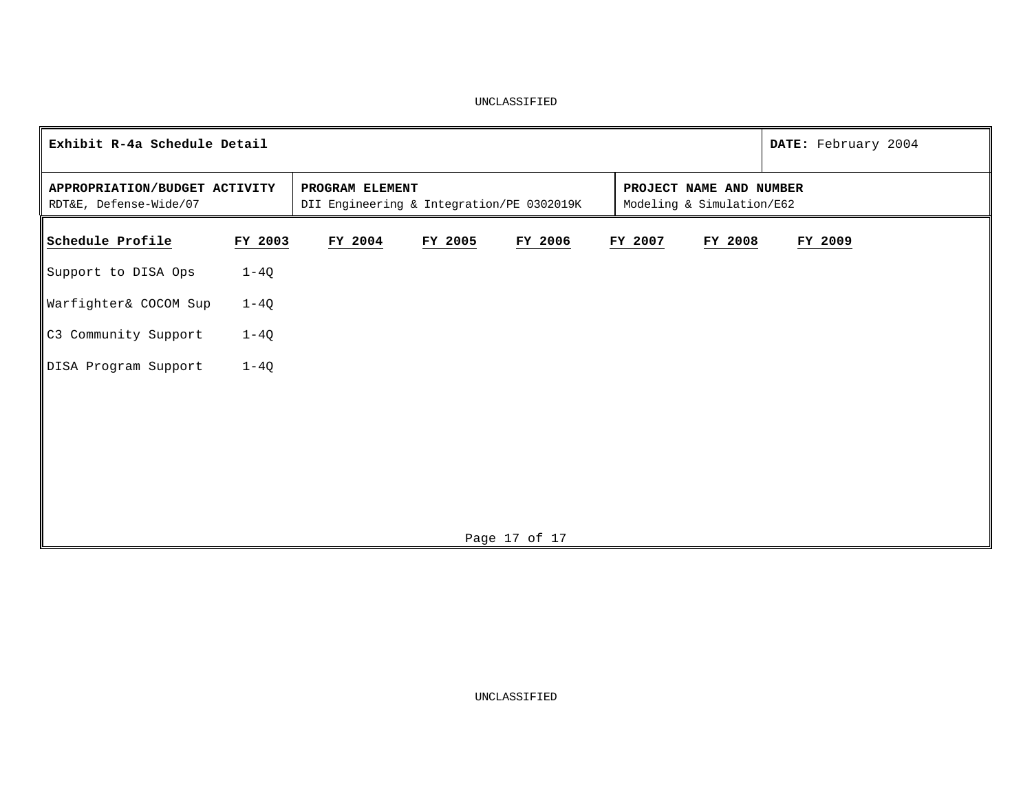|                                                         | Exhibit R-4a Schedule Detail |         |                                                                                                                      |               |  |         |         |         |  |  |  |  |
|---------------------------------------------------------|------------------------------|---------|----------------------------------------------------------------------------------------------------------------------|---------------|--|---------|---------|---------|--|--|--|--|
| APPROPRIATION/BUDGET ACTIVITY<br>RDT&E, Defense-Wide/07 |                              |         | PROJECT NAME AND NUMBER<br>PROGRAM ELEMENT<br>DII Engineering & Integration/PE 0302019K<br>Modeling & Simulation/E62 |               |  |         |         |         |  |  |  |  |
| Schedule Profile                                        | FY 2003                      | FY 2004 | FY 2005                                                                                                              | FY 2006       |  | FY 2007 | FY 2008 | FY 2009 |  |  |  |  |
| Support to DISA Ops                                     | $1-4Q$                       |         |                                                                                                                      |               |  |         |         |         |  |  |  |  |
| Warfighter& COCOM Sup                                   | $1-4Q$                       |         |                                                                                                                      |               |  |         |         |         |  |  |  |  |
| C3 Community Support                                    | $1-4Q$                       |         |                                                                                                                      |               |  |         |         |         |  |  |  |  |
| DISA Program Support                                    | $1-4Q$                       |         |                                                                                                                      |               |  |         |         |         |  |  |  |  |
|                                                         |                              |         |                                                                                                                      |               |  |         |         |         |  |  |  |  |
|                                                         |                              |         |                                                                                                                      |               |  |         |         |         |  |  |  |  |
|                                                         |                              |         |                                                                                                                      |               |  |         |         |         |  |  |  |  |
|                                                         |                              |         |                                                                                                                      |               |  |         |         |         |  |  |  |  |
|                                                         |                              |         |                                                                                                                      | Page 17 of 17 |  |         |         |         |  |  |  |  |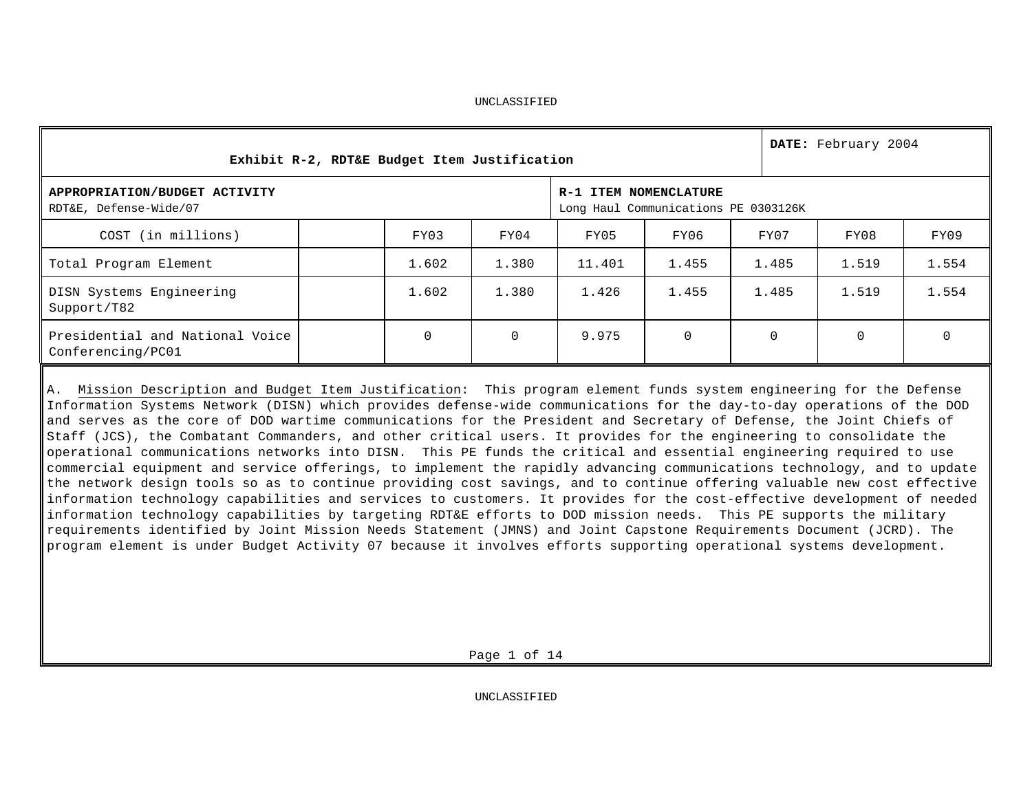| Exhibit R-2, RDT&E Budget Item Justification            |          | DATE: February 2004 |                                                               |       |          |  |             |          |
|---------------------------------------------------------|----------|---------------------|---------------------------------------------------------------|-------|----------|--|-------------|----------|
| APPROPRIATION/BUDGET ACTIVITY<br>RDT&E, Defense-Wide/07 |          |                     | R-1 ITEM NOMENCLATURE<br>Long Haul Communications PE 0303126K |       |          |  |             |          |
| COST (in millions)                                      | FY03     | FY04                | FY05                                                          | FY06  | FY07     |  | FY08        | FY09     |
| Total Program Element                                   | 1.602    | 1.380               | 11.401                                                        | 1.455 | 1.485    |  | 1.519       | 1.554    |
| DISN Systems Engineering<br>Support/T82                 | 1.602    | 1.380               | 1.426                                                         | 1.455 | 1.485    |  | 1.519       | 1.554    |
| Presidential and National Voice<br>Conferencing/PC01    | $\Omega$ | $\mathbf 0$         | 9.975                                                         | 0     | $\Omega$ |  | $\mathbf 0$ | $\Omega$ |
|                                                         |          |                     |                                                               |       |          |  |             |          |

A. Mission Description and Budget Item Justification: This program element funds system engineering for the Defense Information Systems Network (DISN) which provides defense-wide communications for the day-to-day operations of the DOD and serves as the core of DOD wartime communications for the President and Secretary of Defense, the Joint Chiefs of Staff (JCS), the Combatant Commanders, and other critical users. It provides for the engineering to consolidate the operational communications networks into DISN. This PE funds the critical and essential engineering required to use commercial equipment and service offerings, to implement the rapidly advancing communications technology, and to update the network design tools so as to continue providing cost savings, and to continue offering valuable new cost effective information technology capabilities and services to customers. It provides for the cost-effective development of needed information technology capabilities by targeting RDT&E efforts to DOD mission needs. This PE supports the military requirements identified by Joint Mission Needs Statement (JMNS) and Joint Capstone Requirements Document (JCRD). The program element is under Budget Activity 07 because it involves efforts supporting operational systems development.

Page 1 of 14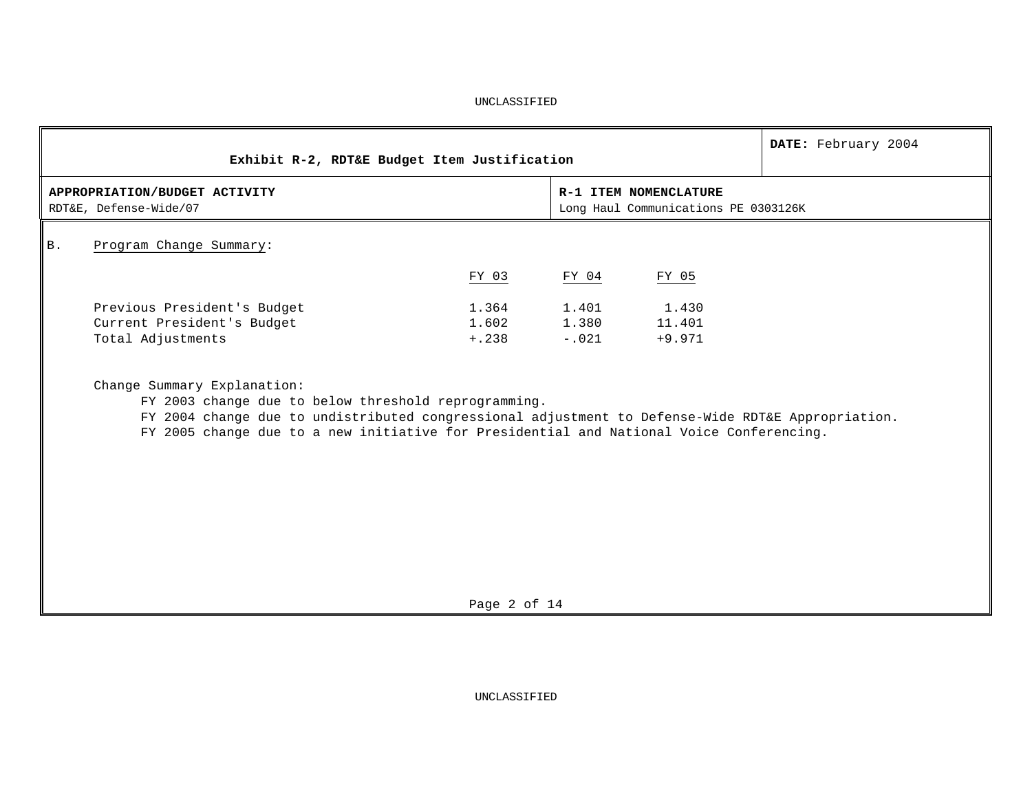|            | Exhibit R-2, RDT&E Budget Item Justification                                                                                                                                                                                                                                         |                            |                           |                                                               | DATE: February 2004 |
|------------|--------------------------------------------------------------------------------------------------------------------------------------------------------------------------------------------------------------------------------------------------------------------------------------|----------------------------|---------------------------|---------------------------------------------------------------|---------------------|
|            | APPROPRIATION/BUDGET ACTIVITY<br>RDT&E, Defense-Wide/07                                                                                                                                                                                                                              |                            |                           | R-1 ITEM NOMENCLATURE<br>Long Haul Communications PE 0303126K |                     |
| <b>B</b> . | Program Change Summary:                                                                                                                                                                                                                                                              |                            |                           |                                                               |                     |
|            |                                                                                                                                                                                                                                                                                      | FY 03                      | FY 04                     | FY 05                                                         |                     |
|            | Previous President's Budget<br>Current President's Budget<br>Total Adjustments                                                                                                                                                                                                       | 1.364<br>1.602<br>$+, 238$ | 1.401<br>1.380<br>$-.021$ | 1.430<br>11.401<br>$+9.971$                                   |                     |
|            | Change Summary Explanation:<br>FY 2003 change due to below threshold reprogramming.<br>FY 2004 change due to undistributed congressional adjustment to Defense-Wide RDT&E Appropriation.<br>FY 2005 change due to a new initiative for Presidential and National Voice Conferencing. |                            |                           |                                                               |                     |

Page 2 of 14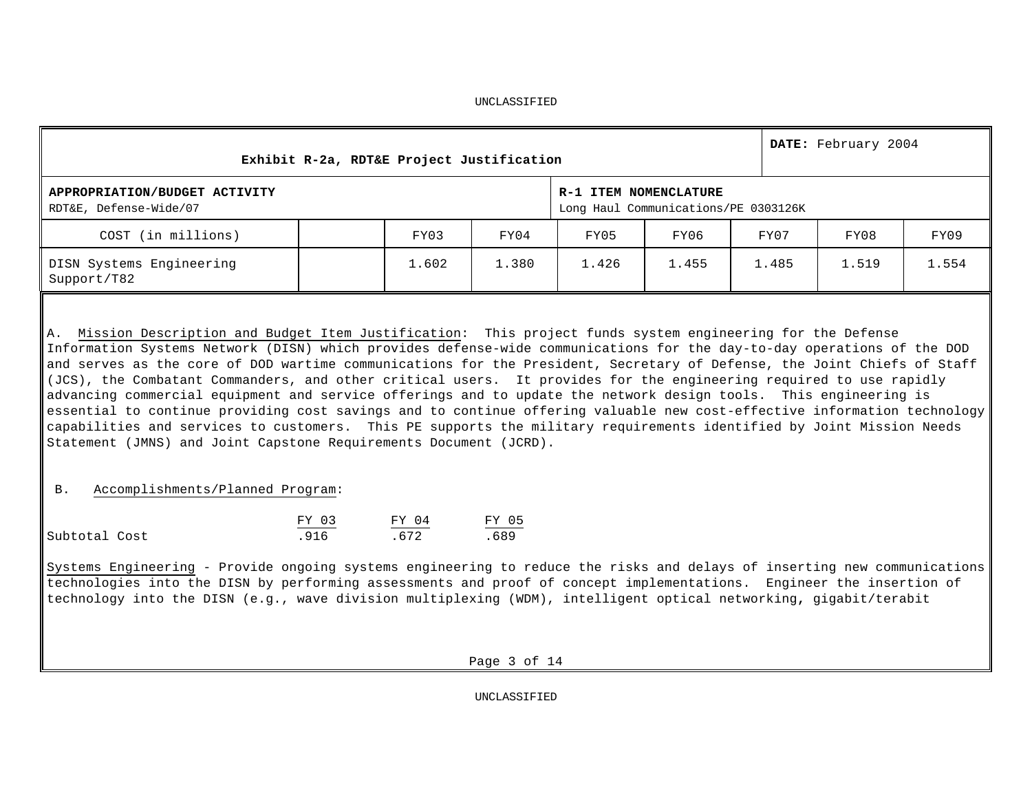| Exhibit R-2a, RDT&E Project Justification                                                                                                                                                                                                                                                                                                                                                                                                                                                                                                                                                                                                                                                                                                                                                                                                                                                                                           |       | DATE: February 2004 |                                                               |       |       |       |       |
|-------------------------------------------------------------------------------------------------------------------------------------------------------------------------------------------------------------------------------------------------------------------------------------------------------------------------------------------------------------------------------------------------------------------------------------------------------------------------------------------------------------------------------------------------------------------------------------------------------------------------------------------------------------------------------------------------------------------------------------------------------------------------------------------------------------------------------------------------------------------------------------------------------------------------------------|-------|---------------------|---------------------------------------------------------------|-------|-------|-------|-------|
| APPROPRIATION/BUDGET ACTIVITY<br>RDT&E, Defense-Wide/07                                                                                                                                                                                                                                                                                                                                                                                                                                                                                                                                                                                                                                                                                                                                                                                                                                                                             |       |                     | R-1 ITEM NOMENCLATURE<br>Long Haul Communications/PE 0303126K |       |       |       |       |
| COST (in millions)                                                                                                                                                                                                                                                                                                                                                                                                                                                                                                                                                                                                                                                                                                                                                                                                                                                                                                                  | FY03  | FY04                | FY05                                                          | FY06  | FY07  | FY08  | FY09  |
| DISN Systems Engineering<br>Support/T82                                                                                                                                                                                                                                                                                                                                                                                                                                                                                                                                                                                                                                                                                                                                                                                                                                                                                             | 1.602 | 1.380               | 1.426                                                         | 1.455 | 1.485 | 1.519 | 1.554 |
| A. Mission Description and Budget Item Justification: This project funds system engineering for the Defense<br>Information Systems Network (DISN) which provides defense-wide communications for the day-to-day operations of the DOD<br>and serves as the core of DOD wartime communications for the President, Secretary of Defense, the Joint Chiefs of Staff<br>(JCS), the Combatant Commanders, and other critical users. It provides for the engineering required to use rapidly<br>advancing commercial equipment and service offerings and to update the network design tools. This engineering is<br>essential to continue providing cost savings and to continue offering valuable new cost-effective information technology<br>capabilities and services to customers. This PE supports the military requirements identified by Joint Mission Needs<br>Statement (JMNS) and Joint Capstone Requirements Document (JCRD). |       |                     |                                                               |       |       |       |       |

## B. Accomplishments/Planned Program:

|               | FY 03 | FY 04 | FY 05 |
|---------------|-------|-------|-------|
| Subtotal Cost | 916   | 672   | 689   |

Systems Engineering - Provide ongoing systems engineering to reduce the risks and delays of inserting new communications technologies into the DISN by performing assessments and proof of concept implementations. Engineer the insertion of technology into the DISN (e.g., wave division multiplexing (WDM), intelligent optical networking**,** gigabit/terabit

Page 3 of 14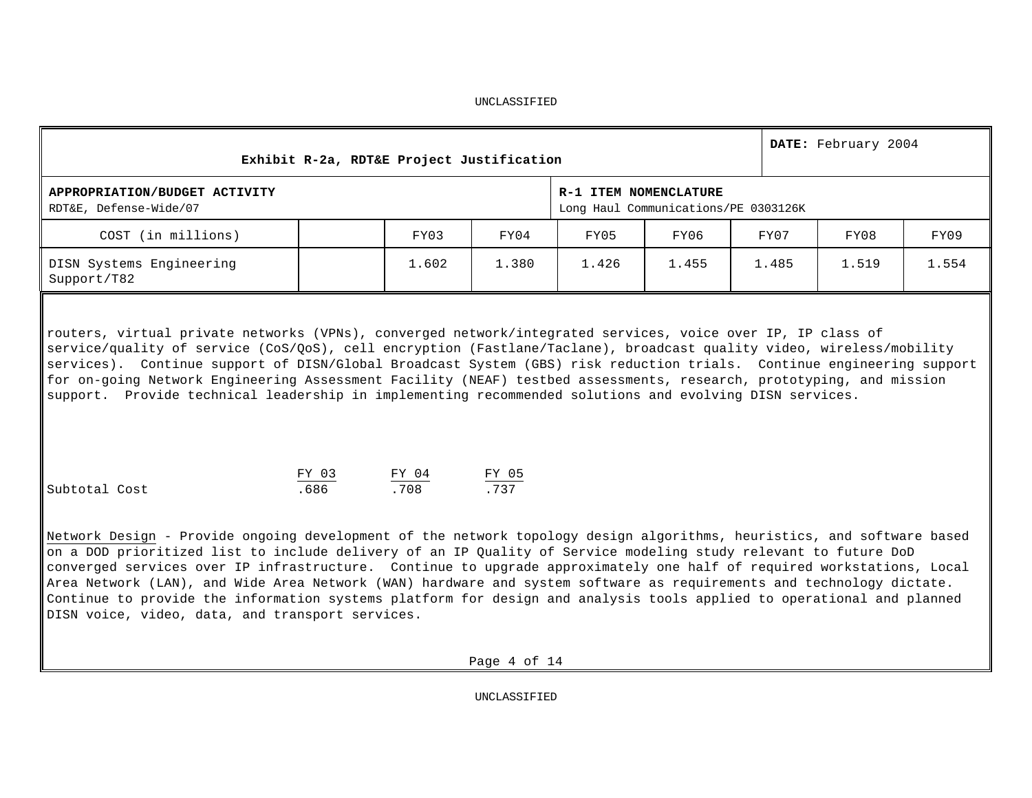| UNCLASSIFIED |
|--------------|
|--------------|

| Exhibit R-2a, RDT&E Project Justification                                                                                                                                                                                                                                                                                                                                                                                                                                                                                                                                                                                                                               |               |               | DATE: February 2004 |                                                               |       |       |       |       |  |  |  |  |
|-------------------------------------------------------------------------------------------------------------------------------------------------------------------------------------------------------------------------------------------------------------------------------------------------------------------------------------------------------------------------------------------------------------------------------------------------------------------------------------------------------------------------------------------------------------------------------------------------------------------------------------------------------------------------|---------------|---------------|---------------------|---------------------------------------------------------------|-------|-------|-------|-------|--|--|--|--|
| APPROPRIATION/BUDGET ACTIVITY<br>RDT&E, Defense-Wide/07                                                                                                                                                                                                                                                                                                                                                                                                                                                                                                                                                                                                                 |               |               |                     | R-1 ITEM NOMENCLATURE<br>Long Haul Communications/PE 0303126K |       |       |       |       |  |  |  |  |
| COST (in millions)                                                                                                                                                                                                                                                                                                                                                                                                                                                                                                                                                                                                                                                      |               | FY03          | FY04                | FY05                                                          | FY06  | FY07  | FY08  | FY09  |  |  |  |  |
| DISN Systems Engineering<br>Support/T82                                                                                                                                                                                                                                                                                                                                                                                                                                                                                                                                                                                                                                 |               | 1.602         | 1.380               | 1.426                                                         | 1.455 | 1.485 | 1.519 | 1.554 |  |  |  |  |
| routers, virtual private networks (VPNs), converged network/integrated services, voice over IP, IP class of<br>service/quality of service (CoS/QoS), cell encryption (Fastlane/Taclane), broadcast quality video, wireless/mobility<br>services). Continue support of DISN/Global Broadcast System (GBS) risk reduction trials. Continue engineering support<br>for on-going Network Engineering Assessment Facility (NEAF) testbed assessments, research, prototyping, and mission<br>support. Provide technical leadership in implementing recommended solutions and evolving DISN services.                                                                          |               |               |                     |                                                               |       |       |       |       |  |  |  |  |
| Subtotal Cost                                                                                                                                                                                                                                                                                                                                                                                                                                                                                                                                                                                                                                                           | FY 03<br>.686 | FY 04<br>.708 | FY 05<br>.737       |                                                               |       |       |       |       |  |  |  |  |
| Network Design - Provide ongoing development of the network topology design algorithms, heuristics, and software based<br>on a DOD prioritized list to include delivery of an IP Quality of Service modeling study relevant to future DoD<br>converged services over IP infrastructure. Continue to upgrade approximately one half of required workstations, Local<br>Area Network (LAN), and Wide Area Network (WAN) hardware and system software as requirements and technology dictate.<br>Continue to provide the information systems platform for design and analysis tools applied to operational and planned<br>DISN voice, video, data, and transport services. |               |               |                     |                                                               |       |       |       |       |  |  |  |  |
|                                                                                                                                                                                                                                                                                                                                                                                                                                                                                                                                                                                                                                                                         |               |               | Page 4 of 14        |                                                               |       |       |       |       |  |  |  |  |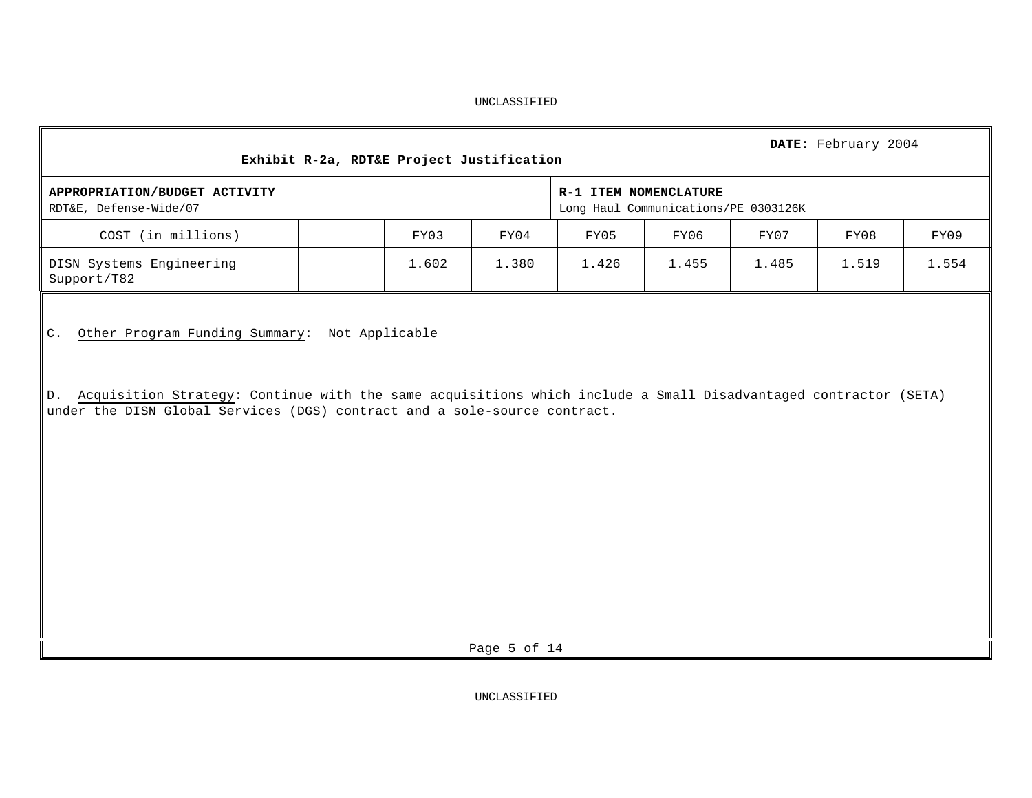| Exhibit R-2a, RDT&E Project Justification<br>APPROPRIATION/BUDGET ACTIVITY |                                                                         |                                                                           |                                       |                                      |                                                                                                                    |  |  |  |  |  |  |  |
|----------------------------------------------------------------------------|-------------------------------------------------------------------------|---------------------------------------------------------------------------|---------------------------------------|--------------------------------------|--------------------------------------------------------------------------------------------------------------------|--|--|--|--|--|--|--|
|                                                                            |                                                                         |                                                                           |                                       |                                      |                                                                                                                    |  |  |  |  |  |  |  |
| FY04                                                                       | FY05                                                                    | FY06                                                                      | FY07                                  | FY08                                 | FY09                                                                                                               |  |  |  |  |  |  |  |
|                                                                            | 1.426                                                                   | 1.455                                                                     | 1.485                                 | 1.519                                | 1.554                                                                                                              |  |  |  |  |  |  |  |
|                                                                            |                                                                         |                                                                           |                                       |                                      |                                                                                                                    |  |  |  |  |  |  |  |
|                                                                            | FY03<br>1.602<br>1.380<br>Other Program Funding Summary: Not Applicable | under the DISN Global Services (DGS) contract and a sole-source contract. | R-1 ITEM NOMENCLATURE<br>Page 5 of 14 | Long Haul Communications/PE 0303126K | D. Acquisition Strategy: Continue with the same acquisitions which include a Small Disadvantaged contractor (SETA) |  |  |  |  |  |  |  |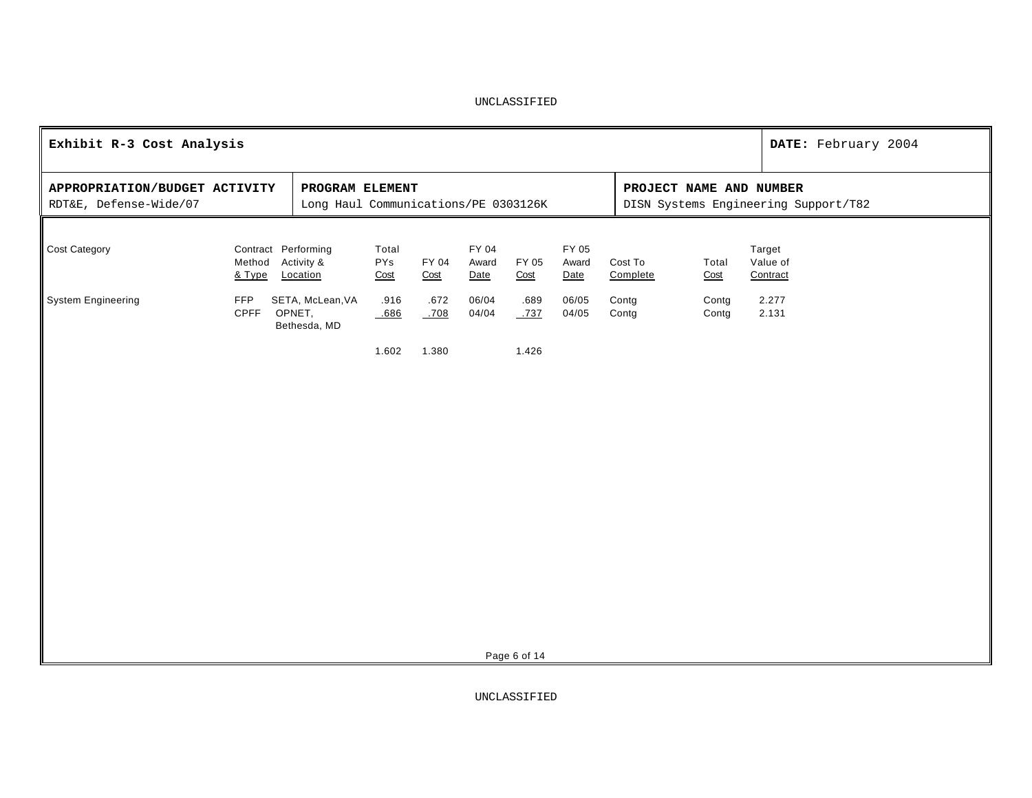| Exhibit R-3 Cost Analysis                               |                  |                                                                                                                            |                      |               |                        |               |                        |                     |                |                                | DATE: February 2004 |  |
|---------------------------------------------------------|------------------|----------------------------------------------------------------------------------------------------------------------------|----------------------|---------------|------------------------|---------------|------------------------|---------------------|----------------|--------------------------------|---------------------|--|
| APPROPRIATION/BUDGET ACTIVITY<br>RDT&E, Defense-Wide/07 |                  | PROGRAM ELEMENT<br>PROJECT NAME AND NUMBER<br>Long Haul Communications/PE 0303126K<br>DISN Systems Engineering Support/T82 |                      |               |                        |               |                        |                     |                |                                |                     |  |
| Cost Category                                           | Method<br>& Type | Contract Performing<br>Activity &<br>Location                                                                              | Total<br>PYs<br>Cost | FY 04<br>Cost | FY 04<br>Award<br>Date | FY 05<br>Cost | FY 05<br>Award<br>Date | Cost To<br>Complete | Total<br>Cost  | Target<br>Value of<br>Contract |                     |  |
| <b>System Engineering</b>                               | <b>FFP</b>       | SETA, McLean, VA<br>CPFF OPNET,<br>Bethesda, MD                                                                            | .916<br>.686         | .672<br>.708  | 06/04<br>04/04         | .689<br>.737  | 06/05<br>04/05         | Contg<br>Contg      | Contg<br>Contg | 2.277<br>2.131                 |                     |  |
|                                                         |                  |                                                                                                                            | 1.602                | 1.380         |                        | 1.426         |                        |                     |                |                                |                     |  |
|                                                         |                  |                                                                                                                            |                      |               |                        |               |                        |                     |                |                                |                     |  |
|                                                         |                  |                                                                                                                            |                      |               |                        |               |                        |                     |                |                                |                     |  |
|                                                         |                  |                                                                                                                            |                      |               |                        |               |                        |                     |                |                                |                     |  |
|                                                         |                  |                                                                                                                            |                      |               |                        |               |                        |                     |                |                                |                     |  |
|                                                         |                  |                                                                                                                            |                      |               |                        |               |                        |                     |                |                                |                     |  |
|                                                         |                  |                                                                                                                            |                      |               |                        | Page 6 of 14  |                        |                     |                |                                |                     |  |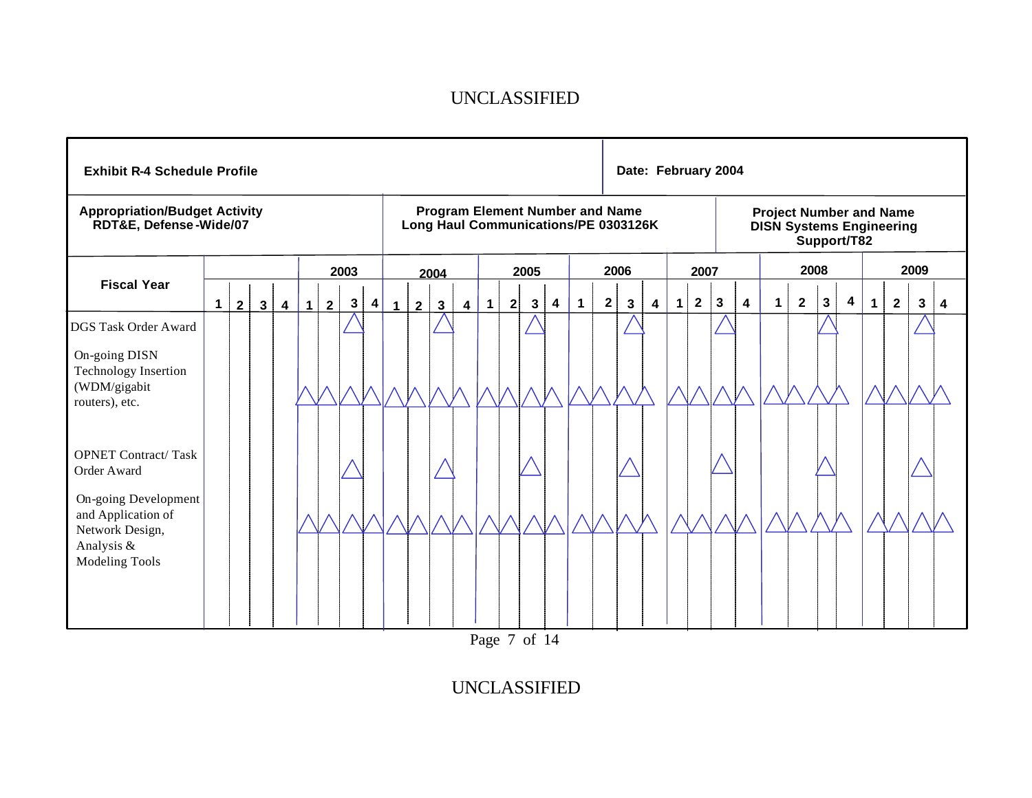|                                                                                                                                                   | <b>Exhibit R-4 Schedule Profile</b> |                |                |                |   |   |                |           |              |                                                                                |              |                         |             |   |                         |                         |             |                | Date: February 2004 |                         |             |              |                                                                   |                         |             |                |              |   |             |                         |              |   |
|---------------------------------------------------------------------------------------------------------------------------------------------------|-------------------------------------|----------------|----------------|----------------|---|---|----------------|-----------|--------------|--------------------------------------------------------------------------------|--------------|-------------------------|-------------|---|-------------------------|-------------------------|-------------|----------------|---------------------|-------------------------|-------------|--------------|-------------------------------------------------------------------|-------------------------|-------------|----------------|--------------|---|-------------|-------------------------|--------------|---|
| <b>Appropriation/Budget Activity</b><br>RDT&E, Defense-Wide/07                                                                                    |                                     |                |                |                |   |   |                |           |              | <b>Program Element Number and Name</b><br>Long Haul Communications/PE 0303126K |              |                         |             |   |                         |                         |             |                |                     |                         |             |              | <b>Project Number and Name</b><br><b>DISN Systems Engineering</b> |                         | Support/T82 |                |              |   |             |                         |              |   |
|                                                                                                                                                   |                                     |                |                |                |   |   | 2003           |           |              |                                                                                | 2004         |                         |             |   | 2005                    |                         |             |                | 2006                |                         |             | 2007         |                                                                   |                         |             |                | 2008         |   |             |                         | 2009         |   |
| <b>Fiscal Year</b>                                                                                                                                | $\mathbf 1$                         | 2 <sup>1</sup> | 3 <sup>1</sup> | $\overline{4}$ | 1 | 2 | $3\phantom{a}$ | $\vert$ 4 | $\mathbf{1}$ | $2^{\circ}$                                                                    | $\mathbf{3}$ | $\overline{\mathbf{4}}$ | $\mathbf 1$ | 2 | $\mathbf{3}$            | $\overline{\mathbf{4}}$ | $\mathbf 1$ | $\overline{2}$ | 3                   | $\overline{\mathbf{4}}$ | $\mathbf 1$ | $\mathbf{2}$ | $\vert 3 \vert$                                                   | $\overline{\mathbf{4}}$ | $\mathbf 1$ | $\overline{2}$ | $\mathbf{3}$ | 4 | $\mathbf 1$ | $\overline{\mathbf{2}}$ | $\mathbf{3}$ | 4 |
| <b>DGS Task Order Award</b><br>On-going DISN<br>Technology Insertion<br>(WDM/gigabit<br>routers), etc.                                            |                                     |                |                |                |   |   |                |           |              |                                                                                |              |                         |             |   |                         |                         |             |                |                     |                         |             |              |                                                                   |                         |             |                |              |   |             |                         |              |   |
| <b>OPNET Contract/Task</b><br>Order Award<br>On-going Development<br>and Application of<br>Network Design,<br>Analysis &<br><b>Modeling Tools</b> |                                     |                |                |                |   |   |                |           |              |                                                                                |              |                         |             |   |                         |                         |             |                |                     |                         |             |              |                                                                   |                         |             |                |              |   |             |                         |              |   |
|                                                                                                                                                   |                                     |                |                |                |   |   |                |           |              |                                                                                |              |                         |             |   | $D_{0.02}$ $7$ $6$ $14$ |                         |             |                |                     |                         |             |              |                                                                   |                         |             |                |              |   |             |                         |              |   |

Page 7 of 14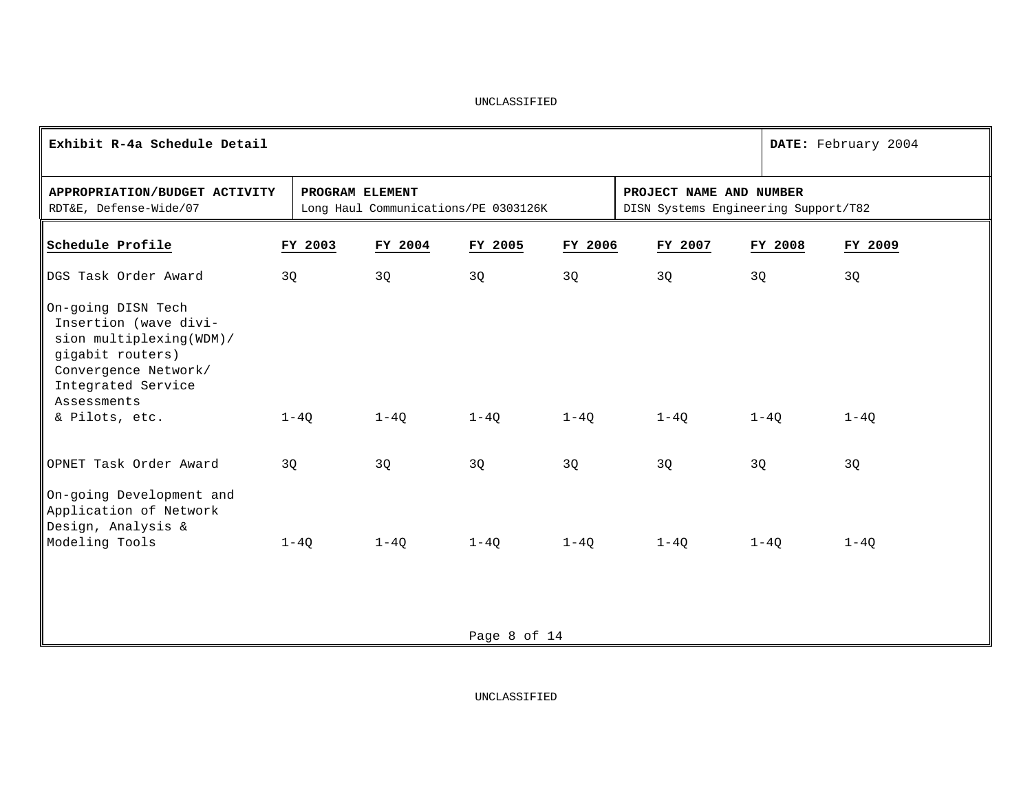| Exhibit R-4a Schedule Detail                                                                                                                            |                 |                                      |              |         |                                                                 |         | DATE: February 2004 |
|---------------------------------------------------------------------------------------------------------------------------------------------------------|-----------------|--------------------------------------|--------------|---------|-----------------------------------------------------------------|---------|---------------------|
| APPROPRIATION/BUDGET ACTIVITY<br>RDT&E, Defense-Wide/07                                                                                                 | PROGRAM ELEMENT | Long Haul Communications/PE 0303126K |              |         | PROJECT NAME AND NUMBER<br>DISN Systems Engineering Support/T82 |         |                     |
| Schedule Profile                                                                                                                                        | FY 2003         | FY 2004                              | FY 2005      | FY 2006 | FY 2007                                                         | FY 2008 | FY 2009             |
| DGS Task Order Award                                                                                                                                    | 3Q              | 3Q                                   | 3Q           | 3Q      | 3Q                                                              | 3Q      | 3Q                  |
| On-going DISN Tech<br>Insertion (wave divi-<br>sion multiplexing(WDM)/<br>gigabit routers)<br>Convergence Network/<br>Integrated Service<br>Assessments |                 |                                      |              |         |                                                                 |         |                     |
| & Pilots, etc.                                                                                                                                          | $1-4Q$          | $1-4Q$                               | $1-4Q$       | $1-4Q$  | $1-4Q$                                                          | $1-4Q$  | $1-4Q$              |
| OPNET Task Order Award                                                                                                                                  | 3Q              | 3Q                                   | 3Q           | 3Q      | 3Q                                                              | 3Q      | 3Q                  |
| On-going Development and<br>Application of Network<br>Design, Analysis &<br>Modeling Tools                                                              | $1-4Q$          | $1-4Q$                               | $1-4Q$       | $1-4Q$  | $1-4Q$                                                          | $1-4Q$  | $1-4Q$              |
|                                                                                                                                                         |                 |                                      |              |         |                                                                 |         |                     |
|                                                                                                                                                         |                 |                                      | Page 8 of 14 |         |                                                                 |         |                     |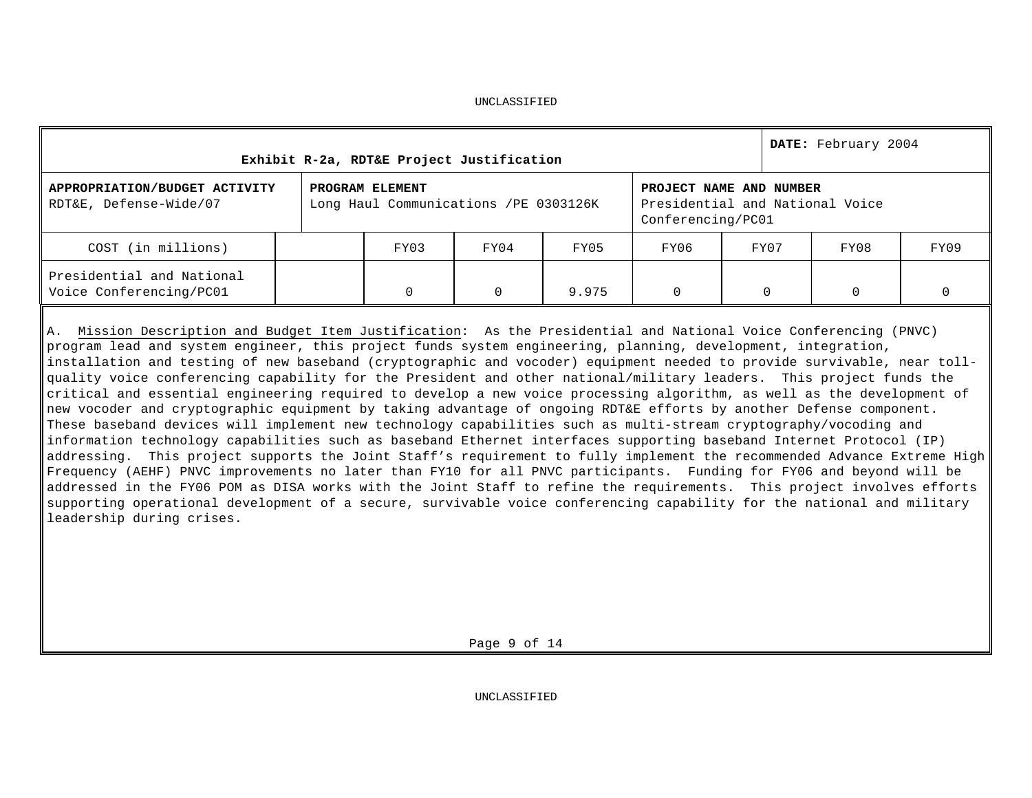|                                                         | Exhibit R-2a, RDT&E Project Justification                 |      |       |                   |                                                            | DATE: February 2004 |      |
|---------------------------------------------------------|-----------------------------------------------------------|------|-------|-------------------|------------------------------------------------------------|---------------------|------|
| APPROPRIATION/BUDGET ACTIVITY<br>RDT&E, Defense-Wide/07 | PROGRAM ELEMENT<br>Long Haul Communications / PE 0303126K |      |       | Conferencing/PC01 | PROJECT NAME AND NUMBER<br>Presidential and National Voice |                     |      |
| COST (in millions)                                      | FY03                                                      | FY04 | FY05  | FY06              | FY07                                                       | FY08                | FY09 |
| Presidential and National<br>Voice Conferencing/PC01    |                                                           | 0    | 9.975 |                   | $\Omega$                                                   | O                   |      |

A. Mission Description and Budget Item Justification: As the Presidential and National Voice Conferencing (PNVC) program lead and system engineer, this project funds system engineering, planning, development, integration, installation and testing of new baseband (cryptographic and vocoder) equipment needed to provide survivable, near tollquality voice conferencing capability for the President and other national/military leaders. This project funds the critical and essential engineering required to develop a new voice processing algorithm, as well as the development of new vocoder and cryptographic equipment by taking advantage of ongoing RDT&E efforts by another Defense component. These baseband devices will implement new technology capabilities such as multi-stream cryptography/vocoding and information technology capabilities such as baseband Ethernet interfaces supporting baseband Internet Protocol (IP) addressing. This project supports the Joint Staff's requirement to fully implement the recommended Advance Extreme High Frequency (AEHF) PNVC improvements no later than FY10 for all PNVC participants. Funding for FY06 and beyond will be addressed in the FY06 POM as DISA works with the Joint Staff to refine the requirements. This project involves efforts supporting operational development of a secure, survivable voice conferencing capability for the national and military leadership during crises.

Page 9 of 14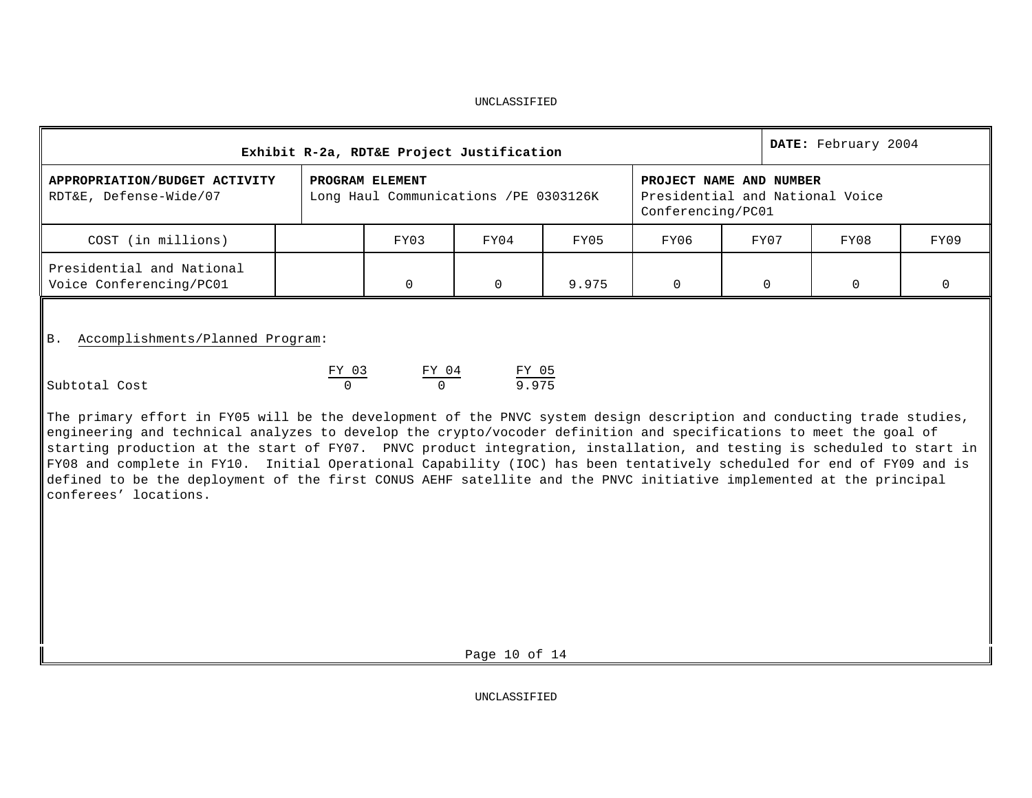|                                                         | Exhibit R-2a, RDT&E Project Justification                 |      |       |                   |                                                            | DATE: February 2004 |      |
|---------------------------------------------------------|-----------------------------------------------------------|------|-------|-------------------|------------------------------------------------------------|---------------------|------|
| APPROPRIATION/BUDGET ACTIVITY<br>RDT&E, Defense-Wide/07 | PROGRAM ELEMENT<br>Long Haul Communications / PE 0303126K |      |       | Conferencing/PC01 | PROJECT NAME AND NUMBER<br>Presidential and National Voice |                     |      |
| COST (in millions)                                      | FY03                                                      | FY04 | FY05  | FY06              | FY07                                                       | FY08                | FY09 |
| Presidential and National<br>Voice Conferencing/PC01    |                                                           | 0    | 9.975 | U                 |                                                            | $\Omega$            |      |

B. Accomplishments/Planned Program:

|               | FY 03 | FY 04 | FY 05 |
|---------------|-------|-------|-------|
| Subtotal Cost |       |       | 9.975 |

The primary effort in FY05 will be the development of the PNVC system design description and conducting trade studies, engineering and technical analyzes to develop the crypto/vocoder definition and specifications to meet the goal of starting production at the start of FY07. PNVC product integration, installation, and testing is scheduled to start in FY08 and complete in FY10. Initial Operational Capability (IOC) has been tentatively scheduled for end of FY09 and is defined to be the deployment of the first CONUS AEHF satellite and the PNVC initiative implemented at the principal conferees' locations.

Page 10 of 14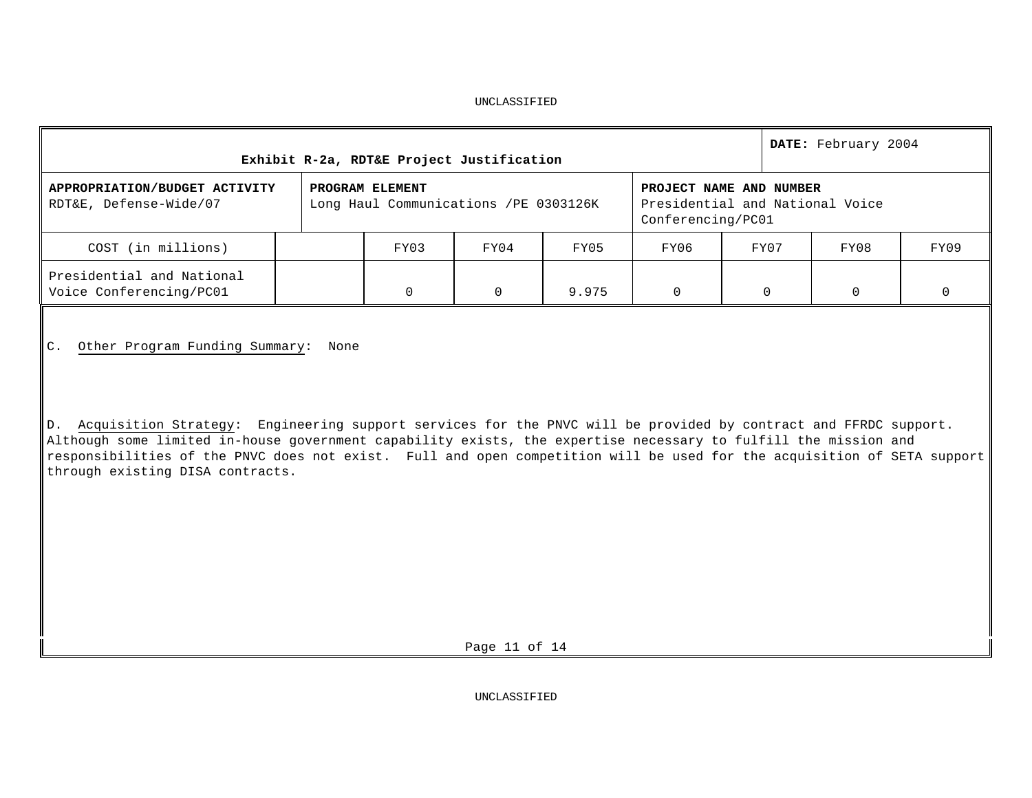|                                                         | Exhibit R-2a, RDT&E Project Justification                 |      |       |                   |                                                            | DATE: February 2004 |      |
|---------------------------------------------------------|-----------------------------------------------------------|------|-------|-------------------|------------------------------------------------------------|---------------------|------|
| APPROPRIATION/BUDGET ACTIVITY<br>RDT&E, Defense-Wide/07 | PROGRAM ELEMENT<br>Long Haul Communications / PE 0303126K |      |       | Conferencing/PC01 | PROJECT NAME AND NUMBER<br>Presidential and National Voice |                     |      |
| COST (in millions)                                      | FY03                                                      | FY04 | FY05  | FY06              | FY07                                                       | FY08                | FY09 |
| Presidential and National<br>Voice Conferencing/PC01    |                                                           |      | 9.975 |                   |                                                            |                     |      |

C. Other Program Funding Summary: None

D. Acquisition Strategy: Engineering support services for the PNVC will be provided by contract and FFRDC support. Although some limited in-house government capability exists, the expertise necessary to fulfill the mission and responsibilities of the PNVC does not exist. Full and open competition will be used for the acquisition of SETA support through existing DISA contracts.

Page 11 of 14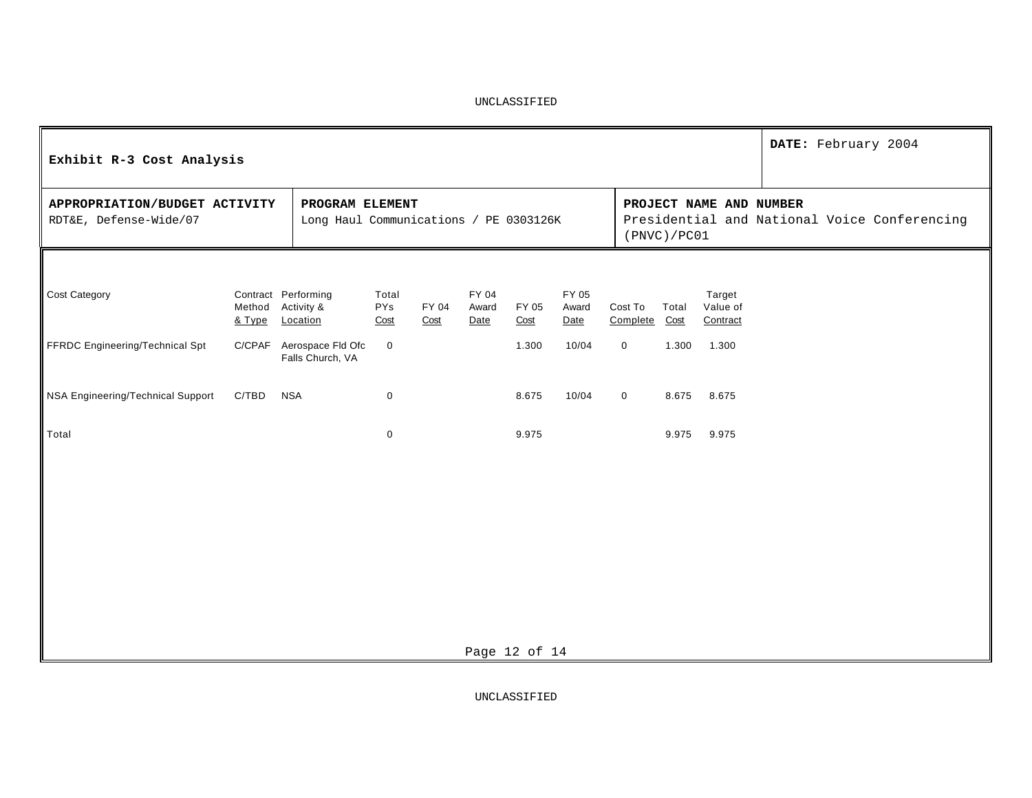| Exhibit R-3 Cost Analysis                               |                  |                                                           |                             |               |                        |               |                        |                          |             |                                | DATE: February 2004                          |
|---------------------------------------------------------|------------------|-----------------------------------------------------------|-----------------------------|---------------|------------------------|---------------|------------------------|--------------------------|-------------|--------------------------------|----------------------------------------------|
| APPROPRIATION/BUDGET ACTIVITY<br>RDT&E, Defense-Wide/07 |                  | PROGRAM ELEMENT<br>Long Haul Communications / PE 0303126K |                             |               |                        |               |                        |                          | (PNVC)/PC01 | PROJECT NAME AND NUMBER        | Presidential and National Voice Conferencing |
| Cost Category                                           | Method<br>& Type | Contract Performing<br>Activity &<br>Location             | Total<br><b>PYs</b><br>Cost | FY 04<br>Cost | FY 04<br>Award<br>Date | FY 05<br>Cost | FY 05<br>Award<br>Date | Cost To<br>Complete Cost | Total       | Target<br>Value of<br>Contract |                                              |
| FFRDC Engineering/Technical Spt                         | C/CPAF           | Aerospace Fld Ofc<br>Falls Church, VA                     | $\overline{0}$              |               |                        | 1.300         | 10/04                  | $\mathbf 0$              | 1.300       | 1.300                          |                                              |
| NSA Engineering/Technical Support                       | C/TBD            | <b>NSA</b>                                                | $\mathbf 0$                 |               |                        | 8.675         | 10/04                  | $\mathbf 0$              | 8.675       | 8.675                          |                                              |
| Total                                                   |                  |                                                           | $\mathbf 0$                 |               |                        | 9.975         |                        |                          | 9.975       | 9.975                          |                                              |
|                                                         |                  |                                                           |                             |               |                        |               |                        |                          |             |                                |                                              |
|                                                         |                  |                                                           |                             |               |                        |               |                        |                          |             |                                |                                              |
|                                                         |                  |                                                           |                             |               |                        |               |                        |                          |             |                                |                                              |
|                                                         |                  |                                                           |                             |               |                        |               |                        |                          |             |                                |                                              |
|                                                         |                  |                                                           |                             |               |                        |               |                        |                          |             |                                |                                              |
|                                                         |                  |                                                           |                             |               |                        | Page 12 of 14 |                        |                          |             |                                |                                              |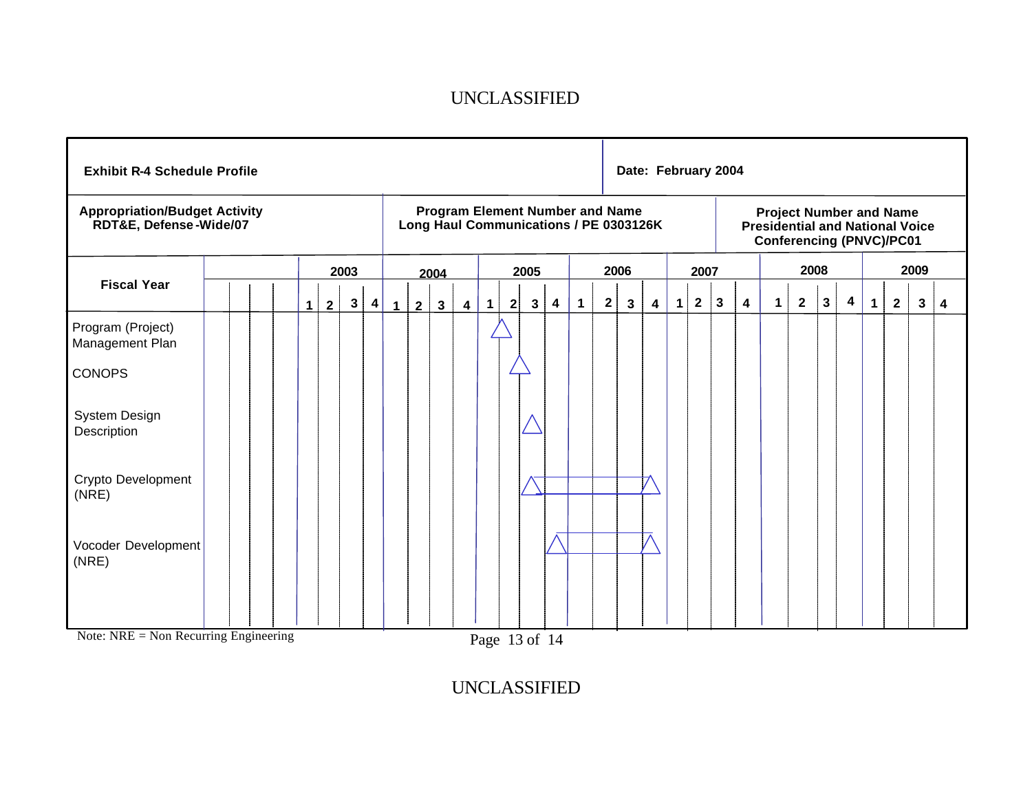|                                                                | <b>Exhibit R-4 Schedule Profile</b> |  |  |  |             |                |              |           |              |                                                                                  |              |                         |             | Date: February 2004 |                    |   |             |              |      |   |   |                                                                                                             |   |                         |              |                |              |                         |             |                |      |                         |
|----------------------------------------------------------------|-------------------------------------|--|--|--|-------------|----------------|--------------|-----------|--------------|----------------------------------------------------------------------------------|--------------|-------------------------|-------------|---------------------|--------------------|---|-------------|--------------|------|---|---|-------------------------------------------------------------------------------------------------------------|---|-------------------------|--------------|----------------|--------------|-------------------------|-------------|----------------|------|-------------------------|
| <b>Appropriation/Budget Activity</b><br>RDT&E, Defense-Wide/07 |                                     |  |  |  |             |                |              |           |              | <b>Program Element Number and Name</b><br>Long Haul Communications / PE 0303126K |              |                         |             |                     |                    |   |             |              |      |   |   | <b>Project Number and Name</b><br><b>Presidential and National Voice</b><br><b>Conferencing (PNVC)/PC01</b> |   |                         |              |                |              |                         |             |                |      |                         |
|                                                                |                                     |  |  |  |             |                | 2003         |           |              |                                                                                  | 2004         |                         |             |                     | 2005               |   |             |              | 2006 |   |   | 2007                                                                                                        |   |                         |              |                | 2008         |                         |             |                | 2009 |                         |
| <b>Fiscal Year</b>                                             |                                     |  |  |  | $\mathbf 1$ | $\overline{2}$ | $\mathbf{3}$ | $\vert$ 4 | $\mathbf{1}$ | $\mathbf{2}$                                                                     | $\mathbf{3}$ | $\overline{\mathbf{4}}$ | $\mathbf 1$ |                     | 2 <br>$\mathbf{3}$ | 4 | $\mathbf 1$ | $\mathbf{2}$ | 3    | 4 | 1 | $\mathbf 2$                                                                                                 | 3 | $\overline{\mathbf{4}}$ | $\mathbf{1}$ | $\overline{2}$ | $\mathbf{3}$ | $\overline{\mathbf{4}}$ | $\mathbf 1$ | $\overline{2}$ | 3    | $\overline{\mathbf{4}}$ |
| Program (Project)<br>Management Plan                           |                                     |  |  |  |             |                |              |           |              |                                                                                  |              |                         |             |                     |                    |   |             |              |      |   |   |                                                                                                             |   |                         |              |                |              |                         |             |                |      |                         |
| <b>CONOPS</b>                                                  |                                     |  |  |  |             |                |              |           |              |                                                                                  |              |                         |             |                     |                    |   |             |              |      |   |   |                                                                                                             |   |                         |              |                |              |                         |             |                |      |                         |
| System Design<br>Description                                   |                                     |  |  |  |             |                |              |           |              |                                                                                  |              |                         |             |                     |                    |   |             |              |      |   |   |                                                                                                             |   |                         |              |                |              |                         |             |                |      |                         |
| Crypto Development<br>(NRE)                                    |                                     |  |  |  |             |                |              |           |              |                                                                                  |              |                         |             |                     |                    |   |             |              |      |   |   |                                                                                                             |   |                         |              |                |              |                         |             |                |      |                         |
| Vocoder Development<br>(NRE)                                   |                                     |  |  |  |             |                |              |           |              |                                                                                  |              |                         |             |                     |                    |   |             |              |      |   |   |                                                                                                             |   |                         |              |                |              |                         |             |                |      |                         |
|                                                                |                                     |  |  |  |             |                |              |           |              |                                                                                  |              |                         |             |                     |                    |   |             |              |      |   |   |                                                                                                             |   |                         |              |                |              |                         |             |                |      |                         |

Note: NRE = Non Recurring Engineering

Page 13 of 14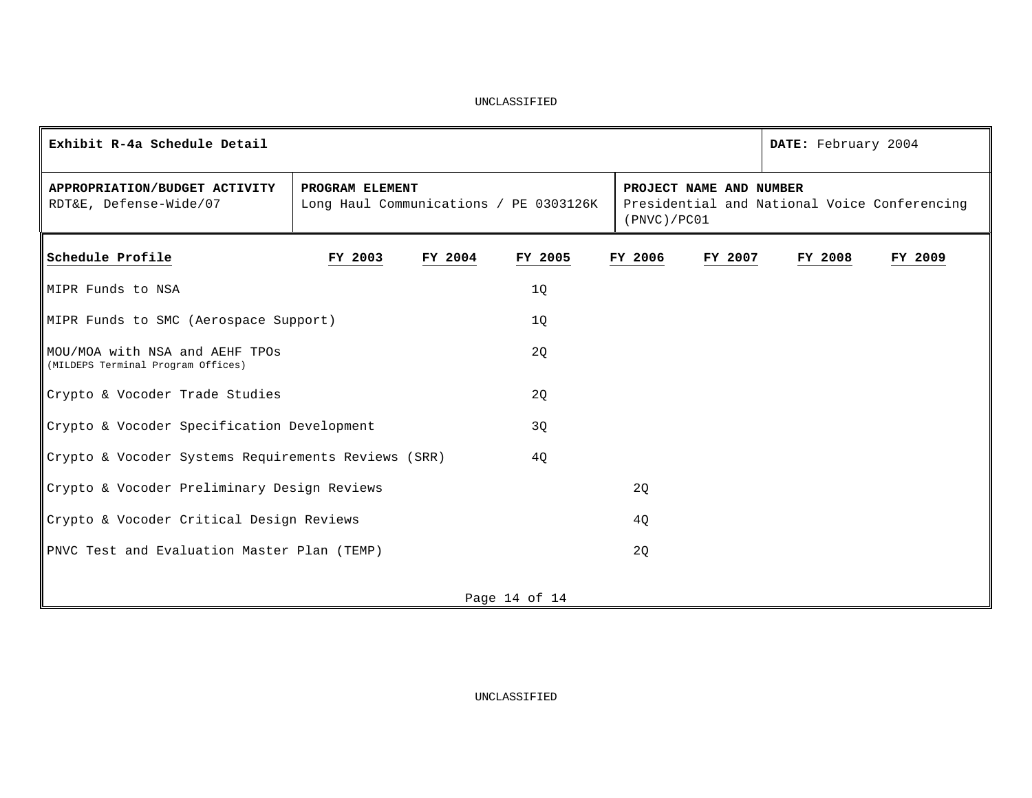| Exhibit R-4a Schedule Detail                                         |                                                           |         |                 |         |                                        |         | DATE: February 2004                          |         |
|----------------------------------------------------------------------|-----------------------------------------------------------|---------|-----------------|---------|----------------------------------------|---------|----------------------------------------------|---------|
| APPROPRIATION/BUDGET ACTIVITY<br>RDT&E, Defense-Wide/07              | PROGRAM ELEMENT<br>Long Haul Communications / PE 0303126K |         |                 |         | PROJECT NAME AND NUMBER<br>(PNVC)/PC01 |         | Presidential and National Voice Conferencing |         |
| Schedule Profile                                                     | FY 2003                                                   | FY 2004 | FY 2005         | FY 2006 |                                        | FY 2007 | FY 2008                                      | FY 2009 |
| MIPR Funds to NSA                                                    |                                                           |         | 10 <sup>°</sup> |         |                                        |         |                                              |         |
| MIPR Funds to SMC (Aerospace Support)                                |                                                           |         | 10 <sup>°</sup> |         |                                        |         |                                              |         |
| MOU/MOA with NSA and AEHF TPOs<br>(MILDEPS Terminal Program Offices) |                                                           |         | 2Q              |         |                                        |         |                                              |         |
| Crypto & Vocoder Trade Studies                                       |                                                           |         | 2Q              |         |                                        |         |                                              |         |
| Crypto & Vocoder Specification Development                           |                                                           |         | 3Q              |         |                                        |         |                                              |         |
| Crypto & Vocoder Systems Requirements Reviews (SRR)                  |                                                           |         | 40              |         |                                        |         |                                              |         |
| Crypto & Vocoder Preliminary Design Reviews                          |                                                           |         |                 | 20      |                                        |         |                                              |         |
| Crypto & Vocoder Critical Design Reviews                             |                                                           |         |                 | 4Q      |                                        |         |                                              |         |
| PNVC Test and Evaluation Master Plan (TEMP)                          |                                                           |         |                 | 2Q      |                                        |         |                                              |         |
|                                                                      |                                                           |         | Page 14 of 14   |         |                                        |         |                                              |         |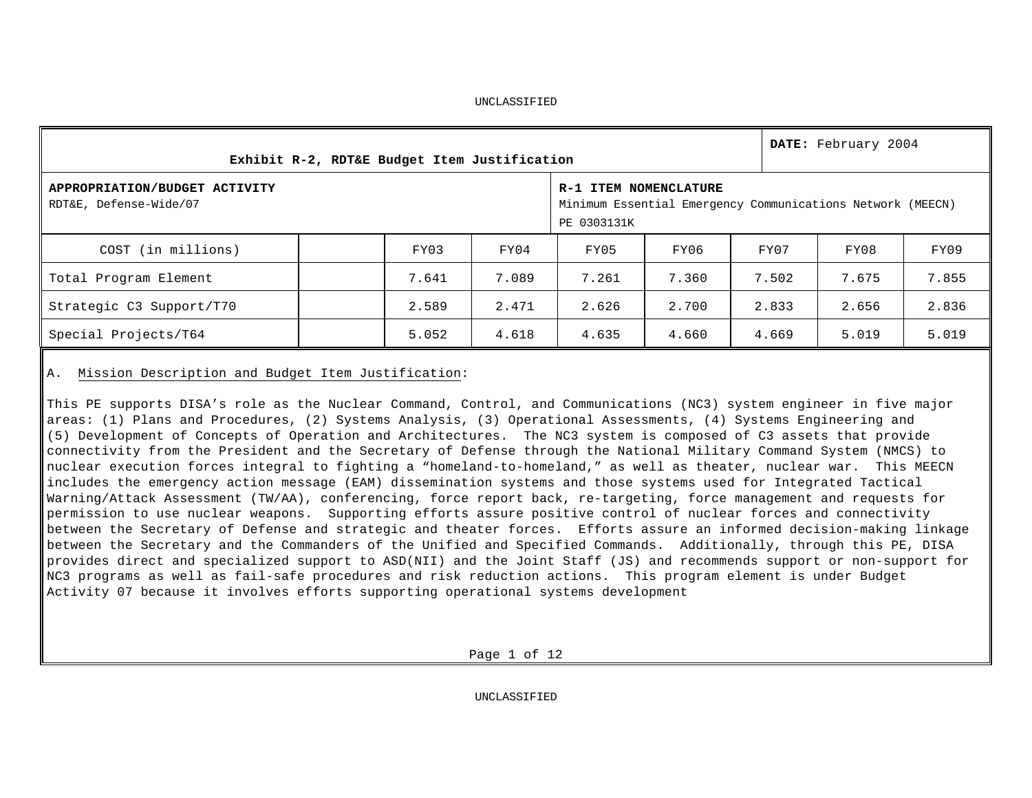|                                                         | Exhibit R-2, RDT&E Budget Item Justification |       |                                                                                                    |       |       |       |       |  |  |  |  |  |  |
|---------------------------------------------------------|----------------------------------------------|-------|----------------------------------------------------------------------------------------------------|-------|-------|-------|-------|--|--|--|--|--|--|
| APPROPRIATION/BUDGET ACTIVITY<br>RDT&E, Defense-Wide/07 |                                              |       | R-1 ITEM NOMENCLATURE<br>Minimum Essential Emergency Communications Network (MEECN)<br>PE 0303131K |       |       |       |       |  |  |  |  |  |  |
| COST (in millions)                                      | FY03                                         | FY04  | FY05                                                                                               | FY06  | FY07  | FY08  | FY09  |  |  |  |  |  |  |
| Total Program Element                                   | 7.641                                        | 7.089 | 7.261                                                                                              | 7.360 | 7.502 | 7.675 | 7.855 |  |  |  |  |  |  |
| Strategic C3 Support/T70                                | 2.589                                        | 2.471 | 2.626                                                                                              | 2.700 | 2.833 | 2.656 | 2.836 |  |  |  |  |  |  |
| Special Projects/T64                                    | 5.052                                        | 4.618 | 4.635                                                                                              | 4.660 | 4.669 | 5.019 | 5.019 |  |  |  |  |  |  |

### A. Mission Description and Budget Item Justification:

This PE supports DISA's role as the Nuclear Command, Control, and Communications (NC3) system engineer in five major areas: (1) Plans and Procedures, (2) Systems Analysis, (3) Operational Assessments, (4) Systems Engineering and (5) Development of Concepts of Operation and Architectures. The NC3 system is composed of C3 assets that provide connectivity from the President and the Secretary of Defense through the National Military Command System (NMCS) to nuclear execution forces integral to fighting a "homeland-to-homeland," as well as theater, nuclear war. This MEECN includes the emergency action message (EAM) dissemination systems and those systems used for Integrated Tactical Warning/Attack Assessment (TW/AA), conferencing, force report back, re-targeting, force management and requests for permission to use nuclear weapons. Supporting efforts assure positive control of nuclear forces and connectivity between the Secretary of Defense and strategic and theater forces. Efforts assure an informed decision-making linkage between the Secretary and the Commanders of the Unified and Specified Commands. Additionally, through this PE, DISA provides direct and specialized support to ASD(NII) and the Joint Staff (JS) and recommends support or non-support for NC3 programs as well as fail-safe procedures and risk reduction actions. This program element is under Budget Activity 07 because it involves efforts supporting operational systems development

Page 1 of 12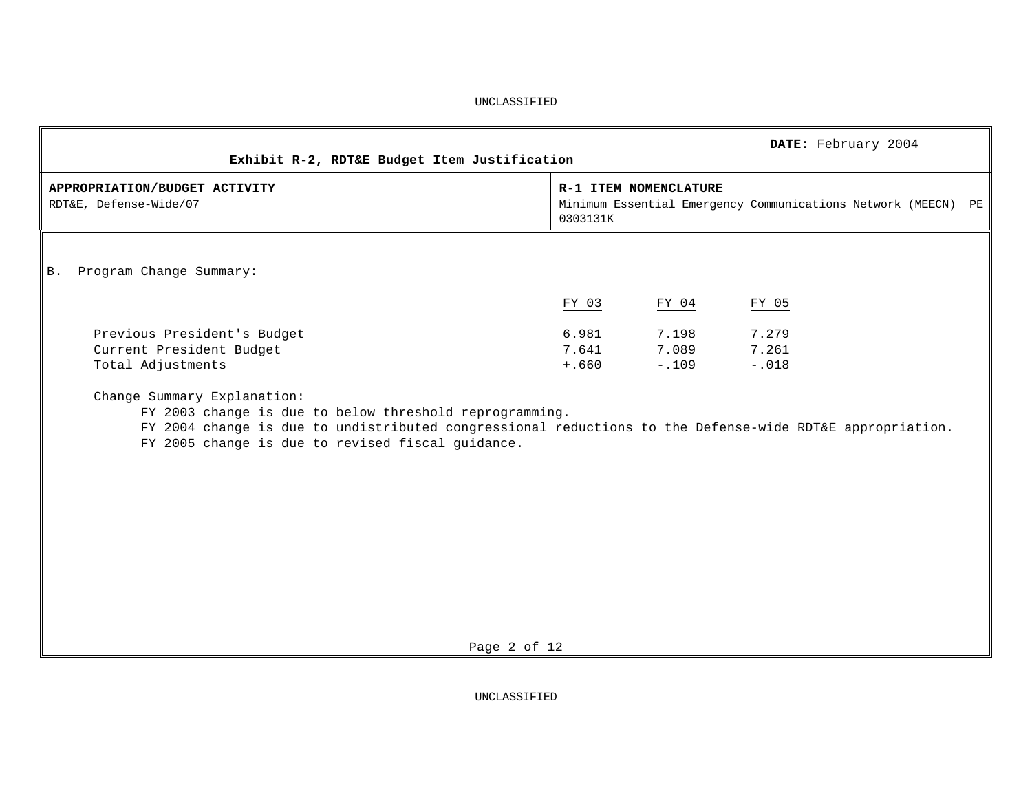|                                                                                                                                                                                                                                                                                                                                         |                           |                           | DATE: February 2004                                           |  |
|-----------------------------------------------------------------------------------------------------------------------------------------------------------------------------------------------------------------------------------------------------------------------------------------------------------------------------------------|---------------------------|---------------------------|---------------------------------------------------------------|--|
| Exhibit R-2, RDT&E Budget Item Justification                                                                                                                                                                                                                                                                                            |                           |                           |                                                               |  |
| APPROPRIATION/BUDGET ACTIVITY<br>RDT&E, Defense-Wide/07                                                                                                                                                                                                                                                                                 | 0303131K                  | R-1 ITEM NOMENCLATURE     | Minimum Essential Emergency Communications Network (MEECN) PE |  |
| Program Change Summary:<br><b>B</b> .                                                                                                                                                                                                                                                                                                   |                           |                           |                                                               |  |
|                                                                                                                                                                                                                                                                                                                                         | FY 03                     | FY 04                     | FY 05                                                         |  |
| Previous President's Budget<br>Current President Budget<br>Total Adjustments<br>Change Summary Explanation:<br>FY 2003 change is due to below threshold reprogramming.<br>FY 2004 change is due to undistributed congressional reductions to the Defense-wide RDT&E appropriation.<br>FY 2005 change is due to revised fiscal guidance. | 6.981<br>7.641<br>$+.660$ | 7.198<br>7.089<br>$-.109$ | 7.279<br>7.261<br>$-.018$                                     |  |
| Page 2 of 12                                                                                                                                                                                                                                                                                                                            |                           |                           |                                                               |  |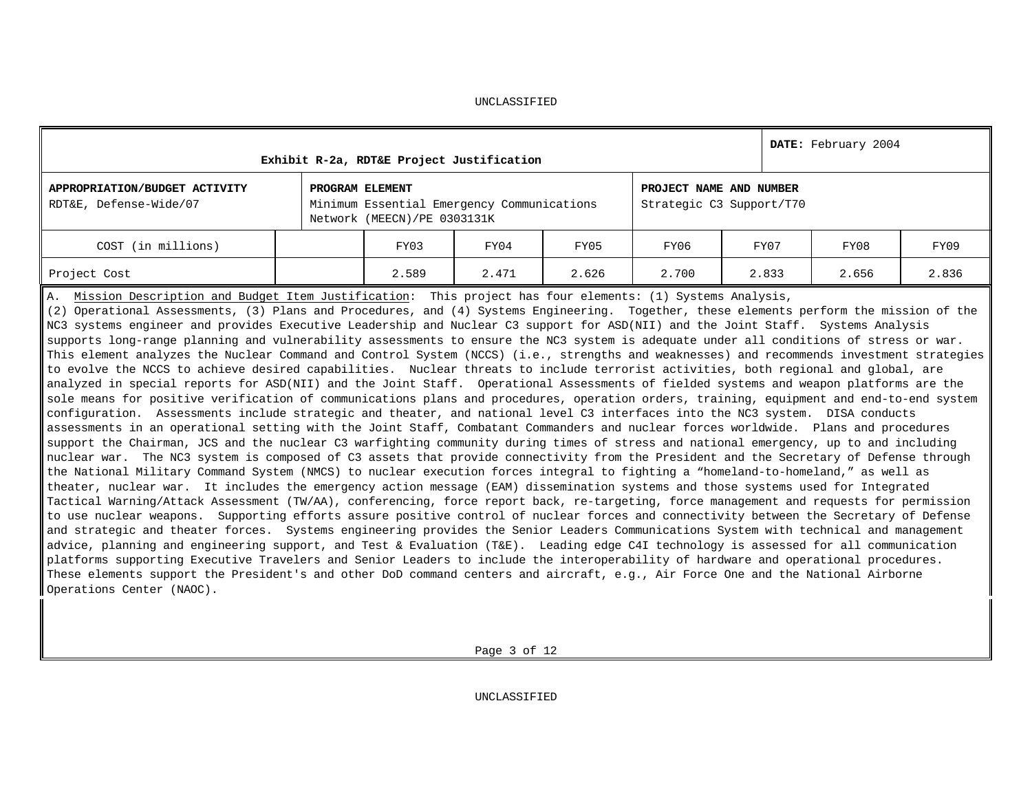| Exhibit R-2a, RDT&E Project Justification                                                                                                                                                                                                                                                                                                                                                                                                                                                                                                                                                                                                                                                                                                                                                                                            |                 | DATE: February 2004                                                       |                                                     |       |       |       |       |       |  |  |  |  |
|--------------------------------------------------------------------------------------------------------------------------------------------------------------------------------------------------------------------------------------------------------------------------------------------------------------------------------------------------------------------------------------------------------------------------------------------------------------------------------------------------------------------------------------------------------------------------------------------------------------------------------------------------------------------------------------------------------------------------------------------------------------------------------------------------------------------------------------|-----------------|---------------------------------------------------------------------------|-----------------------------------------------------|-------|-------|-------|-------|-------|--|--|--|--|
| APPROPRIATION/BUDGET ACTIVITY<br>RDT&E, Defense-Wide/07                                                                                                                                                                                                                                                                                                                                                                                                                                                                                                                                                                                                                                                                                                                                                                              | PROGRAM ELEMENT | Minimum Essential Emergency Communications<br>Network (MEECN)/PE 0303131K | PROJECT NAME AND NUMBER<br>Strategic C3 Support/T70 |       |       |       |       |       |  |  |  |  |
| COST (in millions)                                                                                                                                                                                                                                                                                                                                                                                                                                                                                                                                                                                                                                                                                                                                                                                                                   |                 | FY03                                                                      | FY04                                                | FY05  | FY06  | FY07  | FY08  | FY09  |  |  |  |  |
| Project Cost                                                                                                                                                                                                                                                                                                                                                                                                                                                                                                                                                                                                                                                                                                                                                                                                                         |                 | 2.589                                                                     | 2.471                                               | 2.626 | 2.700 | 2.833 | 2.656 | 2.836 |  |  |  |  |
| A. Mission Description and Budget Item Justification: This project has four elements: (1) Systems Analysis,<br>(2) Operational Assessments, (3) Plans and Procedures, and (4) Systems Engineering. Together, these elements perform the mission of the<br>NC3 systems engineer and provides Executive Leadership and Nuclear C3 support for ASD(NII) and the Joint Staff. Systems Analysis<br>supports long-range planning and vulnerability assessments to ensure the NC3 system is adequate under all conditions of stress or war.<br>This element analyzes the Nuclear Command and Control System (NCCS) (i.e., strengths and weaknesses) and recommends investment strategies<br>$\parallel$ to evolve the NCCS to achieve desired capabilities.  Nuclear threats to include terrorist activities, both regional and global, are |                 |                                                                           |                                                     |       |       |       |       |       |  |  |  |  |

analyzed in special reports for ASD(NII) and the Joint Staff. Operational Assessments of fielded systems and weapon platforms are the sole means for positive verification of communications plans and procedures, operation orders, training, equipment and end-to-end system configuration. Assessments include strategic and theater, and national level C3 interfaces into the NC3 system. DISA conducts assessments in an operational setting with the Joint Staff, Combatant Commanders and nuclear forces worldwide. Plans and procedures support the Chairman, JCS and the nuclear C3 warfighting community during times of stress and national emergency, up to and including nuclear war. The NC3 system is composed of C3 assets that provide connectivity from the President and the Secretary of Defense through the National Military Command System (NMCS) to nuclear execution forces integral to fighting a "homeland-to-homeland," as well as theater, nuclear war. It includes the emergency action message (EAM) dissemination systems and those systems used for Integrated Tactical Warning/Attack Assessment (TW/AA), conferencing, force report back, re-targeting, force management and requests for permission to use nuclear weapons. Supporting efforts assure positive control of nuclear forces and connectivity between the Secretary of Defense and strategic and theater forces. Systems engineering provides the Senior Leaders Communications System with technical and management advice, planning and engineering support, and Test & Evaluation (T&E). Leading edge C4I technology is assessed for all communication platforms supporting Executive Travelers and Senior Leaders to include the interoperability of hardware and operational procedures. These elements support the President's and other DoD command centers and aircraft, e.g., Air Force One and the National Airborne Operations Center (NAOC).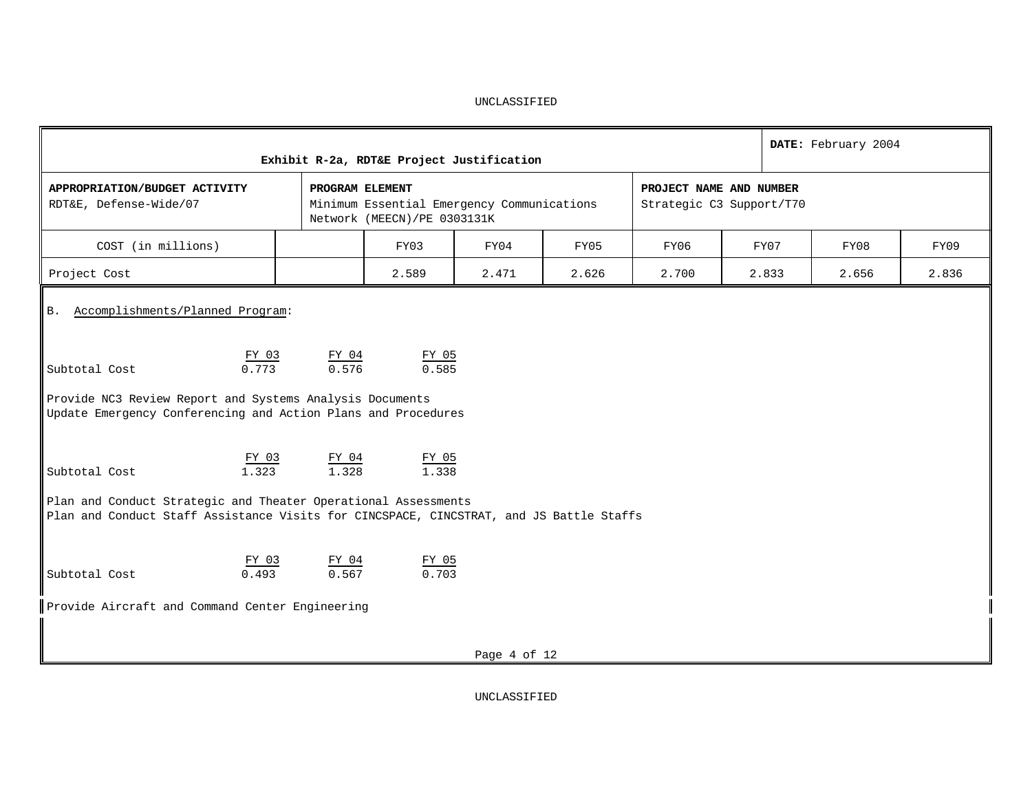| Exhibit R-2a, RDT&E Project Justification                                                                                                                 | DATE: February 2004 |                                                                           |                         |                          |       |  |       |       |       |  |  |  |  |
|-----------------------------------------------------------------------------------------------------------------------------------------------------------|---------------------|---------------------------------------------------------------------------|-------------------------|--------------------------|-------|--|-------|-------|-------|--|--|--|--|
| APPROPRIATION/BUDGET ACTIVITY<br>RDT&E, Defense-Wide/07                                                                                                   | PROGRAM ELEMENT     | Minimum Essential Emergency Communications<br>Network (MEECN)/PE 0303131K | PROJECT NAME AND NUMBER | Strategic C3 Support/T70 |       |  |       |       |       |  |  |  |  |
| COST (in millions)                                                                                                                                        |                     | FY03                                                                      | FY04                    | FY05                     | FY06  |  | FY07  | FY08  | FY09  |  |  |  |  |
| Project Cost                                                                                                                                              |                     | 2.589                                                                     | 2.471                   | 2.626                    | 2.700 |  | 2.833 | 2.656 | 2.836 |  |  |  |  |
| Accomplishments/Planned Program:<br><b>B.</b>                                                                                                             |                     |                                                                           |                         |                          |       |  |       |       |       |  |  |  |  |
| FY 03<br>0.773<br>Subtotal Cost                                                                                                                           | $rac{FY_04}{0.576}$ | FY 05<br>0.585                                                            |                         |                          |       |  |       |       |       |  |  |  |  |
| Provide NC3 Review Report and Systems Analysis Documents<br>Update Emergency Conferencing and Action Plans and Procedures                                 |                     |                                                                           |                         |                          |       |  |       |       |       |  |  |  |  |
| FY 03<br>1.323<br>Subtotal Cost                                                                                                                           | FY 04<br>1.328      | FY 05<br>1.338                                                            |                         |                          |       |  |       |       |       |  |  |  |  |
| Plan and Conduct Strategic and Theater Operational Assessments<br>Plan and Conduct Staff Assistance Visits for CINCSPACE, CINCSTRAT, and JS Battle Staffs |                     |                                                                           |                         |                          |       |  |       |       |       |  |  |  |  |
| FY 03<br>0.493<br>Subtotal Cost                                                                                                                           | FY 04<br>0.567      | FY 05<br>0.703                                                            |                         |                          |       |  |       |       |       |  |  |  |  |
| Provide Aircraft and Command Center Engineering                                                                                                           |                     |                                                                           |                         |                          |       |  |       |       |       |  |  |  |  |
|                                                                                                                                                           |                     |                                                                           | Page 4 of 12            |                          |       |  |       |       |       |  |  |  |  |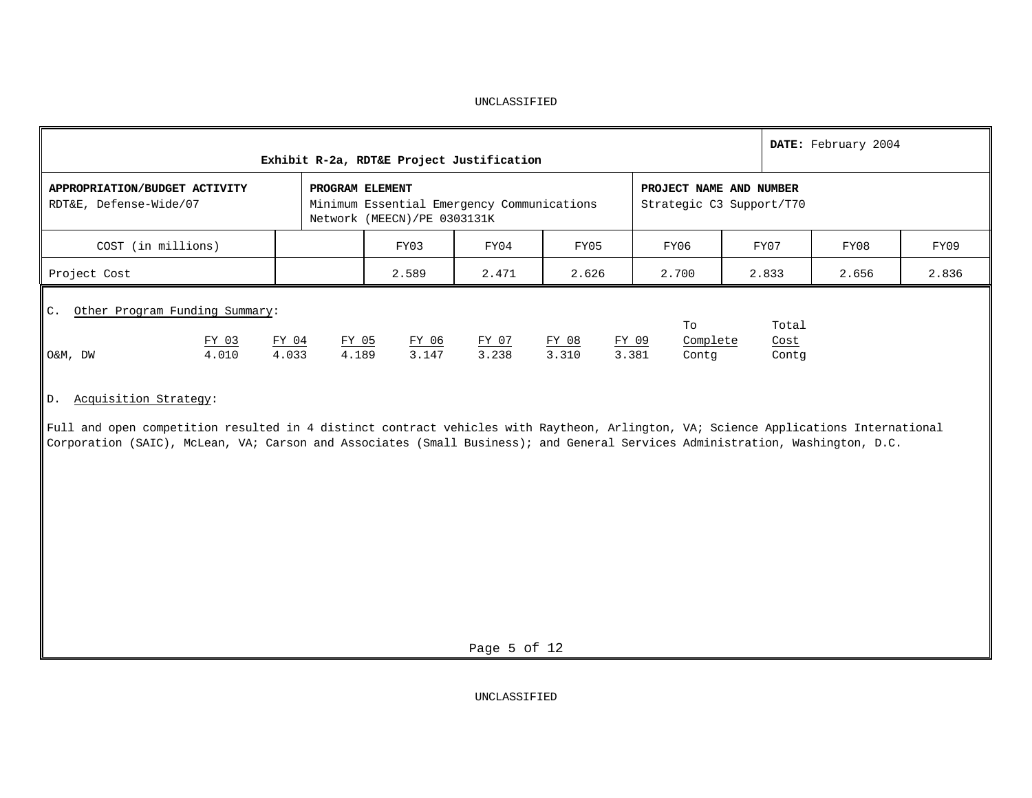|                                                                                                                                                                                                                                                 |  | DATE: February 2004 |                                                                                              |                                                     |       |       |       |       |       |  |  |
|-------------------------------------------------------------------------------------------------------------------------------------------------------------------------------------------------------------------------------------------------|--|---------------------|----------------------------------------------------------------------------------------------|-----------------------------------------------------|-------|-------|-------|-------|-------|--|--|
| APPROPRIATION/BUDGET ACTIVITY<br>RDT&E, Defense-Wide/07                                                                                                                                                                                         |  |                     | PROGRAM ELEMENT<br>Minimum Essential Emergency Communications<br>Network (MEECN)/PE 0303131K | PROJECT NAME AND NUMBER<br>Strategic C3 Support/T70 |       |       |       |       |       |  |  |
| COST (in millions)                                                                                                                                                                                                                              |  |                     | FY03                                                                                         | FY04                                                | FY05  | FY06  | FY07  | FY08  | FY09  |  |  |
| Project Cost                                                                                                                                                                                                                                    |  |                     | 2.589                                                                                        | 2.471                                               | 2.626 | 2.700 | 2.833 | 2.656 | 2.836 |  |  |
| Other Program Funding Summary:<br>$\mathsf{IC}$ .<br>Total<br>To<br>FY 03<br>Complete<br>FY 04<br>FY 05<br>FY 06<br>FY 07<br>FY 08<br>FY 09<br>Cost<br>3.147<br>3.238<br>4.010<br>4.033<br>4.189<br>3.310<br>3.381<br>O&M, DW<br>Contg<br>Contg |  |                     |                                                                                              |                                                     |       |       |       |       |       |  |  |

## D. Acquisition Strategy:

Full and open competition resulted in 4 distinct contract vehicles with Raytheon, Arlington, VA; Science Applications International Corporation (SAIC), McLean, VA; Carson and Associates (Small Business); and General Services Administration, Washington, D.C.

Page 5 of 12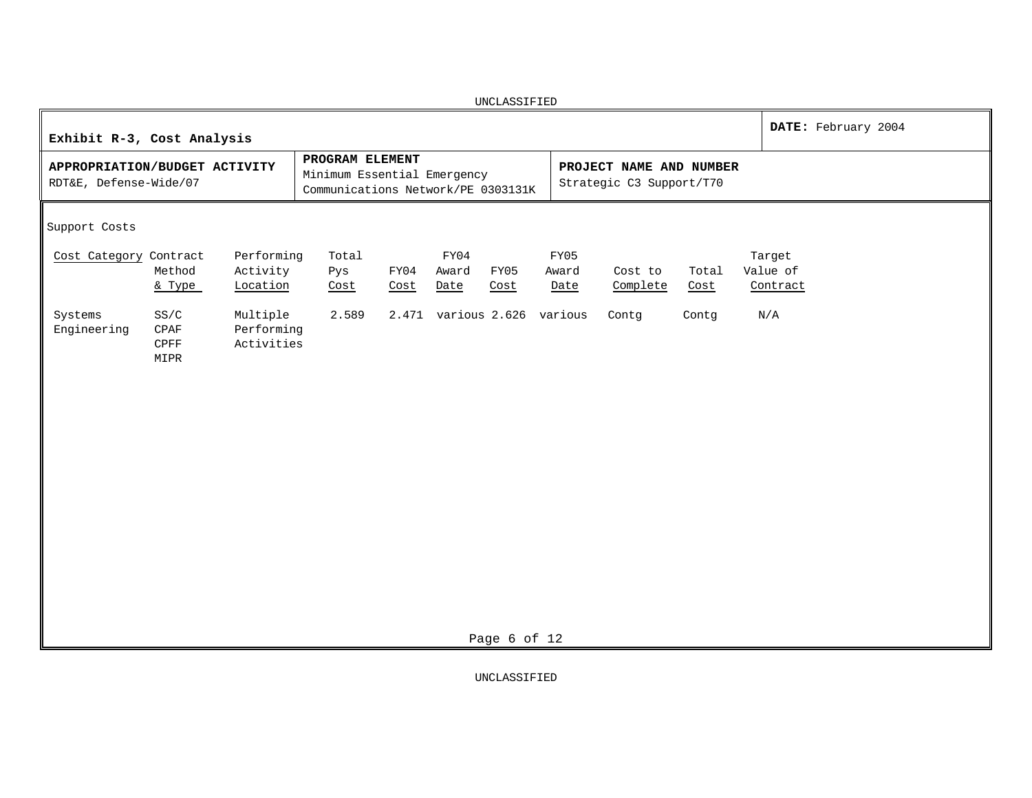| UNCLASSIFIED                                                                                              |                                                                                      |                                       |                                                     |               |                                |  |  |  |  |  |  |  |
|-----------------------------------------------------------------------------------------------------------|--------------------------------------------------------------------------------------|---------------------------------------|-----------------------------------------------------|---------------|--------------------------------|--|--|--|--|--|--|--|
| Exhibit R-3, Cost Analysis                                                                                | DATE: February 2004                                                                  |                                       |                                                     |               |                                |  |  |  |  |  |  |  |
| APPROPRIATION/BUDGET ACTIVITY<br>RDT&E, Defense-Wide/07                                                   | PROGRAM ELEMENT<br>Minimum Essential Emergency<br>Communications Network/PE 0303131K |                                       | PROJECT NAME AND NUMBER<br>Strategic C3 Support/T70 |               |                                |  |  |  |  |  |  |  |
| Support Costs                                                                                             |                                                                                      |                                       |                                                     |               |                                |  |  |  |  |  |  |  |
| Cost Category Contract<br>Performing<br>Method<br>Activity<br>Location<br>& Type                          | Total<br>Pys<br>FY04<br>Cost<br>Cost                                                 | FY04<br>Award<br>FY05<br>Cost<br>Date | FY05<br>Award<br>Cost to<br>Complete<br>Date        | Total<br>Cost | Target<br>Value of<br>Contract |  |  |  |  |  |  |  |
| Systems<br>SS/C<br>Multiple<br>Engineering<br>Performing<br>CPAF<br>Activities<br>$\mathsf{CPFF}$<br>MIPR | 2.589                                                                                | 2.471 various 2.626 various           | Contg                                               | Contg         | N/A                            |  |  |  |  |  |  |  |
|                                                                                                           |                                                                                      | Page 6 of 12                          |                                                     |               |                                |  |  |  |  |  |  |  |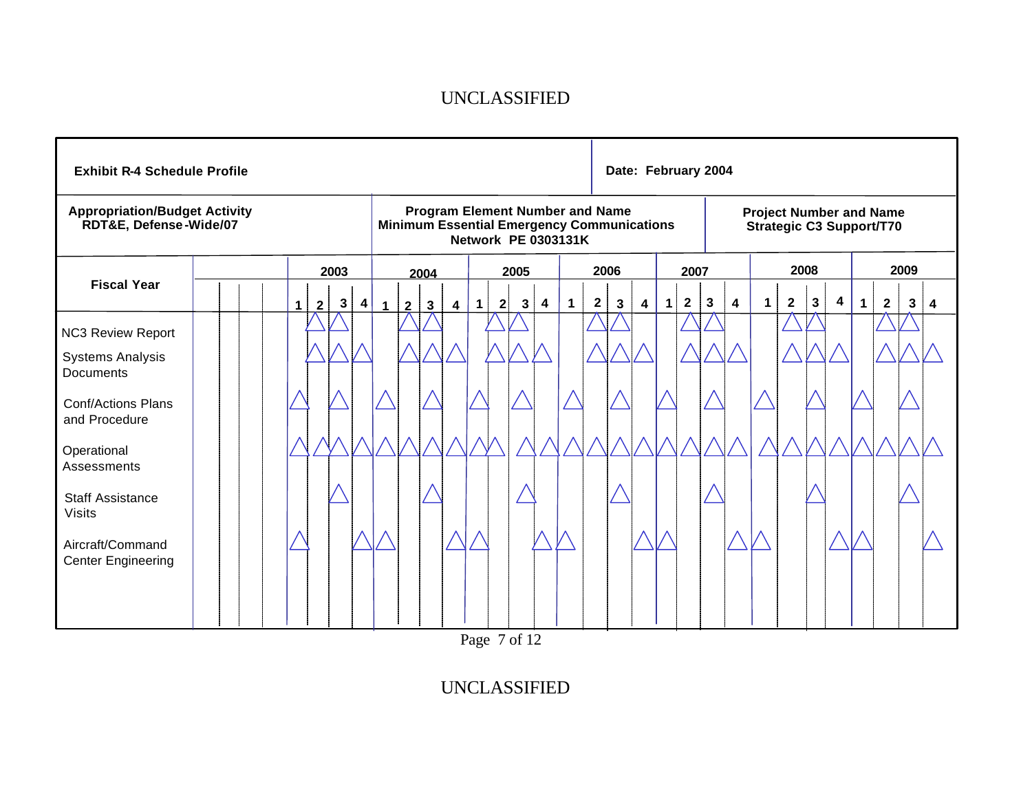| <b>Exhibit R-4 Schedule Profile</b>                                                                                                                                                         |  |  |  |  |                |      |   |             |                | Date: February 2004                                               |   |             |              |   |   |             |             |              |   |              |              |   |                         |             |                |              |      |              |              |              |   |
|---------------------------------------------------------------------------------------------------------------------------------------------------------------------------------------------|--|--|--|--|----------------|------|---|-------------|----------------|-------------------------------------------------------------------|---|-------------|--------------|---|---|-------------|-------------|--------------|---|--------------|--------------|---|-------------------------|-------------|----------------|--------------|------|--------------|--------------|--------------|---|
| <b>Appropriation/Budget Activity</b><br><b>Program Element Number and Name</b><br>RDT&E, Defense-Wide/07<br><b>Minimum Essential Emergency Communications</b><br><b>Network PE 0303131K</b> |  |  |  |  |                |      |   |             |                | <b>Project Number and Name</b><br><b>Strategic C3 Support/T70</b> |   |             |              |   |   |             |             |              |   |              |              |   |                         |             |                |              |      |              |              |              |   |
|                                                                                                                                                                                             |  |  |  |  |                | 2003 |   |             |                | 2004                                                              |   |             | 2005         |   |   |             | 2006        |              |   | 2007         |              |   |                         | 2008        |                |              | 2009 |              |              |              |   |
| <b>Fiscal Year</b>                                                                                                                                                                          |  |  |  |  | $\overline{2}$ | 3    | 4 | $\mathbf 1$ | $\overline{2}$ | $\mathbf{3}$                                                      | 4 | $\mathbf 1$ | $\mathbf{2}$ | 3 | 4 | $\mathbf 1$ | $\mathbf 2$ | $\mathbf{3}$ | 4 | $\mathbf{1}$ | $\mathbf{2}$ | 3 | $\overline{\mathbf{4}}$ | $\mathbf 1$ | $\overline{2}$ | $\mathbf{3}$ | 4    | $\mathbf{1}$ | $\mathbf{2}$ | $\mathbf{3}$ | 4 |
| <b>NC3 Review Report</b><br><b>Systems Analysis</b><br><b>Documents</b>                                                                                                                     |  |  |  |  |                |      |   |             |                |                                                                   |   |             |              |   |   |             |             |              |   |              |              |   |                         |             |                |              |      |              |              |              |   |
| <b>Conf/Actions Plans</b><br>and Procedure                                                                                                                                                  |  |  |  |  |                |      |   |             |                |                                                                   |   |             |              |   |   |             |             |              |   |              |              |   |                         |             |                |              |      |              |              |              |   |
| Operational<br>Assessments                                                                                                                                                                  |  |  |  |  |                |      |   |             |                |                                                                   |   |             |              |   |   |             |             |              |   |              |              |   |                         |             |                |              |      |              |              |              |   |
| <b>Staff Assistance</b><br><b>Visits</b>                                                                                                                                                    |  |  |  |  |                |      |   |             |                |                                                                   |   |             |              |   |   |             |             |              |   |              |              |   |                         |             |                |              |      |              |              |              |   |
| Aircraft/Command<br><b>Center Engineering</b>                                                                                                                                               |  |  |  |  |                |      |   |             |                |                                                                   |   |             |              |   |   |             |             |              |   |              |              |   |                         |             |                |              |      |              |              |              |   |

Page 7 of 12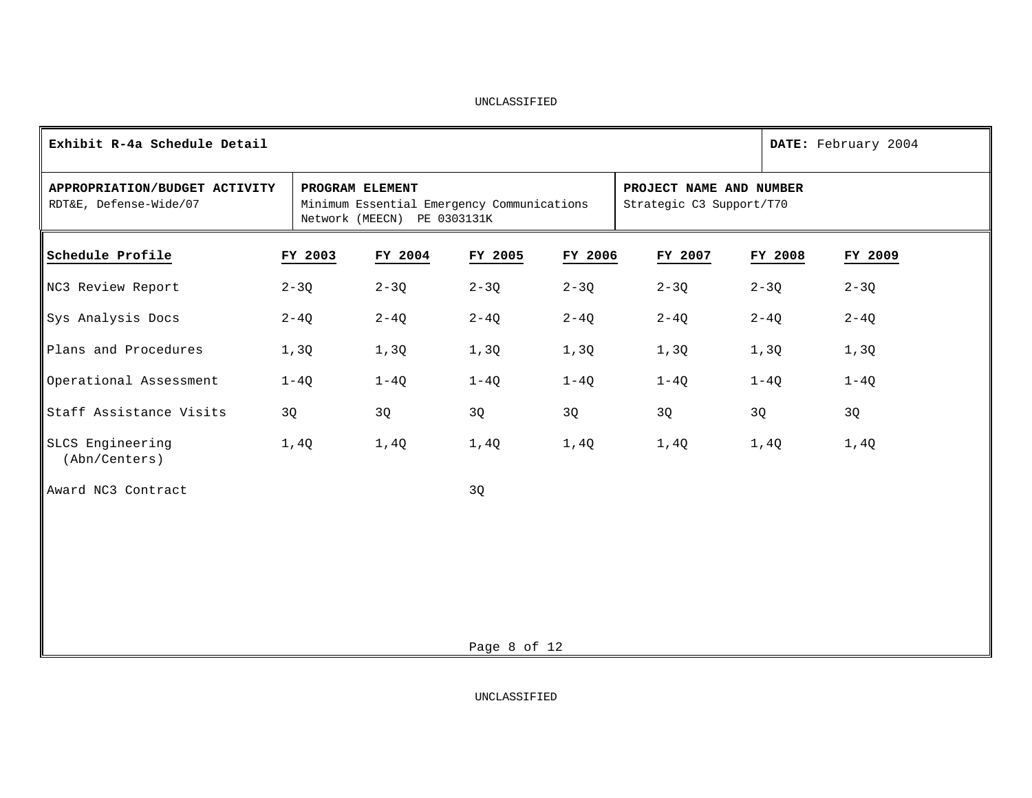| Exhibit R-4a Schedule Detail                            |          |                                                                                                                                                     |              |          |          |          | DATE: February 2004 |  |  |
|---------------------------------------------------------|----------|-----------------------------------------------------------------------------------------------------------------------------------------------------|--------------|----------|----------|----------|---------------------|--|--|
| APPROPRIATION/BUDGET ACTIVITY<br>RDT&E, Defense-Wide/07 |          | PROGRAM ELEMENT<br>PROJECT NAME AND NUMBER<br>Minimum Essential Emergency Communications<br>Strategic C3 Support/T70<br>Network (MEECN) PE 0303131K |              |          |          |          |                     |  |  |
| Schedule Profile                                        | FY 2003  | FY 2004                                                                                                                                             | FY 2005      | FY 2006  | FY 2007  | FY 2008  | FY 2009             |  |  |
| NC3 Review Report                                       | $2 - 3Q$ | $2 - 3Q$                                                                                                                                            | $2 - 3Q$     | $2 - 3Q$ | $2 - 3Q$ | $2 - 3Q$ | $2 - 3Q$            |  |  |
| Sys Analysis Docs                                       | $2 - 4Q$ | $2 - 4Q$                                                                                                                                            | $2 - 4Q$     | $2 - 4Q$ | $2 - 4Q$ | $2 - 4Q$ | $2 - 4Q$            |  |  |
| Plans and Procedures                                    | 1,3Q     | 1,3Q                                                                                                                                                | 1,3Q         | 1,3Q     | 1,3Q     | 1,3Q     | 1,3Q                |  |  |
| Operational Assessment                                  | $1-4Q$   | $1-4Q$                                                                                                                                              | $1-4Q$       | $1-4Q$   | $1-4Q$   | $1-4Q$   | $1 - 4Q$            |  |  |
| Staff Assistance Visits                                 | 3Q       | 3Q                                                                                                                                                  | 3Q           | 3Q       | 3Q       | 3Q       | 3Q                  |  |  |
| SLCS Engineering<br>(Abn/Centers)                       | 1,4Q     | 1,4Q                                                                                                                                                | 1,4Q         | 1,4Q     | 1,4Q     | 1,4Q     | 1,4Q                |  |  |
| Award NC3 Contract                                      |          |                                                                                                                                                     | 3Q           |          |          |          |                     |  |  |
|                                                         |          |                                                                                                                                                     |              |          |          |          |                     |  |  |
|                                                         |          |                                                                                                                                                     |              |          |          |          |                     |  |  |
|                                                         |          |                                                                                                                                                     |              |          |          |          |                     |  |  |
|                                                         |          |                                                                                                                                                     |              |          |          |          |                     |  |  |
|                                                         |          |                                                                                                                                                     | Page 8 of 12 |          |          |          |                     |  |  |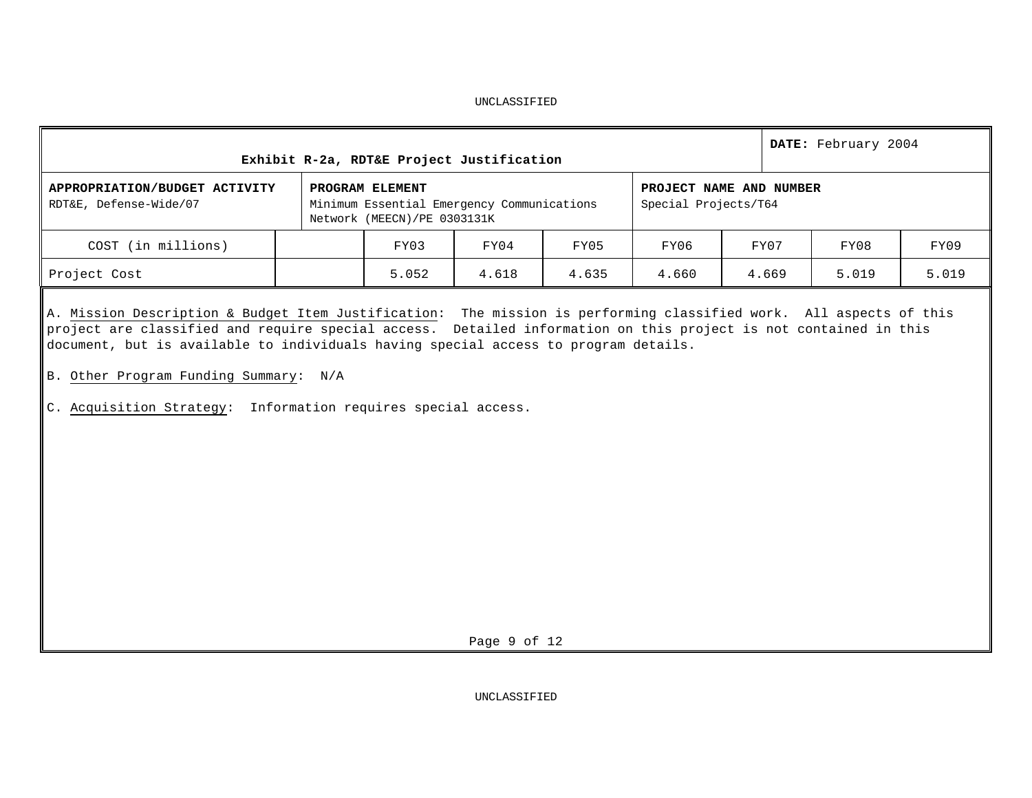| Exhibit R-2a, RDT&E Project Justification<br>PROJECT NAME AND NUMBER<br>PROGRAM ELEMENT<br>Minimum Essential Emergency Communications<br>Special Projects/T64<br>Network (MEECN)/PE 0303131K |  |       |       |       |       |       | DATE: February 2004 |       |  |  |
|----------------------------------------------------------------------------------------------------------------------------------------------------------------------------------------------|--|-------|-------|-------|-------|-------|---------------------|-------|--|--|
| APPROPRIATION/BUDGET ACTIVITY<br>RDT&E, Defense-Wide/07                                                                                                                                      |  |       |       |       |       |       |                     |       |  |  |
| COST (in millions)                                                                                                                                                                           |  | FY03  | FY04  | FY05  | FY06  | FY07  | FY08                | FY09  |  |  |
| Project Cost                                                                                                                                                                                 |  | 5.052 | 4.618 | 4.635 | 4.660 | 4.669 | 5.019               | 5.019 |  |  |

A. Mission Description & Budget Item Justification: The mission is performing classified work. All aspects of this project are classified and require special access. Detailed information on this project is not contained in this document, but is available to individuals having special access to program details.

- B. Other Program Funding Summary: N/A
- C. Acquisition Strategy: Information requires special access.

Page 9 of 12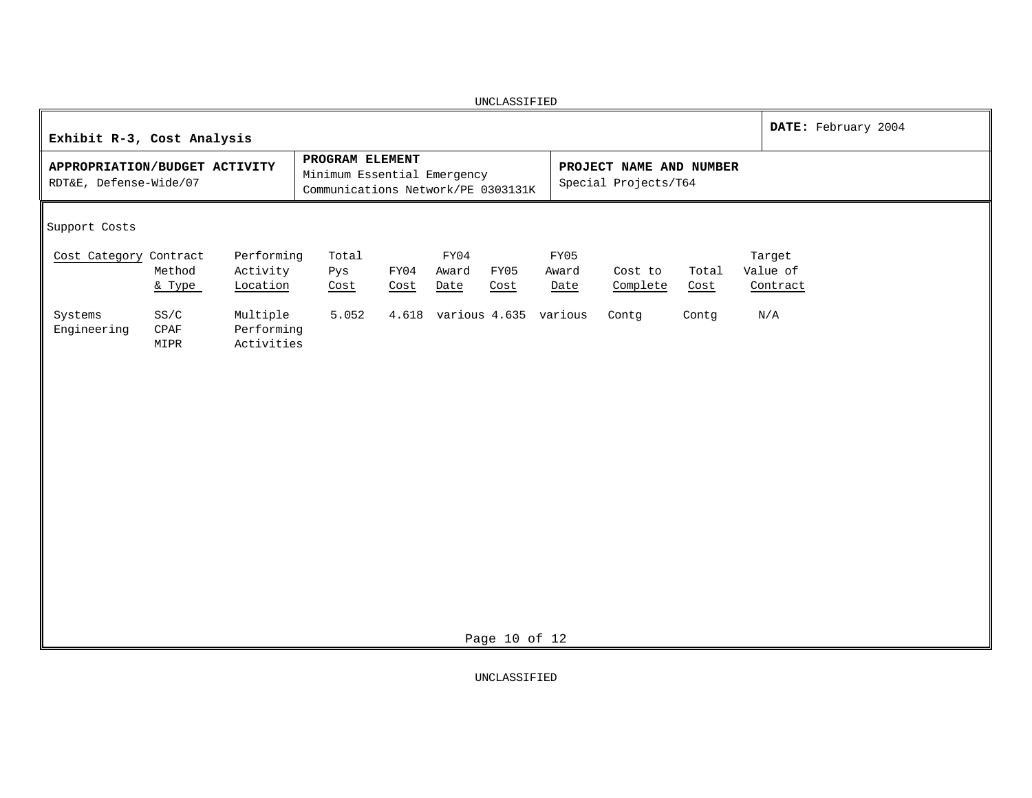| UNCLASSIFIED                                                                                                                                                                                                                       |                                |  |  |  |  |  |  |  |  |  |  |
|------------------------------------------------------------------------------------------------------------------------------------------------------------------------------------------------------------------------------------|--------------------------------|--|--|--|--|--|--|--|--|--|--|
| Exhibit R-3, Cost Analysis                                                                                                                                                                                                         | DATE: February 2004            |  |  |  |  |  |  |  |  |  |  |
| PROGRAM ELEMENT<br>APPROPRIATION/BUDGET ACTIVITY<br>PROJECT NAME AND NUMBER<br>Minimum Essential Emergency<br>RDT&E, Defense-Wide/07<br>Special Projects/T64<br>Communications Network/PE 0303131K                                 |                                |  |  |  |  |  |  |  |  |  |  |
| Support Costs                                                                                                                                                                                                                      |                                |  |  |  |  |  |  |  |  |  |  |
| Performing<br>FY05<br>Cost Category Contract<br>Total<br>FY04<br>Method<br>Activity<br>FY04<br>Award<br>FY05<br>Pys<br>Award<br>Cost to<br>Total<br>Location<br>Complete<br>& Type<br>Date<br>Cost<br>Cost<br>Date<br>Cost<br>Cost | Target<br>Value of<br>Contract |  |  |  |  |  |  |  |  |  |  |
| Systems<br>Multiple<br>5.052<br>4.618 various 4.635 various<br>SS/C<br>Contg<br>Contg<br>Engineering<br>$\texttt{CPAF}$<br>Performing<br>Activities<br>MIPR                                                                        | N/A                            |  |  |  |  |  |  |  |  |  |  |
| Page 10 of 12                                                                                                                                                                                                                      |                                |  |  |  |  |  |  |  |  |  |  |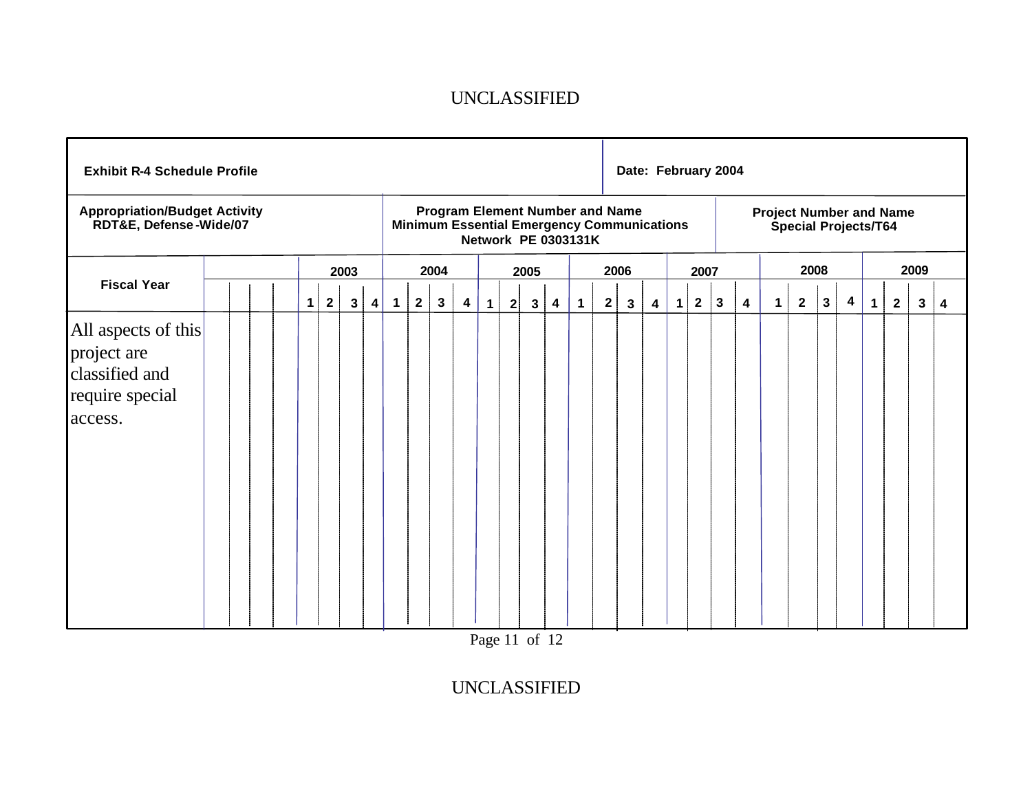| <b>Exhibit R-4 Schedule Profile</b>                                                |  |   |              |              |                         |              |                                                                                                                           |              |                         |              |           |                                                               |   |             |   |              | Date: February 2004     |             |                |           |                         |             |                |              |   |              |              |      |   |
|------------------------------------------------------------------------------------|--|---|--------------|--------------|-------------------------|--------------|---------------------------------------------------------------------------------------------------------------------------|--------------|-------------------------|--------------|-----------|---------------------------------------------------------------|---|-------------|---|--------------|-------------------------|-------------|----------------|-----------|-------------------------|-------------|----------------|--------------|---|--------------|--------------|------|---|
| <b>Appropriation/Budget Activity</b><br>RDT&E, Defense-Wide/07                     |  |   |              |              |                         |              | <b>Program Element Number and Name</b><br><b>Minimum Essential Emergency Communications</b><br><b>Network PE 0303131K</b> |              |                         |              |           | <b>Project Number and Name</b><br><b>Special Projects/T64</b> |   |             |   |              |                         |             |                |           |                         |             |                |              |   |              |              |      |   |
|                                                                                    |  |   |              | 2003         |                         |              |                                                                                                                           | 2004         |                         |              |           | 2005                                                          |   |             |   | 2006         |                         |             | 2007           |           |                         |             |                | 2008         |   |              |              | 2009 |   |
| <b>Fiscal Year</b>                                                                 |  | 1 | $\mathbf{2}$ | $\mathbf{3}$ | $\overline{\mathbf{4}}$ | $\mathbf{1}$ | $\mathbf{2}$                                                                                                              | $\mathbf{3}$ | $\overline{\mathbf{4}}$ | $\mathbf{1}$ | $2 \vert$ | $\mathbf{3}$                                                  | 4 | $\mathbf 1$ | 2 | $\mathbf{3}$ | $\overline{\mathbf{4}}$ | $\mathbf 1$ | $\overline{2}$ | $\vert$ 3 | $\overline{\mathbf{4}}$ | $\mathbf 1$ | $\overline{2}$ | $\mathbf{3}$ | 4 | $\mathbf{1}$ | $\mathbf{2}$ | 3    | 4 |
| All aspects of this<br>project are<br>classified and<br>require special<br>access. |  |   |              |              |                         |              |                                                                                                                           |              |                         |              |           |                                                               |   |             |   |              |                         |             |                |           |                         |             |                |              |   |              |              |      |   |

Page 11 of 12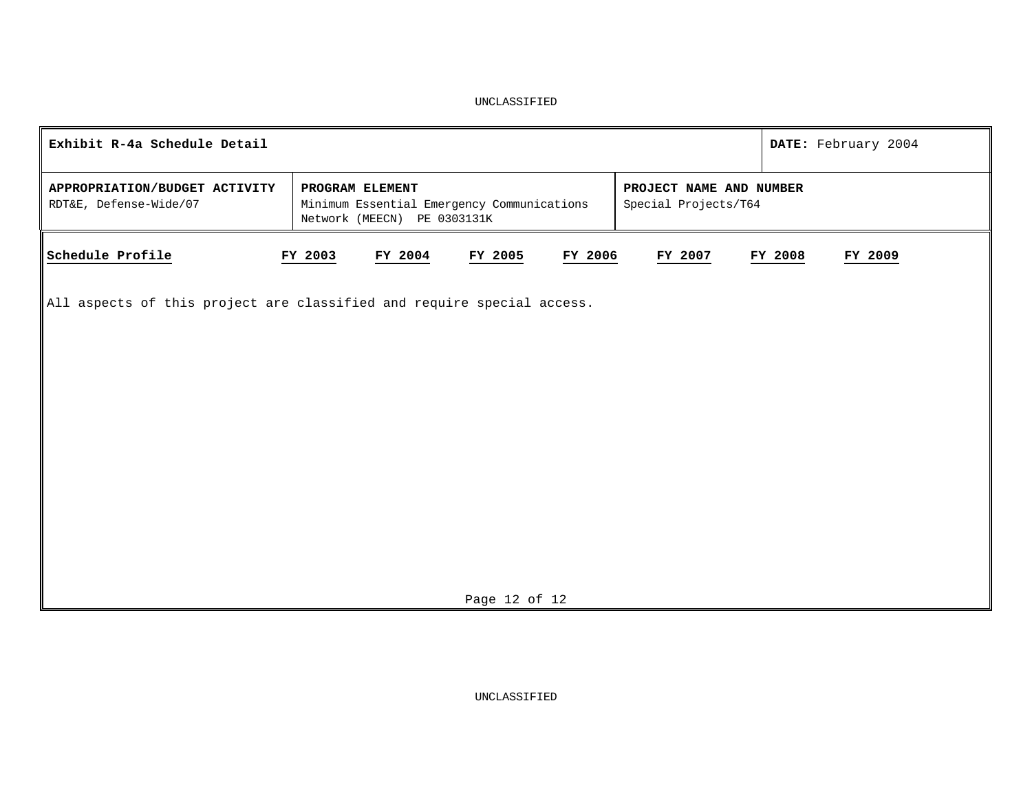| Exhibit R-4a Schedule Detail                                                       |                                                                                              |                    |                                                 | DATE: February 2004 |
|------------------------------------------------------------------------------------|----------------------------------------------------------------------------------------------|--------------------|-------------------------------------------------|---------------------|
| APPROPRIATION/BUDGET ACTIVITY<br>RDT&E, Defense-Wide/07                            | PROGRAM ELEMENT<br>Minimum Essential Emergency Communications<br>Network (MEECN) PE 0303131K |                    | PROJECT NAME AND NUMBER<br>Special Projects/T64 |                     |
| Schedule Profile                                                                   | FY 2003<br>FY 2004                                                                           | FY 2005<br>FY 2006 | FY 2007                                         | FY 2008<br>FY 2009  |
| $\parallel$ All aspects of this project are classified and require special access. |                                                                                              |                    |                                                 |                     |
|                                                                                    |                                                                                              |                    |                                                 |                     |
|                                                                                    |                                                                                              |                    |                                                 |                     |
|                                                                                    |                                                                                              |                    |                                                 |                     |
|                                                                                    |                                                                                              |                    |                                                 |                     |
|                                                                                    |                                                                                              |                    |                                                 |                     |
|                                                                                    |                                                                                              | Page 12 of 12      |                                                 |                     |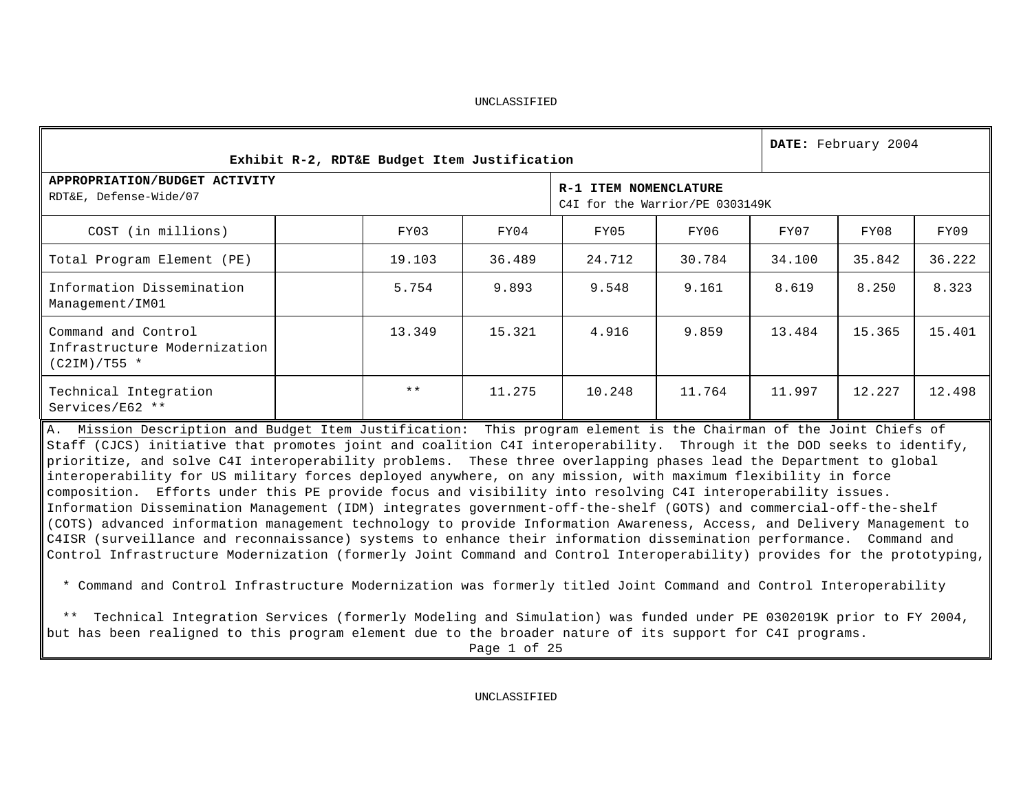|                                                                                                                                                                                                                                                                                                                                                                                                                                                                                                                                                                                                                                                                                                                      |  |                                              |        |                                                          |        |        | DATE: February 2004 |        |  |  |
|----------------------------------------------------------------------------------------------------------------------------------------------------------------------------------------------------------------------------------------------------------------------------------------------------------------------------------------------------------------------------------------------------------------------------------------------------------------------------------------------------------------------------------------------------------------------------------------------------------------------------------------------------------------------------------------------------------------------|--|----------------------------------------------|--------|----------------------------------------------------------|--------|--------|---------------------|--------|--|--|
|                                                                                                                                                                                                                                                                                                                                                                                                                                                                                                                                                                                                                                                                                                                      |  | Exhibit R-2, RDT&E Budget Item Justification |        |                                                          |        |        |                     |        |  |  |
| APPROPRIATION/BUDGET ACTIVITY<br>RDT&E, Defense-Wide/07                                                                                                                                                                                                                                                                                                                                                                                                                                                                                                                                                                                                                                                              |  |                                              |        | R-1 ITEM NOMENCLATURE<br>C4I for the Warrior/PE 0303149K |        |        |                     |        |  |  |
| COST (in millions)                                                                                                                                                                                                                                                                                                                                                                                                                                                                                                                                                                                                                                                                                                   |  | FY03                                         | FY04   | FY05                                                     | FY06   | FY07   | FY08                | FY09   |  |  |
| Total Program Element (PE)                                                                                                                                                                                                                                                                                                                                                                                                                                                                                                                                                                                                                                                                                           |  | 19.103                                       | 36.489 | 24.712                                                   | 30.784 | 34.100 | 35.842              | 36.222 |  |  |
| Information Dissemination<br>Management/IM01                                                                                                                                                                                                                                                                                                                                                                                                                                                                                                                                                                                                                                                                         |  | 5.754                                        | 9.893  | 9.548                                                    | 9.161  | 8.619  | 8.250               | 8.323  |  |  |
| Command and Control<br>Infrastructure Modernization<br>$(C2IM)/T55$ *                                                                                                                                                                                                                                                                                                                                                                                                                                                                                                                                                                                                                                                |  | 13.349                                       | 15.321 | 4.916                                                    | 9.859  | 13.484 | 15.365              | 15.401 |  |  |
| Technical Integration<br>Services/E62 **                                                                                                                                                                                                                                                                                                                                                                                                                                                                                                                                                                                                                                                                             |  | $***$                                        | 11.275 | 10.248                                                   | 11.764 | 11.997 | 12.227              | 12.498 |  |  |
| A. Mission Description and Budget Item Justification: This program element is the Chairman of the Joint Chiefs of<br>Staff (CJCS) initiative that promotes joint and coalition C4I interoperability. Through it the DOD seeks to identify,<br>prioritize, and solve C4I interoperability problems. These three overlapping phases lead the Department to global<br>interoperability for US military forces deployed anywhere, on any mission, with maximum flexibility in force<br>composition. Efforts under this PE provide focus and visibility into resolving C4I interoperability issues.<br>Information Dissemination Management (IDM) integrates government-off-the-shelf (GOTS) and commercial-off-the-shelf |  |                                              |        |                                                          |        |        |                     |        |  |  |

\* Command and Control Infrastructure Modernization was formerly titled Joint Command and Control Interoperability

(COTS) advanced information management technology to provide Information Awareness, Access, and Delivery Management to C4ISR (surveillance and reconnaissance) systems to enhance their information dissemination performance. Command and Control Infrastructure Modernization (formerly Joint Command and Control Interoperability) provides for the prototyping,

 \*\* Technical Integration Services (formerly Modeling and Simulation) was funded under PE 0302019K prior to FY 2004, but has been realigned to this program element due to the broader nature of its support for C4I programs. Page 1 of 25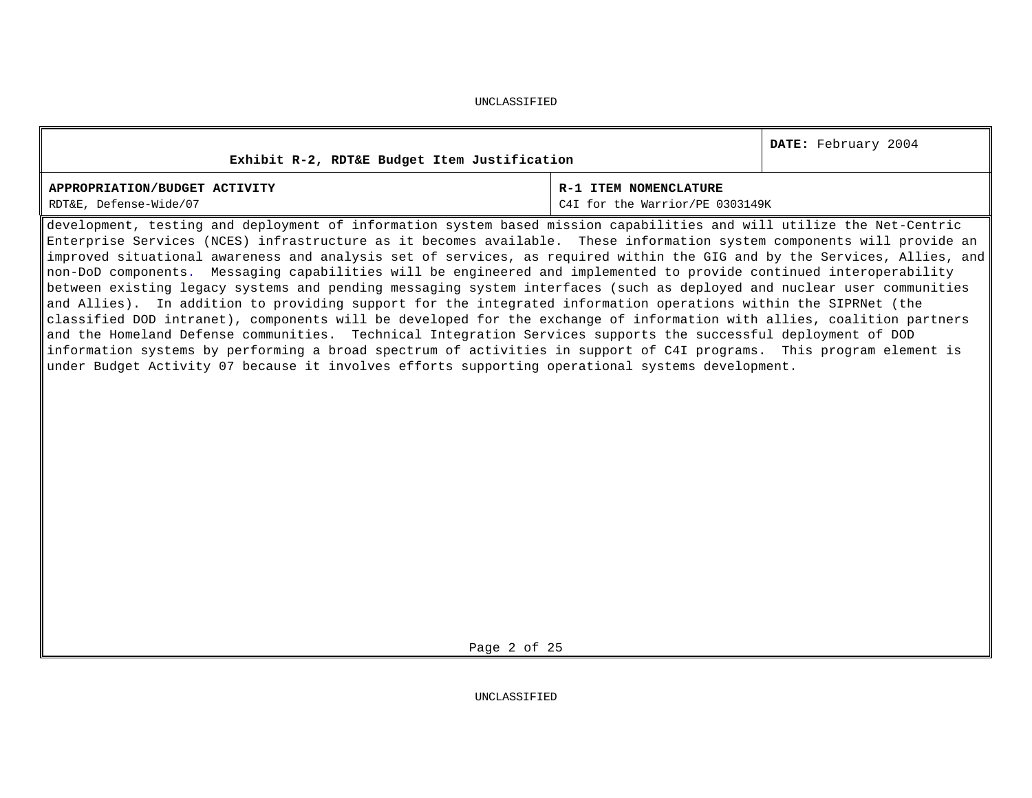| Exhibit R-2, RDT&E Budget Item Justification                                                                                                                                                                                                             |                       | DATE: February 2004 |  |  |  |  |
|----------------------------------------------------------------------------------------------------------------------------------------------------------------------------------------------------------------------------------------------------------|-----------------------|---------------------|--|--|--|--|
| APPROPRIATION/BUDGET ACTIVITY                                                                                                                                                                                                                            | R-1 ITEM NOMENCLATURE |                     |  |  |  |  |
| RDT&E, Defense-Wide/07<br>C4I for the Warrior/PE 0303149K                                                                                                                                                                                                |                       |                     |  |  |  |  |
| development, testing and deployment of information system based mission capabilities and will utilize the Net-Centric                                                                                                                                    |                       |                     |  |  |  |  |
| Enterprise Services (NCES) infrastructure as it becomes available. These information system components will provide an                                                                                                                                   |                       |                     |  |  |  |  |
| $\ $ improved situational awareness and analysis set of services, as required within the GIG and by the Services, Allies, and $\ $                                                                                                                       |                       |                     |  |  |  |  |
| $\parallel$ non-DoD components.  Messaging capabilities will be engineered and implemented to provide continued interoperability<br>"tatiica aidabdaa taasan siibaa aad aaaddan massadan siibaan dabanfasas (siidh sa dantaisad aad aind ilaan samuudbda |                       |                     |  |  |  |  |

between existing legacy systems and pending messaging system interfaces (such as deployed and nuclear user communities and Allies). In addition to providing support for the integrated information operations within the SIPRNet (the classified DOD intranet), components will be developed for the exchange of information with allies, coalition partners and the Homeland Defense communities. Technical Integration Services supports the successful deployment of DOD information systems by performing a broad spectrum of activities in support of C4I programs. This program element is under Budget Activity 07 because it involves efforts supporting operational systems development.

Page 2 of 25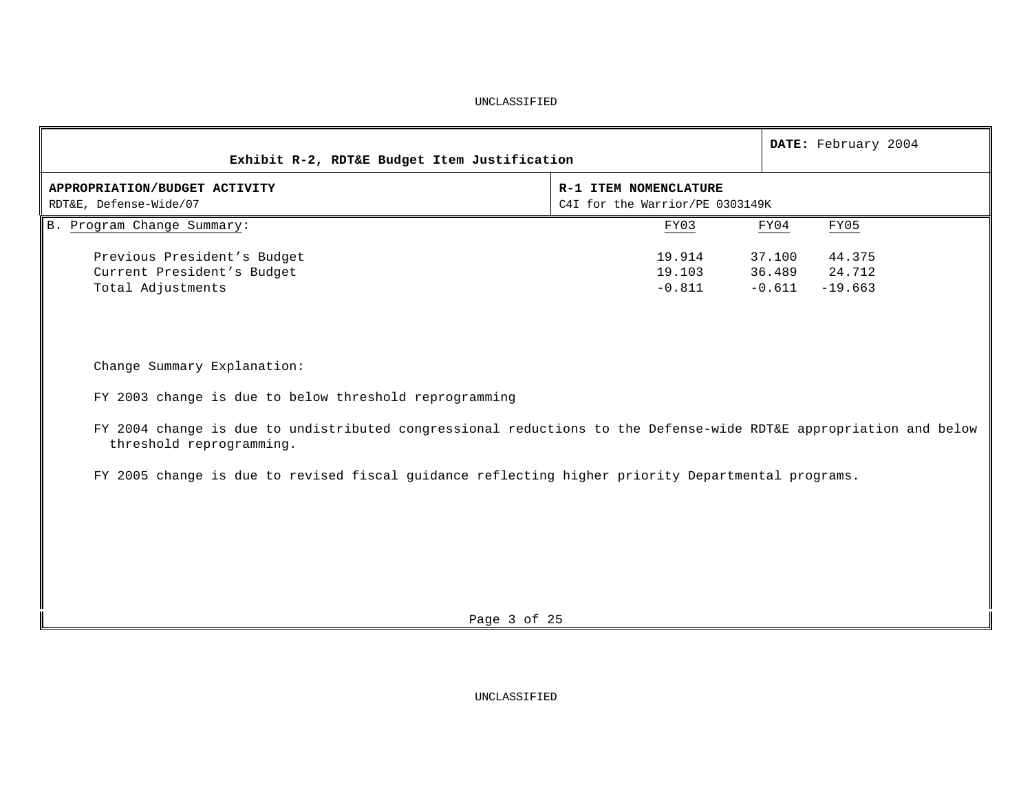| Exhibit R-2, RDT&E Budget Item Justification                                                                                                  |                                                          | DATE: February 2004                                           |
|-----------------------------------------------------------------------------------------------------------------------------------------------|----------------------------------------------------------|---------------------------------------------------------------|
| APPROPRIATION/BUDGET ACTIVITY<br>RDT&E, Defense-Wide/07                                                                                       | R-1 ITEM NOMENCLATURE<br>C4I for the Warrior/PE 0303149K |                                                               |
| B. Program Change Summary:                                                                                                                    | FY03                                                     | FY05<br>FY04                                                  |
| Previous President's Budget<br>Current President's Budget<br>Total Adjustments                                                                | 19.914<br>19.103<br>$-0.811$                             | 44.375<br>37.100<br>36.489<br>24.712<br>$-0.611$<br>$-19.663$ |
| Change Summary Explanation:                                                                                                                   |                                                          |                                                               |
| FY 2003 change is due to below threshold reprogramming                                                                                        |                                                          |                                                               |
| FY 2004 change is due to undistributed congressional reductions to the Defense-wide RDT&E appropriation and below<br>threshold reprogramming. |                                                          |                                                               |
| FY 2005 change is due to revised fiscal guidance reflecting higher priority Departmental programs.                                            |                                                          |                                                               |
|                                                                                                                                               |                                                          |                                                               |
|                                                                                                                                               |                                                          |                                                               |
|                                                                                                                                               |                                                          |                                                               |
|                                                                                                                                               |                                                          |                                                               |
| Page 3 of 25                                                                                                                                  |                                                          |                                                               |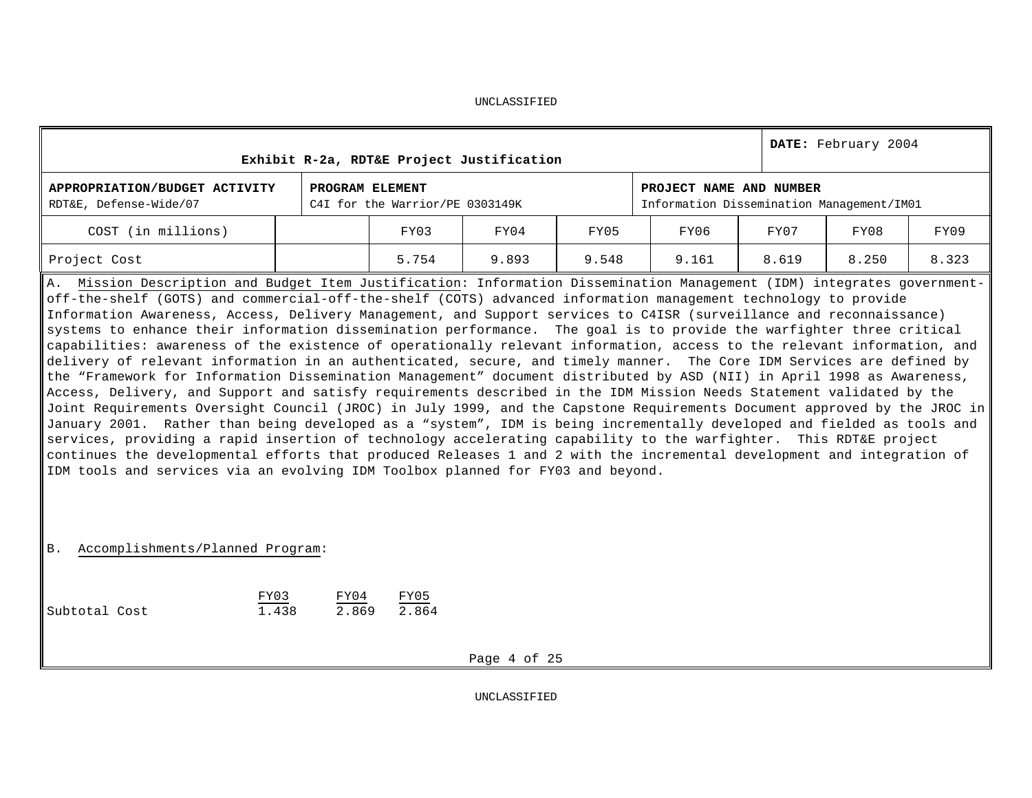|                                                                                                                                                                                                                                                                                                                                                                                                                                                                                                                                                                                                                                                                                                                                                                                                                                                                                                                                                                                                                                                                                                                                                                                                                                                                                                                                                                                                                                                                                                                                                                                                                                                                            |                 |                                 | Exhibit R-2a, RDT&E Project Justification |       |                                                                      |       | DATE: February 2004 |       |
|----------------------------------------------------------------------------------------------------------------------------------------------------------------------------------------------------------------------------------------------------------------------------------------------------------------------------------------------------------------------------------------------------------------------------------------------------------------------------------------------------------------------------------------------------------------------------------------------------------------------------------------------------------------------------------------------------------------------------------------------------------------------------------------------------------------------------------------------------------------------------------------------------------------------------------------------------------------------------------------------------------------------------------------------------------------------------------------------------------------------------------------------------------------------------------------------------------------------------------------------------------------------------------------------------------------------------------------------------------------------------------------------------------------------------------------------------------------------------------------------------------------------------------------------------------------------------------------------------------------------------------------------------------------------------|-----------------|---------------------------------|-------------------------------------------|-------|----------------------------------------------------------------------|-------|---------------------|-------|
| APPROPRIATION/BUDGET ACTIVITY<br>RDT&E, Defense-Wide/07                                                                                                                                                                                                                                                                                                                                                                                                                                                                                                                                                                                                                                                                                                                                                                                                                                                                                                                                                                                                                                                                                                                                                                                                                                                                                                                                                                                                                                                                                                                                                                                                                    | PROGRAM ELEMENT | C4I for the Warrior/PE 0303149K |                                           |       | PROJECT NAME AND NUMBER<br>Information Dissemination Management/IM01 |       |                     |       |
| COST (in millions)                                                                                                                                                                                                                                                                                                                                                                                                                                                                                                                                                                                                                                                                                                                                                                                                                                                                                                                                                                                                                                                                                                                                                                                                                                                                                                                                                                                                                                                                                                                                                                                                                                                         |                 | FY03                            | FY04                                      | FY05  | FY06                                                                 | FY07  | FY08                | FY09  |
| Project Cost                                                                                                                                                                                                                                                                                                                                                                                                                                                                                                                                                                                                                                                                                                                                                                                                                                                                                                                                                                                                                                                                                                                                                                                                                                                                                                                                                                                                                                                                                                                                                                                                                                                               |                 | 5.754                           | 9.893                                     | 9.548 | 9.161                                                                | 8.619 | 8.250               | 8.323 |
| A. Mission Description and Budget Item Justification: Information Dissemination Management (IDM) integrates government-<br>off-the-shelf (GOTS) and commercial-off-the-shelf (COTS) advanced information management technology to provide<br>Information Awareness, Access, Delivery Management, and Support services to C4ISR (surveillance and reconnaissance)<br>systems to enhance their information dissemination performance. The goal is to provide the warfighter three critical<br>capabilities: awareness of the existence of operationally relevant information, access to the relevant information, and<br>delivery of relevant information in an authenticated, secure, and timely manner. The Core IDM Services are defined by<br>the "Framework for Information Dissemination Management" document distributed by ASD (NII) in April 1998 as Awareness,<br>Access, Delivery, and Support and satisfy requirements described in the IDM Mission Needs Statement validated by the<br>Joint Requirements Oversight Council (JROC) in July 1999, and the Capstone Requirements Document approved by the JROC in<br>January 2001. Rather than being developed as a "system", IDM is being incrementally developed and fielded as tools and<br>services, providing a rapid insertion of technology accelerating capability to the warfighter. This RDT&E project<br>continues the developmental efforts that produced Releases 1 and 2 with the incremental development and integration of<br>IDM tools and services via an evolving IDM Toolbox planned for FY03 and beyond.<br>Accomplishments/Planned Program:<br><b>B</b> .<br>FY03<br>1.438<br>Subtotal Cost | FY04<br>2.869   | FY05<br>2.864                   |                                           |       |                                                                      |       |                     |       |
|                                                                                                                                                                                                                                                                                                                                                                                                                                                                                                                                                                                                                                                                                                                                                                                                                                                                                                                                                                                                                                                                                                                                                                                                                                                                                                                                                                                                                                                                                                                                                                                                                                                                            |                 |                                 | Page 4 of 25                              |       |                                                                      |       |                     |       |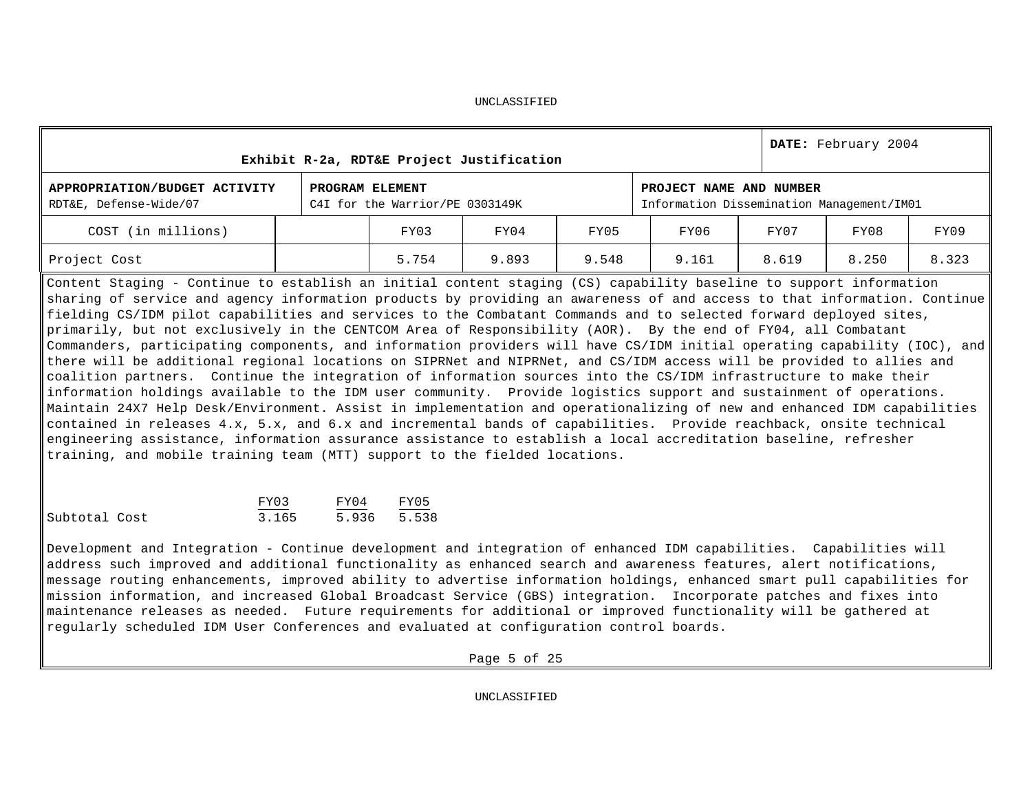|                                                         | Exhibit R-2a, RDT&E Project Justification          |       |       |                                                                      |       | DATE: February 2004 |       |
|---------------------------------------------------------|----------------------------------------------------|-------|-------|----------------------------------------------------------------------|-------|---------------------|-------|
| APPROPRIATION/BUDGET ACTIVITY<br>RDT&E, Defense-Wide/07 | PROGRAM ELEMENT<br>C4I for the Warrior/PE 0303149K |       |       | PROJECT NAME AND NUMBER<br>Information Dissemination Management/IM01 |       |                     |       |
| COST (in millions)                                      | FY03                                               | FY04  | FY05  | FY06                                                                 | FY07  | FY08                | FY09  |
| Project Cost                                            | 5.754                                              | 9.893 | 9.548 | 9.161                                                                | 8.619 | 8.250               | 8.323 |

Content Staging - Continue to establish an initial content staging (CS) capability baseline to support information sharing of service and agency information products by providing an awareness of and access to that information. Continue fielding CS/IDM pilot capabilities and services to the Combatant Commands and to selected forward deployed sites, primarily, but not exclusively in the CENTCOM Area of Responsibility (AOR). By the end of FY04, all Combatant Commanders, participating components, and information providers will have CS/IDM initial operating capability (IOC), and there will be additional regional locations on SIPRNet and NIPRNet, and CS/IDM access will be provided to allies and coalition partners. Continue the integration of information sources into the CS/IDM infrastructure to make their information holdings available to the IDM user community. Provide logistics support and sustainment of operations. Maintain 24X7 Help Desk/Environment. Assist in implementation and operationalizing of new and enhanced IDM capabilities contained in releases 4.x, 5.x, and 6.x and incremental bands of capabilities. Provide reachback, onsite technical engineering assistance, information assurance assistance to establish a local accreditation baseline, refresher training, and mobile training team (MTT) support to the fielded locations.

|               | FY03  | FY04  | FY05  |
|---------------|-------|-------|-------|
| Subtotal Cost | 3.165 | 5.936 | 5.538 |

Development and Integration - Continue development and integration of enhanced IDM capabilities. Capabilities will address such improved and additional functionality as enhanced search and awareness features, alert notifications, message routing enhancements, improved ability to advertise information holdings, enhanced smart pull capabilities for mission information, and increased Global Broadcast Service (GBS) integration. Incorporate patches and fixes into maintenance releases as needed. Future requirements for additional or improved functionality will be gathered at regularly scheduled IDM User Conferences and evaluated at configuration control boards.

Page 5 of 25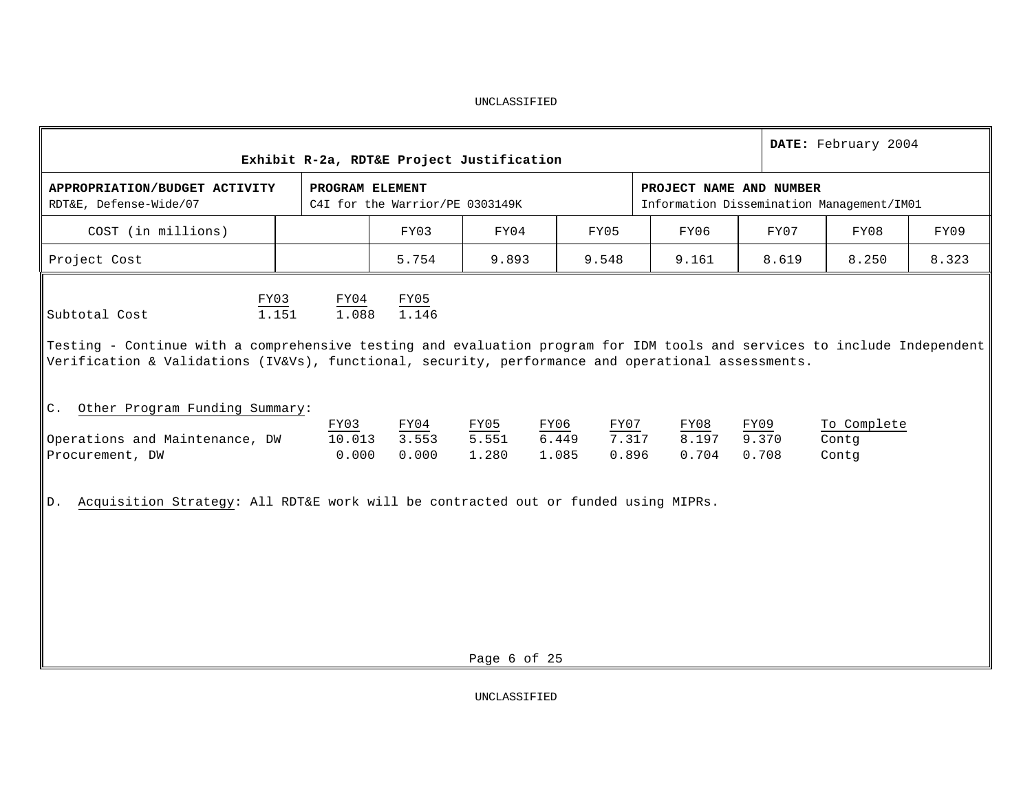|                                                                                                                                                                                                                                                                                                                     |                         | Exhibit R-2a, RDT&E Project Justification          |                        |                                |                                                                      |                        | DATE: February 2004           |       |
|---------------------------------------------------------------------------------------------------------------------------------------------------------------------------------------------------------------------------------------------------------------------------------------------------------------------|-------------------------|----------------------------------------------------|------------------------|--------------------------------|----------------------------------------------------------------------|------------------------|-------------------------------|-------|
| APPROPRIATION/BUDGET ACTIVITY<br>RDT&E, Defense-Wide/07                                                                                                                                                                                                                                                             |                         | PROGRAM ELEMENT<br>C4I for the Warrior/PE 0303149K |                        |                                | PROJECT NAME AND NUMBER<br>Information Dissemination Management/IM01 |                        |                               |       |
| COST (in millions)                                                                                                                                                                                                                                                                                                  |                         | FY03                                               | FY04                   | FY05                           | FY06                                                                 | FY07                   | FY08                          | FY09  |
| Project Cost                                                                                                                                                                                                                                                                                                        |                         | 5.754                                              | 9.893                  | 9.548                          | 9.161                                                                | 8.619                  | 8.250                         | 8.323 |
| FY03<br>1.151<br>Subtotal Cost<br>Testing - Continue with a comprehensive testing and evaluation program for IDM tools and services to include Independent<br>Verification & Validations (IV&Vs), functional, security, performance and operational assessments.<br>Other Program Funding Summary:<br>$C_{\bullet}$ | FY04<br>1.088           | FY05<br>1.146                                      |                        |                                |                                                                      |                        |                               |       |
| Operations and Maintenance, DW<br>Procurement, DW                                                                                                                                                                                                                                                                   | FY03<br>10.013<br>0.000 | FY04<br>3.553<br>0.000                             | FY05<br>5.551<br>1.280 | FY06<br>FY07<br>6.449<br>1.085 | FY08<br>7.317<br>8.197<br>0.896<br>0.704                             | FY09<br>9.370<br>0.708 | To Complete<br>Contg<br>Contq |       |
| Acquisition Strategy: All RDT&E work will be contracted out or funded using MIPRs.<br>$D$ .                                                                                                                                                                                                                         |                         |                                                    | Page 6 of 25           |                                |                                                                      |                        |                               |       |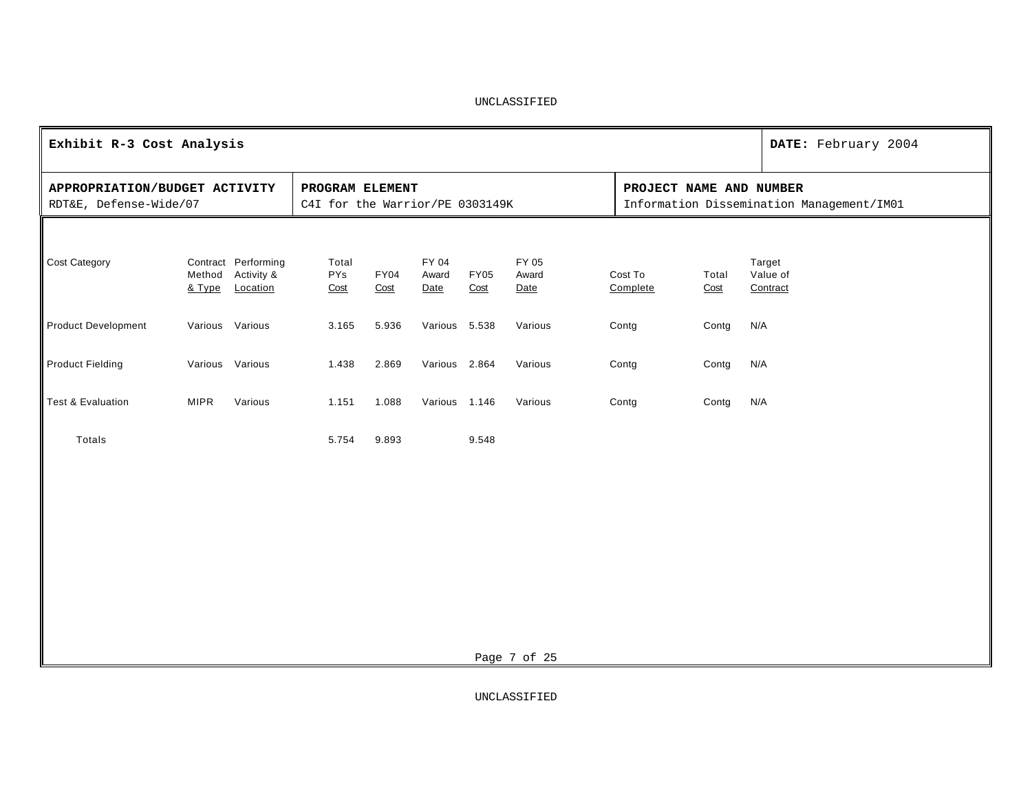| Exhibit R-3 Cost Analysis                               |                  |                                               |                                                    |                     |                        |                     |                        |                         |               | DATE: February 2004                       |
|---------------------------------------------------------|------------------|-----------------------------------------------|----------------------------------------------------|---------------------|------------------------|---------------------|------------------------|-------------------------|---------------|-------------------------------------------|
| APPROPRIATION/BUDGET ACTIVITY<br>RDT&E, Defense-Wide/07 |                  |                                               | PROGRAM ELEMENT<br>C4I for the Warrior/PE 0303149K |                     |                        |                     |                        | PROJECT NAME AND NUMBER |               | Information Dissemination Management/IM01 |
|                                                         |                  |                                               |                                                    |                     |                        |                     |                        |                         |               |                                           |
| Cost Category                                           | Method<br>& Type | Contract Performing<br>Activity &<br>Location | Total<br><b>PYs</b><br>Cost                        | <b>FY04</b><br>Cost | FY 04<br>Award<br>Date | <b>FY05</b><br>Cost | FY 05<br>Award<br>Date | Cost To<br>Complete     | Total<br>Cost | Target<br>Value of<br>Contract            |
| <b>Product Development</b>                              | Various Various  |                                               | 3.165                                              | 5.936               | Various 5.538          |                     | Various                | Contg                   | Contg         | N/A                                       |
| <b>Product Fielding</b>                                 | Various Various  |                                               | 1.438                                              | 2.869               | Various 2.864          |                     | Various                | Contg                   | Contg         | N/A                                       |
| <b>Test &amp; Evaluation</b>                            | <b>MIPR</b>      | Various                                       | 1.151                                              | 1.088               | Various 1.146          |                     | Various                | Contg                   | Contg         | N/A                                       |
| Totals                                                  |                  |                                               | 5.754                                              | 9.893               |                        | 9.548               |                        |                         |               |                                           |
|                                                         |                  |                                               |                                                    |                     |                        |                     |                        |                         |               |                                           |
|                                                         |                  |                                               |                                                    |                     |                        |                     |                        |                         |               |                                           |
|                                                         |                  |                                               |                                                    |                     |                        |                     |                        |                         |               |                                           |
|                                                         |                  |                                               |                                                    |                     |                        |                     |                        |                         |               |                                           |
|                                                         |                  |                                               |                                                    |                     |                        |                     | Page 7 of 25           |                         |               |                                           |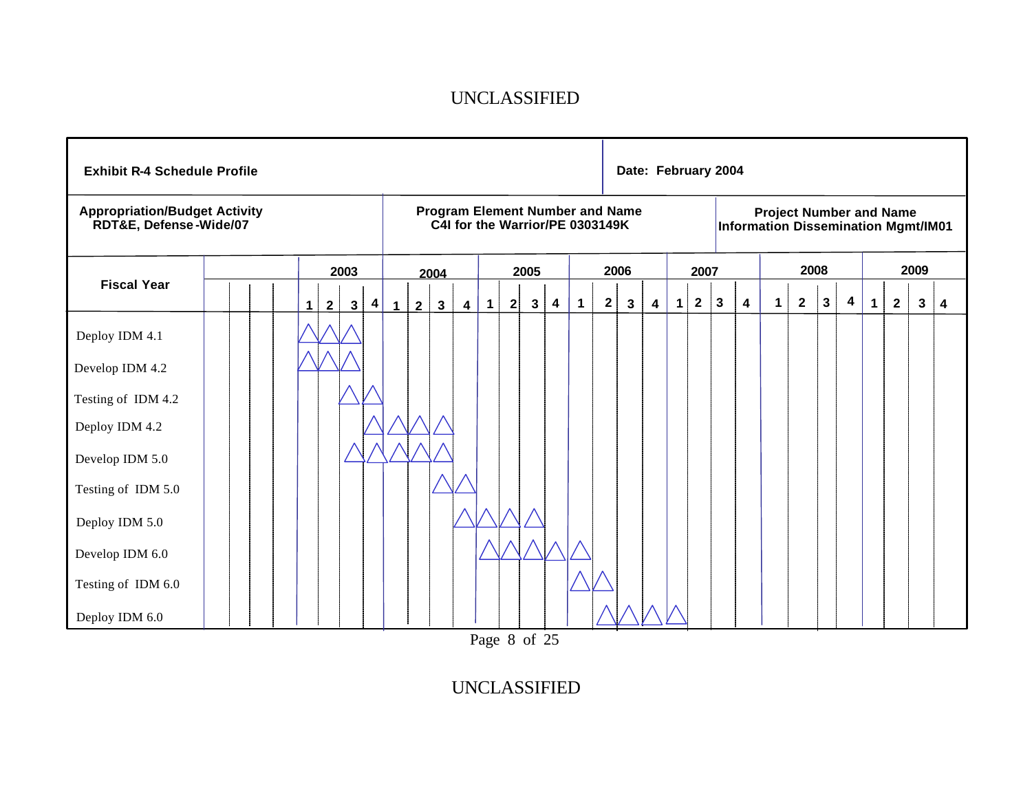| <b>Exhibit R-4 Schedule Profile</b>                            |  |   |                |              |           |              |                |              |                         |             |   |              |   |             |                                                                           | Date: February 2004 |   |             |              |              |                         |                                                                              |                |              |                         |             |                |      |                         |
|----------------------------------------------------------------|--|---|----------------|--------------|-----------|--------------|----------------|--------------|-------------------------|-------------|---|--------------|---|-------------|---------------------------------------------------------------------------|---------------------|---|-------------|--------------|--------------|-------------------------|------------------------------------------------------------------------------|----------------|--------------|-------------------------|-------------|----------------|------|-------------------------|
| <b>Appropriation/Budget Activity</b><br>RDT&E, Defense-Wide/07 |  |   |                |              |           |              |                |              |                         |             |   |              |   |             | <b>Program Element Number and Name</b><br>C4I for the Warrior/PE 0303149K |                     |   |             |              |              |                         | <b>Project Number and Name</b><br><b>Information Dissemination Mgmt/IM01</b> |                |              |                         |             |                |      |                         |
|                                                                |  |   |                | 2003         |           |              |                | 2004         |                         |             |   | 2005         |   |             |                                                                           | 2006                |   |             | 2007         |              |                         |                                                                              |                | 2008         |                         |             |                | 2009 |                         |
| <b>Fiscal Year</b>                                             |  | 1 | $\overline{2}$ | $\mathbf{3}$ | $\vert$ 4 | $\mathbf{1}$ | $\overline{2}$ | $\mathbf{3}$ | $\overline{\mathbf{4}}$ | $\mathbf 1$ | 2 | $\mathbf{3}$ | 4 | $\mathbf 1$ | $\mathbf{2}$                                                              | 3                   | 4 | $\mathbf 1$ | $\mathbf{2}$ | $\mathbf{3}$ | $\overline{\mathbf{4}}$ | $\mathbf 1$                                                                  | $\overline{2}$ | $\mathbf{3}$ | $\overline{\mathbf{4}}$ | $\mathbf 1$ | $\overline{2}$ | 3    | $\overline{\mathbf{4}}$ |
| Deploy IDM 4.1                                                 |  |   |                |              |           |              |                |              |                         |             |   |              |   |             |                                                                           |                     |   |             |              |              |                         |                                                                              |                |              |                         |             |                |      |                         |
| Develop IDM 4.2                                                |  |   |                |              |           |              |                |              |                         |             |   |              |   |             |                                                                           |                     |   |             |              |              |                         |                                                                              |                |              |                         |             |                |      |                         |
| Testing of IDM 4.2                                             |  |   |                |              |           |              |                |              |                         |             |   |              |   |             |                                                                           |                     |   |             |              |              |                         |                                                                              |                |              |                         |             |                |      |                         |
| Deploy IDM 4.2                                                 |  |   |                |              |           |              |                |              |                         |             |   |              |   |             |                                                                           |                     |   |             |              |              |                         |                                                                              |                |              |                         |             |                |      |                         |
| Develop IDM 5.0                                                |  |   |                |              |           |              |                |              |                         |             |   |              |   |             |                                                                           |                     |   |             |              |              |                         |                                                                              |                |              |                         |             |                |      |                         |
| Testing of IDM 5.0                                             |  |   |                |              |           |              |                |              |                         |             |   |              |   |             |                                                                           |                     |   |             |              |              |                         |                                                                              |                |              |                         |             |                |      |                         |
| Deploy IDM 5.0                                                 |  |   |                |              |           |              |                |              |                         |             |   |              |   |             |                                                                           |                     |   |             |              |              |                         |                                                                              |                |              |                         |             |                |      |                         |
| Develop IDM 6.0                                                |  |   |                |              |           |              |                |              |                         |             |   |              |   |             |                                                                           |                     |   |             |              |              |                         |                                                                              |                |              |                         |             |                |      |                         |
| Testing of IDM 6.0                                             |  |   |                |              |           |              |                |              |                         |             |   |              |   |             |                                                                           |                     |   |             |              |              |                         |                                                                              |                |              |                         |             |                |      |                         |
| Deploy IDM 6.0                                                 |  |   |                |              |           |              |                |              |                         |             |   |              |   |             |                                                                           |                     |   |             |              |              |                         |                                                                              |                |              |                         |             |                |      |                         |

Page 8 of 25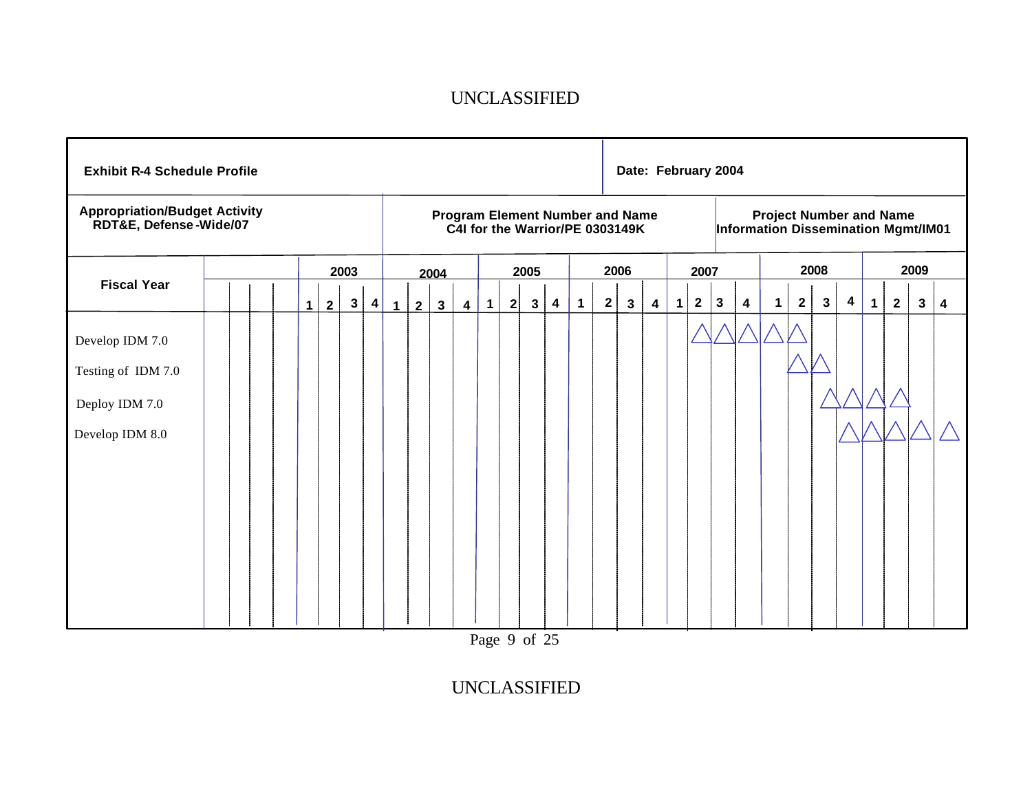| <b>Exhibit R-4 Schedule Profile</b>                                        |  |             |   |              |           |              |                |              |                         |   |              |              |                         |                                                                           |              |      |   |             | Date: February 2004 |              |                         |              |                |              |                                                                       |             |             |      |   |
|----------------------------------------------------------------------------|--|-------------|---|--------------|-----------|--------------|----------------|--------------|-------------------------|---|--------------|--------------|-------------------------|---------------------------------------------------------------------------|--------------|------|---|-------------|---------------------|--------------|-------------------------|--------------|----------------|--------------|-----------------------------------------------------------------------|-------------|-------------|------|---|
| <b>Appropriation/Budget Activity</b><br>RDT&E, Defense-Wide/07             |  |             |   |              |           |              |                |              |                         |   |              |              |                         | <b>Program Element Number and Name</b><br>C4I for the Warrior/PE 0303149K |              |      |   |             |                     |              |                         |              |                |              | <b>Project Number and Name</b><br>Information Dissemination Mgmt/IM01 |             |             |      |   |
|                                                                            |  |             |   | 2003         |           |              |                | 2004         |                         |   |              | 2005         |                         |                                                                           |              | 2006 |   |             | 2007                |              |                         |              |                | 2008         |                                                                       |             |             | 2009 |   |
| <b>Fiscal Year</b>                                                         |  | $\mathbf 1$ | 2 | $\mathbf{3}$ | $\vert$ 4 | $\mathbf{1}$ | $\overline{2}$ | $\mathbf{3}$ | $\overline{\mathbf{4}}$ | 1 | $\mathbf{2}$ | $\mathbf{3}$ | $\overline{\mathbf{4}}$ | $\mathbf 1$                                                               | $\mathbf{2}$ | 3    | 4 | $\mathbf 1$ | $\mathbf{2}$        | $\mathbf{3}$ | $\overline{\mathbf{4}}$ | $\mathbf{1}$ | $\overline{2}$ | $\mathbf{3}$ | 4                                                                     | $\mathbf 1$ | $\mathbf 2$ | 3    | 4 |
| Develop IDM 7.0<br>Testing of IDM 7.0<br>Deploy IDM 7.0<br>Develop IDM 8.0 |  |             |   |              |           |              |                |              |                         |   |              |              |                         |                                                                           |              |      |   |             |                     |              |                         |              |                |              |                                                                       |             |             |      |   |

Page 9 of 25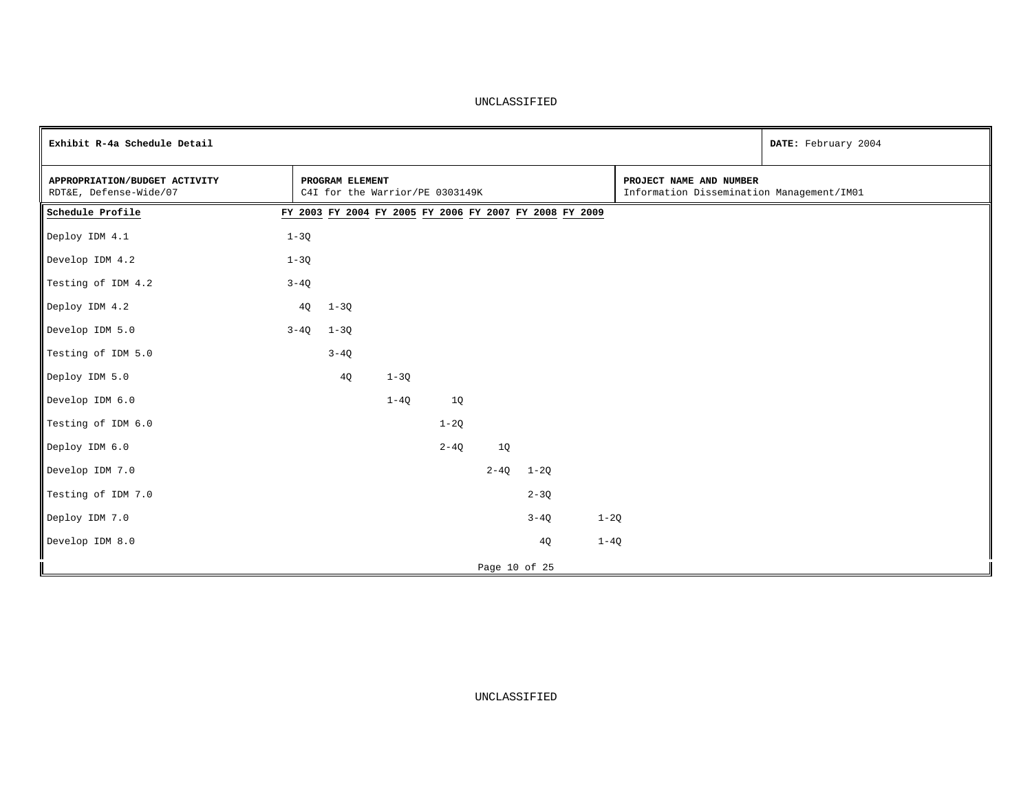| Exhibit R-4a Schedule Detail                            |          |                                                         |          |          |               |          |        |                                                                      | DATE: February 2004 |
|---------------------------------------------------------|----------|---------------------------------------------------------|----------|----------|---------------|----------|--------|----------------------------------------------------------------------|---------------------|
| APPROPRIATION/BUDGET ACTIVITY<br>RDT&E, Defense-Wide/07 |          | PROGRAM ELEMENT<br>C4I for the Warrior/PE 0303149K      |          |          |               |          |        | PROJECT NAME AND NUMBER<br>Information Dissemination Management/IM01 |                     |
| Schedule Profile                                        |          | FY 2003 FY 2004 FY 2005 FY 2006 FY 2007 FY 2008 FY 2009 |          |          |               |          |        |                                                                      |                     |
| Deploy IDM 4.1                                          | $1 - 3Q$ |                                                         |          |          |               |          |        |                                                                      |                     |
| Develop IDM 4.2                                         | $1 - 3Q$ |                                                         |          |          |               |          |        |                                                                      |                     |
| Testing of IDM 4.2                                      | $3 - 4Q$ |                                                         |          |          |               |          |        |                                                                      |                     |
| Deploy IDM 4.2                                          | 4Q       | $1 - 3Q$                                                |          |          |               |          |        |                                                                      |                     |
| Develop IDM 5.0                                         |          | $3-4Q$ $1-3Q$                                           |          |          |               |          |        |                                                                      |                     |
| Testing of IDM 5.0                                      |          | $3 - 4Q$                                                |          |          |               |          |        |                                                                      |                     |
| Deploy IDM 5.0                                          |          | 4Q                                                      | $1 - 3Q$ |          |               |          |        |                                                                      |                     |
| Develop IDM 6.0                                         |          |                                                         | $1-4Q$   | 1Q       |               |          |        |                                                                      |                     |
| Testing of IDM 6.0                                      |          |                                                         |          | $1-2Q$   |               |          |        |                                                                      |                     |
| Deploy IDM 6.0                                          |          |                                                         |          | $2 - 4Q$ | 1Q            |          |        |                                                                      |                     |
| Develop IDM 7.0                                         |          |                                                         |          |          | $2 - 4Q$      | $1 - 2Q$ |        |                                                                      |                     |
| Testing of IDM 7.0                                      |          |                                                         |          |          |               | $2 - 3Q$ |        |                                                                      |                     |
| Deploy IDM 7.0                                          |          |                                                         |          |          |               | $3-4Q$   | $1-2Q$ |                                                                      |                     |
| Develop IDM 8.0                                         |          |                                                         |          |          |               | 4Q       | $1-4Q$ |                                                                      |                     |
|                                                         |          |                                                         |          |          | Page 10 of 25 |          |        |                                                                      |                     |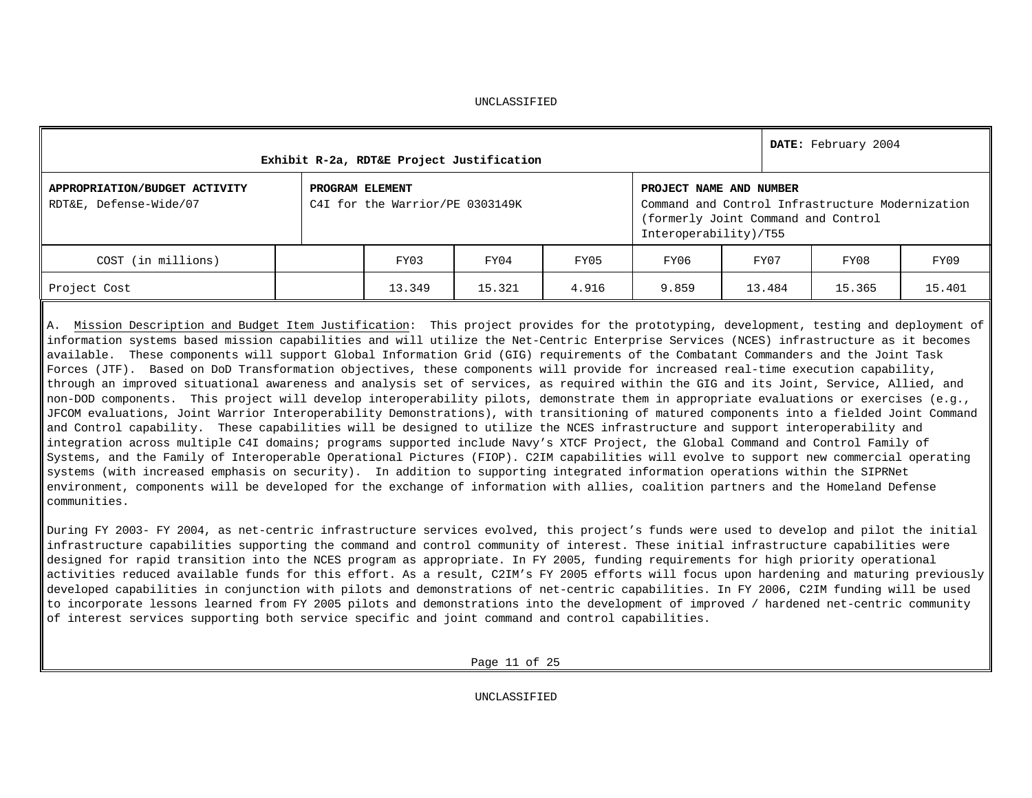|                                                         |                 | Exhibit R-2a, RDT&E Project Justification |        |       |                                                  |                                                                                         | DATE: February 2004 |        |
|---------------------------------------------------------|-----------------|-------------------------------------------|--------|-------|--------------------------------------------------|-----------------------------------------------------------------------------------------|---------------------|--------|
| APPROPRIATION/BUDGET ACTIVITY<br>RDT&E, Defense-Wide/07 | PROGRAM ELEMENT | C4I for the Warrior/PE 0303149K           |        |       | PROJECT NAME AND NUMBER<br>Interoperability)/T55 | Command and Control Infrastructure Modernization<br>(formerly Joint Command and Control |                     |        |
| COST (in millions)                                      |                 | FY03                                      | FY04   | FY05  | FY06                                             | FY07                                                                                    | FY08                | FY09   |
| Project Cost                                            |                 | 13.349                                    | 15.321 | 4.916 | 9.859                                            | 13.484                                                                                  | 15.365              | 15.401 |

A. Mission Description and Budget Item Justification: This project provides for the prototyping, development, testing and deployment of information systems based mission capabilities and will utilize the Net-Centric Enterprise Services (NCES) infrastructure as it becomes available. These components will support Global Information Grid (GIG) requirements of the Combatant Commanders and the Joint Task Forces (JTF). Based on DoD Transformation objectives, these components will provide for increased real-time execution capability, through an improved situational awareness and analysis set of services, as required within the GIG and its Joint, Service, Allied, and non-DOD components. This project will develop interoperability pilots, demonstrate them in appropriate evaluations or exercises (e.g., JFCOM evaluations, Joint Warrior Interoperability Demonstrations), with transitioning of matured components into a fielded Joint Command and Control capability. These capabilities will be designed to utilize the NCES infrastructure and support interoperability and integration across multiple C4I domains; programs supported include Navy's XTCF Project, the Global Command and Control Family of Systems, and the Family of Interoperable Operational Pictures (FIOP). C2IM capabilities will evolve to support new commercial operating systems (with increased emphasis on security). In addition to supporting integrated information operations within the SIPRNet environment, components will be developed for the exchange of information with allies, coalition partners and the Homeland Defense communities.

During FY 2003- FY 2004, as net-centric infrastructure services evolved, this project's funds were used to develop and pilot the initial infrastructure capabilities supporting the command and control community of interest. These initial infrastructure capabilities were designed for rapid transition into the NCES program as appropriate. In FY 2005, funding requirements for high priority operational activities reduced available funds for this effort. As a result, C2IM's FY 2005 efforts will focus upon hardening and maturing previously developed capabilities in conjunction with pilots and demonstrations of net-centric capabilities. In FY 2006, C2IM funding will be used to incorporate lessons learned from FY 2005 pilots and demonstrations into the development of improved / hardened net-centric community of interest services supporting both service specific and joint command and control capabilities.

Page 11 of 25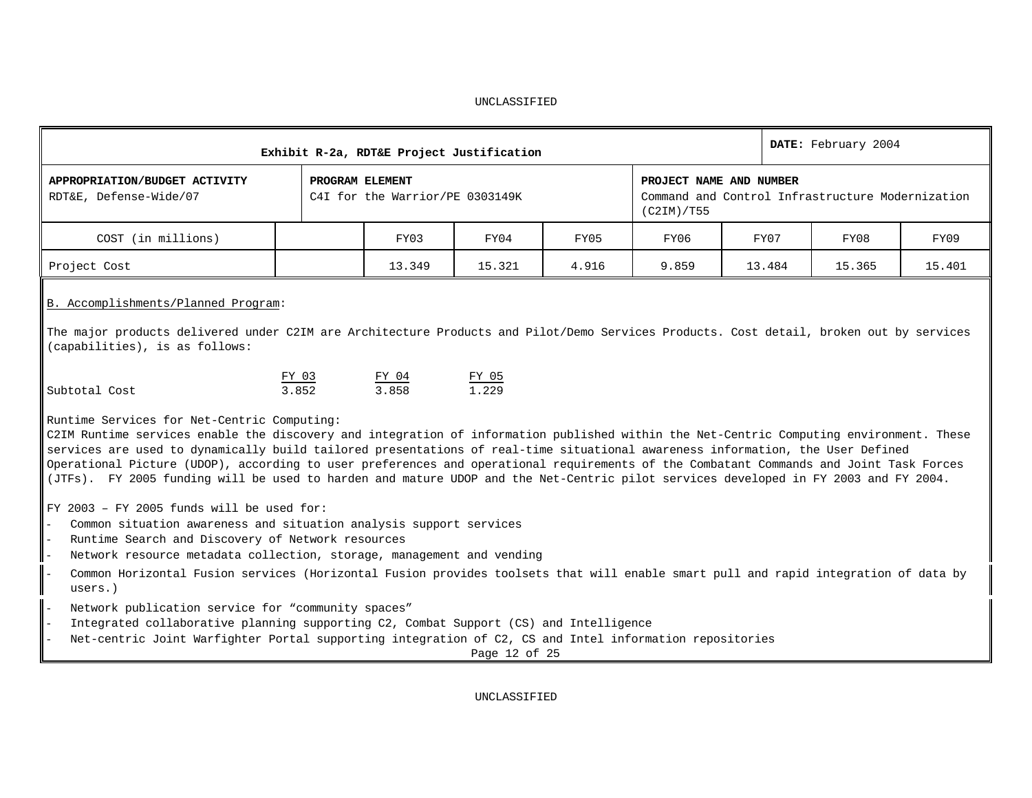|                                                                                                                                                                                                                                                                                                                                                                                                                                                                                                                                                                                                           |                 | Exhibit R-2a, RDT&E Project Justification |                |       |                                                                                           |        | DATE: February 2004 |        |
|-----------------------------------------------------------------------------------------------------------------------------------------------------------------------------------------------------------------------------------------------------------------------------------------------------------------------------------------------------------------------------------------------------------------------------------------------------------------------------------------------------------------------------------------------------------------------------------------------------------|-----------------|-------------------------------------------|----------------|-------|-------------------------------------------------------------------------------------------|--------|---------------------|--------|
| APPROPRIATION/BUDGET ACTIVITY<br>RDT&E, Defense-Wide/07                                                                                                                                                                                                                                                                                                                                                                                                                                                                                                                                                   | PROGRAM ELEMENT | C4I for the Warrior/PE 0303149K           |                |       | PROJECT NAME AND NUMBER<br>Command and Control Infrastructure Modernization<br>(C2IM)/T55 |        |                     |        |
| COST (in millions)                                                                                                                                                                                                                                                                                                                                                                                                                                                                                                                                                                                        |                 | FY03                                      | FY04           | FY05  | FY06                                                                                      | FY07   | FY08                | FY09   |
| Project Cost                                                                                                                                                                                                                                                                                                                                                                                                                                                                                                                                                                                              |                 | 13.349                                    | 15.321         | 4.916 | 9.859                                                                                     | 13.484 | 15.365              | 15.401 |
| B. Accomplishments/Planned Program:<br>The major products delivered under C2IM are Architecture Products and Pilot/Demo Services Products. Cost detail, broken out by services<br>(capabilities), is as follows:                                                                                                                                                                                                                                                                                                                                                                                          |                 |                                           |                |       |                                                                                           |        |                     |        |
| Subtotal Cost                                                                                                                                                                                                                                                                                                                                                                                                                                                                                                                                                                                             | FY 03<br>3.852  | FY 04<br>3.858                            | FY 05<br>1.229 |       |                                                                                           |        |                     |        |
| Runtime Services for Net-Centric Computing:<br>C2IM Runtime services enable the discovery and integration of information published within the Net-Centric Computing environment. These<br>services are used to dynamically build tailored presentations of real-time situational awareness information, the User Defined<br>Operational Picture (UDOP), according to user preferences and operational requirements of the Combatant Commands and Joint Task Forces<br>(JTFs). FY 2005 funding will be used to harden and mature UDOP and the Net-Centric pilot services developed in FY 2003 and FY 2004. |                 |                                           |                |       |                                                                                           |        |                     |        |
| $FY$ 2003 - $FY$ 2005 funds will be used for:<br>Common situation awareness and situation analysis support services<br>Runtime Search and Discovery of Network resources<br>Network resource metadata collection, storage, management and vending<br>Common Horizontal Fusion services (Horizontal Fusion provides toolsets that will enable smart pull and rapid integration of data by<br>users.)                                                                                                                                                                                                       |                 |                                           |                |       |                                                                                           |        |                     |        |
| Network publication service for "community spaces"<br>Integrated collaborative planning supporting C2, Combat Support (CS) and Intelligence<br>Net-centric Joint Warfighter Portal supporting integration of C2, CS and Intel information repositories                                                                                                                                                                                                                                                                                                                                                    |                 |                                           | Page 12 of 25  |       |                                                                                           |        |                     |        |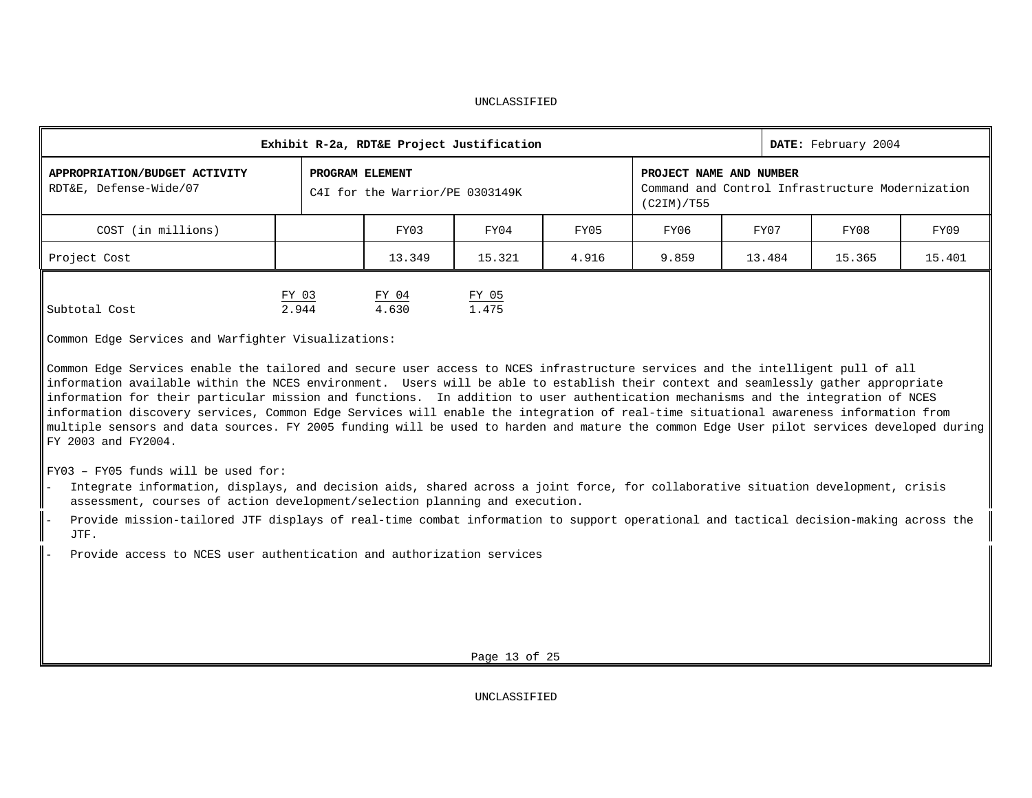|                                                         |                | Exhibit R-2a, RDT&E Project Justification          |                |       |            |                                                                             | DATE: February 2004 |        |
|---------------------------------------------------------|----------------|----------------------------------------------------|----------------|-------|------------|-----------------------------------------------------------------------------|---------------------|--------|
| APPROPRIATION/BUDGET ACTIVITY<br>RDT&E, Defense-Wide/07 |                | PROGRAM ELEMENT<br>C4I for the Warrior/PE 0303149K |                |       | (C2IM)/T55 | PROJECT NAME AND NUMBER<br>Command and Control Infrastructure Modernization |                     |        |
| COST (in millions)                                      |                | FY03                                               | FY04           | FY05  | FY06       | FY07                                                                        | FY08                | FY09   |
| Project Cost                                            |                | 13.349                                             | 15.321         | 4.916 | 9.859      | 13.484                                                                      | 15.365              | 15.401 |
| Subtotal Cost                                           | FY 03<br>2.944 | FY 04<br>4.630                                     | FY 05<br>1.475 |       |            |                                                                             |                     |        |

Common Edge Services and Warfighter Visualizations:

Common Edge Services enable the tailored and secure user access to NCES infrastructure services and the intelligent pull of all information available within the NCES environment. Users will be able to establish their context and seamlessly gather appropriate information for their particular mission and functions. In addition to user authentication mechanisms and the integration of NCES information discovery services, Common Edge Services will enable the integration of real-time situational awareness information from multiple sensors and data sources. FY 2005 funding will be used to harden and mature the common Edge User pilot services developed during FY 2003 and FY2004.

FY03 – FY05 funds will be used for:

- Integrate information, displays, and decision aids, shared across a joint force, for collaborative situation development, crisis assessment, courses of action development/selection planning and execution.
- Provide mission-tailored JTF displays of real-time combat information to support operational and tactical decision-making across the JTF.
- Provide access to NCES user authentication and authorization services

Page 13 of 25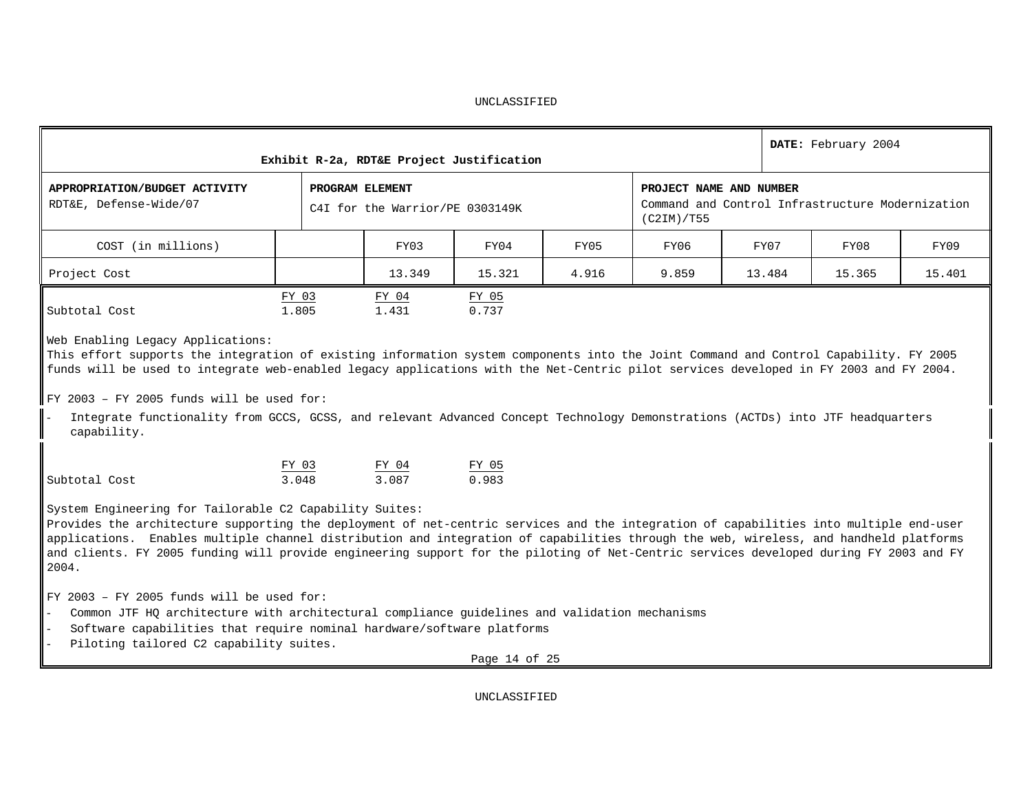|                                                                                                                                                                                                                                                                                                                                                                                                                                                                                               |                 |                                 | Exhibit R-2a, RDT&E Project Justification |       |                                       |        | DATE: February 2004                              |        |
|-----------------------------------------------------------------------------------------------------------------------------------------------------------------------------------------------------------------------------------------------------------------------------------------------------------------------------------------------------------------------------------------------------------------------------------------------------------------------------------------------|-----------------|---------------------------------|-------------------------------------------|-------|---------------------------------------|--------|--------------------------------------------------|--------|
| APPROPRIATION/BUDGET ACTIVITY<br>RDT&E, Defense-Wide/07                                                                                                                                                                                                                                                                                                                                                                                                                                       | PROGRAM ELEMENT | C4I for the Warrior/PE 0303149K |                                           |       | PROJECT NAME AND NUMBER<br>(C2IM)/T55 |        | Command and Control Infrastructure Modernization |        |
| COST (in millions)                                                                                                                                                                                                                                                                                                                                                                                                                                                                            |                 | FY03                            | FY04                                      | FY05  | FY06                                  | FY07   | FY08                                             | FY09   |
| Project Cost                                                                                                                                                                                                                                                                                                                                                                                                                                                                                  |                 | 13.349                          | 15.321                                    | 4.916 | 9.859                                 | 13.484 | 15.365                                           | 15.401 |
| Subtotal Cost<br>Web Enabling Legacy Applications:<br>This effort supports the integration of existing information system components into the Joint Command and Control Capability. FY 2005<br>funds will be used to integrate web-enabled legacy applications with the Net-Centric pilot services developed in FY 2003 and FY 2004.<br>$\parallel$ FY 2003 - FY 2005 funds will be used for:                                                                                                 | FY 03<br>1.805  | FY 04<br>1.431                  | FY 05<br>0.737                            |       |                                       |        |                                                  |        |
| Integrate functionality from GCCS, GCSS, and relevant Advanced Concept Technology Demonstrations (ACTDs) into JTF headquarters<br>capability.                                                                                                                                                                                                                                                                                                                                                 |                 |                                 |                                           |       |                                       |        |                                                  |        |
| Subtotal Cost                                                                                                                                                                                                                                                                                                                                                                                                                                                                                 | FY 03<br>3.048  | FY 04<br>3.087                  | $rac{FY 05}{0.983}$                       |       |                                       |        |                                                  |        |
| System Engineering for Tailorable C2 Capability Suites:<br>Provides the architecture supporting the deployment of net-centric services and the integration of capabilities into multiple end-user<br>applications. Enables multiple channel distribution and integration of capabilities through the web, wireless, and handheld platforms<br>and clients. FY 2005 funding will provide engineering support for the piloting of Net-Centric services developed during FY 2003 and FY<br>2004. |                 |                                 |                                           |       |                                       |        |                                                  |        |
| $FY$ 2003 - $FY$ 2005 funds will be used for:<br>Common JTF HQ architecture with architectural compliance guidelines and validation mechanisms<br>Software capabilities that require nominal hardware/software platforms<br>Piloting tailored C2 capability suites.                                                                                                                                                                                                                           |                 |                                 | Page 14 of 25                             |       |                                       |        |                                                  |        |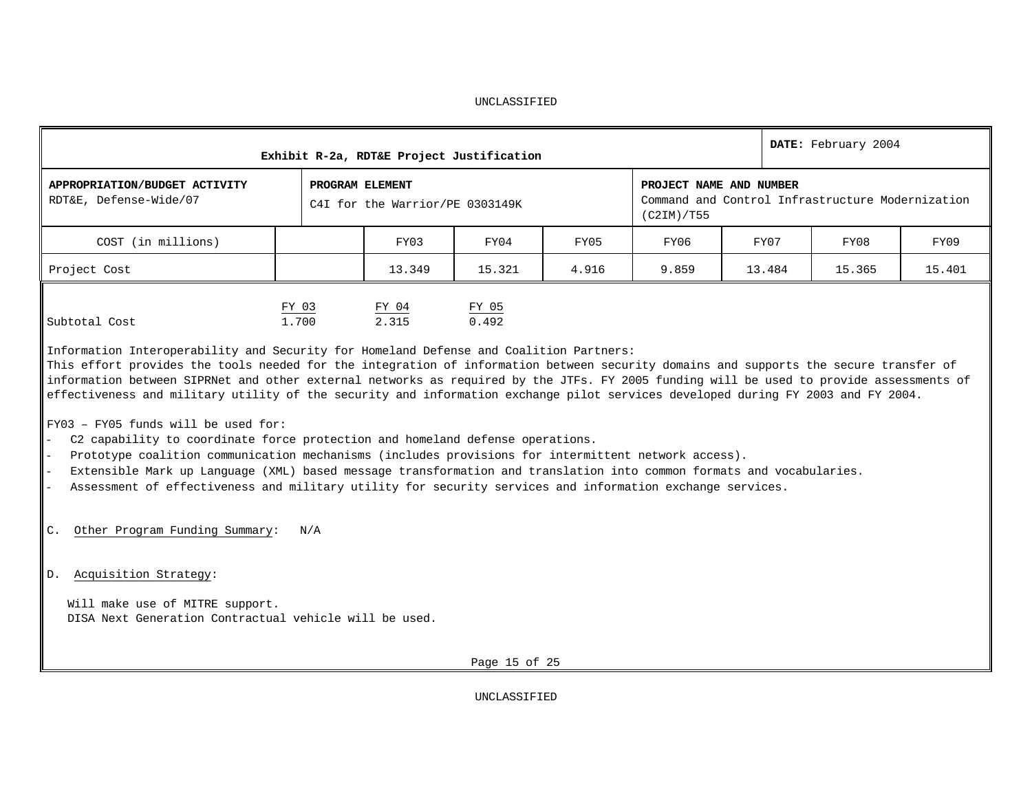|                                                                                                                                                                                                                                                                                                                                                                                                                                                                                                                                                                                                                                                                                                                                                                                                                                                                                                                                                                                                                                               |                       |                                                    | Exhibit R-2a, RDT&E Project Justification |       |            |                         | DATE: February 2004                              |        |
|-----------------------------------------------------------------------------------------------------------------------------------------------------------------------------------------------------------------------------------------------------------------------------------------------------------------------------------------------------------------------------------------------------------------------------------------------------------------------------------------------------------------------------------------------------------------------------------------------------------------------------------------------------------------------------------------------------------------------------------------------------------------------------------------------------------------------------------------------------------------------------------------------------------------------------------------------------------------------------------------------------------------------------------------------|-----------------------|----------------------------------------------------|-------------------------------------------|-------|------------|-------------------------|--------------------------------------------------|--------|
| APPROPRIATION/BUDGET ACTIVITY<br>RDT&E, Defense-Wide/07                                                                                                                                                                                                                                                                                                                                                                                                                                                                                                                                                                                                                                                                                                                                                                                                                                                                                                                                                                                       |                       | PROGRAM ELEMENT<br>C4I for the Warrior/PE 0303149K |                                           |       | (C2IM)/T55 | PROJECT NAME AND NUMBER | Command and Control Infrastructure Modernization |        |
| COST (in millions)                                                                                                                                                                                                                                                                                                                                                                                                                                                                                                                                                                                                                                                                                                                                                                                                                                                                                                                                                                                                                            |                       | FY03                                               | FY04                                      | FY05  | FY06       | FY07                    | FY08                                             | FY09   |
| Project Cost                                                                                                                                                                                                                                                                                                                                                                                                                                                                                                                                                                                                                                                                                                                                                                                                                                                                                                                                                                                                                                  |                       | 13.349                                             | 15.321                                    | 4.916 | 9.859      | 13.484                  | 15.365                                           | 15.401 |
| Subtotal Cost<br>Information Interoperability and Security for Homeland Defense and Coalition Partners:<br>This effort provides the tools needed for the integration of information between security domains and supports the secure transfer of<br>information between SIPRNet and other external networks as required by the JTFs. FY 2005 funding will be used to provide assessments of<br>effectiveness and military utility of the security and information exchange pilot services developed during FY 2003 and FY 2004.<br>$FY03 - FY05$ funds will be used for:<br>C2 capability to coordinate force protection and homeland defense operations.<br>Prototype coalition communication mechanisms (includes provisions for intermittent network access).<br>Extensible Mark up Language (XML) based message transformation and translation into common formats and vocabularies.<br>Assessment of effectiveness and military utility for security services and information exchange services.<br>Other Program Funding Summary:<br>C. | FY 03<br>1,700<br>N/A | $rac{FY-04}{2.315}$                                | FY 05<br>0.492                            |       |            |                         |                                                  |        |
| Acquisition Strategy:<br>D.<br>Will make use of MITRE support.<br>DISA Next Generation Contractual vehicle will be used.                                                                                                                                                                                                                                                                                                                                                                                                                                                                                                                                                                                                                                                                                                                                                                                                                                                                                                                      |                       |                                                    |                                           |       |            |                         |                                                  |        |
|                                                                                                                                                                                                                                                                                                                                                                                                                                                                                                                                                                                                                                                                                                                                                                                                                                                                                                                                                                                                                                               |                       |                                                    | Page 15 of 25                             |       |            |                         |                                                  |        |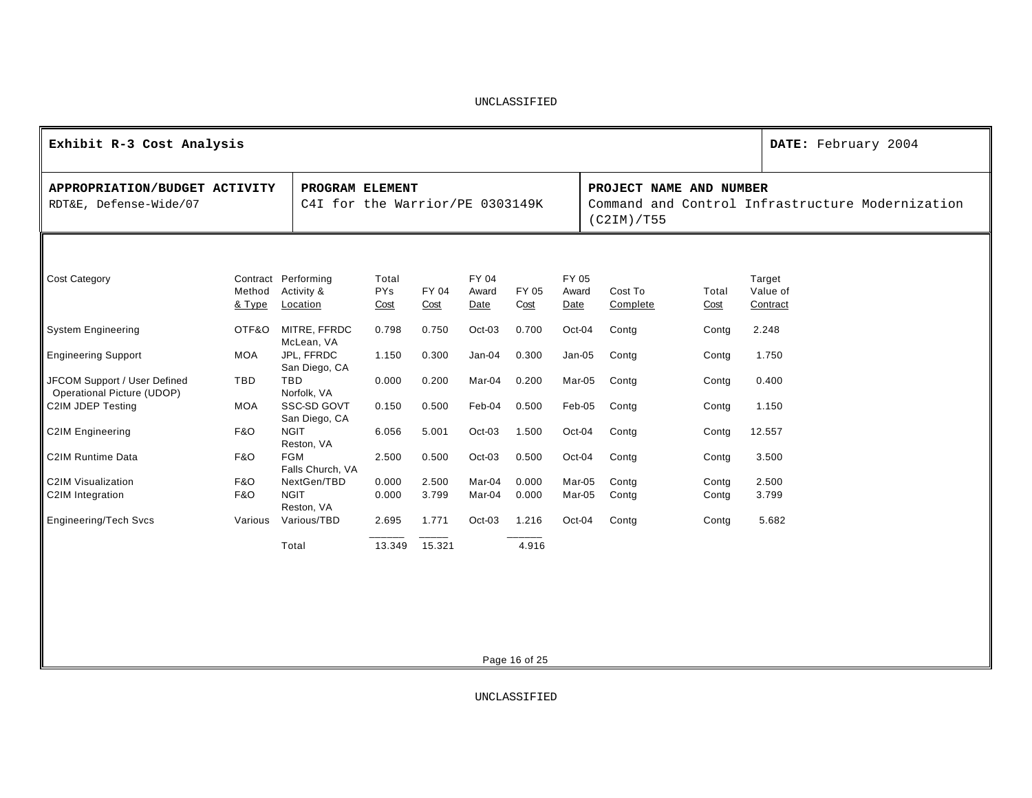| Exhibit R-3 Cost Analysis                                  |                       |                                                    |                      |                |                        |                |                        |                                       |                | DATE: February 2004                              |
|------------------------------------------------------------|-----------------------|----------------------------------------------------|----------------------|----------------|------------------------|----------------|------------------------|---------------------------------------|----------------|--------------------------------------------------|
| APPROPRIATION/BUDGET ACTIVITY<br>RDT&E, Defense-Wide/07    |                       | PROGRAM ELEMENT<br>C4I for the Warrior/PE 0303149K |                      |                |                        |                |                        | PROJECT NAME AND NUMBER<br>(C2IM)/T55 |                | Command and Control Infrastructure Modernization |
|                                                            |                       |                                                    |                      |                |                        |                |                        |                                       |                |                                                  |
| Cost Category                                              | Method<br>& Type      | Contract Performing<br>Activity &<br>Location      | Total<br>PYs<br>Cost | FY 04<br>Cost  | FY 04<br>Award<br>Date | FY 05<br>Cost  | FY 05<br>Award<br>Date | Cost To<br>Complete                   | Total<br>Cost  | Target<br>Value of<br>Contract                   |
| <b>System Engineering</b>                                  | OTF&O                 | MITRE, FFRDC<br>McLean, VA                         | 0.798                | 0.750          | Oct-03                 | 0.700          | Oct-04                 | Contg                                 | Contg          | 2.248                                            |
| <b>Engineering Support</b>                                 | <b>MOA</b>            | JPL, FFRDC<br>San Diego, CA                        | 1.150                | 0.300          | $Jan-04$               | 0.300          | Jan-05                 | Contg                                 | Contg          | 1.750                                            |
| JFCOM Support / User Defined<br>Operational Picture (UDOP) | TBD                   | <b>TBD</b><br>Norfolk, VA                          | 0.000                | 0.200          | Mar-04                 | 0.200          | Mar-05                 | Contg                                 | Contg          | 0.400                                            |
| C2IM JDEP Testing                                          | <b>MOA</b>            | SSC-SD GOVT<br>San Diego, CA                       | 0.150                | 0.500          | Feb-04                 | 0.500          | Feb-05                 | Contg                                 | Contg          | 1.150                                            |
| <b>C2IM Engineering</b>                                    | <b>F&amp;O</b>        | <b>NGIT</b><br>Reston, VA                          | 6.056                | 5.001          | Oct-03                 | 1.500          | Oct-04                 | Contg                                 | Contg          | 12.557                                           |
| C2IM Runtime Data                                          | <b>F&amp;O</b>        | <b>FGM</b><br>Falls Church, VA                     | 2.500                | 0.500          | Oct-03                 | 0.500          | Oct-04                 | Contg                                 | Contg          | 3.500                                            |
| C2IM Visualization<br>C2IM Integration                     | <b>F&amp;O</b><br>F&O | NextGen/TBD<br><b>NGIT</b><br>Reston, VA           | 0.000<br>0.000       | 2.500<br>3.799 | Mar-04<br>Mar-04       | 0.000<br>0.000 | Mar-05<br>Mar-05       | Contg<br>Contg                        | Contg<br>Contg | 2.500<br>3.799                                   |
| <b>Engineering/Tech Svcs</b>                               | Various               | Various/TBD                                        | 2.695                | 1.771          | $Oct-03$               | 1.216          | Oct-04                 | Contg                                 | Contg          | 5.682                                            |
|                                                            |                       | Total                                              | 13.349               | 15.321         |                        | 4.916          |                        |                                       |                |                                                  |
|                                                            |                       |                                                    |                      |                |                        | Page 16 of 25  |                        |                                       |                |                                                  |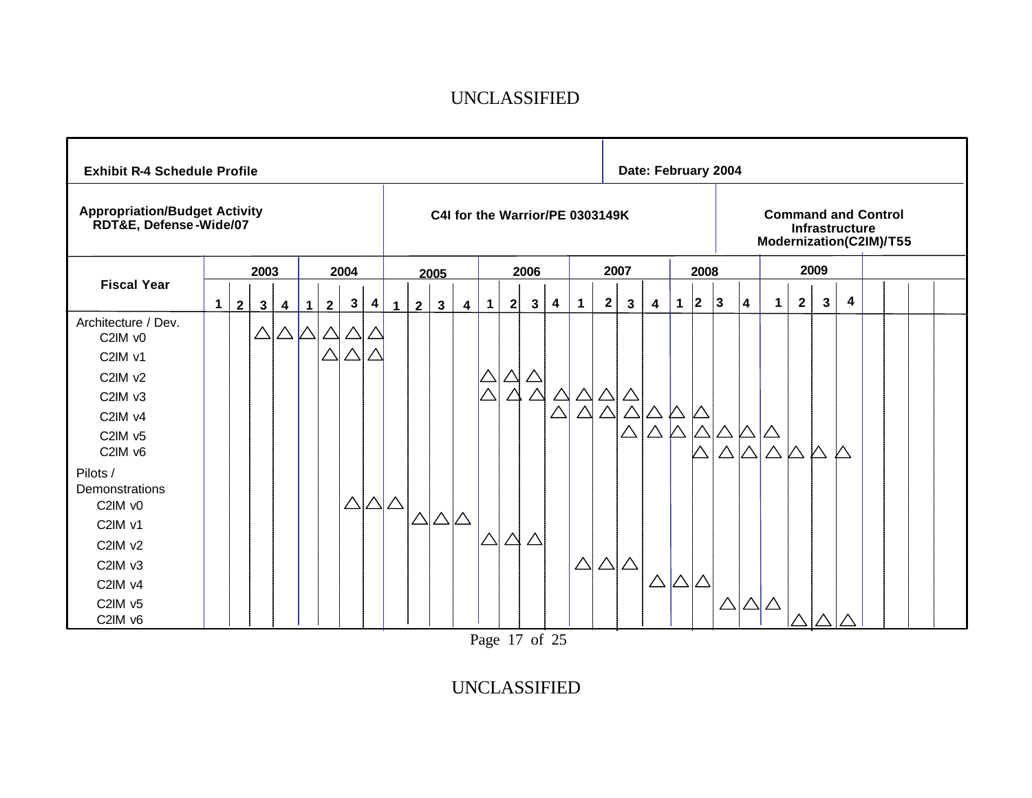| <b>Exhibit R-4 Schedule Profile</b>                            |              |                |              |                         |                       |                |                  |                         |                 |                |              |                         |             |          |              |                                 |             |             |                       | Date: February 2004 |               |          |                            |   |                            |                |              |                                              |  |  |
|----------------------------------------------------------------|--------------|----------------|--------------|-------------------------|-----------------------|----------------|------------------|-------------------------|-----------------|----------------|--------------|-------------------------|-------------|----------|--------------|---------------------------------|-------------|-------------|-----------------------|---------------------|---------------|----------|----------------------------|---|----------------------------|----------------|--------------|----------------------------------------------|--|--|
| <b>Appropriation/Budget Activity</b><br>RDT&E, Defense-Wide/07 |              |                |              |                         |                       |                |                  |                         |                 |                |              |                         |             |          |              | C4I for the Warrior/PE 0303149K |             |             |                       |                     |               |          |                            |   | Modernization(C2IM)/T55    |                |              | <b>Command and Control</b><br>Infrastructure |  |  |
|                                                                |              |                | 2003         |                         |                       |                | 2004             |                         |                 |                | 2005         |                         |             |          | 2006         |                                 |             |             | 2007                  |                     |               | 2008     |                            |   |                            |                | 2009         |                                              |  |  |
| <b>Fiscal Year</b>                                             | $\mathbf{1}$ | 2 <sup>1</sup> | $\mathbf{3}$ | $\overline{\mathbf{4}}$ | 1                     | $\overline{2}$ | $\mathbf{3}$     | $\overline{\mathbf{4}}$ | $\mathbf{1}$    | $\overline{2}$ | $\mathbf{3}$ | $\overline{\mathbf{4}}$ | $\mathbf 1$ | 2        | $\mathbf{3}$ | 4                               | $\mathbf 1$ | $\mathbf 2$ | 3                     | 4                   | $\mathbf 1$   | 2        | $ 3\rangle$                | 4 | $\mathbf 1$                | 2 <sup>1</sup> | $\mathbf{3}$ | 4                                            |  |  |
| Architecture / Dev.<br>C2IM v0                                 |              |                | $\triangle$  |                         | $\triangle \triangle$ | △              |                  |                         |                 |                |              |                         |             |          |              |                                 |             |             |                       |                     |               |          |                            |   |                            |                |              |                                              |  |  |
| C2IM v1                                                        |              |                |              |                         |                       | $\triangle$    |                  |                         |                 |                |              |                         |             |          |              |                                 |             |             |                       |                     |               |          |                            |   |                            |                |              |                                              |  |  |
| C2IM v2                                                        |              |                |              |                         |                       |                |                  |                         |                 |                |              |                         |             |          |              |                                 |             |             |                       |                     |               |          |                            |   |                            |                |              |                                              |  |  |
| C2IM v3                                                        |              |                |              |                         |                       |                |                  |                         |                 |                |              |                         | $\triangle$ |          |              | $\triangle$                     | $\triangle$ | $\triangle$ |                       |                     |               |          |                            |   |                            |                |              |                                              |  |  |
| C2IM v4                                                        |              |                |              |                         |                       |                |                  |                         |                 |                |              |                         |             |          |              |                                 | $\triangle$ | $\wedge$    |                       |                     |               |          |                            |   |                            |                |              |                                              |  |  |
| C2IM v5<br>C2IM v6                                             |              |                |              |                         |                       |                |                  |                         |                 |                |              |                         |             |          |              |                                 |             |             | $\triangle$           | $\triangle$         |               |          | $\triangle$<br>$\triangle$ |   | $\triangle$<br>$\triangle$ | $\mathcal{V}$  |              | Л                                            |  |  |
| Pilots /<br>Demonstrations                                     |              |                |              |                         |                       |                |                  |                         |                 |                |              |                         |             |          |              |                                 |             |             |                       |                     |               |          |                            |   |                            |                |              |                                              |  |  |
| C2IM v0                                                        |              |                |              |                         |                       |                | $\triangle\vert$ |                         | $\Delta \Delta$ |                |              |                         |             |          |              |                                 |             |             |                       |                     |               |          |                            |   |                            |                |              |                                              |  |  |
| C2IM v1                                                        |              |                |              |                         |                       |                |                  |                         |                 |                |              |                         |             |          |              |                                 |             |             |                       |                     |               |          |                            |   |                            |                |              |                                              |  |  |
| C2IM v2                                                        |              |                |              |                         |                       |                |                  |                         |                 |                |              |                         | $\triangle$ | $\Delta$ | Δ            |                                 |             |             |                       |                     |               |          |                            |   |                            |                |              |                                              |  |  |
| C2IM v3                                                        |              |                |              |                         |                       |                |                  |                         |                 |                |              |                         |             |          |              |                                 | $\triangle$ |             | $\triangle \triangle$ |                     |               |          |                            |   |                            |                |              |                                              |  |  |
| C2IM v4                                                        |              |                |              |                         |                       |                |                  |                         |                 |                |              |                         |             |          |              |                                 |             |             |                       | $\triangle$         | $ \triangle $ | $\Delta$ |                            |   |                            |                |              |                                              |  |  |
| C2IM v5<br>C2IM v6                                             |              |                |              |                         |                       |                |                  |                         |                 |                |              |                         |             |          |              |                                 |             |             |                       |                     |               |          | $\triangle$                |   | $\triangle$ $\triangle$    |                |              |                                              |  |  |

Page 17 of 25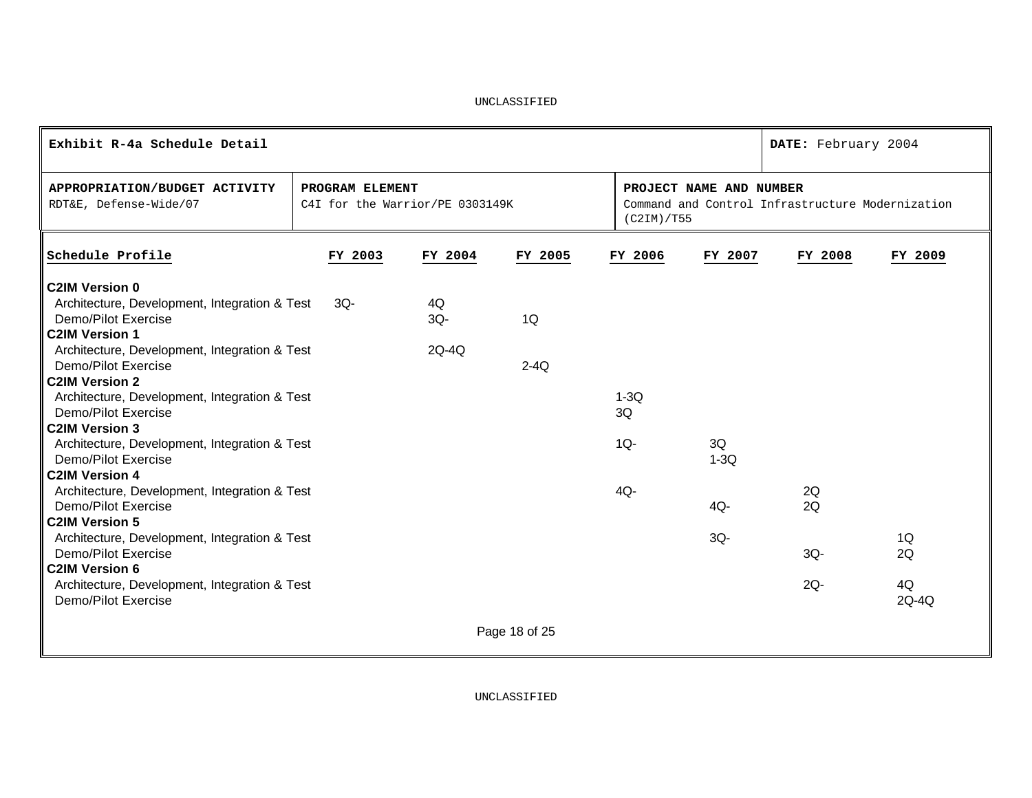| Exhibit R-4a Schedule Detail                                                                                                                                                                                                                                                                                                                                                                                                                                                                                                                                                                                                                                                                        |                                                    |                       |               |                                  |                               | DATE: February 2004                              |                         |
|-----------------------------------------------------------------------------------------------------------------------------------------------------------------------------------------------------------------------------------------------------------------------------------------------------------------------------------------------------------------------------------------------------------------------------------------------------------------------------------------------------------------------------------------------------------------------------------------------------------------------------------------------------------------------------------------------------|----------------------------------------------------|-----------------------|---------------|----------------------------------|-------------------------------|--------------------------------------------------|-------------------------|
| APPROPRIATION/BUDGET ACTIVITY<br>RDT&E, Defense-Wide/07                                                                                                                                                                                                                                                                                                                                                                                                                                                                                                                                                                                                                                             | PROGRAM ELEMENT<br>C4I for the Warrior/PE 0303149K |                       |               | (C2IM)/T55                       | PROJECT NAME AND NUMBER       | Command and Control Infrastructure Modernization |                         |
| Schedule Profile                                                                                                                                                                                                                                                                                                                                                                                                                                                                                                                                                                                                                                                                                    | FY 2003                                            | FY 2004               | FY 2005       | FY 2006                          | FY 2007                       | FY 2008                                          | FY 2009                 |
| <b>C2IM Version 0</b><br>Architecture, Development, Integration & Test<br>Demo/Pilot Exercise<br><b>C2IM Version 1</b><br>Architecture, Development, Integration & Test<br>Demo/Pilot Exercise<br><b>C2IM Version 2</b><br>Architecture, Development, Integration & Test<br>Demo/Pilot Exercise<br><b>C2IM Version 3</b><br>Architecture, Development, Integration & Test<br>Demo/Pilot Exercise<br><b>C2IM Version 4</b><br>Architecture, Development, Integration & Test<br>Demo/Pilot Exercise<br><b>C2IM Version 5</b><br>Architecture, Development, Integration & Test<br>Demo/Pilot Exercise<br><b>C2IM Version 6</b><br>Architecture, Development, Integration & Test<br>Demo/Pilot Exercise | $3Q -$                                             | 4Q<br>$3Q -$<br>2Q-4Q | 1Q<br>$2-4Q$  | $1-3Q$<br>3Q<br>$1Q -$<br>$4Q -$ | 3Q<br>$1-3Q$<br>4Q-<br>$3Q -$ | 2Q<br>2Q<br>$3Q -$<br>$2Q -$                     | 1Q<br>2Q<br>4Q<br>2Q-4Q |
|                                                                                                                                                                                                                                                                                                                                                                                                                                                                                                                                                                                                                                                                                                     |                                                    |                       | Page 18 of 25 |                                  |                               |                                                  |                         |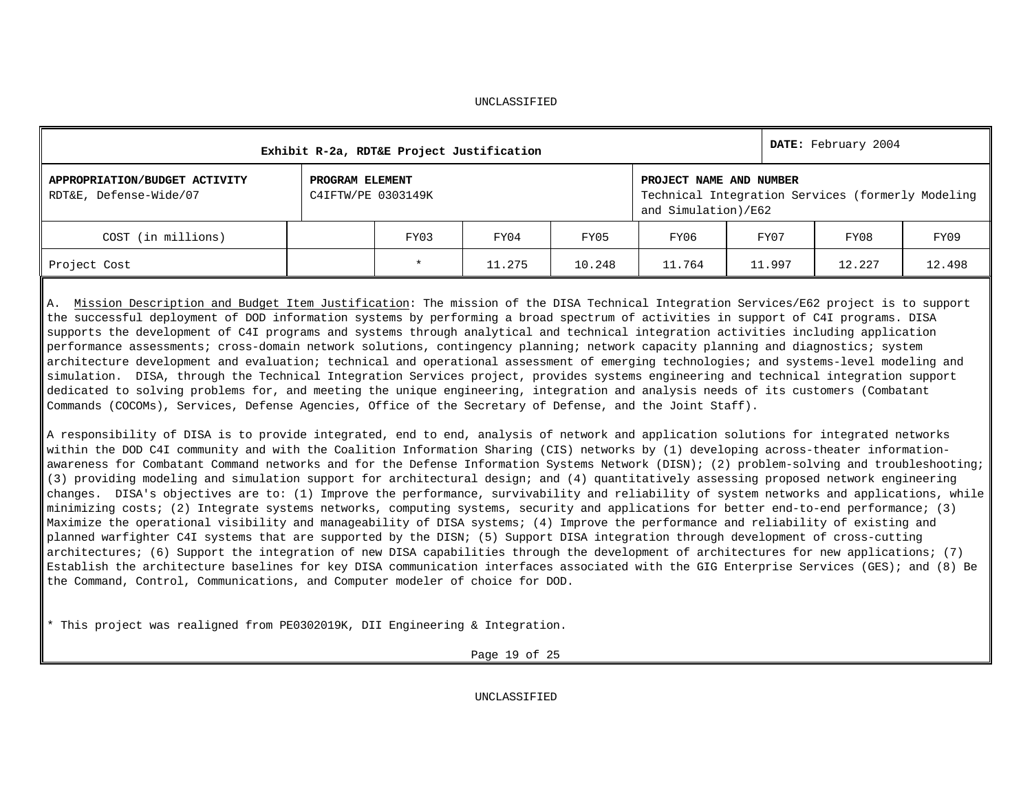|                                                         |                                       | Exhibit R-2a, RDT&E Project Justification |        |        |                                                                                                     |        | DATE: February 2004 |        |  |  |
|---------------------------------------------------------|---------------------------------------|-------------------------------------------|--------|--------|-----------------------------------------------------------------------------------------------------|--------|---------------------|--------|--|--|
| APPROPRIATION/BUDGET ACTIVITY<br>RDT&E, Defense-Wide/07 | PROGRAM ELEMENT<br>C4IFTW/PE 0303149K |                                           |        |        | PROJECT NAME AND NUMBER<br>Technical Integration Services (formerly Modeling<br>and Simulation)/E62 |        |                     |        |  |  |
| COST (in millions)                                      |                                       | FY03                                      | FY04   | FY05   | FY06                                                                                                | FY07   | FY08                | FY09   |  |  |
| Project Cost                                            |                                       | $\star$                                   | 11.275 | 10.248 | 11.764                                                                                              | 11.997 | 12.227              | 12.498 |  |  |

A. Mission Description and Budget Item Justification: The mission of the DISA Technical Integration Services/E62 project is to support the successful deployment of DOD information systems by performing a broad spectrum of activities in support of C4I programs. DISA supports the development of C4I programs and systems through analytical and technical integration activities including application performance assessments; cross-domain network solutions, contingency planning; network capacity planning and diagnostics; system architecture development and evaluation; technical and operational assessment of emerging technologies; and systems-level modeling and simulation. DISA, through the Technical Integration Services project, provides systems engineering and technical integration support dedicated to solving problems for, and meeting the unique engineering, integration and analysis needs of its customers (Combatant Commands (COCOMs), Services, Defense Agencies, Office of the Secretary of Defense, and the Joint Staff).

A responsibility of DISA is to provide integrated, end to end, analysis of network and application solutions for integrated networks within the DOD C4I community and with the Coalition Information Sharing (CIS) networks by (1) developing across-theater informationawareness for Combatant Command networks and for the Defense Information Systems Network (DISN); (2) problem-solving and troubleshooting; (3) providing modeling and simulation support for architectural design; and (4) quantitatively assessing proposed network engineering changes. DISA's objectives are to: (1) Improve the performance, survivability and reliability of system networks and applications, while minimizing costs; (2) Integrate systems networks, computing systems, security and applications for better end-to-end performance; (3) Maximize the operational visibility and manageability of DISA systems; (4) Improve the performance and reliability of existing and planned warfighter C4I systems that are supported by the DISN; (5) Support DISA integration through development of cross-cutting architectures; (6) Support the integration of new DISA capabilities through the development of architectures for new applications; (7) Establish the architecture baselines for key DISA communication interfaces associated with the GIG Enterprise Services (GES); and (8) Be the Command, Control, Communications, and Computer modeler of choice for DOD.

\* This project was realigned from PE0302019K, DII Engineering & Integration.

Page 19 of 25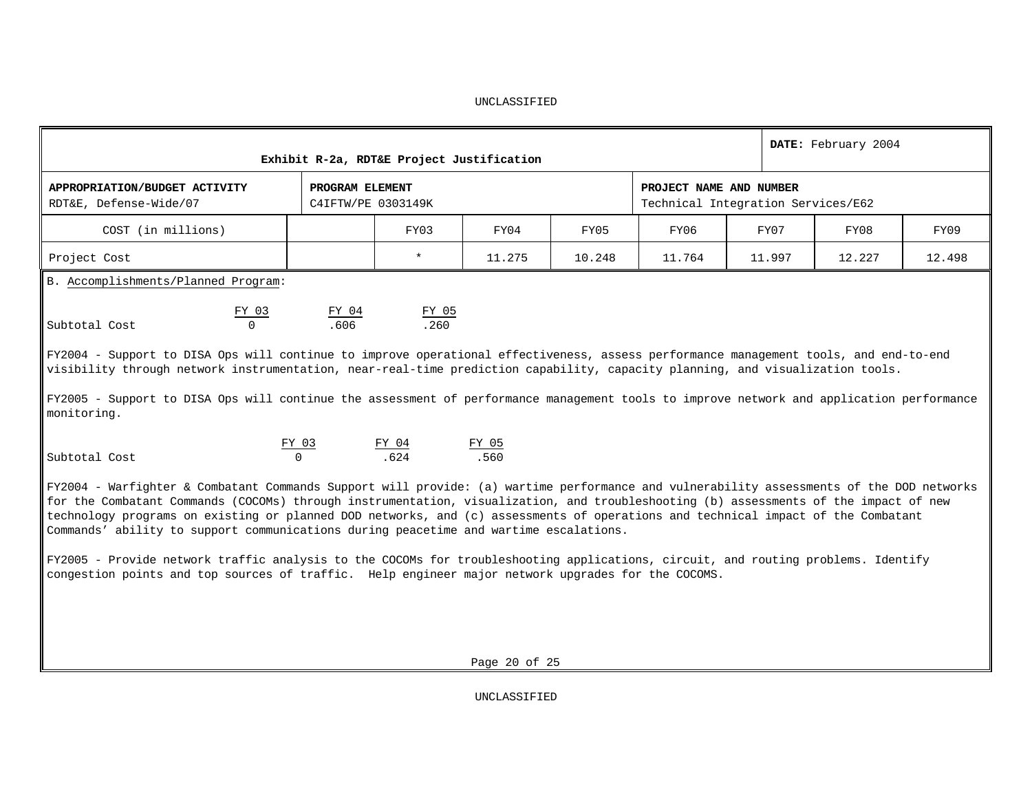| Exhibit R-2a, RDT&E Project Justification                                                                                                                                                                                                                             |                                                                                                                                                                                                                                                                                                                                                                                                                                                                                                                                                                                                                                                                      | DATE: February 2004   |               |        |                                                               |        |        |        |  |  |  |  |  |
|-----------------------------------------------------------------------------------------------------------------------------------------------------------------------------------------------------------------------------------------------------------------------|----------------------------------------------------------------------------------------------------------------------------------------------------------------------------------------------------------------------------------------------------------------------------------------------------------------------------------------------------------------------------------------------------------------------------------------------------------------------------------------------------------------------------------------------------------------------------------------------------------------------------------------------------------------------|-----------------------|---------------|--------|---------------------------------------------------------------|--------|--------|--------|--|--|--|--|--|
| APPROPRIATION/BUDGET ACTIVITY<br>RDT&E, Defense-Wide/07                                                                                                                                                                                                               | PROGRAM ELEMENT<br>C41FTW/PE 0303149K                                                                                                                                                                                                                                                                                                                                                                                                                                                                                                                                                                                                                                |                       |               |        | PROJECT NAME AND NUMBER<br>Technical Integration Services/E62 |        |        |        |  |  |  |  |  |
| COST (in millions)                                                                                                                                                                                                                                                    |                                                                                                                                                                                                                                                                                                                                                                                                                                                                                                                                                                                                                                                                      | FY03                  | FY04          | FY05   | FY06                                                          | FY07   | FY08   | FY09   |  |  |  |  |  |
| Project Cost                                                                                                                                                                                                                                                          |                                                                                                                                                                                                                                                                                                                                                                                                                                                                                                                                                                                                                                                                      | $\star$               | 11.275        | 10.248 | 11.764                                                        | 11.997 | 12.227 | 12.498 |  |  |  |  |  |
| B. Accomplishments/Planned Program:                                                                                                                                                                                                                                   |                                                                                                                                                                                                                                                                                                                                                                                                                                                                                                                                                                                                                                                                      |                       |               |        |                                                               |        |        |        |  |  |  |  |  |
| FY 03<br>Subtotal Cost                                                                                                                                                                                                                                                | $\frac{FY$ 04<br>.606                                                                                                                                                                                                                                                                                                                                                                                                                                                                                                                                                                                                                                                | $\frac{FY$ 05<br>.260 |               |        |                                                               |        |        |        |  |  |  |  |  |
| FY2004 - Support to DISA Ops will continue to improve operational effectiveness, assess performance management tools, and end-to-end<br>visibility through network instrumentation, near-real-time prediction capability, capacity planning, and visualization tools. |                                                                                                                                                                                                                                                                                                                                                                                                                                                                                                                                                                                                                                                                      |                       |               |        |                                                               |        |        |        |  |  |  |  |  |
| FY2005 - Support to DISA Ops will continue the assessment of performance management tools to improve network and application performance<br>monitoring.                                                                                                               |                                                                                                                                                                                                                                                                                                                                                                                                                                                                                                                                                                                                                                                                      |                       |               |        |                                                               |        |        |        |  |  |  |  |  |
| Subtotal Cost                                                                                                                                                                                                                                                         | $\Omega$                                                                                                                                                                                                                                                                                                                                                                                                                                                                                                                                                                                                                                                             | .624                  | FY 05<br>.560 |        |                                                               |        |        |        |  |  |  |  |  |
| congestion points and top sources of traffic. Help engineer major network upgrades for the COCOMS.                                                                                                                                                                    | FY 03<br>FY 04<br>FY2004 - Warfighter & Combatant Commands Support will provide: (a) wartime performance and vulnerability assessments of the DOD networks<br>for the Combatant Commands (COCOMs) through instrumentation, visualization, and troubleshooting (b) assessments of the impact of new<br>technology programs on existing or planned DOD networks, and (c) assessments of operations and technical impact of the Combatant<br>Commands' ability to support communications during peacetime and wartime escalations.<br>FY2005 - Provide network traffic analysis to the COCOMs for troubleshooting applications, circuit, and routing problems. Identify |                       |               |        |                                                               |        |        |        |  |  |  |  |  |
|                                                                                                                                                                                                                                                                       |                                                                                                                                                                                                                                                                                                                                                                                                                                                                                                                                                                                                                                                                      |                       | Page 20 of 25 |        |                                                               |        |        |        |  |  |  |  |  |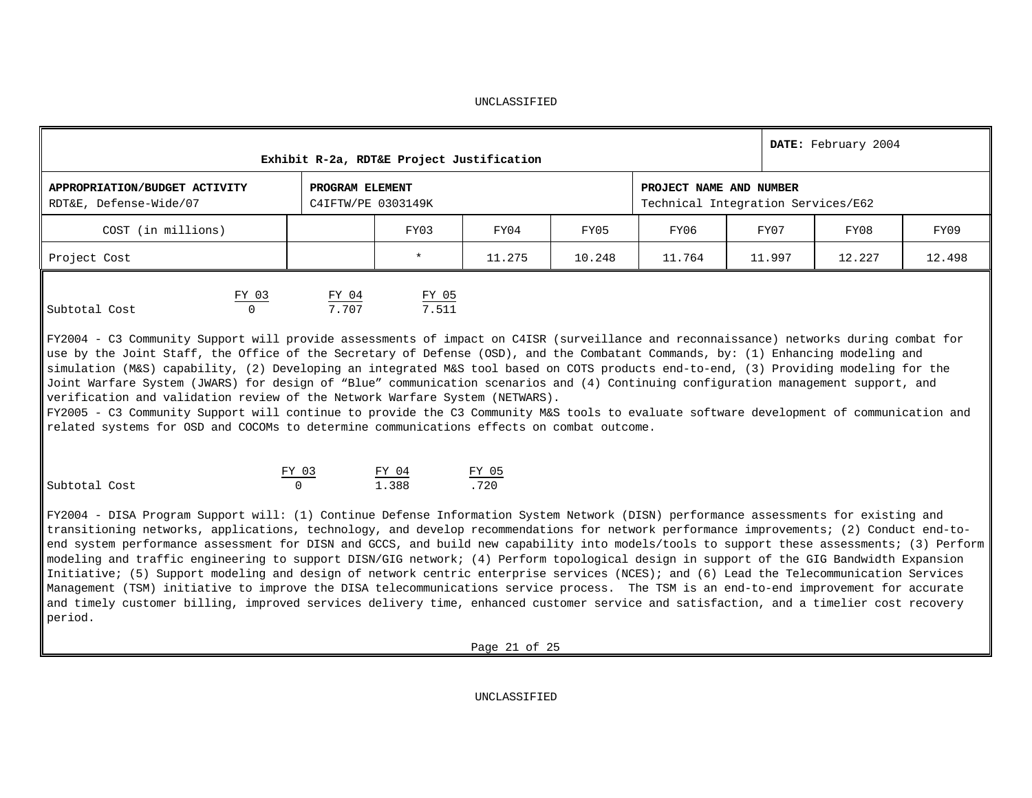|                                                         |                   |                                       | Exhibit R-2a, RDT&E Project Justification |        |        |                                                               |        | DATE: February 2004 |        |
|---------------------------------------------------------|-------------------|---------------------------------------|-------------------------------------------|--------|--------|---------------------------------------------------------------|--------|---------------------|--------|
| APPROPRIATION/BUDGET ACTIVITY<br>RDT&E, Defense-Wide/07 |                   | PROGRAM ELEMENT<br>C4IFTW/PE 0303149K |                                           |        |        | PROJECT NAME AND NUMBER<br>Technical Integration Services/E62 |        |                     |        |
| COST (in millions)                                      |                   |                                       | FY03                                      | FY04   | FY05   | FY06                                                          | FY07   | FY08                | FY09   |
| Project Cost                                            |                   |                                       | $\star$                                   | 11.275 | 10.248 | 11.764                                                        | 11.997 | 12.227              | 12.498 |
| Subtotal Cost                                           | FY 03<br>$\Omega$ | FY 04<br>7.707                        | FY 05<br>7.511                            |        |        |                                                               |        |                     |        |

FY2004 - C3 Community Support will provide assessments of impact on C4ISR (surveillance and reconnaissance) networks during combat for use by the Joint Staff, the Office of the Secretary of Defense (OSD), and the Combatant Commands, by: (1) Enhancing modeling and simulation (M&S) capability, (2) Developing an integrated M&S tool based on COTS products end-to-end, (3) Providing modeling for the Joint Warfare System (JWARS) for design of "Blue" communication scenarios and (4) Continuing configuration management support, and verification and validation review of the Network Warfare System (NETWARS).

FY2005 - C3 Community Support will continue to provide the C3 Community M&S tools to evaluate software development of communication and related systems for OSD and COCOMs to determine communications effects on combat outcome.

|               | FY በ3 | $FY$ 04 | FY 05 |
|---------------|-------|---------|-------|
| Subtotal Cost |       | 1.388   | 720   |

FY2004 - DISA Program Support will: (1) Continue Defense Information System Network (DISN) performance assessments for existing and transitioning networks, applications, technology, and develop recommendations for network performance improvements; (2) Conduct end-toend system performance assessment for DISN and GCCS, and build new capability into models/tools to support these assessments; (3) Perform modeling and traffic engineering to support DISN/GIG network; (4) Perform topological design in support of the GIG Bandwidth Expansion Initiative; (5) Support modeling and design of network centric enterprise services (NCES); and (6) Lead the Telecommunication Services Management (TSM) initiative to improve the DISA telecommunications service process. The TSM is an end-to-end improvement for accurate and timely customer billing, improved services delivery time, enhanced customer service and satisfaction, and a timelier cost recovery period.

Page 21 of 25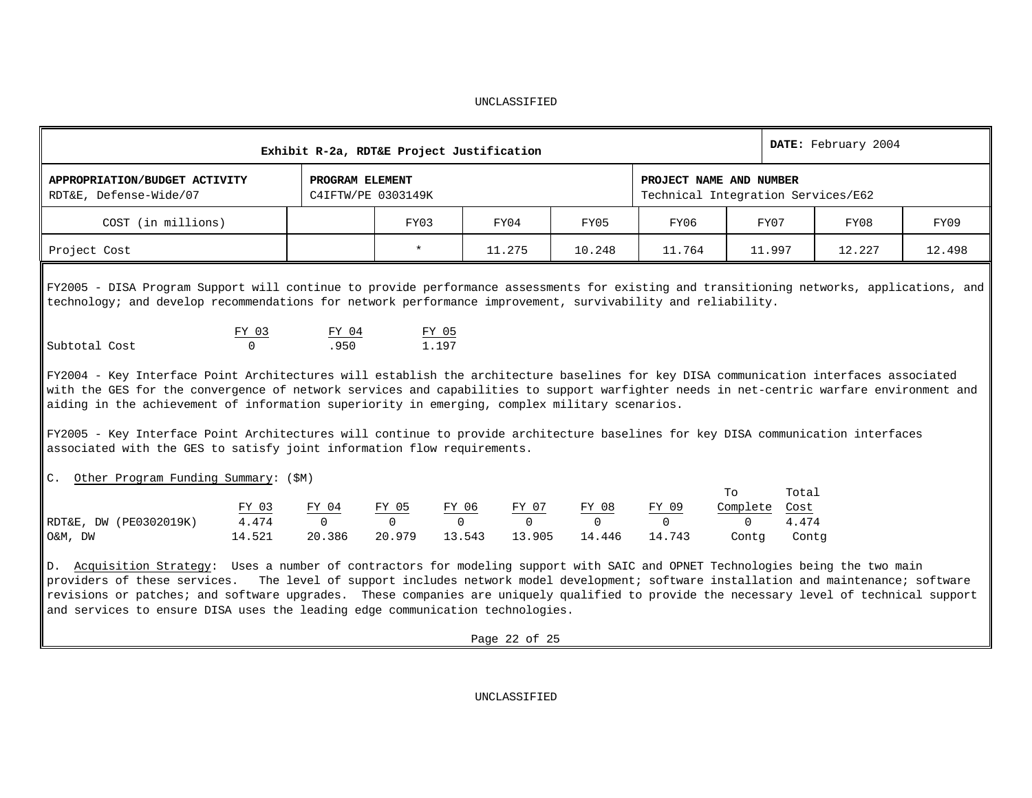|                                                                                                                                                                                                                                                                                                                                                                                                                                                                                                                                                                                                                                                                                                                                                                                                                 | Exhibit R-2a, RDT&E Project Justification |                                       |                     |                   |                    | DATE: February 2004 |                   |                                                               |               |        |        |
|-----------------------------------------------------------------------------------------------------------------------------------------------------------------------------------------------------------------------------------------------------------------------------------------------------------------------------------------------------------------------------------------------------------------------------------------------------------------------------------------------------------------------------------------------------------------------------------------------------------------------------------------------------------------------------------------------------------------------------------------------------------------------------------------------------------------|-------------------------------------------|---------------------------------------|---------------------|-------------------|--------------------|---------------------|-------------------|---------------------------------------------------------------|---------------|--------|--------|
| APPROPRIATION/BUDGET ACTIVITY<br>RDT&E, Defense-Wide/07                                                                                                                                                                                                                                                                                                                                                                                                                                                                                                                                                                                                                                                                                                                                                         |                                           | PROGRAM ELEMENT<br>C4IFTW/PE 0303149K |                     |                   |                    |                     |                   | PROJECT NAME AND NUMBER<br>Technical Integration Services/E62 |               |        |        |
| COST (in millions)                                                                                                                                                                                                                                                                                                                                                                                                                                                                                                                                                                                                                                                                                                                                                                                              |                                           |                                       | FY03                |                   | FY04               | FY05                | FY06              | FY07                                                          |               | FY08   | FY09   |
| Project Cost                                                                                                                                                                                                                                                                                                                                                                                                                                                                                                                                                                                                                                                                                                                                                                                                    |                                           |                                       | $\star$             |                   | 11.275             | 10.248              | 11.764            | 11.997                                                        |               | 12.227 | 12.498 |
| FY2005 - DISA Program Support will continue to provide performance assessments for existing and transitioning networks, applications, and<br>technology; and develop recommendations for network performance improvement, survivability and reliability.<br>Subtotal Cost<br>$\parallel$ FY2004 - Key Interface Point Architectures will establish the architecture baselines for key DISA communication interfaces associated<br>with the GES for the convergence of network services and capabilities to support warfighter needs in net-centric warfare environment and<br>aiding in the achievement of information superiority in emerging, complex military scenarios.<br>FY2005 - Key Interface Point Architectures will continue to provide architecture baselines for key DISA communication interfaces | FY 03<br>$\cap$                           | $\frac{FY$ 04<br>.950                 | FY 05<br>1.197      |                   |                    |                     |                   |                                                               |               |        |        |
| associated with the GES to satisfy joint information flow requirements.<br>Other Program Funding Summary: (\$M)<br>C <sub>1</sub>                                                                                                                                                                                                                                                                                                                                                                                                                                                                                                                                                                                                                                                                               |                                           |                                       |                     |                   |                    |                     |                   | To<br>Complete                                                | Total         |        |        |
| RDT&E, DW (PE0302019K)                                                                                                                                                                                                                                                                                                                                                                                                                                                                                                                                                                                                                                                                                                                                                                                          | <u>FY 03</u><br>4.474                     | FY 04<br>$\overline{0}$               | $\frac{FY \t05}{0}$ | $\frac{FY_06}{0}$ | $\frac{FY$ 07<br>0 | $\frac{FY_08}{0}$   | FY 09<br>$\Omega$ | $\Omega$                                                      | Cost<br>4.474 |        |        |
| O&M, DW                                                                                                                                                                                                                                                                                                                                                                                                                                                                                                                                                                                                                                                                                                                                                                                                         | 14.521                                    | 20.386                                | 20.979              | 13.543            | 13.905             | 14.446              | 14.743            | Contg                                                         | Contg         |        |        |
| $\parallel$ D. Acquisition Strategy: Uses a number of contractors for modeling support with SAIC and OPNET Technologies being the two main<br>providers of these services. The level of support includes network model development; software installation and maintenance; software<br>revisions or patches; and software upgrades. These companies are uniquely qualified to provide the necessary level of technical support<br>and services to ensure DISA uses the leading edge communication technologies.                                                                                                                                                                                                                                                                                                 |                                           |                                       |                     |                   | Page 22 of 25      |                     |                   |                                                               |               |        |        |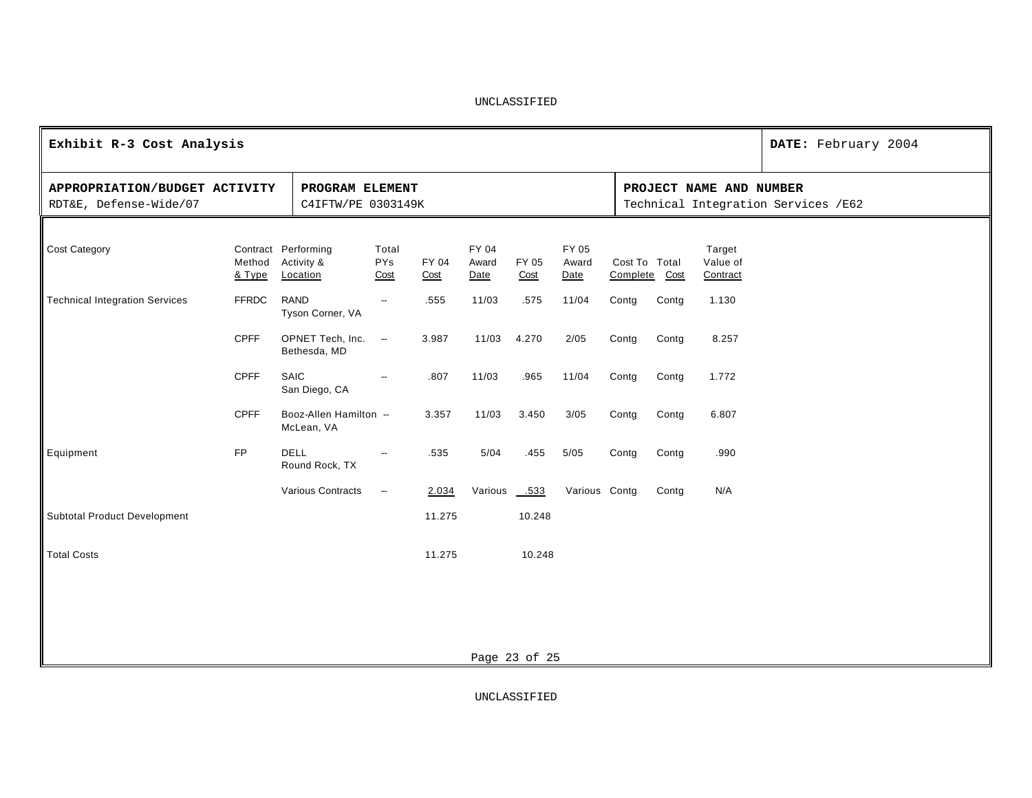| Exhibit R-3 Cost Analysis                               |                  |                                               | DATE: February 2004         |               |                        |               |                        |                                |       |                                |                                     |
|---------------------------------------------------------|------------------|-----------------------------------------------|-----------------------------|---------------|------------------------|---------------|------------------------|--------------------------------|-------|--------------------------------|-------------------------------------|
| APPROPRIATION/BUDGET ACTIVITY<br>RDT&E, Defense-Wide/07 |                  | PROGRAM ELEMENT<br>C4IFTW/PE 0303149K         |                             |               |                        |               |                        |                                |       | PROJECT NAME AND NUMBER        | Technical Integration Services /E62 |
| Cost Category                                           | Method<br>& Type | Contract Performing<br>Activity &<br>Location | Total<br><b>PYs</b><br>Cost | FY 04<br>Cost | FY 04<br>Award<br>Date | FY 05<br>Cost | FY 05<br>Award<br>Date | Cost To Total<br>Complete Cost |       | Target<br>Value of<br>Contract |                                     |
| <b>Technical Integration Services</b>                   | <b>FFRDC</b>     | RAND<br>Tyson Corner, VA                      | $\overline{\phantom{a}}$    | .555          | 11/03                  | .575          | 11/04                  | Contg                          | Contg | 1.130                          |                                     |
|                                                         | <b>CPFF</b>      | OPNET Tech, Inc.<br>Bethesda, MD              | $\overline{\phantom{a}}$    | 3.987         | 11/03                  | 4.270         | 2/05                   | Contg                          | Contg | 8.257                          |                                     |
|                                                         | <b>CPFF</b>      | SAIC<br>San Diego, CA                         | $\overline{\phantom{a}}$    | .807          | 11/03                  | .965          | 11/04                  | Contg                          | Contg | 1.772                          |                                     |
|                                                         | <b>CPFF</b>      | Booz-Allen Hamilton --<br>McLean, VA          |                             | 3.357         | 11/03                  | 3.450         | 3/05                   | Contg                          | Contg | 6.807                          |                                     |
| Equipment                                               | <b>FP</b>        | <b>DELL</b><br>Round Rock, TX                 | $\overline{\phantom{a}}$    | .535          | 5/04                   | .455          | 5/05                   | Contg                          | Contg | .990                           |                                     |
|                                                         |                  | Various Contracts                             | $\overline{\phantom{a}}$    | 2.034         | Various .533           |               | Various Contg          |                                | Contg | N/A                            |                                     |
| Subtotal Product Development                            |                  |                                               |                             | 11.275        |                        | 10.248        |                        |                                |       |                                |                                     |
| <b>Total Costs</b>                                      |                  |                                               |                             | 11.275        |                        | 10.248        |                        |                                |       |                                |                                     |
|                                                         |                  |                                               |                             |               |                        |               |                        |                                |       |                                |                                     |
|                                                         |                  |                                               |                             |               |                        |               |                        |                                |       |                                |                                     |
|                                                         |                  |                                               |                             |               |                        | Page 23 of 25 |                        |                                |       |                                |                                     |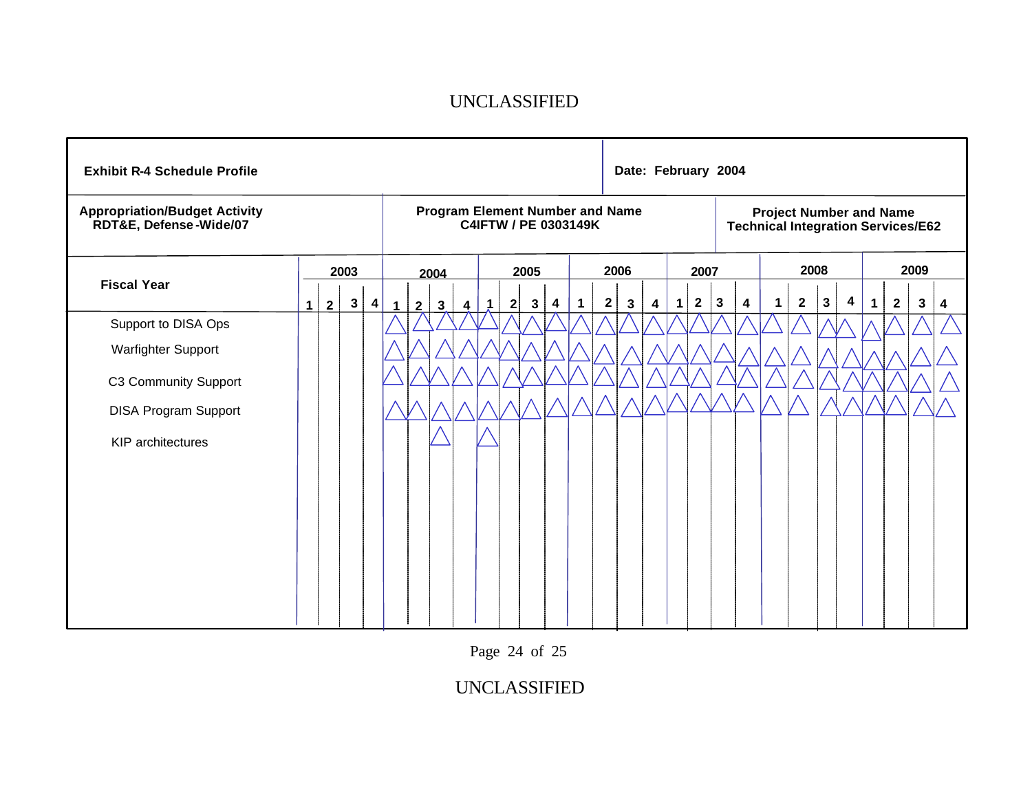| <b>Exhibit R-4 Schedule Profile</b>                            |                |                |              |   |              |                                                                |              |                  |             |              |   |   |              |             | Date: February 2004                                                         |      |   |              |              |                         |             |              |              |                         |             |              |              |   |
|----------------------------------------------------------------|----------------|----------------|--------------|---|--------------|----------------------------------------------------------------|--------------|------------------|-------------|--------------|---|---|--------------|-------------|-----------------------------------------------------------------------------|------|---|--------------|--------------|-------------------------|-------------|--------------|--------------|-------------------------|-------------|--------------|--------------|---|
| <b>Appropriation/Budget Activity</b><br>RDT&E, Defense-Wide/07 |                |                |              |   |              | <b>Program Element Number and Name</b><br>C4IFTW / PE 0303149K |              |                  |             |              |   |   |              |             | <b>Project Number and Name</b><br><b>Technical Integration Services/E62</b> |      |   |              |              |                         |             |              |              |                         |             |              |              |   |
| <b>Fiscal Year</b>                                             |                |                | 2003         |   |              | 2004                                                           |              |                  |             | 2005         |   |   | 2006         |             |                                                                             | 2007 |   |              | 2008         |                         | 2009        |              |              |                         |             |              |              |   |
|                                                                | 1 <sup>1</sup> | $\overline{2}$ | $\mathbf{3}$ | 4 | $\mathbf{1}$ | $\overline{2}$                                                 | $\mathbf{3}$ | $\boldsymbol{4}$ | $\mathbf 1$ | $\mathbf{2}$ | 3 | 4 | $\mathbf{1}$ | $\mathbf 2$ | $\mathbf{3}$                                                                | 4    | 1 | $\mathbf{2}$ | $\mathbf{3}$ | $\overline{\mathbf{4}}$ | $\mathbf 1$ | $\mathbf{2}$ | $\mathbf{3}$ | $\overline{\mathbf{4}}$ | $\mathbf 1$ | $\mathbf{2}$ | $\mathbf{3}$ | 4 |
| Support to DISA Ops                                            |                |                |              |   |              |                                                                |              |                  |             |              |   |   |              |             |                                                                             |      |   |              |              |                         |             |              |              |                         |             |              |              |   |
| Warfighter Support                                             |                |                |              |   |              |                                                                |              |                  |             |              |   |   |              |             |                                                                             |      |   |              |              |                         |             |              |              |                         |             |              |              |   |
| C3 Community Support                                           |                |                |              |   |              |                                                                |              |                  |             |              |   |   |              |             |                                                                             |      |   |              |              |                         |             |              |              |                         |             |              |              |   |
| <b>DISA Program Support</b>                                    |                |                |              |   |              |                                                                |              |                  |             |              |   |   |              |             |                                                                             |      |   |              |              |                         |             |              |              |                         |             |              |              |   |
| <b>KIP</b> architectures                                       |                |                |              |   |              |                                                                |              |                  |             |              |   |   |              |             |                                                                             |      |   |              |              |                         |             |              |              |                         |             |              |              |   |
|                                                                |                |                |              |   |              |                                                                |              |                  |             |              |   |   |              |             |                                                                             |      |   |              |              |                         |             |              |              |                         |             |              |              |   |
|                                                                |                |                |              |   |              |                                                                |              |                  |             |              |   |   |              |             |                                                                             |      |   |              |              |                         |             |              |              |                         |             |              |              |   |
|                                                                |                |                |              |   |              |                                                                |              |                  |             |              |   |   |              |             |                                                                             |      |   |              |              |                         |             |              |              |                         |             |              |              |   |
|                                                                |                |                |              |   |              |                                                                |              |                  |             |              |   |   |              |             |                                                                             |      |   |              |              |                         |             |              |              |                         |             |              |              |   |
|                                                                |                |                |              |   |              |                                                                |              |                  |             |              |   |   |              |             |                                                                             |      |   |              |              |                         |             |              |              |                         |             |              |              |   |
|                                                                |                |                |              |   |              |                                                                |              |                  |             |              |   |   |              |             |                                                                             |      |   |              |              |                         |             |              |              |                         |             |              |              |   |
|                                                                |                |                |              |   |              |                                                                |              |                  |             |              |   |   |              |             |                                                                             |      |   |              |              |                         |             |              |              |                         |             |              |              |   |

Page 24 of 25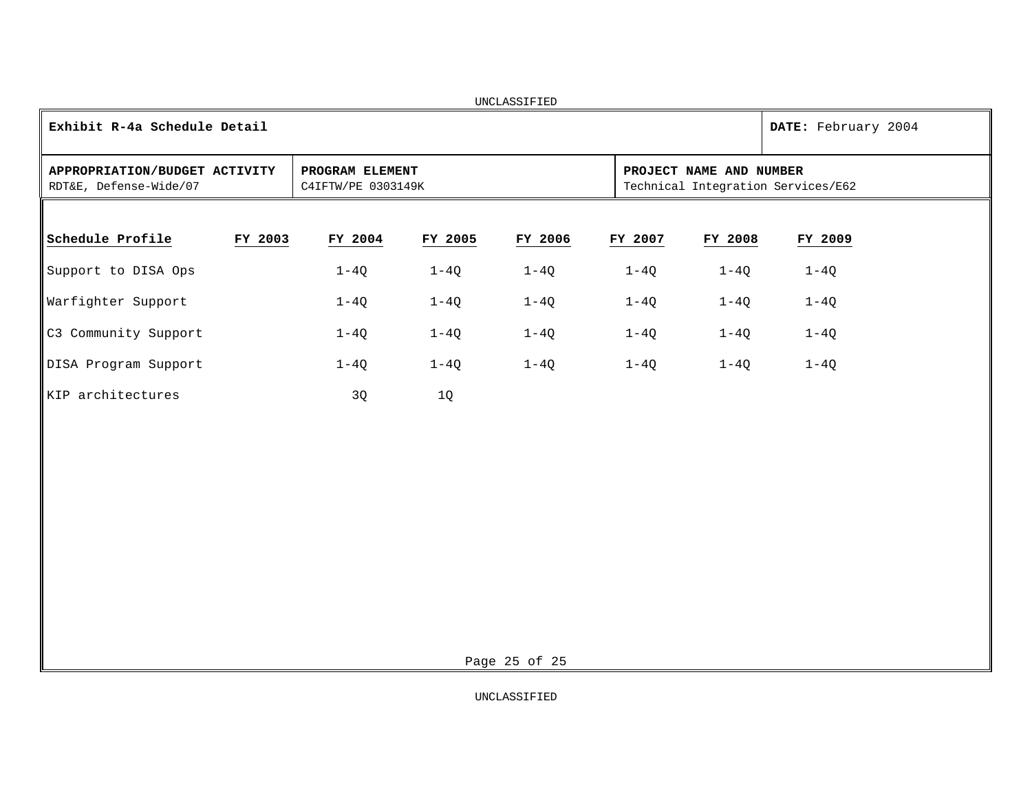|                                                         |         |                                       |         | UNCLASSIFIED  |         |                         |                                    |
|---------------------------------------------------------|---------|---------------------------------------|---------|---------------|---------|-------------------------|------------------------------------|
| Exhibit R-4a Schedule Detail                            |         |                                       |         |               |         |                         | DATE: February 2004                |
| APPROPRIATION/BUDGET ACTIVITY<br>RDT&E, Defense-Wide/07 |         | PROGRAM ELEMENT<br>C4IFTW/PE 0303149K |         |               |         | PROJECT NAME AND NUMBER | Technical Integration Services/E62 |
|                                                         |         |                                       |         |               |         |                         |                                    |
| Schedule Profile                                        | FY 2003 | FY 2004                               | FY 2005 | FY 2006       | FY 2007 | FY 2008                 | FY 2009                            |
| Support to DISA Ops                                     |         | $1-4Q$                                | $1-4Q$  | $1-4Q$        | $1-4Q$  | $1-4Q$                  | $1-4Q$                             |
| Warfighter Support                                      |         | $1-4Q$                                | $1-4Q$  | $1-4Q$        | $1-4Q$  | $1-4Q$                  | $1-4Q$                             |
| C3 Community Support                                    |         | $1-4Q$                                | $1-4Q$  | $1-4Q$        | $1-4Q$  | $1-4Q$                  | $1-4Q$                             |
| DISA Program Support                                    |         | $1-4Q$                                | $1-4Q$  | $1-4Q$        | $1-4Q$  | $1-4Q$                  | $1-4Q$                             |
| KIP architectures                                       |         | 3Q                                    | 1Q      |               |         |                         |                                    |
|                                                         |         |                                       |         |               |         |                         |                                    |
|                                                         |         |                                       |         |               |         |                         |                                    |
|                                                         |         |                                       |         |               |         |                         |                                    |
|                                                         |         |                                       |         |               |         |                         |                                    |
|                                                         |         |                                       |         |               |         |                         |                                    |
|                                                         |         |                                       |         |               |         |                         |                                    |
|                                                         |         |                                       |         |               |         |                         |                                    |
|                                                         |         |                                       |         | Page 25 of 25 |         |                         |                                    |
|                                                         |         |                                       |         |               |         |                         |                                    |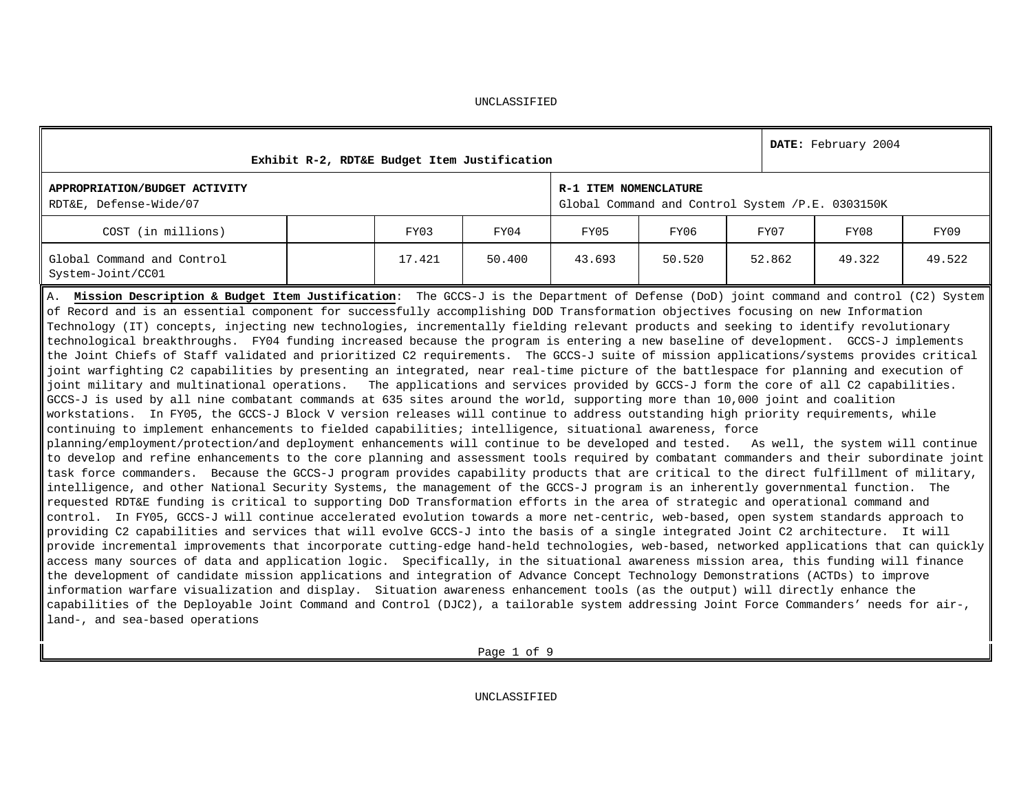|                                                                                                                                                                                                                                                                                                                                                                                                                                                                                                                                                                                                                                                                                                                                                                                                                                                                                                                                                                                                                                                                                                                                                                                                                                                                                                                                                                                                                                                                                                                                                                                                                                                                                                                                                                                                                                                                                                                                                                                                                                                                                                                                                                                                                                                                                                                                                                                                                                                                                                                                                                                                                                                                                                                                                                                                                                                                                                                                                                                                                                                                                                                   | Exhibit R-2, RDT&E Budget Item Justification |        |        |                       |                                                  |        | DATE: February 2004 |        |
|-------------------------------------------------------------------------------------------------------------------------------------------------------------------------------------------------------------------------------------------------------------------------------------------------------------------------------------------------------------------------------------------------------------------------------------------------------------------------------------------------------------------------------------------------------------------------------------------------------------------------------------------------------------------------------------------------------------------------------------------------------------------------------------------------------------------------------------------------------------------------------------------------------------------------------------------------------------------------------------------------------------------------------------------------------------------------------------------------------------------------------------------------------------------------------------------------------------------------------------------------------------------------------------------------------------------------------------------------------------------------------------------------------------------------------------------------------------------------------------------------------------------------------------------------------------------------------------------------------------------------------------------------------------------------------------------------------------------------------------------------------------------------------------------------------------------------------------------------------------------------------------------------------------------------------------------------------------------------------------------------------------------------------------------------------------------------------------------------------------------------------------------------------------------------------------------------------------------------------------------------------------------------------------------------------------------------------------------------------------------------------------------------------------------------------------------------------------------------------------------------------------------------------------------------------------------------------------------------------------------------------------------------------------------------------------------------------------------------------------------------------------------------------------------------------------------------------------------------------------------------------------------------------------------------------------------------------------------------------------------------------------------------------------------------------------------------------------------------------------------|----------------------------------------------|--------|--------|-----------------------|--------------------------------------------------|--------|---------------------|--------|
| APPROPRIATION/BUDGET ACTIVITY<br>RDT&E, Defense-Wide/07                                                                                                                                                                                                                                                                                                                                                                                                                                                                                                                                                                                                                                                                                                                                                                                                                                                                                                                                                                                                                                                                                                                                                                                                                                                                                                                                                                                                                                                                                                                                                                                                                                                                                                                                                                                                                                                                                                                                                                                                                                                                                                                                                                                                                                                                                                                                                                                                                                                                                                                                                                                                                                                                                                                                                                                                                                                                                                                                                                                                                                                           |                                              |        |        | R-1 ITEM NOMENCLATURE | Global Command and Control System /P.E. 0303150K |        |                     |        |
| COST (in millions)                                                                                                                                                                                                                                                                                                                                                                                                                                                                                                                                                                                                                                                                                                                                                                                                                                                                                                                                                                                                                                                                                                                                                                                                                                                                                                                                                                                                                                                                                                                                                                                                                                                                                                                                                                                                                                                                                                                                                                                                                                                                                                                                                                                                                                                                                                                                                                                                                                                                                                                                                                                                                                                                                                                                                                                                                                                                                                                                                                                                                                                                                                |                                              | FY03   | FY04   | FY05                  | FY06                                             | FY07   | FY08                | FY09   |
| Global Command and Control<br>System-Joint/CC01                                                                                                                                                                                                                                                                                                                                                                                                                                                                                                                                                                                                                                                                                                                                                                                                                                                                                                                                                                                                                                                                                                                                                                                                                                                                                                                                                                                                                                                                                                                                                                                                                                                                                                                                                                                                                                                                                                                                                                                                                                                                                                                                                                                                                                                                                                                                                                                                                                                                                                                                                                                                                                                                                                                                                                                                                                                                                                                                                                                                                                                                   |                                              | 17.421 | 50.400 | 43.693                | 50.520                                           | 52.862 | 49.322              | 49.522 |
| A. Mission Description & Budget Item Justification: The GCCS-J is the Department of Defense (DoD) joint command and control (C2) System<br>of Record and is an essential component for successfully accomplishing DOD Transformation objectives focusing on new Information<br>Technology (IT) concepts, injecting new technologies, incrementally fielding relevant products and seeking to identify revolutionary<br>technological breakthroughs. FY04 funding increased because the program is entering a new baseline of development. GCCS-J implements<br>the Joint Chiefs of Staff validated and prioritized C2 requirements. The GCCS-J suite of mission applications/systems provides critical<br>joint warfighting C2 capabilities by presenting an integrated, near real-time picture of the battlespace for planning and execution of<br>joint military and multinational operations. The applications and services provided by GCCS-J form the core of all C2 capabilities.<br>GCCS-J is used by all nine combatant commands at 635 sites around the world, supporting more than 10,000 joint and coalition<br>workstations. In FY05, the GCCS-J Block V version releases will continue to address outstanding high priority requirements, while<br>continuing to implement enhancements to fielded capabilities; intelligence, situational awareness, force<br>planning/employment/protection/and deployment enhancements will continue to be developed and tested. As well, the system will continue<br>to develop and refine enhancements to the core planning and assessment tools required by combatant commanders and their subordinate joint<br>task force commanders. Because the GCCS-J program provides capability products that are critical to the direct fulfillment of military,<br>intelligence, and other National Security Systems, the management of the GCCS-J program is an inherently governmental function. The<br>requested RDT&E funding is critical to supporting DoD Transformation efforts in the area of strategic and operational command and<br>control. In FY05, GCCS-J will continue accelerated evolution towards a more net-centric, web-based, open system standards approach to<br>providing C2 capabilities and services that will evolve GCCS-J into the basis of a single integrated Joint C2 architecture. It will<br>provide incremental improvements that incorporate cutting-edge hand-held technologies, web-based, networked applications that can quickly<br>access many sources of data and application logic. Specifically, in the situational awareness mission area, this funding will finance<br>the development of candidate mission applications and integration of Advance Concept Technology Demonstrations (ACTDs) to improve<br>information warfare visualization and display. Situation awareness enhancement tools (as the output) will directly enhance the<br>capabilities of the Deployable Joint Command and Control (DJC2), a tailorable system addressing Joint Force Commanders' needs for air-,<br>land-, and sea-based operations |                                              |        |        |                       |                                                  |        |                     |        |

UNCLASSIFIED

Page 1 of 9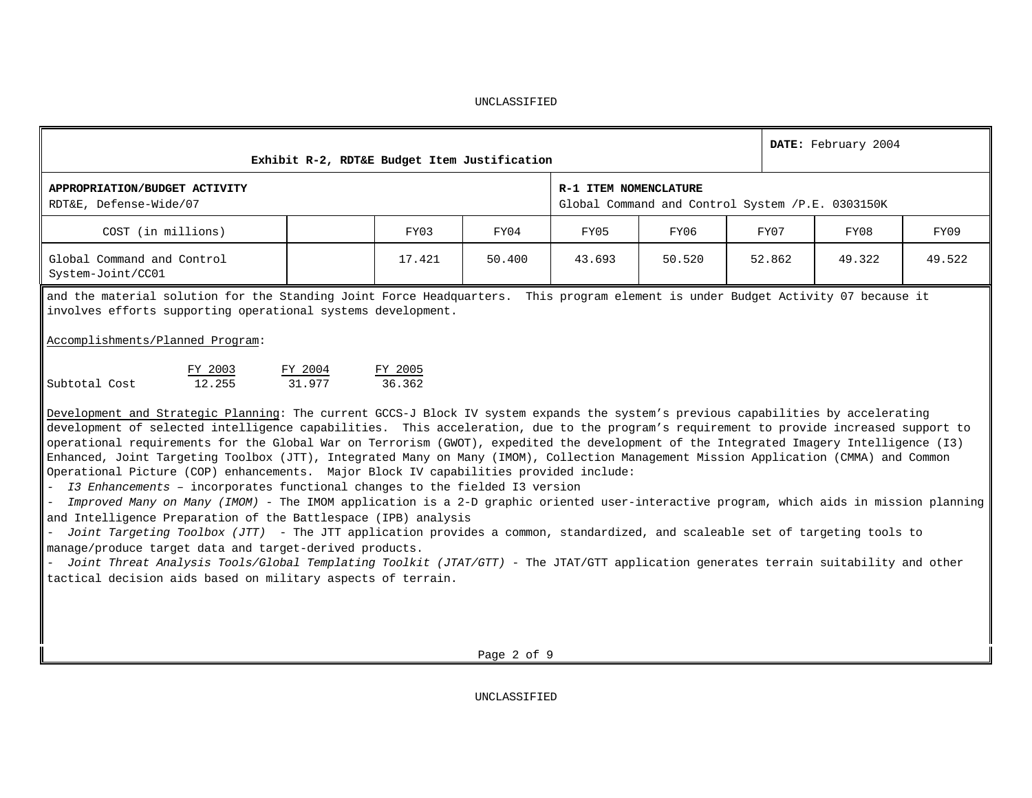| Exhibit R-2, RDT&E Budget Item Justification                                                                                                                                                                                                                                                                                                                                                                                                                                                                                                                  |                   |        | DATE: February 2004                  |                                                  |        |        |        |  |  |  |  |  |  |
|---------------------------------------------------------------------------------------------------------------------------------------------------------------------------------------------------------------------------------------------------------------------------------------------------------------------------------------------------------------------------------------------------------------------------------------------------------------------------------------------------------------------------------------------------------------|-------------------|--------|--------------------------------------|--------------------------------------------------|--------|--------|--------|--|--|--|--|--|--|
| APPROPRIATION/BUDGET ACTIVITY<br>RDT&E, Defense-Wide/07                                                                                                                                                                                                                                                                                                                                                                                                                                                                                                       |                   |        | R-1 ITEM NOMENCLATURE                | Global Command and Control System /P.E. 0303150K |        |        |        |  |  |  |  |  |  |
| COST (in millions)                                                                                                                                                                                                                                                                                                                                                                                                                                                                                                                                            | FY03              | FY04   | FY07<br>FY05<br>FY06<br>FY08<br>FY09 |                                                  |        |        |        |  |  |  |  |  |  |
| Global Command and Control<br>System-Joint/CC01                                                                                                                                                                                                                                                                                                                                                                                                                                                                                                               | 17.421            | 50.400 | 43.693                               | 50.520                                           | 52.862 | 49.322 | 49.522 |  |  |  |  |  |  |
| and the material solution for the Standing Joint Force Headquarters. This program element is under Budget Activity 07 because it<br>involves efforts supporting operational systems development.<br>Accomplishments/Planned Program:                                                                                                                                                                                                                                                                                                                          |                   |        |                                      |                                                  |        |        |        |  |  |  |  |  |  |
| FY 2004<br>FY 2003<br>Subtotal Cost<br>12.255<br>31.977                                                                                                                                                                                                                                                                                                                                                                                                                                                                                                       | FY 2005<br>36.362 |        |                                      |                                                  |        |        |        |  |  |  |  |  |  |
| Development and Strategic Planning: The current GCCS-J Block IV system expands the system's previous capabilities by accelerating<br>development of selected intelligence capabilities. This acceleration, due to the program's requirement to provide increased support to<br>operational requirements for the Global War on Terrorism (GWOT), expedited the development of the Integrated Imagery Intelligence (I3)<br>Enhanced, Joint Targeting Toolbox (JTT), Integrated Many on Many (IMOM), Collection Management Mission Application (CMMA) and Common |                   |        |                                      |                                                  |        |        |        |  |  |  |  |  |  |

Operational Picture (COP) enhancements. Major Block IV capabilities provided include:

*- I3 Enhancements* – incorporates functional changes to the fielded I3 version

*- Improved Many on Many (IMOM)* - The IMOM application is a 2-D graphic oriented user-interactive program, which aids in mission planning and Intelligence Preparation of the Battlespace (IPB) analysis

- *Joint Targeting Toolbox (JTT)* - The JTT application provides a common, standardized, and scaleable set of targeting tools to manage/produce target data and target-derived products.

*- Joint Threat Analysis Tools/Global Templating Toolkit (JTAT/GTT)* - The JTAT/GTT application generates terrain suitability and other tactical decision aids based on military aspects of terrain.

Page 2 of 9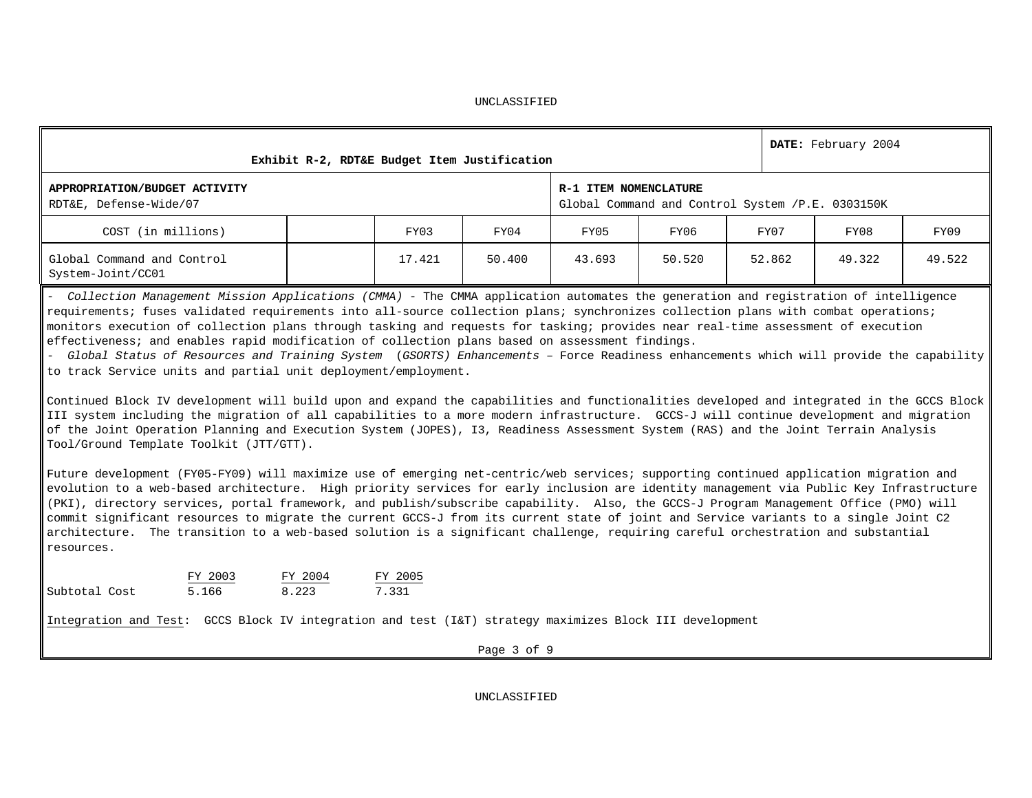|                                                                                                                                                                                                                                                                                                                                                                                                                                                                                                                               |  |        | Exhibit R-2, RDT&E Budget Item Justification |                       |                                                  |        |              | DATE: February 2004 |        |  |  |  |
|-------------------------------------------------------------------------------------------------------------------------------------------------------------------------------------------------------------------------------------------------------------------------------------------------------------------------------------------------------------------------------------------------------------------------------------------------------------------------------------------------------------------------------|--|--------|----------------------------------------------|-----------------------|--------------------------------------------------|--------|--------------|---------------------|--------|--|--|--|
| APPROPRIATION/BUDGET ACTIVITY<br>RDT&E, Defense-Wide/07                                                                                                                                                                                                                                                                                                                                                                                                                                                                       |  |        |                                              | R-1 ITEM NOMENCLATURE | Global Command and Control System /P.E. 0303150K |        |              |                     |        |  |  |  |
| COST (in millions)                                                                                                                                                                                                                                                                                                                                                                                                                                                                                                            |  | FY03   | FY04                                         | FY05                  | FY06                                             | FY07   | FY09<br>FY08 |                     |        |  |  |  |
| Global Command and Control<br>System-Joint/CC01                                                                                                                                                                                                                                                                                                                                                                                                                                                                               |  | 17.421 | 50.400                                       | 43.693                | 50.520                                           | 52.862 |              | 49.322              | 49.522 |  |  |  |
| - Collection Management Mission Applications (CMMA) - The CMMA application automates the generation and registration of intelligence<br>requirements; fuses validated requirements into all-source collection plans; synchronizes collection plans with combat operations;<br>monitors execution of collection plans through tasking and requests for tasking; provides near real-time assessment of execution<br>$\parallel$ effectiveness; and enables rapid modification of collection plans based on assessment findings. |  |        |                                              |                       |                                                  |        |              |                     |        |  |  |  |

- *Global Status of Resources and Training System* (*GSORTS) Enhancements* – Force Readiness enhancements which will provide the capability to track Service units and partial unit deployment/employment.

Continued Block IV development will build upon and expand the capabilities and functionalities developed and integrated in the GCCS Block III system including the migration of all capabilities to a more modern infrastructure. GCCS-J will continue development and migration of the Joint Operation Planning and Execution System (JOPES), I3, Readiness Assessment System (RAS) and the Joint Terrain Analysis Tool/Ground Template Toolkit (JTT/GTT).

Future development (FY05-FY09) will maximize use of emerging net-centric/web services; supporting continued application migration and evolution to a web-based architecture. High priority services for early inclusion are identity management via Public Key Infrastructure (PKI), directory services, portal framework, and publish/subscribe capability. Also, the GCCS-J Program Management Office (PMO) will commit significant resources to migrate the current GCCS-J from its current state of joint and Service variants to a single Joint C2 architecture. The transition to a web-based solution is a significant challenge, requiring careful orchestration and substantial resources.

|               | FY 2003 | FY 2004 | FY 2005 |
|---------------|---------|---------|---------|
| Subtotal Cost | 5.166   | 8.223   | 7.331   |

Integration and Test: GCCS Block IV integration and test (I&T) strategy maximizes Block III development

Page 3 of 9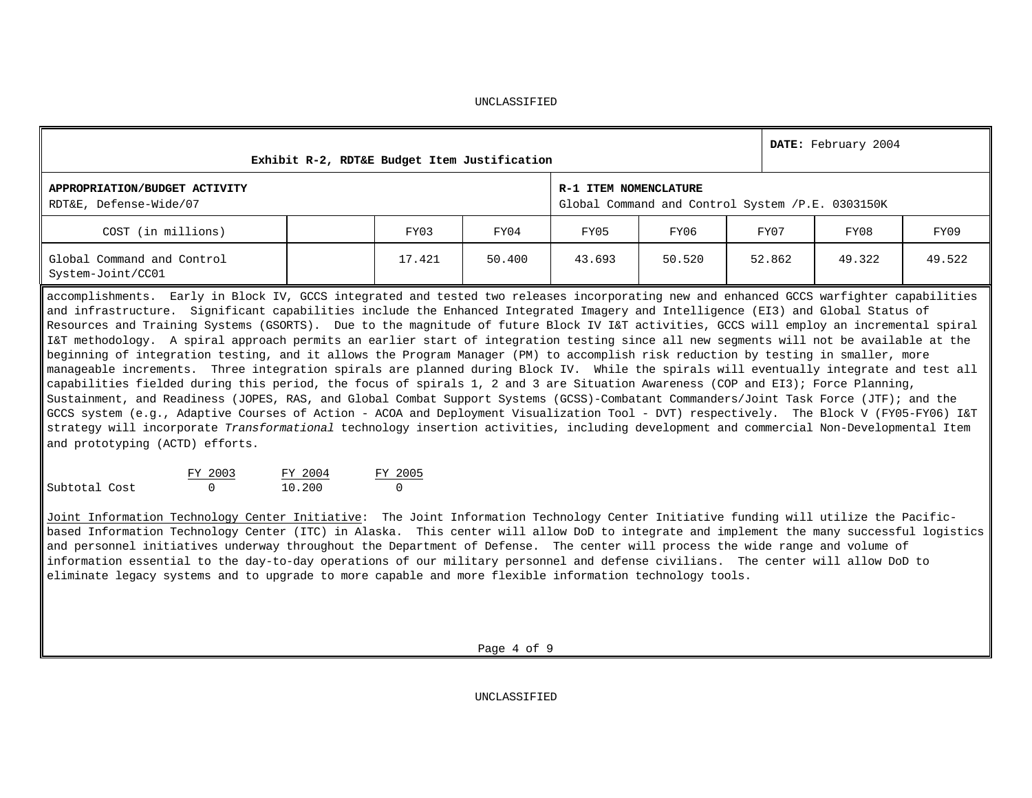| UNCLASSIFIED |
|--------------|
|--------------|

| Exhibit R-2, RDT&E Budget Item Justification                                                                                                                                                                                                                                                                                                                                                                                                                                                                                                                                                                                                                                                                                                                                                                                                                                                                                                                                                                                                                                                                                                                                                                                                                                                                                                                                                                                                         |                   |                     |                                                                           |        |        | DATE: February 2004 |  |        |        |
|------------------------------------------------------------------------------------------------------------------------------------------------------------------------------------------------------------------------------------------------------------------------------------------------------------------------------------------------------------------------------------------------------------------------------------------------------------------------------------------------------------------------------------------------------------------------------------------------------------------------------------------------------------------------------------------------------------------------------------------------------------------------------------------------------------------------------------------------------------------------------------------------------------------------------------------------------------------------------------------------------------------------------------------------------------------------------------------------------------------------------------------------------------------------------------------------------------------------------------------------------------------------------------------------------------------------------------------------------------------------------------------------------------------------------------------------------|-------------------|---------------------|---------------------------------------------------------------------------|--------|--------|---------------------|--|--------|--------|
| APPROPRIATION/BUDGET ACTIVITY<br>RDT&E, Defense-Wide/07                                                                                                                                                                                                                                                                                                                                                                                                                                                                                                                                                                                                                                                                                                                                                                                                                                                                                                                                                                                                                                                                                                                                                                                                                                                                                                                                                                                              |                   |                     | R-1 ITEM NOMENCLATURE<br>Global Command and Control System /P.E. 0303150K |        |        |                     |  |        |        |
| COST (in millions)                                                                                                                                                                                                                                                                                                                                                                                                                                                                                                                                                                                                                                                                                                                                                                                                                                                                                                                                                                                                                                                                                                                                                                                                                                                                                                                                                                                                                                   |                   | FY03                | FY04                                                                      | FY05   | FY06   | FY07                |  | FY09   |        |
| Global Command and Control<br>System-Joint/CC01                                                                                                                                                                                                                                                                                                                                                                                                                                                                                                                                                                                                                                                                                                                                                                                                                                                                                                                                                                                                                                                                                                                                                                                                                                                                                                                                                                                                      |                   | 17.421              | 50.400                                                                    | 43.693 | 50.520 | 52.862              |  | 49.322 | 49.522 |
| accomplishments. Early in Block IV, GCCS integrated and tested two releases incorporating new and enhanced GCCS warfighter capabilities<br>and infrastructure. Significant capabilities include the Enhanced Integrated Imagery and Intelligence (EI3) and Global Status of<br>Resources and Training Systems (GSORTS). Due to the magnitude of future Block IV I&T activities, GCCS will employ an incremental spiral<br>I&T methodology. A spiral approach permits an earlier start of integration testing since all new segments will not be available at the<br>beginning of integration testing, and it allows the Program Manager (PM) to accomplish risk reduction by testing in smaller, more<br>manageable increments. Three integration spirals are planned during Block IV. While the spirals will eventually integrate and test all<br>capabilities fielded during this period, the focus of spirals 1, 2 and 3 are Situation Awareness (COP and EI3); Force Planning,<br>Sustainment, and Readiness (JOPES, RAS, and Global Combat Support Systems (GCSS)-Combatant Commanders/Joint Task Force (JTF); and the<br>GCCS system (e.g., Adaptive Courses of Action - ACOA and Deployment Visualization Tool - DVT) respectively. The Block V (FY05-FY06) I&T<br>strategy will incorporate Transformational technology insertion activities, including development and commercial Non-Developmental Item<br>and prototyping (ACTD) efforts. |                   |                     |                                                                           |        |        |                     |  |        |        |
| FY 2003<br>Subtotal Cost<br>0                                                                                                                                                                                                                                                                                                                                                                                                                                                                                                                                                                                                                                                                                                                                                                                                                                                                                                                                                                                                                                                                                                                                                                                                                                                                                                                                                                                                                        | FY 2004<br>10.200 | FY 2005<br>$\Omega$ |                                                                           |        |        |                     |  |        |        |
| Joint Information Technology Center Initiative: The Joint Information Technology Center Initiative funding will utilize the Pacific-<br>based Information Technology Center (ITC) in Alaska. This center will allow DoD to integrate and implement the many successful logistics<br>and personnel initiatives underway throughout the Department of Defense. The center will process the wide range and volume of<br>information essential to the day-to-day operations of our military personnel and defense civilians. The center will allow DoD to                                                                                                                                                                                                                                                                                                                                                                                                                                                                                                                                                                                                                                                                                                                                                                                                                                                                                                |                   |                     |                                                                           |        |        |                     |  |        |        |

eliminate legacy systems and to upgrade to more capable and more flexible information technology tools.

Page 4 of 9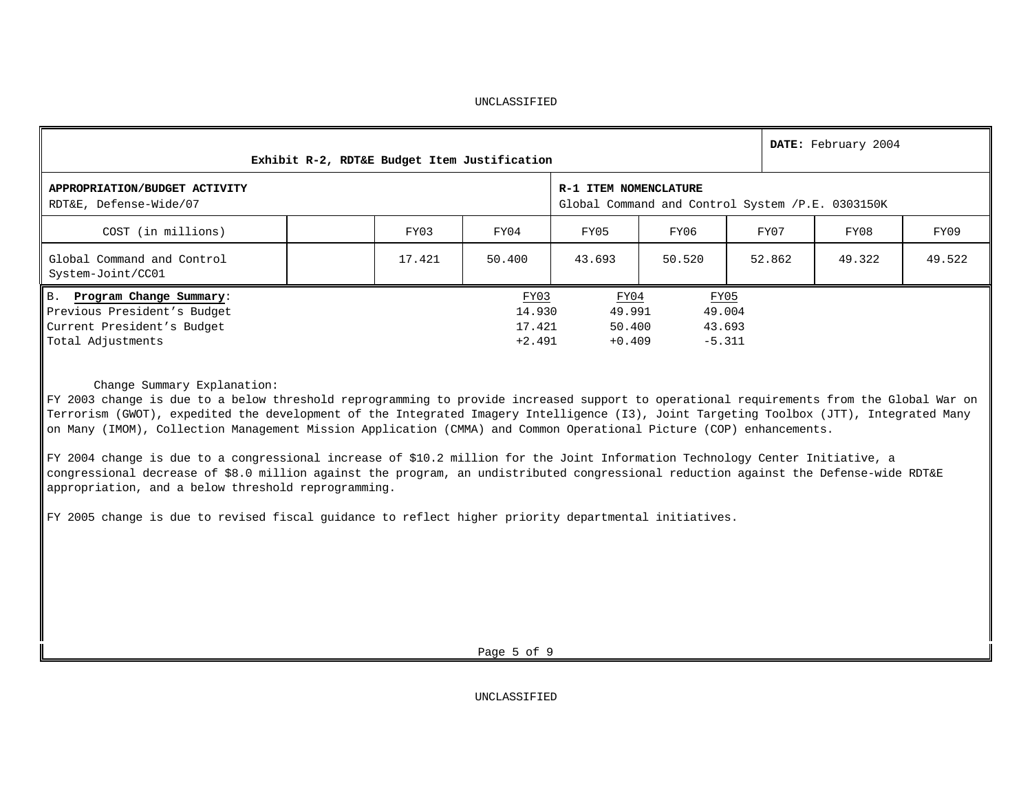| Exhibit R-2, RDT&E Budget Item Justification                                                                 |        |                                      |                                                                           |                                      |        | DATE: February 2004 |        |  |
|--------------------------------------------------------------------------------------------------------------|--------|--------------------------------------|---------------------------------------------------------------------------|--------------------------------------|--------|---------------------|--------|--|
| APPROPRIATION/BUDGET ACTIVITY<br>RDT&E, Defense-Wide/07                                                      |        |                                      | R-1 ITEM NOMENCLATURE<br>Global Command and Control System /P.E. 0303150K |                                      |        |                     |        |  |
| COST (in millions)                                                                                           | FY03   | FY04                                 | FY05                                                                      | FY06                                 | FY07   | FY08                | FY09   |  |
| Global Command and Control<br>System-Joint/CC01                                                              | 17.421 | 50.400                               | 43.693                                                                    | 50.520                               | 52.862 | 49.322              | 49.522 |  |
| B. Program Change Summary:<br>Previous President's Budget<br>Current President's Budget<br>Total Adjustments |        | FY03<br>14.930<br>17.421<br>$+2.491$ | FY04<br>49.991<br>50.400<br>$+0.409$                                      | FY05<br>49.004<br>43.693<br>$-5.311$ |        |                     |        |  |

Change Summary Explanation:

FY 2003 change is due to a below threshold reprogramming to provide increased support to operational requirements from the Global War on Terrorism (GWOT), expedited the development of the Integrated Imagery Intelligence (I3), Joint Targeting Toolbox (JTT), Integrated Many on Many (IMOM), Collection Management Mission Application (CMMA) and Common Operational Picture (COP) enhancements.

FY 2004 change is due to a congressional increase of \$10.2 million for the Joint Information Technology Center Initiative, a congressional decrease of \$8.0 million against the program, an undistributed congressional reduction against the Defense-wide RDT&E appropriation, and a below threshold reprogramming.

FY 2005 change is due to revised fiscal guidance to reflect higher priority departmental initiatives.

Page 5 of 9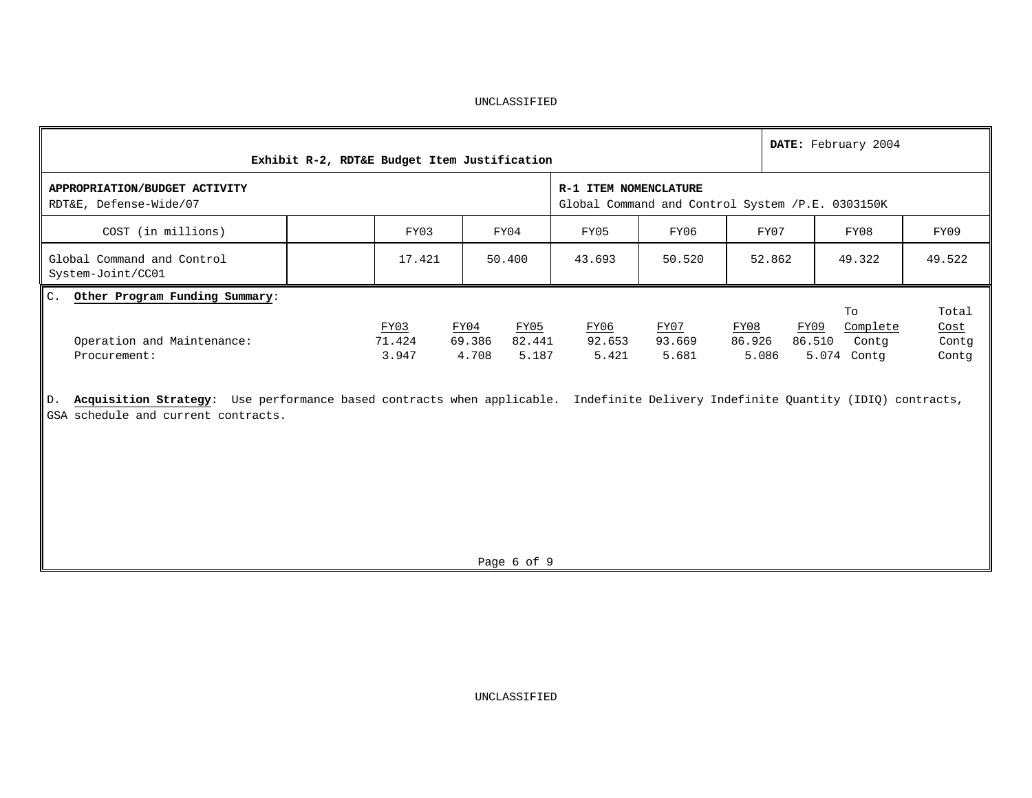| Exhibit R-2, RDT&E Budget Item Justification                                                                                                                                  |                         |                                                    |                                                                           |                         |                         | DATE: February 2004                                      |                                 |  |
|-------------------------------------------------------------------------------------------------------------------------------------------------------------------------------|-------------------------|----------------------------------------------------|---------------------------------------------------------------------------|-------------------------|-------------------------|----------------------------------------------------------|---------------------------------|--|
| APPROPRIATION/BUDGET ACTIVITY<br>RDT&E, Defense-Wide/07                                                                                                                       |                         |                                                    | R-1 ITEM NOMENCLATURE<br>Global Command and Control System /P.E. 0303150K |                         |                         |                                                          |                                 |  |
| COST (in millions)                                                                                                                                                            | FY03                    | FY04                                               | FY05                                                                      | FY06                    | FY07                    | FY08                                                     | FY09                            |  |
| Global Command and Control<br>System-Joint/CC01                                                                                                                               | 17.421                  | 50.400                                             | 43.693                                                                    | 50.520                  | 52.862                  | 49.322                                                   | 49.522                          |  |
| Other Program Funding Summary:<br>$C_{\lambda}$<br>Operation and Maintenance:<br>Procurement:                                                                                 | FY03<br>71.424<br>3.947 | FY05<br>FY04<br>82.441<br>69.386<br>4.708<br>5.187 | FY06<br>92.653<br>5.421                                                   | FY07<br>93.669<br>5.681 | FY08<br>86.926<br>5.086 | To<br>FY09<br>Complete<br>86.510<br>Contg<br>5.074 Contg | Total<br>Cost<br>Contq<br>Contq |  |
| Acquisition Strategy: Use performance based contracts when applicable. Indefinite Delivery Indefinite Quantity (IDIQ) contracts,<br>D.<br>GSA schedule and current contracts. |                         |                                                    |                                                                           |                         |                         |                                                          |                                 |  |

Page 6 of 9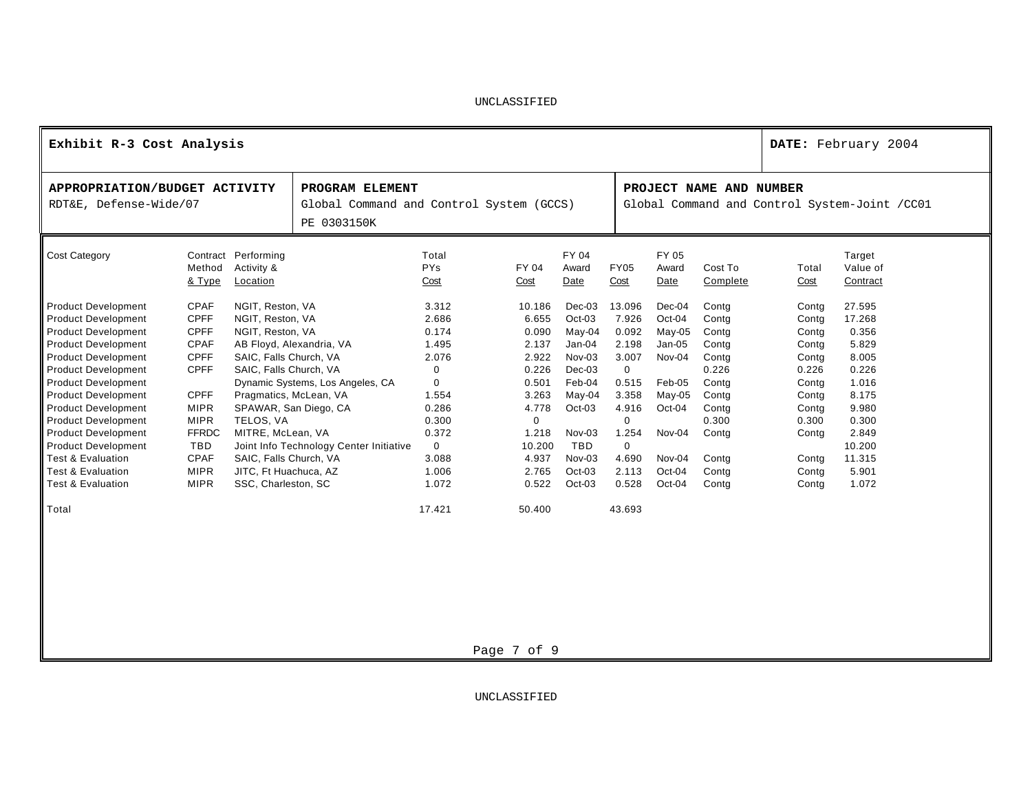| Exhibit R-3 Cost Analysis                                                                                                                                                                                                                                                                                                                                                                                                                                            |                                                                                                                                                                                                                |                                                                                                                                                                                                                                                                                                         |                                                                             |                                                                                                                                       |                                                                                                                                          |                                                                                                                                                            |                                                                                                                                          |                                                                                                                          |                                                                                                                            |                                                                                                                            | DATE: February 2004                                                                                                                     |
|----------------------------------------------------------------------------------------------------------------------------------------------------------------------------------------------------------------------------------------------------------------------------------------------------------------------------------------------------------------------------------------------------------------------------------------------------------------------|----------------------------------------------------------------------------------------------------------------------------------------------------------------------------------------------------------------|---------------------------------------------------------------------------------------------------------------------------------------------------------------------------------------------------------------------------------------------------------------------------------------------------------|-----------------------------------------------------------------------------|---------------------------------------------------------------------------------------------------------------------------------------|------------------------------------------------------------------------------------------------------------------------------------------|------------------------------------------------------------------------------------------------------------------------------------------------------------|------------------------------------------------------------------------------------------------------------------------------------------|--------------------------------------------------------------------------------------------------------------------------|----------------------------------------------------------------------------------------------------------------------------|----------------------------------------------------------------------------------------------------------------------------|-----------------------------------------------------------------------------------------------------------------------------------------|
| APPROPRIATION/BUDGET ACTIVITY<br>RDT&E, Defense-Wide/07                                                                                                                                                                                                                                                                                                                                                                                                              |                                                                                                                                                                                                                |                                                                                                                                                                                                                                                                                                         | PROGRAM ELEMENT<br>Global Command and Control System (GCCS)<br>PE 0303150K  |                                                                                                                                       |                                                                                                                                          |                                                                                                                                                            |                                                                                                                                          |                                                                                                                          | PROJECT NAME AND NUMBER                                                                                                    |                                                                                                                            | Global Command and Control System-Joint / CC01                                                                                          |
| Cost Category                                                                                                                                                                                                                                                                                                                                                                                                                                                        | Contract<br>Method<br>& Type                                                                                                                                                                                   | Performing<br>Activity &<br>Location                                                                                                                                                                                                                                                                    |                                                                             | Total<br><b>PYs</b><br>Cost                                                                                                           | FY 04<br>Cost                                                                                                                            | FY 04<br>Award<br>Date                                                                                                                                     | <b>FY05</b><br>Cost                                                                                                                      | FY 05<br>Award<br>Date                                                                                                   | Cost To<br>Complete                                                                                                        | Total<br>Cost                                                                                                              | Target<br>Value of<br>Contract                                                                                                          |
| <b>Product Development</b><br><b>Product Development</b><br><b>Product Development</b><br><b>Product Development</b><br><b>Product Development</b><br><b>Product Development</b><br><b>Product Development</b><br><b>Product Development</b><br><b>Product Development</b><br><b>Product Development</b><br><b>Product Development</b><br><b>Product Development</b><br><b>Test &amp; Evaluation</b><br><b>Test &amp; Evaluation</b><br><b>Test &amp; Evaluation</b> | <b>CPAF</b><br><b>CPFF</b><br><b>CPFF</b><br><b>CPAF</b><br><b>CPFF</b><br><b>CPFF</b><br><b>CPFF</b><br><b>MIPR</b><br><b>MIPR</b><br><b>FFRDC</b><br><b>TBD</b><br><b>CPAF</b><br><b>MIPR</b><br><b>MIPR</b> | NGIT, Reston, VA<br>NGIT, Reston, VA<br>NGIT, Reston, VA<br>AB Floyd, Alexandria, VA<br>SAIC, Falls Church, VA<br>SAIC, Falls Church, VA<br>Pragmatics, McLean, VA<br>SPAWAR, San Diego, CA<br>TELOS, VA<br>MITRE, McLean, VA<br>SAIC, Falls Church, VA<br>JITC, Ft Huachuca, AZ<br>SSC, Charleston, SC | Dynamic Systems, Los Angeles, CA<br>Joint Info Technology Center Initiative | 3.312<br>2.686<br>0.174<br>1.495<br>2.076<br>0<br>$\Omega$<br>1.554<br>0.286<br>0.300<br>0.372<br>$\Omega$<br>3.088<br>1.006<br>1.072 | 10.186<br>6.655<br>0.090<br>2.137<br>2.922<br>0.226<br>0.501<br>3.263<br>4.778<br>$\Omega$<br>1.218<br>10.200<br>4.937<br>2.765<br>0.522 | $Dec-03$<br>$Oct-03$<br>May-04<br>$Jan-04$<br>$Nov-03$<br>$Dec-03$<br>Feb-04<br>May-04<br>Oct-03<br>Nov-03<br><b>TBD</b><br>Nov-03<br>$Oct-03$<br>$Oct-03$ | 13.096<br>7.926<br>0.092<br>2.198<br>3.007<br>$\mathbf 0$<br>0.515<br>3.358<br>4.916<br>0<br>.254<br>$\Omega$<br>4.690<br>2.113<br>0.528 | Dec-04<br>Oct-04<br>$May-05$<br>$Jan-05$<br>Nov-04<br>Feb-05<br>May-05<br>Oct-04<br>Nov-04<br>Nov-04<br>Oct-04<br>Oct-04 | Contg<br>Contg<br>Contg<br>Contg<br>Contg<br>0.226<br>Contg<br>Contg<br>Contg<br>0.300<br>Contg<br>Contg<br>Contg<br>Contg | Contg<br>Contg<br>Contg<br>Contg<br>Contg<br>0.226<br>Contg<br>Contg<br>Contg<br>0.300<br>Contg<br>Contg<br>Contg<br>Contg | 27.595<br>17.268<br>0.356<br>5.829<br>8.005<br>0.226<br>1.016<br>8.175<br>9.980<br>0.300<br>2.849<br>10.200<br>11.315<br>5.901<br>1.072 |
| Total                                                                                                                                                                                                                                                                                                                                                                                                                                                                |                                                                                                                                                                                                                |                                                                                                                                                                                                                                                                                                         |                                                                             | 17.421                                                                                                                                | 50.400                                                                                                                                   |                                                                                                                                                            | 43.693                                                                                                                                   |                                                                                                                          |                                                                                                                            |                                                                                                                            |                                                                                                                                         |

Page 7 of 9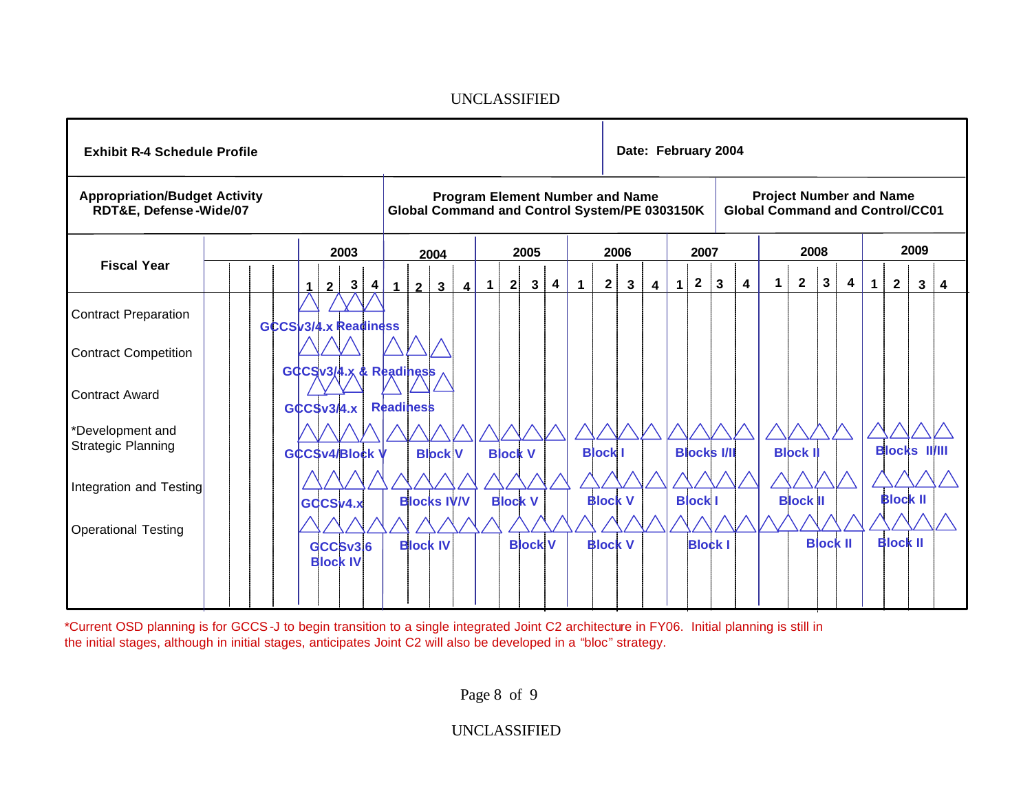

\*Current OSD planning is for GCCS-J to begin transition to a single integrated Joint C2 architecture in FY06. Initial planning is still in the initial stages, although in initial stages, anticipates Joint C2 will also be developed in a "bloc" strategy.

Page 8 of 9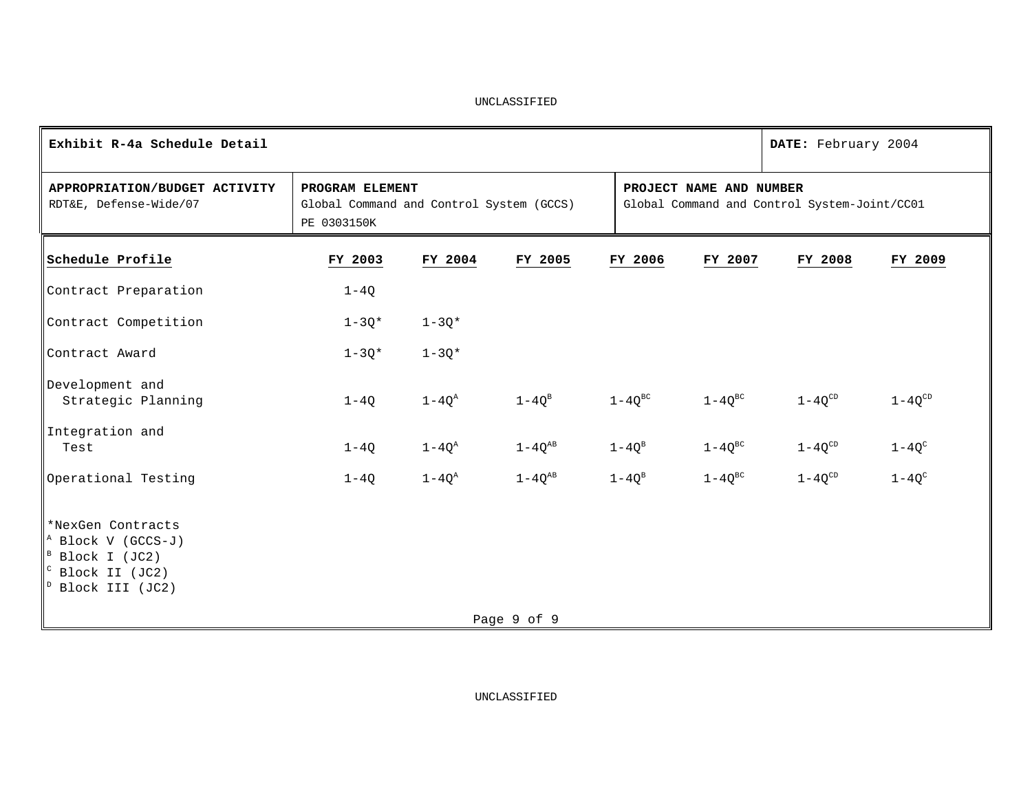| Exhibit R-4a Schedule Detail                                                                                                                                   |                                                                            |              |               |                                                                         |                    |             | DATE: February 2004 |             |
|----------------------------------------------------------------------------------------------------------------------------------------------------------------|----------------------------------------------------------------------------|--------------|---------------|-------------------------------------------------------------------------|--------------------|-------------|---------------------|-------------|
| APPROPRIATION/BUDGET ACTIVITY<br>RDT&E, Defense-Wide/07                                                                                                        | PROGRAM ELEMENT<br>Global Command and Control System (GCCS)<br>PE 0303150K |              |               | PROJECT NAME AND NUMBER<br>Global Command and Control System-Joint/CC01 |                    |             |                     |             |
| Schedule Profile                                                                                                                                               | FY 2003                                                                    | FY 2004      | FY 2005       | FY 2006                                                                 | FY 2007            |             | FY 2008             | FY 2009     |
| Contract Preparation                                                                                                                                           | $1-4Q$                                                                     |              |               |                                                                         |                    |             |                     |             |
| Contract Competition                                                                                                                                           | $1 - 3Q*$                                                                  | $1 - 3Q*$    |               |                                                                         |                    |             |                     |             |
| Contract Award                                                                                                                                                 | $1 - 3Q*$                                                                  | $1 - 3Q*$    |               |                                                                         |                    |             |                     |             |
| Development and<br>Strategic Planning                                                                                                                          | $1-4Q$                                                                     | $1 - 4Q^A$   | $1-4Q^B$      | $1 - 4Q^{\text{BC}}$                                                    | $1-4Q^{\text{BC}}$ | $1-4Q^{CD}$ |                     | $1-4Q^{CD}$ |
| Integration and<br>Test                                                                                                                                        | $1-4Q$                                                                     | $1 - 4Q^A$   | $1-4Q^{AB}$   | $1-4Q^B$                                                                | $1-4Q^{\text{BC}}$ | $1-4Q^{CD}$ |                     | $1-4Q^C$    |
| Operational Testing                                                                                                                                            | $1-4Q$                                                                     | $1 - 4Q^{A}$ | $1 - 4Q^{AB}$ | $1-4Q^B$                                                                | $1-4Q^{\text{BC}}$ | $1-4Q^{CD}$ |                     | $1-4Q^C$    |
| *NexGen Contracts<br>$\parallel$ <sup>A</sup> Block V (GCCS-J)<br>$\mathbf{B}$<br>Block I (JC2)<br>II C<br>Block II (JC2)<br>$\overline{D}$<br>Block III (JC2) |                                                                            |              |               |                                                                         |                    |             |                     |             |
|                                                                                                                                                                |                                                                            |              | Page 9 of 9   |                                                                         |                    |             |                     |             |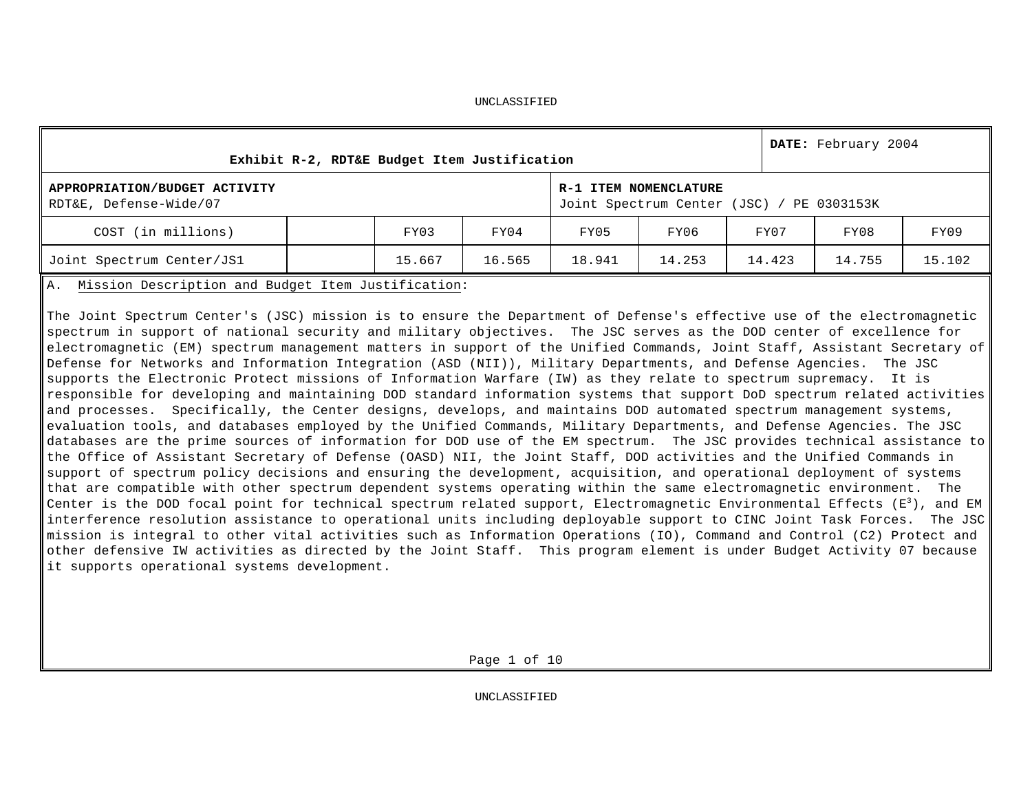| Exhibit R-2, RDT&E Budget Item Justification             |        |        |        |                                                                    |        | DATE: February 2004 |        |
|----------------------------------------------------------|--------|--------|--------|--------------------------------------------------------------------|--------|---------------------|--------|
| APPROPRIATION/BUDGET ACTIVITY<br>RDT&E, Defense-Wide/07  |        |        |        | R-1 ITEM NOMENCLATURE<br>Joint Spectrum Center (JSC) / PE 0303153K |        |                     |        |
| COST (in millions)                                       | FY03   | FY04   | FY05   | FY06                                                               | FY07   | FY08                | FY09   |
| Joint Spectrum Center/JS1                                | 15.667 | 16.565 | 18.941 | 14.253                                                             | 14.423 | 14.755              | 15.102 |
| Mission Description and Budget Item Justification:<br>Α. |        |        |        |                                                                    |        |                     |        |

The Joint Spectrum Center's (JSC) mission is to ensure the Department of Defense's effective use of the electromagnetic spectrum in support of national security and military objectives. The JSC serves as the DOD center of excellence for electromagnetic (EM) spectrum management matters in support of the Unified Commands, Joint Staff, Assistant Secretary of Defense for Networks and Information Integration (ASD (NII)), Military Departments, and Defense Agencies. The JSC supports the Electronic Protect missions of Information Warfare (IW) as they relate to spectrum supremacy. It is responsible for developing and maintaining DOD standard information systems that support DoD spectrum related activities and processes. Specifically, the Center designs, develops, and maintains DOD automated spectrum management systems, evaluation tools, and databases employed by the Unified Commands, Military Departments, and Defense Agencies. The JSC databases are the prime sources of information for DOD use of the EM spectrum. The JSC provides technical assistance to the Office of Assistant Secretary of Defense (OASD) NII, the Joint Staff, DOD activities and the Unified Commands in support of spectrum policy decisions and ensuring the development, acquisition, and operational deployment of systems that are compatible with other spectrum dependent systems operating within the same electromagnetic environment. The Center is the DOD focal point for technical spectrum related support, Electromagnetic Environmental Effects ( $E^3$ ), and EM interference resolution assistance to operational units including deployable support to CINC Joint Task Forces. The JSC mission is integral to other vital activities such as Information Operations (IO), Command and Control (C2) Protect and other defensive IW activities as directed by the Joint Staff. This program element is under Budget Activity 07 because it supports operational systems development.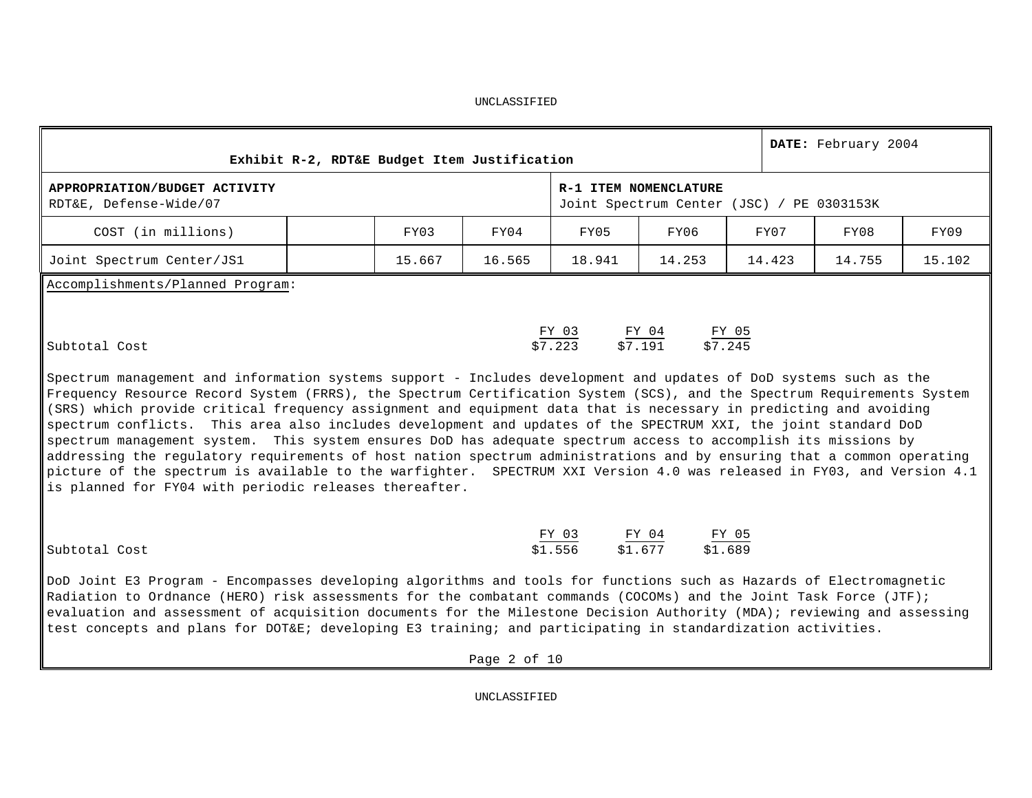|                                                                                                                                                                                                                                                                                                                                                                                                                                                                                                                                                                                                                                                                                                                                                                                                                                                                                                                                                                          |        | Exhibit R-2, RDT&E Budget Item Justification |                                                     |                                                                    |        | DATE: February 2004 |        |
|--------------------------------------------------------------------------------------------------------------------------------------------------------------------------------------------------------------------------------------------------------------------------------------------------------------------------------------------------------------------------------------------------------------------------------------------------------------------------------------------------------------------------------------------------------------------------------------------------------------------------------------------------------------------------------------------------------------------------------------------------------------------------------------------------------------------------------------------------------------------------------------------------------------------------------------------------------------------------|--------|----------------------------------------------|-----------------------------------------------------|--------------------------------------------------------------------|--------|---------------------|--------|
| APPROPRIATION/BUDGET ACTIVITY<br>RDT&E, Defense-Wide/07                                                                                                                                                                                                                                                                                                                                                                                                                                                                                                                                                                                                                                                                                                                                                                                                                                                                                                                  |        |                                              |                                                     | R-1 ITEM NOMENCLATURE<br>Joint Spectrum Center (JSC) / PE 0303153K |        |                     |        |
| COST (in millions)                                                                                                                                                                                                                                                                                                                                                                                                                                                                                                                                                                                                                                                                                                                                                                                                                                                                                                                                                       | FY03   | FY04                                         | FY05                                                | FY06                                                               | FY07   | FY08                | FY09   |
| Joint Spectrum Center/JS1                                                                                                                                                                                                                                                                                                                                                                                                                                                                                                                                                                                                                                                                                                                                                                                                                                                                                                                                                | 15.667 | 16.565                                       | 18.941                                              | 14.253                                                             | 14.423 | 14.755              | 15.102 |
| Accomplishments/Planned Program:<br>Subtotal Cost<br>Spectrum management and information systems support - Includes development and updates of DoD systems such as the<br>Frequency Resource Record System (FRRS), the Spectrum Certification System (SCS), and the Spectrum Requirements System<br>(SRS) which provide critical frequency assignment and equipment data that is necessary in predicting and avoiding<br>spectrum conflicts. This area also includes development and updates of the SPECTRUM XXI, the joint standard DoD<br>spectrum management system. This system ensures DoD has adequate spectrum access to accomplish its missions by<br>addressing the regulatory requirements of host nation spectrum administrations and by ensuring that a common operating<br>picture of the spectrum is available to the warfighter. SPECTRUM XXI Version 4.0 was released in FY03, and Version 4.1<br>is planned for FY04 with periodic releases thereafter. |        |                                              | $\frac{FY \t03}{\$7.223}$ $\frac{FY \t04}{\$7.191}$ | $\frac{FY}{27.245}$                                                |        |                     |        |
| Subtotal Cost<br>DoD Joint E3 Program - Encompasses developing algorithms and tools for functions such as Hazards of Electromagnetic<br>Radiation to Ordnance (HERO) risk assessments for the combatant commands (COCOMs) and the Joint Task Force (JTF);<br>evaluation and assessment of acquisition documents for the Milestone Decision Authority (MDA); reviewing and assessing<br>test concepts and plans for DOT&E developing E3 training; and participating in standardization activities.                                                                                                                                                                                                                                                                                                                                                                                                                                                                        |        |                                              | $\frac{FY \t03}{\$1.556}$ $\frac{FY \t04}{\$1.677}$ | $rac{FY 05}{\$1.689}$                                              |        |                     |        |

UNCLASSIFIED

Page 2 of 10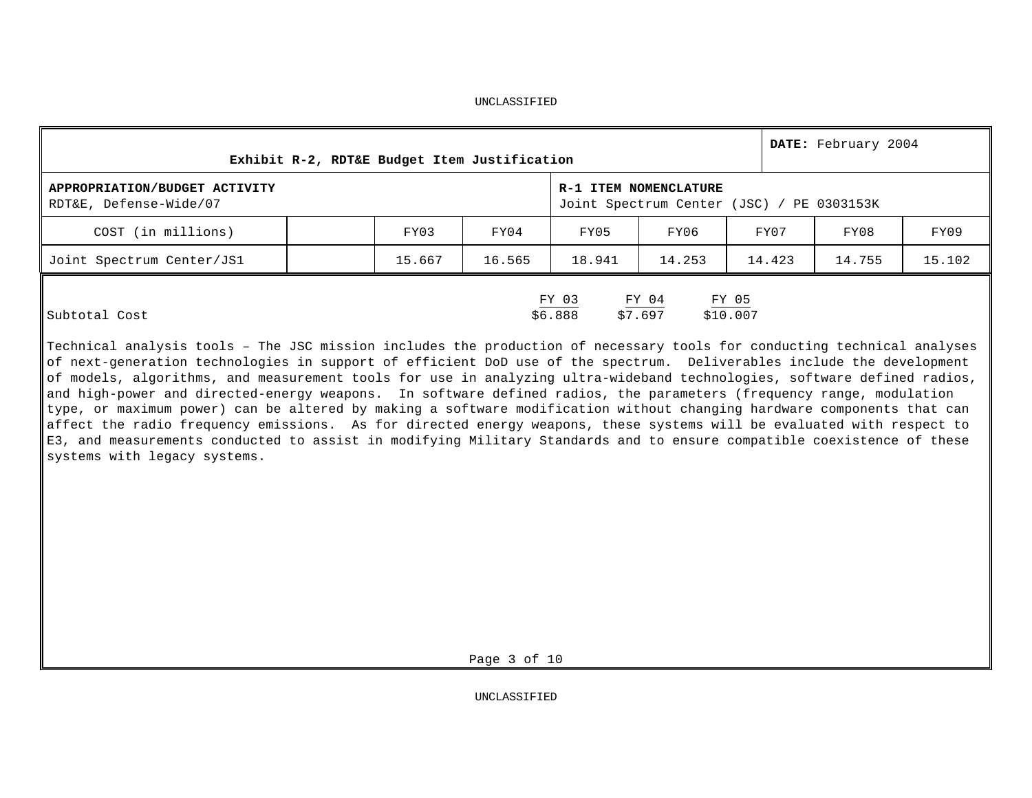|                                                         |        | Exhibit R-2, RDT&E Budget Item Justification |                  |                                                                    |                   | DATE: February 2004 |        |
|---------------------------------------------------------|--------|----------------------------------------------|------------------|--------------------------------------------------------------------|-------------------|---------------------|--------|
| APPROPRIATION/BUDGET ACTIVITY<br>RDT&E, Defense-Wide/07 |        |                                              |                  | R-1 ITEM NOMENCLATURE<br>Joint Spectrum Center (JSC) / PE 0303153K |                   |                     |        |
| COST (in millions)                                      | FY03   | FY04                                         | FY05             | FY06                                                               | FY07              | FY08                | FY09   |
| Joint Spectrum Center/JS1                               | 15.667 | 16.565                                       | 18.941           | 14.253                                                             | 14.423            | 14.755              | 15.102 |
| Subtotal Cost                                           |        |                                              | FY 03<br>\$6.888 | $FY$ 04<br>\$7.697                                                 | FY 05<br>\$10.007 |                     |        |

Technical analysis tools – The JSC mission includes the production of necessary tools for conducting technical analyses of next-generation technologies in support of efficient DoD use of the spectrum. Deliverables include the development of models, algorithms, and measurement tools for use in analyzing ultra-wideband technologies, software defined radios, and high-power and directed-energy weapons. In software defined radios, the parameters (frequency range, modulation type, or maximum power) can be altered by making a software modification without changing hardware components that can affect the radio frequency emissions. As for directed energy weapons, these systems will be evaluated with respect to E3, and measurements conducted to assist in modifying Military Standards and to ensure compatible coexistence of these systems with legacy systems.

Page 3 of 10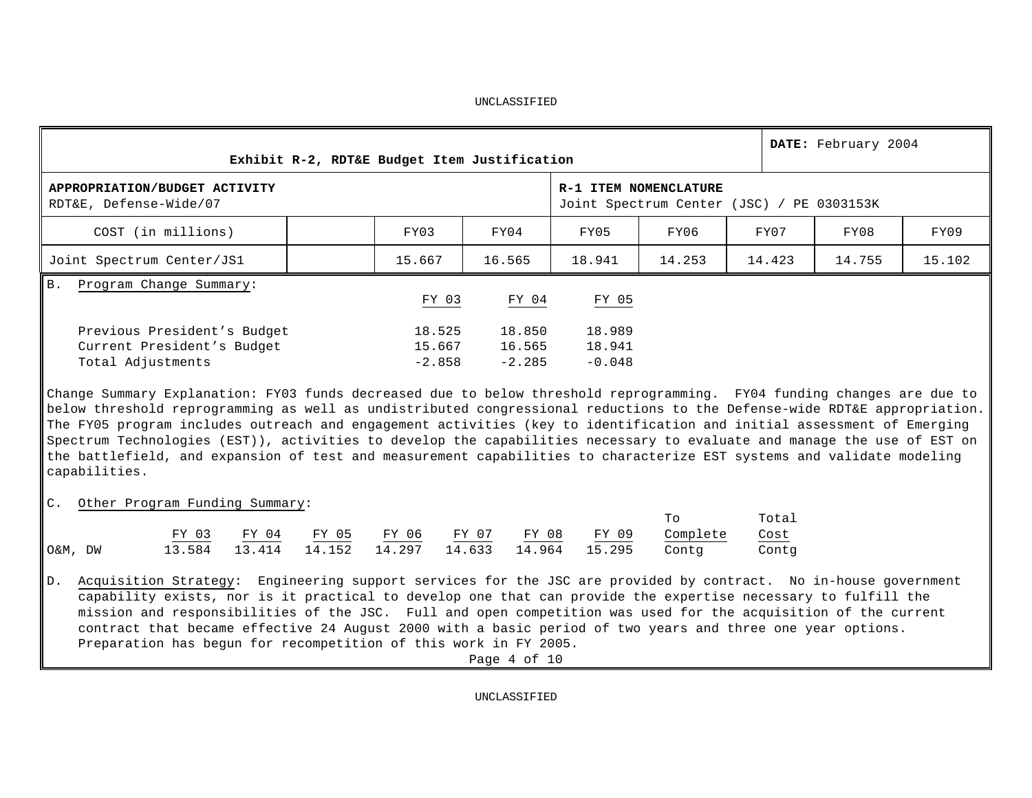|                                                                                                                                                                                                                                                                                                                                                                                                                                                                                                                                                                                                                                                   |                                                   | Exhibit R-2, RDT&E Budget Item Justification |                                                                                                                                                                   |        |                              |                              |                                                                    |                        | DATE: February 2004 |        |
|---------------------------------------------------------------------------------------------------------------------------------------------------------------------------------------------------------------------------------------------------------------------------------------------------------------------------------------------------------------------------------------------------------------------------------------------------------------------------------------------------------------------------------------------------------------------------------------------------------------------------------------------------|---------------------------------------------------|----------------------------------------------|-------------------------------------------------------------------------------------------------------------------------------------------------------------------|--------|------------------------------|------------------------------|--------------------------------------------------------------------|------------------------|---------------------|--------|
| APPROPRIATION/BUDGET ACTIVITY<br>RDT&E, Defense-Wide/07                                                                                                                                                                                                                                                                                                                                                                                                                                                                                                                                                                                           |                                                   |                                              |                                                                                                                                                                   |        |                              |                              | R-1 ITEM NOMENCLATURE<br>Joint Spectrum Center (JSC) / PE 0303153K |                        |                     |        |
| COST (in millions)                                                                                                                                                                                                                                                                                                                                                                                                                                                                                                                                                                                                                                |                                                   |                                              | FY03                                                                                                                                                              | FY04   |                              | FY05                         | FY06                                                               | FY07                   | FY08                | FY09   |
| Joint Spectrum Center/JS1                                                                                                                                                                                                                                                                                                                                                                                                                                                                                                                                                                                                                         |                                                   |                                              | 15.667                                                                                                                                                            | 16.565 |                              | 18.941                       | 14.253                                                             | 14.423                 | 14.755              | 15.102 |
| Program Change Summary:<br><b>B</b> .                                                                                                                                                                                                                                                                                                                                                                                                                                                                                                                                                                                                             |                                                   |                                              |                                                                                                                                                                   |        |                              |                              |                                                                    |                        |                     |        |
|                                                                                                                                                                                                                                                                                                                                                                                                                                                                                                                                                                                                                                                   |                                                   |                                              | FY 03                                                                                                                                                             |        | FY 04                        | FY 05                        |                                                                    |                        |                     |        |
| Previous President's Budget<br>Current President's Budget<br>Total Adjustments                                                                                                                                                                                                                                                                                                                                                                                                                                                                                                                                                                    |                                                   |                                              | 18.525<br>15.667<br>$-2.858$                                                                                                                                      |        | 18.850<br>16.565<br>$-2.285$ | 18.989<br>18.941<br>$-0.048$ |                                                                    |                        |                     |        |
| Change Summary Explanation: FY03 funds decreased due to below threshold reprogramming. FY04 funding changes are due to<br>below threshold reprogramming as well as undistributed congressional reductions to the Defense-wide RDT&E appropriation.<br>The FY05 program includes outreach and engagement activities (key to identification and initial assessment of Emerging<br>Spectrum Technologies (EST)), activities to develop the capabilities necessary to evaluate and manage the use of EST on<br>the battlefield, and expansion of test and measurement capabilities to characterize EST systems and validate modeling<br>capabilities. |                                                   |                                              |                                                                                                                                                                   |        |                              |                              |                                                                    |                        |                     |        |
| C. Other Program Funding Summary:                                                                                                                                                                                                                                                                                                                                                                                                                                                                                                                                                                                                                 |                                                   |                                              |                                                                                                                                                                   |        |                              |                              |                                                                    |                        |                     |        |
| O&M, DW                                                                                                                                                                                                                                                                                                                                                                                                                                                                                                                                                                                                                                           | $\frac{FY \ 03}{13.584}$ $\frac{FY \ 04}{13.414}$ | $\frac{\text{FY } 05}{14.152}$               | $\begin{array}{cccccc} \frac{\text{FY} & 06}{14.297} & \frac{\text{FY} & 07}{14.633} & \frac{\text{FY} & 08}{14.964} & \frac{\text{FY} & 09}{15.295} \end{array}$ |        |                              |                              | To<br>Complete<br>Contg                                            | Total<br>Cost<br>Contg |                     |        |
| Acquisition Strategy: Engineering support services for the JSC are provided by contract. No in-house government<br>$D$ .<br>capability exists, nor is it practical to develop one that can provide the expertise necessary to fulfill the<br>mission and responsibilities of the JSC. Full and open competition was used for the acquisition of the current<br>contract that became effective 24 August 2000 with a basic period of two years and three one year options.                                                                                                                                                                         |                                                   |                                              |                                                                                                                                                                   |        |                              |                              |                                                                    |                        |                     |        |

Page 4 of 10

Preparation has begun for recompetition of this work in FY 2005.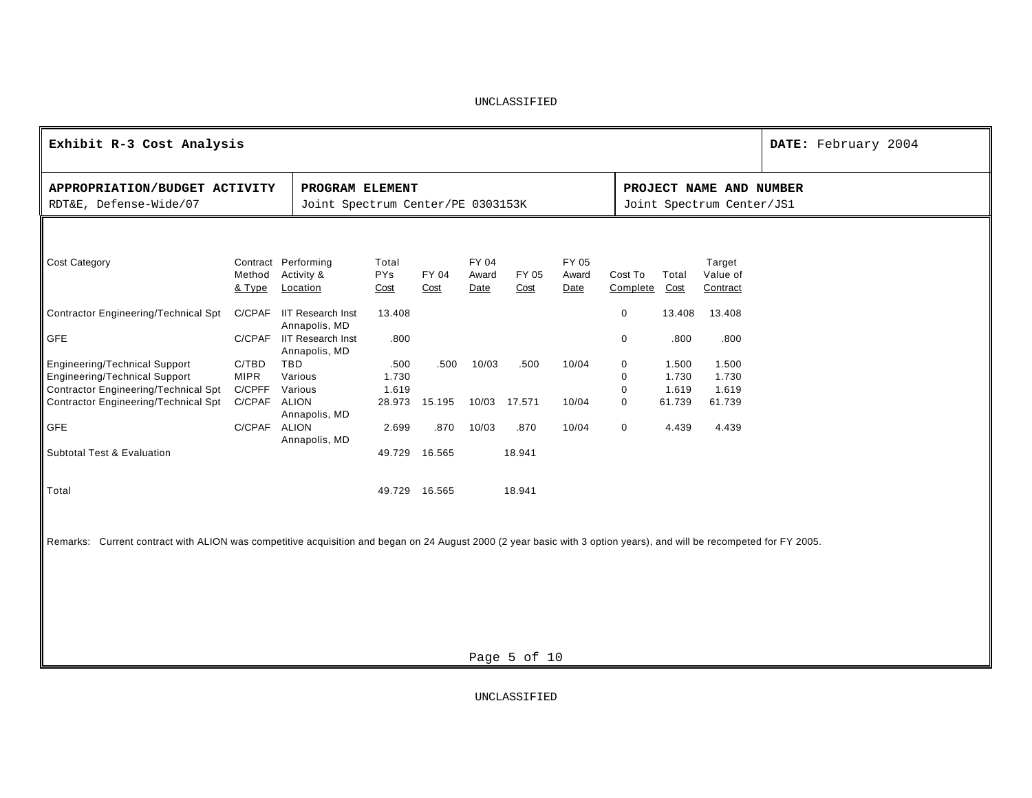| Exhibit R-3 Cost Analysis                                                                                                                                            |                                                |                                                      |                             |                       |                        |                |                        |                     |                                   |                                                      | DATE: February 2004 |
|----------------------------------------------------------------------------------------------------------------------------------------------------------------------|------------------------------------------------|------------------------------------------------------|-----------------------------|-----------------------|------------------------|----------------|------------------------|---------------------|-----------------------------------|------------------------------------------------------|---------------------|
| APPROPRIATION/BUDGET ACTIVITY<br>RDT&E, Defense-Wide/07                                                                                                              |                                                | PROGRAM ELEMENT<br>Joint Spectrum Center/PE 0303153K |                             |                       |                        |                |                        |                     |                                   | PROJECT NAME AND NUMBER<br>Joint Spectrum Center/JS1 |                     |
|                                                                                                                                                                      |                                                |                                                      |                             |                       |                        |                |                        |                     |                                   |                                                      |                     |
| <b>Cost Category</b>                                                                                                                                                 | Method<br>& Type                               | Contract Performing<br>Activity &<br>Location        | Total<br><b>PYs</b><br>Cost | FY 04<br>Cost         | FY 04<br>Award<br>Date | FY 05<br>Cost  | FY 05<br>Award<br>Date | Cost To<br>Complete | Total<br>Cost                     | Target<br>Value of<br>Contract                       |                     |
| <b>Contractor Engineering/Technical Spt</b>                                                                                                                          | C/CPAF                                         | <b>IIT Research Inst</b><br>Annapolis, MD            | 13.408                      |                       |                        |                |                        | 0                   | 13.408                            | 13.408                                               |                     |
| <b>GFE</b>                                                                                                                                                           |                                                | C/CPAF IIT Research Inst<br>Annapolis, MD            | .800                        |                       |                        |                |                        | 0                   | .800                              | .800                                                 |                     |
| <b>Engineering/Technical Support</b><br><b>Engineering/Technical Support</b><br>Contractor Engineering/Technical Spt<br>Contractor Engineering/Technical Spt         | C/TBD<br><b>MIPR</b><br>C/CPFF<br>C/CPAF ALION | <b>TBD</b><br>Various<br>Various                     | .500<br>1.730<br>1.619      | .500<br>28.973 15.195 | 10/03<br>10/03         | .500<br>17.571 | 10/04<br>10/04         | 0<br>0<br>0<br>0    | 1.500<br>1.730<br>1.619<br>61.739 | 1.500<br>1.730<br>1.619<br>61.739                    |                     |
| <b>GFE</b>                                                                                                                                                           | C/CPAF ALION                                   | Annapolis, MD<br>Annapolis, MD                       | 2.699                       | .870                  | 10/03                  | .870           | 10/04                  | 0                   | 4.439                             | 4.439                                                |                     |
| Subtotal Test & Evaluation                                                                                                                                           |                                                |                                                      | 49.729                      | 16.565                |                        | 18.941         |                        |                     |                                   |                                                      |                     |
| Total                                                                                                                                                                |                                                |                                                      |                             | 49.729 16.565         |                        | 18.941         |                        |                     |                                   |                                                      |                     |
| Remarks: Current contract with ALION was competitive acquisition and began on 24 August 2000 (2 year basic with 3 option years), and will be recompeted for FY 2005. |                                                |                                                      |                             |                       |                        |                |                        |                     |                                   |                                                      |                     |
|                                                                                                                                                                      |                                                |                                                      |                             |                       |                        |                |                        |                     |                                   |                                                      |                     |
|                                                                                                                                                                      |                                                |                                                      |                             |                       |                        |                |                        |                     |                                   |                                                      |                     |
|                                                                                                                                                                      |                                                |                                                      |                             |                       |                        | Page 5 of 10   |                        |                     |                                   |                                                      |                     |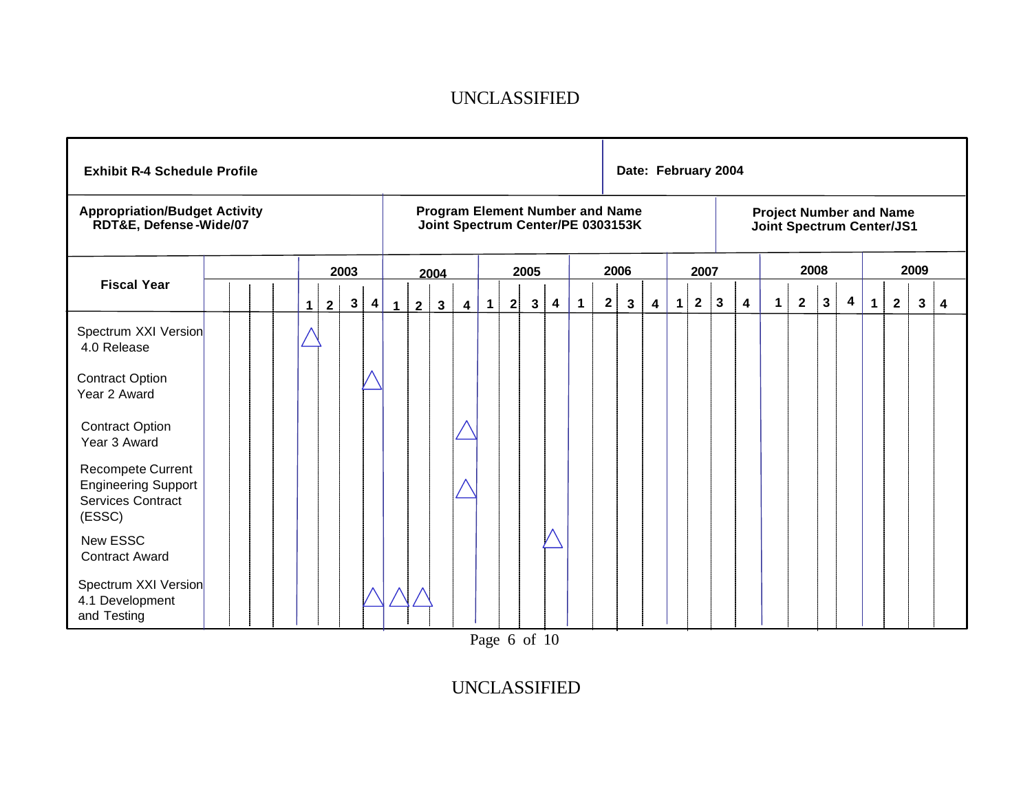| <b>Exhibit R-4 Schedule Profile</b>                                            |  |   |              |              |                         |              |                |                |                |           |   |                |                         |                         |              | Date: February 2004                                                         |   |             |                |              |                         |                                                             |                |              |   |              |                |      |   |
|--------------------------------------------------------------------------------|--|---|--------------|--------------|-------------------------|--------------|----------------|----------------|----------------|-----------|---|----------------|-------------------------|-------------------------|--------------|-----------------------------------------------------------------------------|---|-------------|----------------|--------------|-------------------------|-------------------------------------------------------------|----------------|--------------|---|--------------|----------------|------|---|
| <b>Appropriation/Budget Activity</b><br>RDT&E, Defense-Wide/07                 |  |   |              |              |                         |              |                |                |                |           |   |                |                         |                         |              | <b>Program Element Number and Name</b><br>Joint Spectrum Center/PE 0303153K |   |             |                |              |                         | <b>Project Number and Name</b><br>Joint Spectrum Center/JS1 |                |              |   |              |                |      |   |
|                                                                                |  |   |              | 2003         |                         |              |                | 2004           |                |           |   | 2005           |                         |                         |              | 2006                                                                        |   |             | 2007           |              |                         |                                                             | 2008           |              |   |              |                | 2009 |   |
| <b>Fiscal Year</b>                                                             |  | 1 | $\mathbf{2}$ | $\mathbf{3}$ | $\overline{\mathbf{4}}$ | $\mathbf{1}$ | $\overline{2}$ | 3 <sup>1</sup> | $\overline{4}$ | $\vert$ 1 | 2 | 3 <sup>1</sup> | $\overline{\mathbf{4}}$ | $^{\circ}$ 1 $^{\circ}$ | $\mathbf{2}$ | $\mathbf{3}$                                                                | 4 | $\mathbf 1$ | $\overline{2}$ | $\mathbf{3}$ | $\overline{\mathbf{4}}$ | $\mathbf 1$                                                 | $\overline{2}$ | $\mathbf{3}$ | 4 | $\mathbf{1}$ | $\overline{2}$ | 3    | 4 |
| Spectrum XXI Version<br>4.0 Release                                            |  |   |              |              |                         |              |                |                |                |           |   |                |                         |                         |              |                                                                             |   |             |                |              |                         |                                                             |                |              |   |              |                |      |   |
| <b>Contract Option</b><br>Year 2 Award                                         |  |   |              |              |                         |              |                |                |                |           |   |                |                         |                         |              |                                                                             |   |             |                |              |                         |                                                             |                |              |   |              |                |      |   |
| <b>Contract Option</b><br>Year 3 Award                                         |  |   |              |              |                         |              |                |                |                |           |   |                |                         |                         |              |                                                                             |   |             |                |              |                         |                                                             |                |              |   |              |                |      |   |
| Recompete Current<br><b>Engineering Support</b><br>Services Contract<br>(ESSC) |  |   |              |              |                         |              |                |                |                |           |   |                |                         |                         |              |                                                                             |   |             |                |              |                         |                                                             |                |              |   |              |                |      |   |
| <b>New ESSC</b><br><b>Contract Award</b>                                       |  |   |              |              |                         |              |                |                |                |           |   |                |                         |                         |              |                                                                             |   |             |                |              |                         |                                                             |                |              |   |              |                |      |   |
| Spectrum XXI Version<br>4.1 Development<br>and Testing                         |  |   |              |              |                         |              |                |                |                |           |   |                |                         |                         |              |                                                                             |   |             |                |              |                         |                                                             |                |              |   |              |                |      |   |

Page 6 of 10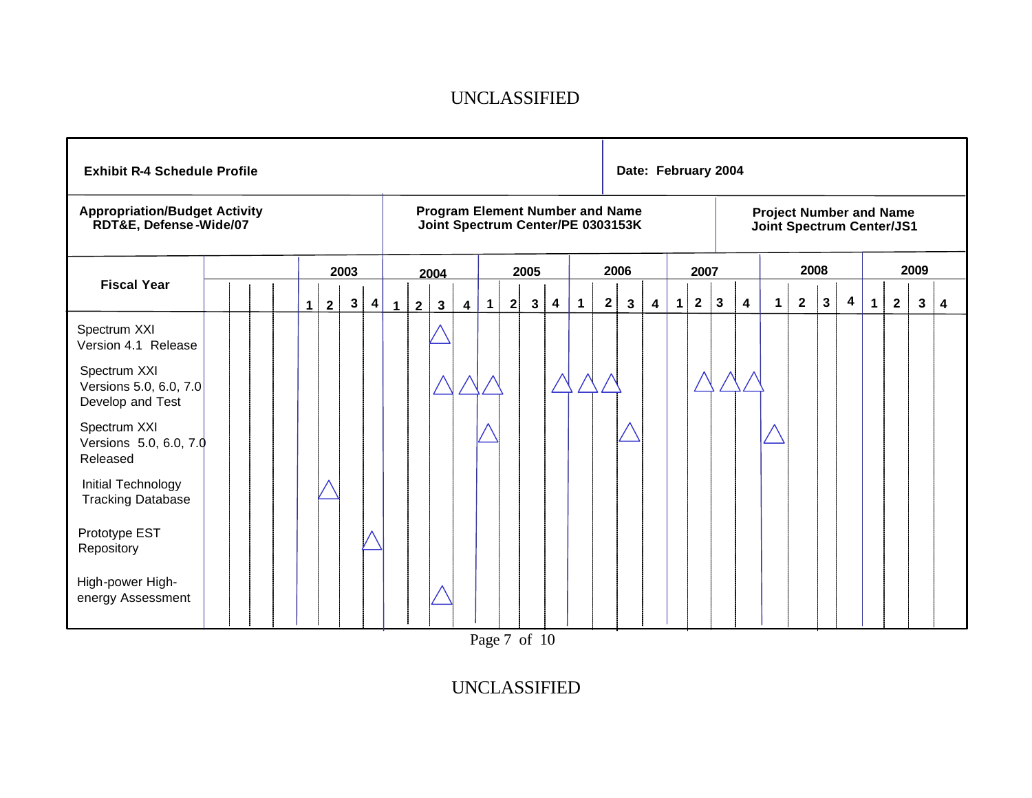| <b>Exhibit R-4 Schedule Profile</b>                            |  |  |                               |      |                   |              |                |              |                         |   |   |              |                         |             |              | Date: February 2004                                                         |   |                |              |              |                         |                                                             |              |              |   |              |                |      |   |
|----------------------------------------------------------------|--|--|-------------------------------|------|-------------------|--------------|----------------|--------------|-------------------------|---|---|--------------|-------------------------|-------------|--------------|-----------------------------------------------------------------------------|---|----------------|--------------|--------------|-------------------------|-------------------------------------------------------------|--------------|--------------|---|--------------|----------------|------|---|
| <b>Appropriation/Budget Activity</b><br>RDT&E, Defense-Wide/07 |  |  |                               |      |                   |              |                |              |                         |   |   |              |                         |             |              | <b>Program Element Number and Name</b><br>Joint Spectrum Center/PE 0303153K |   |                |              |              |                         | <b>Project Number and Name</b><br>Joint Spectrum Center/JS1 |              |              |   |              |                |      |   |
|                                                                |  |  |                               | 2003 |                   |              |                | 2004         |                         |   |   | 2005         |                         |             |              | 2006                                                                        |   |                | 2007         |              |                         |                                                             | 2008         |              |   |              |                | 2009 |   |
| <b>Fiscal Year</b>                                             |  |  | $\mathbf 1$<br>$\overline{2}$ |      | $\mathbf{3}$<br>4 | $\mathbf{1}$ | 2 <sup>1</sup> | $\mathbf{3}$ | $\overline{\mathbf{4}}$ | 1 | 2 | $\mathbf{3}$ | $\overline{\mathbf{4}}$ | $\mathbf 1$ | $\mathbf{2}$ | $\mathbf{3}$                                                                | 4 | 1 <sup>1</sup> | $\mathbf{2}$ | $\mathbf{3}$ | $\overline{\mathbf{4}}$ | $\mathbf{1}$                                                | $\mathbf{2}$ | $\mathbf{3}$ | 4 | $\mathbf{1}$ | $\overline{2}$ | 3    | 4 |
| Spectrum XXI<br>Version 4.1 Release                            |  |  |                               |      |                   |              |                |              |                         |   |   |              |                         |             |              |                                                                             |   |                |              |              |                         |                                                             |              |              |   |              |                |      |   |
| Spectrum XXI<br>Versions 5.0, 6.0, 7.0<br>Develop and Test     |  |  |                               |      |                   |              |                |              |                         |   |   |              |                         |             |              |                                                                             |   |                |              |              |                         |                                                             |              |              |   |              |                |      |   |
| Spectrum XXI<br>Versions 5.0, 6.0, 7.0<br>Released             |  |  |                               |      |                   |              |                |              |                         |   |   |              |                         |             |              |                                                                             |   |                |              |              |                         |                                                             |              |              |   |              |                |      |   |
| Initial Technology<br><b>Tracking Database</b>                 |  |  |                               |      |                   |              |                |              |                         |   |   |              |                         |             |              |                                                                             |   |                |              |              |                         |                                                             |              |              |   |              |                |      |   |
| Prototype EST<br>Repository                                    |  |  |                               |      |                   |              |                |              |                         |   |   |              |                         |             |              |                                                                             |   |                |              |              |                         |                                                             |              |              |   |              |                |      |   |
| High-power High-<br>energy Assessment                          |  |  |                               |      |                   |              |                |              |                         |   |   |              |                         |             |              |                                                                             |   |                |              |              |                         |                                                             |              |              |   |              |                |      |   |

Page 7 of 10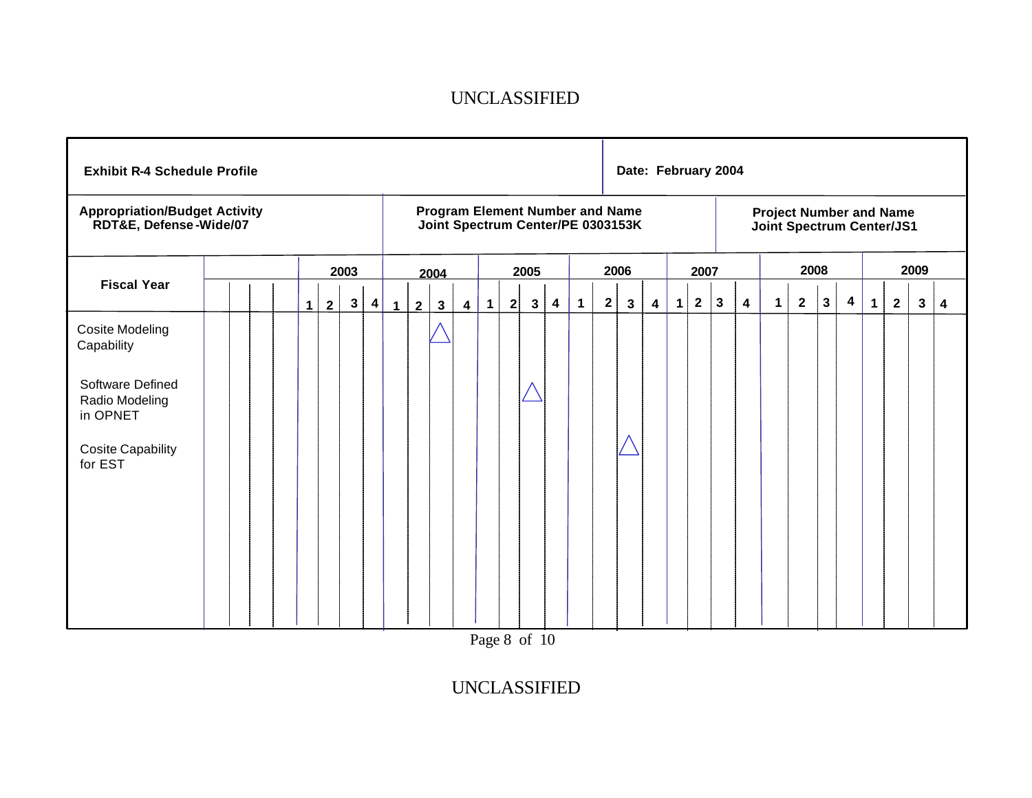| <b>Exhibit R-4 Schedule Profile</b>                            |  |   |                |              |                         |              |                |              |                         |           |              |                |                         |              |              | Date: February 2004                                                         |                         |              |              |   |                         |                                                             |                |              |                         |             |                |              |   |
|----------------------------------------------------------------|--|---|----------------|--------------|-------------------------|--------------|----------------|--------------|-------------------------|-----------|--------------|----------------|-------------------------|--------------|--------------|-----------------------------------------------------------------------------|-------------------------|--------------|--------------|---|-------------------------|-------------------------------------------------------------|----------------|--------------|-------------------------|-------------|----------------|--------------|---|
| <b>Appropriation/Budget Activity</b><br>RDT&E, Defense-Wide/07 |  |   |                |              |                         |              |                |              |                         |           |              |                |                         |              |              | <b>Program Element Number and Name</b><br>Joint Spectrum Center/PE 0303153K |                         |              |              |   |                         | <b>Project Number and Name</b><br>Joint Spectrum Center/JS1 |                |              |                         |             |                |              |   |
|                                                                |  |   |                | 2003         |                         |              |                | 2004         |                         |           |              | 2005           |                         |              |              | 2006                                                                        |                         |              | 2007         |   |                         |                                                             | 2008           |              |                         |             |                | 2009         |   |
| <b>Fiscal Year</b>                                             |  | 1 | $\overline{2}$ | $\mathbf{3}$ | $\overline{\mathbf{4}}$ | $\mathbf{1}$ | $\overline{2}$ | $\mathbf{3}$ | $\overline{\mathbf{4}}$ | $\vert$ 1 | $\mathbf{2}$ | 3 <sup>1</sup> | $\overline{\mathbf{4}}$ | $\mathbf{1}$ | $\mathbf{2}$ | $\mathbf{3}$                                                                | $\overline{\mathbf{4}}$ | $\mathbf{1}$ | $\mathbf{2}$ | 3 | $\overline{\mathbf{4}}$ | 1                                                           | $\overline{2}$ | $\mathbf{3}$ | $\overline{\mathbf{4}}$ | $\mathbf 1$ | $\overline{2}$ | $\mathbf{3}$ | 4 |
| Cosite Modeling<br>Capability                                  |  |   |                |              |                         |              |                |              |                         |           |              |                |                         |              |              |                                                                             |                         |              |              |   |                         |                                                             |                |              |                         |             |                |              |   |
| Software Defined<br>Radio Modeling<br>in OPNET                 |  |   |                |              |                         |              |                |              |                         |           |              |                |                         |              |              |                                                                             |                         |              |              |   |                         |                                                             |                |              |                         |             |                |              |   |
| <b>Cosite Capability</b><br>for EST                            |  |   |                |              |                         |              |                |              |                         |           |              |                |                         |              |              |                                                                             |                         |              |              |   |                         |                                                             |                |              |                         |             |                |              |   |
|                                                                |  |   |                |              |                         |              |                |              |                         |           |              |                |                         |              |              |                                                                             |                         |              |              |   |                         |                                                             |                |              |                         |             |                |              |   |
|                                                                |  |   |                |              |                         |              |                |              |                         |           |              |                |                         |              |              |                                                                             |                         |              |              |   |                         |                                                             |                |              |                         |             |                |              |   |

Page 8 of 10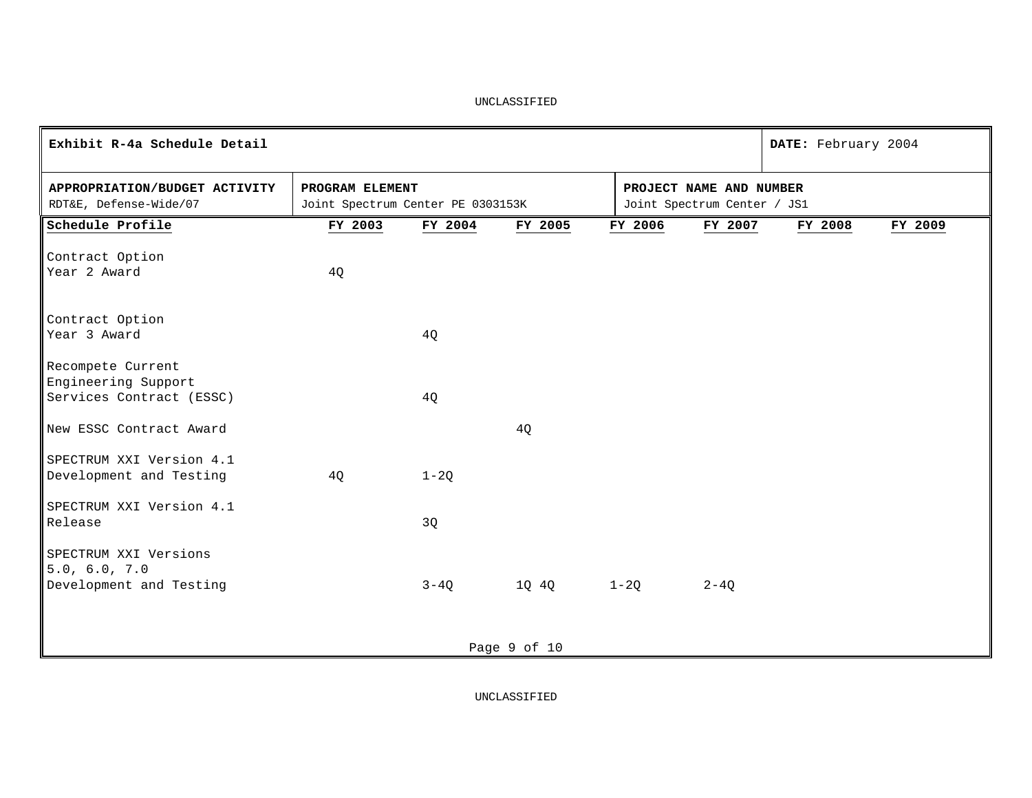| Exhibit R-4a Schedule Detail                            |                                                      |          |              |                                                        |          | DATE: February 2004 |         |
|---------------------------------------------------------|------------------------------------------------------|----------|--------------|--------------------------------------------------------|----------|---------------------|---------|
| APPROPRIATION/BUDGET ACTIVITY<br>RDT&E, Defense-Wide/07 | PROGRAM ELEMENT<br>Joint Spectrum Center PE 0303153K |          |              | PROJECT NAME AND NUMBER<br>Joint Spectrum Center / JS1 |          |                     |         |
| Schedule Profile                                        | FY 2003                                              | FY 2004  | FY 2005      | FY 2006                                                | FY 2007  | FY 2008             | FY 2009 |
| Contract Option                                         |                                                      |          |              |                                                        |          |                     |         |
| Year 2 Award                                            | 4Q                                                   |          |              |                                                        |          |                     |         |
|                                                         |                                                      |          |              |                                                        |          |                     |         |
| Contract Option                                         |                                                      |          |              |                                                        |          |                     |         |
| Year 3 Award                                            |                                                      | 4Q       |              |                                                        |          |                     |         |
| Recompete Current                                       |                                                      |          |              |                                                        |          |                     |         |
| Engineering Support                                     |                                                      |          |              |                                                        |          |                     |         |
| Services Contract (ESSC)                                |                                                      | 4Q       |              |                                                        |          |                     |         |
|                                                         |                                                      |          |              |                                                        |          |                     |         |
| New ESSC Contract Award                                 |                                                      |          | 4Q           |                                                        |          |                     |         |
| SPECTRUM XXI Version 4.1                                |                                                      |          |              |                                                        |          |                     |         |
| Development and Testing                                 | 4Q                                                   | $1 - 2Q$ |              |                                                        |          |                     |         |
| SPECTRUM XXI Version 4.1                                |                                                      |          |              |                                                        |          |                     |         |
| Release                                                 |                                                      | 3Q       |              |                                                        |          |                     |         |
|                                                         |                                                      |          |              |                                                        |          |                     |         |
| SPECTRUM XXI Versions<br>5.0, 6.0, 7.0                  |                                                      |          |              |                                                        |          |                     |         |
| Development and Testing                                 |                                                      | $3 - 4Q$ | 1Q 4Q        | $1 - 2Q$                                               | $2 - 4Q$ |                     |         |
|                                                         |                                                      |          |              |                                                        |          |                     |         |
|                                                         |                                                      |          |              |                                                        |          |                     |         |
|                                                         |                                                      |          | Page 9 of 10 |                                                        |          |                     |         |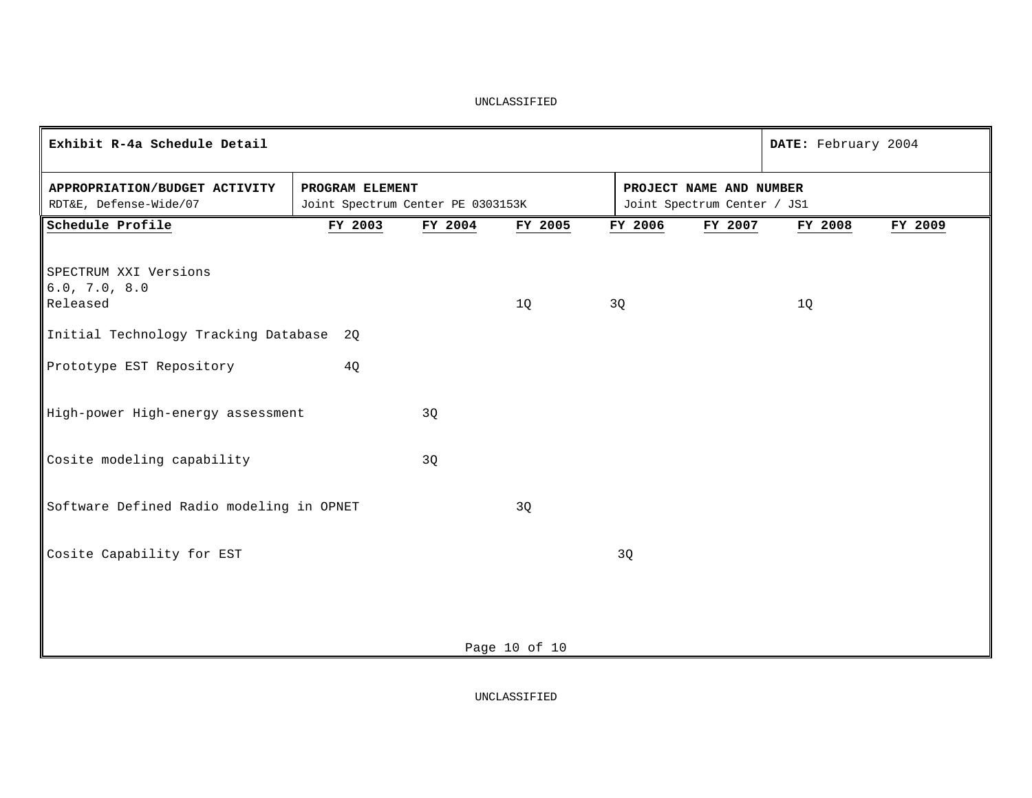| Exhibit R-4a Schedule Detail                            |                                                      |         |               |    |                                                        | DATE: February 2004 |         |
|---------------------------------------------------------|------------------------------------------------------|---------|---------------|----|--------------------------------------------------------|---------------------|---------|
| APPROPRIATION/BUDGET ACTIVITY<br>RDT&E, Defense-Wide/07 | PROGRAM ELEMENT<br>Joint Spectrum Center PE 0303153K |         |               |    | PROJECT NAME AND NUMBER<br>Joint Spectrum Center / JS1 |                     |         |
| Schedule Profile                                        | FY 2003                                              | FY 2004 | FY 2005       |    | FY 2006<br>FY 2007                                     | FY 2008             | FY 2009 |
| SPECTRUM XXI Versions<br>6.0, 7.0, 8.0<br>Released      |                                                      |         | 1Q            | 3Q |                                                        | 1Q                  |         |
| Initial Technology Tracking Database 2Q                 |                                                      |         |               |    |                                                        |                     |         |
| Prototype EST Repository                                | 4Q                                                   |         |               |    |                                                        |                     |         |
| High-power High-energy assessment                       |                                                      | 3Q      |               |    |                                                        |                     |         |
| Cosite modeling capability                              |                                                      | 3Q      |               |    |                                                        |                     |         |
| Software Defined Radio modeling in OPNET                |                                                      |         | 3Q            |    |                                                        |                     |         |
| Cosite Capability for EST                               |                                                      |         |               | 3Q |                                                        |                     |         |
|                                                         |                                                      |         | Page 10 of 10 |    |                                                        |                     |         |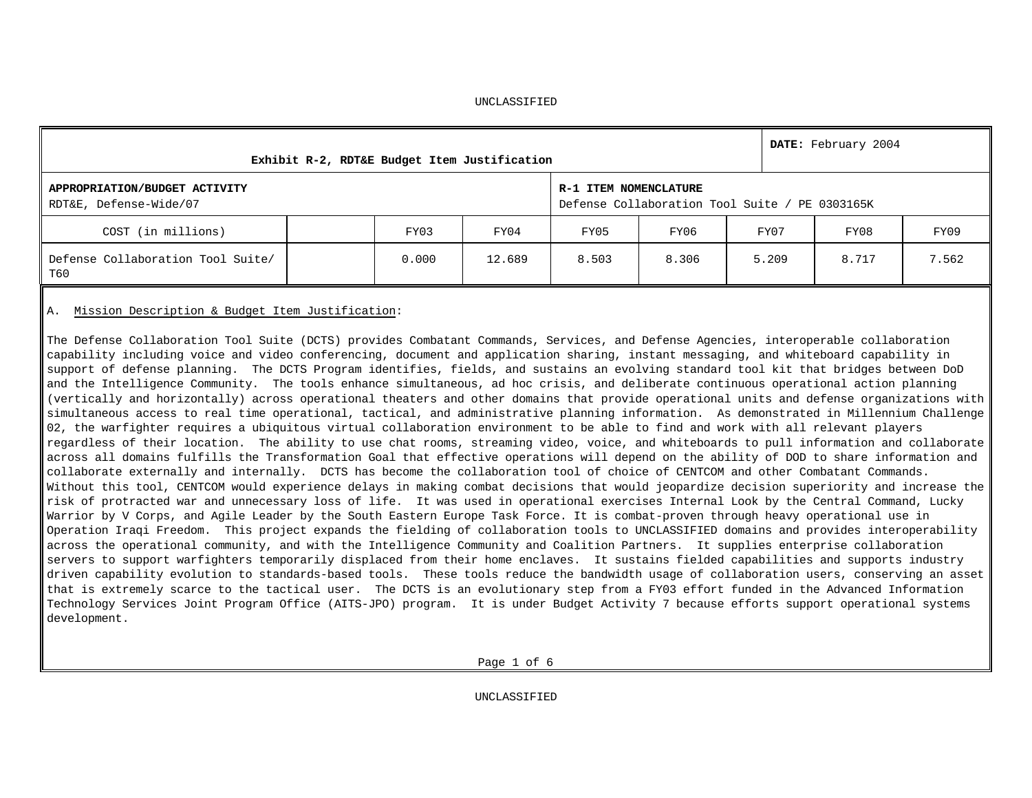|                                                         | Exhibit R-2, RDT&E Budget Item Justification |        |                       |                                                |       | DATE: February 2004 |       |
|---------------------------------------------------------|----------------------------------------------|--------|-----------------------|------------------------------------------------|-------|---------------------|-------|
| APPROPRIATION/BUDGET ACTIVITY<br>RDT&E, Defense-Wide/07 |                                              |        | R-1 ITEM NOMENCLATURE | Defense Collaboration Tool Suite / PE 0303165K |       |                     |       |
| COST (in millions)                                      | FY03                                         | FY04   | FY05                  | FY06                                           | FY07  | FY08                | FY09  |
| Defense Collaboration Tool Suite/<br>T60                | 0.000                                        | 12.689 | 8.503                 | 8.306                                          | 5.209 | 8.717               | 7.562 |

### A. Mission Description & Budget Item Justification:

The Defense Collaboration Tool Suite (DCTS) provides Combatant Commands, Services, and Defense Agencies, interoperable collaboration capability including voice and video conferencing, document and application sharing, instant messaging, and whiteboard capability in support of defense planning. The DCTS Program identifies, fields, and sustains an evolving standard tool kit that bridges between DoD and the Intelligence Community. The tools enhance simultaneous, ad hoc crisis, and deliberate continuous operational action planning (vertically and horizontally) across operational theaters and other domains that provide operational units and defense organizations with simultaneous access to real time operational, tactical, and administrative planning information. As demonstrated in Millennium Challenge 02, the warfighter requires a ubiquitous virtual collaboration environment to be able to find and work with all relevant players regardless of their location. The ability to use chat rooms, streaming video, voice, and whiteboards to pull information and collaborate across all domains fulfills the Transformation Goal that effective operations will depend on the ability of DOD to share information and collaborate externally and internally. DCTS has become the collaboration tool of choice of CENTCOM and other Combatant Commands. Without this tool, CENTCOM would experience delays in making combat decisions that would jeopardize decision superiority and increase the risk of protracted war and unnecessary loss of life. It was used in operational exercises Internal Look by the Central Command, Lucky Warrior by V Corps, and Agile Leader by the South Eastern Europe Task Force. It is combat-proven through heavy operational use in Operation Iraqi Freedom. This project expands the fielding of collaboration tools to UNCLASSIFIED domains and provides interoperability across the operational community, and with the Intelligence Community and Coalition Partners. It supplies enterprise collaboration servers to support warfighters temporarily displaced from their home enclaves. It sustains fielded capabilities and supports industry driven capability evolution to standards-based tools. These tools reduce the bandwidth usage of collaboration users, conserving an asset that is extremely scarce to the tactical user. The DCTS is an evolutionary step from a FY03 effort funded in the Advanced Information Technology Services Joint Program Office (AITS-JPO) program. It is under Budget Activity 7 because efforts support operational systems development.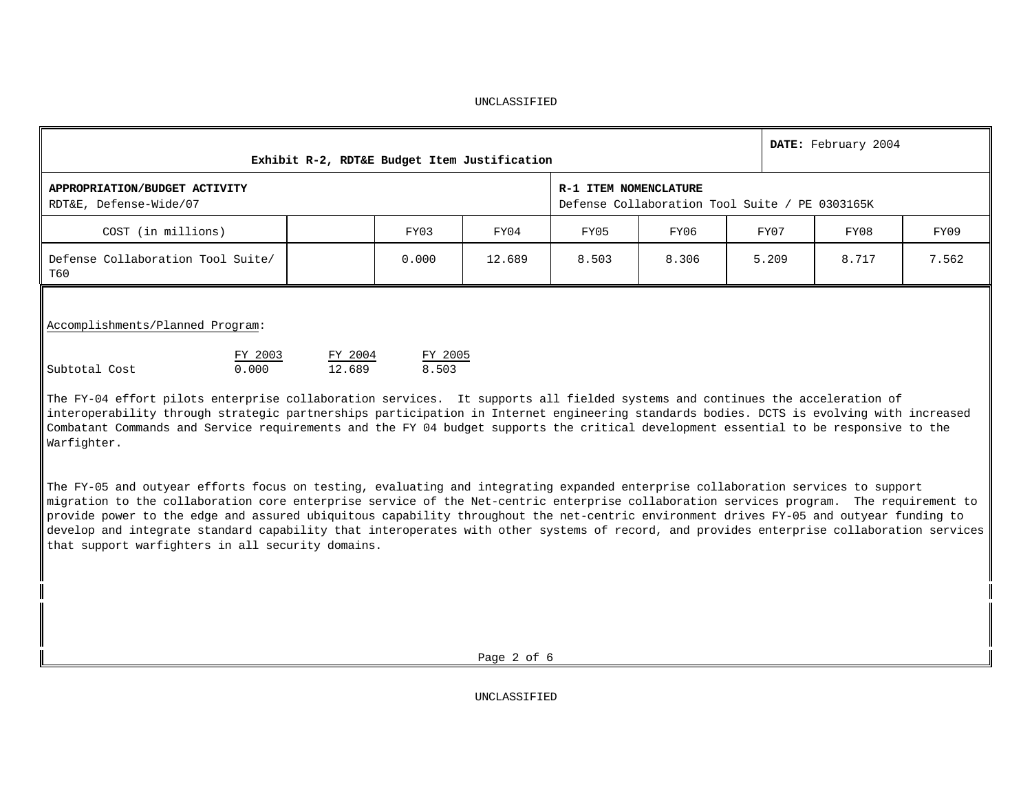|                                                                                                                                                                                                                   | Exhibit R-2, RDT&E Budget Item Justification |                  |        |                       |                                                |       | DATE: February 2004 |       |
|-------------------------------------------------------------------------------------------------------------------------------------------------------------------------------------------------------------------|----------------------------------------------|------------------|--------|-----------------------|------------------------------------------------|-------|---------------------|-------|
| APPROPRIATION/BUDGET ACTIVITY<br>RDT&E, Defense-Wide/07                                                                                                                                                           |                                              |                  |        | R-1 ITEM NOMENCLATURE | Defense Collaboration Tool Suite / PE 0303165K |       |                     |       |
| COST (in millions)                                                                                                                                                                                                |                                              | FY03             | FY04   | FY05                  | FY06                                           | FY07  | FY08                | FY09  |
| Defense Collaboration Tool Suite/<br>T60                                                                                                                                                                          |                                              | 0.000            | 12.689 | 8.503                 | 8.306                                          | 5.209 | 8.717               | 7.562 |
| Accomplishments/Planned Program:<br>FY 2003<br>Subtotal Cost<br>0.000<br>$\mathbb I$ The FV-04 effort pilots enterprise collaboration services. It supports all fielded systems and continues the acceleration of | FY 2004<br>12.689                            | FY 2005<br>8.503 |        |                       |                                                |       |                     |       |

The FY-04 effort pilots enterprise collaboration services. It supports all fielded systems and continues the acceleration of interoperability through strategic partnerships participation in Internet engineering standards bodies. DCTS is evolving with increased Combatant Commands and Service requirements and the FY 04 budget supports the critical development essential to be responsive to the Warfighter.

The FY-05 and outyear efforts focus on testing, evaluating and integrating expanded enterprise collaboration services to support migration to the collaboration core enterprise service of the Net-centric enterprise collaboration services program. The requirement to provide power to the edge and assured ubiquitous capability throughout the net-centric environment drives FY-05 and outyear funding to develop and integrate standard capability that interoperates with other systems of record, and provides enterprise collaboration services that support warfighters in all security domains.

Page 2 of 6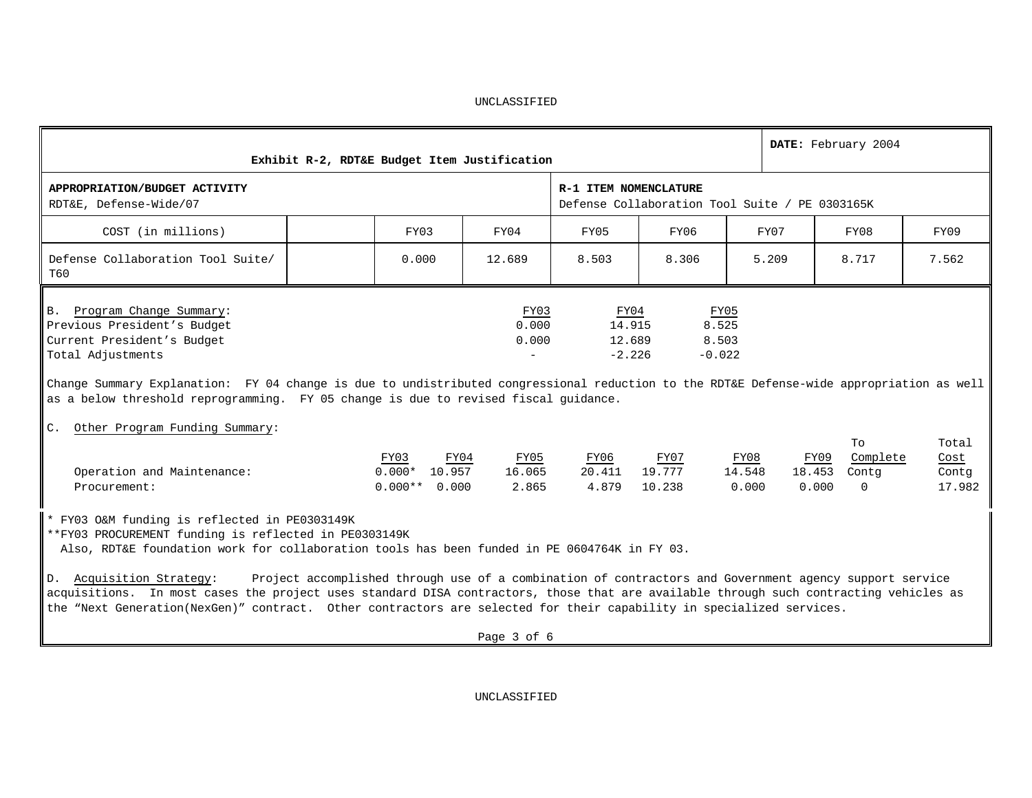| Exhibit R-2, RDT&E Budget Item Justification                                                                                                                                                                                                                                                                                                                                                                                                                                                                                                                                                                  |                                            |                                 |                                      |                                                |                         |        | DATE: February 2004                                  |                                  |
|---------------------------------------------------------------------------------------------------------------------------------------------------------------------------------------------------------------------------------------------------------------------------------------------------------------------------------------------------------------------------------------------------------------------------------------------------------------------------------------------------------------------------------------------------------------------------------------------------------------|--------------------------------------------|---------------------------------|--------------------------------------|------------------------------------------------|-------------------------|--------|------------------------------------------------------|----------------------------------|
| APPROPRIATION/BUDGET ACTIVITY<br>RDT&E, Defense-Wide/07                                                                                                                                                                                                                                                                                                                                                                                                                                                                                                                                                       |                                            |                                 | R-1 ITEM NOMENCLATURE                | Defense Collaboration Tool Suite / PE 0303165K |                         |        |                                                      |                                  |
| COST (in millions)                                                                                                                                                                                                                                                                                                                                                                                                                                                                                                                                                                                            | FY03                                       | FY04                            | FY05                                 | FY06                                           |                         | FY07   | FY08                                                 | FY09                             |
| Defense Collaboration Tool Suite/<br>T60                                                                                                                                                                                                                                                                                                                                                                                                                                                                                                                                                                      | 0.000                                      | 12.689                          | 8.503                                | 8.306                                          |                         | 5.209  | 8.717                                                | 7.562                            |
| B. Program Change Summary:<br>Previous President's Budget<br>Current President's Budget<br>Total Adjustments<br>Change Summary Explanation: FY 04 change is due to undistributed congressional reduction to the RDT&E Defense-wide appropriation as well<br>as a below threshold reprogramming. FY 05 change is due to revised fiscal quidance.<br>Other Program Funding Summary:<br>$C_{\star}$                                                                                                                                                                                                              |                                            | FY03<br>0.000<br>0.000          | FY04<br>14.915<br>12.689<br>$-2.226$ | FY05<br>8.525<br>8.503<br>$-0.022$             |                         |        |                                                      |                                  |
| Operation and Maintenance:<br>Procurement:                                                                                                                                                                                                                                                                                                                                                                                                                                                                                                                                                                    | FY03<br>$0.000*$ 10.957<br>$0.000**$ 0.000 | FY04<br>FY05<br>16.065<br>2.865 | FY06<br>4.879                        | FY07<br>20.411 19.777<br>10.238                | FY08<br>14.548<br>0.000 | 18.453 | To<br>Complete<br>FY09<br>Contg<br>0.000<br>$\Omega$ | Total<br>Cost<br>Contq<br>17.982 |
| * FY03 O&M funding is reflected in PE0303149K<br>**FY03 PROCUREMENT funding is reflected in PE0303149K<br>Also, RDT&E foundation work for collaboration tools has been funded in PE 0604764K in FY 03.<br>D. Acquisition Strategy:<br>Project accomplished through use of a combination of contractors and Government agency support service<br>acquisitions. In most cases the project uses standard DISA contractors, those that are available through such contracting vehicles as<br>the "Next Generation(NexGen)" contract. Other contractors are selected for their capability in specialized services. |                                            |                                 |                                      |                                                |                         |        |                                                      |                                  |

Page 3 of 6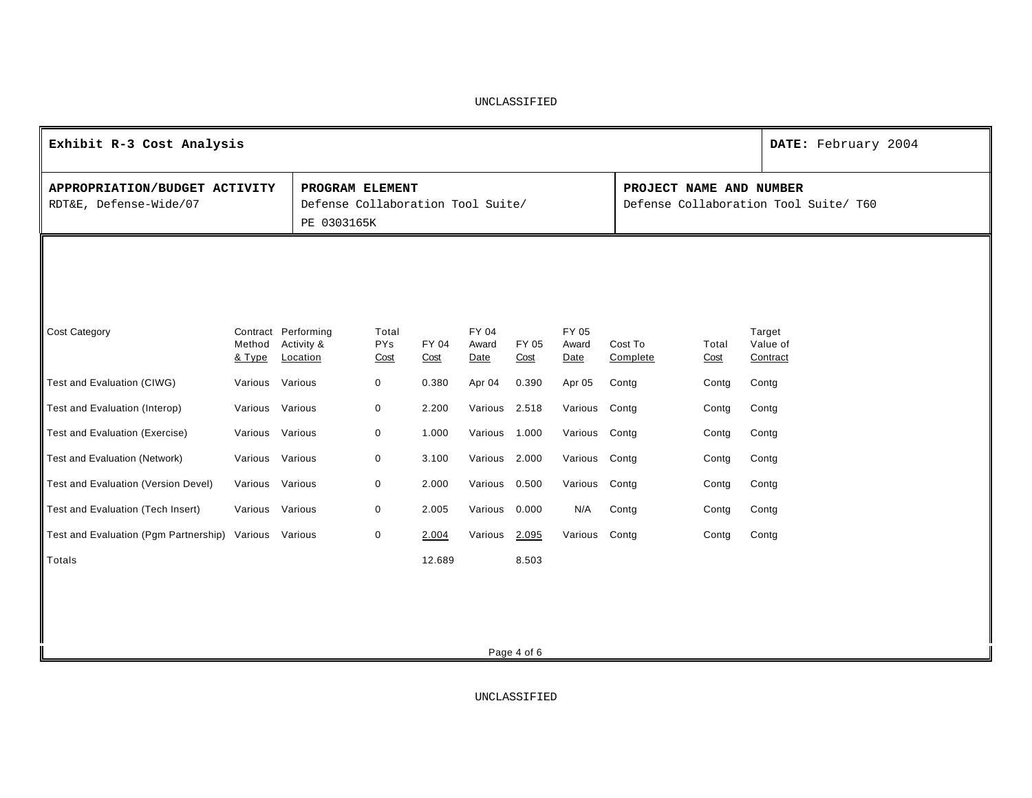| Exhibit R-3 Cost Analysis                               |                  |                                                                     |                             |               |                               |               |                        |                         |               | DATE: February 2004                   |
|---------------------------------------------------------|------------------|---------------------------------------------------------------------|-----------------------------|---------------|-------------------------------|---------------|------------------------|-------------------------|---------------|---------------------------------------|
| APPROPRIATION/BUDGET ACTIVITY<br>RDT&E, Defense-Wide/07 |                  | PROGRAM ELEMENT<br>Defense Collaboration Tool Suite/<br>PE 0303165K |                             |               |                               |               |                        | PROJECT NAME AND NUMBER |               | Defense Collaboration Tool Suite/ T60 |
|                                                         |                  |                                                                     |                             |               |                               |               |                        |                         |               |                                       |
| <b>Cost Category</b>                                    | Method<br>& Type | Contract Performing<br>Activity &<br>Location                       | Total<br><b>PYs</b><br>Cost | FY 04<br>Cost | <b>FY 04</b><br>Award<br>Date | FY 05<br>Cost | FY 05<br>Award<br>Date | Cost To<br>Complete     | Total<br>Cost | Target<br>Value of<br>Contract        |
| Test and Evaluation (CIWG)                              | Various          | Various                                                             | $\mathbf 0$                 | 0.380         | Apr 04                        | 0.390         | Apr 05                 | Contg                   | Contg         | Contg                                 |
| Test and Evaluation (Interop)                           | Various Various  |                                                                     | $\mathbf 0$                 | 2.200         | Various 2.518                 |               | Various                | Contg                   | Contg         | Contg                                 |
| Test and Evaluation (Exercise)                          | Various Various  |                                                                     | $\mathbf 0$                 | 1.000         | Various                       | 1.000         | Various                | Contg                   | Contg         | Contg                                 |
| <b>Test and Evaluation (Network)</b>                    | Various Various  |                                                                     | $\boldsymbol{0}$            | 3.100         | Various 2.000                 |               | Various Contg          |                         | Contg         | Contg                                 |
| Test and Evaluation (Version Devel)                     | Various          | Various                                                             | 0                           | 2.000         | Various                       | 0.500         | Various                | Contg                   | Contg         | Contg                                 |
| Test and Evaluation (Tech Insert)                       | Various Various  |                                                                     | 0                           | 2.005         | Various                       | 0.000         | N/A                    | Contg                   | Contg         | Contg                                 |
| Test and Evaluation (Pgm Partnership) Various Various   |                  |                                                                     | 0                           | 2.004         | Various                       | 2.095         | Various Contg          |                         | Contg         | Contg                                 |
| Totals                                                  |                  |                                                                     |                             | 12.689        |                               | 8.503         |                        |                         |               |                                       |
|                                                         |                  |                                                                     |                             |               |                               |               |                        |                         |               |                                       |
|                                                         |                  |                                                                     |                             |               |                               |               |                        |                         |               |                                       |
|                                                         |                  |                                                                     |                             |               |                               | Page 4 of 6   |                        |                         |               |                                       |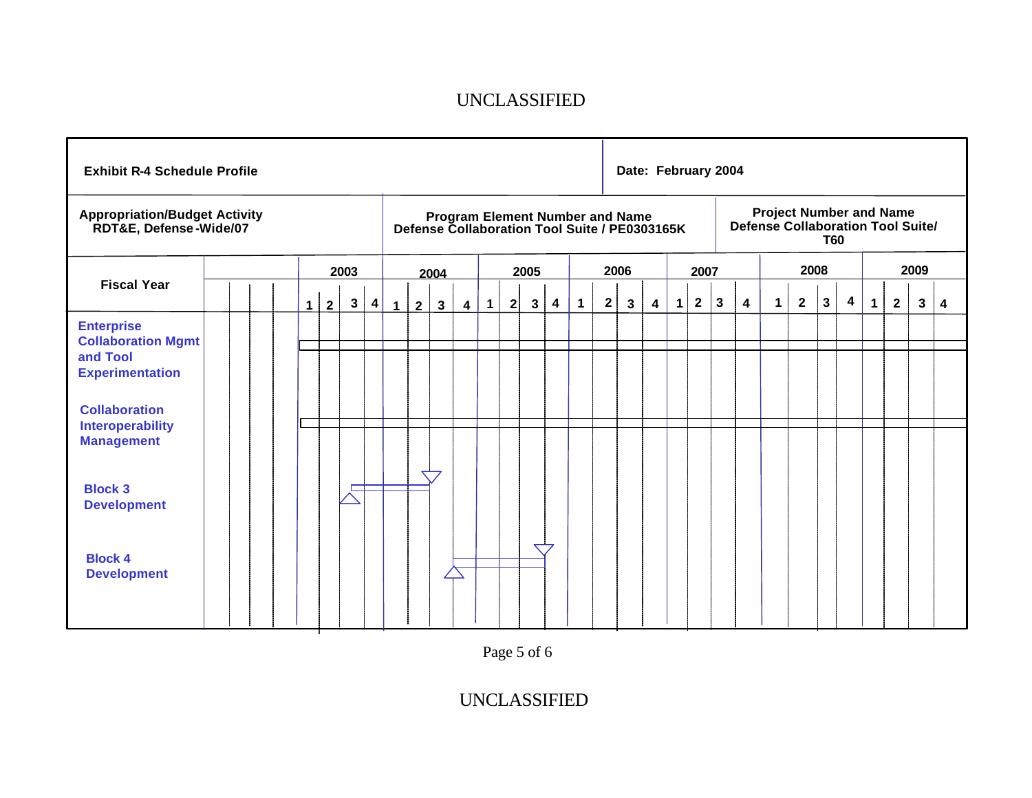| <b>Exhibit R-4 Schedule Profile</b>                                                  |  |                |              |              |                         |             |                |                |                         |             |   |              |                         |              |              | Date: February 2004                                                              |   |           |              |                                                                            |   |   |             |              |   |             |              |      |   |
|--------------------------------------------------------------------------------------|--|----------------|--------------|--------------|-------------------------|-------------|----------------|----------------|-------------------------|-------------|---|--------------|-------------------------|--------------|--------------|----------------------------------------------------------------------------------|---|-----------|--------------|----------------------------------------------------------------------------|---|---|-------------|--------------|---|-------------|--------------|------|---|
| <b>Appropriation/Budget Activity</b><br>RDT&E, Defense-Wide/07                       |  |                |              |              |                         |             |                |                |                         |             |   |              |                         |              |              | Program Element Number and Name<br>Defense Collaboration Tool Suite / PE0303165K |   |           |              | <b>Project Number and Name</b><br>Defense Collaboration Tool Suite/<br>T60 |   |   |             |              |   |             |              |      |   |
|                                                                                      |  |                |              | 2003         |                         |             |                | 2004           |                         |             |   | 2005         |                         |              |              | 2006                                                                             |   |           | 2007         |                                                                            |   |   | 2008        |              |   |             |              | 2009 |   |
| <b>Fiscal Year</b>                                                                   |  | 1 <sup>1</sup> | $\mathbf{2}$ | $\mathbf{3}$ | $\overline{\mathbf{4}}$ | $\mathbf 1$ | $\overline{2}$ | $3\phantom{a}$ | $\overline{\mathbf{4}}$ | $\mathbf 1$ | 2 | $\mathbf{3}$ | $\overline{\mathbf{4}}$ | $\mathbf{1}$ | $\mathbf{2}$ | $\mathbf{3}$                                                                     | 4 | $\vert$ 1 | $\mathbf{2}$ | $\mathbf{3}$                                                               | 4 | 1 | $2^{\circ}$ | $\mathbf{3}$ | 4 | $\mathbf 1$ | $\mathbf{2}$ | 3    | 4 |
| <b>Enterprise</b><br><b>Collaboration Mgmt</b><br>and Tool<br><b>Experimentation</b> |  |                |              |              |                         |             |                |                |                         |             |   |              |                         |              |              |                                                                                  |   |           |              |                                                                            |   |   |             |              |   |             |              |      |   |
| <b>Collaboration</b><br><b>Interoperability</b><br><b>Management</b>                 |  |                |              |              |                         |             |                |                |                         |             |   |              |                         |              |              |                                                                                  |   |           |              |                                                                            |   |   |             |              |   |             |              |      |   |
| <b>Block 3</b><br><b>Development</b>                                                 |  |                |              |              |                         |             |                |                |                         |             |   |              |                         |              |              |                                                                                  |   |           |              |                                                                            |   |   |             |              |   |             |              |      |   |
| <b>Block 4</b><br><b>Development</b>                                                 |  |                |              |              |                         |             |                |                |                         |             |   |              |                         |              |              |                                                                                  |   |           |              |                                                                            |   |   |             |              |   |             |              |      |   |

Page 5 of 6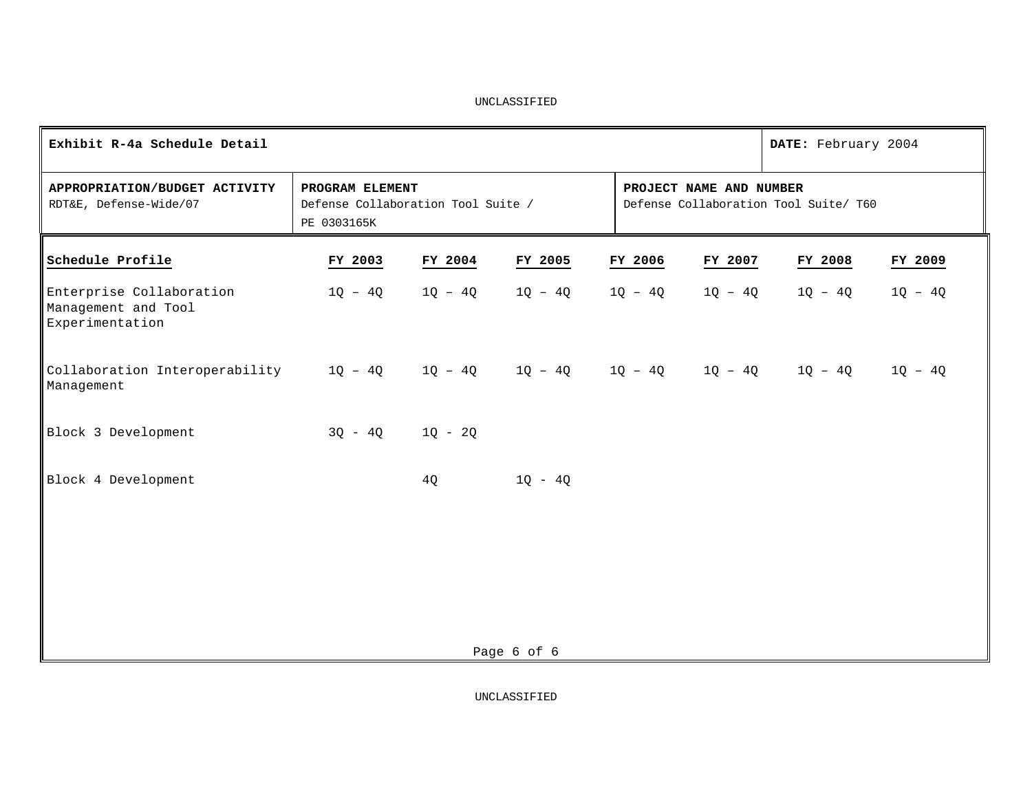| Exhibit R-4a Schedule Detail                                               |                                                                      | DATE: February 2004 |             |                         |         |                                       |           |
|----------------------------------------------------------------------------|----------------------------------------------------------------------|---------------------|-------------|-------------------------|---------|---------------------------------------|-----------|
| APPROPRIATION/BUDGET ACTIVITY<br>RDT&E, Defense-Wide/07                    | PROGRAM ELEMENT<br>Defense Collaboration Tool Suite /<br>PE 0303165K |                     |             | PROJECT NAME AND NUMBER |         | Defense Collaboration Tool Suite/ T60 |           |
| Schedule Profile                                                           | FY 2003                                                              | FY 2004             | FY 2005     | FY 2006                 | FY 2007 | FY 2008                               | FY 2009   |
| Enterprise Collaboration<br>Management and Tool<br>Experimentation         | $1Q - 4Q$                                                            | $1Q - 4Q$           | $10 - 40$   | 1Q - 4Q                 | 1Q - 4Q | 1Q - 4Q                               | $1Q - 4Q$ |
| Collaboration Interoperability $1Q - 4Q$ $1Q - 4Q$ $1Q - 4Q$<br>Management |                                                                      |                     |             |                         |         | $1Q - 4Q$ $1Q - 4Q$ $1Q - 4Q$         | $1Q - 4Q$ |
| Block 3 Development                                                        | $3Q - 4Q$ $1Q - 2Q$                                                  |                     |             |                         |         |                                       |           |
| Block 4 Development                                                        |                                                                      | 4Q                  | $1Q - 4Q$   |                         |         |                                       |           |
|                                                                            |                                                                      |                     |             |                         |         |                                       |           |
|                                                                            |                                                                      |                     |             |                         |         |                                       |           |
|                                                                            |                                                                      |                     |             |                         |         |                                       |           |
|                                                                            |                                                                      |                     | Page 6 of 6 |                         |         |                                       |           |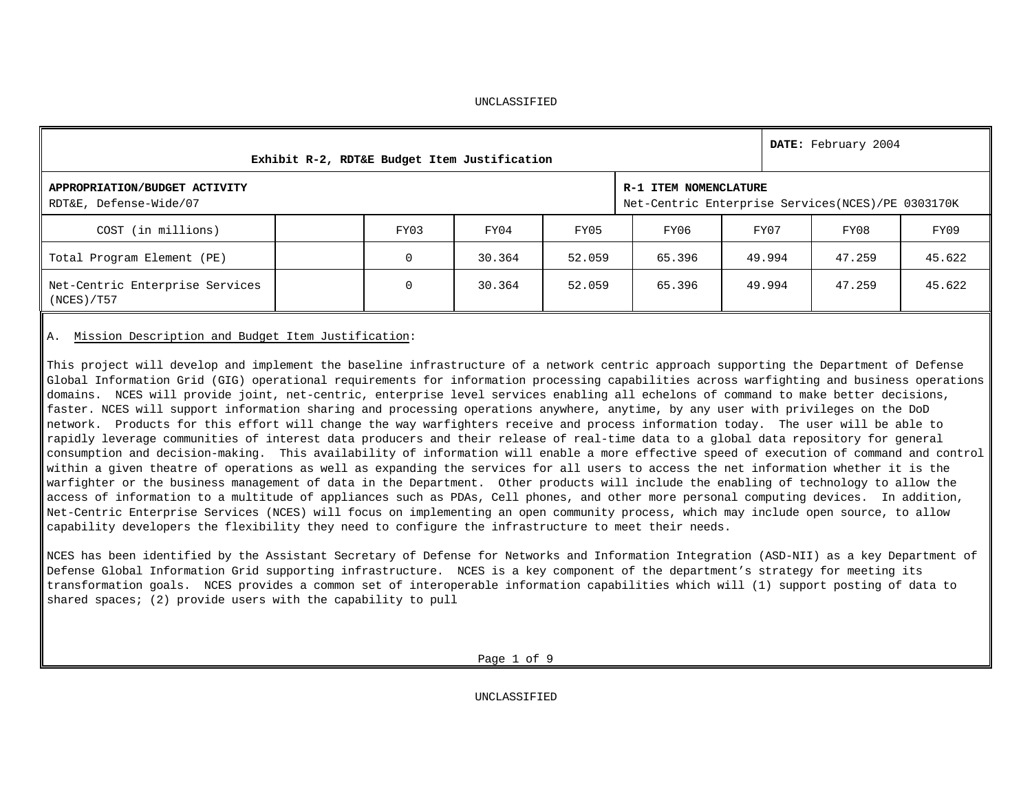|                                                         | Exhibit R-2, RDT&E Budget Item Justification |        |        |                                                                            |        | DATE: February 2004 |        |
|---------------------------------------------------------|----------------------------------------------|--------|--------|----------------------------------------------------------------------------|--------|---------------------|--------|
| APPROPRIATION/BUDGET ACTIVITY<br>RDT&E, Defense-Wide/07 |                                              |        |        | R-1 ITEM NOMENCLATURE<br>Net-Centric Enterprise Services(NCES)/PE 0303170K |        |                     |        |
| COST (in millions)                                      | FY03                                         | FY04   | FY05   | FY06                                                                       | FY07   | FY08                | FY09   |
| Total Program Element (PE)                              | O                                            | 30.364 | 52.059 | 65.396                                                                     | 49.994 | 47.259              | 45.622 |
| Net-Centric Enterprise Services<br>(NCES) / T57         | 0                                            | 30.364 | 52.059 | 65.396                                                                     | 49.994 | 47.259              | 45.622 |

#### A. Mission Description and Budget Item Justification:

This project will develop and implement the baseline infrastructure of a network centric approach supporting the Department of Defense Global Information Grid (GIG) operational requirements for information processing capabilities across warfighting and business operations domains. NCES will provide joint, net-centric, enterprise level services enabling all echelons of command to make better decisions, faster. NCES will support information sharing and processing operations anywhere, anytime, by any user with privileges on the DoD network. Products for this effort will change the way warfighters receive and process information today. The user will be able to rapidly leverage communities of interest data producers and their release of real-time data to a global data repository for general consumption and decision-making. This availability of information will enable a more effective speed of execution of command and control within a given theatre of operations as well as expanding the services for all users to access the net information whether it is the warfighter or the business management of data in the Department. Other products will include the enabling of technology to allow the access of information to a multitude of appliances such as PDAs, Cell phones, and other more personal computing devices. In addition, Net-Centric Enterprise Services (NCES) will focus on implementing an open community process, which may include open source, to allow capability developers the flexibility they need to configure the infrastructure to meet their needs.

NCES has been identified by the Assistant Secretary of Defense for Networks and Information Integration (ASD-NII) as a key Department of Defense Global Information Grid supporting infrastructure. NCES is a key component of the department's strategy for meeting its transformation goals. NCES provides a common set of interoperable information capabilities which will (1) support posting of data to shared spaces; (2) provide users with the capability to pull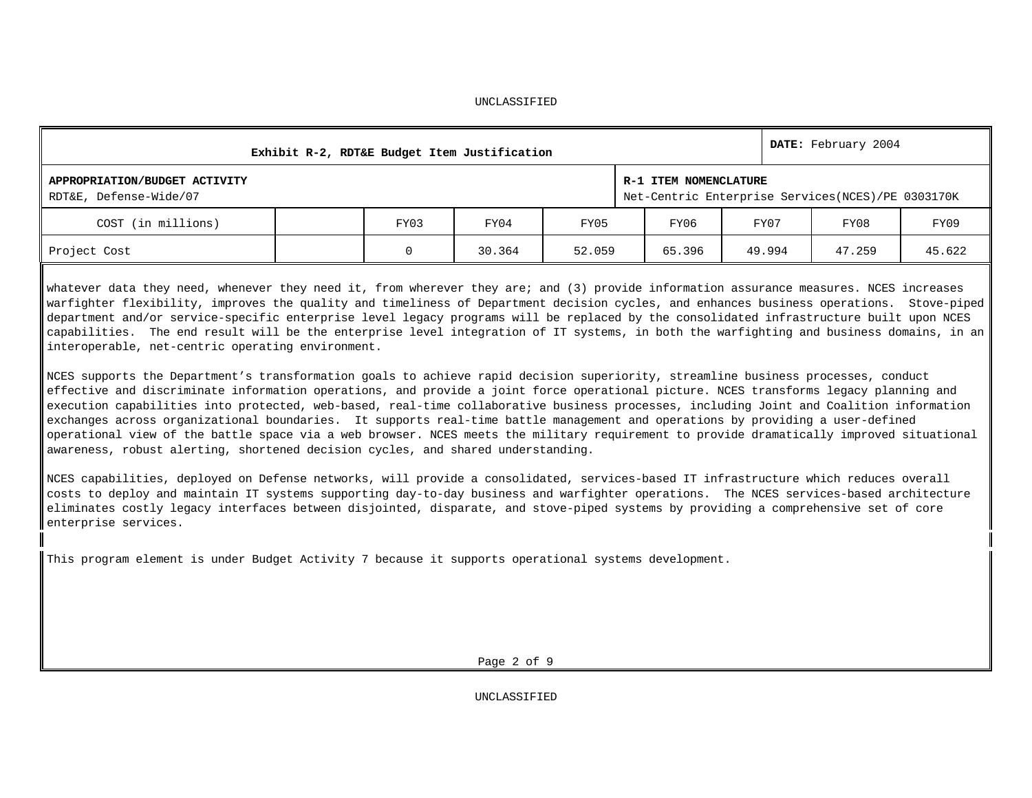| Exhibit R-2, RDT&E Budget Item Justification            |      |        |        |                       |        | DATE: February 2004                                  |        |
|---------------------------------------------------------|------|--------|--------|-----------------------|--------|------------------------------------------------------|--------|
| APPROPRIATION/BUDGET ACTIVITY<br>RDT&E, Defense-Wide/07 |      |        |        | R-1 ITEM NOMENCLATURE |        | Net-Centric Enterprise Services (NCES) / PE 0303170K |        |
| COST (in millions)                                      | FY03 | FY04   | FY05   | FY06                  | FY07   | FY08                                                 | FY09   |
| Project Cost                                            |      | 30.364 | 52.059 | 65.396                | 49.994 | 47.259                                               | 45.622 |

whatever data they need, whenever they need it, from wherever they are; and (3) provide information assurance measures. NCES increases warfighter flexibility, improves the quality and timeliness of Department decision cycles, and enhances business operations. Stove-piped department and/or service-specific enterprise level legacy programs will be replaced by the consolidated infrastructure built upon NCES capabilities. The end result will be the enterprise level integration of IT systems, in both the warfighting and business domains, in an interoperable, net-centric operating environment.

NCES supports the Department's transformation goals to achieve rapid decision superiority, streamline business processes, conduct effective and discriminate information operations, and provide a joint force operational picture. NCES transforms legacy planning and execution capabilities into protected, web-based, real-time collaborative business processes, including Joint and Coalition information exchanges across organizational boundaries. It supports real-time battle management and operations by providing a user-defined operational view of the battle space via a web browser. NCES meets the military requirement to provide dramatically improved situational awareness, robust alerting, shortened decision cycles, and shared understanding.

NCES capabilities, deployed on Defense networks, will provide a consolidated, services-based IT infrastructure which reduces overall costs to deploy and maintain IT systems supporting day-to-day business and warfighter operations. The NCES services-based architecture eliminates costly legacy interfaces between disjointed, disparate, and stove-piped systems by providing a comprehensive set of core enterprise services.

This program element is under Budget Activity 7 because it supports operational systems development.

Page 2 of 9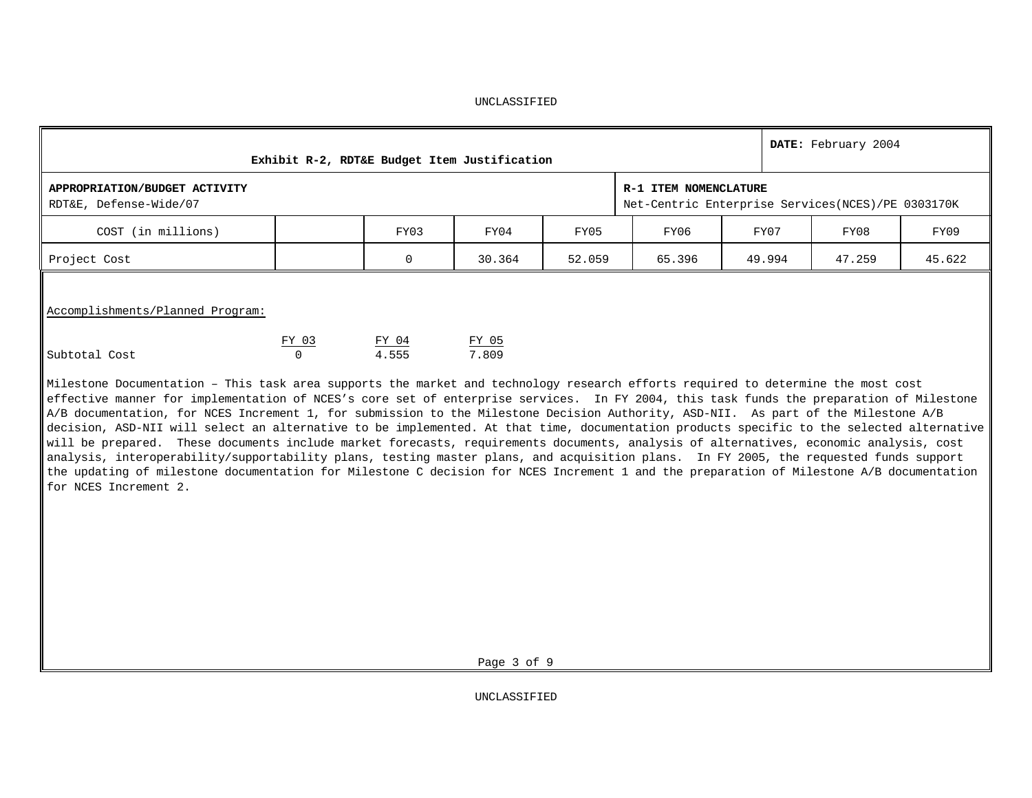|                                                         | Exhibit R-2, RDT&E Budget Item Justification |                |                       |        |                                                                            |        | DATE: February 2004 |        |
|---------------------------------------------------------|----------------------------------------------|----------------|-----------------------|--------|----------------------------------------------------------------------------|--------|---------------------|--------|
| APPROPRIATION/BUDGET ACTIVITY<br>RDT&E, Defense-Wide/07 |                                              |                |                       |        | R-1 ITEM NOMENCLATURE<br>Net-Centric Enterprise Services(NCES)/PE 0303170K |        |                     |        |
| COST (in millions)                                      |                                              | FY03           | FY04                  | FY05   | FY06                                                                       | FY07   | FY08                | FY09   |
| Project Cost                                            |                                              | $\Omega$       | 30.364                | 52.059 | 65.396                                                                     | 49.994 | 47.259              | 45.622 |
| Accomplishments/Planned Program:<br>Subtotal Cost       | FY 03<br>$\mathbf 0$                         | FY 04<br>4.555 | <u>FY 05</u><br>7.809 |        |                                                                            |        |                     |        |

Milestone Documentation – This task area supports the market and technology research efforts required to determine the most cost effective manner for implementation of NCES's core set of enterprise services. In FY 2004, this task funds the preparation of Milestone A/B documentation, for NCES Increment 1, for submission to the Milestone Decision Authority, ASD-NII. As part of the Milestone A/B decision, ASD-NII will select an alternative to be implemented. At that time, documentation products specific to the selected alternative will be prepared. These documents include market forecasts, requirements documents, analysis of alternatives, economic analysis, cost analysis, interoperability/supportability plans, testing master plans, and acquisition plans. In FY 2005, the requested funds support the updating of milestone documentation for Milestone C decision for NCES Increment 1 and the preparation of Milestone A/B documentation for NCES Increment 2.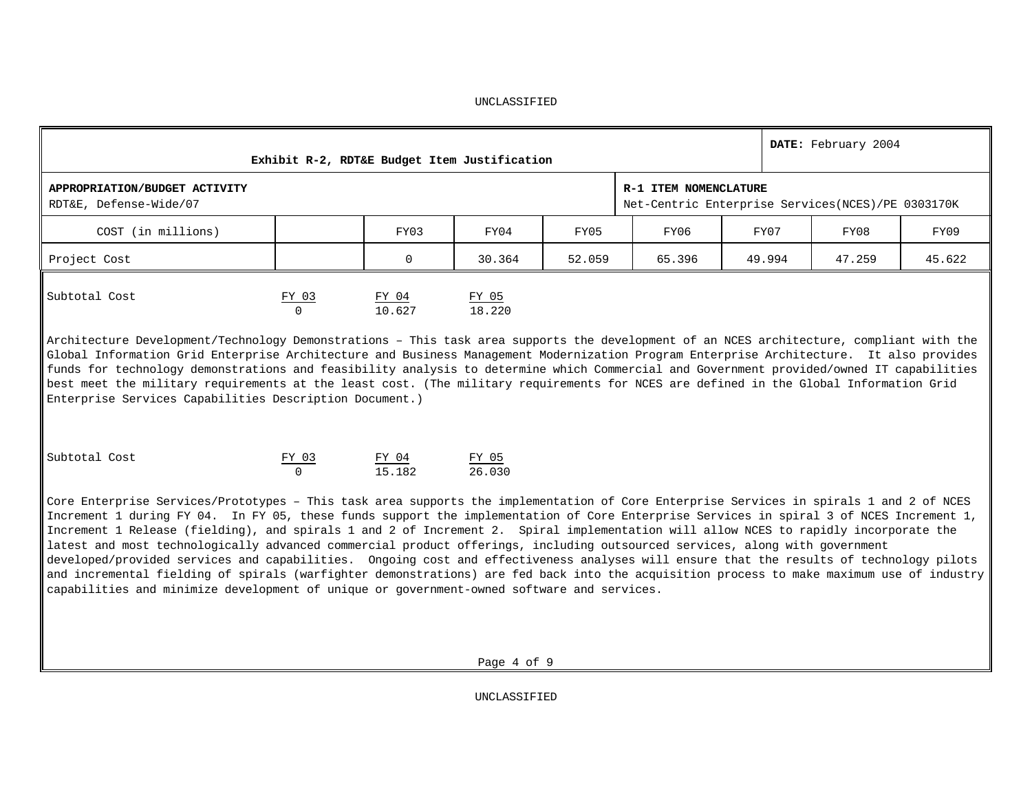|                                                                                                                                                                                                                                                                                                                                                                                                                                                                                                                                                                                                                                                                                                                                                                                                                                                                                                                                                 |                   |                          | Exhibit R-2, RDT&E Budget Item Justification |        |                                                                               |        | DATE: February 2004 |        |
|-------------------------------------------------------------------------------------------------------------------------------------------------------------------------------------------------------------------------------------------------------------------------------------------------------------------------------------------------------------------------------------------------------------------------------------------------------------------------------------------------------------------------------------------------------------------------------------------------------------------------------------------------------------------------------------------------------------------------------------------------------------------------------------------------------------------------------------------------------------------------------------------------------------------------------------------------|-------------------|--------------------------|----------------------------------------------|--------|-------------------------------------------------------------------------------|--------|---------------------|--------|
| APPROPRIATION/BUDGET ACTIVITY<br>RDT&E, Defense-Wide/07                                                                                                                                                                                                                                                                                                                                                                                                                                                                                                                                                                                                                                                                                                                                                                                                                                                                                         |                   |                          |                                              |        | R-1 ITEM NOMENCLATURE<br>Net-Centric Enterprise Services (NCES) / PE 0303170K |        |                     |        |
| COST (in millions)                                                                                                                                                                                                                                                                                                                                                                                                                                                                                                                                                                                                                                                                                                                                                                                                                                                                                                                              |                   | FY03                     | FY04                                         | FY05   | FY06                                                                          | FY07   | FY08                | FY09   |
| Project Cost                                                                                                                                                                                                                                                                                                                                                                                                                                                                                                                                                                                                                                                                                                                                                                                                                                                                                                                                    |                   | 0                        | 30.364                                       | 52.059 | 65.396                                                                        | 49.994 | 47.259              | 45.622 |
| Subtotal Cost                                                                                                                                                                                                                                                                                                                                                                                                                                                                                                                                                                                                                                                                                                                                                                                                                                                                                                                                   | FY 03<br>$\Omega$ | FY 04<br>10.627          | FY 05<br>18.220                              |        |                                                                               |        |                     |        |
| Architecture Development/Technology Demonstrations - This task area supports the development of an NCES architecture, compliant with the<br>Global Information Grid Enterprise Architecture and Business Management Modernization Program Enterprise Architecture. It also provides<br>funds for technology demonstrations and feasibility analysis to determine which Commercial and Government provided/owned IT capabilities<br>best meet the military requirements at the least cost. (The military requirements for NCES are defined in the Global Information Grid<br>Enterprise Services Capabilities Description Document.)                                                                                                                                                                                                                                                                                                             |                   |                          |                                              |        |                                                                               |        |                     |        |
| Subtotal Cost                                                                                                                                                                                                                                                                                                                                                                                                                                                                                                                                                                                                                                                                                                                                                                                                                                                                                                                                   | FY 03<br>$\cap$   | $\frac{FY \t04}{15.182}$ | $\frac{FY & 05}{26.030}$                     |        |                                                                               |        |                     |        |
| Core Enterprise Services/Prototypes - This task area supports the implementation of Core Enterprise Services in spirals 1 and 2 of NCES<br>Increment 1 during FY 04. In FY 05, these funds support the implementation of Core Enterprise Services in spiral 3 of NCES Increment 1,<br>Increment 1 Release (fielding), and spirals 1 and 2 of Increment 2. Spiral implementation will allow NCES to rapidly incorporate the<br>latest and most technologically advanced commercial product offerings, including outsourced services, along with government<br>developed/provided services and capabilities. Ongoing cost and effectiveness analyses will ensure that the results of technology pilots<br>and incremental fielding of spirals (warfighter demonstrations) are fed back into the acquisition process to make maximum use of industry<br>capabilities and minimize development of unique or government-owned software and services. |                   |                          |                                              |        |                                                                               |        |                     |        |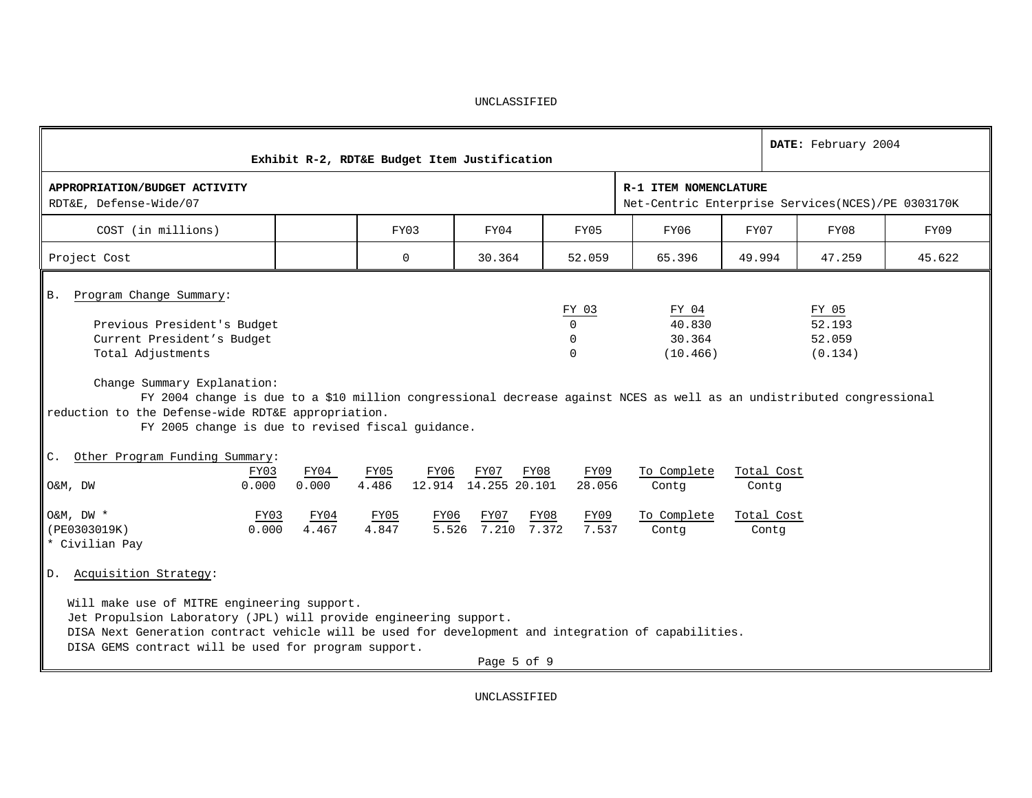|                                                                                                                                                                                                                                                                                                                                                                                    |                                | Exhibit R-2, RDT&E Budget Item Justification   |                                                           |                                                 |                                                                               |        |                                   | DATE: February 2004                  |        |
|------------------------------------------------------------------------------------------------------------------------------------------------------------------------------------------------------------------------------------------------------------------------------------------------------------------------------------------------------------------------------------|--------------------------------|------------------------------------------------|-----------------------------------------------------------|-------------------------------------------------|-------------------------------------------------------------------------------|--------|-----------------------------------|--------------------------------------|--------|
| APPROPRIATION/BUDGET ACTIVITY<br>RDT&E, Defense-Wide/07                                                                                                                                                                                                                                                                                                                            |                                |                                                |                                                           |                                                 | R-1 ITEM NOMENCLATURE<br>Net-Centric Enterprise Services (NCES) / PE 0303170K |        |                                   |                                      |        |
| COST (in millions)                                                                                                                                                                                                                                                                                                                                                                 |                                | FY03                                           | FY04                                                      | FY05                                            | FY06                                                                          | FY07   |                                   | FY08                                 | FY09   |
| Project Cost                                                                                                                                                                                                                                                                                                                                                                       |                                | $\mathbf 0$                                    | 30.364                                                    | 52.059                                          | 65.396                                                                        | 49.994 |                                   | 47.259                               | 45.622 |
| Program Change Summary:<br>Β.<br>Previous President's Budget<br>Current President's Budget<br>Total Adjustments<br>Change Summary Explanation:<br>FY 2004 change is due to a \$10 million congressional decrease against NCES as well as an undistributed congressional<br>reduction to the Defense-wide RDT&E appropriation.<br>FY 2005 change is due to revised fiscal guidance. |                                |                                                |                                                           | FY 03<br>$\Omega$<br>$\Omega$<br>$\Omega$       | FY 04<br>40.830<br>30.364<br>(10.466)                                         |        |                                   | FY 05<br>52.193<br>52.059<br>(0.134) |        |
| Other Program Funding Summary:<br>$C_{\star}$<br>FY03<br>0.000<br>O&M, DW<br>$O\&M$ , $DW *$<br>FY03<br>0.000<br>(PE0303019K)                                                                                                                                                                                                                                                      | FY04<br>0.000<br>FY04<br>4.467 | FY05<br>FY06<br>4.486<br>FY05<br>FY06<br>4.847 | FY07<br>12.914 14.255 20.101<br>FY07<br>5.526 7.210 7.372 | FY09<br>FY08<br>28.056<br>FY08<br>FY09<br>7.537 | To Complete<br>Contq<br>To Complete<br>Contq                                  | Contq  | Total Cost<br>Total Cost<br>Contq |                                      |        |
| * Civilian Pay<br>Acquisition Strategy:<br>D.<br>Will make use of MITRE engineering support.<br>Jet Propulsion Laboratory (JPL) will provide engineering support.<br>DISA Next Generation contract vehicle will be used for development and integration of capabilities.<br>DISA GEMS contract will be used for program support.                                                   |                                |                                                | Page 5 of 9                                               |                                                 |                                                                               |        |                                   |                                      |        |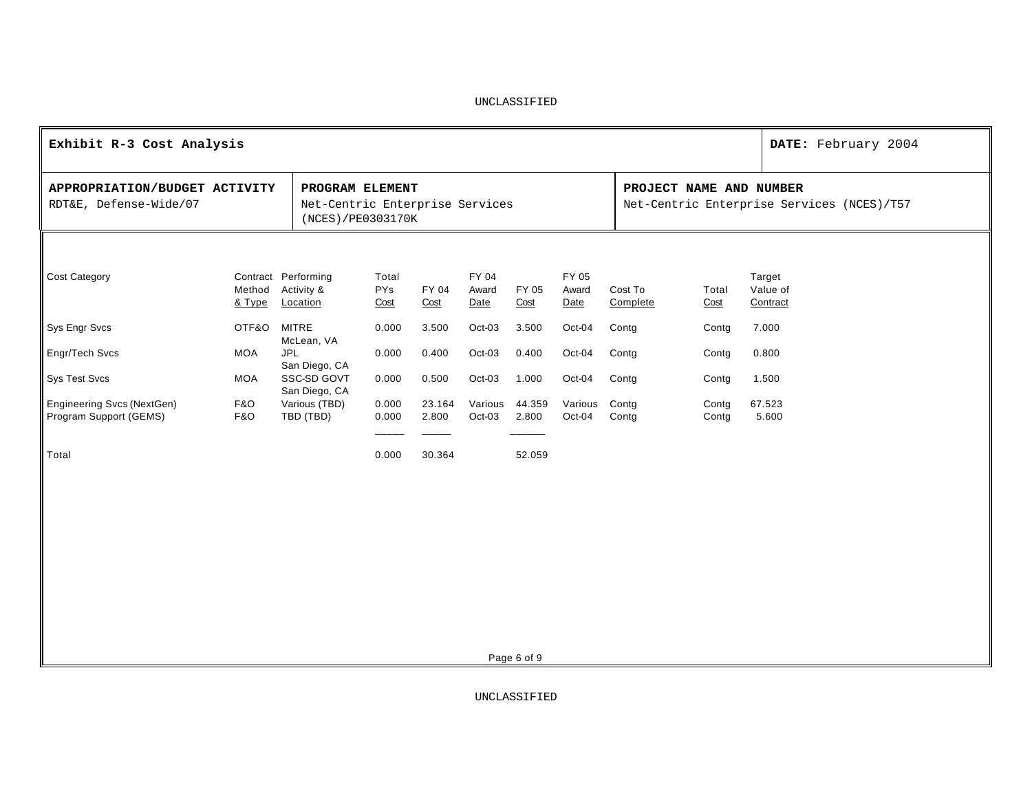| Exhibit R-3 Cost Analysis                               |                       |                                                                         |                             |                 |                        |                 |                        |                     |                         | DATE: February 2004                        |
|---------------------------------------------------------|-----------------------|-------------------------------------------------------------------------|-----------------------------|-----------------|------------------------|-----------------|------------------------|---------------------|-------------------------|--------------------------------------------|
| APPROPRIATION/BUDGET ACTIVITY<br>RDT&E, Defense-Wide/07 |                       | PROGRAM ELEMENT<br>Net-Centric Enterprise Services<br>(NCES)/PE0303170K |                             |                 |                        |                 |                        |                     | PROJECT NAME AND NUMBER | Net-Centric Enterprise Services (NCES)/T57 |
| <b>Cost Category</b>                                    | Method<br>& Type      | Contract Performing<br>Activity &<br>Location                           | Total<br><b>PYs</b><br>Cost | FY 04<br>Cost   | FY 04<br>Award<br>Date | FY 05<br>Cost   | FY 05<br>Award<br>Date | Cost To<br>Complete | Total<br>Cost           | Target<br>Value of<br>Contract             |
| Sys Engr Svcs                                           | OTF&O                 | <b>MITRE</b><br>McLean, VA                                              | 0.000                       | 3.500           | Oct-03                 | 3.500           | Oct-04                 | Contg               | Contg                   | 7.000                                      |
| Engr/Tech Svcs                                          | <b>MOA</b>            | <b>JPL</b><br>San Diego, CA                                             | 0.000                       | 0.400           | Oct-03                 | 0.400           | Oct-04                 | Contg               | Contg                   | 0.800                                      |
| Sys Test Svcs                                           | <b>MOA</b>            | SSC-SD GOVT<br>San Diego, CA                                            | 0.000                       | 0.500           | Oct-03                 | 1.000           | Oct-04                 | Contg               | Contg                   | 1.500                                      |
| Engineering Svcs (NextGen)<br>Program Support (GEMS)    | <b>F&amp;O</b><br>F&O | Various (TBD)<br>TBD (TBD)                                              | 0.000<br>0.000              | 23.164<br>2.800 | Various<br>Oct-03      | 44.359<br>2.800 | Various<br>Oct-04      | Contg<br>Contg      | Contg<br>Contg          | 67.523<br>5.600                            |
| Total                                                   |                       |                                                                         | 0.000                       | 30.364          |                        | 52.059          |                        |                     |                         |                                            |
|                                                         |                       |                                                                         |                             |                 |                        |                 |                        |                     |                         |                                            |
|                                                         |                       |                                                                         |                             |                 |                        |                 |                        |                     |                         |                                            |
|                                                         |                       |                                                                         |                             |                 |                        |                 |                        |                     |                         |                                            |
|                                                         |                       |                                                                         |                             |                 |                        |                 |                        |                     |                         |                                            |
|                                                         |                       |                                                                         |                             |                 |                        |                 |                        |                     |                         |                                            |
|                                                         |                       |                                                                         |                             |                 |                        |                 |                        |                     |                         |                                            |

Page 6 of 9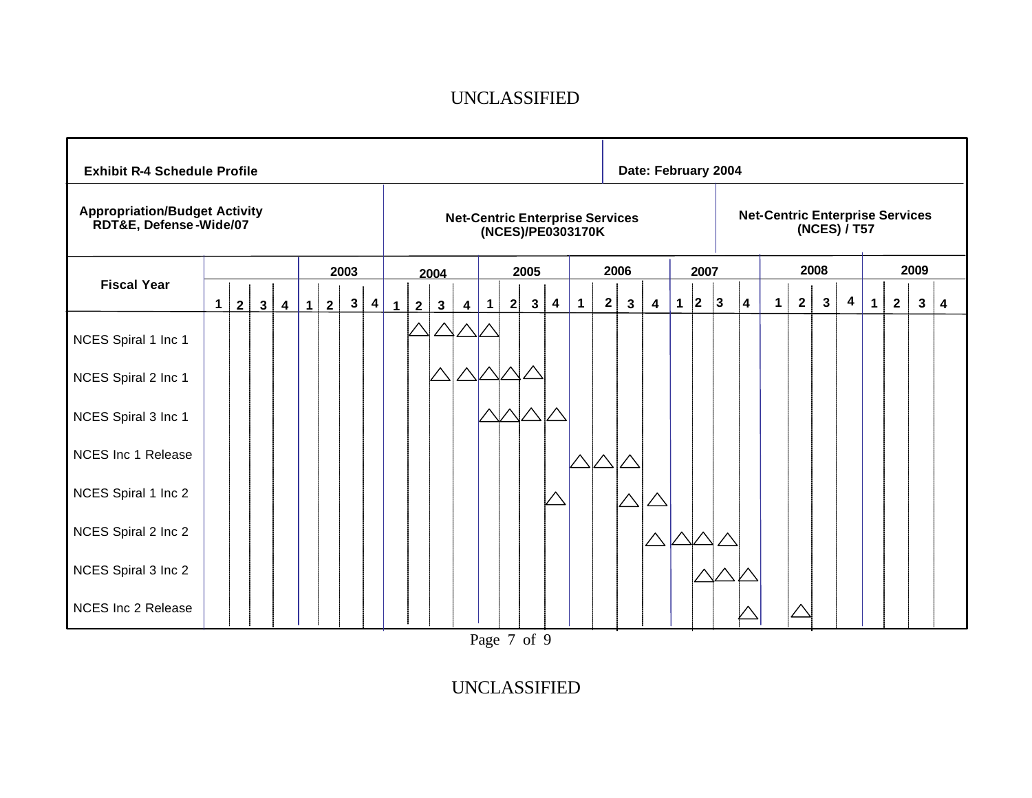| <b>Exhibit R-4 Schedule Profile</b>                            |             |                |              |                         |   |                |              |                         |              |                |              |                |             |   |                |                   |              |              |                                        | Date: February 2004 |             |      |             |                         |                                        |                |              |                         |             |                |      |   |   |
|----------------------------------------------------------------|-------------|----------------|--------------|-------------------------|---|----------------|--------------|-------------------------|--------------|----------------|--------------|----------------|-------------|---|----------------|-------------------|--------------|--------------|----------------------------------------|---------------------|-------------|------|-------------|-------------------------|----------------------------------------|----------------|--------------|-------------------------|-------------|----------------|------|---|---|
| <b>Appropriation/Budget Activity</b><br>RDT&E, Defense-Wide/07 |             |                |              |                         |   |                |              |                         |              |                |              |                |             |   |                | (NCES)/PE0303170K |              |              | <b>Net-Centric Enterprise Services</b> |                     |             |      |             |                         | <b>Net-Centric Enterprise Services</b> |                |              | (NCES) / T57            |             |                |      |   |   |
|                                                                |             |                |              |                         |   |                | 2003         |                         |              |                | 2004         |                |             |   | 2005           |                   |              |              | 2006                                   |                     |             | 2007 |             |                         |                                        |                | 2008         |                         |             |                | 2009 |   |   |
| <b>Fiscal Year</b>                                             | $\mathbf 1$ | $\overline{2}$ | $\mathbf{3}$ | $\overline{\mathbf{4}}$ | 1 | 2 <sup>1</sup> | $\mathbf{3}$ | $\overline{\mathbf{4}}$ | $\mathbf{1}$ | $\overline{2}$ | $\mathbf{3}$ | $\overline{4}$ | $\mathbf 1$ | 2 | $3\phantom{a}$ | 4                 | $\mathbf{1}$ | $\mathbf{2}$ | 3                                      | 4                   | $\mathbf 1$ | 2    | $ 3\rangle$ | $\overline{\mathbf{4}}$ | $\mathbf 1$                            | $\overline{2}$ | $\mathbf{3}$ | $\overline{\mathbf{4}}$ | $\mathbf 1$ | $\overline{2}$ |      | 3 | 4 |
| NCES Spiral 1 Inc 1                                            |             |                |              |                         |   |                |              |                         |              |                |              |                |             |   |                |                   |              |              |                                        |                     |             |      |             |                         |                                        |                |              |                         |             |                |      |   |   |
| NCES Spiral 2 Inc 1                                            |             |                |              |                         |   |                |              |                         |              |                |              |                |             |   |                |                   |              |              |                                        |                     |             |      |             |                         |                                        |                |              |                         |             |                |      |   |   |
| NCES Spiral 3 Inc 1                                            |             |                |              |                         |   |                |              |                         |              |                |              |                |             |   |                |                   |              |              |                                        |                     |             |      |             |                         |                                        |                |              |                         |             |                |      |   |   |
| <b>NCES Inc 1 Release</b>                                      |             |                |              |                         |   |                |              |                         |              |                |              |                |             |   |                |                   |              |              |                                        |                     |             |      |             |                         |                                        |                |              |                         |             |                |      |   |   |
| NCES Spiral 1 Inc 2                                            |             |                |              |                         |   |                |              |                         |              |                |              |                |             |   |                |                   |              |              |                                        |                     |             |      |             |                         |                                        |                |              |                         |             |                |      |   |   |
| NCES Spiral 2 Inc 2                                            |             |                |              |                         |   |                |              |                         |              |                |              |                |             |   |                |                   |              |              |                                        |                     |             |      |             |                         |                                        |                |              |                         |             |                |      |   |   |
| NCES Spiral 3 Inc 2                                            |             |                |              |                         |   |                |              |                         |              |                |              |                |             |   |                |                   |              |              |                                        |                     |             |      |             |                         |                                        |                |              |                         |             |                |      |   |   |
| <b>NCES Inc 2 Release</b>                                      |             |                |              |                         |   |                |              |                         |              |                |              |                |             |   |                |                   |              |              |                                        |                     |             |      |             |                         |                                        |                |              |                         |             |                |      |   |   |

Page 7 of 9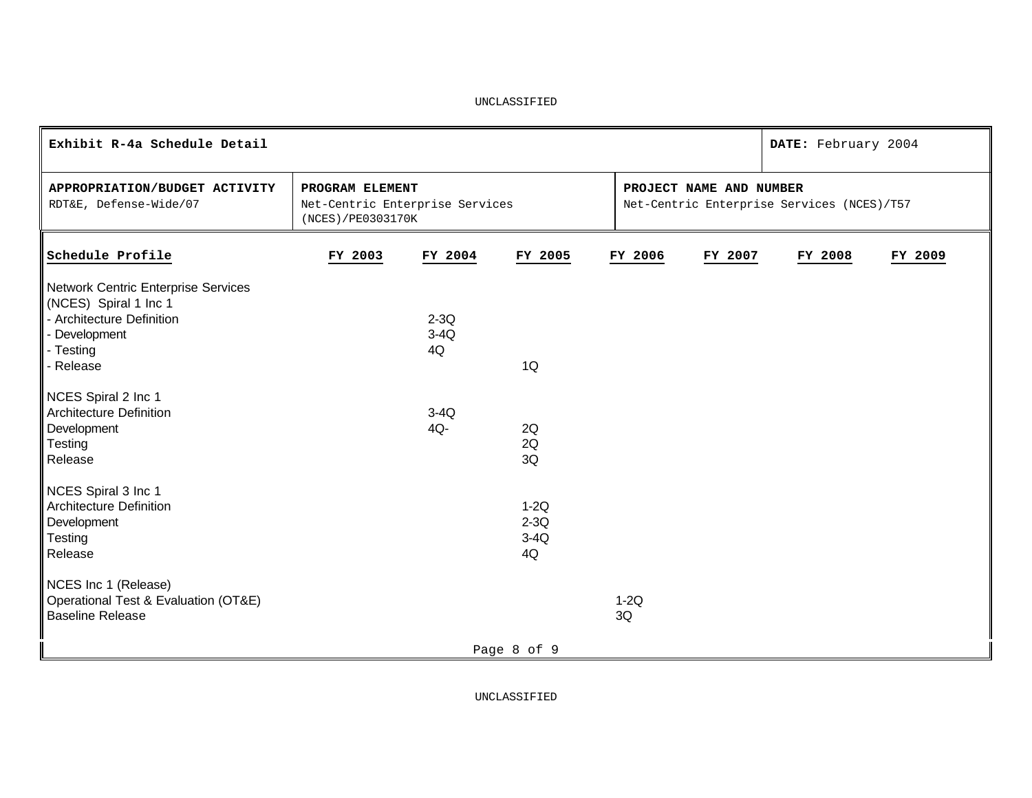| Exhibit R-4a Schedule Detail                                                                               |                                                                         |                  |                                  |              |                         | DATE: February 2004                        |         |
|------------------------------------------------------------------------------------------------------------|-------------------------------------------------------------------------|------------------|----------------------------------|--------------|-------------------------|--------------------------------------------|---------|
| APPROPRIATION/BUDGET ACTIVITY<br>RDT&E, Defense-Wide/07                                                    | PROGRAM ELEMENT<br>Net-Centric Enterprise Services<br>(NCES)/PE0303170K |                  |                                  |              | PROJECT NAME AND NUMBER | Net-Centric Enterprise Services (NCES)/T57 |         |
| Schedule Profile                                                                                           | FY 2003                                                                 | FY 2004          | FY 2005                          | FY 2006      | FY 2007                 | FY 2008                                    | FY 2009 |
| Network Centric Enterprise Services<br>(NCES) Spiral 1 Inc 1<br>- Architecture Definition<br>- Development |                                                                         | $2-3Q$<br>$3-4Q$ |                                  |              |                         |                                            |         |
| - Testing<br>Release                                                                                       |                                                                         | 4Q               | 1Q                               |              |                         |                                            |         |
| NCES Spiral 2 Inc 1<br><b>Architecture Definition</b><br>Development<br>Testing<br>Release                 |                                                                         | $3-4Q$<br>4Q-    | 2Q<br>2Q<br>3Q                   |              |                         |                                            |         |
| NCES Spiral 3 Inc 1<br><b>Architecture Definition</b><br>Development<br>Testing<br>Release                 |                                                                         |                  | $1-2Q$<br>$2-3Q$<br>$3-4Q$<br>4Q |              |                         |                                            |         |
| NCES Inc 1 (Release)<br>Operational Test & Evaluation (OT&E)<br><b>Baseline Release</b>                    |                                                                         |                  |                                  | $1-2Q$<br>3Q |                         |                                            |         |
|                                                                                                            |                                                                         |                  | Page 8 of 9                      |              |                         |                                            |         |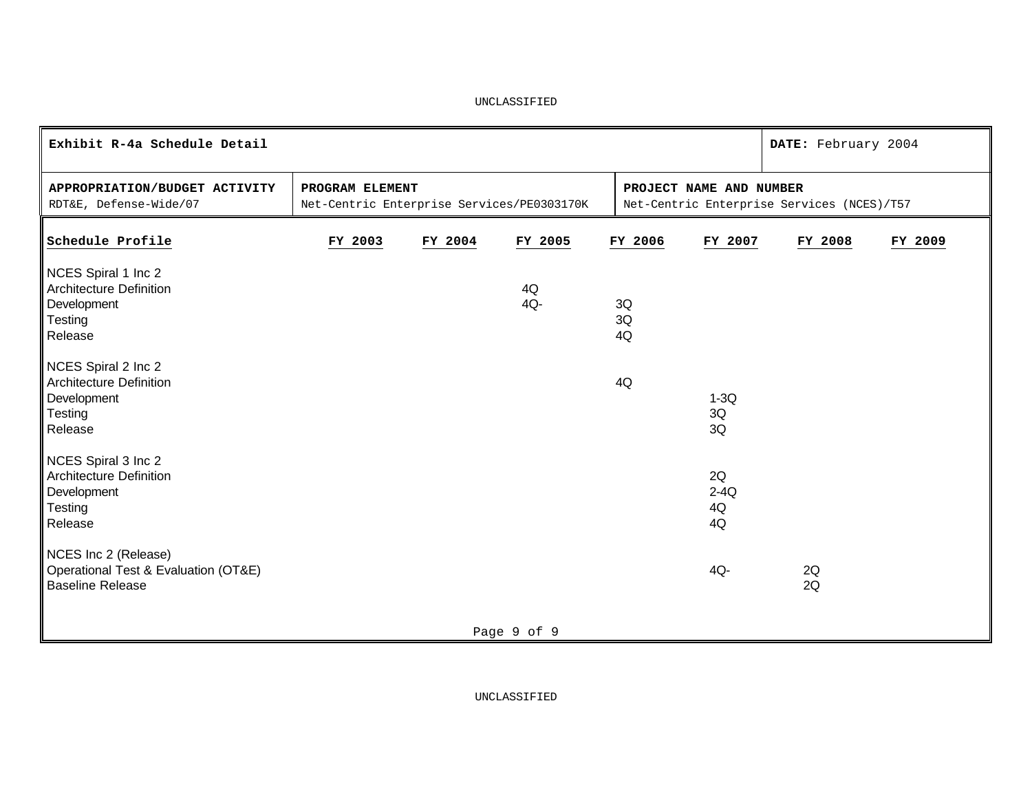| Exhibit R-4a Schedule Detail                                                               |                                                               |         |             |                         |                          | DATE: February 2004                        |         |
|--------------------------------------------------------------------------------------------|---------------------------------------------------------------|---------|-------------|-------------------------|--------------------------|--------------------------------------------|---------|
| APPROPRIATION/BUDGET ACTIVITY<br>RDT&E, Defense-Wide/07                                    | PROGRAM ELEMENT<br>Net-Centric Enterprise Services/PE0303170K |         |             | PROJECT NAME AND NUMBER |                          | Net-Centric Enterprise Services (NCES)/T57 |         |
| Schedule Profile                                                                           | FY 2003                                                       | FY 2004 | FY 2005     | FY 2006                 | FY 2007                  | FY 2008                                    | FY 2009 |
| NCES Spiral 1 Inc 2<br><b>Architecture Definition</b><br>Development<br>Testing<br>Release |                                                               |         | 4Q<br>4Q-   | 3Q<br>3Q<br>4Q          |                          |                                            |         |
| NCES Spiral 2 Inc 2<br><b>Architecture Definition</b><br>Development<br>Testing<br>Release |                                                               |         |             | 4Q                      | $1-3Q$<br>3Q<br>3Q       |                                            |         |
| NCES Spiral 3 Inc 2<br><b>Architecture Definition</b><br>Development<br>Testing<br>Release |                                                               |         |             |                         | 2Q<br>$2-4Q$<br>4Q<br>4Q |                                            |         |
| NCES Inc 2 (Release)<br>Operational Test & Evaluation (OT&E)<br><b>Baseline Release</b>    |                                                               |         |             |                         | 4Q-                      | 2Q<br>2Q                                   |         |
|                                                                                            |                                                               |         | Page 9 of 9 |                         |                          |                                            |         |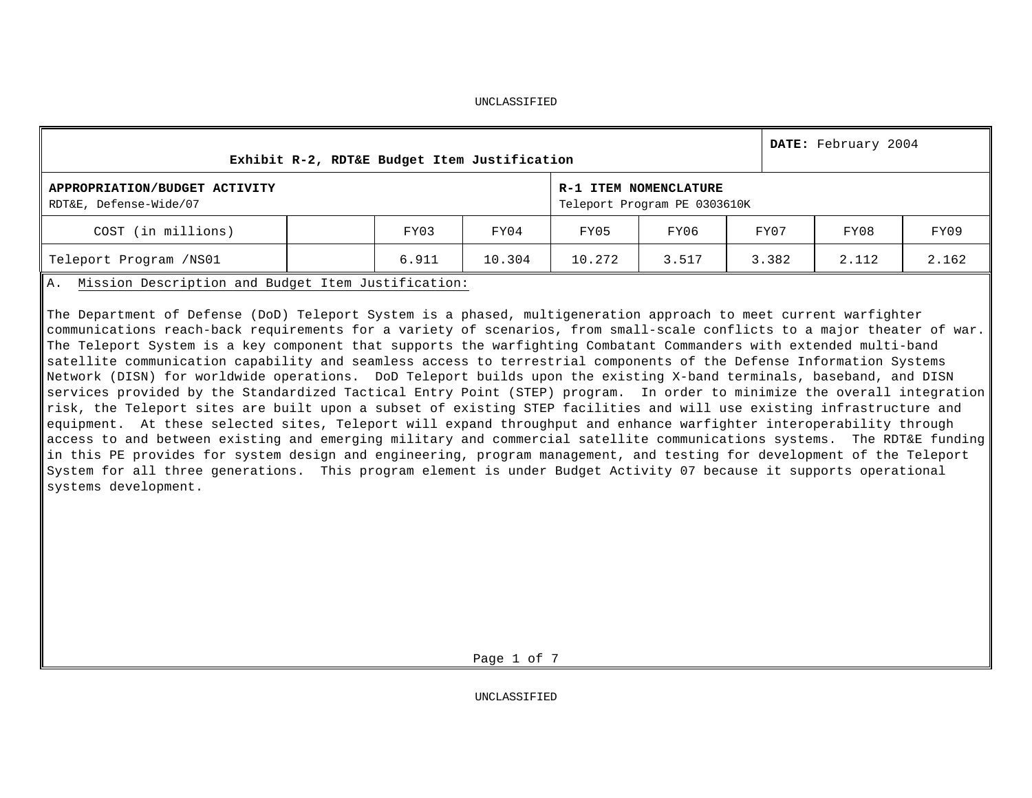|                                                         | Exhibit R-2, RDT&E Budget Item Justification |       |        |        |                                                       |       | DATE: February 2004 |       |
|---------------------------------------------------------|----------------------------------------------|-------|--------|--------|-------------------------------------------------------|-------|---------------------|-------|
| APPROPRIATION/BUDGET ACTIVITY<br>RDT&E, Defense-Wide/07 |                                              |       |        |        | R-1 ITEM NOMENCLATURE<br>Teleport Program PE 0303610K |       |                     |       |
| COST (in millions)                                      |                                              | FY03  | FY04   | FY05   | FY06                                                  | FY07  | FY08                | FY09  |
| Teleport Program /NS01                                  |                                              | 6.911 | 10.304 | 10.272 | 3.517                                                 | 3.382 | 2.112               | 2.162 |

A. Mission Description and Budget Item Justification:

The Department of Defense (DoD) Teleport System is a phased, multigeneration approach to meet current warfighter communications reach-back requirements for a variety of scenarios, from small-scale conflicts to a major theater of war. The Teleport System is a key component that supports the warfighting Combatant Commanders with extended multi-band satellite communication capability and seamless access to terrestrial components of the Defense Information Systems Network (DISN) for worldwide operations. DoD Teleport builds upon the existing X-band terminals, baseband, and DISN services provided by the Standardized Tactical Entry Point (STEP) program. In order to minimize the overall integration risk, the Teleport sites are built upon a subset of existing STEP facilities and will use existing infrastructure and equipment. At these selected sites, Teleport will expand throughput and enhance warfighter interoperability through access to and between existing and emerging military and commercial satellite communications systems. The RDT&E funding in this PE provides for system design and engineering, program management, and testing for development of the Teleport System for all three generations. This program element is under Budget Activity 07 because it supports operational systems development.

Page 1 of 7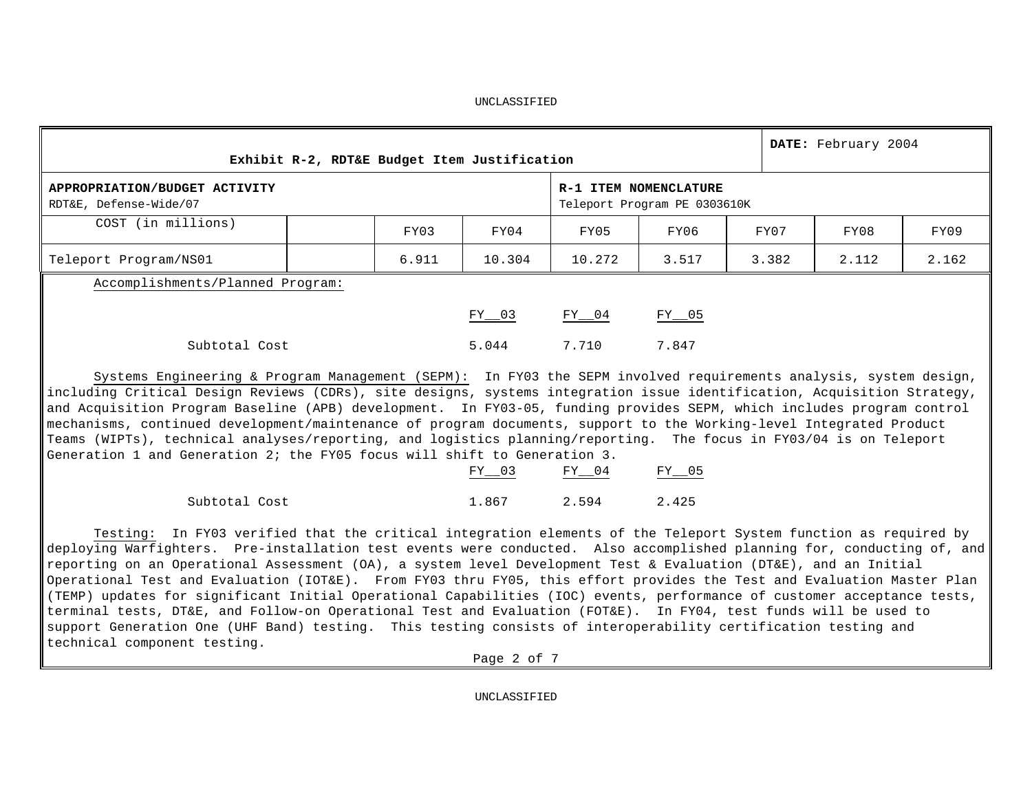|                                                         |       | Exhibit R-2, RDT&E Budget Item Justification |           |                                                       |       | DATE: February 2004 |       |
|---------------------------------------------------------|-------|----------------------------------------------|-----------|-------------------------------------------------------|-------|---------------------|-------|
| APPROPRIATION/BUDGET ACTIVITY<br>RDT&E, Defense-Wide/07 |       |                                              |           | R-1 ITEM NOMENCLATURE<br>Teleport Program PE 0303610K |       |                     |       |
| COST (in millions)                                      | FY03  | FY04                                         | FY05      | FY06                                                  | FY07  | FY08                | FY09  |
| Teleport Program/NS01                                   | 6.911 | 10.304                                       | 10.272    | 3.517                                                 | 3.382 | 2.112               | 2.162 |
| Accomplishments/Planned Program:                        |       |                                              |           |                                                       |       |                     |       |
|                                                         |       | $FY_{203}$                                   | $FY_{04}$ | $FY_{05}$                                             |       |                     |       |
| Subtotal Cost                                           |       | 5.044                                        | 7.710     | 7.847                                                 |       |                     |       |

Systems Engineering & Program Management (SEPM): In FY03 the SEPM involved requirements analysis, system design, including Critical Design Reviews (CDRs), site designs, systems integration issue identification, Acquisition Strategy, and Acquisition Program Baseline (APB) development. In FY03-05, funding provides SEPM, which includes program control mechanisms, continued development/maintenance of program documents, support to the Working-level Integrated Product Teams (WIPTs), technical analyses/reporting, and logistics planning/reporting. The focus in FY03/04 is on Teleport Generation 1 and Generation 2; the FY05 focus will shift to Generation 3.

|               | FY 03 | FY 04 | FY 05 |
|---------------|-------|-------|-------|
| Subtotal Cost | 1.867 | 2.594 | 2.425 |

Testing: In FY03 verified that the critical integration elements of the Teleport System function as required by deploying Warfighters. Pre-installation test events were conducted. Also accomplished planning for, conducting of, and reporting on an Operational Assessment (OA), a system level Development Test & Evaluation (DT&E), and an Initial Operational Test and Evaluation (IOT&E). From FY03 thru FY05, this effort provides the Test and Evaluation Master Plan (TEMP) updates for significant Initial Operational Capabilities (IOC) events, performance of customer acceptance tests, terminal tests, DT&E, and Follow-on Operational Test and Evaluation (FOT&E). In FY04, test funds will be used to support Generation One (UHF Band) testing. This testing consists of interoperability certification testing and technical component testing.

Page 2 of 7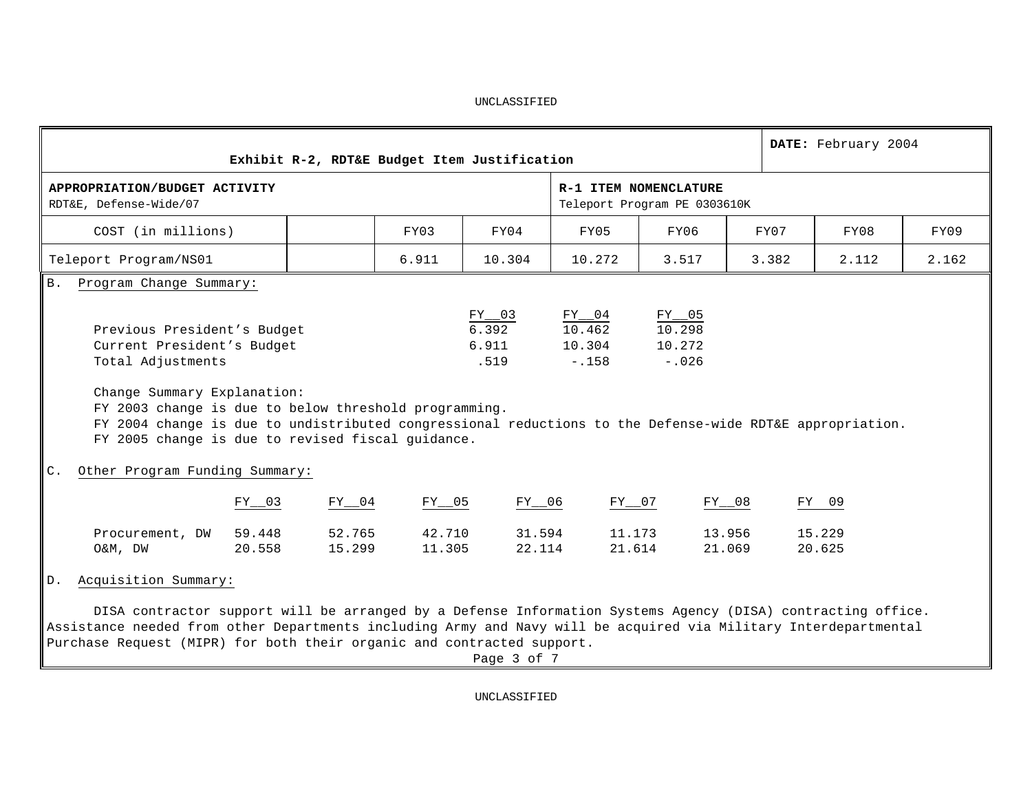|                                                                                                                                                                                                                                                                                                                                         |                  |                  |                  | Exhibit R-2, RDT&E Budget Item Justification |                                               |                                                       |       | DATE: February 2004 |       |
|-----------------------------------------------------------------------------------------------------------------------------------------------------------------------------------------------------------------------------------------------------------------------------------------------------------------------------------------|------------------|------------------|------------------|----------------------------------------------|-----------------------------------------------|-------------------------------------------------------|-------|---------------------|-------|
| APPROPRIATION/BUDGET ACTIVITY<br>RDT&E, Defense-Wide/07                                                                                                                                                                                                                                                                                 |                  |                  |                  |                                              |                                               | R-1 ITEM NOMENCLATURE<br>Teleport Program PE 0303610K |       |                     |       |
| COST (in millions)                                                                                                                                                                                                                                                                                                                      |                  |                  | FY03             | FY04                                         | FY05                                          | FY06                                                  | FY07  | FY08                | FY09  |
| Teleport Program/NS01                                                                                                                                                                                                                                                                                                                   |                  |                  | 6.911            | 10.304                                       | 10.272                                        | 3.517                                                 | 3.382 | 2.112               | 2.162 |
| B. Program Change Summary:                                                                                                                                                                                                                                                                                                              |                  |                  |                  |                                              |                                               |                                                       |       |                     |       |
| Previous President's Budget<br>Current President's Budget<br>Total Adjustments<br>Change Summary Explanation:<br>FY 2003 change is due to below threshold programming.<br>FY 2004 change is due to undistributed congressional reductions to the Defense-wide RDT&E appropriation.<br>FY 2005 change is due to revised fiscal guidance. |                  |                  |                  | $rac{FY-03}{6.392}$<br>6.911<br>.519         | $\frac{FY_{04}}{10.462}$<br>10.304<br>$-.158$ | $rac{FY-05}{10.298}$<br>10.272<br>$-.026$             |       |                     |       |
| Other Program Funding Summary:<br>C.                                                                                                                                                                                                                                                                                                    |                  |                  |                  |                                              |                                               |                                                       |       |                     |       |
|                                                                                                                                                                                                                                                                                                                                         | $FY_{203}$       | $FY_{04}$        | $FY_{05}$        | FY__06                                       | FY__07                                        | $FY_{08}$                                             |       | FY 09               |       |
| Procurement, DW<br>O&M, DW                                                                                                                                                                                                                                                                                                              | 59.448<br>20.558 | 52.765<br>15.299 | 42.710<br>11.305 | 31.594<br>22.114                             | 11.173<br>21.614                              | 13.956<br>21.069                                      |       | 15.229<br>20.625    |       |
| Acquisition Summary:<br>D.                                                                                                                                                                                                                                                                                                              |                  |                  |                  |                                              |                                               |                                                       |       |                     |       |
| DISA contractor support will be arranged by a Defense Information Systems Agency (DISA) contracting office.<br>Assistance needed from other Departments including Army and Navy will be acquired via Military Interdepartmental<br>Purchase Request (MIPR) for both their organic and contracted support.                               |                  |                  |                  | Page 3 of 7                                  |                                               |                                                       |       |                     |       |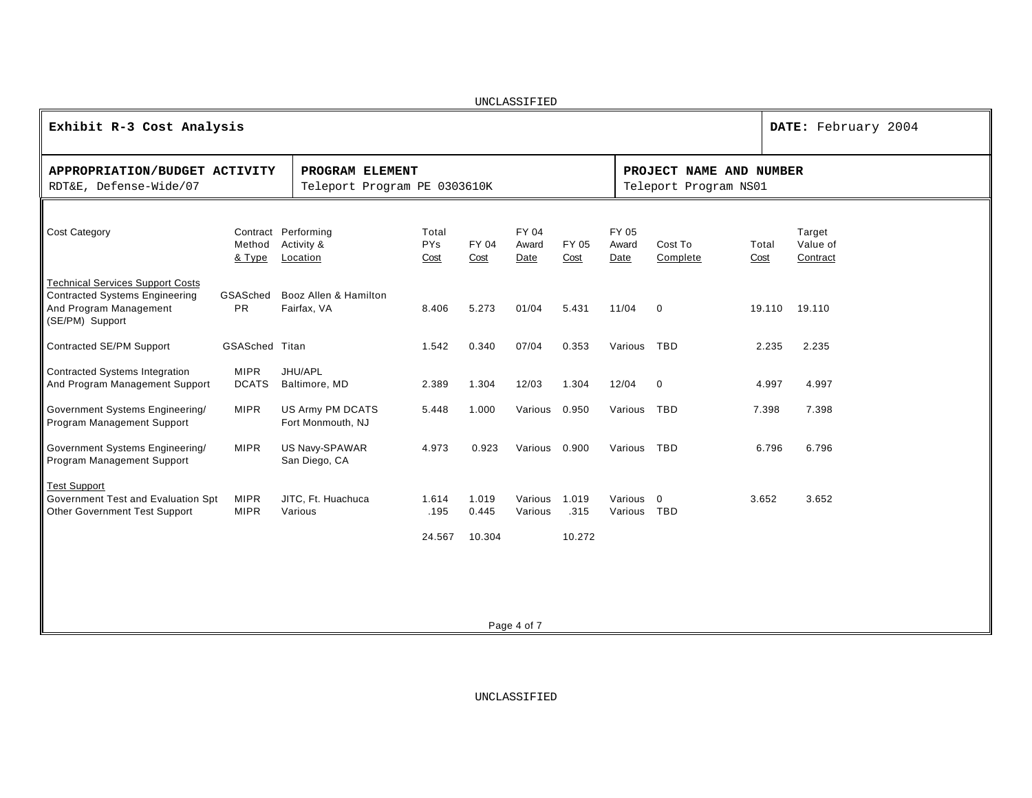|                                                                                                                               |                             |                                                 |                             |                          | UNCLASSIFIED           |                         |                          |                                                  |               |                                |
|-------------------------------------------------------------------------------------------------------------------------------|-----------------------------|-------------------------------------------------|-----------------------------|--------------------------|------------------------|-------------------------|--------------------------|--------------------------------------------------|---------------|--------------------------------|
| Exhibit R-3 Cost Analysis                                                                                                     |                             |                                                 |                             |                          |                        |                         |                          |                                                  |               | DATE: February 2004            |
| APPROPRIATION/BUDGET ACTIVITY<br>RDT&E, Defense-Wide/07                                                                       |                             | PROGRAM ELEMENT<br>Teleport Program PE 0303610K |                             |                          |                        |                         |                          | PROJECT NAME AND NUMBER<br>Teleport Program NS01 |               |                                |
| Cost Category                                                                                                                 | Method<br>& Type            | Contract Performing<br>Activity &<br>Location   | Total<br><b>PYs</b><br>Cost | FY 04<br>Cost            | FY 04<br>Award<br>Date | FY 05<br>Cost           | FY 05<br>Award<br>Date   | Cost To<br>Complete                              | Total<br>Cost | Target<br>Value of<br>Contract |
| <b>Technical Services Support Costs</b><br><b>Contracted Systems Engineering</b><br>And Program Management<br>(SE/PM) Support | GSASched<br><b>PR</b>       | Booz Allen & Hamilton<br>Fairfax, VA            | 8.406                       | 5.273                    | 01/04                  | 5.431                   | 11/04                    | $\mathbf 0$                                      | 19.110        | 19.110                         |
| Contracted SE/PM Support                                                                                                      | <b>GSASched Titan</b>       |                                                 | 1.542                       | 0.340                    | 07/04                  | 0.353                   | Various                  | <b>TBD</b>                                       | 2.235         | 2.235                          |
| <b>Contracted Systems Integration</b><br>And Program Management Support                                                       | <b>MIPR</b><br><b>DCATS</b> | JHU/APL<br>Baltimore, MD                        | 2.389                       | 1.304                    | 12/03                  | 1.304                   | 12/04                    | $\mathbf 0$                                      | 4.997         | 4.997                          |
| Government Systems Engineering/<br>Program Management Support                                                                 | <b>MIPR</b>                 | US Army PM DCATS<br>Fort Monmouth, NJ           | 5.448                       | 1.000                    | Various 0.950          |                         | Various                  | <b>TBD</b>                                       | 7.398         | 7.398                          |
| Government Systems Engineering/<br>Program Management Support                                                                 | <b>MIPR</b>                 | US Navy-SPAWAR<br>San Diego, CA                 | 4.973                       | 0.923                    | Various 0.900          |                         | Various                  | <b>TBD</b>                                       | 6.796         | 6.796                          |
| <b>Test Support</b><br>Government Test and Evaluation Spt<br>Other Government Test Support                                    | <b>MIPR</b><br><b>MIPR</b>  | JITC, Ft. Huachuca<br>Various                   | 1.614<br>.195<br>24.567     | 1.019<br>0.445<br>10.304 | Various<br>Various     | 1.019<br>.315<br>10.272 | Various 0<br>Various TBD |                                                  | 3.652         | 3.652                          |
|                                                                                                                               |                             |                                                 |                             |                          |                        |                         |                          |                                                  |               |                                |

Page 4 of 7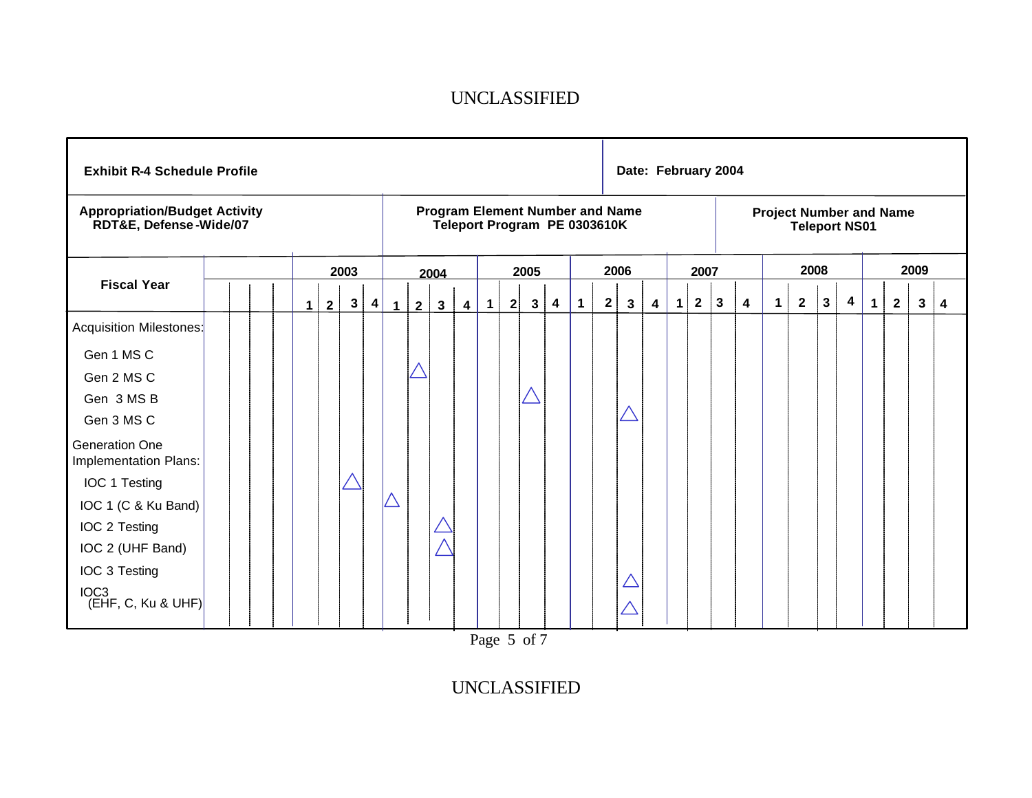| <b>Exhibit R-4 Schedule Profile</b>                            |  |          |                |              |           |   |                |              |                         |                   |   |              |                              |             |              | Date: February 2004                    |   |             |              |              |                         |                |                                                        |              |   |              |              |      |   |
|----------------------------------------------------------------|--|----------|----------------|--------------|-----------|---|----------------|--------------|-------------------------|-------------------|---|--------------|------------------------------|-------------|--------------|----------------------------------------|---|-------------|--------------|--------------|-------------------------|----------------|--------------------------------------------------------|--------------|---|--------------|--------------|------|---|
| <b>Appropriation/Budget Activity</b><br>RDT&E, Defense-Wide/07 |  |          |                |              |           |   |                |              |                         |                   |   |              | Teleport Program PE 0303610K |             |              | <b>Program Element Number and Name</b> |   |             |              |              |                         |                | <b>Project Number and Name</b><br><b>Teleport NS01</b> |              |   |              |              |      |   |
|                                                                |  |          |                | 2003         |           |   |                | 2004         |                         |                   |   | 2005         |                              |             |              | 2006                                   |   |             | 2007         |              |                         |                | 2008                                                   |              |   |              |              | 2009 |   |
| <b>Fiscal Year</b>                                             |  | $1 \mid$ | $\overline{2}$ | $\mathbf{3}$ | $\vert$ 4 | 1 | $\overline{2}$ | $\mathbf{3}$ | $\overline{\mathbf{4}}$ | $\vert$ 1 $\vert$ | 2 | $\mathbf{3}$ | 4                            | $\mathbf 1$ | $\mathbf{2}$ | 3                                      | 4 | $\mathbf 1$ | $\mathbf{2}$ | $\mathbf{3}$ | $\overline{\mathbf{4}}$ | $\overline{1}$ | $\overline{2}$                                         | $\mathbf{3}$ | 4 | $\mathbf{1}$ | $\mathbf{2}$ | 3    | 4 |
| <b>Acquisition Milestones:</b>                                 |  |          |                |              |           |   |                |              |                         |                   |   |              |                              |             |              |                                        |   |             |              |              |                         |                |                                                        |              |   |              |              |      |   |
| Gen 1 MS C                                                     |  |          |                |              |           |   |                |              |                         |                   |   |              |                              |             |              |                                        |   |             |              |              |                         |                |                                                        |              |   |              |              |      |   |
| Gen 2 MS C                                                     |  |          |                |              |           |   |                |              |                         |                   |   |              |                              |             |              |                                        |   |             |              |              |                         |                |                                                        |              |   |              |              |      |   |
| Gen 3 MS B                                                     |  |          |                |              |           |   |                |              |                         |                   |   |              |                              |             |              |                                        |   |             |              |              |                         |                |                                                        |              |   |              |              |      |   |
| Gen 3 MS C                                                     |  |          |                |              |           |   |                |              |                         |                   |   |              |                              |             |              |                                        |   |             |              |              |                         |                |                                                        |              |   |              |              |      |   |
| Generation One<br>Implementation Plans:                        |  |          |                |              |           |   |                |              |                         |                   |   |              |                              |             |              |                                        |   |             |              |              |                         |                |                                                        |              |   |              |              |      |   |
| IOC 1 Testing                                                  |  |          |                |              |           |   |                |              |                         |                   |   |              |                              |             |              |                                        |   |             |              |              |                         |                |                                                        |              |   |              |              |      |   |
| IOC 1 (C & Ku Band)                                            |  |          |                |              |           |   |                |              |                         |                   |   |              |                              |             |              |                                        |   |             |              |              |                         |                |                                                        |              |   |              |              |      |   |
| IOC 2 Testing                                                  |  |          |                |              |           |   |                |              |                         |                   |   |              |                              |             |              |                                        |   |             |              |              |                         |                |                                                        |              |   |              |              |      |   |
| IOC 2 (UHF Band)                                               |  |          |                |              |           |   |                |              |                         |                   |   |              |                              |             |              |                                        |   |             |              |              |                         |                |                                                        |              |   |              |              |      |   |
| IOC 3 Testing                                                  |  |          |                |              |           |   |                |              |                         |                   |   |              |                              |             |              |                                        |   |             |              |              |                         |                |                                                        |              |   |              |              |      |   |
| $\left \frac{10C3}{EHF, C, Ku & UHF}\right $                   |  |          |                |              |           |   |                |              |                         |                   |   |              |                              |             |              |                                        |   |             |              |              |                         |                |                                                        |              |   |              |              |      |   |

Page 5 of 7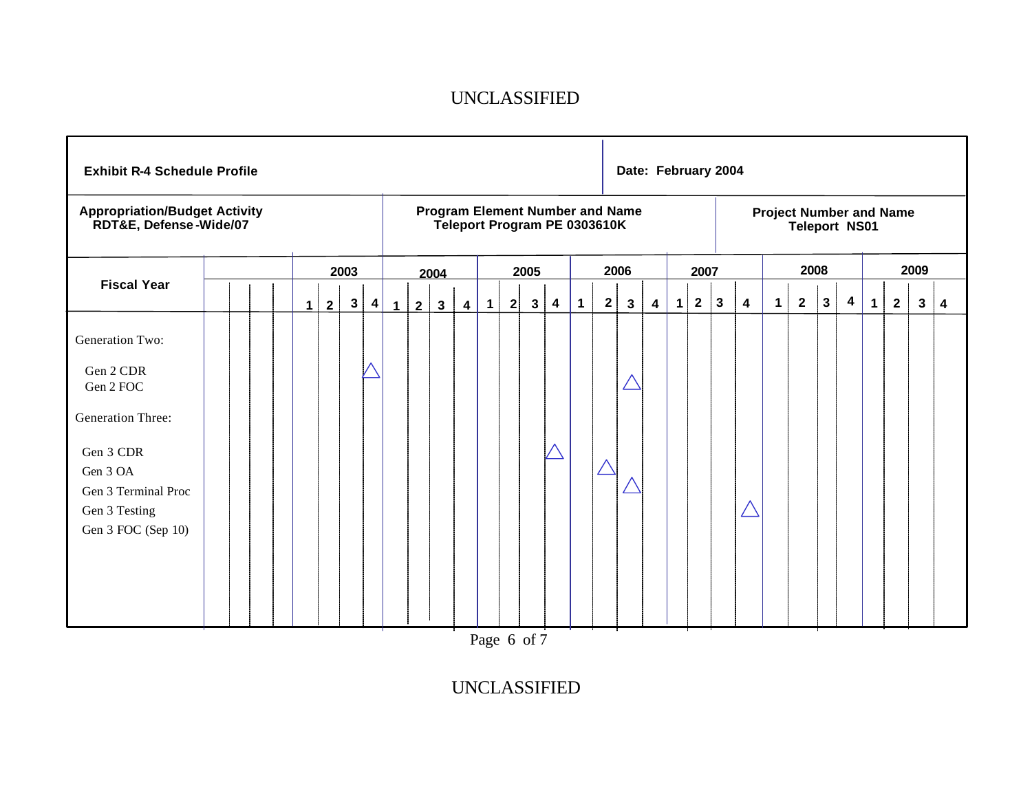| <b>Exhibit R-4 Schedule Profile</b>                                                                                                                                 |  |                     |      |                   |              |                |                |                         |                |   |              |                                                                        |              |              | Date: February 2004 |   |             |                |              |                         |             |                                                        |              |                         |             |              |              |   |
|---------------------------------------------------------------------------------------------------------------------------------------------------------------------|--|---------------------|------|-------------------|--------------|----------------|----------------|-------------------------|----------------|---|--------------|------------------------------------------------------------------------|--------------|--------------|---------------------|---|-------------|----------------|--------------|-------------------------|-------------|--------------------------------------------------------|--------------|-------------------------|-------------|--------------|--------------|---|
| <b>Appropriation/Budget Activity</b><br>RDT&E, Defense-Wide/07                                                                                                      |  |                     |      |                   |              |                |                |                         |                |   |              | <b>Program Element Number and Name</b><br>Teleport Program PE 0303610K |              |              |                     |   |             |                |              |                         |             | <b>Project Number and Name</b><br><b>Teleport NS01</b> |              |                         |             |              |              |   |
|                                                                                                                                                                     |  |                     | 2003 |                   |              |                | 2004           |                         |                |   | 2005         |                                                                        |              |              | 2006                |   |             | 2007           |              |                         |             | 2008                                                   |              |                         |             |              | 2009         |   |
| <b>Fiscal Year</b>                                                                                                                                                  |  | $\overline{2}$<br>1 |      | $\mathbf{3}$<br>4 | $\mathbf{1}$ | $\overline{2}$ | $3\phantom{a}$ | $\overline{\mathbf{4}}$ | $\overline{1}$ | 2 | $\mathbf{3}$ | 4                                                                      | $\mathbf{1}$ | $\mathbf{2}$ | $\mathbf{3}$        | 4 | $\mathbf 1$ | $\overline{2}$ | $\mathbf{3}$ | $\overline{\mathbf{4}}$ | $\mathbf 1$ | $\overline{2}$                                         | $\mathbf{3}$ | $\overline{\mathbf{4}}$ | $\mathbf 1$ | $\mathbf{2}$ | $\mathbf{3}$ | 4 |
| <b>Generation Two:</b><br>Gen 2 CDR<br>Gen 2 FOC<br><b>Generation Three:</b><br>Gen 3 CDR<br>Gen 3 OA<br>Gen 3 Terminal Proc<br>Gen 3 Testing<br>Gen 3 FOC (Sep 10) |  |                     |      |                   |              |                |                |                         |                |   |              |                                                                        |              |              |                     |   |             |                |              |                         |             |                                                        |              |                         |             |              |              |   |

Page 6 of 7